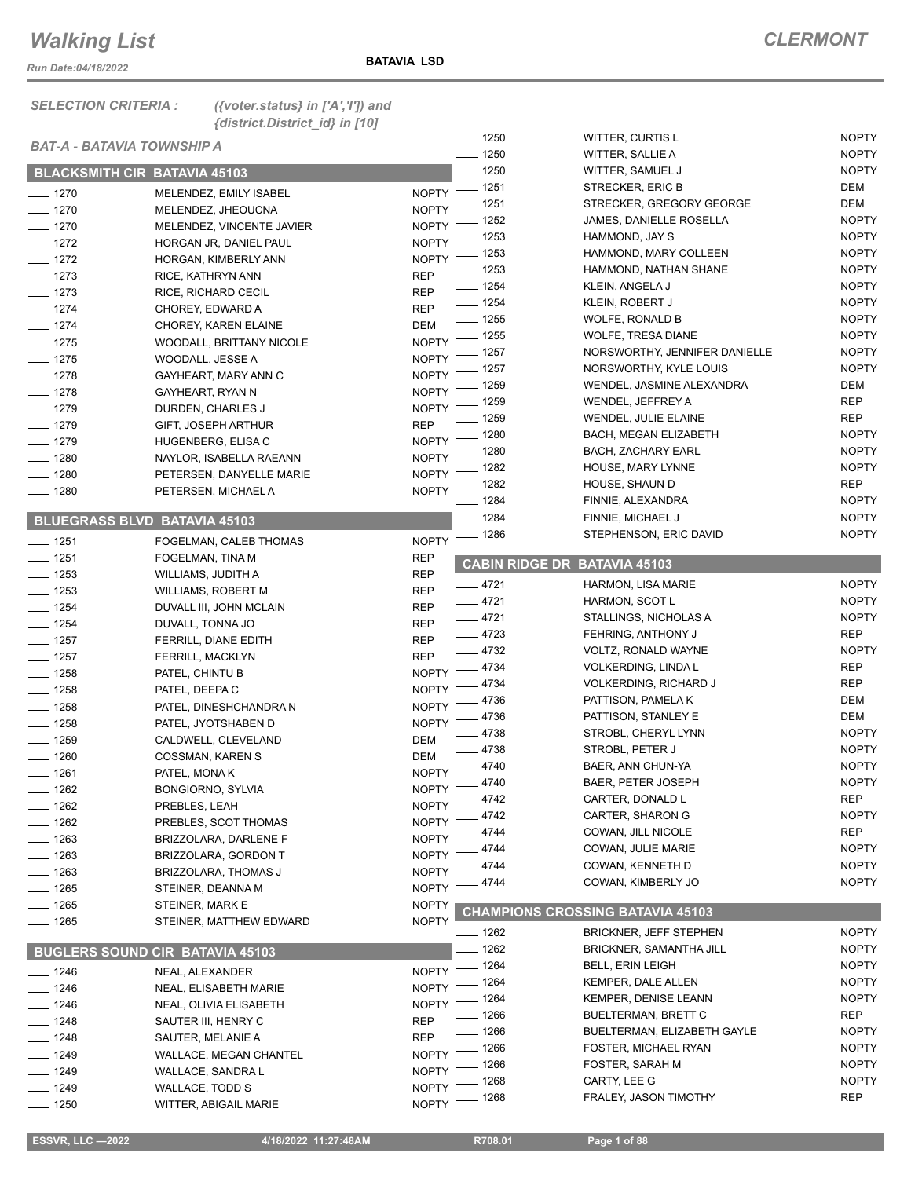*Run Date:04/18/2022*

*SELECTION CRITERIA : ({voter.status} in ['A','I']) and* 

|                                     | {district.District_id} in [10]           |                              |                                     |                                              |                              |
|-------------------------------------|------------------------------------------|------------------------------|-------------------------------------|----------------------------------------------|------------------------------|
| BAT-A - BATAVIA TOWNSHIP A          |                                          |                              | $-1250$                             | WITTER, CURTIS L                             | <b>NOPTY</b>                 |
|                                     |                                          |                              | $- 1250$                            | WITTER, SALLIE A                             | <b>NOPTY</b>                 |
| <b>BLACKSMITH CIR BATAVIA 45103</b> |                                          |                              | $-1250$                             | WITTER, SAMUEL J                             | <b>NOPTY</b><br>DEM          |
| $- 1270$                            | MELENDEZ, EMILY ISABEL                   |                              | NOPTY - 1251<br>_ 1251              | STRECKER, ERIC B<br>STRECKER, GREGORY GEORGE | DEM                          |
| $- 1270$                            | MELENDEZ, JHEOUCNA                       | NOPTY <sup>-</sup>           | - 1252                              | JAMES, DANIELLE ROSELLA                      | <b>NOPTY</b>                 |
| $- 1270$                            | MELENDEZ, VINCENTE JAVIER                | <b>NOPTY</b>                 | $-1253$                             | HAMMOND, JAY S                               | <b>NOPTY</b>                 |
| $-$ 1272                            | HORGAN JR, DANIEL PAUL                   | <b>NOPTY</b><br>NOPTY -      | $-1253$                             | HAMMOND, MARY COLLEEN                        | <b>NOPTY</b>                 |
| $- 1272$                            | HORGAN, KIMBERLY ANN                     |                              | $\frac{1}{2}$ 1253                  | HAMMOND, NATHAN SHANE                        | <b>NOPTY</b>                 |
| $- 1273$<br>$- 1273$                | RICE, KATHRYN ANN                        | <b>REP</b><br><b>REP</b>     | $- 1254$                            | KLEIN, ANGELA J                              | <b>NOPTY</b>                 |
| $- 1274$                            | RICE, RICHARD CECIL<br>CHOREY, EDWARD A  | <b>REP</b>                   | $- 1254$                            | KLEIN, ROBERT J                              | <b>NOPTY</b>                 |
| $- 1274$                            | CHOREY, KAREN ELAINE                     | <b>DEM</b>                   | $\frac{1}{2}$ 1255                  | WOLFE, RONALD B                              | <b>NOPTY</b>                 |
| $- 1275$                            | WOODALL, BRITTANY NICOLE                 | NOPTY $^-$                   | $-1255$                             | WOLFE, TRESA DIANE                           | <b>NOPTY</b>                 |
| $- 1275$                            | WOODALL, JESSE A                         | <b>NOPTY</b>                 | $-1257$                             | NORSWORTHY, JENNIFER DANIELLE                | <b>NOPTY</b>                 |
| $- 1278$                            | GAYHEART, MARY ANN C                     | NOPTY -                      | $-1257$                             | NORSWORTHY, KYLE LOUIS                       | <b>NOPTY</b>                 |
| $- 1278$                            | GAYHEART, RYAN N                         | NOPTY -                      | _ 1259                              | WENDEL, JASMINE ALEXANDRA                    | DEM                          |
| $- 1279$                            | DURDEN, CHARLES J                        | NOPTY -                      | _ 1259                              | WENDEL, JEFFREY A                            | REP                          |
| $- 1279$                            | GIFT, JOSEPH ARTHUR                      | <b>REP</b>                   | $-1259$                             | WENDEL, JULIE ELAINE                         | REP                          |
| $- 1279$                            | HUGENBERG, ELISA C                       |                              | NOPTY - 1280                        | <b>BACH, MEGAN ELIZABETH</b>                 | <b>NOPTY</b>                 |
| $- 1280$                            | NAYLOR, ISABELLA RAEANN                  | NOPTY $-$                    | $-1280$                             | <b>BACH, ZACHARY EARL</b>                    | <b>NOPTY</b>                 |
| $- 1280$                            | PETERSEN, DANYELLE MARIE                 | $NOPTY$ -                    | __ 1282                             | HOUSE, MARY LYNNE                            | <b>NOPTY</b>                 |
| $- 1280$                            | PETERSEN, MICHAEL A                      |                              | NOPTY - 1282                        | HOUSE, SHAUN D                               | REP                          |
|                                     |                                          |                              | $- 1284$                            | FINNIE, ALEXANDRA                            | <b>NOPTY</b>                 |
| <b>BLUEGRASS BLVD BATAVIA 45103</b> |                                          |                              | $- 1284$                            | FINNIE, MICHAEL J<br>STEPHENSON, ERIC DAVID  | <b>NOPTY</b><br><b>NOPTY</b> |
| $- 1251$                            | FOGELMAN, CALEB THOMAS                   |                              | NOPTY - 1286                        |                                              |                              |
| $- 1251$                            | FOGELMAN, TINA M                         | REP                          | <b>CABIN RIDGE DR BATAVIA 45103</b> |                                              |                              |
| $\frac{1}{2}$ 1253                  | WILLIAMS, JUDITH A                       | <b>REP</b>                   | $-4721$                             | HARMON, LISA MARIE                           | <b>NOPTY</b>                 |
| $- 1253$                            | <b>WILLIAMS, ROBERT M</b>                | <b>REP</b>                   | $-4721$                             | <b>HARMON, SCOT L</b>                        | <b>NOPTY</b>                 |
| $- 1254$                            | DUVALL III, JOHN MCLAIN                  | <b>REP</b>                   | $-4721$                             | STALLINGS, NICHOLAS A                        | <b>NOPTY</b>                 |
| $- 1254$                            | DUVALL, TONNA JO                         | <b>REP</b>                   | $-4723$                             | FEHRING, ANTHONY J                           | REP                          |
| $- 1257$                            | FERRILL, DIANE EDITH                     | <b>REP</b>                   | $-4732$                             | VOLTZ, RONALD WAYNE                          | <b>NOPTY</b>                 |
| $\frac{1}{2}$ 1257                  | <b>FERRILL, MACKLYN</b>                  | <b>REP</b>                   | $-4734$                             | VOLKERDING, LINDA L                          | <b>REP</b>                   |
| $\frac{1}{2}$ 1258<br>$- 1258$      | PATEL, CHINTU B                          | <b>NOPTY</b><br><b>NOPTY</b> | _ 4734                              | <b>VOLKERDING, RICHARD J</b>                 | <b>REP</b>                   |
| $- 1258$                            | PATEL, DEEPA C<br>PATEL, DINESHCHANDRA N | NOPTY -                      | $-4736$                             | PATTISON, PAMELA K                           | DEM                          |
| $\frac{1}{2}$ 1258                  | PATEL, JYOTSHABEN D                      |                              | NOPTY -4736                         | PATTISON, STANLEY E                          | DEM                          |
| $- 1259$                            | CALDWELL, CLEVELAND                      | <b>DEM</b>                   | $-4738$                             | STROBL, CHERYL LYNN                          | <b>NOPTY</b>                 |
| $- 1260$                            | COSSMAN, KAREN S                         | <b>DEM</b>                   | $-4738$                             | STROBL, PETER J                              | <b>NOPTY</b>                 |
| $\frac{1}{2}$ 1261                  | PATEL, MONAK                             |                              | NOPTY -4740                         | BAER, ANN CHUN-YA                            | <b>NOPTY</b>                 |
| __ 1262                             | <b>BONGIORNO, SYLVIA</b>                 |                              | NOPTY -4740                         | BAER, PETER JOSEPH                           | <b>NOPTY</b>                 |
| $- 1262$                            | PREBLES, LEAH                            | <b>NOPTY</b>                 | __ 4742                             | CARTER, DONALD L                             | <b>REP</b>                   |
| $-1262$                             | PREBLES, SCOT THOMAS                     | <b>NOPTY</b>                 | $-4742$                             | CARTER, SHARON G                             | <b>NOPTY</b>                 |
| $- 1263$                            | BRIZZOLARA, DARLENE F                    | <b>NOPTY</b>                 | $-4744$                             | COWAN, JILL NICOLE                           | REP                          |
| $- 1263$                            | BRIZZOLARA, GORDON T                     | <b>NOPTY</b>                 | 4744                                | COWAN, JULIE MARIE                           | <b>NOPTY</b>                 |
| $-1263$                             | BRIZZOLARA, THOMAS J                     | <b>NOPTY</b>                 | 4744                                | COWAN, KENNETH D                             | <b>NOPTY</b>                 |
| $- 1265$                            | STEINER, DEANNA M                        | <b>NOPTY</b>                 | 4744                                | COWAN, KIMBERLY JO                           | <b>NOPTY</b>                 |
| $\frac{1}{2}$ 1265                  | STEINER, MARK E                          | <b>NOPTY</b>                 |                                     | <b>CHAMPIONS CROSSING BATAVIA 45103</b>      |                              |
| $- 1265$                            | STEINER, MATTHEW EDWARD                  | <b>NOPTY</b>                 | $-1262$                             | <b>BRICKNER, JEFF STEPHEN</b>                | <b>NOPTY</b>                 |
|                                     |                                          |                              | $-1262$                             | <b>BRICKNER, SAMANTHA JILL</b>               | <b>NOPTY</b>                 |
|                                     | <b>BUGLERS SOUND CIR BATAVIA 45103</b>   |                              | $-1264$                             | <b>BELL, ERIN LEIGH</b>                      | <b>NOPTY</b>                 |
| $- 1246$                            | NEAL, ALEXANDER                          | <b>NOPTY</b>                 | $-1264$                             | KEMPER, DALE ALLEN                           | <b>NOPTY</b>                 |
| $-1246$                             | NEAL, ELISABETH MARIE                    | <b>NOPTY</b>                 | - 1264                              | <b>KEMPER, DENISE LEANN</b>                  | <b>NOPTY</b>                 |
| _ 1246                              | NEAL, OLIVIA ELISABETH                   | <b>NOPTY</b>                 | _ 1266                              | BUELTERMAN, BRETT C                          | REP                          |
| $-1248$                             | SAUTER III, HENRY C                      | <b>REP</b>                   | $-1266$                             | BUELTERMAN, ELIZABETH GAYLE                  | <b>NOPTY</b>                 |
| $- 1248$                            | SAUTER, MELANIE A                        | <b>REP</b><br><b>NOPTY</b>   | $-1266$                             | FOSTER, MICHAEL RYAN                         | <b>NOPTY</b>                 |
| $- 1249$                            | <b>WALLACE, MEGAN CHANTEL</b>            | NOPTY <sup>-</sup>           | $-1266$                             | FOSTER, SARAH M                              | <b>NOPTY</b>                 |
| $- 1249$<br>$- 1249$                | WALLACE, SANDRA L<br>WALLACE, TODD S     | <b>NOPTY</b>                 | . 1268                              | CARTY, LEE G                                 | <b>NOPTY</b>                 |
| $- 1250$                            | WITTER, ABIGAIL MARIE                    | NOPTY -                      | __ 1268                             | FRALEY, JASON TIMOTHY                        | <b>REP</b>                   |
|                                     |                                          |                              |                                     |                                              |                              |

 **ESSVR, LLC —2022 4/18/2022 11:27:48AM R708.01 Page 1 of 88**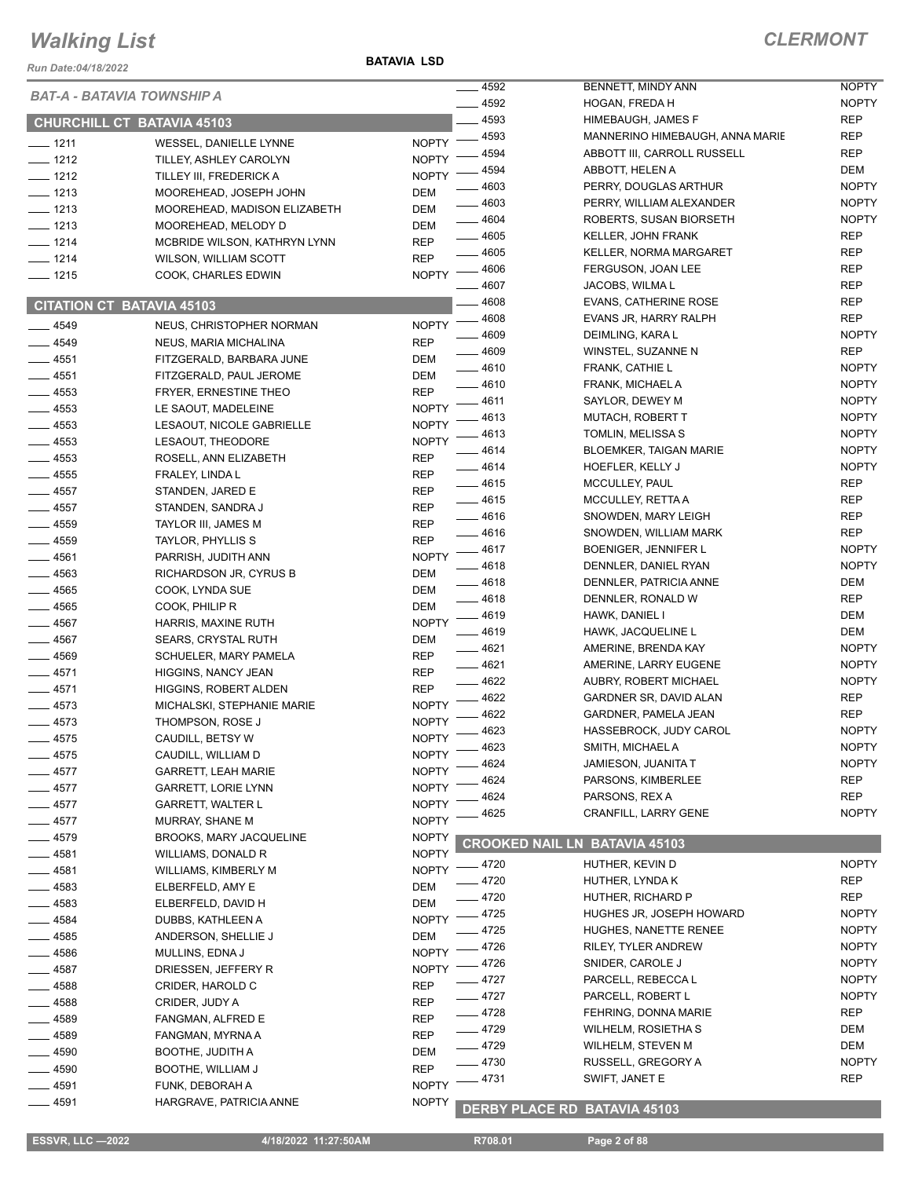#### *Run Date:04/18/2022*

**BATAVIA LSD**

|                    | BAT-A - BATAVIA TOWNSHIP A                     |                          | $-4592$            | BENNETT, MINDY ANN                                   | <b>NOPTY</b>      |
|--------------------|------------------------------------------------|--------------------------|--------------------|------------------------------------------------------|-------------------|
|                    |                                                |                          | $-4592$            | HOGAN, FREDA H                                       | <b>NOPTY</b>      |
|                    | <b>CHURCHILL CT BATAVIA 45103</b>              |                          | 4593               | <b>HIMEBAUGH, JAMES F</b>                            | <b>REP</b>        |
| $- 1211$           | WESSEL, DANIELLE LYNNE                         | $N$ OPTY $-$             | $-4593$            | MANNERINO HIMEBAUGH, ANNA MARIE                      | <b>REP</b>        |
| $- 1212$           | TILLEY, ASHLEY CAROLYN                         | <b>NOPTY</b>             | 4594               | ABBOTT III, CARROLL RUSSELL                          | <b>REP</b>        |
| $- 1212$           | TILLEY III, FREDERICK A                        | <b>NOPTY</b>             | 4594               | ABBOTT, HELEN A                                      | DEM               |
| $- 1213$           | MOOREHEAD, JOSEPH JOHN                         | <b>DEM</b>               | - 4603             | PERRY, DOUGLAS ARTHUR                                | <b>NOPTY</b>      |
| $- 1213$           | MOOREHEAD, MADISON ELIZABETH                   | DEM                      | 4603               | PERRY, WILLIAM ALEXANDER                             | <b>NOPTY</b>      |
| $- 1213$           | MOOREHEAD, MELODY D                            | <b>DEM</b>               | $- 4604$           | ROBERTS, SUSAN BIORSETH<br><b>KELLER, JOHN FRANK</b> | <b>NOPTY</b>      |
| $- 1214$           | MCBRIDE WILSON, KATHRYN LYNN                   | <b>REP</b>               | $-4605$<br>$-4605$ | KELLER, NORMA MARGARET                               | <b>REP</b><br>REP |
| $- 1214$           | <b>WILSON, WILLIAM SCOTT</b>                   | <b>REP</b>               | $-4606$            | FERGUSON, JOAN LEE                                   | <b>REP</b>        |
| $- 1215$           | COOK, CHARLES EDWIN                            | <b>NOPTY</b>             | 4607               | JACOBS, WILMA L                                      | <b>REP</b>        |
|                    |                                                |                          | $-4608$            | <b>EVANS, CATHERINE ROSE</b>                         | <b>REP</b>        |
|                    | <b>CITATION CT BATAVIA 45103</b>               |                          | $- 4608$           | EVANS JR, HARRY RALPH                                | <b>REP</b>        |
| $-4549$            | NEUS, CHRISTOPHER NORMAN                       | <b>NOPTY</b>             | $-4609$            | DEIMLING, KARA L                                     | <b>NOPTY</b>      |
| $- 4549$           | NEUS, MARIA MICHALINA                          | <b>REP</b>               | $= 4609$           | WINSTEL, SUZANNE N                                   | <b>REP</b>        |
| $- 4551$           | FITZGERALD, BARBARA JUNE                       | DEM                      | $-4610$            | FRANK, CATHIE L                                      | <b>NOPTY</b>      |
| $-4551$            | FITZGERALD, PAUL JEROME                        | DEM                      | $-4610$            | FRANK, MICHAEL A                                     | <b>NOPTY</b>      |
| $-4553$            | FRYER, ERNESTINE THEO                          | <b>REP</b>               | 4611               | SAYLOR, DEWEY M                                      | <b>NOPTY</b>      |
| $-4553$            | LE SAOUT, MADELEINE                            | <b>NOPTY</b>             | 4613               | <b>MUTACH, ROBERT T</b>                              | <b>NOPTY</b>      |
| $-4553$            | LESAOUT, NICOLE GABRIELLE                      | <b>NOPTY</b>             | 4613               | TOMLIN, MELISSA S                                    | <b>NOPTY</b>      |
| $- 4553$           | LESAOUT, THEODORE                              | <b>NOPTY</b>             | 4614               | <b>BLOEMKER, TAIGAN MARIE</b>                        | <b>NOPTY</b>      |
| $-4553$            | ROSELL, ANN ELIZABETH                          | <b>REP</b>               | $-4614$            | HOEFLER, KELLY J                                     | <b>NOPTY</b>      |
| $-4555$            | FRALEY, LINDA L                                | <b>REP</b>               | $-4615$            | MCCULLEY, PAUL                                       | <b>REP</b>        |
| $\frac{1}{2}$ 4557 | STANDEN, JARED E                               | <b>REP</b>               | $-4615$            | MCCULLEY, RETTA A                                    | <b>REP</b>        |
| $-4557$            | STANDEN, SANDRA J                              | <b>REP</b>               | $-4616$            | SNOWDEN, MARY LEIGH                                  | <b>REP</b>        |
| $- 4559$           | TAYLOR III, JAMES M                            | <b>REP</b>               | $-4616$            | SNOWDEN, WILLIAM MARK                                | <b>REP</b>        |
| $-4559$            | TAYLOR, PHYLLIS S                              | <b>REP</b>               | $-4617$            | BOENIGER, JENNIFER L                                 | <b>NOPTY</b>      |
| $- 4561$           | PARRISH, JUDITH ANN                            | <b>NOPTY</b>             | _ 4618             | DENNLER, DANIEL RYAN                                 | <b>NOPTY</b>      |
| $-4563$            | RICHARDSON JR, CYRUS B                         | DEM                      | $-4618$            | DENNLER, PATRICIA ANNE                               | DEM               |
| $-4565$            | COOK, LYNDA SUE                                | <b>DEM</b>               | $-4618$            | DENNLER, RONALD W                                    | <b>REP</b>        |
| $-4565$            | COOK, PHILIP R                                 | DEM                      | 4619               | HAWK, DANIEL I                                       | DEM               |
| $-4567$            | HARRIS, MAXINE RUTH                            | <b>NOPTY</b>             | _ 4619             | HAWK, JACQUELINE L                                   | DEM               |
| $-4567$            | <b>SEARS, CRYSTAL RUTH</b>                     | DEM                      | $-4621$            | AMERINE, BRENDA KAY                                  | <b>NOPTY</b>      |
| $-4569$            | SCHUELER, MARY PAMELA                          | <b>REP</b><br><b>REP</b> | $-4621$            | AMERINE, LARRY EUGENE                                | <b>NOPTY</b>      |
| $-4571$            | <b>HIGGINS, NANCY JEAN</b>                     | <b>REP</b>               | $-4622$            | AUBRY, ROBERT MICHAEL                                | <b>NOPTY</b>      |
| $-4571$<br>$-4573$ | HIGGINS, ROBERT ALDEN                          | <b>NOPTY</b>             | 4622               | GARDNER SR, DAVID ALAN                               | <b>REP</b>        |
| $-4573$            | MICHALSKI, STEPHANIE MARIE<br>THOMPSON, ROSE J | <b>NOPTY</b>             | 4622               | GARDNER, PAMELA JEAN                                 | <b>REP</b>        |
| $-4575$            | CAUDILL, BETSY W                               | <b>NOPTY</b>             | 4623               | HASSEBROCK, JUDY CAROL                               | <b>NOPTY</b>      |
| $-4575$            | CAUDILL, WILLIAM D                             | <b>NOPTY</b>             | $-4623$            | SMITH, MICHAEL A                                     | <b>NOPTY</b>      |
| $-4577$            | <b>GARRETT, LEAH MARIE</b>                     | <b>NOPTY</b>             | 4624               | JAMIESON, JUANITA T                                  | <b>NOPTY</b>      |
| $-4577$            | GARRETT, LORIE LYNN                            | <b>NOPTY</b>             | 4624               | PARSONS, KIMBERLEE                                   | <b>REP</b>        |
| $-4577$            | <b>GARRETT, WALTER L</b>                       | <b>NOPTY</b>             | 4624               | PARSONS, REX A                                       | <b>REP</b>        |
| _ 4577             | MURRAY, SHANE M                                | <b>NOPTY</b>             | 4625               | CRANFILL, LARRY GENE                                 | <b>NOPTY</b>      |
| _ 4579             | <b>BROOKS, MARY JACQUELINE</b>                 | <b>NOPTY</b>             |                    |                                                      |                   |
| _ 4581             | WILLIAMS, DONALD R                             | <b>NOPTY</b>             |                    | <b>CROOKED NAIL LN BATAVIA 45103</b>                 |                   |
| ____ 4581          | WILLIAMS, KIMBERLY M                           | <b>NOPTY</b>             | _ 4720             | HUTHER, KEVIN D                                      | <b>NOPTY</b>      |
| $-4583$            | ELBERFELD, AMY E                               | <b>DEM</b>               | 4720               | HUTHER, LYNDA K                                      | REP               |
| $-4583$            | ELBERFELD, DAVID H                             | DEM                      | $-4720$            | HUTHER, RICHARD P                                    | <b>REP</b>        |
| $- 4584$           | DUBBS, KATHLEEN A                              | <b>NOPTY</b>             | 4725               | HUGHES JR, JOSEPH HOWARD                             | <b>NOPTY</b>      |
| _ 4585             | ANDERSON, SHELLIE J                            | DEM                      | 4725               | HUGHES, NANETTE RENEE                                | <b>NOPTY</b>      |
| - 4586             | MULLINS, EDNA J                                | <b>NOPTY</b>             | 4726               | RILEY, TYLER ANDREW                                  | <b>NOPTY</b>      |
| $-4587$            | DRIESSEN, JEFFERY R                            | <b>NOPTY</b>             | 4726               | SNIDER, CAROLE J                                     | <b>NOPTY</b>      |
| —— 4588            | CRIDER, HAROLD C                               | REP                      | $-4727$            | PARCELL, REBECCA L                                   | <b>NOPTY</b>      |
| $= 4588$           | CRIDER, JUDY A                                 | <b>REP</b>               | _ 4727             | PARCELL, ROBERT L                                    | <b>NOPTY</b>      |
| _ 4589             | FANGMAN, ALFRED E                              | REP                      | _ 4728             | FEHRING, DONNA MARIE                                 | REP               |
| __ 4589            | FANGMAN, MYRNA A                               | REP                      | $-4729$            | WILHELM, ROSIETHA S                                  | DEM               |
| _ 4590             | BOOTHE, JUDITH A                               | <b>DEM</b>               | $-4729$            | WILHELM, STEVEN M                                    | DEM               |
| _ 4590             | BOOTHE, WILLIAM J                              | <b>REP</b>               | $-4730$            | RUSSELL, GREGORY A                                   | <b>NOPTY</b>      |
| _ 4591             | FUNK, DEBORAH A                                | <b>NOPTY</b>             | 4731               | SWIFT, JANET E                                       | <b>REP</b>        |
| _ 4591             | HARGRAVE, PATRICIA ANNE                        | <b>NOPTY</b>             |                    |                                                      |                   |
|                    |                                                |                          |                    | <b>DERBY PLACE RD BATAVIA 45103</b>                  |                   |

 **ESSVR, LLC —2022 4/18/2022 11:27:50AM R708.01 Page 2 of 88**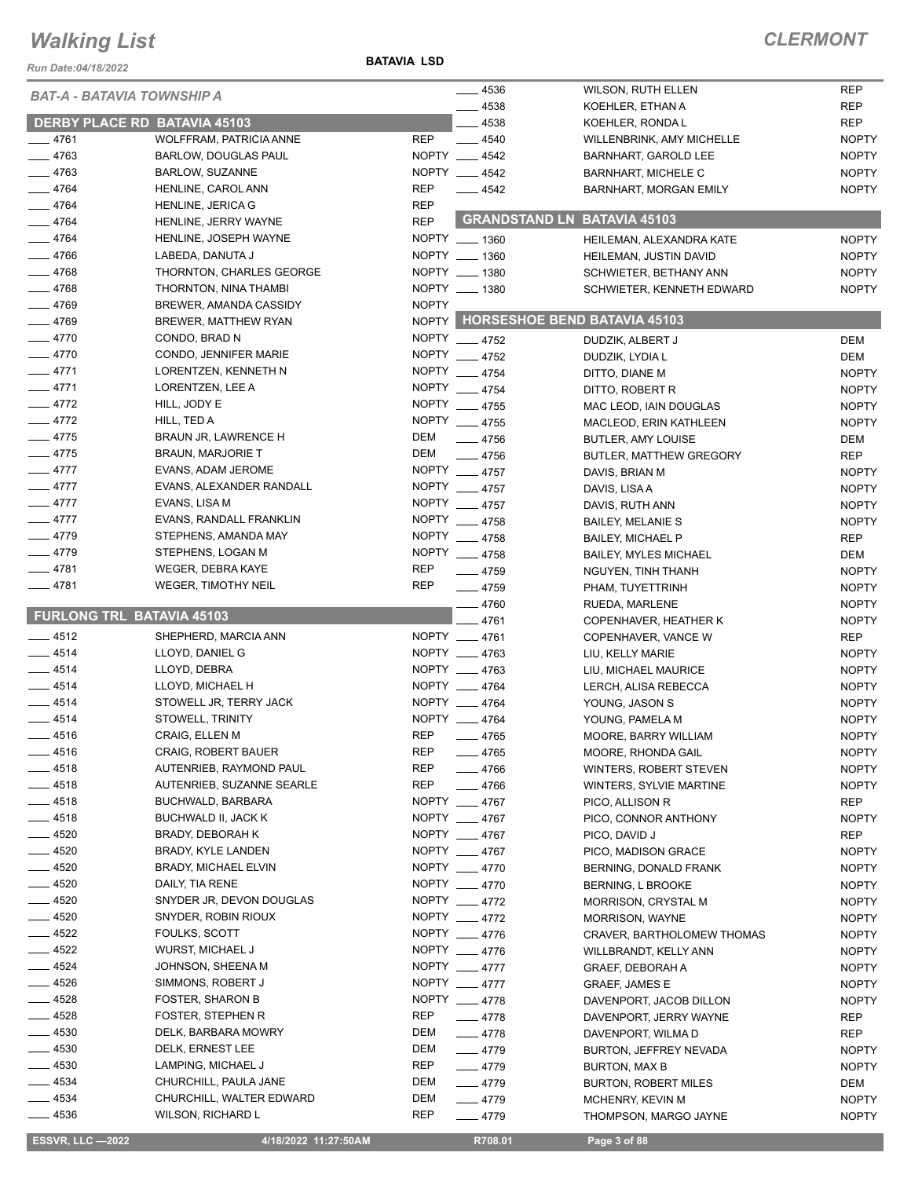*Run Date:04/18/2022*

**BATAVIA LSD**

#### *CLERMONT*

| <b>BAT-A - BATAVIA TOWNSHIP A</b> |                                                      | $-4536$                                 | <b>WILSON, RUTH ELLEN</b>                 | <b>REP</b>                   |
|-----------------------------------|------------------------------------------------------|-----------------------------------------|-------------------------------------------|------------------------------|
|                                   |                                                      | 4538                                    | KOEHLER, ETHAN A                          | <b>REP</b>                   |
|                                   | <b>DERBY PLACE RD BATAVIA 45103</b>                  | 4538                                    | KOEHLER, RONDA L                          | <b>REP</b>                   |
| $-4761$                           | WOLFFRAM, PATRICIA ANNE                              | <b>REP</b><br>$- 4540$                  | WILLENBRINK, AMY MICHELLE                 | <b>NOPTY</b>                 |
| $-4763$                           | <b>BARLOW, DOUGLAS PAUL</b>                          | NOPTY __ 4542                           | BARNHART, GAROLD LEE                      | <b>NOPTY</b>                 |
| $-4763$                           | <b>BARLOW, SUZANNE</b>                               | NOPTY __ 4542                           | <b>BARNHART, MICHELE C</b>                | <b>NOPTY</b>                 |
| $-4764$                           | HENLINE, CAROL ANN                                   | <b>REP</b><br>$\frac{1}{2}$ 4542        | <b>BARNHART, MORGAN EMILY</b>             | <b>NOPTY</b>                 |
| $-4764$                           | HENLINE, JERICA G                                    | <b>REP</b>                              |                                           |                              |
| $-4764$                           | HENLINE, JERRY WAYNE                                 | <b>REP</b>                              | <b>GRANDSTAND LN BATAVIA 45103</b>        |                              |
| $-4764$                           | HENLINE, JOSEPH WAYNE                                | NOPTY __ 1360                           | HEILEMAN, ALEXANDRA KATE                  | <b>NOPTY</b>                 |
| $-4766$                           | LABEDA, DANUTA J                                     | NOPTY __ 1360                           |                                           | <b>NOPTY</b>                 |
| $-4768$                           | THORNTON, CHARLES GEORGE                             | NOPTY __ 1380                           | HEILEMAN, JUSTIN DAVID                    |                              |
| $-4768$                           |                                                      | NOPTY __ 1380                           | SCHWIETER, BETHANY ANN                    | <b>NOPTY</b>                 |
| $-4769$                           | THORNTON, NINA THAMBI                                |                                         | SCHWIETER, KENNETH EDWARD                 | <b>NOPTY</b>                 |
|                                   | BREWER, AMANDA CASSIDY                               | <b>NOPTY</b>                            | NOPTY HORSESHOE BEND BATAVIA 45103        |                              |
| $-4769$                           | <b>BREWER, MATTHEW RYAN</b>                          |                                         |                                           |                              |
| $-4770$                           | CONDO, BRAD N                                        | NOPTY __ 4752                           | DUDZIK, ALBERT J                          | DEM                          |
| $-4770$                           | CONDO, JENNIFER MARIE                                | NOPTY __ 4752                           | DUDZIK, LYDIA L                           | DEM                          |
| $-4771$                           | LORENTZEN, KENNETH N                                 | NOPTY __ 4754                           | DITTO, DIANE M                            | <b>NOPTY</b>                 |
| $-4771$                           | LORENTZEN, LEE A                                     | NOPTY __ 4754                           | DITTO, ROBERT R                           | <b>NOPTY</b>                 |
| $-4772$                           | HILL, JODY E                                         | NOPTY __ 4755                           | MAC LEOD, IAIN DOUGLAS                    | <b>NOPTY</b>                 |
| $-4772$                           | HILL, TED A                                          | NOPTY __ 4755                           | MACLEOD, ERIN KATHLEEN                    | <b>NOPTY</b>                 |
| $-4775$                           | BRAUN JR, LAWRENCE H                                 | DEM<br>$-4756$                          | <b>BUTLER, AMY LOUISE</b>                 | DEM                          |
| $-4775$                           | <b>BRAUN, MARJORIE T</b>                             | DEM<br>$-4756$                          | <b>BUTLER, MATTHEW GREGORY</b>            | <b>REP</b>                   |
| $-4777$                           | EVANS, ADAM JEROME                                   | NOPTY __ 4757                           | DAVIS, BRIAN M                            | <b>NOPTY</b>                 |
| $-4777$                           | EVANS, ALEXANDER RANDALL                             | NOPTY __ 4757                           | DAVIS, LISA A                             | <b>NOPTY</b>                 |
| $-4777$                           | EVANS, LISA M                                        | NOPTY __ 4757                           | DAVIS, RUTH ANN                           | <b>NOPTY</b>                 |
| $-4777$                           | EVANS, RANDALL FRANKLIN                              | NOPTY __ 4758                           | <b>BAILEY, MELANIE S</b>                  | <b>NOPTY</b>                 |
| $-4779$                           | STEPHENS, AMANDA MAY                                 | NOPTY __ 4758                           | <b>BAILEY, MICHAEL P</b>                  | <b>REP</b>                   |
| $-4779$                           | STEPHENS, LOGAN M                                    | NOPTY __ 4758                           | <b>BAILEY, MYLES MICHAEL</b>              | DEM                          |
| $-4781$                           | <b>WEGER, DEBRA KAYE</b>                             | <b>REP</b><br>$-4759$                   | NGUYEN, TINH THANH                        | <b>NOPTY</b>                 |
| $-4781$                           | <b>WEGER, TIMOTHY NEIL</b>                           | <b>REP</b><br>$-4759$                   | PHAM, TUYETTRINH                          | <b>NOPTY</b>                 |
|                                   |                                                      | $-4760$                                 | RUEDA, MARLENE                            | <b>NOPTY</b>                 |
| <b>FURLONG TRL BATAVIA 45103</b>  |                                                      | 4761                                    | COPENHAVER, HEATHER K                     | <b>NOPTY</b>                 |
|                                   |                                                      |                                         |                                           |                              |
|                                   |                                                      |                                         |                                           |                              |
| $-4512$                           | SHEPHERD, MARCIA ANN                                 | NOPTY __ 4761                           | COPENHAVER, VANCE W                       | <b>REP</b>                   |
| $-4514$                           | LLOYD, DANIEL G                                      | NOPTY 4763                              | LIU, KELLY MARIE                          | <b>NOPTY</b>                 |
| $-4514$                           | LLOYD, DEBRA                                         | NOPTY 4763                              | LIU, MICHAEL MAURICE                      | <b>NOPTY</b>                 |
| $-4514$                           | LLOYD, MICHAEL H                                     | NOPTY __ 4764                           | LERCH, ALISA REBECCA                      | <b>NOPTY</b>                 |
| $-4514$                           | STOWELL JR, TERRY JACK                               | NOPTY __ 4764                           | YOUNG, JASON S                            | <b>NOPTY</b>                 |
| $-4514$                           | STOWELL, TRINITY                                     | NOPTY __ 4764                           | YOUNG, PAMELA M                           | <b>NOPTY</b>                 |
| 4516                              | CRAIG, ELLEN M                                       | <b>REP</b><br>4765                      | <b>MOORE, BARRY WILLIAM</b>               | <b>NOPTY</b>                 |
| - 4516                            | <b>CRAIG, ROBERT BAUER</b>                           | REP<br>$-4765$                          | MOORE, RHONDA GAIL                        | <b>NOPTY</b>                 |
| 4518                              | AUTENRIEB, RAYMOND PAUL                              | <b>REP</b><br>$-4766$                   | WINTERS, ROBERT STEVEN                    | <b>NOPTY</b>                 |
| $-4518$                           | AUTENRIEB, SUZANNE SEARLE                            | <b>REP</b><br>$-4766$                   | WINTERS, SYLVIE MARTINE                   | <b>NOPTY</b>                 |
| $-4518$                           | BUCHWALD, BARBARA                                    | NOPTY __ 4767                           | PICO, ALLISON R                           | <b>REP</b>                   |
| $-4518$                           | BUCHWALD II, JACK K                                  | NOPTY 4767                              | PICO, CONNOR ANTHONY                      | <b>NOPTY</b>                 |
| $-4520$                           | BRADY, DEBORAH K                                     | NOPTY __ 4767                           | PICO, DAVID J                             | <b>REP</b>                   |
| $-4520$                           | BRADY, KYLE LANDEN                                   | NOPTY __ 4767                           | PICO, MADISON GRACE                       | <b>NOPTY</b>                 |
| $-4520$                           | BRADY, MICHAEL ELVIN                                 | NOPTY __ 4770                           | BERNING, DONALD FRANK                     | <b>NOPTY</b>                 |
| $- 4520$                          | DAILY, TIA RENE                                      | NOPTY __ 4770                           | BERNING, L BROOKE                         | <b>NOPTY</b>                 |
| $-4520$                           | SNYDER JR, DEVON DOUGLAS                             | NOPTY 4772                              | MORRISON, CRYSTAL M                       | <b>NOPTY</b>                 |
| __ 4520                           | SNYDER, ROBIN RIOUX                                  | NOPTY __ 4772                           | <b>MORRISON, WAYNE</b>                    | <b>NOPTY</b>                 |
| $\frac{1}{2}$ 4522                | FOULKS, SCOTT                                        | NOPTY __ 4776                           | CRAVER, BARTHOLOMEW THOMAS                | <b>NOPTY</b>                 |
| $-4522$                           | WURST, MICHAEL J                                     | NOPTY __ 4776                           | WILLBRANDT, KELLY ANN                     | <b>NOPTY</b>                 |
| $-4524$                           | JOHNSON, SHEENA M                                    | NOPTY __ 4777                           | GRAEF, DEBORAH A                          | <b>NOPTY</b>                 |
| $-4526$                           | SIMMONS, ROBERT J                                    |                                         |                                           |                              |
|                                   |                                                      | NOPTY __ 4777                           | <b>GRAEF, JAMES E</b>                     | <b>NOPTY</b>                 |
| $= 4528$                          | <b>FOSTER, SHARON B</b>                              | NOPTY 4778                              | DAVENPORT, JACOB DILLON                   | <b>NOPTY</b>                 |
| $-4528$                           | FOSTER, STEPHEN R                                    | <b>REP</b><br>$-4778$                   | DAVENPORT, JERRY WAYNE                    | REP                          |
| $-4530$                           | DELK, BARBARA MOWRY                                  | DEM<br>$-4778$                          | DAVENPORT, WILMA D                        | <b>REP</b>                   |
| $-4530$                           | DELK, ERNEST LEE                                     | DEM<br>$-4779$                          | BURTON, JEFFREY NEVADA                    | <b>NOPTY</b>                 |
| $-4530$                           | LAMPING, MICHAEL J                                   | <b>REP</b><br>$-4779$                   | BURTON, MAX B                             | <b>NOPTY</b>                 |
| $-4534$                           | CHURCHILL, PAULA JANE                                | DEM<br>$-4779$                          | <b>BURTON, ROBERT MILES</b>               | DEM                          |
| $- 4534$<br>$-4536$               | CHURCHILL, WALTER EDWARD<br><b>WILSON, RICHARD L</b> | DEM<br>$-4779$<br><b>REP</b><br>$-4779$ | MCHENRY, KEVIN M<br>THOMPSON, MARGO JAYNE | <b>NOPTY</b><br><b>NOPTY</b> |

 **ESSVR, LLC —2022 4/18/2022 11:27:50AM R708.01 Page 3 of 88**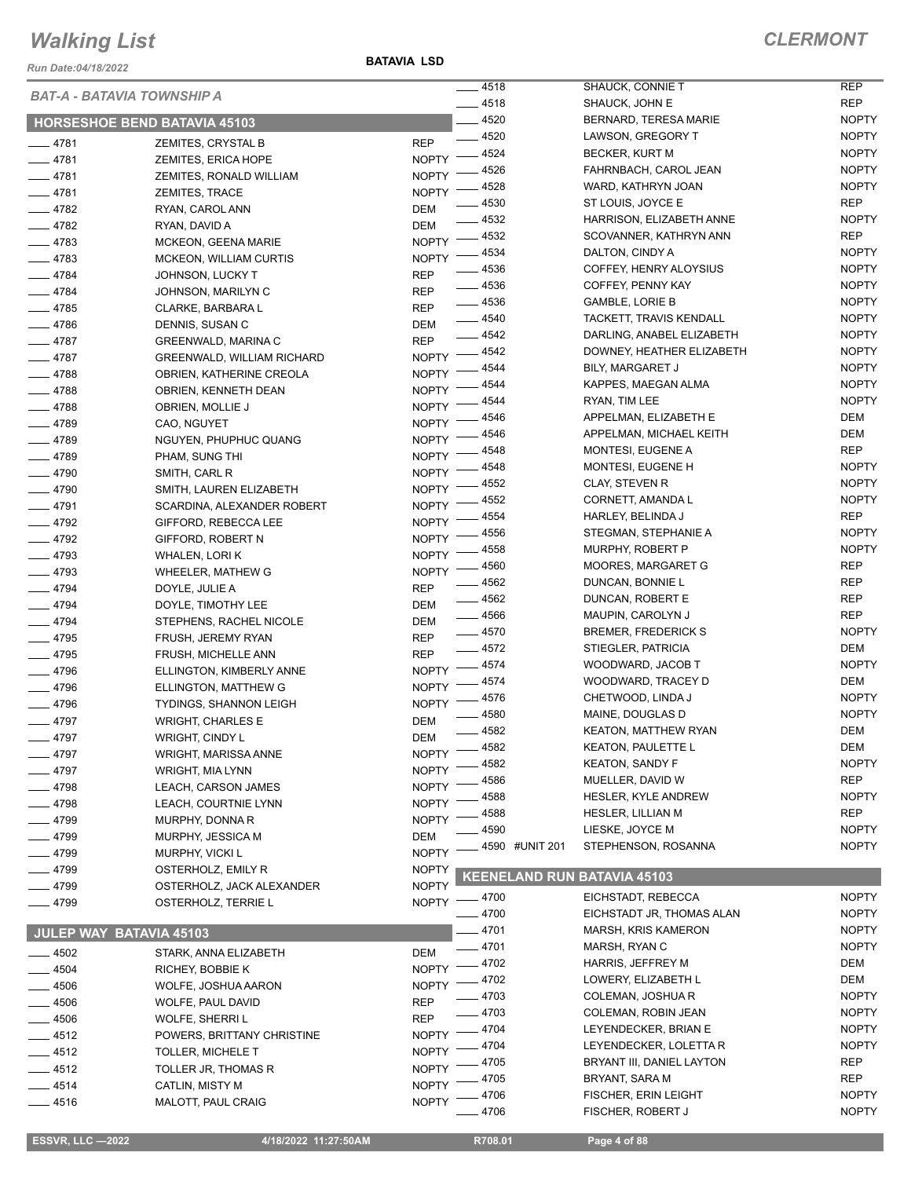*Run Date:04/18/2022*

**BATAVIA LSD**

NOPTY

NOPTY

|          | <b>BAT-A - BATAVIA TOWNSHIP A</b>   |                    | $-4518$                            | SHAUCK, CONNIE T            | REP          |
|----------|-------------------------------------|--------------------|------------------------------------|-----------------------------|--------------|
|          |                                     |                    | $- 4518$                           | SHAUCK, JOHN E              | <b>REP</b>   |
|          | <b>HORSESHOE BEND BATAVIA 45103</b> |                    | $-4520$                            | BERNARD, TERESA MARIE       | <b>NOPTY</b> |
| $-4781$  | ZEMITES, CRYSTAL B                  | <b>REP</b>         | $-4520$                            | LAWSON, GREGORY T           | <b>NOPTY</b> |
| $-4781$  | ZEMITES, ERICA HOPE                 | NOPTY -            | 4524                               | BECKER, KURT M              | <b>NOPTY</b> |
| $-4781$  | ZEMITES, RONALD WILLIAM             | <b>NOPTY</b>       | 4526                               | FAHRNBACH, CAROL JEAN       | <b>NOPTY</b> |
| $-4781$  | ZEMITES, TRACE                      | <b>NOPTY</b>       | 4528                               | WARD, KATHRYN JOAN          | <b>NOPTY</b> |
| $-4782$  | RYAN, CAROL ANN                     | <b>DEM</b>         | 4530                               | ST LOUIS, JOYCE E           | <b>REP</b>   |
| $-4782$  | RYAN, DAVID A                       | <b>DEM</b>         | $= 4532$                           | HARRISON, ELIZABETH ANNE    | <b>NOPTY</b> |
| $-4783$  | MCKEON, GEENA MARIE                 | NOPTY -            | $-4532$                            | SCOVANNER, KATHRYN ANN      | REP          |
| $-4783$  | MCKEON, WILLIAM CURTIS              | <b>NOPTY</b>       | __ 4534                            | DALTON, CINDY A             | <b>NOPTY</b> |
| $-4784$  | JOHNSON, LUCKY T                    | <b>REP</b>         | $- 4536$                           | COFFEY, HENRY ALOYSIUS      | <b>NOPTY</b> |
| $-4784$  | JOHNSON, MARILYN C                  | <b>REP</b>         | $-4536$                            | COFFEY, PENNY KAY           | <b>NOPTY</b> |
| $-4785$  | CLARKE, BARBARA L                   | <b>REP</b>         | $- 4536$                           | <b>GAMBLE, LORIE B</b>      | <b>NOPTY</b> |
| $-4786$  | DENNIS, SUSAN C                     | DEM                | $- 4540$                           | TACKETT, TRAVIS KENDALL     | <b>NOPTY</b> |
| $-4787$  | GREENWALD, MARINA C                 | <b>REP</b>         | $-4542$                            | DARLING, ANABEL ELIZABETH   | <b>NOPTY</b> |
| $-4787$  | GREENWALD, WILLIAM RICHARD          | NOPTY -            | $-4542$                            | DOWNEY, HEATHER ELIZABETH   | <b>NOPTY</b> |
| $-4788$  |                                     | <b>NOPTY</b>       | 4544                               | BILY, MARGARET J            | <b>NOPTY</b> |
|          | OBRIEN, KATHERINE CREOLA            | <b>NOPTY</b>       | 4544                               | KAPPES, MAEGAN ALMA         | <b>NOPTY</b> |
| $-4788$  | OBRIEN, KENNETH DEAN                |                    | 4544                               | RYAN, TIM LEE               | <b>NOPTY</b> |
| $-4788$  | OBRIEN, MOLLIE J                    | <b>NOPTY</b>       | 4546                               | APPELMAN, ELIZABETH E       | DEM          |
| $-4789$  | CAO, NGUYET                         | <b>NOPTY</b>       | 4546                               | APPELMAN, MICHAEL KEITH     | DEM          |
| $-4789$  | NGUYEN, PHUPHUC QUANG               | <b>NOPTY</b>       | 4548                               | MONTESI, EUGENE A           | REP          |
| $-4789$  | PHAM, SUNG THI                      | <b>NOPTY</b>       | 4548                               | MONTESI, EUGENE H           | <b>NOPTY</b> |
| $-4790$  | SMITH, CARL R                       | NOPTY <sup>-</sup> | 4552                               | CLAY, STEVEN R              | <b>NOPTY</b> |
| $-4790$  | SMITH, LAUREN ELIZABETH             | <b>NOPTY</b>       | 4552                               | CORNETT, AMANDA L           | <b>NOPTY</b> |
| $-4791$  | SCARDINA, ALEXANDER ROBERT          | <b>NOPTY</b>       | 4554                               | HARLEY, BELINDA J           | <b>REP</b>   |
| $-4792$  | GIFFORD, REBECCA LEE                | <b>NOPTY</b>       | 4556                               | STEGMAN, STEPHANIE A        | <b>NOPTY</b> |
| $-4792$  | GIFFORD, ROBERT N                   | <b>NOPTY</b>       | 4558                               | <b>MURPHY, ROBERT P</b>     | <b>NOPTY</b> |
| $-4793$  | WHALEN, LORIK                       | <b>NOPTY</b>       |                                    |                             | <b>REP</b>   |
| $-4793$  | WHEELER, MATHEW G                   | <b>NOPTY</b>       | 4560                               | MOORES, MARGARET G          |              |
| $-4794$  | DOYLE, JULIE A                      | <b>REP</b>         | 4562                               | DUNCAN, BONNIE L            | <b>REP</b>   |
| $-4794$  | DOYLE, TIMOTHY LEE                  | DEM                | $-4562$                            | DUNCAN, ROBERT E            | REP          |
| $-4794$  | STEPHENS, RACHEL NICOLE             | DEM                | $\frac{1}{2}$ 4566                 | MAUPIN, CAROLYN J           | <b>REP</b>   |
| $-4795$  | FRUSH, JEREMY RYAN                  | <b>REP</b>         | $-4570$                            | <b>BREMER, FREDERICK S</b>  | <b>NOPTY</b> |
| $-4795$  | FRUSH, MICHELLE ANN                 | <b>REP</b>         | $-4572$                            | STIEGLER, PATRICIA          | DEM          |
| $-4796$  | ELLINGTON, KIMBERLY ANNE            | $NOPTY$ -          | $-4574$                            | WOODWARD, JACOB T           | <b>NOPTY</b> |
| $-4796$  | ELLINGTON, MATTHEW G                | NOPTY -            | $-4574$                            | WOODWARD, TRACEY D          | DEM          |
| $-4796$  | <b>TYDINGS, SHANNON LEIGH</b>       | <b>NOPTY</b>       | 4576                               | CHETWOOD, LINDA J           | <b>NOPTY</b> |
| $-4797$  | <b>WRIGHT, CHARLES E</b>            | <b>DEM</b>         | 4580                               | MAINE, DOUGLAS D            | <b>NOPTY</b> |
| $-4797$  | WRIGHT, CINDY L                     | <b>DEM</b>         | - 4582                             | <b>KEATON, MATTHEW RYAN</b> | DEM          |
| $-4797$  | WRIGHT, MARISSA ANNE                | <b>NOPTY</b>       | $-4582$                            | KEATON, PAULETTE L          | DEM          |
| $-4797$  | WRIGHT, MIA LYNN                    | <b>NOPTY</b>       | - 4582                             | <b>KEATON, SANDY F</b>      | <b>NOPTY</b> |
| __ 4798  | LEACH, CARSON JAMES                 | <b>NOPTY</b>       | 4586                               | MUELLER, DAVID W            | REP          |
| $-4798$  | LEACH, COURTNIE LYNN                | <b>NOPTY</b>       | 4588                               | HESLER, KYLE ANDREW         | <b>NOPTY</b> |
| __ 4799  | MURPHY, DONNA R                     | <b>NOPTY</b>       | 4588                               | <b>HESLER, LILLIAN M</b>    | REP          |
| $- 4799$ | MURPHY, JESSICA M                   | <b>DEM</b>         | 4590                               | LIESKE, JOYCE M             | <b>NOPTY</b> |
| $-4799$  | MURPHY, VICKI L                     | <b>NOPTY</b>       | 4590 #UNIT 201                     | STEPHENSON, ROSANNA         | <b>NOPTY</b> |
| $-4799$  | OSTERHOLZ, EMILY R                  | <b>NOPTY</b>       |                                    |                             |              |
| $- 4799$ | OSTERHOLZ, JACK ALEXANDER           | <b>NOPTY</b>       | <b>KEENELAND RUN BATAVIA 45103</b> |                             |              |
| $-4799$  | OSTERHOLZ, TERRIE L                 | <b>NOPTY</b>       | _ 4700                             | EICHSTADT, REBECCA          | <b>NOPTY</b> |
|          |                                     |                    | 4700                               | EICHSTADT JR, THOMAS ALAN   | <b>NOPTY</b> |
|          | JULEP WAY BATAVIA 45103             |                    | $-4701$                            | <b>MARSH, KRIS KAMERON</b>  | <b>NOPTY</b> |
|          |                                     |                    | 4701                               | MARSH, RYAN C               | <b>NOPTY</b> |
| $-4502$  | STARK, ANNA ELIZABETH               | <b>DEM</b>         | 4702                               | HARRIS, JEFFREY M           | DEM          |
| $-4504$  | RICHEY, BOBBIE K                    | <b>NOPTY</b>       | - 4702                             | LOWERY, ELIZABETH L         | DEM          |
| $-4506$  | WOLFE, JOSHUA AARON                 | <b>NOPTY</b>       | $-4703$                            | COLEMAN, JOSHUA R           | <b>NOPTY</b> |
| $-4506$  | WOLFE, PAUL DAVID                   | <b>REP</b>         | $-4703$                            | COLEMAN, ROBIN JEAN         | <b>NOPTY</b> |
| $- 4506$ | WOLFE, SHERRI L                     | REP                | $-4704$                            | LEYENDECKER, BRIAN E        | <b>NOPTY</b> |
| $-4512$  | POWERS, BRITTANY CHRISTINE          | <b>NOPTY</b>       | 4704                               | LEYENDECKER, LOLETTA R      | <b>NOPTY</b> |
| $-4512$  | <b>TOLLER, MICHELE T</b>            | NOPTY <sup>-</sup> | 4705                               | BRYANT III, DANIEL LAYTON   | REP          |
| $-4512$  | TOLLER JR, THOMAS R                 | <b>NOPTY</b>       | 4705                               |                             | REP          |
| $-4514$  | CATLIN, MISTY M                     | <b>NOPTY</b>       |                                    | BRYANT, SARA M              |              |
| $-4516$  | MALOTT, PAUL CRAIG                  | <b>NOPTY</b>       | 4706                               | FISCHER, ERIN LEIGHT        | <b>NOPTY</b> |
|          |                                     |                    | 4706                               | FISCHER, ROBERT J           | <b>NOPTY</b> |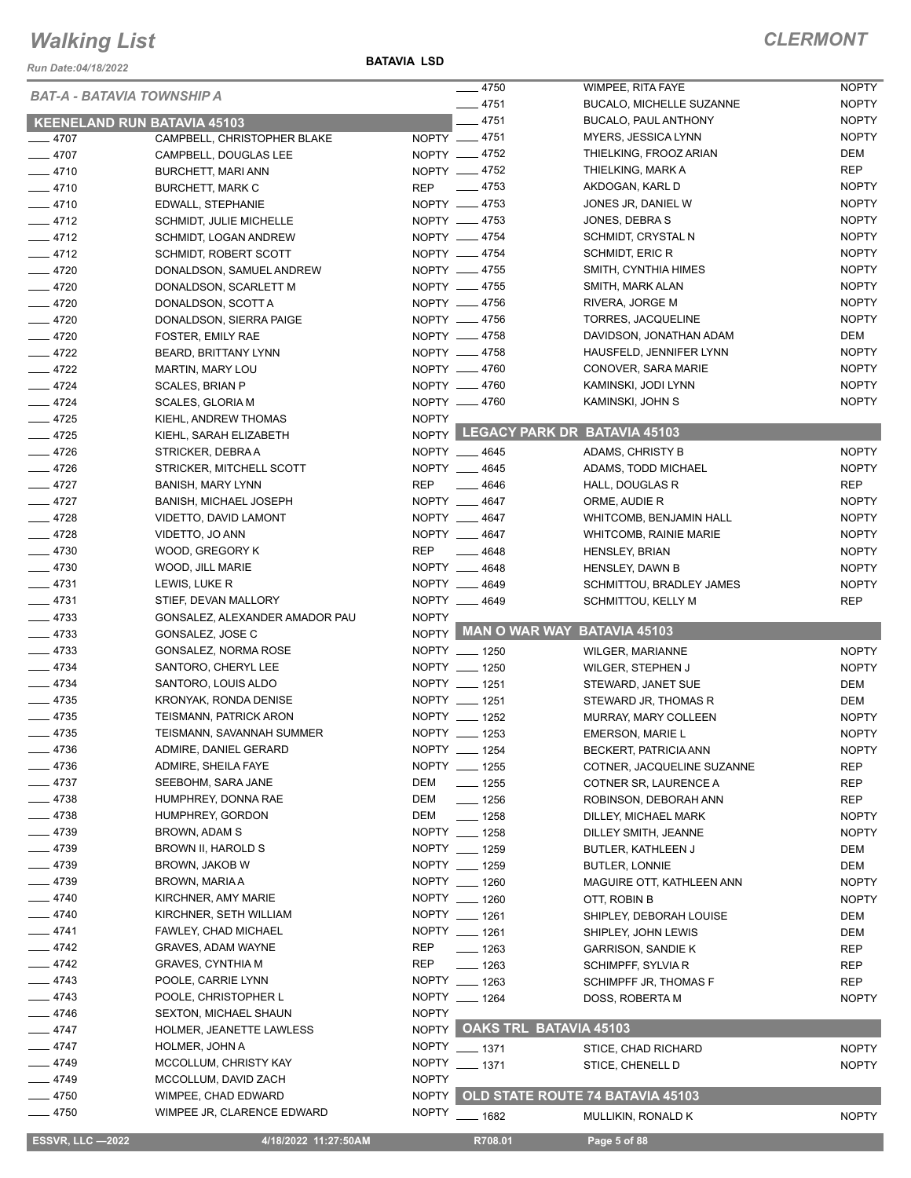*Run Date:04/18/2022*

**BATAVIA LSD**

| <b>BAT-A - BATAVIA TOWNSHIP A</b>  |                                |              | $-4750$            | WIMPEE, RITA FAYE                  | <b>NOPTY</b> |
|------------------------------------|--------------------------------|--------------|--------------------|------------------------------------|--------------|
|                                    |                                |              | $-4751$            | <b>BUCALO, MICHELLE SUZANNE</b>    | <b>NOPTY</b> |
| <b>KEENELAND RUN BATAVIA 45103</b> |                                |              | $-4751$            | BUCALO, PAUL ANTHONY               | <b>NOPTY</b> |
| $-4707$                            | CAMPBELL, CHRISTOPHER BLAKE    |              | NOPTY __ 4751      | MYERS, JESSICA LYNN                | <b>NOPTY</b> |
| $-4707$                            | CAMPBELL, DOUGLAS LEE          |              | NOPTY -4752        | THIELKING, FROOZ ARIAN             | DEM          |
| $-4710$                            | <b>BURCHETT, MARI ANN</b>      |              | NOPTY -4752        | THIELKING, MARK A                  | <b>REP</b>   |
| $-4710$                            | <b>BURCHETT, MARK C</b>        | <b>REP</b>   | $\frac{1}{2}$ 4753 | AKDOGAN, KARL D                    | <b>NOPTY</b> |
| $-4710$                            | EDWALL, STEPHANIE              |              | NOPTY -4753        | JONES JR, DANIEL W                 | <b>NOPTY</b> |
| $-4712$                            | <b>SCHMIDT, JULIE MICHELLE</b> |              | NOPTY __ 4753      | JONES, DEBRAS                      | <b>NOPTY</b> |
| $-4712$                            | SCHMIDT, LOGAN ANDREW          |              | NOPTY -4754        | SCHMIDT, CRYSTAL N                 | <b>NOPTY</b> |
| $-4712$                            | <b>SCHMIDT, ROBERT SCOTT</b>   |              | NOPTY __ 4754      | SCHMIDT, ERIC R                    | <b>NOPTY</b> |
| $-4720$                            | DONALDSON, SAMUEL ANDREW       |              | NOPTY __ 4755      | SMITH, CYNTHIA HIMES               | <b>NOPTY</b> |
| $-4720$                            | DONALDSON, SCARLETT M          |              | NOPTY -4755        | SMITH, MARK ALAN                   | <b>NOPTY</b> |
| $-4720$                            | DONALDSON, SCOTT A             |              | NOPTY __ 4756      | RIVERA, JORGE M                    | <b>NOPTY</b> |
| $-4720$                            | DONALDSON, SIERRA PAIGE        |              | NOPTY -4756        | TORRES, JACQUELINE                 | <b>NOPTY</b> |
| $-4720$                            | FOSTER, EMILY RAE              |              | NOPTY -4758        | DAVIDSON, JONATHAN ADAM            | DEM          |
| $-4722$                            | BEARD, BRITTANY LYNN           |              | NOPTY __ 4758      | HAUSFELD, JENNIFER LYNN            | <b>NOPTY</b> |
| $-4722$                            |                                |              | NOPTY -4760        | CONOVER, SARA MARIE                | <b>NOPTY</b> |
|                                    | MARTIN, MARY LOU               |              |                    | KAMINSKI, JODI LYNN                | <b>NOPTY</b> |
| $-4724$                            | SCALES, BRIAN P                |              | NOPTY __ 4760      |                                    |              |
| $-4724$                            | <b>SCALES, GLORIA M</b>        |              | NOPTY -4760        | KAMINSKI, JOHN S                   | <b>NOPTY</b> |
| $-4725$                            | KIEHL, ANDREW THOMAS           | <b>NOPTY</b> |                    | NOPTY LEGACY PARK DR BATAVIA 45103 |              |
| $-4725$                            | KIEHL, SARAH ELIZABETH         |              |                    |                                    |              |
| $-4726$                            | STRICKER, DEBRAA               |              | NOPTY __ 4645      | <b>ADAMS, CHRISTY B</b>            | <b>NOPTY</b> |
| $-4726$                            | STRICKER, MITCHELL SCOTT       |              | NOPTY __ 4645      | ADAMS, TODD MICHAEL                | <b>NOPTY</b> |
| $-4727$                            | <b>BANISH, MARY LYNN</b>       | <b>REP</b>   | $\frac{1}{2}$ 4646 | HALL, DOUGLAS R                    | <b>REP</b>   |
| $-4727$                            | <b>BANISH, MICHAEL JOSEPH</b>  |              | NOPTY __ 4647      | ORME, AUDIE R                      | <b>NOPTY</b> |
| $-4728$                            | VIDETTO, DAVID LAMONT          |              | NOPTY __ 4647      | WHITCOMB, BENJAMIN HALL            | <b>NOPTY</b> |
| $-4728$                            | VIDETTO, JO ANN                |              | NOPTY __ 4647      | <b>WHITCOMB, RAINIE MARIE</b>      | <b>NOPTY</b> |
| $-4730$                            | WOOD, GREGORY K                | REP          | $\frac{1}{2}$ 4648 | <b>HENSLEY, BRIAN</b>              | <b>NOPTY</b> |
| $-4730$                            | WOOD, JILL MARIE               |              | NOPTY __ 4648      | <b>HENSLEY, DAWN B</b>             | <b>NOPTY</b> |
| $-4731$                            | LEWIS, LUKE R                  |              | NOPTY __ 4649      | SCHMITTOU, BRADLEY JAMES           | <b>NOPTY</b> |
| $-4731$                            | STIEF, DEVAN MALLORY           |              | NOPTY __ 4649      | SCHMITTOU, KELLY M                 | <b>REP</b>   |
| $-4733$                            | GONSALEZ, ALEXANDER AMADOR PAU | <b>NOPTY</b> |                    |                                    |              |
| $-4733$                            | GONSALEZ, JOSE C               |              |                    | NOPTY MAN O WAR WAY BATAVIA 45103  |              |
| $-4733$                            | GONSALEZ, NORMA ROSE           |              | NOPTY __ 1250      | WILGER, MARIANNE                   | <b>NOPTY</b> |
| $-4734$                            | SANTORO, CHERYL LEE            |              | NOPTY __ 1250      | WILGER, STEPHEN J                  | <b>NOPTY</b> |
| $-4734$                            | SANTORO, LOUIS ALDO            |              | NOPTY __ 1251      |                                    | DEM          |
| $-4735$                            | KRONYAK, RONDA DENISE          |              | NOPTY __ 1251      | STEWARD, JANET SUE                 |              |
| $-4735$                            |                                |              | NOPTY __ 1252      | STEWARD JR, THOMAS R               | DEM          |
|                                    | TEISMANN, PATRICK ARON         |              |                    | MURRAY, MARY COLLEEN               | <b>NOPTY</b> |
| $-4735$                            | TEISMANN, SAVANNAH SUMMER      |              | NOPTY __ 1253      | EMERSON, MARIE L                   | <b>NOPTY</b> |
| — 4736                             | ADMIRE, DANIEL GERARD          |              | NOPTY __ 1254      | BECKERT, PATRICIA ANN              | <b>NOPTY</b> |
| _ 4736                             | ADMIRE, SHEILA FAYE            |              | NOPTY __ 1255      | COTNER, JACQUELINE SUZANNE         | REP          |
| $-4737$                            | SEEBOHM, SARA JANE             | <b>DEM</b>   | $- 1255$           | COTNER SR, LAURENCE A              | REP          |
| $-4738$                            | HUMPHREY, DONNA RAE            | DEM          | $- 1256$           | ROBINSON, DEBORAH ANN              | <b>REP</b>   |
| $-4738$                            | <b>HUMPHREY, GORDON</b>        | DEM          | $- 1258$           | DILLEY, MICHAEL MARK               | <b>NOPTY</b> |
| $-4739$                            | BROWN, ADAM S                  |              | NOPTY __ 1258      | DILLEY SMITH, JEANNE               | <b>NOPTY</b> |
| _ 4739                             | BROWN II, HAROLD S             |              | NOPTY __ 1259      | BUTLER, KATHLEEN J                 | DEM          |
| 4739                               | BROWN, JAKOB W                 |              | NOPTY __ 1259      | <b>BUTLER, LONNIE</b>              | <b>DEM</b>   |
| 4739                               | <b>BROWN, MARIA A</b>          |              | NOPTY __ 1260      | MAGUIRE OTT, KATHLEEN ANN          | <b>NOPTY</b> |
| $-4740$                            | KIRCHNER, AMY MARIE            |              | NOPTY __ 1260      | OTT, ROBIN B                       | <b>NOPTY</b> |
| $-4740$                            | KIRCHNER, SETH WILLIAM         |              | NOPTY __ 1261      | SHIPLEY, DEBORAH LOUISE            | DEM          |
| $-4741$                            | FAWLEY, CHAD MICHAEL           |              | NOPTY __ 1261      | SHIPLEY, JOHN LEWIS                | <b>DEM</b>   |
| $-4742$                            | GRAVES, ADAM WAYNE             | REP          | $- 1263$           | <b>GARRISON, SANDIE K</b>          | REP          |
| $-4742$                            | <b>GRAVES, CYNTHIA M</b>       | <b>REP</b>   | $- 1263$           | SCHIMPFF, SYLVIA R                 | REP          |
| $-4743$                            | POOLE, CARRIE LYNN             |              | NOPTY __ 1263      | SCHIMPFF JR, THOMAS F              | REP          |
| $-4743$                            | POOLE, CHRISTOPHER L           |              | NOPTY __ 1264      | DOSS, ROBERTA M                    | <b>NOPTY</b> |
| $-4746$                            | <b>SEXTON, MICHAEL SHAUN</b>   | <b>NOPTY</b> |                    |                                    |              |
|                                    |                                |              |                    | NOPTY OAKS TRL BATAVIA 45103       |              |
| $-4747$                            | HOLMER, JEANETTE LAWLESS       |              |                    |                                    |              |
| $-4747$                            | HOLMER, JOHN A                 | <b>NOPTY</b> | $- 1371$           | STICE, CHAD RICHARD                | <b>NOPTY</b> |
| $-4749$                            | MCCOLLUM, CHRISTY KAY          | <b>NOPTY</b> | ___ 1371           | STICE, CHENELL D                   | <b>NOPTY</b> |
| $-4749$                            | MCCOLLUM, DAVID ZACH           | <b>NOPTY</b> |                    |                                    |              |
| 4750                               |                                |              |                    |                                    |              |
|                                    | WIMPEE, CHAD EDWARD            | <b>NOPTY</b> |                    | OLD STATE ROUTE 74 BATAVIA 45103   |              |
| $-4750$                            | WIMPEE JR, CLARENCE EDWARD     | <b>NOPTY</b> | $- 1682$           | MULLIKIN, RONALD K                 | <b>NOPTY</b> |
| <b>ESSVR, LLC -2022</b>            | 4/18/2022 11:27:50AM           |              | R708.01            | Page 5 of 88                       |              |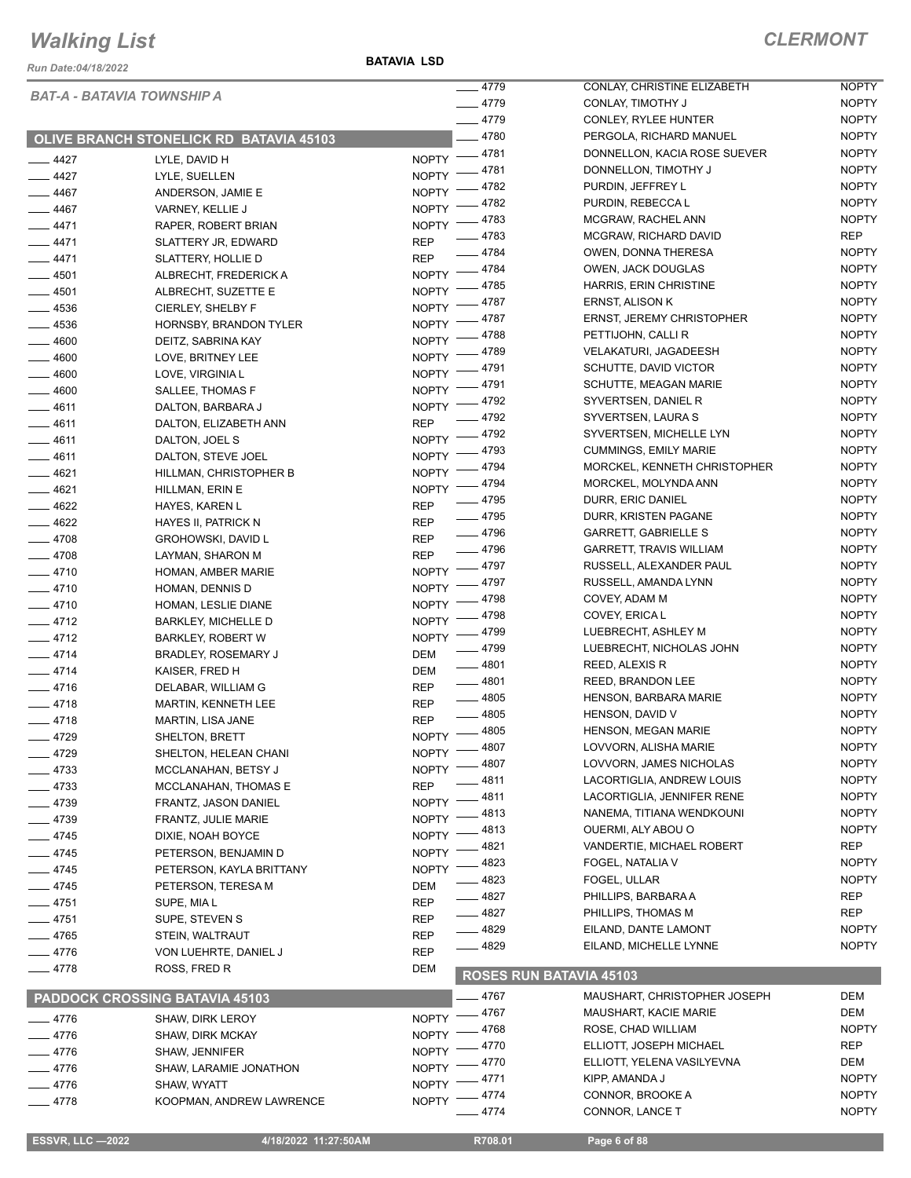*Run Date:04/18/2022*

**BATAVIA LSD**

|           |                                                |                    | $-4779$               | CONLAY, CHRISTINE ELIZABETH    | <b>NOPTY</b> |
|-----------|------------------------------------------------|--------------------|-----------------------|--------------------------------|--------------|
|           | <b>BAT-A - BATAVIA TOWNSHIP A</b>              |                    | $-4779$               | CONLAY, TIMOTHY J              | <b>NOPTY</b> |
|           |                                                |                    | $-4779$               | CONLEY, RYLEE HUNTER           | <b>NOPTY</b> |
|           | <b>OLIVE BRANCH STONELICK RD BATAVIA 45103</b> |                    | $-4780$               | PERGOLA, RICHARD MANUEL        | <b>NOPTY</b> |
|           |                                                |                    | NOPTY -4781           | DONNELLON, KACIA ROSE SUEVER   | <b>NOPTY</b> |
| $-4427$   | LYLE, DAVID H                                  |                    | 4781                  | DONNELLON, TIMOTHY J           | <b>NOPTY</b> |
| $-4427$   | LYLE, SUELLEN                                  | <b>NOPTY</b>       | 4782                  | PURDIN, JEFFREY L              | <b>NOPTY</b> |
| $-4467$   | ANDERSON, JAMIE E                              | <b>NOPTY</b>       | 4782                  | PURDIN, REBECCA L              | <b>NOPTY</b> |
| $-4467$   | VARNEY, KELLIE J                               | <b>NOPTY</b>       | 4783                  | MCGRAW, RACHEL ANN             | <b>NOPTY</b> |
| $-4471$   | RAPER, ROBERT BRIAN                            | <b>NOPTY</b>       | $-4783$               | MCGRAW, RICHARD DAVID          | <b>REP</b>   |
| $-4471$   | SLATTERY JR, EDWARD                            | <b>REP</b>         | _ 4784                | OWEN, DONNA THERESA            | <b>NOPTY</b> |
| $-4471$   | SLATTERY, HOLLIE D                             | <b>REP</b>         | _ 4784                | <b>OWEN, JACK DOUGLAS</b>      | <b>NOPTY</b> |
| $-4501$   | ALBRECHT, FREDERICK A                          | NOPTY -            | 4785                  | HARRIS, ERIN CHRISTINE         | <b>NOPTY</b> |
| $- 4501$  | ALBRECHT, SUZETTE E                            | NOPTY $^-$         | 4787                  | ERNST, ALISON K                | <b>NOPTY</b> |
| $-4536$   | CIERLEY, SHELBY F                              | <b>NOPTY</b>       | 4787                  | ERNST, JEREMY CHRISTOPHER      | <b>NOPTY</b> |
| $- 4536$  | HORNSBY, BRANDON TYLER                         | <b>NOPTY</b>       | 4788                  | PETTIJOHN, CALLI R             | <b>NOPTY</b> |
| $-4600$   | DEITZ, SABRINA KAY                             | <b>NOPTY</b>       | 4789                  | <b>VELAKATURI, JAGADEESH</b>   | <b>NOPTY</b> |
| $-4600$   | LOVE, BRITNEY LEE                              | <b>NOPTY</b>       | 4791                  | SCHUTTE, DAVID VICTOR          | <b>NOPTY</b> |
| 4600      | LOVE, VIRGINIA L                               | <b>NOPTY</b>       | 4791                  | SCHUTTE, MEAGAN MARIE          | <b>NOPTY</b> |
| 4600      | SALLEE, THOMAS F                               | <b>NOPTY</b>       | 4792                  | SYVERTSEN, DANIEL R            | <b>NOPTY</b> |
| $-4611$   | DALTON, BARBARA J                              | <b>NOPTY</b>       | 4792                  | SYVERTSEN, LAURA S             | <b>NOPTY</b> |
| $-4611$   | DALTON, ELIZABETH ANN                          | <b>REP</b>         | 4792                  | SYVERTSEN, MICHELLE LYN        | <b>NOPTY</b> |
| $-4611$   | DALTON, JOEL S                                 | <b>NOPTY</b>       | 4793                  | <b>CUMMINGS, EMILY MARIE</b>   | <b>NOPTY</b> |
| $-4611$   | DALTON, STEVE JOEL                             | <b>NOPTY</b>       | 4794                  | MORCKEL, KENNETH CHRISTOPHER   | <b>NOPTY</b> |
| $-4621$   | HILLMAN, CHRISTOPHER B                         | <b>NOPTY</b>       | 4794                  | MORCKEL, MOLYNDA ANN           | <b>NOPTY</b> |
| $-4621$   | HILLMAN, ERIN E                                | <b>NOPTY</b>       | $-4795$               | DURR, ERIC DANIEL              | <b>NOPTY</b> |
| $- 4622$  | HAYES, KAREN L                                 | <b>REP</b>         | $-4795$               | DURR, KRISTEN PAGANE           | <b>NOPTY</b> |
| $-4622$   | HAYES II, PATRICK N                            | <b>REP</b>         | $-4796$               | GARRETT, GABRIELLE S           | <b>NOPTY</b> |
| $-4708$   | <b>GROHOWSKI, DAVID L</b>                      | <b>REP</b>         | — 4796                | <b>GARRETT, TRAVIS WILLIAM</b> | <b>NOPTY</b> |
| $-4708$   | LAYMAN, SHARON M                               | <b>REP</b>         | _ 4797                | RUSSELL, ALEXANDER PAUL        | <b>NOPTY</b> |
| $-4710$   | HOMAN, AMBER MARIE                             | <b>NOPTY</b>       | 4797                  | RUSSELL, AMANDA LYNN           | <b>NOPTY</b> |
| $-4710$   | HOMAN, DENNIS D                                | <b>NOPTY</b>       | 4798                  | COVEY, ADAM M                  | <b>NOPTY</b> |
| $-4710$   | HOMAN, LESLIE DIANE                            | <b>NOPTY</b>       | 4798                  | COVEY, ERICA L                 | <b>NOPTY</b> |
| $-4712$   | <b>BARKLEY, MICHELLE D</b>                     | <b>NOPTY</b>       | 4799                  | LUEBRECHT, ASHLEY M            | <b>NOPTY</b> |
| $-4712$   | <b>BARKLEY, ROBERT W</b>                       | <b>NOPTY</b>       | _ 4799                | LUEBRECHT, NICHOLAS JOHN       | <b>NOPTY</b> |
| $-4714$   | BRADLEY, ROSEMARY J                            | <b>DEM</b>         | $-4801$               | REED, ALEXIS R                 | <b>NOPTY</b> |
| $-4714$   | KAISER, FRED H                                 | <b>DEM</b>         | $- 4801$              | REED, BRANDON LEE              | <b>NOPTY</b> |
| $-4716$   | DELABAR, WILLIAM G                             | <b>REP</b>         | $- 4805$              | HENSON, BARBARA MARIE          | <b>NOPTY</b> |
| $-4718$   | <b>MARTIN, KENNETH LEE</b>                     | <b>REP</b>         | $-4805$               | HENSON, DAVID V                | <b>NOPTY</b> |
| $-4718$   | MARTIN, LISA JANE                              | <b>REP</b>         | NOPTY -4805           | HENSON, MEGAN MARIE            | <b>NOPTY</b> |
| _ 4729    | SHELTON, BRETT                                 |                    |                       | LOVVORN, ALISHA MARIE          | <b>NOPTY</b> |
| $-4729$   | SHELTON, HELEAN CHANI                          |                    | NOPTY -4807<br>_ 4807 | LOVVORN, JAMES NICHOLAS        | <b>NOPTY</b> |
| $-4733$   | MCCLANAHAN, BETSY J                            | <b>NOPTY</b>       | 4811                  | LACORTIGLIA, ANDREW LOUIS      | <b>NOPTY</b> |
| $-4733$   | MCCLANAHAN, THOMAS E                           | <b>REP</b>         | . 4811                | LACORTIGLIA, JENNIFER RENE     | <b>NOPTY</b> |
| $-4739$   | FRANTZ, JASON DANIEL                           | <b>NOPTY</b>       | 4813                  | NANEMA, TITIANA WENDKOUNI      | <b>NOPTY</b> |
| $-4739$   | FRANTZ, JULIE MARIE                            | <b>NOPTY</b>       | 4813                  | OUERMI, ALY ABOU O             | <b>NOPTY</b> |
| $-4745$   | DIXIE, NOAH BOYCE                              | <b>NOPTY</b>       | 4821                  | VANDERTIE, MICHAEL ROBERT      | <b>REP</b>   |
| ____ 4745 | PETERSON, BENJAMIN D                           | NOPTY -            | 4823                  | FOGEL, NATALIA V               | <b>NOPTY</b> |
| $-4745$   | PETERSON, KAYLA BRITTANY                       | <b>NOPTY</b>       | - 4823                | FOGEL, ULLAR                   | <b>NOPTY</b> |
| $-4745$   | PETERSON, TERESA M                             | DEM                | _ 4827                | PHILLIPS, BARBARA A            | <b>REP</b>   |
| $-4751$   | SUPE, MIA L                                    | <b>REP</b>         | __ 4827               | PHILLIPS, THOMAS M             | <b>REP</b>   |
| $-4751$   | SUPE, STEVEN S                                 | <b>REP</b>         | —— 4829               | EILAND, DANTE LAMONT           | <b>NOPTY</b> |
| $-4765$   | STEIN, WALTRAUT                                | <b>REP</b>         | ____ 4829             | EILAND, MICHELLE LYNNE         | <b>NOPTY</b> |
| $-4776$   | VON LUEHRTE, DANIEL J                          | <b>REP</b>         |                       |                                |              |
| $-4778$   | ROSS, FRED R                                   | <b>DEM</b>         |                       | <b>ROSES RUN BATAVIA 45103</b> |              |
|           |                                                |                    | __ 4767               | MAUSHART, CHRISTOPHER JOSEPH   | DEM          |
|           | <b>PADDOCK CROSSING BATAVIA 45103</b>          |                    |                       |                                |              |
| $-4776$   | <b>SHAW, DIRK LEROY</b>                        | <b>NOPTY</b>       | _ 4767                | <b>MAUSHART, KACIE MARIE</b>   | DEM          |
| $-4776$   | <b>SHAW, DIRK MCKAY</b>                        | NOPTY <sup>-</sup> | _ 4768                | ROSE, CHAD WILLIAM             | <b>NOPTY</b> |
| $-4776$   | SHAW, JENNIFER                                 | NOPTY -            | 4770                  | ELLIOTT, JOSEPH MICHAEL        | <b>REP</b>   |
| $-4776$   | SHAW, LARAMIE JONATHON                         | NOPTY -            | _ 4770                | ELLIOTT, YELENA VASILYEVNA     | DEM          |
| $-4776$   | SHAW, WYATT                                    | $N$ OPTY $-$       | _ 4771                | KIPP, AMANDA J                 | <b>NOPTY</b> |
| $-4778$   | KOOPMAN, ANDREW LAWRENCE                       | <b>NOPTY</b>       | - 4774                | CONNOR, BROOKE A               | <b>NOPTY</b> |
|           |                                                |                    | _ 4774                | CONNOR, LANCE T                | <b>NOPTY</b> |

 **ESSVR, LLC —2022 4/18/2022 11:27:50AM R708.01 Page 6 of 88**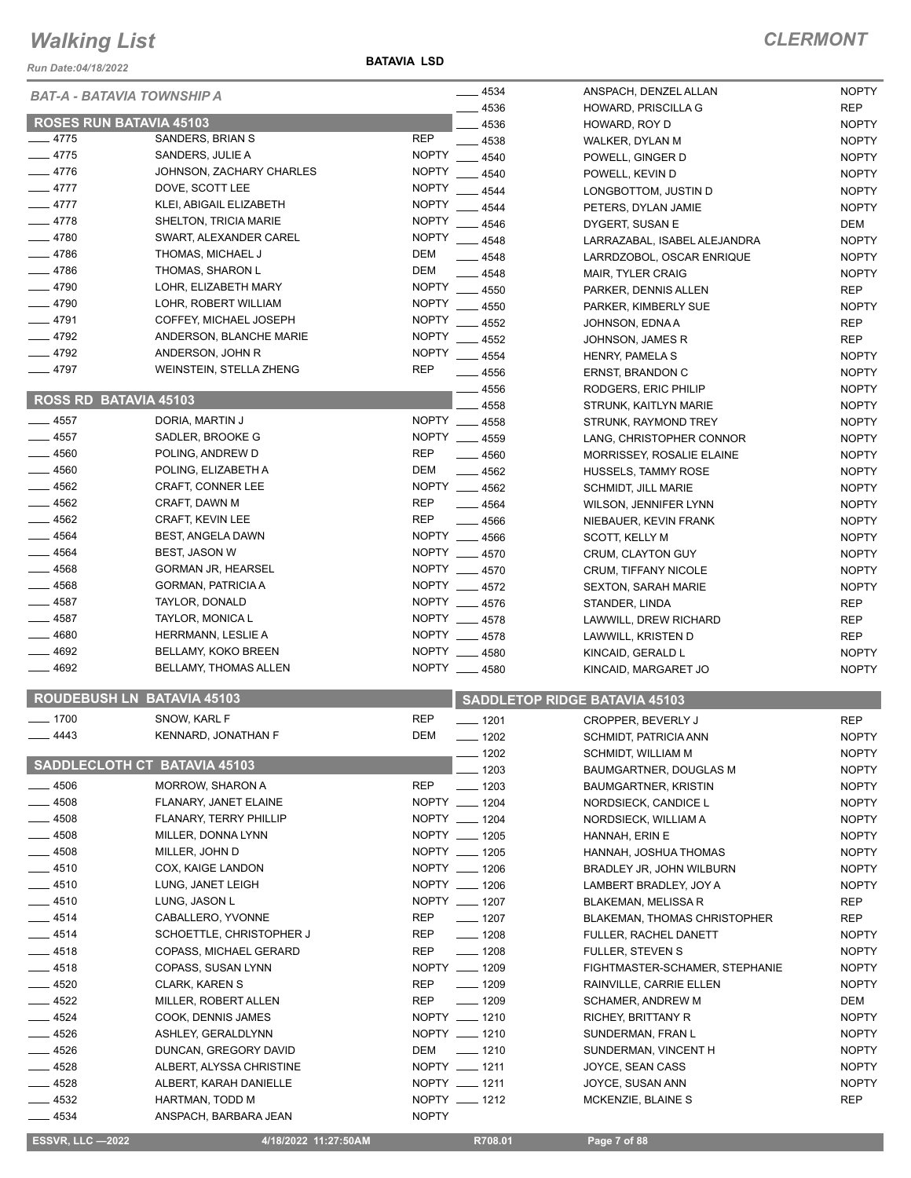*Run Date:04/18/2022*

**BATAVIA LSD**

|                                     |                              |              | $- 4534$                             | ANSPACH, DENZEL ALLAN               | <b>NOPTY</b> |
|-------------------------------------|------------------------------|--------------|--------------------------------------|-------------------------------------|--------------|
| BAT-A - BATAVIA TOWNSHIP A          |                              |              | 4536                                 | HOWARD, PRISCILLA G                 | <b>REP</b>   |
| <b>ROSES RUN BATAVIA 45103</b>      |                              |              | 4536                                 | HOWARD, ROY D                       | <b>NOPTY</b> |
| $-4775$                             | SANDERS, BRIAN S             | <b>REP</b>   | 4538                                 | WALKER, DYLAN M                     | <b>NOPTY</b> |
| - 4775                              | SANDERS, JULIE A             | <b>NOPTY</b> | 4540                                 | POWELL, GINGER D                    | <b>NOPTY</b> |
| $-4776$                             | JOHNSON, ZACHARY CHARLES     | <b>NOPTY</b> | 4540                                 | POWELL, KEVIN D                     | <b>NOPTY</b> |
| $-4777$                             | DOVE, SCOTT LEE              | <b>NOPTY</b> | 4544                                 | LONGBOTTOM, JUSTIN D                | <b>NOPTY</b> |
| $-4777$                             | KLEI, ABIGAIL ELIZABETH      | <b>NOPTY</b> | 4544                                 | PETERS, DYLAN JAMIE                 | <b>NOPTY</b> |
| $-4778$                             | <b>SHELTON, TRICIA MARIE</b> | <b>NOPTY</b> | 4546                                 | DYGERT, SUSAN E                     | DEM          |
| $-4780$                             | SWART, ALEXANDER CAREL       | <b>NOPTY</b> | $-4548$                              | LARRAZABAL, ISABEL ALEJANDRA        | <b>NOPTY</b> |
| - 4786                              | THOMAS, MICHAEL J            | <b>DEM</b>   | $-4548$                              | LARRDZOBOL, OSCAR ENRIQUE           | <b>NOPTY</b> |
| $-4786$                             | THOMAS, SHARON L             | <b>DEM</b>   | 4548                                 | <b>MAIR, TYLER CRAIG</b>            | <b>NOPTY</b> |
| $-4790$                             | LOHR, ELIZABETH MARY         | <b>NOPTY</b> | 4550                                 | PARKER, DENNIS ALLEN                | <b>REP</b>   |
| $-4790$                             | LOHR, ROBERT WILLIAM         | <b>NOPTY</b> | 4550                                 | PARKER, KIMBERLY SUE                | <b>NOPTY</b> |
| $-4791$                             | COFFEY, MICHAEL JOSEPH       | <b>NOPTY</b> | 4552                                 | JOHNSON, EDNA A                     | <b>REP</b>   |
| - 4792                              | ANDERSON, BLANCHE MARIE      | <b>NOPTY</b> | $= 4552$                             | JOHNSON, JAMES R                    | <b>REP</b>   |
| 4792                                | ANDERSON, JOHN R             | <b>NOPTY</b> | $-4554$                              | HENRY, PAMELA S                     | <b>NOPTY</b> |
| 4797                                | WEINSTEIN, STELLA ZHENG      | <b>REP</b>   | - 4556                               | ERNST, BRANDON C                    | <b>NOPTY</b> |
|                                     |                              |              | 4556                                 | RODGERS, ERIC PHILIP                | <b>NOPTY</b> |
| ROSS RD BATAVIA 45103               |                              |              | 4558                                 | STRUNK, KAITLYN MARIE               | <b>NOPTY</b> |
| $-4557$                             | DORIA, MARTIN J              |              | NOPTY __ 4558                        | STRUNK, RAYMOND TREY                | <b>NOPTY</b> |
| 4557                                | SADLER, BROOKE G             |              | NOPTY 4559                           | LANG, CHRISTOPHER CONNOR            | <b>NOPTY</b> |
| 4560                                | POLING, ANDREW D             | <b>REP</b>   | $- 4560$                             | MORRISSEY, ROSALIE ELAINE           | <b>NOPTY</b> |
| 4560                                | POLING, ELIZABETH A          | <b>DEM</b>   | $-4562$                              | HUSSELS, TAMMY ROSE                 | <b>NOPTY</b> |
| $-4562$                             | CRAFT, CONNER LEE            |              | NOPTY __ 4562                        | <b>SCHMIDT, JILL MARIE</b>          | <b>NOPTY</b> |
| $-4562$                             | CRAFT, DAWN M                | <b>REP</b>   | $-4564$                              | WILSON, JENNIFER LYNN               | <b>NOPTY</b> |
| $-4562$                             | CRAFT, KEVIN LEE             | <b>REP</b>   | $-4566$                              | NIEBAUER, KEVIN FRANK               | <b>NOPTY</b> |
| $-4564$                             | BEST, ANGELA DAWN            |              | NOPTY __ 4566                        | SCOTT, KELLY M                      | <b>NOPTY</b> |
| 4564                                | <b>BEST, JASON W</b>         |              | NOPTY __ 4570                        | CRUM, CLAYTON GUY                   | <b>NOPTY</b> |
| 4568                                | <b>GORMAN JR, HEARSEL</b>    |              | NOPTY 4570                           | CRUM, TIFFANY NICOLE                | <b>NOPTY</b> |
| 4568                                | <b>GORMAN, PATRICIA A</b>    |              | NOPTY __ 4572                        | <b>SEXTON, SARAH MARIE</b>          | <b>NOPTY</b> |
| 4587                                | TAYLOR, DONALD               |              | NOPTY __ 4576                        | STANDER, LINDA                      | <b>REP</b>   |
| $-4587$                             | TAYLOR, MONICA L             |              | NOPTY __ 4578                        | LAWWILL, DREW RICHARD               | <b>REP</b>   |
| 4680                                | HERRMANN, LESLIE A           |              | NOPTY __ 4578                        | LAWWILL, KRISTEN D                  | <b>REP</b>   |
| 4692                                | BELLAMY, KOKO BREEN          |              | NOPTY 4580                           | KINCAID, GERALD L                   | <b>NOPTY</b> |
| 4692                                | BELLAMY, THOMAS ALLEN        |              | NOPTY __ 4580                        | KINCAID, MARGARET JO                | <b>NOPTY</b> |
|                                     |                              |              |                                      |                                     |              |
| ROUDEBUSH LN BATAVIA 45103          |                              |              | <b>SADDLETOP RIDGE BATAVIA 45103</b> |                                     |              |
| $-1700$                             | SNOW, KARL F                 | <b>REP</b>   | $- 1201$                             | CROPPER, BEVERLY J                  | <b>REP</b>   |
| 4443                                | KENNARD, JONATHAN F          | <b>DEM</b>   | $-1202$                              | <b>SCHMIDT, PATRICIA ANN</b>        | <b>NOPTY</b> |
|                                     |                              |              | $-1202$                              | SCHMIDT, WILLIAM M                  | <b>NOPTY</b> |
| <b>SADDLECLOTH CT BATAVIA 45103</b> |                              |              | 1203                                 | BAUMGARTNER, DOUGLAS M              | <b>NOPTY</b> |
| 4506                                | MORROW, SHARON A             | <b>REP</b>   | $-1203$                              | <b>BAUMGARTNER, KRISTIN</b>         | <b>NOPTY</b> |
| $-4508$                             | FLANARY, JANET ELAINE        |              | NOPTY __ 1204                        | NORDSIECK, CANDICE L                | <b>NOPTY</b> |
| 4508                                | FLANARY, TERRY PHILLIP       |              | NOPTY __ 1204                        | NORDSIECK, WILLIAM A                | <b>NOPTY</b> |
| $-4508$                             | MILLER, DONNA LYNN           |              | NOPTY __ 1205                        | HANNAH, ERIN E                      | <b>NOPTY</b> |
| $-4508$                             | MILLER, JOHN D               |              | NOPTY __ 1205                        | HANNAH, JOSHUA THOMAS               | <b>NOPTY</b> |
| __ 4510                             | COX, KAIGE LANDON            |              | NOPTY __ 1206                        | BRADLEY JR, JOHN WILBURN            | <b>NOPTY</b> |
| __ 4510                             | LUNG, JANET LEIGH            |              | NOPTY __ 1206                        | LAMBERT BRADLEY, JOY A              | <b>NOPTY</b> |
| $-4510$                             | LUNG, JASON L                |              | NOPTY __ 1207                        | <b>BLAKEMAN, MELISSA R</b>          | REP          |
| $-4514$                             | CABALLERO, YVONNE            | REP          | $- 1207$                             | <b>BLAKEMAN, THOMAS CHRISTOPHER</b> | <b>REP</b>   |
| $-4514$                             | SCHOETTLE, CHRISTOPHER J     | REP          | $- 1208$                             | FULLER, RACHEL DANETT               | <b>NOPTY</b> |
| $-4518$                             | COPASS, MICHAEL GERARD       | <b>REP</b>   | $- 1208$                             | FULLER, STEVEN S                    | <b>NOPTY</b> |
| $= 4518$                            | COPASS, SUSAN LYNN           |              | NOPTY __ 1209                        | FIGHTMASTER-SCHAMER, STEPHANIE      | <b>NOPTY</b> |
| __ 4520                             | CLARK, KAREN S               | REP          | $- 1209$                             | RAINVILLE, CARRIE ELLEN             | <b>NOPTY</b> |
| $-4522$                             | MILLER, ROBERT ALLEN         | <b>REP</b>   | $\frac{1}{2}$ 1209                   | <b>SCHAMER, ANDREW M</b>            | DEM          |
| $-4524$                             | COOK, DENNIS JAMES           |              | NOPTY __ 1210                        | RICHEY, BRITTANY R                  | <b>NOPTY</b> |
| $-4526$                             | ASHLEY, GERALDLYNN           |              | NOPTY __ 1210                        | SUNDERMAN, FRAN L                   | <b>NOPTY</b> |
| $-4526$                             | DUNCAN, GREGORY DAVID        | DEM          | $- 1210$                             | SUNDERMAN, VINCENT H                | <b>NOPTY</b> |
| $-4528$                             | ALBERT, ALYSSA CHRISTINE     |              | NOPTY __ 1211                        | JOYCE, SEAN CASS                    | <b>NOPTY</b> |
| $-4528$                             | ALBERT, KARAH DANIELLE       |              | NOPTY __ 1211                        | JOYCE, SUSAN ANN                    | <b>NOPTY</b> |
| _ 4532                              | HARTMAN, TODD M              |              | NOPTY __ 1212                        | MCKENZIE, BLAINE S                  | <b>REP</b>   |
| $-4534$                             | ANSPACH, BARBARA JEAN        | <b>NOPTY</b> |                                      |                                     |              |
|                                     |                              |              |                                      |                                     |              |
| <b>ESSVR, LLC -2022</b>             | 4/18/2022 11:27:50AM         |              | R708.01                              | Page 7 of 88                        |              |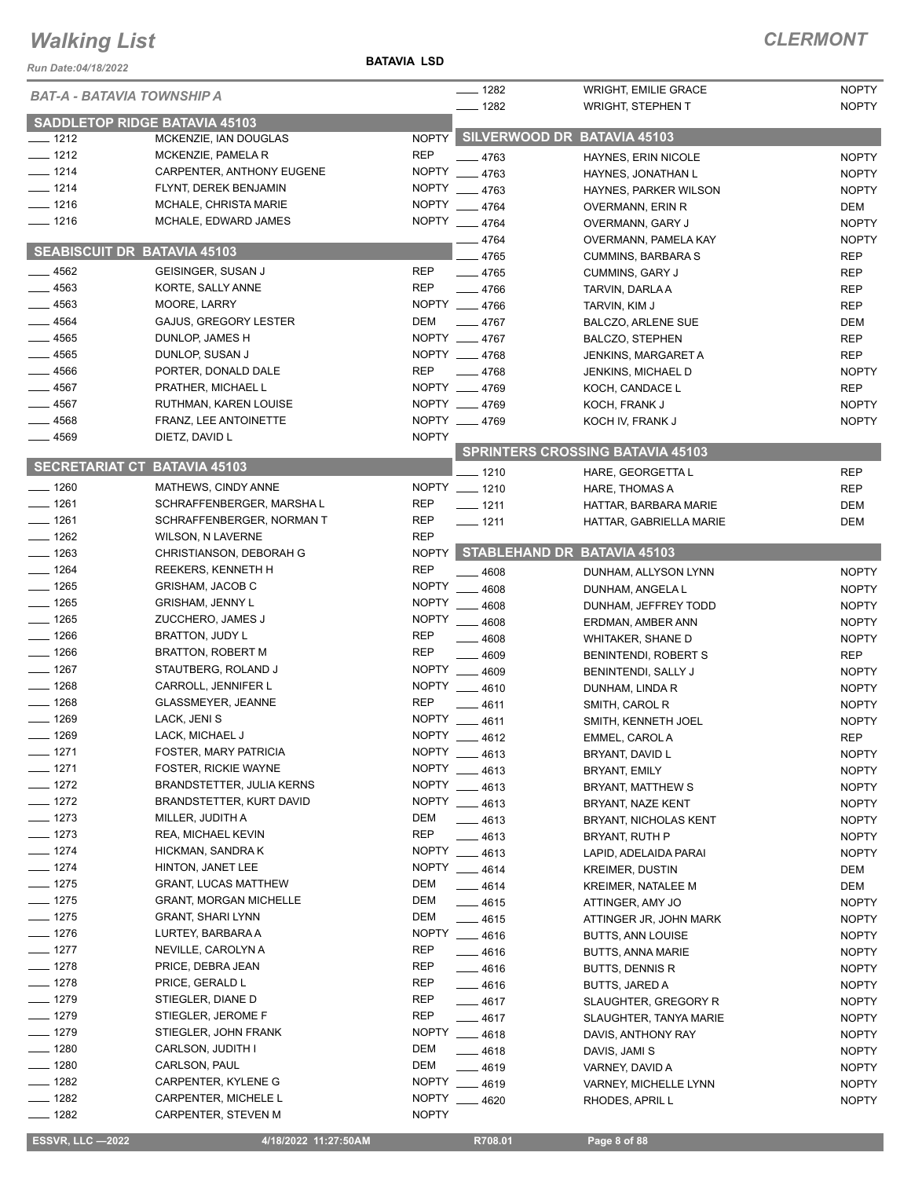#### **BATAVIA LSD**

### *CLERMONT*

| Run Date:04/18/2022                 |                                             | <b>BATAVIA LSD</b>         |                                |                                                         |                              |
|-------------------------------------|---------------------------------------------|----------------------------|--------------------------------|---------------------------------------------------------|------------------------------|
| <b>BAT-A - BATAVIA TOWNSHIP A</b>   |                                             |                            | $- 1282$<br>$- 1282$           | <b>WRIGHT, EMILIE GRACE</b><br><b>WRIGHT, STEPHEN T</b> | <b>NOPTY</b><br><b>NOPTY</b> |
|                                     | <b>SADDLETOP RIDGE BATAVIA 45103</b>        |                            |                                |                                                         |                              |
| $-1212$                             | MCKENZIE, IAN DOUGLAS                       | <b>NOPTY</b>               |                                | SILVERWOOD DR BATAVIA 45103                             |                              |
| $-1212$                             | MCKENZIE, PAMELA R                          | <b>REP</b>                 | $-4763$                        | HAYNES, ERIN NICOLE                                     | <b>NOPTY</b>                 |
| $- 1214$                            | CARPENTER, ANTHONY EUGENE                   | <b>NOPTY</b>               | 4763                           | HAYNES, JONATHAN L                                      | <b>NOPTY</b>                 |
| $- 1214$                            | FLYNT, DEREK BENJAMIN                       | <b>NOPTY</b>               | 4763                           | HAYNES, PARKER WILSON                                   | <b>NOPTY</b>                 |
| $- 1216$                            | MCHALE, CHRISTA MARIE                       | <b>NOPTY</b>               | $-4764$                        | OVERMANN, ERIN R                                        | DEM                          |
| $- 1216$                            | MCHALE, EDWARD JAMES                        |                            | NOPTY __ 4764                  | OVERMANN, GARY J                                        | <b>NOPTY</b>                 |
| <b>SEABISCUIT DR BATAVIA 45103</b>  |                                             |                            | $-4764$                        | OVERMANN, PAMELA KAY                                    | <b>NOPTY</b>                 |
|                                     |                                             |                            | $-4765$                        | <b>CUMMINS, BARBARA S</b>                               | <b>REP</b>                   |
| $-4562$                             | GEISINGER, SUSAN J                          | <b>REP</b>                 | $-4765$                        | CUMMINS, GARY J                                         | <b>REP</b>                   |
| $-4563$                             | KORTE, SALLY ANNE                           | <b>REP</b>                 | $-4766$                        | TARVIN, DARLA A                                         | <b>REP</b>                   |
| $-4563$                             | MOORE, LARRY                                |                            | NOPTY __ 4766                  | TARVIN, KIM J                                           | <b>REP</b>                   |
| $-4564$                             | GAJUS, GREGORY LESTER                       | <b>DEM</b>                 | $-4767$                        | <b>BALCZO, ARLENE SUE</b>                               | DEM                          |
| $-4565$<br>$-4565$                  | DUNLOP, JAMES H<br>DUNLOP, SUSAN J          |                            | NOPTY __ 4767<br>NOPTY __ 4768 | <b>BALCZO, STEPHEN</b>                                  | <b>REP</b>                   |
| 4566                                | PORTER, DONALD DALE                         | <b>REP</b>                 | $-4768$                        | <b>JENKINS, MARGARET A</b><br><b>JENKINS, MICHAEL D</b> | <b>REP</b><br><b>NOPTY</b>   |
| . 4567                              | PRATHER, MICHAEL L                          |                            | NOPTY 4769                     | KOCH, CANDACE L                                         | <b>REP</b>                   |
| .4567                               | RUTHMAN, KAREN LOUISE                       |                            | NOPTY 4769                     | KOCH, FRANK J                                           | <b>NOPTY</b>                 |
| $-4568$                             | FRANZ, LEE ANTOINETTE                       |                            | NOPTY __ 4769                  | KOCH IV, FRANK J                                        | <b>NOPTY</b>                 |
| $-4569$                             | DIETZ, DAVID L                              | <b>NOPTY</b>               |                                |                                                         |                              |
|                                     |                                             |                            |                                | <b>SPRINTERS CROSSING BATAVIA 45103</b>                 |                              |
| <b>SECRETARIAT CT BATAVIA 45103</b> |                                             |                            | $-1210$                        | HARE, GEORGETTA L                                       | <b>REP</b>                   |
| $- 1260$                            | MATHEWS, CINDY ANNE                         |                            | NOPTY __ 1210                  | HARE, THOMAS A                                          | <b>REP</b>                   |
| $- 1261$                            | SCHRAFFENBERGER, MARSHAL                    | <b>REP</b>                 | $- 1211$                       | HATTAR, BARBARA MARIE                                   | <b>DEM</b>                   |
| $- 1261$                            | SCHRAFFENBERGER, NORMAN T                   | <b>REP</b>                 | $- 1211$                       | HATTAR, GABRIELLA MARIE                                 | <b>DEM</b>                   |
| $-1262$                             | <b>WILSON, N LAVERNE</b>                    | <b>REP</b>                 |                                |                                                         |                              |
| $-1263$                             | CHRISTIANSON, DEBORAH G                     | <b>NOPTY</b>               |                                | STABLEHAND DR BATAVIA 45103                             |                              |
| $- 1264$                            | REEKERS, KENNETH H                          | <b>REP</b>                 | $-4608$                        | DUNHAM, ALLYSON LYNN                                    | <b>NOPTY</b>                 |
| $- 1265$                            | <b>GRISHAM, JACOB C</b>                     | <b>NOPTY</b>               | 4608                           | DUNHAM, ANGELA L                                        | <b>NOPTY</b>                 |
| $- 1265$                            | <b>GRISHAM, JENNY L</b>                     | <b>NOPTY</b>               | 4608                           | DUNHAM, JEFFREY TODD                                    | <b>NOPTY</b>                 |
| $-1265$<br>$-1266$                  | ZUCCHERO, JAMES J                           | <b>NOPTY</b><br><b>REP</b> | 4608                           | ERDMAN, AMBER ANN                                       | <b>NOPTY</b>                 |
| $-1266$                             | BRATTON, JUDY L<br><b>BRATTON, ROBERT M</b> | <b>REP</b>                 | 4608                           | WHITAKER, SHANE D                                       | <b>NOPTY</b>                 |
| $- 1267$                            | STAUTBERG, ROLAND J                         | <b>NOPTY</b>               | 4609                           | BENINTENDI, ROBERT S                                    | <b>REP</b>                   |
| $- 1268$                            | CARROLL, JENNIFER L                         | <b>NOPTY</b>               | $-4609$<br>$-4610$             | BENINTENDI, SALLY J                                     | <b>NOPTY</b>                 |
| $- 1268$                            | <b>GLASSMEYER, JEANNE</b>                   | <b>REP</b>                 | 4611                           | DUNHAM, LINDA R<br>SMITH, CAROL R                       | <b>NOPTY</b><br><b>NOPTY</b> |
| $-1269$                             | LACK, JENI S                                | <b>NOPTY</b>               | 4611                           | SMITH. KENNETH JOEL                                     | <b>NOPTY</b>                 |
| $-1269$                             | LACK, MICHAEL J                             |                            | NOPTY __ 4612                  | EMMEL, CAROL A                                          | <b>REP</b>                   |
| $-1271$                             | FOSTER, MARY PATRICIA                       | <b>NOPTY</b>               | 4613                           | BRYANT, DAVID L                                         | <b>NOPTY</b>                 |
| $- 1271$                            | <b>FOSTER, RICKIE WAYNE</b>                 | <b>NOPTY</b>               | $-4613$                        | BRYANT, EMILY                                           | <b>NOPTY</b>                 |
| $- 1272$                            | <b>BRANDSTETTER, JULIA KERNS</b>            | <b>NOPTY</b>               | $-4613$                        | BRYANT, MATTHEW S                                       | <b>NOPTY</b>                 |
| $- 1272$                            | BRANDSTETTER, KURT DAVID                    | <b>NOPTY</b>               | $-4613$                        | BRYANT, NAZE KENT                                       | <b>NOPTY</b>                 |
| $- 1273$                            | MILLER, JUDITH A                            | DEM                        | $-4613$                        | BRYANT, NICHOLAS KENT                                   | <b>NOPTY</b>                 |
| $- 1273$                            | REA, MICHAEL KEVIN                          | <b>REP</b>                 | $-4613$                        | BRYANT, RUTH P                                          | <b>NOPTY</b>                 |
| $- 1274$                            | HICKMAN, SANDRA K                           | <b>NOPTY</b>               | $-4613$                        | LAPID, ADELAIDA PARAI                                   | <b>NOPTY</b>                 |
| $- 1274$                            | HINTON, JANET LEE                           |                            | NOPTY __ 4614                  | <b>KREIMER, DUSTIN</b>                                  | DEM                          |
| $- 1275$                            | <b>GRANT, LUCAS MATTHEW</b>                 | DEM                        | $-4614$                        | <b>KREIMER, NATALEE M</b>                               | DEM                          |
| $- 1275$                            | <b>GRANT, MORGAN MICHELLE</b>               | DEM                        | $-4615$                        | ATTINGER, AMY JO                                        | <b>NOPTY</b>                 |
| $- 1275$                            | <b>GRANT, SHARI LYNN</b>                    | DEM                        | $-4615$                        | ATTINGER JR, JOHN MARK                                  | <b>NOPTY</b>                 |
| $- 1276$                            | LURTEY, BARBARA A                           | <b>NOPTY</b>               | $-4616$                        | <b>BUTTS, ANN LOUISE</b>                                | <b>NOPTY</b>                 |
| $- 1277$                            | NEVILLE, CAROLYN A                          | <b>REP</b>                 | $-4616$                        | <b>BUTTS, ANNA MARIE</b>                                | <b>NOPTY</b>                 |
| $-1278$                             | PRICE, DEBRA JEAN                           | REP                        | $- 4616$                       | <b>BUTTS, DENNIS R</b>                                  | <b>NOPTY</b>                 |
| $- 1278$                            | PRICE, GERALD L                             | <b>REP</b>                 | $-4616$                        | <b>BUTTS, JARED A</b>                                   | <b>NOPTY</b>                 |
| $- 1279$                            | STIEGLER, DIANE D                           | <b>REP</b>                 | $-4617$                        | SLAUGHTER, GREGORY R                                    | <b>NOPTY</b>                 |
| $- 1279$                            | STIEGLER, JEROME F                          | REP                        | $-4617$                        | SLAUGHTER, TANYA MARIE                                  | <b>NOPTY</b>                 |
| $- 1279$                            | STIEGLER, JOHN FRANK                        |                            | NOPTY __ 4618                  | DAVIS, ANTHONY RAY                                      | <b>NOPTY</b>                 |
| $- 1280$                            | CARLSON, JUDITH I                           | DEM                        | $-4618$                        | DAVIS, JAMI S                                           | <b>NOPTY</b>                 |
| $- 1280$                            | CARLSON, PAUL                               | DEM                        | $-4619$                        | VARNEY, DAVID A                                         | <b>NOPTY</b>                 |
| $- 1282$                            | CARPENTER, KYLENE G                         | <b>NOPTY</b>               | $-4619$                        | VARNEY, MICHELLE LYNN                                   | <b>NOPTY</b>                 |
| $- 1282$                            | CARPENTER, MICHELE L                        | <b>NOPTY</b>               | $-4620$                        | RHODES, APRIL L                                         | <b>NOPTY</b>                 |
| $- 1282$                            | CARPENTER, STEVEN M                         | <b>NOPTY</b>               |                                |                                                         |                              |

 **ESSVR, LLC —2022 4/18/2022 11:27:50AM R708.01 Page 8 of 88**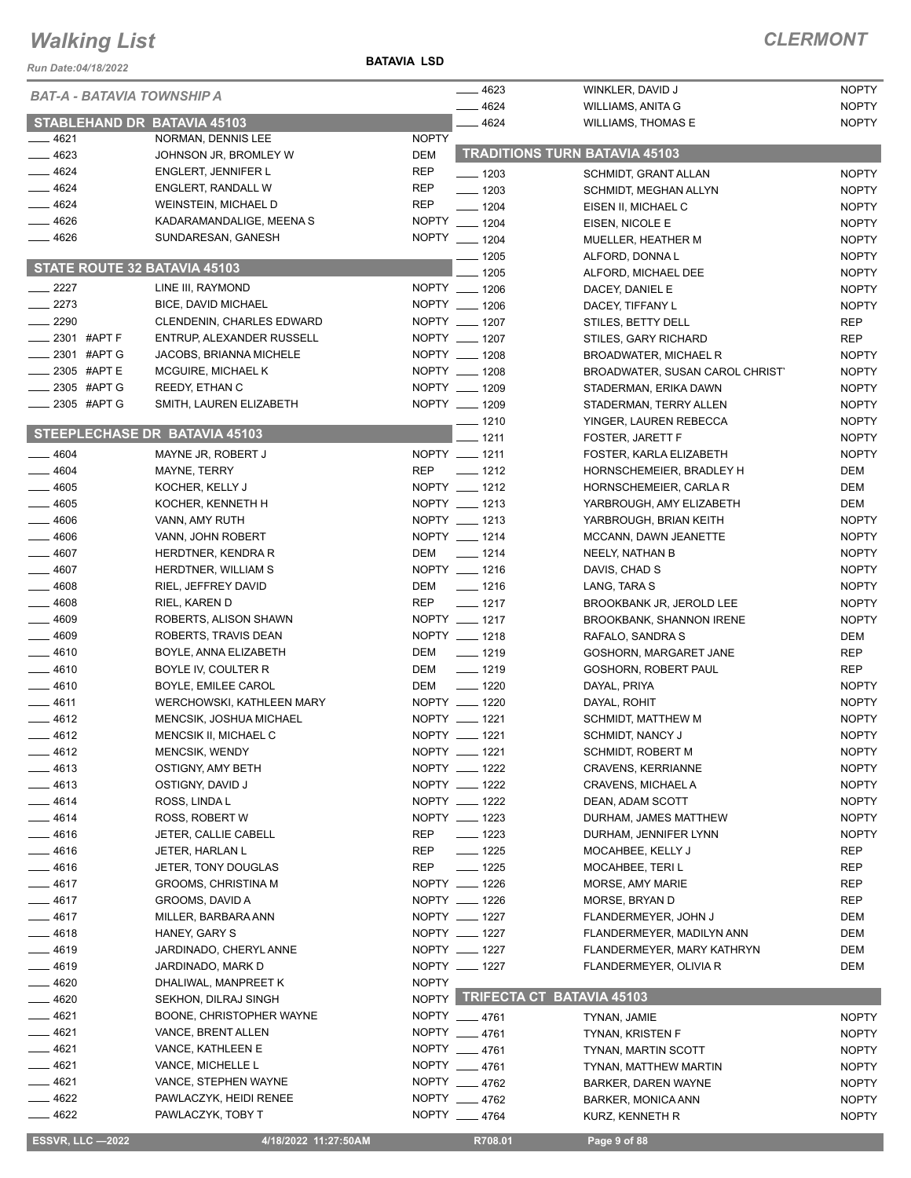#### **BATAVIA LSD**

| Run Date:04/18/2022                           |                                                                    | <b>BATAVIA LSD</b> |                                |                                             |                              |
|-----------------------------------------------|--------------------------------------------------------------------|--------------------|--------------------------------|---------------------------------------------|------------------------------|
| <b>BAT-A - BATAVIA TOWNSHIP A</b>             |                                                                    |                    | $-4623$                        | WINKLER, DAVID J                            | <b>NOPTY</b>                 |
|                                               |                                                                    |                    | $-4624$                        | WILLIAMS, ANITA G                           | <b>NOPTY</b>                 |
| <b>STABLEHAND DR BATAVIA 45103</b><br>$-4621$ | NORMAN, DENNIS LEE                                                 | <b>NOPTY</b>       | $-4624$                        | <b>WILLIAMS, THOMAS E</b>                   | <b>NOPTY</b>                 |
| $= 4623$                                      | JOHNSON JR, BROMLEY W                                              | <b>DEM</b>         |                                | <b>TRADITIONS TURN BATAVIA 45103</b>        |                              |
| $-4624$                                       | <b>ENGLERT, JENNIFER L</b>                                         | <b>REP</b>         | $- 1203$                       | SCHMIDT, GRANT ALLAN                        | <b>NOPTY</b>                 |
| $-4624$                                       | <b>ENGLERT, RANDALL W</b>                                          | <b>REP</b>         | $- 1203$                       | SCHMIDT, MEGHAN ALLYN                       | <b>NOPTY</b>                 |
| $-4624$                                       | <b>WEINSTEIN, MICHAEL D</b>                                        | <b>REP</b>         | $- 1204$                       | EISEN II, MICHAEL C                         | <b>NOPTY</b>                 |
| $-4626$                                       | KADARAMANDALIGE, MEENA S                                           |                    | NOPTY __ 1204                  | EISEN, NICOLE E                             | <b>NOPTY</b>                 |
| $-4626$                                       | SUNDARESAN, GANESH                                                 |                    | NOPTY __ 1204                  | MUELLER, HEATHER M                          | <b>NOPTY</b>                 |
|                                               |                                                                    |                    | $- 1205$                       | ALFORD, DONNA L                             | <b>NOPTY</b>                 |
| STATE ROUTE 32 BATAVIA 45103                  |                                                                    |                    | 1205                           | ALFORD, MICHAEL DEE                         | <b>NOPTY</b>                 |
| $-2227$                                       | LINE III, RAYMOND                                                  |                    | NOPTY __ 1206                  | DACEY, DANIEL E                             | <b>NOPTY</b>                 |
| $\frac{2273}{2}$                              | <b>BICE, DAVID MICHAEL</b>                                         |                    | NOPTY __ 1206                  | DACEY, TIFFANY L                            | <b>NOPTY</b>                 |
| $-2290$                                       | <b>CLENDENIN, CHARLES EDWARD</b>                                   |                    | NOPTY __ 1207                  | STILES, BETTY DELL                          | <b>REP</b>                   |
| $\frac{1}{2}$ 2301 #APT F                     | ENTRUP, ALEXANDER RUSSELL                                          |                    | NOPTY __ 1207                  | STILES, GARY RICHARD                        | <b>REP</b>                   |
| $\frac{1}{2}$ 2301 #APT G                     | JACOBS, BRIANNA MICHELE                                            |                    | NOPTY __ 1208                  | <b>BROADWATER, MICHAEL R</b>                | <b>NOPTY</b>                 |
| 2305 #APT E                                   | MCGUIRE, MICHAEL K                                                 |                    | NOPTY __ 1208                  | BROADWATER, SUSAN CAROL CHRIST'             | <b>NOPTY</b>                 |
| _2305 #APT G<br>2305 #APT G                   | REEDY, ETHAN C                                                     |                    | NOPTY __ 1209<br>NOPTY __ 1209 | STADERMAN, ERIKA DAWN                       | <b>NOPTY</b>                 |
|                                               | SMITH, LAUREN ELIZABETH                                            |                    |                                | STADERMAN, TERRY ALLEN                      | <b>NOPTY</b>                 |
|                                               | <b>STEEPLECHASE DR BATAVIA 45103</b>                               |                    | $- 1210$<br>$-1211$            | YINGER, LAUREN REBECCA                      | <b>NOPTY</b><br><b>NOPTY</b> |
| $-4604$                                       | MAYNE JR, ROBERT J                                                 |                    | NOPTY __ 1211                  | FOSTER, JARETT F<br>FOSTER, KARLA ELIZABETH | <b>NOPTY</b>                 |
| 4604                                          | MAYNE, TERRY                                                       | <b>REP</b>         | $\frac{1}{2}$ 1212             | HORNSCHEMEIER, BRADLEY H                    | <b>DEM</b>                   |
| $-4605$                                       | KOCHER, KELLY J                                                    |                    | NOPTY __ 1212                  | HORNSCHEMEIER, CARLA R                      | <b>DEM</b>                   |
| $-4605$                                       | KOCHER, KENNETH H                                                  |                    | NOPTY __ 1213                  | YARBROUGH, AMY ELIZABETH                    | DEM                          |
| $-4606$                                       | VANN, AMY RUTH                                                     |                    | NOPTY __ 1213                  | YARBROUGH, BRIAN KEITH                      | <b>NOPTY</b>                 |
| $- 4606$                                      | VANN, JOHN ROBERT                                                  |                    | NOPTY __ 1214                  | MCCANN, DAWN JEANETTE                       | <b>NOPTY</b>                 |
| $-4607$                                       | HERDTNER, KENDRA R                                                 | DEM                | $- 1214$                       | NEELY, NATHAN B                             | <b>NOPTY</b>                 |
| $-4607$                                       | HERDTNER, WILLIAM S                                                |                    | NOPTY __ 1216                  | DAVIS, CHAD S                               | <b>NOPTY</b>                 |
| $-4608$                                       | RIEL, JEFFREY DAVID                                                | DEM                | $- 1216$                       | LANG, TARA S                                | <b>NOPTY</b>                 |
| $-4608$                                       | RIEL, KAREN D                                                      | REP                | $- 1217$                       | BROOKBANK JR, JEROLD LEE                    | <b>NOPTY</b>                 |
| $-4609$                                       | ROBERTS, ALISON SHAWN                                              |                    | NOPTY __ 1217                  | <b>BROOKBANK, SHANNON IRENE</b>             | <b>NOPTY</b>                 |
| 4609                                          | ROBERTS, TRAVIS DEAN                                               |                    | NOPTY __ 1218                  | RAFALO, SANDRA S                            | <b>DEM</b>                   |
| $-4610$                                       | BOYLE, ANNA ELIZABETH                                              | DEM                | $\frac{1}{2}$ 1219             | GOSHORN, MARGARET JANE                      | <b>REP</b>                   |
| $-4610$                                       | BOYLE IV, COULTER R                                                | DEM                | $\frac{1}{2}$ 1219             | GOSHORN, ROBERT PAUL                        | <b>REP</b>                   |
| $-4610$                                       | BOYLE, EMILEE CAROL                                                | DEM                | $\frac{1}{2}$ 1220             | DAYAL, PRIYA                                | <b>NOPTY</b>                 |
| $-4611$<br>4612                               | <b>WERCHOWSKI, KATHLEEN MARY</b><br><b>MENCSIK, JOSHUA MICHAEL</b> |                    | NOPTY __ 1220<br>NOPTY __ 1221 | DAYAL, ROHIT<br><b>SCHMIDT, MATTHEW M</b>   | <b>NOPTY</b><br><b>NOPTY</b> |
| _ 4612                                        | MENCSIK II, MICHAEL C                                              |                    | NOPTY __ 1221                  | SCHMIDT, NANCY J                            | <b>NOPTY</b>                 |
| 4612                                          | <b>MENCSIK, WENDY</b>                                              |                    | NOPTY __ 1221                  | SCHMIDT, ROBERT M                           | <b>NOPTY</b>                 |
| $-4613$                                       | OSTIGNY, AMY BETH                                                  |                    | NOPTY __ 1222                  | CRAVENS, KERRIANNE                          | <b>NOPTY</b>                 |
| $-4613$                                       | OSTIGNY, DAVID J                                                   |                    | NOPTY __ 1222                  | <b>CRAVENS, MICHAEL A</b>                   | <b>NOPTY</b>                 |
| 4614                                          | ROSS, LINDA L                                                      |                    | NOPTY __ 1222                  | DEAN, ADAM SCOTT                            | <b>NOPTY</b>                 |
| $-4614$                                       | ROSS, ROBERT W                                                     |                    | NOPTY __ 1223                  | DURHAM, JAMES MATTHEW                       | <b>NOPTY</b>                 |
| $-4616$                                       | JETER, CALLIE CABELL                                               | REP                | $- 1223$                       | DURHAM, JENNIFER LYNN                       | <b>NOPTY</b>                 |
| __ 4616                                       | JETER, HARLAN L                                                    | REP                | $- 1225$                       | MOCAHBEE, KELLY J                           | REP                          |
| $-4616$                                       | JETER, TONY DOUGLAS                                                | REP                | $- 1225$                       | MOCAHBEE, TERI L                            | REP                          |
| __ 4617                                       | GROOMS, CHRISTINA M                                                |                    | NOPTY __ 1226                  | MORSE, AMY MARIE                            | REP                          |
| ___ 4617                                      | GROOMS, DAVID A                                                    |                    | NOPTY __ 1226                  | MORSE, BRYAN D                              | REP                          |
| $-4617$                                       | MILLER, BARBARA ANN                                                |                    | NOPTY __ 1227                  | FLANDERMEYER, JOHN J                        | DEM                          |
| __ 4618                                       | HANEY, GARY S                                                      |                    | NOPTY __ 1227                  | FLANDERMEYER, MADILYN ANN                   | DEM                          |
| _ 4619                                        | JARDINADO, CHERYL ANNE                                             |                    | NOPTY __ 1227                  | FLANDERMEYER, MARY KATHRYN                  | DEM                          |
| 4619                                          | JARDINADO, MARK D                                                  |                    | NOPTY __ 1227                  | FLANDERMEYER, OLIVIA R                      | DEM                          |
| $-4620$<br>$-4620$                            | DHALIWAL, MANPREET K                                               | <b>NOPTY</b>       |                                | NOPTY TRIFECTA CT BATAVIA 45103             |                              |
| __ 4621                                       | SEKHON, DILRAJ SINGH                                               |                    | NOPTY __ 4761                  |                                             |                              |
| $-4621$                                       | BOONE, CHRISTOPHER WAYNE<br>VANCE, BRENT ALLEN                     |                    | NOPTY __ 4761                  | TYNAN, JAMIE<br>TYNAN, KRISTEN F            | <b>NOPTY</b><br><b>NOPTY</b> |
| 4621                                          | VANCE, KATHLEEN E                                                  |                    | NOPTY __ 4761                  | TYNAN, MARTIN SCOTT                         | <b>NOPTY</b>                 |
| $-4621$                                       | VANCE, MICHELLE L                                                  |                    | NOPTY __ 4761                  | TYNAN, MATTHEW MARTIN                       | <b>NOPTY</b>                 |
| $= 4621$                                      | VANCE, STEPHEN WAYNE                                               |                    | NOPTY __ 4762                  | <b>BARKER, DAREN WAYNE</b>                  | <b>NOPTY</b>                 |
| —— 4622                                       | PAWLACZYK, HEIDI RENEE                                             |                    | NOPTY __ 4762                  | BARKER, MONICA ANN                          | <b>NOPTY</b>                 |
| $-4622$                                       | PAWLACZYK, TOBY T                                                  |                    | NOPTY __ 4764                  | KURZ, KENNETH R                             | <b>NOPTY</b>                 |
|                                               |                                                                    |                    |                                |                                             |                              |
| <b>ESSVR, LLC -2022</b>                       | 4/18/2022 11:27:50AM                                               |                    | R708.01                        | Page 9 of 88                                |                              |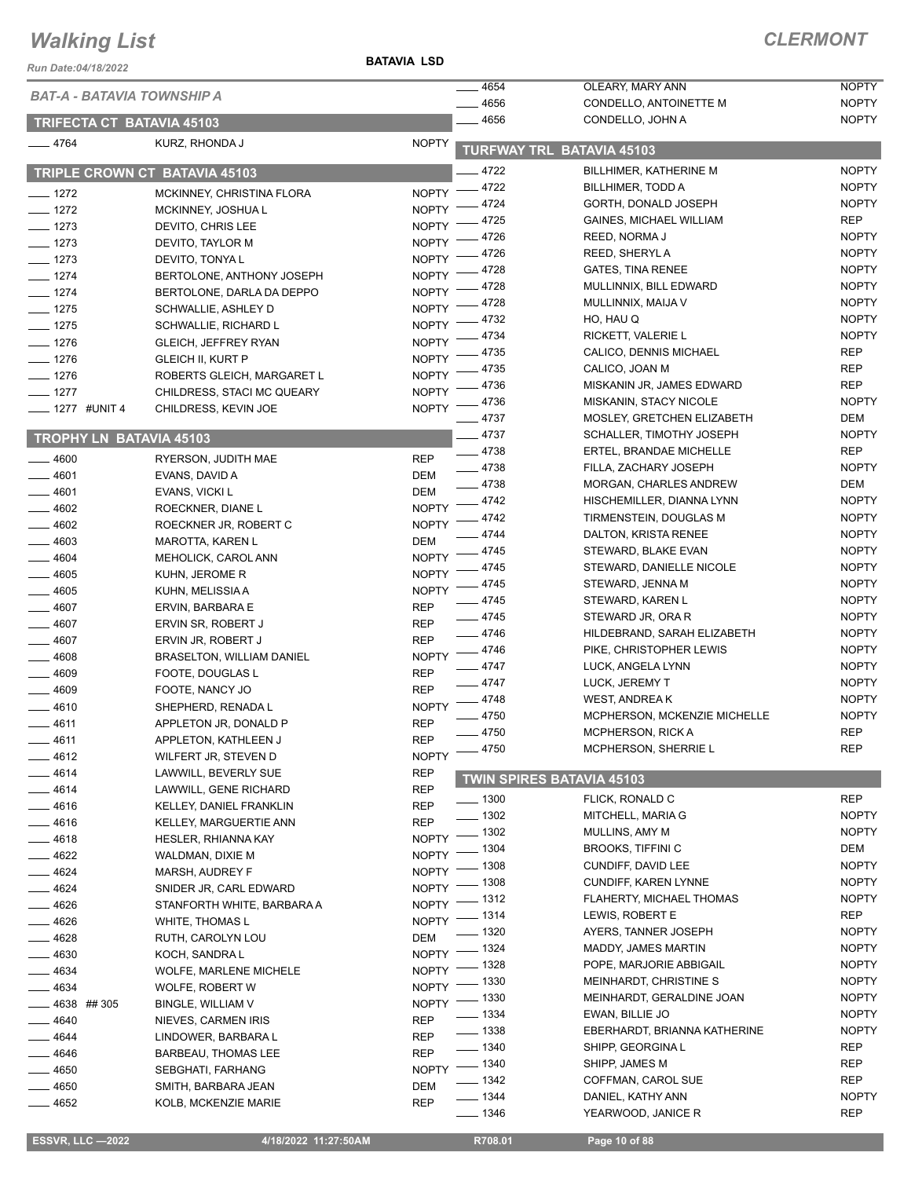**BATAVIA LSD**

| Run Date:04/18/2022            |                                             | <b>BAIAVIA LSD</b>           |                    |                                            |                              |
|--------------------------------|---------------------------------------------|------------------------------|--------------------|--------------------------------------------|------------------------------|
|                                | <b>BAT-A - BATAVIA TOWNSHIP A</b>           |                              | 4654               | OLEARY, MARY ANN                           | <b>NOPTY</b>                 |
|                                |                                             |                              | 4656<br>4656       | CONDELLO, ANTOINETTE M<br>CONDELLO, JOHN A | <b>NOPTY</b><br><b>NOPTY</b> |
|                                | <b>TRIFECTA CT BATAVIA 45103</b>            |                              |                    |                                            |                              |
| $-4764$                        | KURZ, RHONDA J                              | <b>NOPTY</b>                 |                    | <b>TURFWAY TRL BATAVIA 45103</b>           |                              |
|                                | TRIPLE CROWN CT BATAVIA 45103               |                              | 4722               | <b>BILLHIMER, KATHERINE M</b>              | <b>NOPTY</b>                 |
| $- 1272$                       | MCKINNEY, CHRISTINA FLORA                   | <b>NOPTY</b>                 | 4722               | BILLHIMER, TODD A                          | <b>NOPTY</b>                 |
| $- 1272$                       | MCKINNEY, JOSHUA L                          | <b>NOPTY</b>                 | 4724               | GORTH, DONALD JOSEPH                       | <b>NOPTY</b>                 |
| $- 1273$                       | DEVITO, CHRIS LEE                           | <b>NOPTY</b>                 | 4725               | <b>GAINES, MICHAEL WILLIAM</b>             | <b>REP</b>                   |
| $- 1273$                       | DEVITO, TAYLOR M                            | <b>NOPTY</b>                 | 4726               | REED, NORMA J                              | <b>NOPTY</b>                 |
| $- 1273$                       | DEVITO, TONYA L                             | <b>NOPTY</b>                 | 4726               | REED, SHERYL A                             | <b>NOPTY</b>                 |
| $- 1274$                       | BERTOLONE, ANTHONY JOSEPH                   | NOPTY <sup>-</sup>           | 4728               | <b>GATES, TINA RENEE</b>                   | <b>NOPTY</b>                 |
| $- 1274$                       | BERTOLONE, DARLA DA DEPPO                   | $NOPTY =$                    | 4728               | MULLINNIX, BILL EDWARD                     | <b>NOPTY</b>                 |
| $- 1275$                       | SCHWALLIE, ASHLEY D                         | <b>NOPTY</b>                 | 4728               | MULLINNIX, MAIJA V                         | <b>NOPTY</b>                 |
| $- 1275$                       | SCHWALLIE, RICHARD L                        | <b>NOPTY</b>                 | 4732               | HO, HAU Q                                  | <b>NOPTY</b>                 |
| $- 1276$                       | <b>GLEICH, JEFFREY RYAN</b>                 | <b>NOPTY</b>                 | 4734               | RICKETT, VALERIE L                         | <b>NOPTY</b><br><b>REP</b>   |
| $- 1276$                       | <b>GLEICH II, KURT P</b>                    | <b>NOPTY</b>                 | 4735<br>4735       | CALICO, DENNIS MICHAEL<br>CALICO, JOAN M   | <b>REP</b>                   |
| $- 1276$                       | ROBERTS GLEICH, MARGARET L                  | <b>NOPTY</b>                 | 4736               | MISKANIN JR, JAMES EDWARD                  | <b>REP</b>                   |
| $- 1277$                       | CHILDRESS, STACI MC QUEARY                  | <b>NOPTY</b>                 | _ 4736             | MISKANIN, STACY NICOLE                     | <b>NOPTY</b>                 |
| __ 1277 #UNIT 4                | CHILDRESS, KEVIN JOE                        | NOPTY <sup>-</sup>           | 4737               | MOSLEY, GRETCHEN ELIZABETH                 | <b>DEM</b>                   |
|                                |                                             |                              | _ 4737             | SCHALLER, TIMOTHY JOSEPH                   | <b>NOPTY</b>                 |
| <b>TROPHY LN BATAVIA 45103</b> |                                             |                              | $-4738$            | ERTEL, BRANDAE MICHELLE                    | <b>REP</b>                   |
| 4600                           | RYERSON, JUDITH MAE                         | <b>REP</b>                   | $-4738$            | FILLA, ZACHARY JOSEPH                      | <b>NOPTY</b>                 |
| $-4601$                        | EVANS, DAVID A                              | DEM                          | $-4738$            | MORGAN, CHARLES ANDREW                     | <b>DEM</b>                   |
| 4601                           | EVANS, VICKI L                              | DEM                          | $-4742$            | HISCHEMILLER, DIANNA LYNN                  | <b>NOPTY</b>                 |
| $-4602$                        | ROECKNER, DIANE L                           | <b>NOPTY</b>                 | 4742               | TIRMENSTEIN, DOUGLAS M                     | <b>NOPTY</b>                 |
| $-4602$                        | ROECKNER JR, ROBERT C                       | <b>NOPTY</b>                 | 4744               | DALTON, KRISTA RENEE                       | <b>NOPTY</b>                 |
| 4603                           | <b>MAROTTA, KAREN L</b>                     | DEM                          | 4745               | STEWARD, BLAKE EVAN                        | <b>NOPTY</b>                 |
| $-4604$<br>$-4605$             | MEHOLICK, CAROL ANN                         | <b>NOPTY</b><br><b>NOPTY</b> | 4745               | STEWARD, DANIELLE NICOLE                   | <b>NOPTY</b>                 |
| $-4605$                        | KUHN, JEROME R<br>KUHN, MELISSIA A          | <b>NOPTY</b>                 | 4745               | STEWARD, JENNA M                           | <b>NOPTY</b>                 |
| $-4607$                        | ERVIN, BARBARA E                            | <b>REP</b>                   | 4745               | STEWARD, KAREN L                           | <b>NOPTY</b>                 |
| 4607                           | ERVIN SR, ROBERT J                          | <b>REP</b>                   | $-4745$            | STEWARD JR, ORA R                          | <b>NOPTY</b>                 |
| $= 4607$                       | ERVIN JR, ROBERT J                          | <b>REP</b>                   | $-4746$            | HILDEBRAND, SARAH ELIZABETH                | <b>NOPTY</b>                 |
| 4608                           | BRASELTON, WILLIAM DANIEL                   | <b>NOPTY</b>                 | $-4746$            | PIKE, CHRISTOPHER LEWIS                    | <b>NOPTY</b>                 |
| $-4609$                        | FOOTE, DOUGLAS L                            | <b>REP</b>                   | ____ 4747          | LUCK, ANGELA LYNN                          | <b>NOPTY</b>                 |
| $-4609$                        | FOOTE, NANCY JO                             | <b>REP</b>                   | $-4747$            | LUCK, JEREMY T                             | <b>NOPTY</b>                 |
| 4610                           | SHEPHERD, RENADA L                          | <b>NOPTY</b>                 | $-4748$            | <b>WEST, ANDREAK</b>                       | <b>NOPTY</b>                 |
| 4611                           | APPLETON JR, DONALD P                       | <b>REP</b>                   | $-4750$            | MCPHERSON, MCKENZIE MICHELLE               | <b>NOPTY</b>                 |
| 4611                           | APPLETON, KATHLEEN J                        | <b>REP</b>                   | _ 4750             | <b>MCPHERSON, RICK A</b>                   | REP                          |
| 4612                           | WILFERT JR, STEVEN D                        | <b>NOPTY</b>                 | 4750               | MCPHERSON, SHERRIE L                       | <b>REP</b>                   |
| 4614                           | LAWWILL, BEVERLY SUE                        | <b>REP</b>                   |                    | <b>TWIN SPIRES BATAVIA 45103</b>           |                              |
| 4614                           | LAWWILL, GENE RICHARD                       | <b>REP</b>                   |                    |                                            |                              |
| 4616                           | KELLEY, DANIEL FRANKLIN                     | <b>REP</b>                   | __ 1300<br>$-1302$ | FLICK, RONALD C                            | <b>REP</b>                   |
| 4616                           | KELLEY, MARGUERTIE ANN                      | <b>REP</b>                   |                    | MITCHELL, MARIA G<br>MULLINS, AMY M        | <b>NOPTY</b><br><b>NOPTY</b> |
| __ 4618                        | <b>HESLER, RHIANNA KAY</b>                  | <b>NOPTY</b>                 | _ 1302<br>1304     | <b>BROOKS, TIFFINI C</b>                   | DEM                          |
| $-4622$                        | WALDMAN, DIXIE M                            | <b>NOPTY</b>                 | 1308               | CUNDIFF, DAVID LEE                         | <b>NOPTY</b>                 |
| 4624                           | MARSH, AUDREY F                             | <b>NOPTY</b>                 | 1308               | CUNDIFF, KAREN LYNNE                       | <b>NOPTY</b>                 |
| $-4624$                        | SNIDER JR, CARL EDWARD                      | <b>NOPTY</b>                 | - 1312             | FLAHERTY, MICHAEL THOMAS                   | <b>NOPTY</b>                 |
| $-4626$                        | STANFORTH WHITE, BARBARA A                  | <b>NOPTY</b>                 | 1314               | LEWIS, ROBERT E                            | REP                          |
| 4626                           | WHITE, THOMAS L                             | <b>NOPTY</b>                 | 1320               | AYERS, TANNER JOSEPH                       | <b>NOPTY</b>                 |
| 4628                           | RUTH, CAROLYN LOU                           | DEM                          | 1324               | MADDY, JAMES MARTIN                        | <b>NOPTY</b>                 |
| 4630                           | KOCH, SANDRA L                              | <b>NOPTY</b>                 | 1328               | POPE, MARJORIE ABBIGAIL                    | <b>NOPTY</b>                 |
| 4634                           | <b>WOLFE, MARLENE MICHELE</b>               | <b>NOPTY</b>                 | 1330               | MEINHARDT, CHRISTINE S                     | <b>NOPTY</b>                 |
| 4634                           | WOLFE, ROBERT W                             | <b>NOPTY</b><br><b>NOPTY</b> | _ 1330             | MEINHARDT, GERALDINE JOAN                  | <b>NOPTY</b>                 |
| $-4638$ ## 305                 | BINGLE, WILLIAM V                           |                              | $-1334$            | EWAN, BILLIE JO                            | <b>NOPTY</b>                 |
| $-4640$                        | NIEVES, CARMEN IRIS                         | <b>REP</b>                   | $\frac{1}{2}$ 1338 | EBERHARDT, BRIANNA KATHERINE               | <b>NOPTY</b>                 |
| 4644                           | LINDOWER, BARBARA L                         | <b>REP</b>                   | $\frac{1}{2}$ 1340 | SHIPP, GEORGINA L                          | <b>REP</b>                   |
| $-4646$                        | BARBEAU, THOMAS LEE                         | <b>REP</b><br><b>NOPTY</b>   | $\frac{1}{2}$ 1340 | SHIPP, JAMES M                             | REP                          |
| 4650                           | SEBGHATI, FARHANG                           |                              | ____ 1342          | COFFMAN, CAROL SUE                         | REP                          |
| 4650<br>$-4652$                | SMITH, BARBARA JEAN<br>KOLB, MCKENZIE MARIE | DEM<br><b>REP</b>            | $- 1344$           | DANIEL, KATHY ANN                          | <b>NOPTY</b>                 |
|                                |                                             |                              | $-1346$            | YEARWOOD, JANICE R                         | <b>REP</b>                   |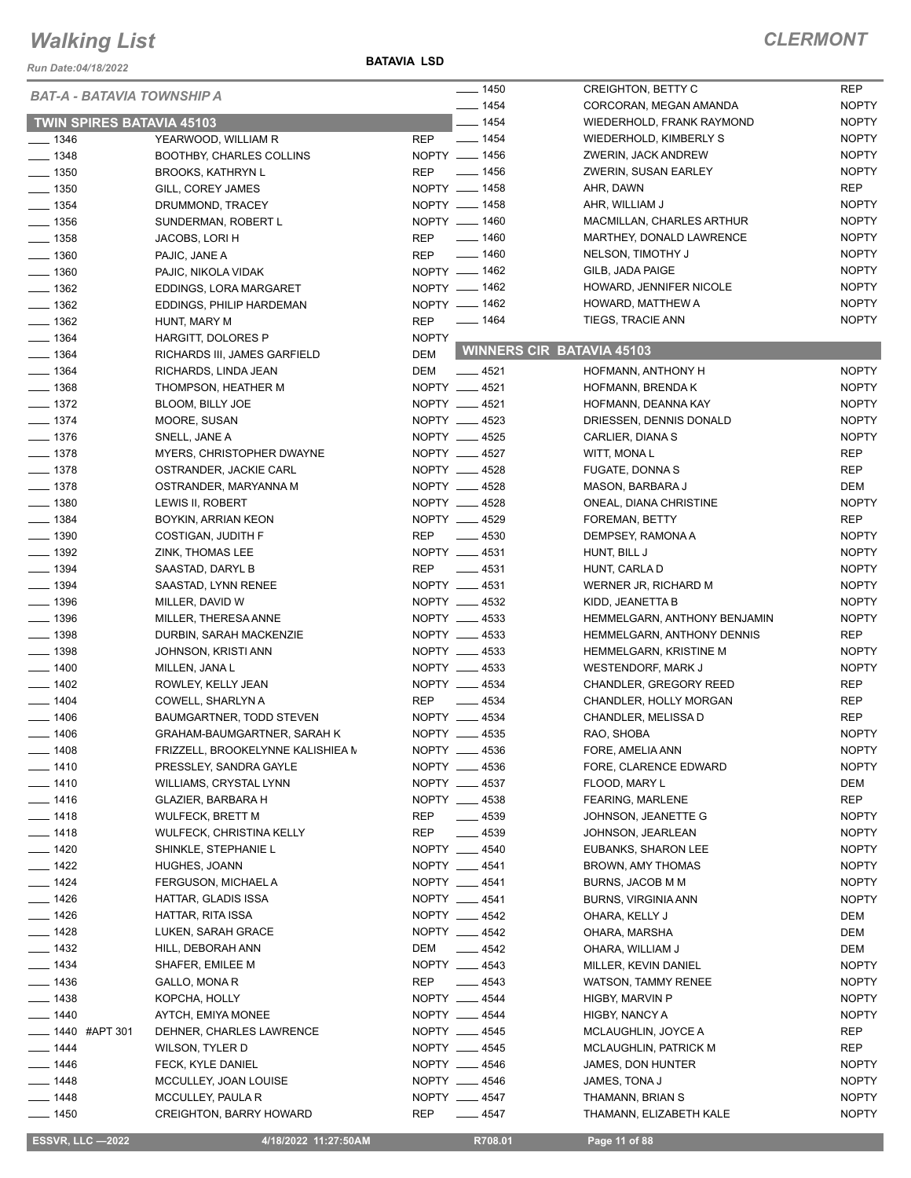*Run Date:04/18/2022*

#### **BATAVIA LSD**

#### *CLERMONT*

| <b>BAT-A - BATAVIA TOWNSHIP A</b> |                                    | $- 1450$                         | <b>CREIGHTON, BETTY C</b>        | REP          |
|-----------------------------------|------------------------------------|----------------------------------|----------------------------------|--------------|
|                                   |                                    | $- 1454$                         | CORCORAN, MEGAN AMANDA           | <b>NOPTY</b> |
| <b>TWIN SPIRES BATAVIA 45103</b>  |                                    | $- 1454$                         | WIEDERHOLD, FRANK RAYMOND        | <b>NOPTY</b> |
| $- 1346$                          | YEARWOOD, WILLIAM R                | $\frac{1}{2}$ 1454<br><b>REP</b> | WIEDERHOLD, KIMBERLY S           | <b>NOPTY</b> |
| $- 1348$                          | <b>BOOTHBY, CHARLES COLLINS</b>    | NOPTY __ 1456                    | ZWERIN, JACK ANDREW              | <b>NOPTY</b> |
| $- 1350$                          | <b>BROOKS, KATHRYN L</b>           | REP __ 1456                      | ZWERIN, SUSAN EARLEY             | <b>NOPTY</b> |
| $- 1350$                          | GILL, COREY JAMES                  | NOPTY __ 1458                    | AHR, DAWN                        | REP          |
| $- 1354$                          | DRUMMOND, TRACEY                   | NOPTY - 1458                     | AHR, WILLIAM J                   | <b>NOPTY</b> |
| $\frac{1}{2}$ 1356                | SUNDERMAN, ROBERT L                | NOPTY __ 1460                    | MACMILLAN, CHARLES ARTHUR        | <b>NOPTY</b> |
| $- 1358$                          | JACOBS, LORI H                     | $- 1460$<br>REP                  | MARTHEY, DONALD LAWRENCE         | <b>NOPTY</b> |
| $\frac{1}{2}$ 1360                | PAJIC, JANE A                      | $- 1460$<br><b>REP</b>           | NELSON, TIMOTHY J                | <b>NOPTY</b> |
| $\frac{1}{2}$ 1360                | PAJIC, NIKOLA VIDAK                | NOPTY __ 1462                    | GILB, JADA PAIGE                 | <b>NOPTY</b> |
| $- 1362$                          | EDDINGS, LORA MARGARET             | NOPTY - 1462                     | HOWARD, JENNIFER NICOLE          | <b>NOPTY</b> |
| $\frac{1}{2}$ 1362                | EDDINGS, PHILIP HARDEMAN           | NOPTY __ 1462                    | HOWARD, MATTHEW A                | <b>NOPTY</b> |
| $- 1362$                          |                                    | _____ 1464<br>REP                | TIEGS, TRACIE ANN                | <b>NOPTY</b> |
|                                   | HUNT, MARY M                       |                                  |                                  |              |
| $- 1364$                          | HARGITT, DOLORES P                 | <b>NOPTY</b>                     | <b>WINNERS CIR BATAVIA 45103</b> |              |
| $- 1364$                          | RICHARDS III, JAMES GARFIELD       | <b>DEM</b>                       |                                  |              |
| $- 1364$                          | RICHARDS, LINDA JEAN               | <b>DEM</b><br>$-4521$            | HOFMANN, ANTHONY H               | <b>NOPTY</b> |
| $- 1368$                          | THOMPSON, HEATHER M                | NOPTY __ 4521                    | HOFMANN, BRENDA K                | <b>NOPTY</b> |
| $\frac{1}{2}$ 1372                | BLOOM, BILLY JOE                   | NOPTY __ 4521                    | HOFMANN, DEANNA KAY              | <b>NOPTY</b> |
| $- 1374$                          | MOORE, SUSAN                       | NOPTY __ 4523                    | DRIESSEN, DENNIS DONALD          | <b>NOPTY</b> |
| $- 1376$                          | SNELL, JANE A                      | NOPTY __ 4525                    | CARLIER, DIANA S                 | <b>NOPTY</b> |
| $- 1378$                          | MYERS, CHRISTOPHER DWAYNE          | NOPTY __ 4527                    | WITT, MONAL                      | REP          |
| $- 1378$                          | OSTRANDER, JACKIE CARL             | NOPTY __ 4528                    | <b>FUGATE, DONNA S</b>           | <b>REP</b>   |
| $- 1378$                          | OSTRANDER, MARYANNA M              | NOPTY __ 4528                    | MASON, BARBARA J                 | DEM          |
| $\frac{1}{2}$ 1380                | LEWIS II, ROBERT                   | NOPTY __ 4528                    | ONEAL, DIANA CHRISTINE           | <b>NOPTY</b> |
| $- 1384$                          | BOYKIN, ARRIAN KEON                | NOPTY __ 4529                    | FOREMAN, BETTY                   | <b>REP</b>   |
| $\frac{1}{2}$ 1390                | COSTIGAN, JUDITH F                 | REP __ 4530                      | DEMPSEY, RAMONA A                | <b>NOPTY</b> |
| $\frac{1}{2}$ 1392                | ZINK, THOMAS LEE                   | NOPTY __ 4531                    | HUNT, BILL J                     | <b>NOPTY</b> |
| $- 1394$                          | SAASTAD, DARYL B                   | REP<br>_____ 4531                | HUNT, CARLA D                    | <b>NOPTY</b> |
| $- 1394$                          | SAASTAD, LYNN RENEE                | NOPTY __ 4531                    | WERNER JR, RICHARD M             | <b>NOPTY</b> |
| $\frac{1}{2}$ 1396                | MILLER, DAVID W                    | NOPTY __ 4532                    | KIDD, JEANETTA B                 | <b>NOPTY</b> |
| $\frac{1}{2}$ 1396                | MILLER, THERESA ANNE               | NOPTY __ 4533                    | HEMMELGARN, ANTHONY BENJAMIN     | <b>NOPTY</b> |
| $\frac{1}{2}$ 1398                | DURBIN, SARAH MACKENZIE            | NOPTY __ 4533                    | HEMMELGARN, ANTHONY DENNIS       | <b>REP</b>   |
| $- 1398$                          | JOHNSON, KRISTI ANN                | NOPTY __ 4533                    | HEMMELGARN, KRISTINE M           | <b>NOPTY</b> |
| $\frac{1}{2}$ 1400                | MILLEN, JANA L                     | NOPTY __ 4533                    | WESTENDORF, MARK J               | <b>NOPTY</b> |
| $- 1402$                          | ROWLEY, KELLY JEAN                 | NOPTY __ 4534                    | CHANDLER, GREGORY REED           | REP          |
| $- 1404$                          | COWELL, SHARLYN A                  | <b>REP</b><br>$\frac{1}{2}$ 4534 | CHANDLER, HOLLY MORGAN           | REP          |
| $- 1406$                          | BAUMGARTNER, TODD STEVEN           | NOPTY __ 4534                    | CHANDLER, MELISSA D              | <b>REP</b>   |
| $- 1406$                          |                                    | NOPTY __ 4535                    |                                  | <b>NOPTY</b> |
|                                   | <b>GRAHAM-BAUMGARTNER, SARAH K</b> |                                  | RAO, SHOBA                       |              |
| $- 1408$                          | FRIZZELL, BROOKELYNNE KALISHIEA M  | NOPTY __ 4536                    | FORE, AMELIA ANN                 | <b>NOPTY</b> |
| $- 1410$                          | PRESSLEY, SANDRA GAYLE             | NOPTY __ 4536                    | FORE, CLARENCE EDWARD            | <b>NOPTY</b> |
| $- 1410$                          | WILLIAMS, CRYSTAL LYNN             | NOPTY __ 4537                    | FLOOD, MARY L                    | DEM          |
| $- 1416$                          | GLAZIER, BARBARA H                 | NOPTY __ 4538                    | <b>FEARING, MARLENE</b>          | REP          |
| $- 1418$                          | <b>WULFECK, BRETT M</b>            | $-4539$<br>REP                   | JOHNSON, JEANETTE G              | <b>NOPTY</b> |
| $- 1418$                          | WULFECK, CHRISTINA KELLY           | REP<br>$- 4539$                  | JOHNSON, JEARLEAN                | <b>NOPTY</b> |
| $- 1420$                          | SHINKLE, STEPHANIE L               | NOPTY __ 4540                    | EUBANKS, SHARON LEE              | <b>NOPTY</b> |
| $- 1422$                          | HUGHES, JOANN                      | NOPTY __ 4541                    | BROWN, AMY THOMAS                | <b>NOPTY</b> |
| $- 1424$                          | FERGUSON, MICHAEL A                | NOPTY __ 4541                    | BURNS, JACOB M M                 | <b>NOPTY</b> |
| $- 1426$                          | HATTAR, GLADIS ISSA                | NOPTY __ 4541                    | <b>BURNS, VIRGINIA ANN</b>       | <b>NOPTY</b> |
| $- 1426$                          | HATTAR, RITA ISSA                  | NOPTY __ 4542                    | OHARA, KELLY J                   | DEM          |
| $- 1428$                          | LUKEN, SARAH GRACE                 | NOPTY __ 4542                    | OHARA, MARSHA                    | DEM          |
| $- 1432$                          | HILL, DEBORAH ANN                  | DEM __ 4542                      | OHARA, WILLIAM J                 | DEM          |
| $- 1434$                          | SHAFER, EMILEE M                   | NOPTY __ 4543                    | MILLER, KEVIN DANIEL             | <b>NOPTY</b> |
| $- 1436$                          | GALLO, MONA R                      | $\frac{1}{2}$ 4543<br>REP        | <b>WATSON, TAMMY RENEE</b>       | <b>NOPTY</b> |
| $- 1438$                          | KOPCHA, HOLLY                      | NOPTY __ 4544                    | HIGBY, MARVIN P                  | <b>NOPTY</b> |
| $- 1440$                          | AYTCH, EMIYA MONEE                 | NOPTY __ 4544                    | HIGBY, NANCY A                   | <b>NOPTY</b> |
| <b>____ 1440 #APT 301</b>         | DEHNER, CHARLES LAWRENCE           | NOPTY __ 4545                    | MCLAUGHLIN, JOYCE A              | REP          |
| $- 1444$                          | WILSON, TYLER D                    | NOPTY __ 4545                    | MCLAUGHLIN, PATRICK M            | REP          |
| $- 1446$                          | FECK, KYLE DANIEL                  | NOPTY __ 4546                    | JAMES, DON HUNTER                | <b>NOPTY</b> |
| $- 1448$                          | MCCULLEY, JOAN LOUISE              | NOPTY __ 4546                    | JAMES, TONA J                    | <b>NOPTY</b> |
| $- 1448$                          |                                    | NOPTY __ 4547                    |                                  | <b>NOPTY</b> |
|                                   | MCCULLEY, PAULA R                  |                                  | THAMANN, BRIAN S                 |              |
| $- 1450$                          | <b>CREIGHTON, BARRY HOWARD</b>     | REP<br>$-4547$                   | THAMANN, ELIZABETH KALE          | <b>NOPTY</b> |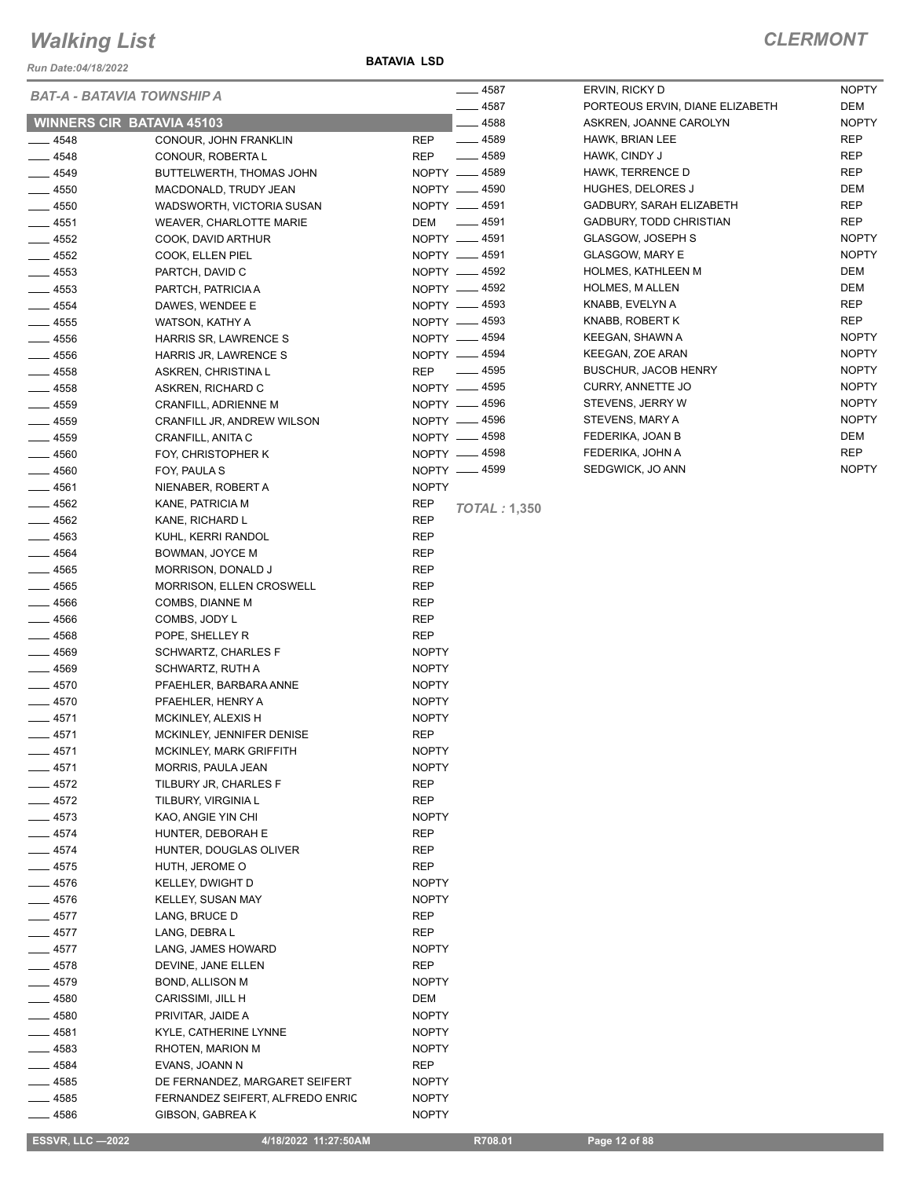*Run Date:04/18/2022*

**BATAVIA LSD**

NOPTY

|                     | BAT-A - BATAVIA TOWNSHIP A                   | $-4587$                           | ERVIN, RICKY D                                     | <b>NOPTY</b> |
|---------------------|----------------------------------------------|-----------------------------------|----------------------------------------------------|--------------|
|                     |                                              | $-4587$                           | PORTEOUS ERVIN, DIANE ELIZABETH                    | DEM          |
|                     | <b>WINNERS CIR BATAVIA 45103</b>             | _ 4588                            | ASKREN, JOANNE CAROLYN                             | <b>NOPTY</b> |
| $- 4548$            | CONOUR, JOHN FRANKLIN                        | <b>REP</b><br>$- 4589$            | HAWK, BRIAN LEE                                    | <b>REP</b>   |
| $-4548$             | CONOUR, ROBERTA L                            | $-4589$<br><b>REP</b>             | HAWK, CINDY J                                      | REP          |
| $- 4549$            | BUTTELWERTH, THOMAS JOHN                     | NOPTY <u>_</u> 4589               | HAWK, TERRENCE D                                   | REP          |
| $- 4550$            | MACDONALD, TRUDY JEAN                        | NOPTY -4590                       | HUGHES, DELORES J                                  | DEM          |
| $-4550$             | WADSWORTH, VICTORIA SUSAN                    | NOPTY __ 4591                     | GADBURY, SARAH ELIZABETH                           | <b>REP</b>   |
| $- 4551$            | WEAVER, CHARLOTTE MARIE                      | _____ 4591<br>DEM                 | GADBURY, TODD CHRISTIAN                            | <b>REP</b>   |
| $-4552$             | COOK, DAVID ARTHUR                           | NOPTY __ 4591                     | GLASGOW, JOSEPH S                                  | <b>NOPTY</b> |
| $-4552$             | COOK, ELLEN PIEL                             | NOPTY -4591                       | <b>GLASGOW, MARY E</b>                             | <b>NOPTY</b> |
| $- 4553$            | PARTCH, DAVID C                              | NOPTY -4592<br>NOPTY -4592        | <b>HOLMES, KATHLEEN M</b><br><b>HOLMES, MALLEN</b> | DEM<br>DEM   |
| $-4553$             | PARTCH, PATRICIA A                           |                                   | KNABB, EVELYN A                                    | <b>REP</b>   |
| $- 4554$            | DAWES, WENDEE E                              | NOPTY -4593<br>NOPTY __ 4593      | KNABB, ROBERT K                                    | <b>REP</b>   |
| $\frac{1}{2}$ 4555  | WATSON, KATHY A                              | NOPTY -4594                       | KEEGAN, SHAWN A                                    | <b>NOPTY</b> |
| $-4556$             | HARRIS SR, LAWRENCE S                        | NOPTY - 4594                      | KEEGAN, ZOE ARAN                                   | <b>NOPTY</b> |
| $- 4556$<br>$-4558$ | HARRIS JR, LAWRENCE S<br>ASKREN, CHRISTINA L | $\frac{1}{2}$ 4595<br><b>REP</b>  | <b>BUSCHUR, JACOB HENRY</b>                        | <b>NOPTY</b> |
| $- 4558$            | ASKREN, RICHARD C                            | NOPTY -4595                       | <b>CURRY, ANNETTE JO</b>                           | <b>NOPTY</b> |
| $\frac{1}{2}$ 4559  | CRANFILL, ADRIENNE M                         | NOPTY __ 4596                     | STEVENS, JERRY W                                   | <b>NOPTY</b> |
| $-4559$             | CRANFILL JR, ANDREW WILSON                   | NOPTY __ 4596                     | STEVENS, MARY A                                    | <b>NOPTY</b> |
| $-4559$             | CRANFILL, ANITA C                            | NOPTY -4598                       | FEDERIKA, JOAN B                                   | DEM          |
| $-4560$             | FOY, CHRISTOPHER K                           | NOPTY __ 4598                     | FEDERIKA, JOHN A                                   | <b>REP</b>   |
| $- 4560$            | FOY, PAULA S                                 | NOPTY -4599                       | SEDGWICK, JO ANN                                   | <b>NOPTY</b> |
| $-4561$             | NIENABER, ROBERT A                           | <b>NOPTY</b>                      |                                                    |              |
| $-4562$             | KANE, PATRICIA M                             | <b>REP</b>                        |                                                    |              |
| $- 4562$            | KANE, RICHARD L                              | <b>TOTAL: 1,350</b><br><b>REP</b> |                                                    |              |
| $-4563$             | KUHL, KERRI RANDOL                           | <b>REP</b>                        |                                                    |              |
| $- 4564$            | BOWMAN, JOYCE M                              | REP                               |                                                    |              |
| $-4565$             | MORRISON, DONALD J                           | REP                               |                                                    |              |
| $-4565$             | <b>MORRISON, ELLEN CROSWELL</b>              | <b>REP</b>                        |                                                    |              |
| $- 4566$            | COMBS, DIANNE M                              | REP                               |                                                    |              |
| $-4566$             | COMBS, JODY L                                | <b>REP</b>                        |                                                    |              |
| $- 4568$            | POPE, SHELLEY R                              | <b>REP</b>                        |                                                    |              |
| $-4569$             | <b>SCHWARTZ, CHARLES F</b>                   | <b>NOPTY</b>                      |                                                    |              |
| $- 4569$            | <b>SCHWARTZ, RUTH A</b>                      | <b>NOPTY</b>                      |                                                    |              |
| $-4570$             | PFAEHLER, BARBARA ANNE                       | <b>NOPTY</b>                      |                                                    |              |
| $-4570$             | PFAEHLER, HENRY A                            | <b>NOPTY</b>                      |                                                    |              |
| $-4571$             | MCKINLEY, ALEXIS H                           | <b>NOPTY</b>                      |                                                    |              |
| $-4571$             | MCKINLEY, JENNIFER DENISE                    | REP                               |                                                    |              |
| —— 4571             | MCKINLEY, MARK GRIFFITH                      | <b>NOPTY</b>                      |                                                    |              |
| __ 4571             | MORRIS, PAULA JEAN                           | <b>NOPTY</b>                      |                                                    |              |
| $-4572$             | TILBURY JR, CHARLES F                        | <b>REP</b>                        |                                                    |              |
| $-4572$             | TILBURY, VIRGINIA L                          | <b>REP</b>                        |                                                    |              |
| $-4573$             | KAO, ANGIE YIN CHI                           | <b>NOPTY</b>                      |                                                    |              |
| $-4574$             | HUNTER, DEBORAH E                            | <b>REP</b>                        |                                                    |              |
| $-4574$             | HUNTER, DOUGLAS OLIVER                       | <b>REP</b>                        |                                                    |              |
| $-4575$             | HUTH, JEROME O                               | <b>REP</b>                        |                                                    |              |
| $-4576$             | <b>KELLEY, DWIGHT D</b>                      | <b>NOPTY</b>                      |                                                    |              |
| $-4576$             | KELLEY, SUSAN MAY                            | <b>NOPTY</b>                      |                                                    |              |
| $-4577$             | LANG, BRUCE D                                | <b>REP</b>                        |                                                    |              |
| $-4577$             | LANG, DEBRA L                                | REP                               |                                                    |              |
| $-4577$             | LANG, JAMES HOWARD                           | <b>NOPTY</b>                      |                                                    |              |
| $-4578$             | DEVINE, JANE ELLEN                           | <b>REP</b>                        |                                                    |              |
| $-4579$             | BOND, ALLISON M                              | <b>NOPTY</b>                      |                                                    |              |
| $-4580$             | CARISSIMI, JILL H                            | DEM                               |                                                    |              |
| $- 4580$            | PRIVITAR, JAIDE A                            | <b>NOPTY</b>                      |                                                    |              |
| $-4581$             | KYLE, CATHERINE LYNNE                        | <b>NOPTY</b>                      |                                                    |              |
| $-4583$             | RHOTEN, MARION M                             | <b>NOPTY</b>                      |                                                    |              |
| $-4584$             | EVANS, JOANN N                               | REP                               |                                                    |              |
| $-4585$             | DE FERNANDEZ, MARGARET SEIFERT               | <b>NOPTY</b>                      |                                                    |              |
| $-4585$             | FERNANDEZ SEIFERT, ALFREDO ENRIC             | <b>NOPTY</b>                      |                                                    |              |
| $-4586$             | GIBSON, GABREA K                             | <b>NOPTY</b>                      |                                                    |              |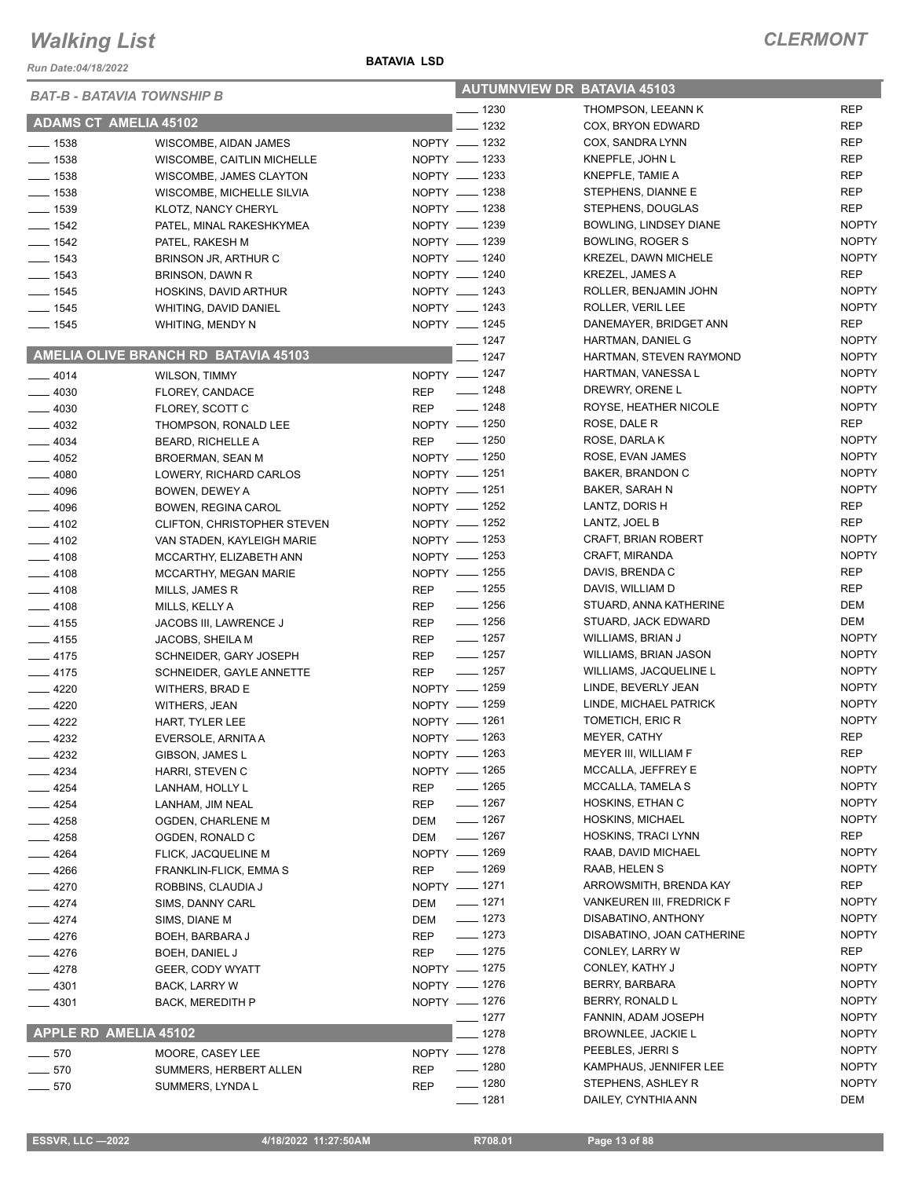*Run Date:04/18/2022*

| <b>BAT-B - BATAVIA TOWNSHIP B</b> |                                      | <b>AUTUMNVIEW DR BATAVIA 45103</b> |                    |                            |              |
|-----------------------------------|--------------------------------------|------------------------------------|--------------------|----------------------------|--------------|
|                                   |                                      |                                    | $- 1230$           | THOMPSON, LEEANN K         | <b>REP</b>   |
| <b>ADAMS CT AMELIA 45102</b>      |                                      |                                    | $- 1232$           | COX, BRYON EDWARD          | <b>REP</b>   |
| $\frac{1}{2}$ 1538                | WISCOMBE, AIDAN JAMES                |                                    | NOPTY __ 1232      | COX, SANDRA LYNN           | REP          |
| $\frac{1}{2}$ 1538                | WISCOMBE, CAITLIN MICHELLE           |                                    | NOPTY __ 1233      | KNEPFLE, JOHN L            | <b>REP</b>   |
| $- 1538$                          | WISCOMBE, JAMES CLAYTON              |                                    | NOPTY __ 1233      | KNEPFLE, TAMIE A           | <b>REP</b>   |
| $\frac{1}{2}$ 1538                | WISCOMBE, MICHELLE SILVIA            |                                    | NOPTY __ 1238      | STEPHENS, DIANNE E         | <b>REP</b>   |
| $\frac{1}{2}$ 1539                | KLOTZ, NANCY CHERYL                  |                                    | NOPTY __ 1238      | STEPHENS, DOUGLAS          | REP          |
| $- 1542$                          | PATEL, MINAL RAKESHKYMEA             |                                    | NOPTY __ 1239      | BOWLING, LINDSEY DIANE     | <b>NOPTY</b> |
| $- 1542$                          | PATEL, RAKESH M                      |                                    | NOPTY __ 1239      | <b>BOWLING, ROGER S</b>    | <b>NOPTY</b> |
| $- 1543$                          | BRINSON JR, ARTHUR C                 |                                    | NOPTY __ 1240      | KREZEL, DAWN MICHELE       | <b>NOPTY</b> |
| $- 1543$                          | BRINSON, DAWN R                      |                                    | NOPTY __ 1240      | KREZEL, JAMES A            | REP          |
| $- 1545$                          | HOSKINS, DAVID ARTHUR                |                                    | NOPTY __ 1243      | ROLLER, BENJAMIN JOHN      | <b>NOPTY</b> |
| $\frac{1}{2}$ 1545                | WHITING, DAVID DANIEL                |                                    | NOPTY __ 1243      | ROLLER, VERIL LEE          | <b>NOPTY</b> |
| $- 1545$                          | WHITING, MENDY N                     |                                    | NOPTY __ 1245      | DANEMAYER, BRIDGET ANN     | REP          |
|                                   |                                      |                                    | $- 1247$           | HARTMAN, DANIEL G          | <b>NOPTY</b> |
|                                   | AMELIA OLIVE BRANCH RD BATAVIA 45103 |                                    | $- 1247$           | HARTMAN, STEVEN RAYMOND    | <b>NOPTY</b> |
| $-4014$                           | <b>WILSON, TIMMY</b>                 |                                    | NOPTY - 1247       | HARTMAN, VANESSA L         | <b>NOPTY</b> |
| $-4030$                           | FLOREY, CANDACE                      | <b>REP</b>                         | $\frac{1}{2}$ 1248 | DREWRY, ORENE L            | <b>NOPTY</b> |
| $-4030$                           | FLOREY, SCOTT C                      | <b>REP</b>                         | $- 1248$           | ROYSE, HEATHER NICOLE      | <b>NOPTY</b> |
| $-4032$                           | THOMPSON, RONALD LEE                 |                                    | NOPTY - 1250       | ROSE, DALE R               | <b>REP</b>   |
| $-4034$                           | <b>BEARD, RICHELLE A</b>             |                                    | REP - 1250         | ROSE, DARLA K              | <b>NOPTY</b> |
| $-4052$                           | BROERMAN, SEAN M                     |                                    | NOPTY - 1250       | ROSE, EVAN JAMES           | <b>NOPTY</b> |
| $-4080$                           | LOWERY, RICHARD CARLOS               |                                    | NOPTY - 1251       | BAKER, BRANDON C           | <b>NOPTY</b> |
| $-4096$                           | BOWEN, DEWEY A                       |                                    | NOPTY __ 1251      | BAKER, SARAH N             | <b>NOPTY</b> |
| $-4096$                           | BOWEN, REGINA CAROL                  |                                    | NOPTY - 1252       | LANTZ, DORIS H             | REP          |
| $-4102$                           | CLIFTON, CHRISTOPHER STEVEN          |                                    | NOPTY - 1252       | LANTZ, JOEL B              | REP          |
| $-4102$                           | VAN STADEN, KAYLEIGH MARIE           |                                    | NOPTY - 1253       | CRAFT, BRIAN ROBERT        | <b>NOPTY</b> |
| $-4108$                           | MCCARTHY, ELIZABETH ANN              |                                    | NOPTY - 1253       | CRAFT, MIRANDA             | <b>NOPTY</b> |
| $-4108$                           | MCCARTHY, MEGAN MARIE                |                                    | NOPTY __ 1255      | DAVIS, BRENDA C            | REP          |
| $-4108$                           | MILLS, JAMES R                       | <b>REP</b>                         | —— 1255            | DAVIS, WILLIAM D           | REP          |
| $-4108$                           | MILLS, KELLY A                       | <b>REP</b>                         | $\frac{1}{2}$ 1256 | STUARD, ANNA KATHERINE     | DEM          |
| $-4155$                           | JACOBS III, LAWRENCE J               | <b>REP</b>                         | $- 1256$           | STUARD, JACK EDWARD        | DEM          |
| $-4155$                           | JACOBS, SHEILA M                     | <b>REP</b>                         | $\frac{1}{2}$ 1257 | WILLIAMS, BRIAN J          | <b>NOPTY</b> |
| $-4175$                           | SCHNEIDER, GARY JOSEPH               | <b>REP</b>                         | $\frac{1}{2}$ 1257 | WILLIAMS, BRIAN JASON      | <b>NOPTY</b> |
| $-4175$                           | SCHNEIDER, GAYLE ANNETTE             | <b>REP</b>                         | $\frac{1}{2}$ 1257 | WILLIAMS, JACQUELINE L     | <b>NOPTY</b> |
| $-4220$                           | WITHERS, BRAD E                      |                                    | NOPTY - 1259       | LINDE, BEVERLY JEAN        | <b>NOPTY</b> |
| $-4220$                           | WITHERS, JEAN                        |                                    | NOPTY - 1259       | LINDE, MICHAEL PATRICK     | <b>NOPTY</b> |
| $-4222$                           | HART, TYLER LEE                      |                                    | NOPTY - 1261       | TOMETICH, ERIC R           | <b>NOPTY</b> |
| $-4232$                           | EVERSOLE, ARNITA A                   |                                    | NOPTY - 1263       | MEYER, CATHY               | REP          |
| $-4232$                           | GIBSON, JAMES L                      |                                    | NOPTY - 1263       | MEYER III, WILLIAM F       | REP          |
| _ 4234                            | HARRI, STEVEN C                      |                                    | NOPTY - 1265       | MCCALLA, JEFFREY E         | <b>NOPTY</b> |
| $-4254$                           | LANHAM, HOLLY L                      | <b>REP</b>                         | $- 1265$           | MCCALLA, TAMELA S          | <b>NOPTY</b> |
| __ 4254                           | LANHAM, JIM NEAL                     | <b>REP</b>                         | $\frac{1}{2}$ 1267 | HOSKINS, ETHAN C           | <b>NOPTY</b> |
| __ 4258                           | OGDEN, CHARLENE M                    | <b>DEM</b>                         | $- 1267$           | HOSKINS, MICHAEL           | <b>NOPTY</b> |
| $-4258$                           | OGDEN, RONALD C                      | <b>DEM</b>                         | $- 1267$           | HOSKINS, TRACI LYNN        | REP          |
| — 4264                            | <b>FLICK, JACQUELINE M</b>           |                                    | NOPTY - 1269       | RAAB, DAVID MICHAEL        | <b>NOPTY</b> |
| $-4266$                           | FRANKLIN-FLICK, EMMA S               | <b>REP</b>                         | $- 1269$           | RAAB, HELEN S              | <b>NOPTY</b> |
| $-4270$                           | ROBBINS, CLAUDIA J                   |                                    | NOPTY -1271        | ARROWSMITH, BRENDA KAY     | REP          |
| $-4274$                           | SIMS, DANNY CARL                     | DEM                                | $- 1271$           | VANKEUREN III, FREDRICK F  | <b>NOPTY</b> |
| $-4274$                           | SIMS, DIANE M                        | DEM                                | $- 1273$           | DISABATINO, ANTHONY        | <b>NOPTY</b> |
| — 4276                            | BOEH, BARBARA J                      | <b>REP</b>                         | $- 1273$           | DISABATINO, JOAN CATHERINE | <b>NOPTY</b> |
| $-4276$                           | BOEH, DANIEL J                       | <b>REP</b>                         | $- 1275$           | CONLEY, LARRY W            | REP          |
| $-4278$                           | GEER, CODY WYATT                     |                                    | NOPTY - 1275       | CONLEY, KATHY J            | <b>NOPTY</b> |
| ___ 4301                          | <b>BACK, LARRY W</b>                 |                                    | NOPTY - 1276       | BERRY, BARBARA             | <b>NOPTY</b> |
| $- 4301$                          | <b>BACK, MEREDITH P</b>              |                                    | NOPTY - 1276       | BERRY, RONALD L            | <b>NOPTY</b> |
|                                   |                                      |                                    | —— 1277            | FANNIN, ADAM JOSEPH        | <b>NOPTY</b> |
| <b>APPLE RD AMELIA 45102</b>      |                                      |                                    | $-1278$            | BROWNLEE, JACKIE L         | <b>NOPTY</b> |
| $\frac{1}{2}$ 570                 | MOORE, CASEY LEE                     |                                    | NOPTY - 1278       | PEEBLES, JERRIS            | <b>NOPTY</b> |
| 570                               | SUMMERS, HERBERT ALLEN               | <b>REP</b>                         | $\frac{1}{2}$ 1280 | KAMPHAUS, JENNIFER LEE     | <b>NOPTY</b> |
| $-570$                            | SUMMERS, LYNDA L                     | <b>REP</b>                         | $- 1280$           | STEPHENS, ASHLEY R         | <b>NOPTY</b> |
|                                   |                                      |                                    | $- 1281$           | DAILEY, CYNTHIA ANN        | DEM          |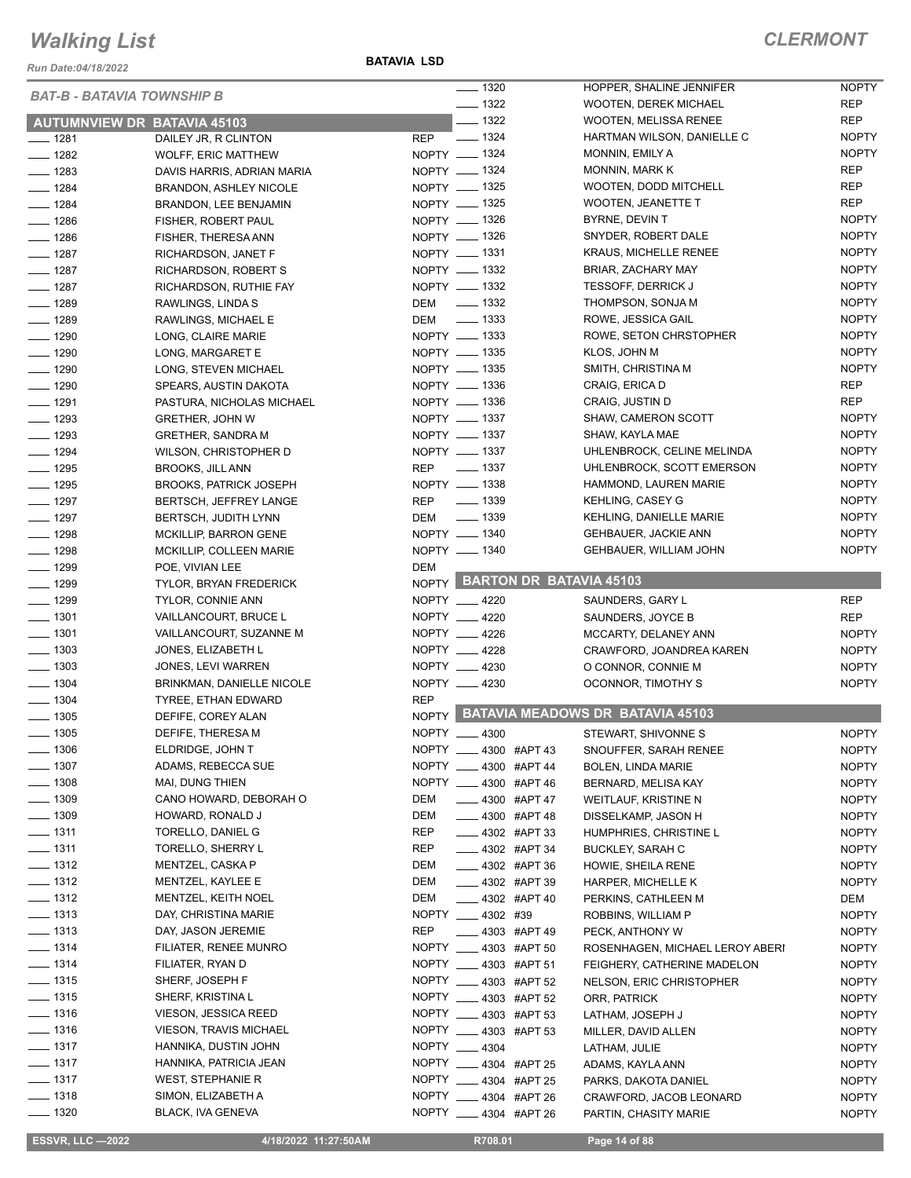*Run Date:04/18/2022*

**BATAVIA LSD**

|               | BAT-B - BATAVIA TOWNSHIP B         |               | $- 1320$                   | HOPPER, SHALINE JENNIFER                        | <b>NOPTY</b> |
|---------------|------------------------------------|---------------|----------------------------|-------------------------------------------------|--------------|
|               |                                    |               | $\frac{1}{2}$ 1322         | <b>WOOTEN, DEREK MICHAEL</b>                    | <b>REP</b>   |
|               | <b>AUTUMNVIEW DR BATAVIA 45103</b> |               | $- 1322$                   | <b>WOOTEN, MELISSA RENEE</b>                    | <b>REP</b>   |
| ___ 1281      | DAILEY JR, R CLINTON               | REP           | $\frac{1}{2}$ 1324         | HARTMAN WILSON, DANIELLE C                      | <b>NOPTY</b> |
| $- 1282$      | <b>WOLFF, ERIC MATTHEW</b>         | NOPTY - 1324  |                            | MONNIN, EMILY A                                 | <b>NOPTY</b> |
| $- 1283$      | DAVIS HARRIS, ADRIAN MARIA         | NOPTY __ 1324 |                            | <b>MONNIN, MARK K</b>                           | <b>REP</b>   |
| $- 1284$      | <b>BRANDON, ASHLEY NICOLE</b>      | NOPTY __ 1325 |                            | WOOTEN, DODD MITCHELL                           | <b>REP</b>   |
| $- 1284$      | BRANDON, LEE BENJAMIN              | NOPTY - 1325  |                            | WOOTEN, JEANETTE T                              | <b>REP</b>   |
| $- 1286$      | FISHER, ROBERT PAUL                | NOPTY - 1326  |                            | BYRNE, DEVIN T                                  | <b>NOPTY</b> |
| $- 1286$      | FISHER, THERESA ANN                | NOPTY - 1326  |                            | SNYDER, ROBERT DALE                             | <b>NOPTY</b> |
| $- 1287$      | RICHARDSON, JANET F                | NOPTY __ 1331 |                            | <b>KRAUS, MICHELLE RENEE</b>                    | <b>NOPTY</b> |
| $- 1287$      | RICHARDSON, ROBERT S               | NOPTY - 1332  |                            | BRIAR, ZACHARY MAY                              | <b>NOPTY</b> |
| $- 1287$      | RICHARDSON, RUTHIE FAY             | NOPTY - 1332  |                            | <b>TESSOFF, DERRICK J</b>                       | <b>NOPTY</b> |
| $- 1289$      | RAWLINGS, LINDA S                  | DEM           | $\frac{1}{2}$ 1332         | THOMPSON, SONJA M                               | <b>NOPTY</b> |
| $- 1289$      | RAWLINGS, MICHAEL E                | DEM           | $\frac{1}{2}$ 1333         | ROWE, JESSICA GAIL                              | <b>NOPTY</b> |
| $- 1290$      | LONG, CLAIRE MARIE                 | NOPTY __ 1333 |                            | ROWE, SETON CHRSTOPHER                          | <b>NOPTY</b> |
| $- 1290$      | LONG, MARGARET E                   | NOPTY __ 1335 |                            | KLOS, JOHN M                                    | <b>NOPTY</b> |
| $- 1290$      | LONG, STEVEN MICHAEL               | NOPTY __ 1335 |                            | SMITH, CHRISTINA M                              | <b>NOPTY</b> |
| $- 1290$      | SPEARS, AUSTIN DAKOTA              | NOPTY __ 1336 |                            | CRAIG, ERICA D                                  | REP          |
| $- 1291$      | PASTURA, NICHOLAS MICHAEL          | NOPTY - 1336  |                            | CRAIG, JUSTIN D                                 | <b>REP</b>   |
| $-$ 1293      | <b>GRETHER, JOHN W</b>             | NOPTY __ 1337 |                            | SHAW, CAMERON SCOTT                             | <b>NOPTY</b> |
| $- 1293$      | GRETHER, SANDRA M                  | NOPTY __ 1337 |                            | SHAW, KAYLA MAE                                 | <b>NOPTY</b> |
| $- 1294$      | WILSON, CHRISTOPHER D              | NOPTY - 1337  |                            | UHLENBROCK, CELINE MELINDA                      | <b>NOPTY</b> |
| $- 1295$      | <b>BROOKS, JILL ANN</b>            | REP __ 1337   |                            | UHLENBROCK, SCOTT EMERSON                       | <b>NOPTY</b> |
| $- 1295$      | <b>BROOKS, PATRICK JOSEPH</b>      | NOPTY - 1338  |                            | HAMMOND, LAUREN MARIE                           | <b>NOPTY</b> |
| $- 1297$      | <b>BERTSCH, JEFFREY LANGE</b>      | <b>REP</b>    | $\frac{1}{2}$ 1339         | <b>KEHLING, CASEY G</b>                         | <b>NOPTY</b> |
| $- 1297$      | <b>BERTSCH, JUDITH LYNN</b>        | DEM           | $\frac{1}{2}$ 1339         | KEHLING, DANIELLE MARIE                         | <b>NOPTY</b> |
| $- 1298$      | <b>MCKILLIP, BARRON GENE</b>       | NOPTY - 1340  |                            | <b>GEHBAUER, JACKIE ANN</b>                     | <b>NOPTY</b> |
| $- 1298$      | MCKILLIP, COLLEEN MARIE            | NOPTY - 1340  |                            | GEHBAUER, WILLIAM JOHN                          | <b>NOPTY</b> |
| $- 1299$      | POE, VIVIAN LEE                    | DEM           |                            |                                                 |              |
| $- 1299$      | TYLOR, BRYAN FREDERICK             |               |                            | NOPTY BARTON DR BATAVIA 45103                   |              |
| $- 1299$      | <b>TYLOR, CONNIE ANN</b>           | NOPTY __ 4220 |                            | SAUNDERS, GARY L                                | <b>REP</b>   |
| $- 1301$      | <b>VAILLANCOURT, BRUCE L</b>       | NOPTY __ 4220 |                            | SAUNDERS, JOYCE B                               | <b>REP</b>   |
| $- 1301$      | VAILLANCOURT, SUZANNE M            | NOPTY __ 4226 |                            | MCCARTY, DELANEY ANN                            | <b>NOPTY</b> |
| $- 1303$      | JONES, ELIZABETH L                 | NOPTY __ 4228 |                            | CRAWFORD, JOANDREA KAREN                        | <b>NOPTY</b> |
| $- 1303$      | JONES, LEVI WARREN                 | NOPTY __ 4230 |                            | O CONNOR, CONNIE M                              | <b>NOPTY</b> |
| $- 1304$      | <b>BRINKMAN, DANIELLE NICOLE</b>   | NOPTY __ 4230 |                            | OCONNOR, TIMOTHY S                              | <b>NOPTY</b> |
| $- 1304$      | TYREE, ETHAN EDWARD                | <b>REP</b>    |                            |                                                 |              |
| $- 1305$      | DEFIFE, COREY ALAN                 |               |                            | NOPTY BATAVIA MEADOWS DR BATAVIA 45103          |              |
| $- 1305$      | DEFIFE, THERESA M                  | NOPTY __ 4300 |                            | STEWART, SHIVONNE S                             | <b>NOPTY</b> |
| $\equiv$ 1306 | ELDRIDGE, JOHN T                   |               | NOPTY __ 4300 #APT 43      | SNOUFFER, SARAH RENEE                           | <b>NOPTY</b> |
| ___ 1307      | ADAMS, REBECCA SUE                 |               | NOPTY __ 4300 #APT 44      | <b>BOLEN, LINDA MARIE</b>                       | <b>NOPTY</b> |
| $- 1308$      | MAI, DUNG THIEN                    |               | NOPTY __ 4300 #APT 46      | BERNARD, MELISA KAY                             | <b>NOPTY</b> |
| ___ 1309      | CANO HOWARD, DEBORAH O             | DEM           | $\frac{1}{2}$ 4300 #APT 47 | WEITLAUF, KRISTINE N                            | <b>NOPTY</b> |
| $- 1309$      | HOWARD, RONALD J                   | DEM           | <b>4300 #APT 48</b>        | DISSELKAMP, JASON H                             | <b>NOPTY</b> |
| $- 1311$      | TORELLO, DANIEL G                  | <b>REP</b>    | $\frac{1}{2}$ 4302 #APT 33 | HUMPHRIES, CHRISTINE L                          | <b>NOPTY</b> |
| $- 1311$      | TORELLO, SHERRY L                  | <b>REP</b>    | ____ 4302 #APT 34          | <b>BUCKLEY, SARAH C</b>                         | <b>NOPTY</b> |
| $- 1312$      | MENTZEL, CASKA P                   | DEM           | <b>4302 #APT 36</b>        | HOWIE, SHEILA RENE                              | <b>NOPTY</b> |
| ___ 1312      | MENTZEL, KAYLEE E                  | DEM           | ____ 4302 #APT 39          | HARPER, MICHELLE K                              | <b>NOPTY</b> |
| $- 1312$      | MENTZEL, KEITH NOEL                | DEM           | -4302 #APT 40              | PERKINS, CATHLEEN M                             | DEM          |
| $- 1313$      | DAY, CHRISTINA MARIE               |               | NOPTY 4302 #39             | ROBBINS, WILLIAM P                              | <b>NOPTY</b> |
| <u>.</u> 1313 | DAY, JASON JEREMIE                 | REP           | $\frac{1}{2}$ 4303 #APT 49 | PECK, ANTHONY W                                 | <b>NOPTY</b> |
| $- 1314$      | FILIATER, RENEE MUNRO              |               | NOPTY __ 4303 #APT 50      | ROSENHAGEN, MICHAEL LEROY ABERI                 | <b>NOPTY</b> |
| $-$ 1314      | FILIATER, RYAN D                   |               | NOPTY __ 4303 #APT 51      | FEIGHERY, CATHERINE MADELON                     | <b>NOPTY</b> |
| $- 1315$      | SHERF, JOSEPH F                    |               | NOPTY __ 4303 #APT 52      | NELSON, ERIC CHRISTOPHER                        | <b>NOPTY</b> |
| __ 1315       | SHERF, KRISTINA L                  |               | NOPTY ____ 4303 #APT 52    | ORR, PATRICK                                    | <b>NOPTY</b> |
| $- 1316$      | VIESON, JESSICA REED               |               | NOPTY __ 4303 #APT 53      | LATHAM, JOSEPH J                                | <b>NOPTY</b> |
| $- 1316$      | <b>VIESON, TRAVIS MICHAEL</b>      |               | NOPTY __ 4303 #APT 53      | MILLER, DAVID ALLEN                             | <b>NOPTY</b> |
| $- 1317$      | HANNIKA, DUSTIN JOHN               | NOPTY 4304    |                            | LATHAM, JULIE                                   | <b>NOPTY</b> |
| $- 1317$      | HANNIKA, PATRICIA JEAN             |               | NOPTY __ 4304 #APT 25      | ADAMS, KAYLA ANN                                | <b>NOPTY</b> |
| $- 1317$      | WEST, STEPHANIE R                  |               | NOPTY __ 4304 #APT 25      |                                                 | <b>NOPTY</b> |
| $- 1318$      | SIMON, ELIZABETH A                 |               | NOPTY __ 4304 #APT 26      | PARKS, DAKOTA DANIEL<br>CRAWFORD, JACOB LEONARD | <b>NOPTY</b> |
| $- 1320$      | BLACK, IVA GENEVA                  |               | NOPTY __ 4304 #APT 26      |                                                 |              |
|               |                                    |               |                            | PARTIN, CHASITY MARIE                           | <b>NOPTY</b> |

**ESSVR, LLC -2022 4/18/2022 11:27:50AM** R708.01 **Page 14 of 88**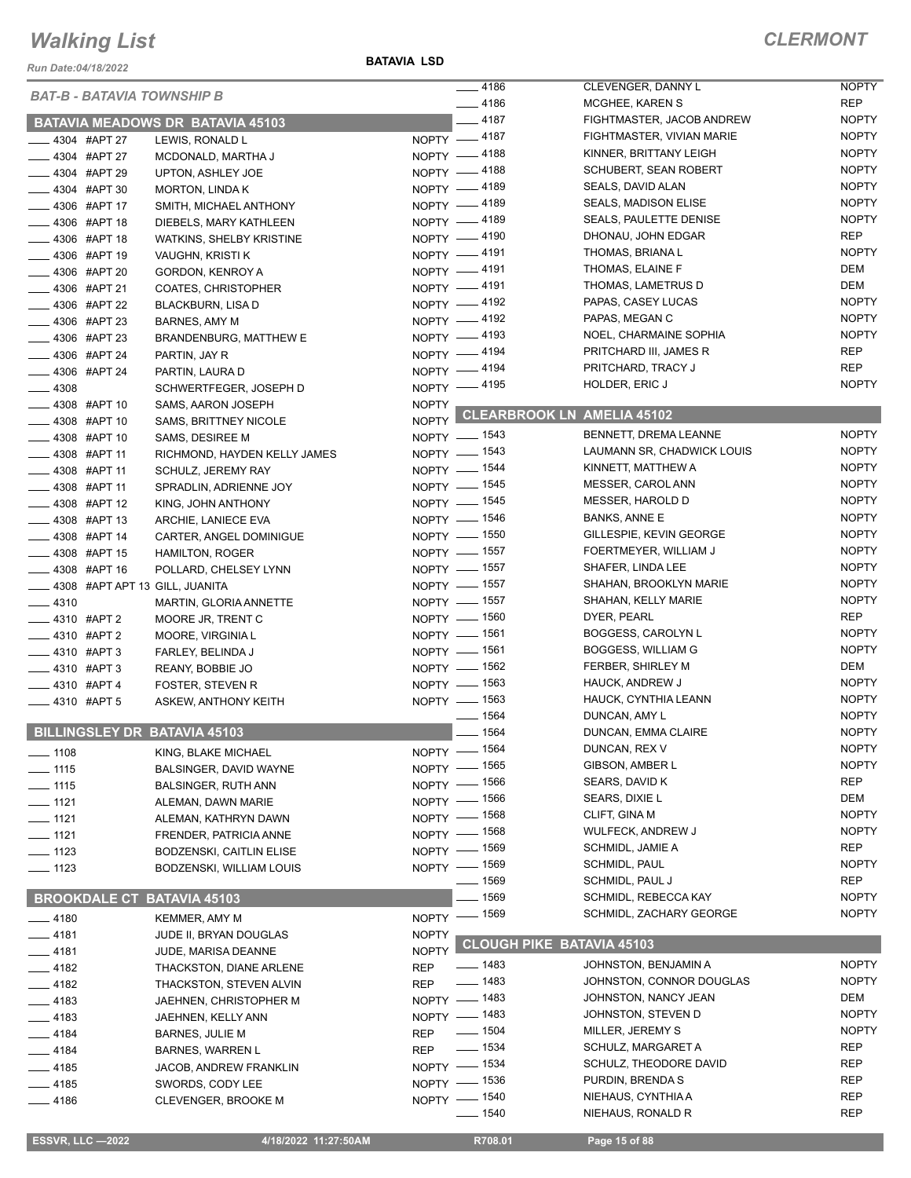*Run Date:04/18/2022*

**BATAVIA LSD**

| <b>BAT-B - BATAVIA TOWNSHIP B</b>   |                                         |                    | $-4186$            | CLEVENGER, DANNY L               | <b>NOPTY</b> |
|-------------------------------------|-----------------------------------------|--------------------|--------------------|----------------------------------|--------------|
|                                     |                                         |                    | $-4186$            | MCGHEE, KAREN S                  | <b>REP</b>   |
|                                     | <b>BATAVIA MEADOWS DR BATAVIA 45103</b> |                    | $-4187$            | FIGHTMASTER, JACOB ANDREW        | <b>NOPTY</b> |
| $\frac{1}{2}$ 4304 #APT 27          | LEWIS, RONALD L                         |                    | NOPTY -4187        | FIGHTMASTER, VIVIAN MARIE        | <b>NOPTY</b> |
| __ 4304 #APT 27                     | MCDONALD, MARTHA J                      |                    | NOPTY -4188        | KINNER, BRITTANY LEIGH           | <b>NOPTY</b> |
| $\frac{1}{2}$ 4304 #APT 29          | UPTON, ASHLEY JOE                       |                    | NOPTY -4188        | SCHUBERT, SEAN ROBERT            | <b>NOPTY</b> |
| $\frac{1}{2}$ 4304 #APT 30          | <b>MORTON, LINDA K</b>                  |                    | NOPTY -4189        | SEALS, DAVID ALAN                | <b>NOPTY</b> |
| <b>4306 #APT 17</b>                 | SMITH, MICHAEL ANTHONY                  |                    | NOPTY -4189        | <b>SEALS, MADISON ELISE</b>      | <b>NOPTY</b> |
| __ 4306 #APT 18                     | DIEBELS, MARY KATHLEEN                  |                    | NOPTY -4189        | SEALS, PAULETTE DENISE           | <b>NOPTY</b> |
| _4306 #APT 18                       | <b>WATKINS, SHELBY KRISTINE</b>         |                    | NOPTY -4190        | DHONAU, JOHN EDGAR               | <b>REP</b>   |
| __ 4306 #APT 19                     | VAUGHN, KRISTI K                        |                    | NOPTY -4191        | THOMAS, BRIANA L                 | <b>NOPTY</b> |
| __ 4306 #APT 20                     | GORDON, KENROY A                        |                    | NOPTY -4191        | THOMAS, ELAINE F                 | <b>DEM</b>   |
| <b>LEGGE 4306 #APT 21</b>           | COATES, CHRISTOPHER                     |                    | NOPTY -4191        | THOMAS, LAMETRUS D               | DEM          |
| <b>____ 4306 #APT 22</b>            | BLACKBURN, LISA D                       |                    | NOPTY -4192        | PAPAS, CASEY LUCAS               | <b>NOPTY</b> |
| ____ 4306 #APT 23                   | BARNES, AMY M                           |                    | NOPTY -4192        | PAPAS, MEGAN C                   | <b>NOPTY</b> |
| $\frac{1}{2}$ 4306 #APT 23          | BRANDENBURG, MATTHEW E                  |                    | NOPTY -4193        | NOEL, CHARMAINE SOPHIA           | <b>NOPTY</b> |
| ___ 4306 #APT 24                    | PARTIN, JAY R                           |                    | NOPTY -4194        | PRITCHARD III, JAMES R           | <b>REP</b>   |
| -4306 #APT 24                       | PARTIN, LAURA D                         |                    | NOPTY -4194        | PRITCHARD, TRACY J               | <b>REP</b>   |
| $-4308$                             |                                         |                    | NOPTY -4195        | HOLDER, ERIC J                   | <b>NOPTY</b> |
|                                     | SCHWERTFEGER, JOSEPH D                  |                    |                    |                                  |              |
| <b>LEGGIO #APT 10</b>               | SAMS, AARON JOSEPH                      | NOPTY              |                    | CLEARBROOK LN AMELIA 45102       |              |
| $-4308$ #APT 10                     | <b>SAMS, BRITTNEY NICOLE</b>            | NOPTY <sup>L</sup> |                    | BENNETT, DREMA LEANNE            | <b>NOPTY</b> |
| $-4308$ #APT 10                     | SAMS, DESIREE M                         |                    | NOPTY - 1543       |                                  |              |
| _4308 #APT 11                       | RICHMOND, HAYDEN KELLY JAMES            |                    | NOPTY - 1543       | LAUMANN SR, CHADWICK LOUIS       | <b>NOPTY</b> |
| $-4308$ #APT 11                     | SCHULZ, JEREMY RAY                      |                    | NOPTY - 1544       | KINNETT, MATTHEW A               | <b>NOPTY</b> |
| $-4308$ #APT 11                     | SPRADLIN, ADRIENNE JOY                  |                    | NOPTY - 1545       | MESSER, CAROL ANN                | <b>NOPTY</b> |
| $\frac{1}{2}$ 4308 #APT 12          | KING, JOHN ANTHONY                      |                    | NOPTY - 1545       | MESSER, HAROLD D                 | <b>NOPTY</b> |
| $\frac{1}{2}$ 4308 #APT 13          | ARCHIE, LANIECE EVA                     |                    | NOPTY - 1546       | <b>BANKS, ANNE E</b>             | <b>NOPTY</b> |
| $\frac{1}{2}$ 4308 #APT 14          | CARTER, ANGEL DOMINIGUE                 |                    | NOPTY - 1550       | GILLESPIE, KEVIN GEORGE          | <b>NOPTY</b> |
| <b>4308 #APT 15</b>                 | <b>HAMILTON, ROGER</b>                  |                    | NOPTY - 1557       | FOERTMEYER, WILLIAM J            | <b>NOPTY</b> |
| ___ 4308 #APT 16                    | POLLARD, CHELSEY LYNN                   |                    | NOPTY - 1557       | SHAFER, LINDA LEE                | <b>NOPTY</b> |
| 4308 #APT APT 13 GILL, JUANITA      |                                         |                    | NOPTY - 1557       | SHAHAN, BROOKLYN MARIE           | <b>NOPTY</b> |
| $-4310$                             | MARTIN, GLORIA ANNETTE                  |                    | NOPTY - 1557       | SHAHAN, KELLY MARIE              | <b>NOPTY</b> |
| $-4310$ #APT 2                      | MOORE JR, TRENT C                       |                    | NOPTY - 1560       | DYER, PEARL                      | <b>REP</b>   |
| $\frac{1}{2}$ 4310 #APT 2           | MOORE, VIRGINIA L                       |                    | NOPTY - 1561       | BOGGESS, CAROLYN L               | <b>NOPTY</b> |
| __ 4310 #APT 3                      | FARLEY, BELINDA J                       |                    | NOPTY - 1561       | BOGGESS, WILLIAM G               | <b>NOPTY</b> |
| __ 4310 #APT 3                      | REANY, BOBBIE JO                        |                    | NOPTY - 1562       | FERBER, SHIRLEY M                | DEM          |
| $-4310$ #APT 4                      | <b>FOSTER, STEVEN R</b>                 |                    | NOPTY - 1563       | HAUCK, ANDREW J                  | <b>NOPTY</b> |
| $-4310$ #APT 5                      | ASKEW, ANTHONY KEITH                    |                    | NOPTY - 1563       | HAUCK, CYNTHIA LEANN             | <b>NOPTY</b> |
|                                     |                                         |                    | $- 1564$           | DUNCAN, AMY L                    | <b>NOPTY</b> |
| <b>BILLINGSLEY DR BATAVIA 45103</b> |                                         |                    | $- 1564$           | DUNCAN, EMMA CLAIRE              | <b>NOPTY</b> |
| $- 1108$                            | KING, BLAKE MICHAEL                     |                    | NOPTY - 1564       | DUNCAN, REX V                    | <b>NOPTY</b> |
|                                     |                                         |                    | NOPTY - 1565       | GIBSON, AMBER L                  | <b>NOPTY</b> |
| $\frac{1}{115}$                     | BALSINGER, DAVID WAYNE                  |                    | NOPTY - 1566       | SEARS, DAVID K                   | <b>REP</b>   |
| $\frac{1}{115}$                     | <b>BALSINGER, RUTH ANN</b>              |                    | NOPTY - 1566       | SEARS, DIXIE L                   | DEM          |
| $-1121$                             | ALEMAN, DAWN MARIE                      |                    | NOPTY - 1568       | CLIFT, GINA M                    | <b>NOPTY</b> |
| $-$ 1121                            | ALEMAN, KATHRYN DAWN                    |                    | NOPTY - 1568       | <b>WULFECK, ANDREW J</b>         | <b>NOPTY</b> |
| $- 1121$                            | FRENDER, PATRICIA ANNE                  |                    |                    | SCHMIDL, JAMIE A                 | <b>REP</b>   |
| $\frac{1}{2}$ 1123                  | <b>BODZENSKI, CAITLIN ELISE</b>         |                    | NOPTY - 1569       |                                  |              |
| $- 1123$                            | BODZENSKI, WILLIAM LOUIS                |                    | NOPTY - 1569       | SCHMIDL, PAUL                    | <b>NOPTY</b> |
|                                     |                                         |                    | $- 1569$           | SCHMIDL, PAUL J                  | <b>REP</b>   |
| <b>BROOKDALE CT BATAVIA 45103</b>   |                                         |                    | $- 1569$           | SCHMIDL, REBECCA KAY             | <b>NOPTY</b> |
| $-4180$                             | <b>KEMMER, AMY M</b>                    |                    | NOPTY - 1569       | SCHMIDL, ZACHARY GEORGE          | <b>NOPTY</b> |
| $-4181$                             | JUDE II, BRYAN DOUGLAS                  | <b>NOPTY</b>       |                    |                                  |              |
| $-4181$                             | JUDE, MARISA DEANNE                     | <b>NOPTY</b>       |                    | <b>CLOUGH PIKE BATAVIA 45103</b> |              |
| $-4182$                             | THACKSTON, DIANE ARLENE                 | <b>REP</b>         | ___ 1483           | JOHNSTON, BENJAMIN A             | <b>NOPTY</b> |
| $-4182$                             | THACKSTON, STEVEN ALVIN                 | <b>REP</b>         | $\frac{1}{2}$ 1483 | JOHNSTON, CONNOR DOUGLAS         | <b>NOPTY</b> |
| $-4183$                             | JAEHNEN, CHRISTOPHER M                  |                    | NOPTY - 1483       | JOHNSTON, NANCY JEAN             | DEM          |
| $-4183$                             | JAEHNEN, KELLY ANN                      |                    | NOPTY - 1483       | JOHNSTON, STEVEN D               | <b>NOPTY</b> |
| __ 4184                             | <b>BARNES, JULIE M</b>                  | REP                | $\frac{1}{2}$ 1504 | MILLER, JEREMY S                 | <b>NOPTY</b> |
| $-4184$                             | <b>BARNES, WARREN L</b>                 | <b>REP</b>         | $\frac{1}{2}$ 1534 | SCHULZ, MARGARET A               | <b>REP</b>   |
| $-4185$                             | JACOB, ANDREW FRANKLIN                  |                    | NOPTY - 1534       | SCHULZ, THEODORE DAVID           | REP          |
|                                     |                                         |                    | NOPTY - 1536       | PURDIN, BRENDA S                 | <b>REP</b>   |
| $-4185$                             | SWORDS, CODY LEE                        |                    | NOPTY - 1540       | NIEHAUS, CYNTHIA A               | <b>REP</b>   |
| $-4186$                             | <b>CLEVENGER, BROOKE M</b>              |                    | $- 1540$           | NIEHAUS, RONALD R                | REP          |
|                                     |                                         |                    |                    |                                  |              |
| <b>ESSVR, LLC -2022</b>             | 4/18/2022 11:27:50AM                    |                    | R708.01            | Page 15 of 88                    |              |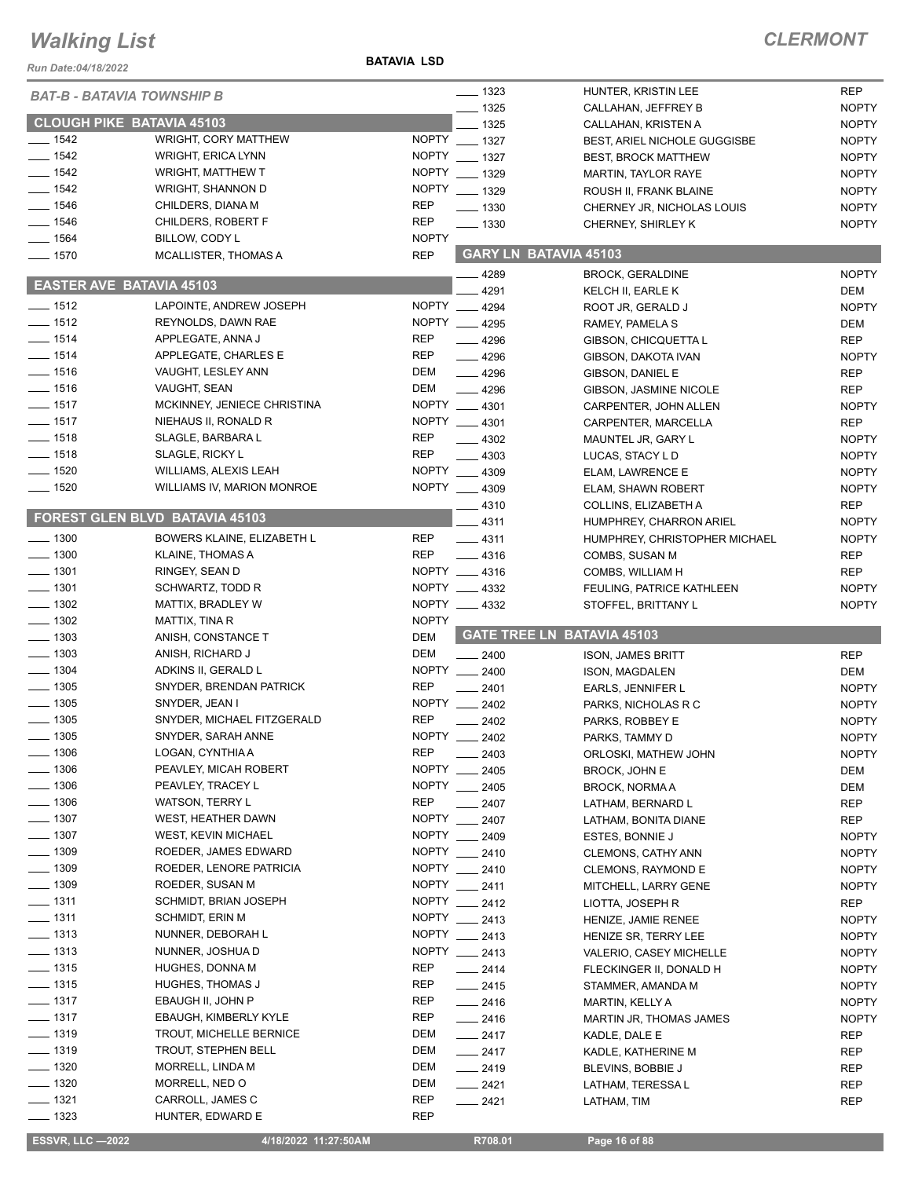#### **BATAVIA LSD**

| Run Date:04/18/2022               |                                  |              |                               |                                     |                     |
|-----------------------------------|----------------------------------|--------------|-------------------------------|-------------------------------------|---------------------|
| <b>BAT-B - BATAVIA TOWNSHIP B</b> |                                  |              | $\frac{1}{2}$ 1323            | HUNTER, KRISTIN LEE                 | <b>REP</b>          |
|                                   |                                  |              | $-1325$                       | CALLAHAN, JEFFREY B                 | <b>NOPTY</b>        |
|                                   | <b>CLOUGH PIKE BATAVIA 45103</b> |              | $-1325$                       | CALLAHAN, KRISTEN A                 | <b>NOPTY</b>        |
| $-$ 1542                          | <b>WRIGHT, CORY MATTHEW</b>      | <b>NOPTY</b> | $\frac{1}{2}$ 1327            | <b>BEST, ARIEL NICHOLE GUGGISBE</b> | <b>NOPTY</b>        |
| $- 1542$                          | <b>WRIGHT, ERICA LYNN</b>        |              | NOPTY __ 1327                 | <b>BEST, BROCK MATTHEW</b>          | <b>NOPTY</b>        |
| $-1542$                           | <b>WRIGHT, MATTHEW T</b>         |              | NOPTY __ 1329                 | MARTIN, TAYLOR RAYE                 | <b>NOPTY</b>        |
| $\frac{1}{2}$ 1542                | WRIGHT, SHANNON D                |              | NOPTY __ 1329                 | ROUSH II, FRANK BLAINE              | <b>NOPTY</b>        |
| $- 1546$                          | CHILDERS, DIANA M                | <b>REP</b>   | $- 1330$                      | CHERNEY JR, NICHOLAS LOUIS          | <b>NOPTY</b>        |
| $- 1546$                          | CHILDERS, ROBERT F               | <b>REP</b>   | $\frac{1}{2}$ 1330            | CHERNEY, SHIRLEY K                  | <b>NOPTY</b>        |
| $- 1564$                          | BILLOW, CODY L                   | <b>NOPTY</b> |                               |                                     |                     |
| $- 1570$                          | <b>MCALLISTER, THOMAS A</b>      | <b>REP</b>   |                               | <b>GARY LN BATAVIA 45103</b>        |                     |
| <b>EASTER AVE BATAVIA 45103</b>   |                                  |              | 4289<br>4291                  | <b>BROCK, GERALDINE</b>             | <b>NOPTY</b>        |
| $\frac{1}{2}$ 1512                | LAPOINTE, ANDREW JOSEPH          |              | NOPTY 4294                    | KELCH II, EARLE K                   | DEM<br><b>NOPTY</b> |
| $- 1512$                          | REYNOLDS, DAWN RAE               |              | NOPTY 4295                    | ROOT JR, GERALD J                   | DEM                 |
| $-1514$                           | APPLEGATE, ANNA J                | <b>REP</b>   |                               | RAMEY, PAMELA S                     |                     |
| $-1514$                           | APPLEGATE, CHARLES E             | <b>REP</b>   | $-4296$                       | GIBSON, CHICQUETTA L                | <b>REP</b>          |
| $- 1516$                          | VAUGHT, LESLEY ANN               | DEM          | $\frac{1}{2}$ 4296<br>$-4296$ | GIBSON, DAKOTA IVAN                 | <b>NOPTY</b>        |
| $- 1516$                          | VAUGHT, SEAN                     | <b>DEM</b>   |                               | GIBSON, DANIEL E                    | <b>REP</b>          |
| $- 1517$                          | MCKINNEY, JENIECE CHRISTINA      |              | $-4296$<br>NOPTY __ 4301      | GIBSON, JASMINE NICOLE              | <b>REP</b>          |
| $- 1517$                          | NIEHAUS II, RONALD R             |              | NOPTY __ 4301                 | CARPENTER, JOHN ALLEN               | <b>NOPTY</b>        |
| $- 1518$                          |                                  | <b>REP</b>   |                               | CARPENTER, MARCELLA                 | <b>REP</b>          |
|                                   | SLAGLE, BARBARA L                | <b>REP</b>   | 4302                          | MAUNTEL JR, GARY L                  | <b>NOPTY</b>        |
| $- 1518$                          | SLAGLE, RICKY L                  |              | $-4303$                       | LUCAS, STACY L D                    | <b>NOPTY</b>        |
| $- 1520$                          | <b>WILLIAMS, ALEXIS LEAH</b>     |              | NOPTY __ 4309                 | ELAM, LAWRENCE E                    | <b>NOPTY</b>        |
| $- 1520$                          | WILLIAMS IV, MARION MONROE       |              | NOPTY 4309                    | ELAM, SHAWN ROBERT                  | <b>NOPTY</b>        |
|                                   | FOREST GLEN BLVD BATAVIA 45103   |              | $-4310$                       | COLLINS, ELIZABETH A                | <b>REP</b>          |
|                                   |                                  |              | .4311                         | HUMPHREY, CHARRON ARIEL             | <b>NOPTY</b>        |
| $-1300$                           | BOWERS KLAINE, ELIZABETH L       | REP          | $-4311$                       | HUMPHREY, CHRISTOPHER MICHAEL       | <b>NOPTY</b>        |
| $-1300$                           | <b>KLAINE, THOMAS A</b>          | <b>REP</b>   | $-4316$                       | COMBS, SUSAN M                      | <b>REP</b>          |
| $-1301$                           | RINGEY, SEAN D                   |              | NOPTY __ 4316                 | COMBS, WILLIAM H                    | <b>REP</b>          |
| $-1301$                           | SCHWARTZ, TODD R                 |              | NOPTY __ 4332                 | FEULING, PATRICE KATHLEEN           | <b>NOPTY</b>        |
| $- 1302$                          | MATTIX, BRADLEY W                |              | NOPTY 4332                    | STOFFEL, BRITTANY L                 | <b>NOPTY</b>        |
| $\frac{1}{2}$ 1302                | MATTIX, TINA R                   | <b>NOPTY</b> |                               |                                     |                     |
| $\frac{1}{2}$ 1303                | ANISH, CONSTANCE T               | <b>DEM</b>   |                               | <b>GATE TREE LN BATAVIA 45103</b>   |                     |
| $\frac{1}{2}$ 1303                | ANISH, RICHARD J                 | <b>DEM</b>   | $-2400$                       | <b>ISON, JAMES BRITT</b>            | <b>REP</b>          |
| $- 1304$                          | ADKINS II, GERALD L              | <b>NOPTY</b> | $-2400$                       | ISON, MAGDALEN                      | DEM                 |
| $- 1305$                          | SNYDER, BRENDAN PATRICK          | <b>REP</b>   | 2401                          | EARLS, JENNIFER L                   | <b>NOPTY</b>        |
| $- 1305$                          | SNYDER, JEAN I                   | <b>NOPTY</b> | 2402                          | PARKS, NICHOLAS R C                 | <b>NOPTY</b>        |
| $\frac{1}{2}$ 1305                | SNYDER, MICHAEL FITZGERALD       | <b>REP</b>   | $-2402$                       | PARKS, ROBBEY E                     | <b>NOPTY</b>        |
| $-1305$                           | SNYDER, SARAH ANNE               |              | NOPTY __ 2402                 | PARKS, TAMMY D                      | <b>NOPTY</b>        |
| _ 1306                            | LOGAN, CYNTHIA A                 | REP          | 2403                          | ORLOSKI, MATHEW JOHN                | <b>NOPTY</b>        |
| $-1306$                           | PEAVLEY, MICAH ROBERT            |              | NOPTY __ 2405                 | <b>BROCK, JOHN E</b>                | DEM                 |
| $-1306$                           | PEAVLEY, TRACEY L                |              | NOPTY __ 2405                 | <b>BROCK, NORMAA</b>                | DEM                 |
| $\frac{1}{2}$ 1306                | <b>WATSON, TERRY L</b>           | <b>REP</b>   | _ 2407                        | LATHAM, BERNARD L                   | REP                 |
| $- 1307$                          | WEST, HEATHER DAWN               | NOPTY _      | $-2407$                       | LATHAM, BONITA DIANE                | REP                 |
| $\frac{1}{2}$ 1307                | WEST, KEVIN MICHAEL              |              | NOPTY __ 2409                 | <b>ESTES, BONNIE J</b>              | <b>NOPTY</b>        |
| $- 1309$                          | ROEDER, JAMES EDWARD             |              | NOPTY __ 2410                 | CLEMONS, CATHY ANN                  | <b>NOPTY</b>        |
| $-1309$                           | ROEDER, LENORE PATRICIA          |              | NOPTY __ 2410                 | <b>CLEMONS, RAYMOND E</b>           | <b>NOPTY</b>        |
| _ 1309                            | ROEDER, SUSAN M                  |              | NOPTY __ 2411                 | MITCHELL, LARRY GENE                | <b>NOPTY</b>        |
| $-1311$                           | SCHMIDT, BRIAN JOSEPH            |              | NOPTY __ 2412                 | LIOTTA, JOSEPH R                    | <b>REP</b>          |
| $-1311$                           | SCHMIDT, ERIN M                  |              | NOPTY __ 2413                 | HENIZE, JAMIE RENEE                 | <b>NOPTY</b>        |
| $- 1313$                          | NUNNER, DEBORAH L                |              | NOPTY __ 2413                 | HENIZE SR, TERRY LEE                | <b>NOPTY</b>        |
| $- 1313$                          | NUNNER, JOSHUA D                 |              | NOPTY __ 2413                 | VALERIO, CASEY MICHELLE             | <b>NOPTY</b>        |
| $- 1315$                          | HUGHES, DONNA M                  | REP          | $-2414$                       | FLECKINGER II, DONALD H             | <b>NOPTY</b>        |
| $- 1315$                          | HUGHES, THOMAS J                 | REP          | $-2415$                       | STAMMER, AMANDA M                   | <b>NOPTY</b>        |
| $- 1317$                          | EBAUGH II, JOHN P                | REP          | $-2416$                       | MARTIN, KELLY A                     | <b>NOPTY</b>        |
| $- 1317$                          | <b>EBAUGH, KIMBERLY KYLE</b>     | REP          | $-2416$                       | MARTIN JR, THOMAS JAMES             | <b>NOPTY</b>        |
| $- 1319$                          | TROUT, MICHELLE BERNICE          | DEM          | $-2417$                       | KADLE, DALE E                       | REP                 |
| $- 1319$                          | TROUT, STEPHEN BELL              | DEM          | $-2417$                       | KADLE, KATHERINE M                  | REP                 |
| $- 1320$                          | MORRELL, LINDA M                 | DEM          | $-2419$                       | BLEVINS, BOBBIE J                   | REP                 |
| $-1320$                           | MORRELL, NED O                   | DEM          | $-2421$                       | LATHAM, TERESSA L                   | REP                 |
| $-1321$                           | CARROLL, JAMES C                 | <b>REP</b>   | $-2421$                       | LATHAM, TIM                         | REP                 |
| $-1323$                           | HUNTER, EDWARD E                 | REP          |                               |                                     |                     |
|                                   |                                  |              |                               |                                     |                     |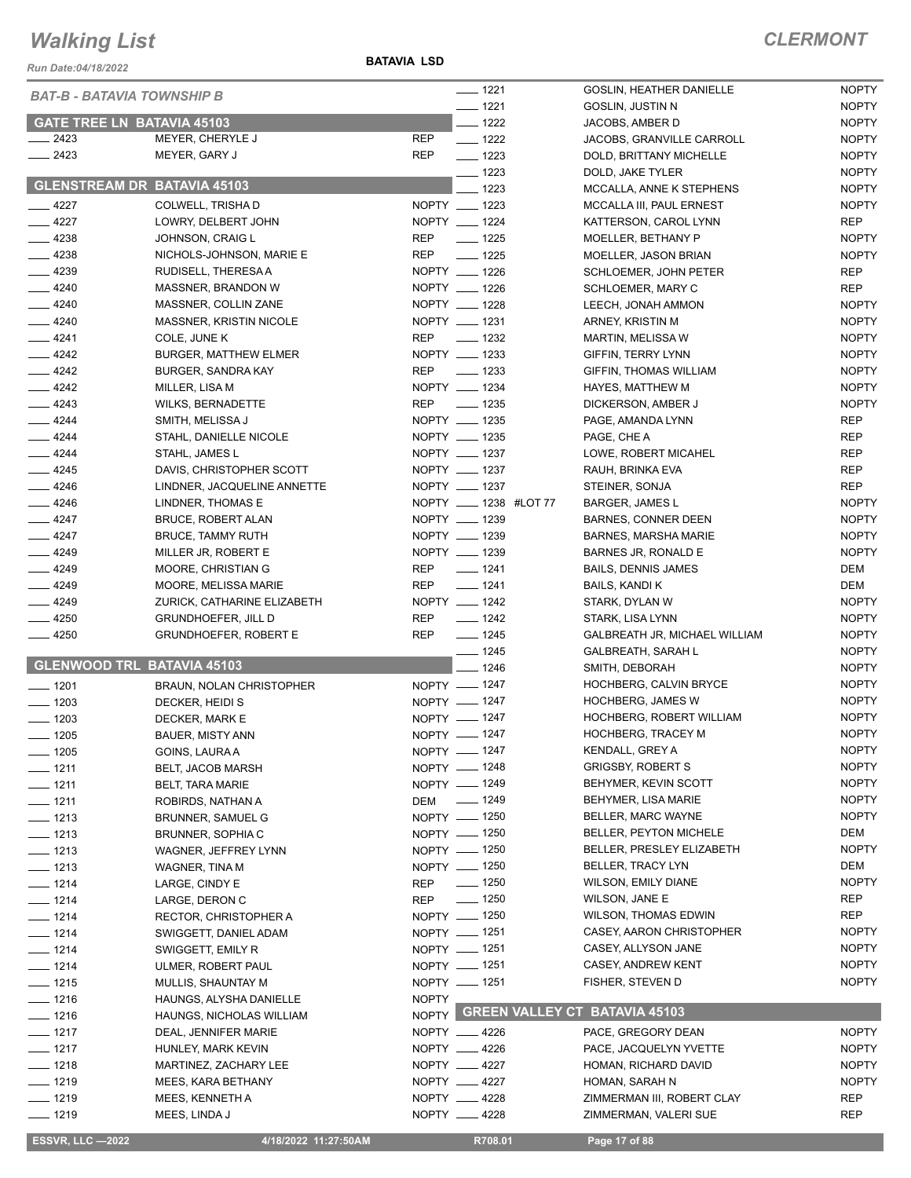*Run Date:04/18/2022*

**BATAVIA LSD**

| <b>BAT-B - BATAVIA TOWNSHIP B</b>  |                              |              | $- 1221$              | GOSLIN, HEATHER DANIELLE            | <b>NOPTY</b> |
|------------------------------------|------------------------------|--------------|-----------------------|-------------------------------------|--------------|
|                                    |                              |              | $- 1221$              | <b>GOSLIN, JUSTIN N</b>             | <b>NOPTY</b> |
| <b>GATE TREE LN BATAVIA 45103</b>  |                              |              | $- 1222$              | JACOBS, AMBER D                     | <b>NOPTY</b> |
| 2423                               | MEYER, CHERYLE J             | <b>REP</b>   | $\frac{1}{2}$ 1222    | JACOBS, GRANVILLE CARROLL           | <b>NOPTY</b> |
| $-2423$                            | MEYER, GARY J                | <b>REP</b>   | $- 1223$              | DOLD, BRITTANY MICHELLE             | <b>NOPTY</b> |
|                                    |                              |              | $- 1223$              | DOLD, JAKE TYLER                    | <b>NOPTY</b> |
| <b>GLENSTREAM DR BATAVIA 45103</b> |                              |              | 1223                  | MCCALLA, ANNE K STEPHENS            | <b>NOPTY</b> |
| $-4227$                            | COLWELL, TRISHA D            |              | NOPTY __ 1223         | MCCALLA III, PAUL ERNEST            | <b>NOPTY</b> |
| $-4227$                            | LOWRY, DELBERT JOHN          |              | NOPTY __ 1224         | KATTERSON, CAROL LYNN               | <b>REP</b>   |
| $-4238$                            | JOHNSON, CRAIG L             | <b>REP</b>   | $\frac{1}{2}$ 1225    | MOELLER, BETHANY P                  | <b>NOPTY</b> |
| $-4238$                            | NICHOLS-JOHNSON, MARIE E     | <b>REP</b>   | $\frac{1}{2}$ 1225    | MOELLER, JASON BRIAN                | <b>NOPTY</b> |
| $-4239$                            | RUDISELL, THERESA A          |              | NOPTY __ 1226         | SCHLOEMER, JOHN PETER               | <b>REP</b>   |
| $- 4240$                           | MASSNER, BRANDON W           |              | NOPTY __ 1226         | SCHLOEMER, MARY C                   | <b>REP</b>   |
| $-4240$                            | MASSNER, COLLIN ZANE         |              | NOPTY __ 1228         | LEECH, JONAH AMMON                  | <b>NOPTY</b> |
| $-4240$                            | MASSNER, KRISTIN NICOLE      |              | NOPTY __ 1231         | ARNEY, KRISTIN M                    | <b>NOPTY</b> |
| $-4241$                            | COLE, JUNE K                 | <b>REP</b>   | $\frac{1}{2}$ 1232    | <b>MARTIN, MELISSA W</b>            | <b>NOPTY</b> |
| $-4242$                            | <b>BURGER, MATTHEW ELMER</b> |              | NOPTY __ 1233         | GIFFIN, TERRY LYNN                  | <b>NOPTY</b> |
| $-4242$                            | <b>BURGER, SANDRA KAY</b>    | <b>REP</b>   | $\frac{1}{2}$ 1233    | GIFFIN, THOMAS WILLIAM              | <b>NOPTY</b> |
| $\frac{4242}{ }$                   | MILLER, LISA M               |              | NOPTY __ 1234         | HAYES, MATTHEW M                    | <b>NOPTY</b> |
| $-4243$                            | <b>WILKS, BERNADETTE</b>     | <b>REP</b>   | $\frac{1}{2}$ 1235    | DICKERSON, AMBER J                  | <b>NOPTY</b> |
| $-4244$                            | SMITH, MELISSA J             |              | NOPTY __ 1235         | PAGE, AMANDA LYNN                   | <b>REP</b>   |
| $-4244$                            | STAHL, DANIELLE NICOLE       |              | NOPTY __ 1235         | PAGE, CHE A                         | <b>REP</b>   |
| $-4244$                            | STAHL, JAMES L               |              | NOPTY __ 1237         | LOWE, ROBERT MICAHEL                | <b>REP</b>   |
| $-4245$                            | DAVIS, CHRISTOPHER SCOTT     |              | NOPTY __ 1237         | RAUH, BRINKA EVA                    | <b>REP</b>   |
| $-4246$                            | LINDNER, JACQUELINE ANNETTE  |              | NOPTY __ 1237         | STEINER, SONJA                      | <b>REP</b>   |
| $-4246$                            | LINDNER, THOMAS E            |              | NOPTY __ 1238 #LOT 77 | <b>BARGER, JAMES L</b>              | <b>NOPTY</b> |
| $-4247$                            | <b>BRUCE, ROBERT ALAN</b>    |              | NOPTY __ 1239         | <b>BARNES, CONNER DEEN</b>          | <b>NOPTY</b> |
| $-4247$                            | <b>BRUCE, TAMMY RUTH</b>     |              | NOPTY __ 1239         | <b>BARNES, MARSHA MARIE</b>         | <b>NOPTY</b> |
| $-4249$                            | MILLER JR, ROBERT E          |              | NOPTY __ 1239         | BARNES JR, RONALD E                 | <b>NOPTY</b> |
| $-4249$                            |                              | REP          | $- 1241$              |                                     | DEM          |
|                                    | MOORE, CHRISTIAN G           |              | $- 1241$              | <b>BAILS, DENNIS JAMES</b>          |              |
| $-4249$                            | MOORE, MELISSA MARIE         | <b>REP</b>   |                       | BAILS, KANDI K                      | DEM          |
| $-4249$                            | ZURICK, CATHARINE ELIZABETH  |              | NOPTY __ 1242         | STARK, DYLAN W                      | <b>NOPTY</b> |
| $-4250$                            | <b>GRUNDHOEFER, JILL D</b>   | <b>REP</b>   | $- 1242$              | STARK, LISA LYNN                    | <b>NOPTY</b> |
| $-4250$                            | <b>GRUNDHOEFER, ROBERT E</b> | <b>REP</b>   | $- 1245$              | GALBREATH JR, MICHAEL WILLIAM       | <b>NOPTY</b> |
| <b>GLENWOOD TRL BATAVIA 45103</b>  |                              |              | $- 1245$              | <b>GALBREATH, SARAH L</b>           | <b>NOPTY</b> |
|                                    |                              |              | $-1246$               | SMITH, DEBORAH                      | <b>NOPTY</b> |
| $- 1201$                           | BRAUN, NOLAN CHRISTOPHER     |              | NOPTY __ 1247         | HOCHBERG, CALVIN BRYCE              | <b>NOPTY</b> |
| $- 1203$                           | DECKER, HEIDI S              |              | NOPTY - 1247          | <b>HOCHBERG, JAMES W</b>            | <b>NOPTY</b> |
| $\frac{1}{2}$ 1203                 | DECKER, MARK E               |              | NOPTY __ 1247         | HOCHBERG, ROBERT WILLIAM            | <b>NOPTY</b> |
| $- 1205$                           | <b>BAUER, MISTY ANN</b>      |              | NOPTY __ 1247         | <b>HOCHBERG, TRACEY M</b>           | <b>NOPTY</b> |
| $- 1205$                           | GOINS, LAURA A               |              | NOPTY - 1247          | KENDALL, GREY A                     | <b>NOPTY</b> |
| $-1211$                            | BELT, JACOB MARSH            |              | NOPTY __ 1248         | <b>GRIGSBY, ROBERT S</b>            | <b>NOPTY</b> |
| $- 1211$                           | <b>BELT, TARA MARIE</b>      |              | NOPTY - 1249          | BEHYMER, KEVIN SCOTT                | <b>NOPTY</b> |
| $- 1211$                           | ROBIRDS, NATHAN A            |              | DEM __ 1249           | BEHYMER, LISA MARIE                 | <b>NOPTY</b> |
| $- 1213$                           | BRUNNER, SAMUEL G            |              | NOPTY - 1250          | BELLER, MARC WAYNE                  | <b>NOPTY</b> |
| $- 1213$                           | BRUNNER, SOPHIA C            |              | NOPTY - 1250          | <b>BELLER, PEYTON MICHELE</b>       | DEM          |
| $- 1213$                           | WAGNER, JEFFREY LYNN         |              | NOPTY __ 1250         | BELLER, PRESLEY ELIZABETH           | <b>NOPTY</b> |
| $- 1213$                           | WAGNER, TINA M               |              | NOPTY - 1250          | BELLER, TRACY LYN                   | DEM          |
| $- 1214$                           | LARGE, CINDY E               | REP          | $\frac{1}{2}$ 1250    | <b>WILSON, EMILY DIANE</b>          | <b>NOPTY</b> |
| $- 1214$                           | LARGE, DERON C               | <b>REP</b>   | $\frac{1}{2}$ 1250    | WILSON, JANE E                      | REP          |
| $- 1214$                           | <b>RECTOR, CHRISTOPHER A</b> |              | NOPTY - 1250          | <b>WILSON, THOMAS EDWIN</b>         | REP          |
| $- 1214$                           | SWIGGETT, DANIEL ADAM        |              | NOPTY __ 1251         | CASEY, AARON CHRISTOPHER            | <b>NOPTY</b> |
| $- 1214$                           | SWIGGETT, EMILY R            |              | NOPTY - 1251          | CASEY, ALLYSON JANE                 | <b>NOPTY</b> |
| $- 1214$                           | ULMER, ROBERT PAUL           |              | NOPTY __ 1251         | CASEY, ANDREW KENT                  | <b>NOPTY</b> |
| $- 1215$                           | MULLIS, SHAUNTAY M           |              | NOPTY - 1251          | FISHER, STEVEN D                    | <b>NOPTY</b> |
| $- 1216$                           | HAUNGS, ALYSHA DANIELLE      | <b>NOPTY</b> |                       |                                     |              |
| $- 1216$                           | HAUNGS, NICHOLAS WILLIAM     |              |                       | NOPTY GREEN VALLEY CT BATAVIA 45103 |              |
| $- 1217$                           | DEAL, JENNIFER MARIE         |              | NOPTY __ 4226         | PACE, GREGORY DEAN                  | <b>NOPTY</b> |
| $\frac{1}{2}$ 1217                 | HUNLEY, MARK KEVIN           |              | NOPTY __ 4226         | PACE, JACQUELYN YVETTE              | <b>NOPTY</b> |
| $- 1218$                           | MARTINEZ, ZACHARY LEE        |              | NOPTY __ 4227         | HOMAN, RICHARD DAVID                | <b>NOPTY</b> |
| $- 1219$                           | MEES, KARA BETHANY           |              | NOPTY __ 4227         | HOMAN, SARAH N                      | <b>NOPTY</b> |
| $- 1219$                           | MEES, KENNETH A              |              | NOPTY __ 4228         | ZIMMERMAN III, ROBERT CLAY          | <b>REP</b>   |
| $- 1219$                           | MEES, LINDA J                |              | NOPTY __ 4228         | ZIMMERMAN, VALERI SUE               | REP          |
|                                    |                              |              |                       |                                     |              |
| <b>ESSVR, LLC -2022</b>            | 4/18/2022 11:27:50AM         |              | R708.01               | Page 17 of 88                       |              |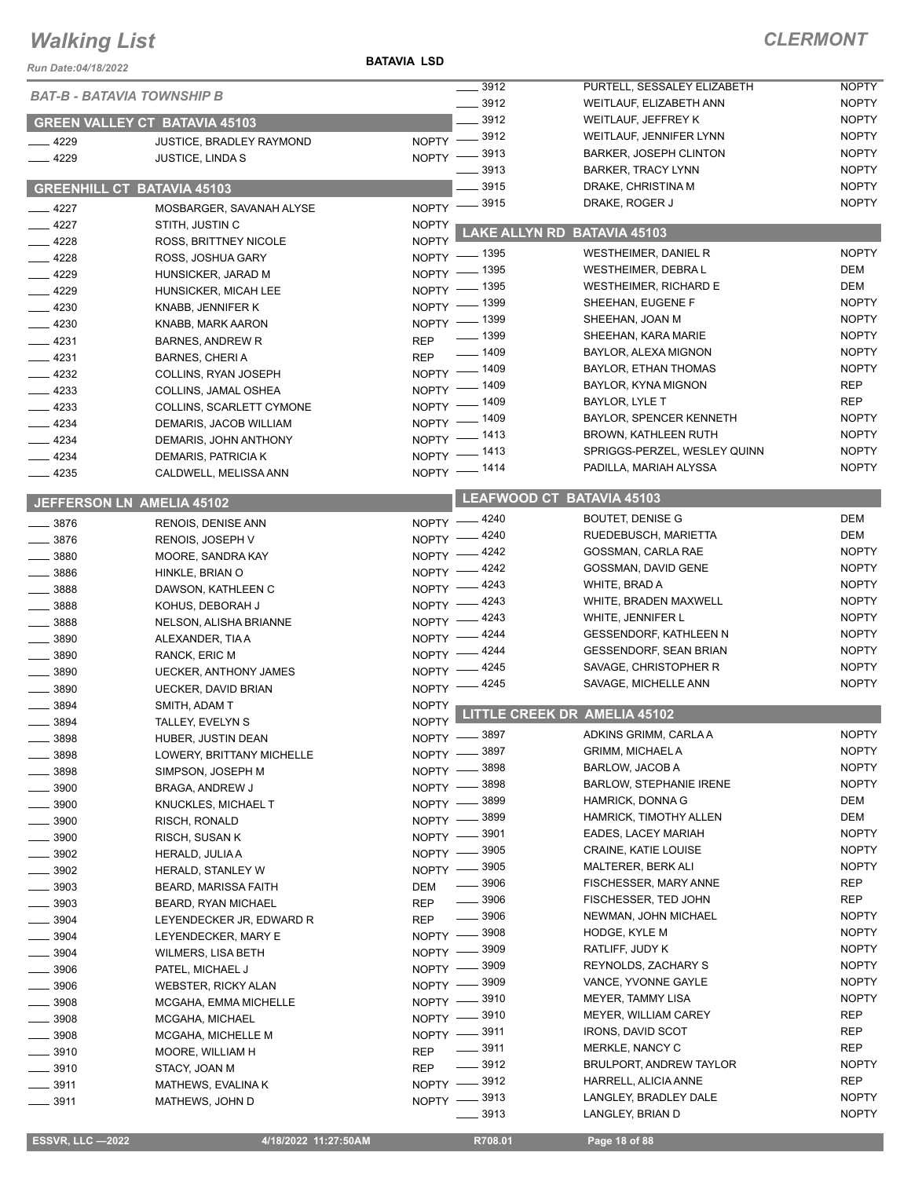#### **BATAVIA LSD**

| Run Date:04/18/2022               |                                              | <b>BATAVIA LSD</b> |                                   |                                                  |                              |
|-----------------------------------|----------------------------------------------|--------------------|-----------------------------------|--------------------------------------------------|------------------------------|
| <b>BAT-B - BATAVIA TOWNSHIP B</b> |                                              |                    | .3912                             | PURTELL, SESSALEY ELIZABETH                      | <b>NOPTY</b>                 |
|                                   |                                              |                    | $\frac{1}{2}$ 3912                | WEITLAUF, ELIZABETH ANN                          | <b>NOPTY</b>                 |
|                                   | <b>GREEN VALLEY CT BATAVIA 45103</b>         |                    | $-3912$                           | WEITLAUF, JEFFREY K                              | <b>NOPTY</b>                 |
| $-4229$                           | JUSTICE, BRADLEY RAYMOND                     |                    | NOPTY -8912                       | WEITLAUF, JENNIFER LYNN                          | <b>NOPTY</b>                 |
| $-4229$                           | <b>JUSTICE, LINDA S</b>                      |                    | NOPTY -8913                       | <b>BARKER, JOSEPH CLINTON</b>                    | <b>NOPTY</b>                 |
|                                   |                                              |                    | 3913                              | <b>BARKER, TRACY LYNN</b>                        | <b>NOPTY</b>                 |
|                                   | <b>GREENHILL CT BATAVIA 45103</b>            |                    | 3915                              | DRAKE, CHRISTINA M                               | <b>NOPTY</b>                 |
| $-4227$                           | MOSBARGER, SAVANAH ALYSE                     |                    | NOPTY -8915                       | DRAKE, ROGER J                                   | <b>NOPTY</b>                 |
| $-4227$                           | STITH, JUSTIN C                              | <b>NOPTY</b>       |                                   | LAKE ALLYN RD BATAVIA 45103                      |                              |
| $-4228$                           | ROSS, BRITTNEY NICOLE                        | <b>NOPTY</b>       | _ 1395                            | WESTHEIMER, DANIEL R                             | <b>NOPTY</b>                 |
| $-4228$                           | ROSS, JOSHUA GARY                            | $NOPTY =$          | _ 1395                            | <b>WESTHEIMER, DEBRAL</b>                        | DEM                          |
| $-4229$                           | HUNSICKER, JARAD M                           | $NOPTY$ -          | NOPTY - 1395                      | <b>WESTHEIMER, RICHARD E</b>                     | DEM                          |
| $-4229$                           | HUNSICKER, MICAH LEE                         |                    | NOPTY - 1399                      | SHEEHAN, EUGENE F                                | <b>NOPTY</b>                 |
| $-4230$                           | KNABB, JENNIFER K                            |                    | NOPTY - 1399                      | SHEEHAN, JOAN M                                  | <b>NOPTY</b>                 |
| $-4230$<br>$-4231$                | KNABB, MARK AARON<br><b>BARNES, ANDREW R</b> | <b>REP</b>         | $\frac{1}{2}$ 1399                | SHEEHAN, KARA MARIE                              | <b>NOPTY</b>                 |
| $-4231$                           | <b>BARNES, CHERIA</b>                        | <b>REP</b>         | $- 1409$                          | BAYLOR, ALEXA MIGNON                             | <b>NOPTY</b>                 |
| $-4232$                           | COLLINS, RYAN JOSEPH                         |                    | NOPTY - 1409                      | BAYLOR, ETHAN THOMAS                             | <b>NOPTY</b>                 |
| $-4233$                           | COLLINS, JAMAL OSHEA                         | NOPTY $-$          | _ 1409                            | BAYLOR, KYNA MIGNON                              | <b>REP</b>                   |
| $-4233$                           | COLLINS, SCARLETT CYMONE                     | NOPTY -            | - 1409                            | BAYLOR, LYLE T                                   | <b>REP</b>                   |
| $-4234$                           | DEMARIS, JACOB WILLIAM                       |                    | NOPTY - 1409                      | BAYLOR, SPENCER KENNETH                          | <b>NOPTY</b>                 |
| $-4234$                           | DEMARIS, JOHN ANTHONY                        |                    | NOPTY - 1413                      | <b>BROWN, KATHLEEN RUTH</b>                      | <b>NOPTY</b>                 |
| $-4234$                           | DEMARIS, PATRICIA K                          |                    | NOPTY - 1413                      | SPRIGGS-PERZEL, WESLEY QUINN                     | <b>NOPTY</b>                 |
| $-4235$                           | CALDWELL, MELISSA ANN                        |                    | NOPTY - 1414                      | PADILLA, MARIAH ALYSSA                           | <b>NOPTY</b>                 |
|                                   |                                              |                    |                                   | <b>LEAFWOOD CT BATAVIA 45103</b>                 |                              |
|                                   | <b>JEFFERSON LN AMELIA 45102</b>             |                    | NOPTY -4240                       | <b>BOUTET, DENISE G</b>                          | DEM                          |
| $- 3876$                          | RENOIS, DENISE ANN                           |                    | NOPTY -4240                       | RUEDEBUSCH, MARIETTA                             | DEM                          |
| $-3876$<br>$- 3880$               | <b>RENOIS, JOSEPH V</b><br>MOORE, SANDRA KAY |                    | NOPTY -4242                       | GOSSMAN, CARLA RAE                               | <b>NOPTY</b>                 |
| $- 3886$                          | HINKLE, BRIAN O                              |                    | NOPTY -4242                       | GOSSMAN, DAVID GENE                              | <b>NOPTY</b>                 |
| $\frac{1}{2}$ 3888                | DAWSON, KATHLEEN C                           | $N$ OPTY $-$       | 4243                              | WHITE, BRAD A                                    | <b>NOPTY</b>                 |
| $- 3888$                          | KOHUS, DEBORAH J                             | $N$ OPTY $-$       | - 4243                            | WHITE, BRADEN MAXWELL                            | <b>NOPTY</b>                 |
| 3888                              | <b>NELSON, ALISHA BRIANNE</b>                | $NOPTY =$          | - 4243                            | WHITE, JENNIFER L                                | <b>NOPTY</b>                 |
| 3890                              | ALEXANDER, TIA A                             | $NOPTY -$          | _ 4244                            | <b>GESSENDORF, KATHLEEN N</b>                    | <b>NOPTY</b>                 |
| 3890                              | RANCK, ERIC M                                | NOPTY $-$          | 4244                              | <b>GESSENDORF, SEAN BRIAN</b>                    | <b>NOPTY</b>                 |
| 3890                              | <b>UECKER, ANTHONY JAMES</b>                 | NOPTY -            | 4245                              | SAVAGE, CHRISTOPHER R                            | <b>NOPTY</b>                 |
| $- 3890$                          | <b>UECKER, DAVID BRIAN</b>                   |                    | NOPTY -4245                       | SAVAGE, MICHELLE ANN                             | <b>NOPTY</b>                 |
| 3894                              | SMITH, ADAM T                                | <b>NOPTY</b>       |                                   | LITTLE CREEK DR AMELIA 45102                     |                              |
| 3894                              | TALLEY, EVELYN S                             | <b>NOPTY</b>       |                                   |                                                  |                              |
| 3898                              | HUBER, JUSTIN DEAN                           |                    | NOPTY -8897<br>. 3897             | ADKINS GRIMM, CARLA A<br><b>GRIMM, MICHAEL A</b> | <b>NOPTY</b><br><b>NOPTY</b> |
| 3898                              | LOWERY, BRITTANY MICHELLE                    | NOPTY -            | 3898                              | BARLOW, JACOB A                                  | <b>NOPTY</b>                 |
| 3898                              | SIMPSON, JOSEPH M                            | NOPTY -            | . 3898                            | <b>BARLOW, STEPHANIE IRENE</b>                   | <b>NOPTY</b>                 |
| 3900<br>$-3900$                   | BRAGA, ANDREW J<br>KNUCKLES, MICHAEL T       | NOPTY -<br>NOPTY - | 3899                              | HAMRICK, DONNA G                                 | DEM                          |
| 3900                              | RISCH, RONALD                                | $NOPTY -$          | 3899                              | HAMRICK, TIMOTHY ALLEN                           | DEM                          |
| $=$ 3900                          | RISCH, SUSAN K                               |                    | NOPTY -8901                       | <b>EADES, LACEY MARIAH</b>                       | <b>NOPTY</b>                 |
| $- 3902$                          | HERALD, JULIA A                              | $N$ OPTY $-$       | _ 3905                            | CRAINE, KATIE LOUISE                             | <b>NOPTY</b>                 |
| $-3902$                           | HERALD, STANLEY W                            |                    | NOPTY -8905                       | MALTERER, BERK ALI                               | <b>NOPTY</b>                 |
| $\frac{1}{2}$ 3903                | <b>BEARD, MARISSA FAITH</b>                  | DEM                | $\frac{1}{2}$ 3906                | FISCHESSER, MARY ANNE                            | <b>REP</b>                   |
| $- 3903$                          | <b>BEARD, RYAN MICHAEL</b>                   | <b>REP</b>         | $\frac{1}{2}$ 3906                | FISCHESSER, TED JOHN                             | REP                          |
| $\frac{1}{2}$ 3904                | LEYENDECKER JR, EDWARD R                     | <b>REP</b>         | $\frac{1}{2}$ 3906                | NEWMAN, JOHN MICHAEL                             | <b>NOPTY</b>                 |
| $-3904$                           | LEYENDECKER, MARY E                          |                    | NOPTY -8908                       | HODGE, KYLE M                                    | <b>NOPTY</b>                 |
| 3904                              | WILMERS, LISA BETH                           |                    | NOPTY -8909                       | RATLIFF, JUDY K                                  | <b>NOPTY</b>                 |
| 3906                              | PATEL, MICHAEL J                             |                    | NOPTY -8909                       | REYNOLDS, ZACHARY S                              | <b>NOPTY</b>                 |
| 3906                              | <b>WEBSTER, RICKY ALAN</b>                   | $NOPTY -$          | . 3909                            | VANCE, YVONNE GAYLE                              | <b>NOPTY</b>                 |
| 3908                              | MCGAHA, EMMA MICHELLE                        | $N$ OPTY $-$       | _ 3910                            | MEYER, TAMMY LISA                                | <b>NOPTY</b>                 |
| $-3908$                           | MCGAHA, MICHAEL                              |                    | NOPTY -8910                       | MEYER, WILLIAM CAREY<br><b>IRONS, DAVID SCOT</b> | REP<br>REP                   |
| 3908                              | MCGAHA, MICHELLE M                           |                    | NOPTY -8911<br>$\frac{1}{2}$ 3911 | MERKLE, NANCY C                                  | REP                          |
| $=$ 3910                          | MOORE, WILLIAM H                             | <b>REP</b>         | $\frac{1}{2}$ 3912                | BRULPORT, ANDREW TAYLOR                          | <b>NOPTY</b>                 |
| $-3910$<br>$- 3911$               | STACY, JOAN M                                | <b>REP</b>         | NOPTY -8912                       | HARRELL, ALICIA ANNE                             | REP                          |
| $- 3911$                          | MATHEWS, EVALINA K<br>MATHEWS, JOHN D        |                    | NOPTY -8913                       | LANGLEY, BRADLEY DALE                            | <b>NOPTY</b>                 |
|                                   |                                              |                    | $\frac{1}{2}$ 3913                | LANGLEY, BRIAN D                                 | <b>NOPTY</b>                 |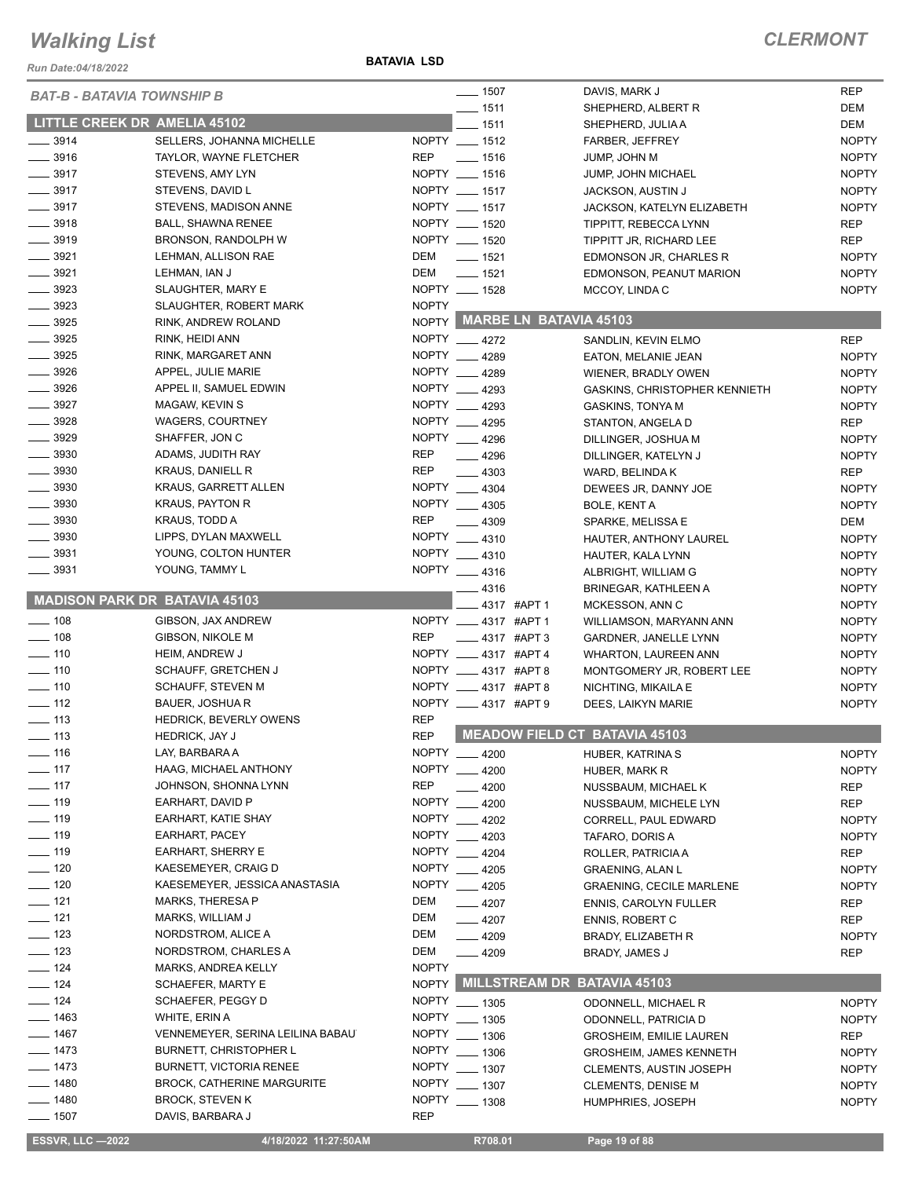*Run Date:04/18/2022*

#### **BATAVIA LSD**

#### *CLERMONT*

| <b>BAT-B - BATAVIA TOWNSHIP B</b>    |                                   |              | $- 1507$                     | DAVIS, MARK J                        | <b>REP</b>   |
|--------------------------------------|-----------------------------------|--------------|------------------------------|--------------------------------------|--------------|
|                                      |                                   |              | $- 1511$                     | SHEPHERD, ALBERT R                   | DEM          |
| <b>LITTLE CREEK DR AMELIA 45102</b>  |                                   |              | $- 1511$                     | SHEPHERD, JULIA A                    | DEM          |
| $\frac{1}{2}$ 3914                   | SELLERS, JOHANNA MICHELLE         |              | NOPTY __ 1512                | FARBER, JEFFREY                      | <b>NOPTY</b> |
| $- 3916$                             | TAYLOR, WAYNE FLETCHER            | <b>REP</b>   | $- 1516$                     | JUMP, JOHN M                         | <b>NOPTY</b> |
| $-3917$                              | STEVENS, AMY LYN                  |              | NOPTY __ 1516                | JUMP, JOHN MICHAEL                   | <b>NOPTY</b> |
| $- 3917$                             | STEVENS, DAVID L                  |              | NOPTY __ 1517                | JACKSON, AUSTIN J                    | <b>NOPTY</b> |
| $- 3917$                             | STEVENS, MADISON ANNE             |              | NOPTY __ 1517                | JACKSON, KATELYN ELIZABETH           | <b>NOPTY</b> |
| $- 3918$                             | <b>BALL, SHAWNA RENEE</b>         |              | NOPTY __ 1520                | TIPPITT, REBECCA LYNN                | <b>REP</b>   |
| $- 3919$                             | BRONSON, RANDOLPH W               |              | NOPTY __ 1520                | TIPPITT JR, RICHARD LEE              | <b>REP</b>   |
| $\frac{1}{2}$ 3921                   | LEHMAN, ALLISON RAE               | DEM          | $- 1521$                     | EDMONSON JR, CHARLES R               | <b>NOPTY</b> |
| $- 3921$                             | LEHMAN, IAN J                     | DEM          | $- 1521$                     | EDMONSON, PEANUT MARION              | <b>NOPTY</b> |
| $\frac{1}{2}$ 3923                   | SLAUGHTER, MARY E                 |              | NOPTY __ 1528                | MCCOY, LINDA C                       | <b>NOPTY</b> |
| $\frac{1}{2}$ 3923                   | <b>SLAUGHTER, ROBERT MARK</b>     | <b>NOPTY</b> |                              |                                      |              |
| $\frac{1}{2}$ 3925                   | RINK, ANDREW ROLAND               |              | NOPTY MARBE LN BATAVIA 45103 |                                      |              |
| $- 3925$                             |                                   |              | NOPTY __ 4272                |                                      |              |
| $\frac{1}{2}$ 3925                   | RINK, HEIDI ANN                   |              |                              | SANDLIN, KEVIN ELMO                  | <b>REP</b>   |
|                                      | RINK, MARGARET ANN                |              | NOPTY __ 4289                | EATON, MELANIE JEAN                  | <b>NOPTY</b> |
| 3926                                 | APPEL, JULIE MARIE                |              | NOPTY 4289                   | WIENER, BRADLY OWEN                  | <b>NOPTY</b> |
| $- 3926$                             | APPEL II, SAMUEL EDWIN            |              | NOPTY __ 4293                | GASKINS, CHRISTOPHER KENNIETH        | <b>NOPTY</b> |
| 3927                                 | MAGAW, KEVIN S                    |              | NOPTY 4293                   | GASKINS, TONYA M                     | <b>NOPTY</b> |
| $- 3928$                             | <b>WAGERS, COURTNEY</b>           |              | NOPTY __ 4295                | STANTON, ANGELA D                    | <b>REP</b>   |
| $\frac{1}{2}$ 3929                   | SHAFFER, JON C                    |              | NOPTY __ 4296                | DILLINGER, JOSHUA M                  | <b>NOPTY</b> |
| $\frac{1}{2}$ 3930                   | ADAMS, JUDITH RAY                 | <b>REP</b>   | $-4296$                      | DILLINGER, KATELYN J                 | <b>NOPTY</b> |
| $\frac{1}{2}$ 3930                   | <b>KRAUS, DANIELL R</b>           | <b>REP</b>   | $-4303$                      | WARD, BELINDA K                      | <b>REP</b>   |
| $\frac{1}{2}$ 3930                   | KRAUS, GARRETT ALLEN              |              | NOPTY __ 4304                | DEWEES JR, DANNY JOE                 | <b>NOPTY</b> |
| $\frac{1}{2}$ 3930                   | <b>KRAUS, PAYTON R</b>            |              | NOPTY __ 4305                | BOLE, KENT A                         | <b>NOPTY</b> |
| $\frac{1}{2}$ 3930                   | KRAUS, TODD A                     | <b>REP</b>   | $-4309$                      | SPARKE, MELISSA E                    | DEM          |
| $\frac{1}{2}$ 3930                   | LIPPS, DYLAN MAXWELL              |              | NOPTY 4310                   | HAUTER, ANTHONY LAUREL               | <b>NOPTY</b> |
| $\frac{1}{2}$ 3931                   | YOUNG, COLTON HUNTER              |              | NOPTY __ 4310                | HAUTER, KALA LYNN                    | <b>NOPTY</b> |
| $\frac{1}{2}$ 3931                   | YOUNG, TAMMY L                    |              | NOPTY 4316                   | ALBRIGHT, WILLIAM G                  | <b>NOPTY</b> |
|                                      |                                   |              | $-4316$                      | BRINEGAR, KATHLEEN A                 | <b>NOPTY</b> |
| <b>MADISON PARK DR BATAVIA 45103</b> |                                   |              | 4317 #APT 1                  | MCKESSON, ANN C                      | <b>NOPTY</b> |
| $- 108$                              | GIBSON, JAX ANDREW                |              | NOPTY __ 4317 #APT 1         | WILLIAMSON, MARYANN ANN              | <b>NOPTY</b> |
| $-108$                               | GIBSON, NIKOLE M                  | <b>REP</b>   | $\frac{1}{2}$ 4317 #APT 3    |                                      | <b>NOPTY</b> |
|                                      |                                   |              |                              | GARDNER, JANELLE LYNN                |              |
|                                      |                                   |              |                              |                                      |              |
| $- 110$                              | <b>HEIM, ANDREW J</b>             |              | NOPTY __ 4317 #APT 4         | <b>WHARTON, LAUREEN ANN</b>          | <b>NOPTY</b> |
| $- 110$                              | <b>SCHAUFF, GRETCHEN J</b>        |              | NOPTY __ 4317 #APT 8         | MONTGOMERY JR, ROBERT LEE            | <b>NOPTY</b> |
| $- 110$                              | <b>SCHAUFF, STEVEN M</b>          |              | NOPTY __ 4317 #APT 8         | NICHTING, MIKAILA E                  | <b>NOPTY</b> |
| $\frac{1}{2}$ 112                    | <b>BAUER, JOSHUAR</b>             |              | NOPTY __ 4317 #APT 9         | DEES, LAIKYN MARIE                   | <b>NOPTY</b> |
| $\equiv$ 113                         | HEDRICK, BEVERLY OWENS            | <b>REP</b>   |                              |                                      |              |
| $\frac{1}{13}$                       | <b>HEDRICK, JAY J</b>             | <b>REP</b>   |                              | <b>MEADOW FIELD CT BATAVIA 45103</b> |              |
| —— 116                               | LAY, BARBARA A                    |              | NOPTY __ 4200                | HUBER, KATRINA S                     | <b>NOPTY</b> |
| $-117$                               | HAAG, MICHAEL ANTHONY             |              | NOPTY __ 4200                | HUBER, MARK R                        | <b>NOPTY</b> |
| $\frac{1}{2}$ 117                    | JOHNSON, SHONNA LYNN              | <b>REP</b>   | $-4200$                      | NUSSBAUM, MICHAEL K                  | <b>REP</b>   |
| $\frac{1}{2}$ 119                    | EARHART, DAVID P                  |              | NOPTY __ 4200                | NUSSBAUM, MICHELE LYN                | <b>REP</b>   |
| $- 119$                              | EARHART, KATIE SHAY               |              | NOPTY __ 4202                | CORRELL, PAUL EDWARD                 | <b>NOPTY</b> |
| $- 119$                              | EARHART, PACEY                    |              | NOPTY 4203                   | TAFARO, DORIS A                      | <b>NOPTY</b> |
| $\frac{1}{2}$ 119                    | EARHART, SHERRY E                 | NOPTY __     | 4204                         | ROLLER, PATRICIA A                   | REP          |
| $- 120$                              | KAESEMEYER, CRAIG D               |              |                              |                                      |              |
| $- 120$                              | KAESEMEYER, JESSICA ANASTASIA     |              | NOPTY __ 4205                | <b>GRAENING, ALAN L</b>              | <b>NOPTY</b> |
|                                      |                                   | DEM          | NOPTY __ 4205                | <b>GRAENING, CECILE MARLENE</b>      | <b>NOPTY</b> |
| $- 121$                              | MARKS, THERESA P                  |              | $-4207$                      | ENNIS, CAROLYN FULLER                | REP          |
| $- 121$                              | MARKS, WILLIAM J                  | DEM          | $-4207$                      | <b>ENNIS, ROBERT C</b>               | <b>REP</b>   |
| $\frac{1}{2}$ 123                    | NORDSTROM, ALICE A                | DEM          | $-4209$                      | BRADY, ELIZABETH R                   | <b>NOPTY</b> |
| $\frac{1}{2}$ 123                    | NORDSTROM, CHARLES A              | DEM          | $-4209$                      | BRADY, JAMES J                       | <b>REP</b>   |
| $-124$                               | <b>MARKS, ANDREA KELLY</b>        | <b>NOPTY</b> |                              |                                      |              |
| $\frac{1}{2}$ 124                    | SCHAEFER, MARTY E                 | <b>NOPTY</b> | MILLSTREAM DR BATAVIA 45103  |                                      |              |
| $- 124$                              | SCHAEFER, PEGGY D                 |              | NOPTY __ 1305                | ODONNELL, MICHAEL R                  | <b>NOPTY</b> |
| $- 1463$                             | WHITE, ERIN A                     | <b>NOPTY</b> | $-1305$                      | ODONNELL, PATRICIA D                 | <b>NOPTY</b> |
| $- 1467$                             | VENNEMEYER, SERINA LEILINA BABAU  | <b>NOPTY</b> | $-1306$                      | <b>GROSHEIM, EMILIE LAUREN</b>       | <b>REP</b>   |
| $- 1473$                             | <b>BURNETT, CHRISTOPHER L</b>     | <b>NOPTY</b> | $- 1306$                     | <b>GROSHEIM, JAMES KENNETH</b>       | <b>NOPTY</b> |
| $- 1473$                             | <b>BURNETT, VICTORIA RENEE</b>    | <b>NOPTY</b> | $- 1307$                     | CLEMENTS, AUSTIN JOSEPH              | <b>NOPTY</b> |
| $- 1480$                             | <b>BROCK, CATHERINE MARGURITE</b> | NOPTY        | $- 1307$                     | <b>CLEMENTS, DENISE M</b>            | <b>NOPTY</b> |
| $- 1480$<br>$- 1507$                 | <b>BROCK, STEVEN K</b>            |              | NOPTY __ 1308                | HUMPHRIES, JOSEPH                    | <b>NOPTY</b> |

 **ESSVR, LLC —2022 4/18/2022 11:27:50AM R708.01 Page 19 of 88**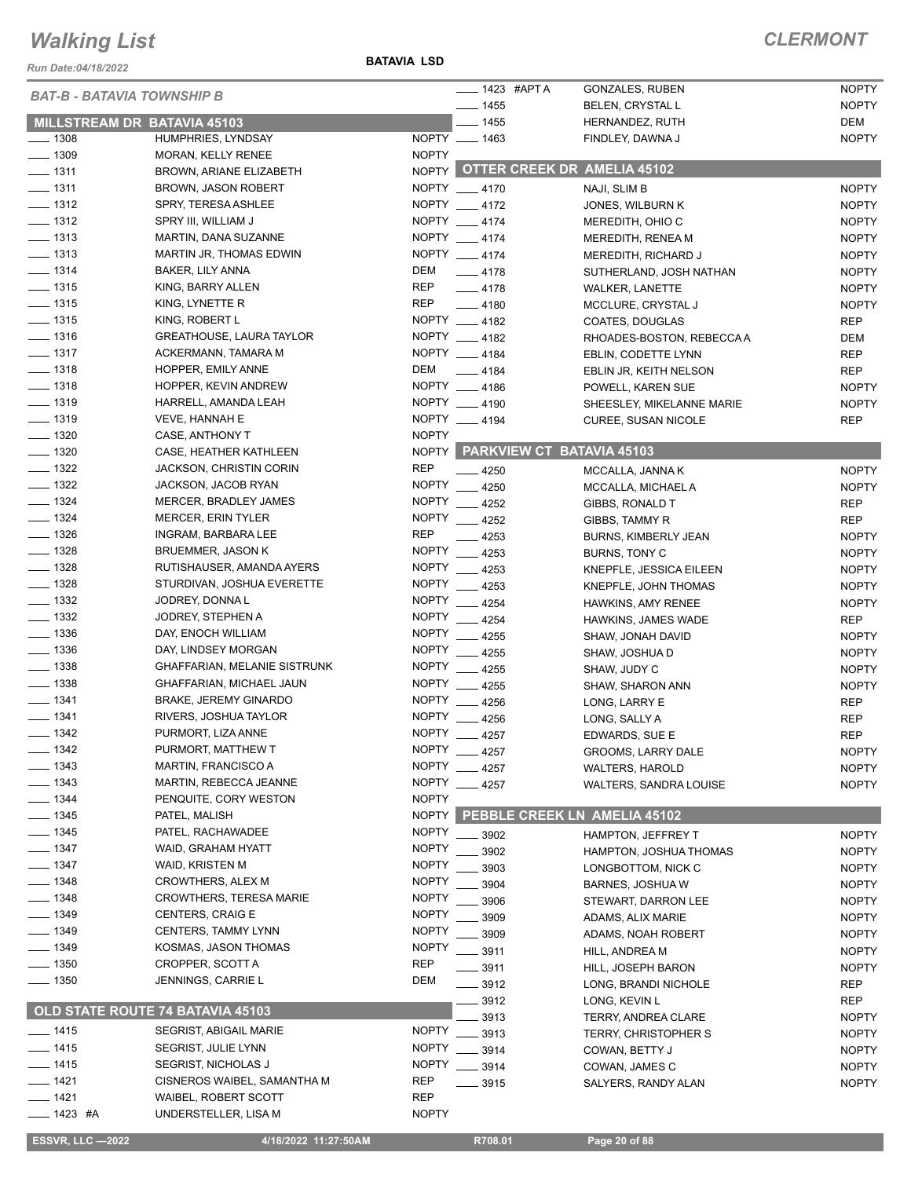*Run Date:04/18/2022*

#### **BATAVIA LSD**

|                                   |                                                  |                              | $-$ 1423 #APTA                     | <b>GONZALES, RUBEN</b>      | <b>NOPTY</b> |
|-----------------------------------|--------------------------------------------------|------------------------------|------------------------------------|-----------------------------|--------------|
| <b>BAT-B - BATAVIA TOWNSHIP B</b> |                                                  |                              | $- 1455$                           | BELEN, CRYSTAL L            | <b>NOPTY</b> |
| MILLSTREAM DR BATAVIA 45103       |                                                  |                              | $-1455$                            | HERNANDEZ, RUTH             | DEM          |
| $- 1308$                          | HUMPHRIES, LYNDSAY                               |                              | NOPTY __ 1463                      | FINDLEY, DAWNA J            | <b>NOPTY</b> |
| $- 1309$                          | MORAN, KELLY RENEE                               | <b>NOPTY</b>                 |                                    |                             |              |
| $- 1311$                          | BROWN, ARIANE ELIZABETH                          | <b>NOPTY</b>                 | <b>OTTER CREEK DR AMELIA 45102</b> |                             |              |
| $- 1311$                          | <b>BROWN, JASON ROBERT</b>                       |                              | NOPTY 4170                         | NAJI, SLIM B                | <b>NOPTY</b> |
| $- 1312$                          | SPRY, TERESA ASHLEE                              |                              | NOPTY __ 4172                      | JONES, WILBURN K            | <b>NOPTY</b> |
| $\frac{1}{2}$ 1312                | SPRY III, WILLIAM J                              |                              | NOPTY __ 4174                      | MEREDITH, OHIO C            | <b>NOPTY</b> |
| $- 1313$                          | MARTIN, DANA SUZANNE                             |                              | NOPTY __ 4174                      | MEREDITH, RENEA M           | <b>NOPTY</b> |
| $- 1313$                          | MARTIN JR, THOMAS EDWIN                          |                              | NOPTY __ 4174                      | MEREDITH, RICHARD J         | <b>NOPTY</b> |
| $- 1314$                          | BAKER, LILY ANNA                                 | DEM                          | $-4178$                            | SUTHERLAND, JOSH NATHAN     | <b>NOPTY</b> |
| $- 1315$                          | KING, BARRY ALLEN                                | <b>REP</b>                   | $-4178$                            | <b>WALKER, LANETTE</b>      | <b>NOPTY</b> |
| $- 1315$                          | KING, LYNETTE R                                  | <b>REP</b>                   | $-4180$                            | MCCLURE, CRYSTAL J          | <b>NOPTY</b> |
| $\frac{1}{2}$ 1315                | KING, ROBERT L                                   |                              | NOPTY 4182                         | COATES, DOUGLAS             | <b>REP</b>   |
| $- 1316$                          | <b>GREATHOUSE, LAURA TAYLOR</b>                  |                              | NOPTY 4182                         | RHOADES-BOSTON, REBECCA A   | <b>DEM</b>   |
| $- 1317$                          | ACKERMANN, TAMARA M                              |                              | NOPTY 4184                         | EBLIN, CODETTE LYNN         | <b>REP</b>   |
| $- 1318$                          | HOPPER, EMILY ANNE                               | DEM                          | $-4184$                            | EBLIN JR, KEITH NELSON      | <b>REP</b>   |
| $- 1318$                          | HOPPER, KEVIN ANDREW                             |                              | NOPTY 4186                         | POWELL, KAREN SUE           | <b>NOPTY</b> |
| $- 1319$                          | HARRELL, AMANDA LEAH                             |                              | NOPTY __ 4190                      | SHEESLEY, MIKELANNE MARIE   | <b>NOPTY</b> |
| $- 1319$                          | VEVE, HANNAH E                                   |                              | NOPTY 4194                         | <b>CUREE, SUSAN NICOLE</b>  | <b>REP</b>   |
| $\frac{1}{2}$ 1320                | CASE, ANTHONY T                                  | <b>NOPTY</b>                 |                                    |                             |              |
| $- 1320$                          | CASE, HEATHER KATHLEEN                           | <b>NOPTY</b>                 | PARKVIEW CT BATAVIA 45103          |                             |              |
| $\frac{1}{2}$ 1322                | <b>JACKSON, CHRISTIN CORIN</b>                   | <b>REP</b>                   | 4250                               | MCCALLA, JANNA K            | <b>NOPTY</b> |
| $- 1322$                          | JACKSON, JACOB RYAN                              | <b>NOPTY</b>                 | 4250                               | MCCALLA, MICHAEL A          | <b>NOPTY</b> |
| $\frac{1}{2}$ 1324                | MERCER, BRADLEY JAMES                            | <b>NOPTY</b>                 | 4252                               | GIBBS, RONALD T             | <b>REP</b>   |
| $- 1324$                          | <b>MERCER, ERIN TYLER</b>                        | <b>NOPTY</b>                 | 4252                               | GIBBS, TAMMY R              | <b>REP</b>   |
| $- 1326$                          | INGRAM, BARBARA LEE                              | <b>REP</b>                   | 4253                               | <b>BURNS, KIMBERLY JEAN</b> | <b>NOPTY</b> |
| $- 1328$                          | <b>BRUEMMER, JASON K</b>                         |                              | NOPTY __ 4253                      | BURNS, TONY C               | <b>NOPTY</b> |
| $- 1328$                          | RUTISHAUSER, AMANDA AYERS                        | <b>NOPTY</b>                 | 4253                               | KNEPFLE, JESSICA EILEEN     | <b>NOPTY</b> |
| $\frac{1328}{2}$                  | STURDIVAN, JOSHUA EVERETTE                       | <b>NOPTY</b>                 | 4253                               | KNEPFLE, JOHN THOMAS        | <b>NOPTY</b> |
| $\frac{1}{2}$ 1332                | JODREY, DONNA L                                  | <b>NOPTY</b>                 | 4254                               | HAWKINS, AMY RENEE          | <b>NOPTY</b> |
| $\frac{1}{2}$ 1332                | JODREY, STEPHEN A                                | <b>NOPTY</b>                 | 4254                               | HAWKINS, JAMES WADE         | <b>REP</b>   |
| $\frac{1}{2}$ 1336                | DAY, ENOCH WILLIAM                               | <b>NOPTY</b>                 | 4255                               | SHAW, JONAH DAVID           | <b>NOPTY</b> |
| $\frac{1}{2}$ 1336                | DAY, LINDSEY MORGAN                              | <b>NOPTY</b>                 | 4255                               | SHAW, JOSHUA D              | <b>NOPTY</b> |
| $\frac{1}{2}$ 1338                | <b>GHAFFARIAN, MELANIE SISTRUNK</b>              | <b>NOPTY</b>                 | 4255                               | SHAW, JUDY C                | <b>NOPTY</b> |
| $\frac{1}{2}$ 1338                | GHAFFARIAN, MICHAEL JAUN                         | <b>NOPTY</b>                 | 4255                               | SHAW, SHARON ANN            | <b>NOPTY</b> |
| $- 1341$<br>$- 1341$              | <b>BRAKE, JEREMY GINARDO</b>                     | <b>NOPTY</b><br><b>NOPTY</b> | 4256                               | LONG, LARRY E               | <b>REP</b>   |
| $- 1342$                          | RIVERS, JOSHUA TAYLOR                            | <b>NOPTY</b>                 | 4256                               | LONG, SALLY A               | <b>REP</b>   |
|                                   | PURMORT, LIZA ANNE                               | <b>NOPTY</b>                 | 4257                               | EDWARDS, SUE E              | <b>REP</b>   |
| _ 1342<br>$- 1343$                | PURMORT, MATTHEW T<br><b>MARTIN, FRANCISCO A</b> | <b>NOPTY</b>                 | 4257                               | GROOMS, LARRY DALE          | <b>NOPTY</b> |
| $-1343$                           | MARTIN, REBECCA JEANNE                           |                              | 4257                               | <b>WALTERS, HAROLD</b>      | <b>NOPTY</b> |
| $- 1344$                          | PENQUITE, CORY WESTON                            | <b>NOPTY</b><br><b>NOPTY</b> | $-4257$                            | WALTERS, SANDRA LOUISE      | <b>NOPTY</b> |
| $- 1345$                          | PATEL, MALISH                                    | <b>NOPTY</b>                 | PEBBLE CREEK LN AMELIA 45102       |                             |              |
| $\frac{1}{2}$ 1345                | PATEL, RACHAWADEE                                | <b>NOPTY</b>                 |                                    |                             |              |
| $- 1347$                          | WAID, GRAHAM HYATT                               | <b>NOPTY</b>                 | 3902                               | HAMPTON, JEFFREY T          | <b>NOPTY</b> |
| $- 1347$                          | WAID, KRISTEN M                                  | <b>NOPTY</b>                 | 3902                               | HAMPTON, JOSHUA THOMAS      | <b>NOPTY</b> |
| $- 1348$                          | <b>CROWTHERS, ALEX M</b>                         | <b>NOPTY</b>                 | 3903                               | LONGBOTTOM, NICK C          | <b>NOPTY</b> |
| $-1348$                           | <b>CROWTHERS, TERESA MARIE</b>                   | <b>NOPTY</b>                 | 3904                               | BARNES, JOSHUA W            | <b>NOPTY</b> |
| $-1349$                           | <b>CENTERS, CRAIG E</b>                          | <b>NOPTY</b>                 | 3906                               | STEWART, DARRON LEE         | <b>NOPTY</b> |
| $-1349$                           | <b>CENTERS, TAMMY LYNN</b>                       | <b>NOPTY</b>                 | 3909                               | ADAMS, ALIX MARIE           | <b>NOPTY</b> |
| _ 1349                            | KOSMAS, JASON THOMAS                             | <b>NOPTY</b>                 | 3909                               | ADAMS, NOAH ROBERT          | <b>NOPTY</b> |
| $\frac{1}{2}$ 1350                | CROPPER, SCOTT A                                 | <b>REP</b>                   | 3911                               | HILL, ANDREA M              | <b>NOPTY</b> |
| $\frac{1}{2}$ 1350                | JENNINGS, CARRIE L                               | DEM                          | 3911                               | HILL, JOSEPH BARON          | <b>NOPTY</b> |
|                                   |                                                  |                              | 3912                               | LONG, BRANDI NICHOLE        | <b>REP</b>   |
|                                   | OLD STATE ROUTE 74 BATAVIA 45103                 |                              | 3912                               | LONG, KEVIN L               | <b>REP</b>   |
| $- 1415$                          | <b>SEGRIST, ABIGAIL MARIE</b>                    | <b>NOPTY</b>                 | 3913                               | <b>TERRY, ANDREA CLARE</b>  | <b>NOPTY</b> |
| __ 1415                           | SEGRIST, JULIE LYNN                              | <b>NOPTY</b>                 | 3913                               | <b>TERRY, CHRISTOPHER S</b> | <b>NOPTY</b> |
| $- 1415$                          | <b>SEGRIST, NICHOLAS J</b>                       | <b>NOPTY</b>                 | 3914<br>$- 3914$                   | COWAN, BETTY J              | <b>NOPTY</b> |
| $- 1421$                          | CISNEROS WAIBEL, SAMANTHA M                      | <b>REP</b>                   | 3915                               | COWAN, JAMES C              | <b>NOPTY</b> |
| ____ 1421                         | <b>WAIBEL, ROBERT SCOTT</b>                      | <b>REP</b>                   |                                    | SALYERS, RANDY ALAN         | <b>NOPTY</b> |
| — 1423 #A                         | UNDERSTELLER, LISA M                             | <b>NOPTY</b>                 |                                    |                             |              |
|                                   |                                                  |                              |                                    |                             |              |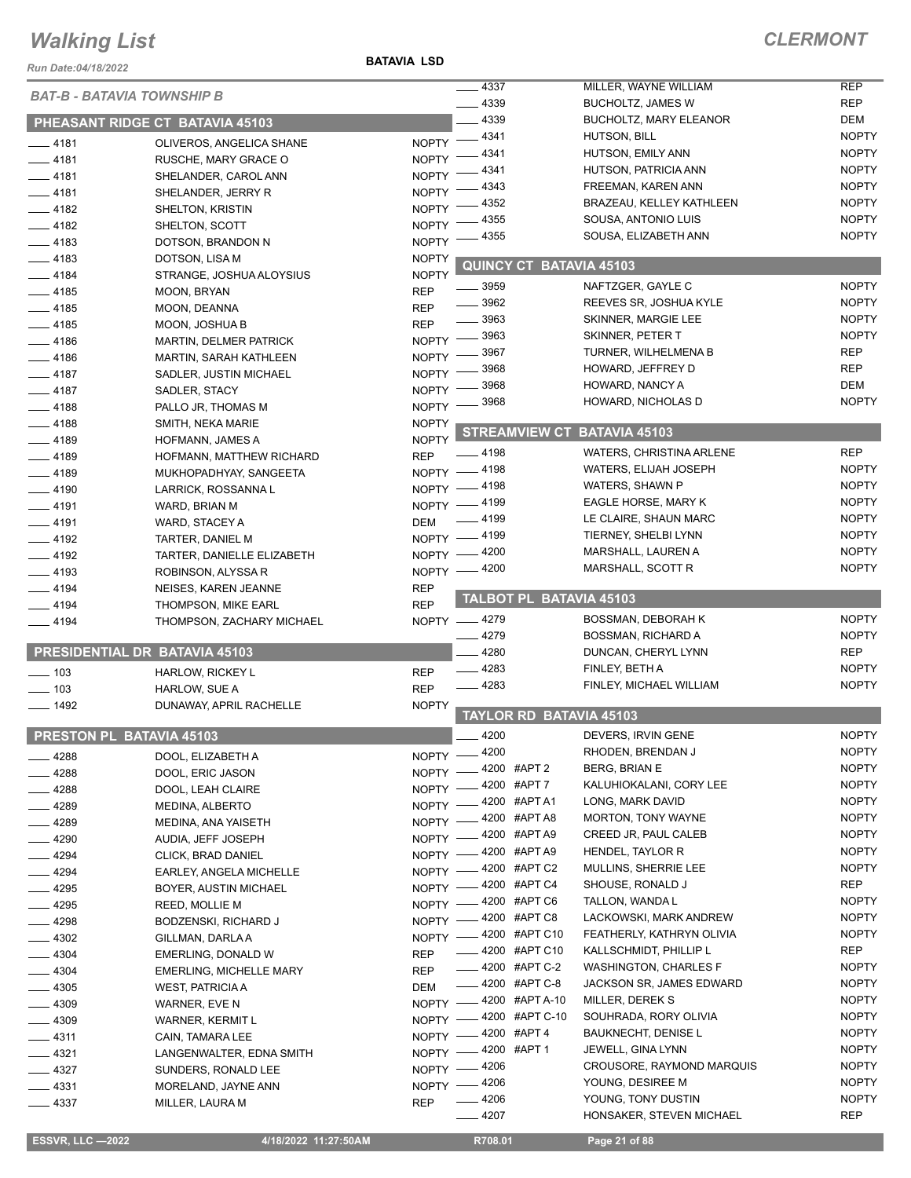*Run Date:04/18/2022*

**BATAVIA LSD**

| 22022/https://www.astrong.com/    |                                                  |                           | $- 4337$                                     | MILLER, WAYNE WILLIAM                                  | <b>REP</b>          |
|-----------------------------------|--------------------------------------------------|---------------------------|----------------------------------------------|--------------------------------------------------------|---------------------|
| <b>BAT-B - BATAVIA TOWNSHIP B</b> |                                                  |                           | 4339                                         | <b>BUCHOLTZ, JAMES W</b>                               | <b>REP</b>          |
|                                   | PHEASANT RIDGE CT BATAVIA 45103                  |                           | 4339                                         | <b>BUCHOLTZ, MARY ELEANOR</b>                          | DEM                 |
| $-4181$                           |                                                  | NOPTY -                   | _ 4341                                       | HUTSON, BILL                                           | <b>NOPTY</b>        |
| ____ 4181                         | OLIVEROS, ANGELICA SHANE<br>RUSCHE, MARY GRACE O | <b>NOPTY</b>              | 4341                                         | HUTSON, EMILY ANN                                      | <b>NOPTY</b>        |
| $-4181$                           | SHELANDER, CAROL ANN                             | <b>NOPTY</b>              | 4341                                         | HUTSON, PATRICIA ANN                                   | <b>NOPTY</b>        |
| $-4181$                           | SHELANDER, JERRY R                               | <b>NOPTY</b>              | 4343                                         | FREEMAN, KAREN ANN                                     | <b>NOPTY</b>        |
| $-4182$                           | <b>SHELTON, KRISTIN</b>                          | <b>NOPTY</b>              | 4352                                         | <b>BRAZEAU, KELLEY KATHLEEN</b>                        | <b>NOPTY</b>        |
| $-4182$                           | SHELTON, SCOTT                                   | <b>NOPTY</b>              | 4355                                         | SOUSA, ANTONIO LUIS                                    | <b>NOPTY</b>        |
| $-4183$                           | DOTSON, BRANDON N                                | <b>NOPTY</b>              | 4355                                         | SOUSA, ELIZABETH ANN                                   | <b>NOPTY</b>        |
| $-4183$                           | DOTSON, LISA M                                   | <b>NOPTY</b>              |                                              |                                                        |                     |
| $-4184$                           | STRANGE, JOSHUA ALOYSIUS                         | <b>NOPTY</b>              | <b>QUINCY CT BATAVIA 45103</b>               |                                                        |                     |
| $-4185$                           | MOON, BRYAN                                      | <b>REP</b>                | 3959                                         | NAFTZGER, GAYLE C                                      | <b>NOPTY</b>        |
| $-4185$                           | MOON, DEANNA                                     | <b>REP</b>                | 3962                                         | REEVES SR, JOSHUA KYLE                                 | <b>NOPTY</b>        |
| $-4185$                           | MOON, JOSHUA B                                   | <b>REP</b>                | 3963                                         | SKINNER, MARGIE LEE                                    | <b>NOPTY</b>        |
| $-4186$                           | <b>MARTIN, DELMER PATRICK</b>                    | NOPTY $-$                 | . 3963                                       | SKINNER, PETER T                                       | <b>NOPTY</b>        |
| $-4186$                           | <b>MARTIN, SARAH KATHLEEN</b>                    | NOPTY $-$                 | - 3967                                       | TURNER, WILHELMENA B                                   | <b>REP</b>          |
| $-4187$                           | SADLER, JUSTIN MICHAEL                           | NOPTY -                   | 3968                                         | HOWARD, JEFFREY D                                      | <b>REP</b>          |
| $-4187$                           | SADLER, STACY                                    | <b>NOPTY</b>              | 3968                                         | HOWARD, NANCY A<br>HOWARD, NICHOLAS D                  | DEM<br><b>NOPTY</b> |
| $-4188$                           | PALLO JR, THOMAS M                               | NOPTY -                   | 3968                                         |                                                        |                     |
| $-4188$                           | SMITH, NEKA MARIE                                | <b>NOPTY</b>              | <b>STREAMVIEW CT</b>                         | <b>BATAVIA 45103</b>                                   |                     |
| $-4189$                           | HOFMANN, JAMES A                                 | <b>NOPTY</b>              | - 4198                                       | <b>WATERS, CHRISTINA ARLENE</b>                        | <b>REP</b>          |
| $-4189$                           | HOFMANN, MATTHEW RICHARD                         | <b>REP</b>                | . 4198                                       | WATERS, ELIJAH JOSEPH                                  | <b>NOPTY</b>        |
| $-4189$                           | MUKHOPADHYAY, SANGEETA                           | <b>NOPTY</b>              | - 4198                                       | WATERS, SHAWN P                                        | <b>NOPTY</b>        |
| $-4190$                           | LARRICK, ROSSANNA L                              | NOPTY -                   | .4199                                        | EAGLE HORSE, MARY K                                    | <b>NOPTY</b>        |
| $=$ 4191                          | WARD, BRIAN M                                    | NOPTY -                   | _ 4199                                       | LE CLAIRE, SHAUN MARC                                  | <b>NOPTY</b>        |
| 4191                              | WARD, STACEY A                                   | DEM                       | NOPTY -4199                                  | TIERNEY, SHELBI LYNN                                   | <b>NOPTY</b>        |
| $-4192$                           | TARTER, DANIEL M                                 | NOPTY $-$                 | 4200                                         | MARSHALL, LAUREN A                                     | <b>NOPTY</b>        |
| $-4192$<br>$-4193$                | TARTER, DANIELLE ELIZABETH<br>ROBINSON, ALYSSA R | $N$ OPTY $-$              | _ 4200                                       | MARSHALL, SCOTT R                                      | <b>NOPTY</b>        |
| $-4194$                           | NEISES, KAREN JEANNE                             | <b>REP</b>                |                                              |                                                        |                     |
| $-4194$                           | <b>THOMPSON, MIKE EARL</b>                       | <b>REP</b>                | <b>TALBOT PL BATAVIA 45103</b>               |                                                        |                     |
| $-4194$                           | THOMPSON, ZACHARY MICHAEL                        |                           | NOPTY -4279                                  | <b>BOSSMAN, DEBORAH K</b>                              | <b>NOPTY</b>        |
|                                   |                                                  |                           | - 4279                                       | <b>BOSSMAN, RICHARD A</b>                              | <b>NOPTY</b>        |
| PRESIDENTIAL DR BATAVIA 45103     |                                                  |                           | 4280                                         | DUNCAN, CHERYL LYNN                                    | <b>REP</b>          |
| $\frac{1}{2}$ 103                 | <b>HARLOW, RICKEY L</b>                          | <b>REP</b>                | $-4283$                                      | FINLEY, BETH A                                         | <b>NOPTY</b>        |
| $\frac{1}{2}$ 103                 | HARLOW, SUE A                                    | <b>REP</b>                | 4283                                         | FINLEY, MICHAEL WILLIAM                                | <b>NOPTY</b>        |
| $- 1492$                          | DUNAWAY, APRIL RACHELLE                          | <b>NOPTY</b>              |                                              |                                                        |                     |
|                                   |                                                  |                           | <b>TAYLOR RD BATAVIA 45103</b>               |                                                        |                     |
| <b>PRESTON PL BATAVIA 45103</b>   |                                                  |                           | $-4200$                                      | DEVERS, IRVIN GENE                                     | <b>NOPTY</b>        |
| —— 4288                           | DOOL, ELIZABETH A                                |                           | NOPTY -4200                                  | RHODEN, BRENDAN J                                      | <b>NOPTY</b>        |
| $-4288$                           | DOOL, ERIC JASON                                 |                           | NOPTY -4200 #APT 2                           | <b>BERG, BRIAN E</b>                                   | <b>NOPTY</b>        |
| __ 4288                           | DOOL, LEAH CLAIRE                                |                           | NOPTY -4200 #APT7                            | KALUHIOKALANI, CORY LEE                                | <b>NOPTY</b>        |
| $-4289$                           | MEDINA, ALBERTO                                  |                           | NOPTY -4200 #APT A1                          | LONG, MARK DAVID                                       | <b>NOPTY</b>        |
| $-4289$                           | MEDINA, ANA YAISETH                              |                           | NOPTY -4200 #APT A8                          | MORTON, TONY WAYNE                                     | <b>NOPTY</b>        |
| $-4290$                           | AUDIA, JEFF JOSEPH                               | $N$ OPTY $-$              | _4200 #APTA9                                 | CREED JR, PAUL CALEB                                   | <b>NOPTY</b>        |
| 4294                              | CLICK, BRAD DANIEL                               | $N$ OPTY $-$              | _ 4200 #APT A9                               | HENDEL, TAYLOR R                                       | <b>NOPTY</b>        |
| 4294                              | EARLEY, ANGELA MICHELLE                          |                           | NOPTY -4200 #APT C2                          | MULLINS, SHERRIE LEE                                   | <b>NOPTY</b>        |
| $-4295$                           | BOYER, AUSTIN MICHAEL                            | $N$ OPTY $-$              | _4200 #APT C4                                | SHOUSE, RONALD J                                       | REP                 |
| _ 4295                            | REED, MOLLIE M                                   |                           | NOPTY -4200 #APT C6                          | TALLON, WANDA L                                        | <b>NOPTY</b>        |
| $-4298$                           | BODZENSKI, RICHARD J                             | NOPTY -                   | _4200 #APT C8                                | LACKOWSKI, MARK ANDREW                                 | <b>NOPTY</b>        |
| $-4302$                           | GILLMAN, DARLA A                                 |                           | NOPTY -4200 #APT C10<br><b>4200 #APT C10</b> | FEATHERLY, KATHRYN OLIVIA                              | <b>NOPTY</b><br>REP |
| $-4304$                           | EMERLING, DONALD W                               | <b>REP</b>                | $\frac{1}{2}$ 4200 #APT C-2                  | KALLSCHMIDT, PHILLIP L<br><b>WASHINGTON, CHARLES F</b> | <b>NOPTY</b>        |
| $-4304$                           | <b>EMERLING, MICHELLE MARY</b>                   | <b>REP</b>                | -4200 #APT C-8                               | JACKSON SR, JAMES EDWARD                               | <b>NOPTY</b>        |
| $\frac{1}{2}$ 4305                | <b>WEST, PATRICIA A</b>                          | DEM                       | NOPTY -4200 #APT A-10                        | MILLER, DEREK S                                        | <b>NOPTY</b>        |
| $-4309$                           | WARNER, EVE N                                    |                           | NOPTY -4200 #APT C-10                        | SOUHRADA, RORY OLIVIA                                  | <b>NOPTY</b>        |
| _ 4309                            | <b>WARNER, KERMIT L</b>                          |                           | $-4200$ #APT 4                               | <b>BAUKNECHT, DENISE L</b>                             | <b>NOPTY</b>        |
| $-4311$                           | CAIN, TAMARA LEE                                 | $N$ OPTY $-$<br>$NOPTY =$ | _4200 #APT1                                  | JEWELL, GINA LYNN                                      | <b>NOPTY</b>        |
| $-4321$<br>____ 4327              | LANGENWALTER, EDNA SMITH                         | $N$ OPTY $-$              | _ 4206                                       | <b>CROUSORE, RAYMOND MARQUIS</b>                       | <b>NOPTY</b>        |
| $-4331$                           | SUNDERS, RONALD LEE<br>MORELAND, JAYNE ANN       | NOPTY -                   | . 4206                                       | YOUNG, DESIREE M                                       | <b>NOPTY</b>        |
| 4337                              | MILLER, LAURA M                                  | <b>REP</b>                | 4206                                         | YOUNG, TONY DUSTIN                                     | <b>NOPTY</b>        |
|                                   |                                                  |                           | $-4207$                                      | HONSAKER, STEVEN MICHAEL                               | <b>REP</b>          |
|                                   |                                                  |                           |                                              |                                                        |                     |
| <b>ESSVR, LLC -2022</b>           | 4/18/2022 11:27:50AM                             |                           | R708.01                                      | Page 21 of 88                                          |                     |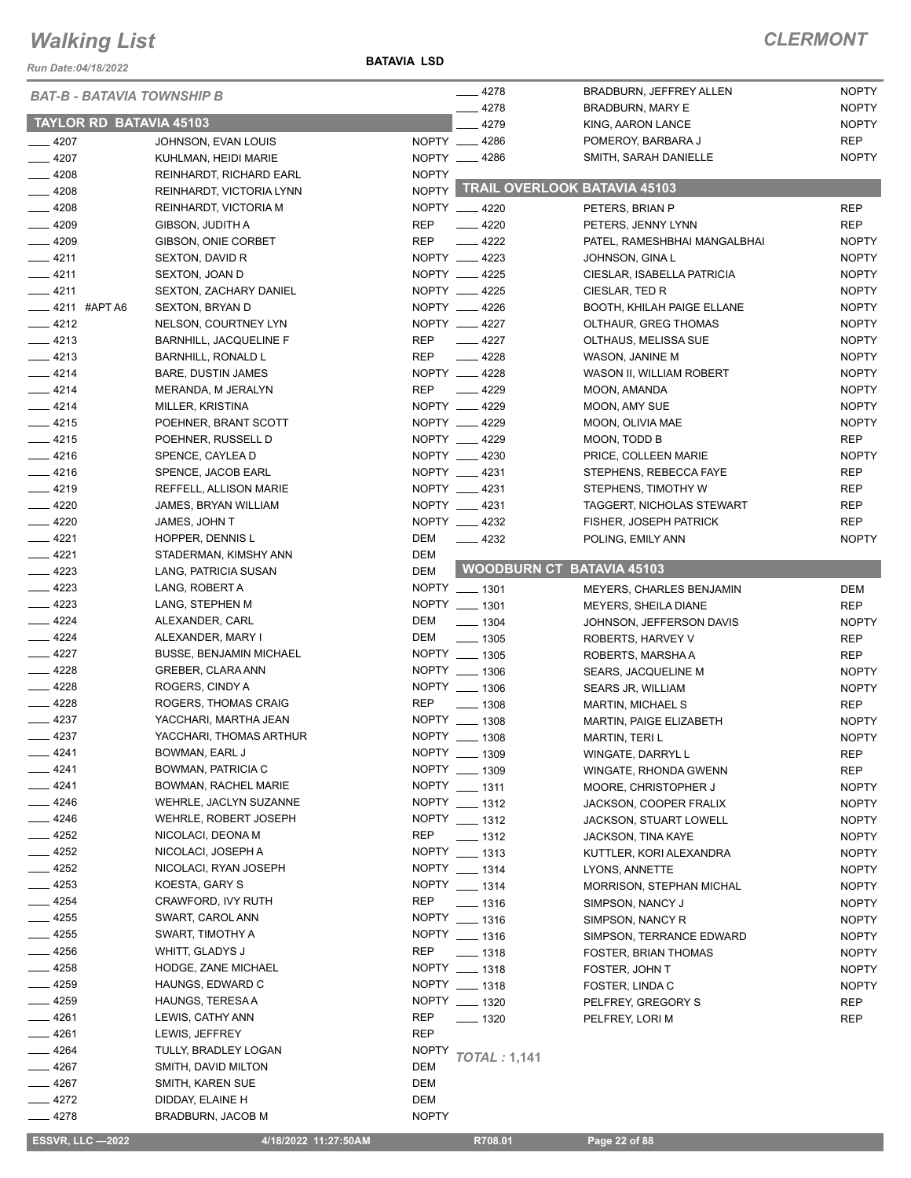*Run Date:04/18/2022*

| <b>BAT-B - BATAVIA TOWNSHIP B</b> |                                |              | $-4278$             | BRADBURN, JEFFREY ALLEN            | <b>NOPTY</b> |
|-----------------------------------|--------------------------------|--------------|---------------------|------------------------------------|--------------|
|                                   |                                | 4278         | BRADBURN, MARY E    | <b>NOPTY</b>                       |              |
| <b>TAYLOR RD BATAVIA 45103</b>    |                                |              | 4279                | KING, AARON LANCE                  | <b>NOPTY</b> |
| $-4207$                           | JOHNSON, EVAN LOUIS            |              | NOPTY __ 4286       | POMEROY, BARBARA J                 | <b>REP</b>   |
| $-4207$                           | KUHLMAN, HEIDI MARIE           |              | NOPTY __ 4286       | SMITH, SARAH DANIELLE              | <b>NOPTY</b> |
| $-4208$                           | REINHARDT, RICHARD EARL        | <b>NOPTY</b> |                     |                                    |              |
| $-4208$                           | REINHARDT, VICTORIA LYNN       |              |                     | NOPTY TRAIL OVERLOOK BATAVIA 45103 |              |
| $-4208$                           | REINHARDT, VICTORIA M          |              | NOPTY __ 4220       | PETERS, BRIAN P                    | <b>REP</b>   |
| $-4209$                           | GIBSON, JUDITH A               | <b>REP</b>   | $-4220$             | PETERS, JENNY LYNN                 | <b>REP</b>   |
| $-4209$                           | GIBSON, ONIE CORBET            | <b>REP</b>   | 4222                | PATEL, RAMESHBHAI MANGALBHAI       | <b>NOPTY</b> |
| $-4211$                           | SEXTON, DAVID R                |              | NOPTY __ 4223       | JOHNSON, GINA L                    | <b>NOPTY</b> |
| $-4211$                           | SEXTON, JOAN D                 |              | NOPTY __ 4225       | CIESLAR, ISABELLA PATRICIA         | <b>NOPTY</b> |
| $-4211$                           | <b>SEXTON, ZACHARY DANIEL</b>  |              | NOPTY 4225          | CIESLAR, TED R                     | <b>NOPTY</b> |
| $\frac{1}{2}$ 4211 #APT A6        | <b>SEXTON, BRYAN D</b>         |              | NOPTY __ 4226       | <b>BOOTH, KHILAH PAIGE ELLANE</b>  | <b>NOPTY</b> |
| $-4212$                           | NELSON, COURTNEY LYN           |              | NOPTY __ 4227       | OLTHAUR, GREG THOMAS               | <b>NOPTY</b> |
| $-4213$                           | BARNHILL, JACQUELINE F         | <b>REP</b>   | $-4227$             | OLTHAUS, MELISSA SUE               | <b>NOPTY</b> |
| $-4213$                           | <b>BARNHILL, RONALD L</b>      | <b>REP</b>   | 4228                | WASON, JANINE M                    | <b>NOPTY</b> |
| $-4214$                           | BARE, DUSTIN JAMES             |              | NOPTY __ 4228       | WASON II, WILLIAM ROBERT           | <b>NOPTY</b> |
| $-4214$                           | MERANDA, M JERALYN             | <b>REP</b>   | $-4229$             | MOON, AMANDA                       | <b>NOPTY</b> |
| $-4214$                           | MILLER, KRISTINA               |              | NOPTY __ 4229       | MOON, AMY SUE                      | <b>NOPTY</b> |
| $-4215$                           | POEHNER, BRANT SCOTT           |              | NOPTY __ 4229       | MOON, OLIVIA MAE                   | <b>NOPTY</b> |
| $-4215$                           | POEHNER, RUSSELL D             |              | NOPTY __ 4229       | MOON, TODD B                       | <b>REP</b>   |
| $-4216$                           | SPENCE, CAYLEA D               |              | NOPTY __ 4230       | PRICE, COLLEEN MARIE               | <b>NOPTY</b> |
| $-4216$                           | SPENCE, JACOB EARL             |              | NOPTY __ 4231       | STEPHENS, REBECCA FAYE             | <b>REP</b>   |
| $-4219$                           | REFFELL, ALLISON MARIE         |              | NOPTY __ 4231       | STEPHENS, TIMOTHY W                | <b>REP</b>   |
| $-4220$                           | JAMES, BRYAN WILLIAM           |              | NOPTY __ 4231       | TAGGERT, NICHOLAS STEWART          | <b>REP</b>   |
| $-4220$                           | JAMES, JOHN T                  |              | NOPTY __ 4232       | <b>FISHER, JOSEPH PATRICK</b>      | <b>REP</b>   |
| $-4221$                           | HOPPER, DENNIS L               | DEM          | $-4232$             | POLING, EMILY ANN                  | <b>NOPTY</b> |
| $-4221$                           | STADERMAN, KIMSHY ANN          | DEM          |                     |                                    |              |
| $-4223$                           | LANG, PATRICIA SUSAN           | DEM          |                     | <b>WOODBURN CT BATAVIA 45103</b>   |              |
| $-4223$                           | LANG, ROBERT A                 |              | NOPTY __ 1301       | MEYERS, CHARLES BENJAMIN           | <b>DEM</b>   |
| $\frac{1}{2}$ 4223                | LANG, STEPHEN M                |              | NOPTY __ 1301       | <b>MEYERS, SHEILA DIANE</b>        | <b>REP</b>   |
| $-4224$                           | ALEXANDER, CARL                | DEM          | $\frac{1}{2}$ 1304  | JOHNSON, JEFFERSON DAVIS           | <b>NOPTY</b> |
| $-4224$                           | ALEXANDER, MARY I              | DEM          | $\frac{1}{2}$ 1305  | ROBERTS, HARVEY V                  | <b>REP</b>   |
| $-4227$                           | <b>BUSSE, BENJAMIN MICHAEL</b> |              | NOPTY __ 1305       | ROBERTS, MARSHA A                  | <b>REP</b>   |
| $-4228$                           | GREBER, CLARA ANN              |              | NOPTY __ 1306       | SEARS, JACQUELINE M                | <b>NOPTY</b> |
| $-4228$                           | ROGERS, CINDY A                |              | NOPTY __ 1306       | SEARS JR, WILLIAM                  | <b>NOPTY</b> |
| $-4228$                           | ROGERS, THOMAS CRAIG           | <b>REP</b>   | $- 1308$            | <b>MARTIN, MICHAEL S</b>           | <b>REP</b>   |
| $-4237$                           | YACCHARI, MARTHA JEAN          |              | NOPTY __ 1308       | MARTIN, PAIGE ELIZABETH            | <b>NOPTY</b> |
| $-4237$                           | YACCHARI, THOMAS ARTHUR        |              | NOPTY __ 1308       | <b>MARTIN, TERIL</b>               | <b>NOPTY</b> |
| __ 4241                           | BOWMAN, EARL J                 |              | NOPTY __ 1309       | WINGATE, DARRYL L                  | REP          |
| __ 4241                           | BOWMAN, PATRICIA C             |              | NOPTY __ 1309       | WINGATE, RHONDA GWENN              | <b>REP</b>   |
| $-4241$                           | BOWMAN, RACHEL MARIE           |              | NOPTY __ 1311       | MOORE, CHRISTOPHER J               | <b>NOPTY</b> |
| $-4246$                           | WEHRLE, JACLYN SUZANNE         |              | NOPTY __ 1312       | JACKSON, COOPER FRALIX             | <b>NOPTY</b> |
| $-4246$                           | WEHRLE, ROBERT JOSEPH          |              | NOPTY __ 1312       | JACKSON, STUART LOWELL             | <b>NOPTY</b> |
| $-4252$                           | NICOLACI, DEONA M              | <b>REP</b>   | $\frac{1}{2}$ 1312  | JACKSON, TINA KAYE                 | <b>NOPTY</b> |
| $-4252$                           | NICOLACI, JOSEPH A             |              | NOPTY __ 1313       | KUTTLER, KORI ALEXANDRA            | <b>NOPTY</b> |
| $-4252$                           | NICOLACI, RYAN JOSEPH          |              | NOPTY __ 1314       | LYONS, ANNETTE                     | <b>NOPTY</b> |
| 4253                              | KOESTA, GARY S                 |              | NOPTY __ 1314       | <b>MORRISON, STEPHAN MICHAL</b>    | <b>NOPTY</b> |
| 4254                              | CRAWFORD, IVY RUTH             | <b>REP</b>   | $- 1316$            | SIMPSON, NANCY J                   | <b>NOPTY</b> |
| $= 4255$                          | SWART, CAROL ANN               |              | NOPTY __ 1316       | SIMPSON, NANCY R                   | <b>NOPTY</b> |
| $-4255$                           | SWART, TIMOTHY A               |              | NOPTY __ 1316       | SIMPSON, TERRANCE EDWARD           | <b>NOPTY</b> |
| 4256                              | WHITT, GLADYS J                | <b>REP</b>   | $- 1318$            | FOSTER, BRIAN THOMAS               | <b>NOPTY</b> |
| $-4258$                           | HODGE, ZANE MICHAEL            |              | NOPTY __ 1318       | FOSTER, JOHN T                     | <b>NOPTY</b> |
| 4259                              | HAUNGS, EDWARD C               |              | NOPTY __ 1318       | FOSTER, LINDA C                    | <b>NOPTY</b> |
| $-4259$                           | HAUNGS, TERESA A               |              | NOPTY __ 1320       | PELFREY, GREGORY S                 | <b>REP</b>   |
| $-4261$                           | LEWIS, CATHY ANN               | <b>REP</b>   | $- 1320$            | PELFREY, LORI M                    | REP          |
| $-4261$                           | LEWIS, JEFFREY                 | <b>REP</b>   |                     |                                    |              |
| _ 4264                            | TULLY, BRADLEY LOGAN           | <b>NOPTY</b> |                     |                                    |              |
| $-4267$                           | SMITH, DAVID MILTON            | <b>DEM</b>   | <b>TOTAL: 1,141</b> |                                    |              |
| $-4267$                           | SMITH, KAREN SUE               | DEM          |                     |                                    |              |
| $-4272$                           | DIDDAY, ELAINE H               | DEM          |                     |                                    |              |
| 4278                              | BRADBURN, JACOB M              | <b>NOPTY</b> |                     |                                    |              |
|                                   |                                |              |                     |                                    |              |

 **ESSVR, LLC —2022 4/18/2022 11:27:50AM R708.01 Page 22 of 88**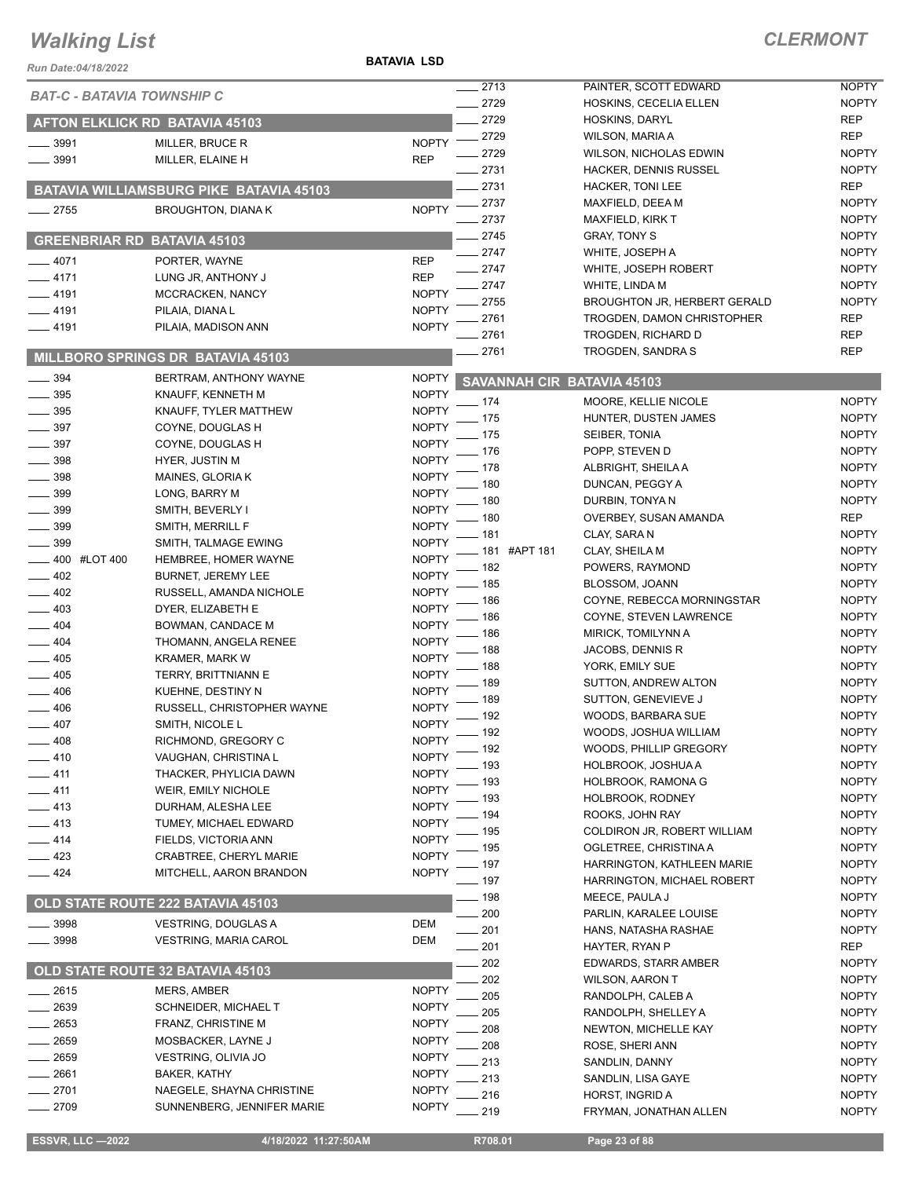#### **BATAVIA LSD**

#### *CLERMONT*

| 2713<br>PAINTER, SCOTT EDWARD<br><b>NOPTY</b><br><b>BAT-C - BATAVIA TOWNSHIP C</b><br>2729<br><b>NOPTY</b><br>HOSKINS, CECELIA ELLEN<br>2729<br><b>REP</b><br>HOSKINS, DARYL<br>AFTON ELKLICK RD BATAVIA 45103<br>2729<br><b>REP</b><br>WILSON, MARIA A<br><b>NOPTY</b><br>$- 3991$<br>MILLER, BRUCE R<br>2729<br><b>NOPTY</b><br>WILSON, NICHOLAS EDWIN<br>3991<br><b>REP</b><br>MILLER, ELAINE H<br>2731<br><b>NOPTY</b><br><b>HACKER, DENNIS RUSSEL</b><br>2731<br><b>REP</b><br><b>HACKER, TONI LEE</b><br><b>BATAVIA WILLIAMSBURG PIKE BATAVIA 45103</b><br>2737<br><b>NOPTY</b><br>MAXFIELD, DEEA M<br><b>NOPTY</b><br>$-2755$<br><b>BROUGHTON, DIANAK</b><br>2737<br><b>NOPTY</b><br><b>MAXFIELD, KIRK T</b><br>2745<br><b>NOPTY</b><br><b>GRAY, TONY S</b><br><b>GREENBRIAR RD BATAVIA 45103</b><br>2747<br><b>NOPTY</b><br>WHITE, JOSEPH A<br>$-4071$<br><b>REP</b><br>PORTER, WAYNE<br>2747<br><b>NOPTY</b><br>WHITE, JOSEPH ROBERT<br>4171<br><b>REP</b><br>LUNG JR, ANTHONY J<br>2747<br><b>NOPTY</b><br>WHITE, LINDA M<br>$-4191$<br><b>NOPTY</b><br>MCCRACKEN, NANCY<br>2755<br><b>NOPTY</b><br><b>BROUGHTON JR, HERBERT GERALD</b><br>$-4191$<br><b>NOPTY</b><br>PILAIA, DIANA L<br>2761<br><b>REP</b><br>TROGDEN, DAMON CHRISTOPHER<br><b>NOPTY</b><br>$-4191$<br>PILAIA, MADISON ANN<br>2761<br><b>REP</b><br>TROGDEN, RICHARD D<br>2761<br><b>REP</b><br>TROGDEN, SANDRA S<br>MILLBORO SPRINGS DR BATAVIA 45103<br>394<br>BERTRAM, ANTHONY WAYNE<br><b>NOPTY</b><br><b>SAVANNAH CIR BATAVIA 45103</b><br>395<br><b>NOPTY</b><br>KNAUFF, KENNETH M<br><b>NOPTY</b><br>174<br>MOORE, KELLIE NICOLE<br>$\frac{1}{2}$ 395<br><b>NOPTY</b><br>KNAUFF, TYLER MATTHEW<br>175<br><b>NOPTY</b><br>HUNTER, DUSTEN JAMES<br>397<br><b>NOPTY</b><br>COYNE, DOUGLAS H<br><b>NOPTY</b><br>175<br>SEIBER, TONIA<br>397<br><b>NOPTY</b><br>COYNE, DOUGLAS H<br>176<br><b>NOPTY</b><br>POPP, STEVEN D<br>398<br><b>NOPTY</b><br>HYER, JUSTIN M<br><b>NOPTY</b><br>178<br>ALBRIGHT, SHEILA A<br>398<br><b>NOPTY</b><br>MAINES, GLORIA K<br>180<br><b>NOPTY</b><br>DUNCAN, PEGGY A<br>399<br><b>NOPTY</b><br>LONG, BARRY M<br>180<br><b>NOPTY</b><br>DURBIN, TONYA N<br>399<br><b>NOPTY</b><br>SMITH, BEVERLY I<br>180<br><b>REP</b><br>OVERBEY, SUSAN AMANDA<br><b>NOPTY</b><br>399<br>SMITH, MERRILL F<br>181<br><b>NOPTY</b><br>CLAY, SARA N<br>399<br><b>NOPTY</b><br>SMITH, TALMAGE EWING<br>181 #APT 181<br><b>NOPTY</b><br>CLAY, SHEILA M<br>400 #LOT 400<br><b>NOPTY</b><br>HEMBREE, HOMER WAYNE<br>182<br><b>NOPTY</b><br>POWERS, RAYMOND<br>402<br><b>NOPTY</b><br><b>BURNET, JEREMY LEE</b><br>185<br><b>NOPTY</b><br>BLOSSOM, JOANN<br>$-402$<br><b>NOPTY</b><br>RUSSELL, AMANDA NICHOLE<br>186<br><b>NOPTY</b><br>COYNE, REBECCA MORNINGSTAR<br>$-403$<br><b>NOPTY</b><br>DYER, ELIZABETH E<br>186<br><b>NOPTY</b><br>COYNE, STEVEN LAWRENCE<br><b>NOPTY</b><br>404<br>BOWMAN, CANDACE M<br><b>NOPTY</b><br>186<br>MIRICK, TOMILYNN A<br><b>NOPTY</b><br>$-404$<br>THOMANN, ANGELA RENEE<br>188<br>JACOBS, DENNIS R<br><b>NOPTY</b><br><b>NOPTY</b><br>405<br><b>KRAMER, MARK W</b><br>188<br><b>NOPTY</b><br>YORK, EMILY SUE<br>405<br><b>NOPTY</b><br>TERRY, BRITTNIANN E<br>189<br><b>NOPTY</b><br>SUTTON, ANDREW ALTON<br>406<br><b>NOPTY</b><br>KUEHNE, DESTINY N<br>189<br><b>NOPTY</b><br>SUTTON, GENEVIEVE J<br>406<br><b>NOPTY</b><br>RUSSELL, CHRISTOPHER WAYNE<br>192<br><b>NOPTY</b><br>WOODS, BARBARA SUE<br><b>NOPTY</b><br>407<br>SMITH, NICOLE L<br>- 192<br>WOODS, JOSHUA WILLIAM<br><b>NOPTY</b><br><b>NOPTY</b><br>$-408$<br>RICHMOND, GREGORY C<br>192<br><b>NOPTY</b><br>WOODS, PHILLIP GREGORY<br><b>NOPTY</b><br>_ 410<br>VAUGHAN, CHRISTINA L<br>193<br><b>NOPTY</b><br>HOLBROOK, JOSHUA A<br><b>NOPTY</b><br>$-$ 411<br>THACKER, PHYLICIA DAWN<br>193<br><b>NOPTY</b><br>HOLBROOK, RAMONA G<br><b>NOPTY</b><br>411<br>WEIR, EMILY NICHOLE<br>193<br><b>HOLBROOK, RODNEY</b><br><b>NOPTY</b><br>- 413<br><b>NOPTY</b><br>DURHAM, ALESHA LEE<br>194<br><b>NOPTY</b><br>ROOKS, JOHN RAY<br>- 413<br><b>NOPTY</b><br>TUMEY, MICHAEL EDWARD<br>195<br><b>NOPTY</b><br>COLDIRON JR, ROBERT WILLIAM<br><b>NOPTY</b><br>414<br>FIELDS, VICTORIA ANN<br><b>NOPTY</b><br>195<br>OGLETREE, CHRISTINA A<br><b>NOPTY</b><br>- 423<br>CRABTREE, CHERYL MARIE<br><b>NOPTY</b><br>197<br>HARRINGTON, KATHLEEN MARIE<br><b>NOPTY</b><br>$-424$<br>MITCHELL, AARON BRANDON<br>. 197<br>HARRINGTON, MICHAEL ROBERT<br><b>NOPTY</b><br>- 198<br><b>NOPTY</b><br>MEECE, PAULA J<br>OLD STATE ROUTE 222 BATAVIA 45103<br>200<br>PARLIN, KARALEE LOUISE<br><b>NOPTY</b><br>3998<br><b>VESTRING, DOUGLAS A</b><br>DEM<br>201<br><b>NOPTY</b><br>HANS, NATASHA RASHAE<br>3998<br>DEM<br><b>VESTRING, MARIA CAROL</b><br>201<br><b>REP</b><br>HAYTER, RYAN P<br><b>NOPTY</b><br>202<br><b>EDWARDS, STARR AMBER</b><br>OLD STATE ROUTE 32 BATAVIA 45103<br>202<br><b>NOPTY</b><br><b>WILSON, AARON T</b><br>2615<br>MERS, AMBER<br><b>NOPTY</b><br>205<br>RANDOLPH, CALEB A<br><b>NOPTY</b><br>2639<br><b>NOPTY</b><br>SCHNEIDER, MICHAEL T<br>205<br><b>NOPTY</b><br>RANDOLPH, SHELLEY A<br>2653<br>FRANZ, CHRISTINE M<br><b>NOPTY</b><br>208<br><b>NEWTON, MICHELLE KAY</b><br><b>NOPTY</b><br>2659<br><b>NOPTY</b><br>MOSBACKER, LAYNE J<br>208<br>ROSE, SHERI ANN<br><b>NOPTY</b><br>2659<br>VESTRING, OLIVIA JO<br><b>NOPTY</b><br><b>NOPTY</b><br>213<br>SANDLIN, DANNY<br>2661<br><b>BAKER, KATHY</b><br><b>NOPTY</b><br>213<br>SANDLIN, LISA GAYE<br><b>NOPTY</b><br><b>NOPTY</b><br>2701<br>NAEGELE, SHAYNA CHRISTINE<br>216<br><b>NOPTY</b><br>HORST, INGRID A<br>$-2709$<br><b>NOPTY</b><br>SUNNENBERG, JENNIFER MARIE<br>219<br><b>NOPTY</b><br>FRYMAN, JONATHAN ALLEN | Run Date:04/18/2022 |  | <b>BATAVIA LSD</b> |  |  |
|----------------------------------------------------------------------------------------------------------------------------------------------------------------------------------------------------------------------------------------------------------------------------------------------------------------------------------------------------------------------------------------------------------------------------------------------------------------------------------------------------------------------------------------------------------------------------------------------------------------------------------------------------------------------------------------------------------------------------------------------------------------------------------------------------------------------------------------------------------------------------------------------------------------------------------------------------------------------------------------------------------------------------------------------------------------------------------------------------------------------------------------------------------------------------------------------------------------------------------------------------------------------------------------------------------------------------------------------------------------------------------------------------------------------------------------------------------------------------------------------------------------------------------------------------------------------------------------------------------------------------------------------------------------------------------------------------------------------------------------------------------------------------------------------------------------------------------------------------------------------------------------------------------------------------------------------------------------------------------------------------------------------------------------------------------------------------------------------------------------------------------------------------------------------------------------------------------------------------------------------------------------------------------------------------------------------------------------------------------------------------------------------------------------------------------------------------------------------------------------------------------------------------------------------------------------------------------------------------------------------------------------------------------------------------------------------------------------------------------------------------------------------------------------------------------------------------------------------------------------------------------------------------------------------------------------------------------------------------------------------------------------------------------------------------------------------------------------------------------------------------------------------------------------------------------------------------------------------------------------------------------------------------------------------------------------------------------------------------------------------------------------------------------------------------------------------------------------------------------------------------------------------------------------------------------------------------------------------------------------------------------------------------------------------------------------------------------------------------------------------------------------------------------------------------------------------------------------------------------------------------------------------------------------------------------------------------------------------------------------------------------------------------------------------------------------------------------------------------------------------------------------------------------------------------------------------------------------------------------------------------------------------------------------------------------------------------------------------------------------------------------------------------------------------------------------------------------------------------------------------------------------------------------------------------------------------------------------------------------------------------------------------------------------------------------------------------------------------------------------------------------------------------------------------------------------------------------------------------------------------------------------------------------------------------------------------------------------------------------------------------------------------------------------------------------------------------------------------------------------------------------------------------------------------------------------------------------------------------------------------------------------------------------------------------------------------------------------------------------------------------------------------------------------------------------------------------------------------------------------------------------------------------------------------------------------------------------------------------------------------------------------------------------------------------------------------|---------------------|--|--------------------|--|--|
|                                                                                                                                                                                                                                                                                                                                                                                                                                                                                                                                                                                                                                                                                                                                                                                                                                                                                                                                                                                                                                                                                                                                                                                                                                                                                                                                                                                                                                                                                                                                                                                                                                                                                                                                                                                                                                                                                                                                                                                                                                                                                                                                                                                                                                                                                                                                                                                                                                                                                                                                                                                                                                                                                                                                                                                                                                                                                                                                                                                                                                                                                                                                                                                                                                                                                                                                                                                                                                                                                                                                                                                                                                                                                                                                                                                                                                                                                                                                                                                                                                                                                                                                                                                                                                                                                                                                                                                                                                                                                                                                                                                                                                                                                                                                                                                                                                                                                                                                                                                                                                                                                                                                                                                                                                                                                                                                                                                                                                                                                                                                                                                                                                                                                              |                     |  |                    |  |  |
|                                                                                                                                                                                                                                                                                                                                                                                                                                                                                                                                                                                                                                                                                                                                                                                                                                                                                                                                                                                                                                                                                                                                                                                                                                                                                                                                                                                                                                                                                                                                                                                                                                                                                                                                                                                                                                                                                                                                                                                                                                                                                                                                                                                                                                                                                                                                                                                                                                                                                                                                                                                                                                                                                                                                                                                                                                                                                                                                                                                                                                                                                                                                                                                                                                                                                                                                                                                                                                                                                                                                                                                                                                                                                                                                                                                                                                                                                                                                                                                                                                                                                                                                                                                                                                                                                                                                                                                                                                                                                                                                                                                                                                                                                                                                                                                                                                                                                                                                                                                                                                                                                                                                                                                                                                                                                                                                                                                                                                                                                                                                                                                                                                                                                              |                     |  |                    |  |  |
|                                                                                                                                                                                                                                                                                                                                                                                                                                                                                                                                                                                                                                                                                                                                                                                                                                                                                                                                                                                                                                                                                                                                                                                                                                                                                                                                                                                                                                                                                                                                                                                                                                                                                                                                                                                                                                                                                                                                                                                                                                                                                                                                                                                                                                                                                                                                                                                                                                                                                                                                                                                                                                                                                                                                                                                                                                                                                                                                                                                                                                                                                                                                                                                                                                                                                                                                                                                                                                                                                                                                                                                                                                                                                                                                                                                                                                                                                                                                                                                                                                                                                                                                                                                                                                                                                                                                                                                                                                                                                                                                                                                                                                                                                                                                                                                                                                                                                                                                                                                                                                                                                                                                                                                                                                                                                                                                                                                                                                                                                                                                                                                                                                                                                              |                     |  |                    |  |  |
|                                                                                                                                                                                                                                                                                                                                                                                                                                                                                                                                                                                                                                                                                                                                                                                                                                                                                                                                                                                                                                                                                                                                                                                                                                                                                                                                                                                                                                                                                                                                                                                                                                                                                                                                                                                                                                                                                                                                                                                                                                                                                                                                                                                                                                                                                                                                                                                                                                                                                                                                                                                                                                                                                                                                                                                                                                                                                                                                                                                                                                                                                                                                                                                                                                                                                                                                                                                                                                                                                                                                                                                                                                                                                                                                                                                                                                                                                                                                                                                                                                                                                                                                                                                                                                                                                                                                                                                                                                                                                                                                                                                                                                                                                                                                                                                                                                                                                                                                                                                                                                                                                                                                                                                                                                                                                                                                                                                                                                                                                                                                                                                                                                                                                              |                     |  |                    |  |  |
|                                                                                                                                                                                                                                                                                                                                                                                                                                                                                                                                                                                                                                                                                                                                                                                                                                                                                                                                                                                                                                                                                                                                                                                                                                                                                                                                                                                                                                                                                                                                                                                                                                                                                                                                                                                                                                                                                                                                                                                                                                                                                                                                                                                                                                                                                                                                                                                                                                                                                                                                                                                                                                                                                                                                                                                                                                                                                                                                                                                                                                                                                                                                                                                                                                                                                                                                                                                                                                                                                                                                                                                                                                                                                                                                                                                                                                                                                                                                                                                                                                                                                                                                                                                                                                                                                                                                                                                                                                                                                                                                                                                                                                                                                                                                                                                                                                                                                                                                                                                                                                                                                                                                                                                                                                                                                                                                                                                                                                                                                                                                                                                                                                                                                              |                     |  |                    |  |  |
|                                                                                                                                                                                                                                                                                                                                                                                                                                                                                                                                                                                                                                                                                                                                                                                                                                                                                                                                                                                                                                                                                                                                                                                                                                                                                                                                                                                                                                                                                                                                                                                                                                                                                                                                                                                                                                                                                                                                                                                                                                                                                                                                                                                                                                                                                                                                                                                                                                                                                                                                                                                                                                                                                                                                                                                                                                                                                                                                                                                                                                                                                                                                                                                                                                                                                                                                                                                                                                                                                                                                                                                                                                                                                                                                                                                                                                                                                                                                                                                                                                                                                                                                                                                                                                                                                                                                                                                                                                                                                                                                                                                                                                                                                                                                                                                                                                                                                                                                                                                                                                                                                                                                                                                                                                                                                                                                                                                                                                                                                                                                                                                                                                                                                              |                     |  |                    |  |  |
|                                                                                                                                                                                                                                                                                                                                                                                                                                                                                                                                                                                                                                                                                                                                                                                                                                                                                                                                                                                                                                                                                                                                                                                                                                                                                                                                                                                                                                                                                                                                                                                                                                                                                                                                                                                                                                                                                                                                                                                                                                                                                                                                                                                                                                                                                                                                                                                                                                                                                                                                                                                                                                                                                                                                                                                                                                                                                                                                                                                                                                                                                                                                                                                                                                                                                                                                                                                                                                                                                                                                                                                                                                                                                                                                                                                                                                                                                                                                                                                                                                                                                                                                                                                                                                                                                                                                                                                                                                                                                                                                                                                                                                                                                                                                                                                                                                                                                                                                                                                                                                                                                                                                                                                                                                                                                                                                                                                                                                                                                                                                                                                                                                                                                              |                     |  |                    |  |  |
|                                                                                                                                                                                                                                                                                                                                                                                                                                                                                                                                                                                                                                                                                                                                                                                                                                                                                                                                                                                                                                                                                                                                                                                                                                                                                                                                                                                                                                                                                                                                                                                                                                                                                                                                                                                                                                                                                                                                                                                                                                                                                                                                                                                                                                                                                                                                                                                                                                                                                                                                                                                                                                                                                                                                                                                                                                                                                                                                                                                                                                                                                                                                                                                                                                                                                                                                                                                                                                                                                                                                                                                                                                                                                                                                                                                                                                                                                                                                                                                                                                                                                                                                                                                                                                                                                                                                                                                                                                                                                                                                                                                                                                                                                                                                                                                                                                                                                                                                                                                                                                                                                                                                                                                                                                                                                                                                                                                                                                                                                                                                                                                                                                                                                              |                     |  |                    |  |  |
|                                                                                                                                                                                                                                                                                                                                                                                                                                                                                                                                                                                                                                                                                                                                                                                                                                                                                                                                                                                                                                                                                                                                                                                                                                                                                                                                                                                                                                                                                                                                                                                                                                                                                                                                                                                                                                                                                                                                                                                                                                                                                                                                                                                                                                                                                                                                                                                                                                                                                                                                                                                                                                                                                                                                                                                                                                                                                                                                                                                                                                                                                                                                                                                                                                                                                                                                                                                                                                                                                                                                                                                                                                                                                                                                                                                                                                                                                                                                                                                                                                                                                                                                                                                                                                                                                                                                                                                                                                                                                                                                                                                                                                                                                                                                                                                                                                                                                                                                                                                                                                                                                                                                                                                                                                                                                                                                                                                                                                                                                                                                                                                                                                                                                              |                     |  |                    |  |  |
|                                                                                                                                                                                                                                                                                                                                                                                                                                                                                                                                                                                                                                                                                                                                                                                                                                                                                                                                                                                                                                                                                                                                                                                                                                                                                                                                                                                                                                                                                                                                                                                                                                                                                                                                                                                                                                                                                                                                                                                                                                                                                                                                                                                                                                                                                                                                                                                                                                                                                                                                                                                                                                                                                                                                                                                                                                                                                                                                                                                                                                                                                                                                                                                                                                                                                                                                                                                                                                                                                                                                                                                                                                                                                                                                                                                                                                                                                                                                                                                                                                                                                                                                                                                                                                                                                                                                                                                                                                                                                                                                                                                                                                                                                                                                                                                                                                                                                                                                                                                                                                                                                                                                                                                                                                                                                                                                                                                                                                                                                                                                                                                                                                                                                              |                     |  |                    |  |  |
|                                                                                                                                                                                                                                                                                                                                                                                                                                                                                                                                                                                                                                                                                                                                                                                                                                                                                                                                                                                                                                                                                                                                                                                                                                                                                                                                                                                                                                                                                                                                                                                                                                                                                                                                                                                                                                                                                                                                                                                                                                                                                                                                                                                                                                                                                                                                                                                                                                                                                                                                                                                                                                                                                                                                                                                                                                                                                                                                                                                                                                                                                                                                                                                                                                                                                                                                                                                                                                                                                                                                                                                                                                                                                                                                                                                                                                                                                                                                                                                                                                                                                                                                                                                                                                                                                                                                                                                                                                                                                                                                                                                                                                                                                                                                                                                                                                                                                                                                                                                                                                                                                                                                                                                                                                                                                                                                                                                                                                                                                                                                                                                                                                                                                              |                     |  |                    |  |  |
|                                                                                                                                                                                                                                                                                                                                                                                                                                                                                                                                                                                                                                                                                                                                                                                                                                                                                                                                                                                                                                                                                                                                                                                                                                                                                                                                                                                                                                                                                                                                                                                                                                                                                                                                                                                                                                                                                                                                                                                                                                                                                                                                                                                                                                                                                                                                                                                                                                                                                                                                                                                                                                                                                                                                                                                                                                                                                                                                                                                                                                                                                                                                                                                                                                                                                                                                                                                                                                                                                                                                                                                                                                                                                                                                                                                                                                                                                                                                                                                                                                                                                                                                                                                                                                                                                                                                                                                                                                                                                                                                                                                                                                                                                                                                                                                                                                                                                                                                                                                                                                                                                                                                                                                                                                                                                                                                                                                                                                                                                                                                                                                                                                                                                              |                     |  |                    |  |  |
|                                                                                                                                                                                                                                                                                                                                                                                                                                                                                                                                                                                                                                                                                                                                                                                                                                                                                                                                                                                                                                                                                                                                                                                                                                                                                                                                                                                                                                                                                                                                                                                                                                                                                                                                                                                                                                                                                                                                                                                                                                                                                                                                                                                                                                                                                                                                                                                                                                                                                                                                                                                                                                                                                                                                                                                                                                                                                                                                                                                                                                                                                                                                                                                                                                                                                                                                                                                                                                                                                                                                                                                                                                                                                                                                                                                                                                                                                                                                                                                                                                                                                                                                                                                                                                                                                                                                                                                                                                                                                                                                                                                                                                                                                                                                                                                                                                                                                                                                                                                                                                                                                                                                                                                                                                                                                                                                                                                                                                                                                                                                                                                                                                                                                              |                     |  |                    |  |  |
|                                                                                                                                                                                                                                                                                                                                                                                                                                                                                                                                                                                                                                                                                                                                                                                                                                                                                                                                                                                                                                                                                                                                                                                                                                                                                                                                                                                                                                                                                                                                                                                                                                                                                                                                                                                                                                                                                                                                                                                                                                                                                                                                                                                                                                                                                                                                                                                                                                                                                                                                                                                                                                                                                                                                                                                                                                                                                                                                                                                                                                                                                                                                                                                                                                                                                                                                                                                                                                                                                                                                                                                                                                                                                                                                                                                                                                                                                                                                                                                                                                                                                                                                                                                                                                                                                                                                                                                                                                                                                                                                                                                                                                                                                                                                                                                                                                                                                                                                                                                                                                                                                                                                                                                                                                                                                                                                                                                                                                                                                                                                                                                                                                                                                              |                     |  |                    |  |  |
|                                                                                                                                                                                                                                                                                                                                                                                                                                                                                                                                                                                                                                                                                                                                                                                                                                                                                                                                                                                                                                                                                                                                                                                                                                                                                                                                                                                                                                                                                                                                                                                                                                                                                                                                                                                                                                                                                                                                                                                                                                                                                                                                                                                                                                                                                                                                                                                                                                                                                                                                                                                                                                                                                                                                                                                                                                                                                                                                                                                                                                                                                                                                                                                                                                                                                                                                                                                                                                                                                                                                                                                                                                                                                                                                                                                                                                                                                                                                                                                                                                                                                                                                                                                                                                                                                                                                                                                                                                                                                                                                                                                                                                                                                                                                                                                                                                                                                                                                                                                                                                                                                                                                                                                                                                                                                                                                                                                                                                                                                                                                                                                                                                                                                              |                     |  |                    |  |  |
|                                                                                                                                                                                                                                                                                                                                                                                                                                                                                                                                                                                                                                                                                                                                                                                                                                                                                                                                                                                                                                                                                                                                                                                                                                                                                                                                                                                                                                                                                                                                                                                                                                                                                                                                                                                                                                                                                                                                                                                                                                                                                                                                                                                                                                                                                                                                                                                                                                                                                                                                                                                                                                                                                                                                                                                                                                                                                                                                                                                                                                                                                                                                                                                                                                                                                                                                                                                                                                                                                                                                                                                                                                                                                                                                                                                                                                                                                                                                                                                                                                                                                                                                                                                                                                                                                                                                                                                                                                                                                                                                                                                                                                                                                                                                                                                                                                                                                                                                                                                                                                                                                                                                                                                                                                                                                                                                                                                                                                                                                                                                                                                                                                                                                              |                     |  |                    |  |  |
|                                                                                                                                                                                                                                                                                                                                                                                                                                                                                                                                                                                                                                                                                                                                                                                                                                                                                                                                                                                                                                                                                                                                                                                                                                                                                                                                                                                                                                                                                                                                                                                                                                                                                                                                                                                                                                                                                                                                                                                                                                                                                                                                                                                                                                                                                                                                                                                                                                                                                                                                                                                                                                                                                                                                                                                                                                                                                                                                                                                                                                                                                                                                                                                                                                                                                                                                                                                                                                                                                                                                                                                                                                                                                                                                                                                                                                                                                                                                                                                                                                                                                                                                                                                                                                                                                                                                                                                                                                                                                                                                                                                                                                                                                                                                                                                                                                                                                                                                                                                                                                                                                                                                                                                                                                                                                                                                                                                                                                                                                                                                                                                                                                                                                              |                     |  |                    |  |  |
|                                                                                                                                                                                                                                                                                                                                                                                                                                                                                                                                                                                                                                                                                                                                                                                                                                                                                                                                                                                                                                                                                                                                                                                                                                                                                                                                                                                                                                                                                                                                                                                                                                                                                                                                                                                                                                                                                                                                                                                                                                                                                                                                                                                                                                                                                                                                                                                                                                                                                                                                                                                                                                                                                                                                                                                                                                                                                                                                                                                                                                                                                                                                                                                                                                                                                                                                                                                                                                                                                                                                                                                                                                                                                                                                                                                                                                                                                                                                                                                                                                                                                                                                                                                                                                                                                                                                                                                                                                                                                                                                                                                                                                                                                                                                                                                                                                                                                                                                                                                                                                                                                                                                                                                                                                                                                                                                                                                                                                                                                                                                                                                                                                                                                              |                     |  |                    |  |  |
|                                                                                                                                                                                                                                                                                                                                                                                                                                                                                                                                                                                                                                                                                                                                                                                                                                                                                                                                                                                                                                                                                                                                                                                                                                                                                                                                                                                                                                                                                                                                                                                                                                                                                                                                                                                                                                                                                                                                                                                                                                                                                                                                                                                                                                                                                                                                                                                                                                                                                                                                                                                                                                                                                                                                                                                                                                                                                                                                                                                                                                                                                                                                                                                                                                                                                                                                                                                                                                                                                                                                                                                                                                                                                                                                                                                                                                                                                                                                                                                                                                                                                                                                                                                                                                                                                                                                                                                                                                                                                                                                                                                                                                                                                                                                                                                                                                                                                                                                                                                                                                                                                                                                                                                                                                                                                                                                                                                                                                                                                                                                                                                                                                                                                              |                     |  |                    |  |  |
|                                                                                                                                                                                                                                                                                                                                                                                                                                                                                                                                                                                                                                                                                                                                                                                                                                                                                                                                                                                                                                                                                                                                                                                                                                                                                                                                                                                                                                                                                                                                                                                                                                                                                                                                                                                                                                                                                                                                                                                                                                                                                                                                                                                                                                                                                                                                                                                                                                                                                                                                                                                                                                                                                                                                                                                                                                                                                                                                                                                                                                                                                                                                                                                                                                                                                                                                                                                                                                                                                                                                                                                                                                                                                                                                                                                                                                                                                                                                                                                                                                                                                                                                                                                                                                                                                                                                                                                                                                                                                                                                                                                                                                                                                                                                                                                                                                                                                                                                                                                                                                                                                                                                                                                                                                                                                                                                                                                                                                                                                                                                                                                                                                                                                              |                     |  |                    |  |  |
|                                                                                                                                                                                                                                                                                                                                                                                                                                                                                                                                                                                                                                                                                                                                                                                                                                                                                                                                                                                                                                                                                                                                                                                                                                                                                                                                                                                                                                                                                                                                                                                                                                                                                                                                                                                                                                                                                                                                                                                                                                                                                                                                                                                                                                                                                                                                                                                                                                                                                                                                                                                                                                                                                                                                                                                                                                                                                                                                                                                                                                                                                                                                                                                                                                                                                                                                                                                                                                                                                                                                                                                                                                                                                                                                                                                                                                                                                                                                                                                                                                                                                                                                                                                                                                                                                                                                                                                                                                                                                                                                                                                                                                                                                                                                                                                                                                                                                                                                                                                                                                                                                                                                                                                                                                                                                                                                                                                                                                                                                                                                                                                                                                                                                              |                     |  |                    |  |  |
|                                                                                                                                                                                                                                                                                                                                                                                                                                                                                                                                                                                                                                                                                                                                                                                                                                                                                                                                                                                                                                                                                                                                                                                                                                                                                                                                                                                                                                                                                                                                                                                                                                                                                                                                                                                                                                                                                                                                                                                                                                                                                                                                                                                                                                                                                                                                                                                                                                                                                                                                                                                                                                                                                                                                                                                                                                                                                                                                                                                                                                                                                                                                                                                                                                                                                                                                                                                                                                                                                                                                                                                                                                                                                                                                                                                                                                                                                                                                                                                                                                                                                                                                                                                                                                                                                                                                                                                                                                                                                                                                                                                                                                                                                                                                                                                                                                                                                                                                                                                                                                                                                                                                                                                                                                                                                                                                                                                                                                                                                                                                                                                                                                                                                              |                     |  |                    |  |  |
|                                                                                                                                                                                                                                                                                                                                                                                                                                                                                                                                                                                                                                                                                                                                                                                                                                                                                                                                                                                                                                                                                                                                                                                                                                                                                                                                                                                                                                                                                                                                                                                                                                                                                                                                                                                                                                                                                                                                                                                                                                                                                                                                                                                                                                                                                                                                                                                                                                                                                                                                                                                                                                                                                                                                                                                                                                                                                                                                                                                                                                                                                                                                                                                                                                                                                                                                                                                                                                                                                                                                                                                                                                                                                                                                                                                                                                                                                                                                                                                                                                                                                                                                                                                                                                                                                                                                                                                                                                                                                                                                                                                                                                                                                                                                                                                                                                                                                                                                                                                                                                                                                                                                                                                                                                                                                                                                                                                                                                                                                                                                                                                                                                                                                              |                     |  |                    |  |  |
|                                                                                                                                                                                                                                                                                                                                                                                                                                                                                                                                                                                                                                                                                                                                                                                                                                                                                                                                                                                                                                                                                                                                                                                                                                                                                                                                                                                                                                                                                                                                                                                                                                                                                                                                                                                                                                                                                                                                                                                                                                                                                                                                                                                                                                                                                                                                                                                                                                                                                                                                                                                                                                                                                                                                                                                                                                                                                                                                                                                                                                                                                                                                                                                                                                                                                                                                                                                                                                                                                                                                                                                                                                                                                                                                                                                                                                                                                                                                                                                                                                                                                                                                                                                                                                                                                                                                                                                                                                                                                                                                                                                                                                                                                                                                                                                                                                                                                                                                                                                                                                                                                                                                                                                                                                                                                                                                                                                                                                                                                                                                                                                                                                                                                              |                     |  |                    |  |  |
|                                                                                                                                                                                                                                                                                                                                                                                                                                                                                                                                                                                                                                                                                                                                                                                                                                                                                                                                                                                                                                                                                                                                                                                                                                                                                                                                                                                                                                                                                                                                                                                                                                                                                                                                                                                                                                                                                                                                                                                                                                                                                                                                                                                                                                                                                                                                                                                                                                                                                                                                                                                                                                                                                                                                                                                                                                                                                                                                                                                                                                                                                                                                                                                                                                                                                                                                                                                                                                                                                                                                                                                                                                                                                                                                                                                                                                                                                                                                                                                                                                                                                                                                                                                                                                                                                                                                                                                                                                                                                                                                                                                                                                                                                                                                                                                                                                                                                                                                                                                                                                                                                                                                                                                                                                                                                                                                                                                                                                                                                                                                                                                                                                                                                              |                     |  |                    |  |  |
|                                                                                                                                                                                                                                                                                                                                                                                                                                                                                                                                                                                                                                                                                                                                                                                                                                                                                                                                                                                                                                                                                                                                                                                                                                                                                                                                                                                                                                                                                                                                                                                                                                                                                                                                                                                                                                                                                                                                                                                                                                                                                                                                                                                                                                                                                                                                                                                                                                                                                                                                                                                                                                                                                                                                                                                                                                                                                                                                                                                                                                                                                                                                                                                                                                                                                                                                                                                                                                                                                                                                                                                                                                                                                                                                                                                                                                                                                                                                                                                                                                                                                                                                                                                                                                                                                                                                                                                                                                                                                                                                                                                                                                                                                                                                                                                                                                                                                                                                                                                                                                                                                                                                                                                                                                                                                                                                                                                                                                                                                                                                                                                                                                                                                              |                     |  |                    |  |  |
|                                                                                                                                                                                                                                                                                                                                                                                                                                                                                                                                                                                                                                                                                                                                                                                                                                                                                                                                                                                                                                                                                                                                                                                                                                                                                                                                                                                                                                                                                                                                                                                                                                                                                                                                                                                                                                                                                                                                                                                                                                                                                                                                                                                                                                                                                                                                                                                                                                                                                                                                                                                                                                                                                                                                                                                                                                                                                                                                                                                                                                                                                                                                                                                                                                                                                                                                                                                                                                                                                                                                                                                                                                                                                                                                                                                                                                                                                                                                                                                                                                                                                                                                                                                                                                                                                                                                                                                                                                                                                                                                                                                                                                                                                                                                                                                                                                                                                                                                                                                                                                                                                                                                                                                                                                                                                                                                                                                                                                                                                                                                                                                                                                                                                              |                     |  |                    |  |  |
|                                                                                                                                                                                                                                                                                                                                                                                                                                                                                                                                                                                                                                                                                                                                                                                                                                                                                                                                                                                                                                                                                                                                                                                                                                                                                                                                                                                                                                                                                                                                                                                                                                                                                                                                                                                                                                                                                                                                                                                                                                                                                                                                                                                                                                                                                                                                                                                                                                                                                                                                                                                                                                                                                                                                                                                                                                                                                                                                                                                                                                                                                                                                                                                                                                                                                                                                                                                                                                                                                                                                                                                                                                                                                                                                                                                                                                                                                                                                                                                                                                                                                                                                                                                                                                                                                                                                                                                                                                                                                                                                                                                                                                                                                                                                                                                                                                                                                                                                                                                                                                                                                                                                                                                                                                                                                                                                                                                                                                                                                                                                                                                                                                                                                              |                     |  |                    |  |  |
|                                                                                                                                                                                                                                                                                                                                                                                                                                                                                                                                                                                                                                                                                                                                                                                                                                                                                                                                                                                                                                                                                                                                                                                                                                                                                                                                                                                                                                                                                                                                                                                                                                                                                                                                                                                                                                                                                                                                                                                                                                                                                                                                                                                                                                                                                                                                                                                                                                                                                                                                                                                                                                                                                                                                                                                                                                                                                                                                                                                                                                                                                                                                                                                                                                                                                                                                                                                                                                                                                                                                                                                                                                                                                                                                                                                                                                                                                                                                                                                                                                                                                                                                                                                                                                                                                                                                                                                                                                                                                                                                                                                                                                                                                                                                                                                                                                                                                                                                                                                                                                                                                                                                                                                                                                                                                                                                                                                                                                                                                                                                                                                                                                                                                              |                     |  |                    |  |  |
|                                                                                                                                                                                                                                                                                                                                                                                                                                                                                                                                                                                                                                                                                                                                                                                                                                                                                                                                                                                                                                                                                                                                                                                                                                                                                                                                                                                                                                                                                                                                                                                                                                                                                                                                                                                                                                                                                                                                                                                                                                                                                                                                                                                                                                                                                                                                                                                                                                                                                                                                                                                                                                                                                                                                                                                                                                                                                                                                                                                                                                                                                                                                                                                                                                                                                                                                                                                                                                                                                                                                                                                                                                                                                                                                                                                                                                                                                                                                                                                                                                                                                                                                                                                                                                                                                                                                                                                                                                                                                                                                                                                                                                                                                                                                                                                                                                                                                                                                                                                                                                                                                                                                                                                                                                                                                                                                                                                                                                                                                                                                                                                                                                                                                              |                     |  |                    |  |  |
|                                                                                                                                                                                                                                                                                                                                                                                                                                                                                                                                                                                                                                                                                                                                                                                                                                                                                                                                                                                                                                                                                                                                                                                                                                                                                                                                                                                                                                                                                                                                                                                                                                                                                                                                                                                                                                                                                                                                                                                                                                                                                                                                                                                                                                                                                                                                                                                                                                                                                                                                                                                                                                                                                                                                                                                                                                                                                                                                                                                                                                                                                                                                                                                                                                                                                                                                                                                                                                                                                                                                                                                                                                                                                                                                                                                                                                                                                                                                                                                                                                                                                                                                                                                                                                                                                                                                                                                                                                                                                                                                                                                                                                                                                                                                                                                                                                                                                                                                                                                                                                                                                                                                                                                                                                                                                                                                                                                                                                                                                                                                                                                                                                                                                              |                     |  |                    |  |  |
|                                                                                                                                                                                                                                                                                                                                                                                                                                                                                                                                                                                                                                                                                                                                                                                                                                                                                                                                                                                                                                                                                                                                                                                                                                                                                                                                                                                                                                                                                                                                                                                                                                                                                                                                                                                                                                                                                                                                                                                                                                                                                                                                                                                                                                                                                                                                                                                                                                                                                                                                                                                                                                                                                                                                                                                                                                                                                                                                                                                                                                                                                                                                                                                                                                                                                                                                                                                                                                                                                                                                                                                                                                                                                                                                                                                                                                                                                                                                                                                                                                                                                                                                                                                                                                                                                                                                                                                                                                                                                                                                                                                                                                                                                                                                                                                                                                                                                                                                                                                                                                                                                                                                                                                                                                                                                                                                                                                                                                                                                                                                                                                                                                                                                              |                     |  |                    |  |  |
|                                                                                                                                                                                                                                                                                                                                                                                                                                                                                                                                                                                                                                                                                                                                                                                                                                                                                                                                                                                                                                                                                                                                                                                                                                                                                                                                                                                                                                                                                                                                                                                                                                                                                                                                                                                                                                                                                                                                                                                                                                                                                                                                                                                                                                                                                                                                                                                                                                                                                                                                                                                                                                                                                                                                                                                                                                                                                                                                                                                                                                                                                                                                                                                                                                                                                                                                                                                                                                                                                                                                                                                                                                                                                                                                                                                                                                                                                                                                                                                                                                                                                                                                                                                                                                                                                                                                                                                                                                                                                                                                                                                                                                                                                                                                                                                                                                                                                                                                                                                                                                                                                                                                                                                                                                                                                                                                                                                                                                                                                                                                                                                                                                                                                              |                     |  |                    |  |  |
|                                                                                                                                                                                                                                                                                                                                                                                                                                                                                                                                                                                                                                                                                                                                                                                                                                                                                                                                                                                                                                                                                                                                                                                                                                                                                                                                                                                                                                                                                                                                                                                                                                                                                                                                                                                                                                                                                                                                                                                                                                                                                                                                                                                                                                                                                                                                                                                                                                                                                                                                                                                                                                                                                                                                                                                                                                                                                                                                                                                                                                                                                                                                                                                                                                                                                                                                                                                                                                                                                                                                                                                                                                                                                                                                                                                                                                                                                                                                                                                                                                                                                                                                                                                                                                                                                                                                                                                                                                                                                                                                                                                                                                                                                                                                                                                                                                                                                                                                                                                                                                                                                                                                                                                                                                                                                                                                                                                                                                                                                                                                                                                                                                                                                              |                     |  |                    |  |  |
|                                                                                                                                                                                                                                                                                                                                                                                                                                                                                                                                                                                                                                                                                                                                                                                                                                                                                                                                                                                                                                                                                                                                                                                                                                                                                                                                                                                                                                                                                                                                                                                                                                                                                                                                                                                                                                                                                                                                                                                                                                                                                                                                                                                                                                                                                                                                                                                                                                                                                                                                                                                                                                                                                                                                                                                                                                                                                                                                                                                                                                                                                                                                                                                                                                                                                                                                                                                                                                                                                                                                                                                                                                                                                                                                                                                                                                                                                                                                                                                                                                                                                                                                                                                                                                                                                                                                                                                                                                                                                                                                                                                                                                                                                                                                                                                                                                                                                                                                                                                                                                                                                                                                                                                                                                                                                                                                                                                                                                                                                                                                                                                                                                                                                              |                     |  |                    |  |  |
|                                                                                                                                                                                                                                                                                                                                                                                                                                                                                                                                                                                                                                                                                                                                                                                                                                                                                                                                                                                                                                                                                                                                                                                                                                                                                                                                                                                                                                                                                                                                                                                                                                                                                                                                                                                                                                                                                                                                                                                                                                                                                                                                                                                                                                                                                                                                                                                                                                                                                                                                                                                                                                                                                                                                                                                                                                                                                                                                                                                                                                                                                                                                                                                                                                                                                                                                                                                                                                                                                                                                                                                                                                                                                                                                                                                                                                                                                                                                                                                                                                                                                                                                                                                                                                                                                                                                                                                                                                                                                                                                                                                                                                                                                                                                                                                                                                                                                                                                                                                                                                                                                                                                                                                                                                                                                                                                                                                                                                                                                                                                                                                                                                                                                              |                     |  |                    |  |  |
|                                                                                                                                                                                                                                                                                                                                                                                                                                                                                                                                                                                                                                                                                                                                                                                                                                                                                                                                                                                                                                                                                                                                                                                                                                                                                                                                                                                                                                                                                                                                                                                                                                                                                                                                                                                                                                                                                                                                                                                                                                                                                                                                                                                                                                                                                                                                                                                                                                                                                                                                                                                                                                                                                                                                                                                                                                                                                                                                                                                                                                                                                                                                                                                                                                                                                                                                                                                                                                                                                                                                                                                                                                                                                                                                                                                                                                                                                                                                                                                                                                                                                                                                                                                                                                                                                                                                                                                                                                                                                                                                                                                                                                                                                                                                                                                                                                                                                                                                                                                                                                                                                                                                                                                                                                                                                                                                                                                                                                                                                                                                                                                                                                                                                              |                     |  |                    |  |  |
|                                                                                                                                                                                                                                                                                                                                                                                                                                                                                                                                                                                                                                                                                                                                                                                                                                                                                                                                                                                                                                                                                                                                                                                                                                                                                                                                                                                                                                                                                                                                                                                                                                                                                                                                                                                                                                                                                                                                                                                                                                                                                                                                                                                                                                                                                                                                                                                                                                                                                                                                                                                                                                                                                                                                                                                                                                                                                                                                                                                                                                                                                                                                                                                                                                                                                                                                                                                                                                                                                                                                                                                                                                                                                                                                                                                                                                                                                                                                                                                                                                                                                                                                                                                                                                                                                                                                                                                                                                                                                                                                                                                                                                                                                                                                                                                                                                                                                                                                                                                                                                                                                                                                                                                                                                                                                                                                                                                                                                                                                                                                                                                                                                                                                              |                     |  |                    |  |  |
|                                                                                                                                                                                                                                                                                                                                                                                                                                                                                                                                                                                                                                                                                                                                                                                                                                                                                                                                                                                                                                                                                                                                                                                                                                                                                                                                                                                                                                                                                                                                                                                                                                                                                                                                                                                                                                                                                                                                                                                                                                                                                                                                                                                                                                                                                                                                                                                                                                                                                                                                                                                                                                                                                                                                                                                                                                                                                                                                                                                                                                                                                                                                                                                                                                                                                                                                                                                                                                                                                                                                                                                                                                                                                                                                                                                                                                                                                                                                                                                                                                                                                                                                                                                                                                                                                                                                                                                                                                                                                                                                                                                                                                                                                                                                                                                                                                                                                                                                                                                                                                                                                                                                                                                                                                                                                                                                                                                                                                                                                                                                                                                                                                                                                              |                     |  |                    |  |  |
|                                                                                                                                                                                                                                                                                                                                                                                                                                                                                                                                                                                                                                                                                                                                                                                                                                                                                                                                                                                                                                                                                                                                                                                                                                                                                                                                                                                                                                                                                                                                                                                                                                                                                                                                                                                                                                                                                                                                                                                                                                                                                                                                                                                                                                                                                                                                                                                                                                                                                                                                                                                                                                                                                                                                                                                                                                                                                                                                                                                                                                                                                                                                                                                                                                                                                                                                                                                                                                                                                                                                                                                                                                                                                                                                                                                                                                                                                                                                                                                                                                                                                                                                                                                                                                                                                                                                                                                                                                                                                                                                                                                                                                                                                                                                                                                                                                                                                                                                                                                                                                                                                                                                                                                                                                                                                                                                                                                                                                                                                                                                                                                                                                                                                              |                     |  |                    |  |  |
|                                                                                                                                                                                                                                                                                                                                                                                                                                                                                                                                                                                                                                                                                                                                                                                                                                                                                                                                                                                                                                                                                                                                                                                                                                                                                                                                                                                                                                                                                                                                                                                                                                                                                                                                                                                                                                                                                                                                                                                                                                                                                                                                                                                                                                                                                                                                                                                                                                                                                                                                                                                                                                                                                                                                                                                                                                                                                                                                                                                                                                                                                                                                                                                                                                                                                                                                                                                                                                                                                                                                                                                                                                                                                                                                                                                                                                                                                                                                                                                                                                                                                                                                                                                                                                                                                                                                                                                                                                                                                                                                                                                                                                                                                                                                                                                                                                                                                                                                                                                                                                                                                                                                                                                                                                                                                                                                                                                                                                                                                                                                                                                                                                                                                              |                     |  |                    |  |  |
|                                                                                                                                                                                                                                                                                                                                                                                                                                                                                                                                                                                                                                                                                                                                                                                                                                                                                                                                                                                                                                                                                                                                                                                                                                                                                                                                                                                                                                                                                                                                                                                                                                                                                                                                                                                                                                                                                                                                                                                                                                                                                                                                                                                                                                                                                                                                                                                                                                                                                                                                                                                                                                                                                                                                                                                                                                                                                                                                                                                                                                                                                                                                                                                                                                                                                                                                                                                                                                                                                                                                                                                                                                                                                                                                                                                                                                                                                                                                                                                                                                                                                                                                                                                                                                                                                                                                                                                                                                                                                                                                                                                                                                                                                                                                                                                                                                                                                                                                                                                                                                                                                                                                                                                                                                                                                                                                                                                                                                                                                                                                                                                                                                                                                              |                     |  |                    |  |  |
|                                                                                                                                                                                                                                                                                                                                                                                                                                                                                                                                                                                                                                                                                                                                                                                                                                                                                                                                                                                                                                                                                                                                                                                                                                                                                                                                                                                                                                                                                                                                                                                                                                                                                                                                                                                                                                                                                                                                                                                                                                                                                                                                                                                                                                                                                                                                                                                                                                                                                                                                                                                                                                                                                                                                                                                                                                                                                                                                                                                                                                                                                                                                                                                                                                                                                                                                                                                                                                                                                                                                                                                                                                                                                                                                                                                                                                                                                                                                                                                                                                                                                                                                                                                                                                                                                                                                                                                                                                                                                                                                                                                                                                                                                                                                                                                                                                                                                                                                                                                                                                                                                                                                                                                                                                                                                                                                                                                                                                                                                                                                                                                                                                                                                              |                     |  |                    |  |  |
|                                                                                                                                                                                                                                                                                                                                                                                                                                                                                                                                                                                                                                                                                                                                                                                                                                                                                                                                                                                                                                                                                                                                                                                                                                                                                                                                                                                                                                                                                                                                                                                                                                                                                                                                                                                                                                                                                                                                                                                                                                                                                                                                                                                                                                                                                                                                                                                                                                                                                                                                                                                                                                                                                                                                                                                                                                                                                                                                                                                                                                                                                                                                                                                                                                                                                                                                                                                                                                                                                                                                                                                                                                                                                                                                                                                                                                                                                                                                                                                                                                                                                                                                                                                                                                                                                                                                                                                                                                                                                                                                                                                                                                                                                                                                                                                                                                                                                                                                                                                                                                                                                                                                                                                                                                                                                                                                                                                                                                                                                                                                                                                                                                                                                              |                     |  |                    |  |  |
|                                                                                                                                                                                                                                                                                                                                                                                                                                                                                                                                                                                                                                                                                                                                                                                                                                                                                                                                                                                                                                                                                                                                                                                                                                                                                                                                                                                                                                                                                                                                                                                                                                                                                                                                                                                                                                                                                                                                                                                                                                                                                                                                                                                                                                                                                                                                                                                                                                                                                                                                                                                                                                                                                                                                                                                                                                                                                                                                                                                                                                                                                                                                                                                                                                                                                                                                                                                                                                                                                                                                                                                                                                                                                                                                                                                                                                                                                                                                                                                                                                                                                                                                                                                                                                                                                                                                                                                                                                                                                                                                                                                                                                                                                                                                                                                                                                                                                                                                                                                                                                                                                                                                                                                                                                                                                                                                                                                                                                                                                                                                                                                                                                                                                              |                     |  |                    |  |  |
|                                                                                                                                                                                                                                                                                                                                                                                                                                                                                                                                                                                                                                                                                                                                                                                                                                                                                                                                                                                                                                                                                                                                                                                                                                                                                                                                                                                                                                                                                                                                                                                                                                                                                                                                                                                                                                                                                                                                                                                                                                                                                                                                                                                                                                                                                                                                                                                                                                                                                                                                                                                                                                                                                                                                                                                                                                                                                                                                                                                                                                                                                                                                                                                                                                                                                                                                                                                                                                                                                                                                                                                                                                                                                                                                                                                                                                                                                                                                                                                                                                                                                                                                                                                                                                                                                                                                                                                                                                                                                                                                                                                                                                                                                                                                                                                                                                                                                                                                                                                                                                                                                                                                                                                                                                                                                                                                                                                                                                                                                                                                                                                                                                                                                              |                     |  |                    |  |  |
|                                                                                                                                                                                                                                                                                                                                                                                                                                                                                                                                                                                                                                                                                                                                                                                                                                                                                                                                                                                                                                                                                                                                                                                                                                                                                                                                                                                                                                                                                                                                                                                                                                                                                                                                                                                                                                                                                                                                                                                                                                                                                                                                                                                                                                                                                                                                                                                                                                                                                                                                                                                                                                                                                                                                                                                                                                                                                                                                                                                                                                                                                                                                                                                                                                                                                                                                                                                                                                                                                                                                                                                                                                                                                                                                                                                                                                                                                                                                                                                                                                                                                                                                                                                                                                                                                                                                                                                                                                                                                                                                                                                                                                                                                                                                                                                                                                                                                                                                                                                                                                                                                                                                                                                                                                                                                                                                                                                                                                                                                                                                                                                                                                                                                              |                     |  |                    |  |  |
|                                                                                                                                                                                                                                                                                                                                                                                                                                                                                                                                                                                                                                                                                                                                                                                                                                                                                                                                                                                                                                                                                                                                                                                                                                                                                                                                                                                                                                                                                                                                                                                                                                                                                                                                                                                                                                                                                                                                                                                                                                                                                                                                                                                                                                                                                                                                                                                                                                                                                                                                                                                                                                                                                                                                                                                                                                                                                                                                                                                                                                                                                                                                                                                                                                                                                                                                                                                                                                                                                                                                                                                                                                                                                                                                                                                                                                                                                                                                                                                                                                                                                                                                                                                                                                                                                                                                                                                                                                                                                                                                                                                                                                                                                                                                                                                                                                                                                                                                                                                                                                                                                                                                                                                                                                                                                                                                                                                                                                                                                                                                                                                                                                                                                              |                     |  |                    |  |  |
|                                                                                                                                                                                                                                                                                                                                                                                                                                                                                                                                                                                                                                                                                                                                                                                                                                                                                                                                                                                                                                                                                                                                                                                                                                                                                                                                                                                                                                                                                                                                                                                                                                                                                                                                                                                                                                                                                                                                                                                                                                                                                                                                                                                                                                                                                                                                                                                                                                                                                                                                                                                                                                                                                                                                                                                                                                                                                                                                                                                                                                                                                                                                                                                                                                                                                                                                                                                                                                                                                                                                                                                                                                                                                                                                                                                                                                                                                                                                                                                                                                                                                                                                                                                                                                                                                                                                                                                                                                                                                                                                                                                                                                                                                                                                                                                                                                                                                                                                                                                                                                                                                                                                                                                                                                                                                                                                                                                                                                                                                                                                                                                                                                                                                              |                     |  |                    |  |  |
|                                                                                                                                                                                                                                                                                                                                                                                                                                                                                                                                                                                                                                                                                                                                                                                                                                                                                                                                                                                                                                                                                                                                                                                                                                                                                                                                                                                                                                                                                                                                                                                                                                                                                                                                                                                                                                                                                                                                                                                                                                                                                                                                                                                                                                                                                                                                                                                                                                                                                                                                                                                                                                                                                                                                                                                                                                                                                                                                                                                                                                                                                                                                                                                                                                                                                                                                                                                                                                                                                                                                                                                                                                                                                                                                                                                                                                                                                                                                                                                                                                                                                                                                                                                                                                                                                                                                                                                                                                                                                                                                                                                                                                                                                                                                                                                                                                                                                                                                                                                                                                                                                                                                                                                                                                                                                                                                                                                                                                                                                                                                                                                                                                                                                              |                     |  |                    |  |  |
|                                                                                                                                                                                                                                                                                                                                                                                                                                                                                                                                                                                                                                                                                                                                                                                                                                                                                                                                                                                                                                                                                                                                                                                                                                                                                                                                                                                                                                                                                                                                                                                                                                                                                                                                                                                                                                                                                                                                                                                                                                                                                                                                                                                                                                                                                                                                                                                                                                                                                                                                                                                                                                                                                                                                                                                                                                                                                                                                                                                                                                                                                                                                                                                                                                                                                                                                                                                                                                                                                                                                                                                                                                                                                                                                                                                                                                                                                                                                                                                                                                                                                                                                                                                                                                                                                                                                                                                                                                                                                                                                                                                                                                                                                                                                                                                                                                                                                                                                                                                                                                                                                                                                                                                                                                                                                                                                                                                                                                                                                                                                                                                                                                                                                              |                     |  |                    |  |  |
|                                                                                                                                                                                                                                                                                                                                                                                                                                                                                                                                                                                                                                                                                                                                                                                                                                                                                                                                                                                                                                                                                                                                                                                                                                                                                                                                                                                                                                                                                                                                                                                                                                                                                                                                                                                                                                                                                                                                                                                                                                                                                                                                                                                                                                                                                                                                                                                                                                                                                                                                                                                                                                                                                                                                                                                                                                                                                                                                                                                                                                                                                                                                                                                                                                                                                                                                                                                                                                                                                                                                                                                                                                                                                                                                                                                                                                                                                                                                                                                                                                                                                                                                                                                                                                                                                                                                                                                                                                                                                                                                                                                                                                                                                                                                                                                                                                                                                                                                                                                                                                                                                                                                                                                                                                                                                                                                                                                                                                                                                                                                                                                                                                                                                              |                     |  |                    |  |  |
|                                                                                                                                                                                                                                                                                                                                                                                                                                                                                                                                                                                                                                                                                                                                                                                                                                                                                                                                                                                                                                                                                                                                                                                                                                                                                                                                                                                                                                                                                                                                                                                                                                                                                                                                                                                                                                                                                                                                                                                                                                                                                                                                                                                                                                                                                                                                                                                                                                                                                                                                                                                                                                                                                                                                                                                                                                                                                                                                                                                                                                                                                                                                                                                                                                                                                                                                                                                                                                                                                                                                                                                                                                                                                                                                                                                                                                                                                                                                                                                                                                                                                                                                                                                                                                                                                                                                                                                                                                                                                                                                                                                                                                                                                                                                                                                                                                                                                                                                                                                                                                                                                                                                                                                                                                                                                                                                                                                                                                                                                                                                                                                                                                                                                              |                     |  |                    |  |  |
|                                                                                                                                                                                                                                                                                                                                                                                                                                                                                                                                                                                                                                                                                                                                                                                                                                                                                                                                                                                                                                                                                                                                                                                                                                                                                                                                                                                                                                                                                                                                                                                                                                                                                                                                                                                                                                                                                                                                                                                                                                                                                                                                                                                                                                                                                                                                                                                                                                                                                                                                                                                                                                                                                                                                                                                                                                                                                                                                                                                                                                                                                                                                                                                                                                                                                                                                                                                                                                                                                                                                                                                                                                                                                                                                                                                                                                                                                                                                                                                                                                                                                                                                                                                                                                                                                                                                                                                                                                                                                                                                                                                                                                                                                                                                                                                                                                                                                                                                                                                                                                                                                                                                                                                                                                                                                                                                                                                                                                                                                                                                                                                                                                                                                              |                     |  |                    |  |  |
|                                                                                                                                                                                                                                                                                                                                                                                                                                                                                                                                                                                                                                                                                                                                                                                                                                                                                                                                                                                                                                                                                                                                                                                                                                                                                                                                                                                                                                                                                                                                                                                                                                                                                                                                                                                                                                                                                                                                                                                                                                                                                                                                                                                                                                                                                                                                                                                                                                                                                                                                                                                                                                                                                                                                                                                                                                                                                                                                                                                                                                                                                                                                                                                                                                                                                                                                                                                                                                                                                                                                                                                                                                                                                                                                                                                                                                                                                                                                                                                                                                                                                                                                                                                                                                                                                                                                                                                                                                                                                                                                                                                                                                                                                                                                                                                                                                                                                                                                                                                                                                                                                                                                                                                                                                                                                                                                                                                                                                                                                                                                                                                                                                                                                              |                     |  |                    |  |  |
|                                                                                                                                                                                                                                                                                                                                                                                                                                                                                                                                                                                                                                                                                                                                                                                                                                                                                                                                                                                                                                                                                                                                                                                                                                                                                                                                                                                                                                                                                                                                                                                                                                                                                                                                                                                                                                                                                                                                                                                                                                                                                                                                                                                                                                                                                                                                                                                                                                                                                                                                                                                                                                                                                                                                                                                                                                                                                                                                                                                                                                                                                                                                                                                                                                                                                                                                                                                                                                                                                                                                                                                                                                                                                                                                                                                                                                                                                                                                                                                                                                                                                                                                                                                                                                                                                                                                                                                                                                                                                                                                                                                                                                                                                                                                                                                                                                                                                                                                                                                                                                                                                                                                                                                                                                                                                                                                                                                                                                                                                                                                                                                                                                                                                              |                     |  |                    |  |  |
|                                                                                                                                                                                                                                                                                                                                                                                                                                                                                                                                                                                                                                                                                                                                                                                                                                                                                                                                                                                                                                                                                                                                                                                                                                                                                                                                                                                                                                                                                                                                                                                                                                                                                                                                                                                                                                                                                                                                                                                                                                                                                                                                                                                                                                                                                                                                                                                                                                                                                                                                                                                                                                                                                                                                                                                                                                                                                                                                                                                                                                                                                                                                                                                                                                                                                                                                                                                                                                                                                                                                                                                                                                                                                                                                                                                                                                                                                                                                                                                                                                                                                                                                                                                                                                                                                                                                                                                                                                                                                                                                                                                                                                                                                                                                                                                                                                                                                                                                                                                                                                                                                                                                                                                                                                                                                                                                                                                                                                                                                                                                                                                                                                                                                              |                     |  |                    |  |  |
|                                                                                                                                                                                                                                                                                                                                                                                                                                                                                                                                                                                                                                                                                                                                                                                                                                                                                                                                                                                                                                                                                                                                                                                                                                                                                                                                                                                                                                                                                                                                                                                                                                                                                                                                                                                                                                                                                                                                                                                                                                                                                                                                                                                                                                                                                                                                                                                                                                                                                                                                                                                                                                                                                                                                                                                                                                                                                                                                                                                                                                                                                                                                                                                                                                                                                                                                                                                                                                                                                                                                                                                                                                                                                                                                                                                                                                                                                                                                                                                                                                                                                                                                                                                                                                                                                                                                                                                                                                                                                                                                                                                                                                                                                                                                                                                                                                                                                                                                                                                                                                                                                                                                                                                                                                                                                                                                                                                                                                                                                                                                                                                                                                                                                              |                     |  |                    |  |  |
|                                                                                                                                                                                                                                                                                                                                                                                                                                                                                                                                                                                                                                                                                                                                                                                                                                                                                                                                                                                                                                                                                                                                                                                                                                                                                                                                                                                                                                                                                                                                                                                                                                                                                                                                                                                                                                                                                                                                                                                                                                                                                                                                                                                                                                                                                                                                                                                                                                                                                                                                                                                                                                                                                                                                                                                                                                                                                                                                                                                                                                                                                                                                                                                                                                                                                                                                                                                                                                                                                                                                                                                                                                                                                                                                                                                                                                                                                                                                                                                                                                                                                                                                                                                                                                                                                                                                                                                                                                                                                                                                                                                                                                                                                                                                                                                                                                                                                                                                                                                                                                                                                                                                                                                                                                                                                                                                                                                                                                                                                                                                                                                                                                                                                              |                     |  |                    |  |  |

 **ESSVR, LLC —2022 4/18/2022 11:27:50AM R708.01 Page 23 of 88**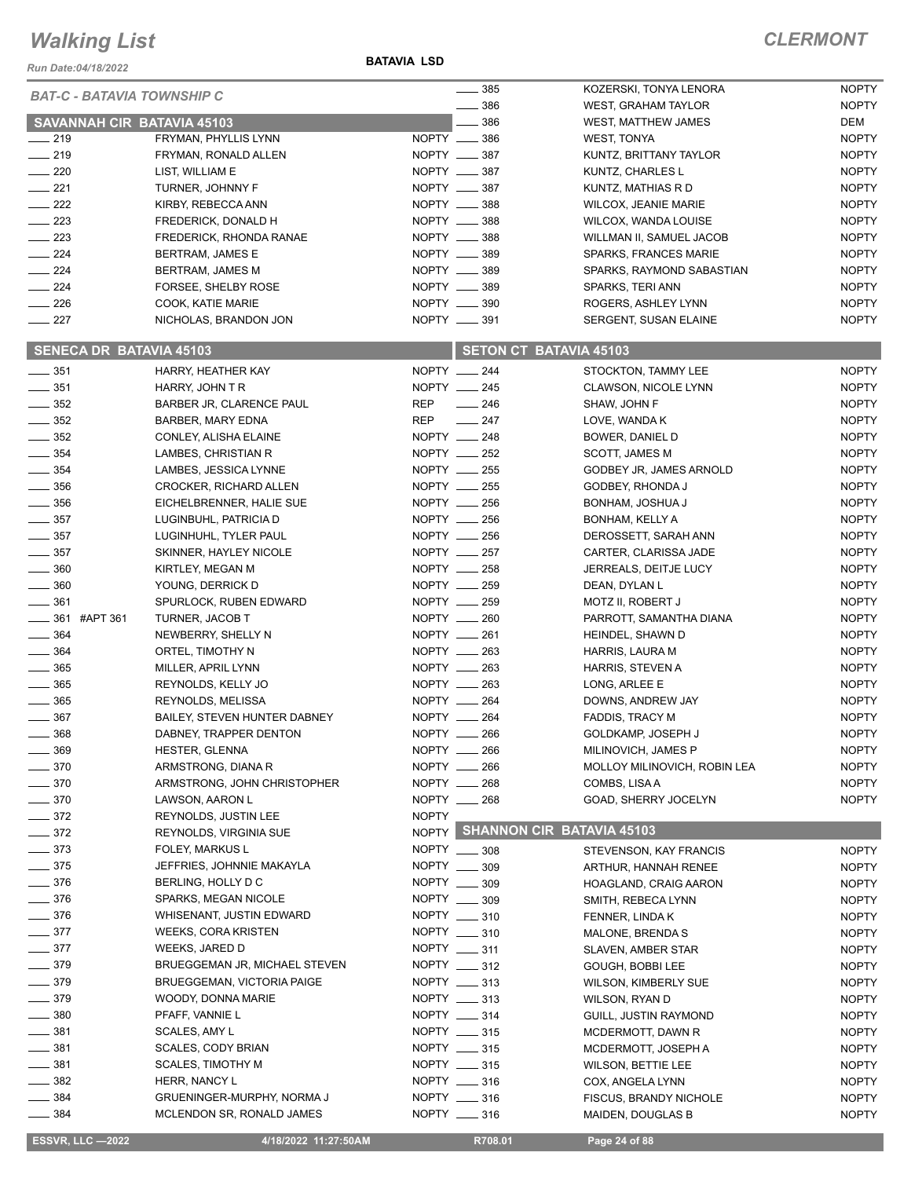*Run Date:04/18/2022*

#### **BATAVIA LSD**

#### *CLERMONT*

|                   | <b>BAT-C - BATAVIA TOWNSHIP C</b> |                                   |              | 385                          | KOZERSKI, TONYA LENORA          | <b>NOPTY</b> |
|-------------------|-----------------------------------|-----------------------------------|--------------|------------------------------|---------------------------------|--------------|
|                   |                                   |                                   |              | 386                          | <b>WEST, GRAHAM TAYLOR</b>      | <b>NOPTY</b> |
|                   |                                   | <b>SAVANNAH CIR BATAVIA 45103</b> |              | 386                          | WEST, MATTHEW JAMES             | DEM          |
| $\frac{1}{219}$   |                                   | FRYMAN, PHYLLIS LYNN              |              | NOPTY __ 386                 | WEST, TONYA                     | <b>NOPTY</b> |
| $-219$            |                                   | FRYMAN, RONALD ALLEN              |              | NOPTY __ 387                 | KUNTZ, BRITTANY TAYLOR          | <b>NOPTY</b> |
| $\sim$ 220        |                                   | LIST, WILLIAM E                   |              | NOPTY __ 387                 | KUNTZ, CHARLES L                | <b>NOPTY</b> |
| $\frac{1}{221}$   |                                   | TURNER, JOHNNY F                  |              | NOPTY __ 387                 | KUNTZ, MATHIAS R D              | <b>NOPTY</b> |
| $\frac{222}{2}$   |                                   | KIRBY, REBECCA ANN                |              | NOPTY __ 388                 | <b>WILCOX, JEANIE MARIE</b>     | <b>NOPTY</b> |
| $\sim$ 223        |                                   | FREDERICK, DONALD H               |              | NOPTY __ 388                 | WILCOX, WANDA LOUISE            | <b>NOPTY</b> |
| $\frac{223}{2}$   |                                   | FREDERICK, RHONDA RANAE           |              | NOPTY __ 388                 | WILLMAN II, SAMUEL JACOB        | <b>NOPTY</b> |
| $\frac{1}{224}$   |                                   | <b>BERTRAM, JAMES E</b>           |              | NOPTY __ 389                 | SPARKS, FRANCES MARIE           | <b>NOPTY</b> |
| $\frac{224}{ }$   |                                   | BERTRAM, JAMES M                  |              | NOPTY __ 389                 | SPARKS, RAYMOND SABASTIAN       | <b>NOPTY</b> |
| $\frac{224}{2}$   |                                   | FORSEE, SHELBY ROSE               |              | NOPTY __ 389                 | SPARKS, TERI ANN                | <b>NOPTY</b> |
| $\frac{226}{5}$   |                                   | COOK, KATIE MARIE                 |              | NOPTY __ 390                 | ROGERS, ASHLEY LYNN             | <b>NOPTY</b> |
| $\frac{1}{227}$   |                                   | NICHOLAS, BRANDON JON             |              | NOPTY __ 391                 | SERGENT, SUSAN ELAINE           | <b>NOPTY</b> |
|                   | <b>SENECA DR BATAVIA 45103</b>    |                                   |              |                              | <b>SETON CT BATAVIA 45103</b>   |              |
| $\frac{1}{2}$ 351 |                                   | HARRY, HEATHER KAY                |              | NOPTY __ 244                 |                                 | <b>NOPTY</b> |
| $\frac{1}{2}$ 351 |                                   |                                   |              | NOPTY __ 245                 | STOCKTON, TAMMY LEE             | <b>NOPTY</b> |
| $\frac{1}{2}$ 352 |                                   | HARRY, JOHN T R                   |              |                              | <b>CLAWSON, NICOLE LYNN</b>     |              |
|                   |                                   | BARBER JR, CLARENCE PAUL          | REP          | $\sim$ 246                   | SHAW, JOHN F                    | <b>NOPTY</b> |
| $\frac{1}{2}$ 352 |                                   | <b>BARBER, MARY EDNA</b>          | REP          | $\frac{1}{247}$              | LOVE, WANDA K                   | <b>NOPTY</b> |
| $\frac{1}{2}$ 352 |                                   | CONLEY, ALISHA ELAINE             |              | NOPTY __ 248                 | BOWER, DANIEL D                 | <b>NOPTY</b> |
| $\frac{1}{2}$ 354 |                                   | LAMBES, CHRISTIAN R               |              | NOPTY __ 252                 | SCOTT, JAMES M                  | <b>NOPTY</b> |
| $\frac{1}{2}$ 354 |                                   | LAMBES, JESSICA LYNNE             |              | NOPTY __ 255<br>NOPTY __ 255 | GODBEY JR, JAMES ARNOLD         | <b>NOPTY</b> |
| $\frac{1}{2}$ 356 |                                   | CROCKER, RICHARD ALLEN            |              |                              | GODBEY, RHONDA J                | <b>NOPTY</b> |
| $\frac{1}{2}$ 356 |                                   | EICHELBRENNER, HALIE SUE          |              | NOPTY __ 256                 | BONHAM, JOSHUA J                | <b>NOPTY</b> |
| $\frac{1}{2}$ 357 |                                   | LUGINBUHL, PATRICIA D             |              | NOPTY __ 256                 | BONHAM, KELLY A                 | <b>NOPTY</b> |
| $\frac{1}{2}$ 357 |                                   | LUGINHUHL, TYLER PAUL             |              | NOPTY __ 256                 | DEROSSETT, SARAH ANN            | <b>NOPTY</b> |
| $\frac{1}{2}$ 357 |                                   | SKINNER, HAYLEY NICOLE            |              | NOPTY __ 257                 | CARTER, CLARISSA JADE           | <b>NOPTY</b> |
| $\frac{1}{2}$ 360 |                                   | KIRTLEY, MEGAN M                  |              | NOPTY __ 258                 | JERREALS, DEITJE LUCY           | <b>NOPTY</b> |
| $\frac{1}{2}$ 360 |                                   | YOUNG, DERRICK D                  |              | NOPTY __ 259                 | DEAN, DYLAN L                   | <b>NOPTY</b> |
| $\frac{1}{2}$ 361 |                                   | SPURLOCK, RUBEN EDWARD            |              | NOPTY __ 259                 | MOTZ II, ROBERT J               | <b>NOPTY</b> |
|                   | $\frac{1}{2}$ 361 #APT 361        | <b>TURNER, JACOB T</b>            |              | NOPTY __ 260                 | PARROTT, SAMANTHA DIANA         | <b>NOPTY</b> |
| $- 364$           |                                   | NEWBERRY, SHELLY N                |              | NOPTY __ 261                 | HEINDEL, SHAWN D                | <b>NOPTY</b> |
| $\frac{1}{2}$ 364 |                                   | ORTEL, TIMOTHY N                  |              | NOPTY __ 263                 | HARRIS, LAURA M                 | <b>NOPTY</b> |
| $\frac{1}{2}$ 365 |                                   | MILLER, APRIL LYNN                |              | NOPTY __ 263                 | HARRIS, STEVEN A                | <b>NOPTY</b> |
| $\frac{1}{2}$ 365 |                                   | REYNOLDS, KELLY JO                |              | NOPTY __ 263                 | LONG, ARLEE E                   | <b>NOPTY</b> |
| $\frac{1}{2}$ 365 |                                   | REYNOLDS, MELISSA                 |              | $NOPTY$ __ 264               | DOWNS, ANDREW JAY               | <b>NOPTY</b> |
| $\frac{1}{2}$ 367 |                                   | BAILEY, STEVEN HUNTER DABNEY      |              | NOPTY __ 264                 | <b>FADDIS, TRACY M</b>          | <b>NOPTY</b> |
| $\frac{1}{2}$ 368 |                                   | DABNEY, TRAPPER DENTON            |              | NOPTY __ 266                 | GOLDKAMP, JOSEPH J              | <b>NOPTY</b> |
| $\frac{1}{2}$ 369 |                                   | HESTER, GLENNA                    |              | NOPTY __ 266                 | MILINOVICH, JAMES P             | <b>NOPTY</b> |
| $\frac{1}{2}$ 370 |                                   | ARMSTRONG, DIANA R                |              | NOPTY __ 266                 | MOLLOY MILINOVICH, ROBIN LEA    | <b>NOPTY</b> |
| $- 370$           |                                   | ARMSTRONG, JOHN CHRISTOPHER       |              | NOPTY __ 268                 | COMBS, LISA A                   | <b>NOPTY</b> |
| $\frac{1}{2}$ 370 |                                   | LAWSON, AARON L                   |              | NOPTY __ 268                 | GOAD, SHERRY JOCELYN            | <b>NOPTY</b> |
| $\frac{1}{2}$ 372 |                                   | REYNOLDS, JUSTIN LEE              | <b>NOPTY</b> |                              |                                 |              |
| $\frac{1}{2}$ 372 |                                   | REYNOLDS, VIRGINIA SUE            |              |                              | NOPTY SHANNON CIR BATAVIA 45103 |              |
| $\frac{1}{2}$ 373 |                                   | FOLEY, MARKUS L                   |              | NOPTY __ 308                 | STEVENSON, KAY FRANCIS          | <b>NOPTY</b> |
| $\frac{1}{2}$ 375 |                                   | JEFFRIES, JOHNNIE MAKAYLA         |              | NOPTY __ 309                 | ARTHUR, HANNAH RENEE            | <b>NOPTY</b> |
| $\frac{1}{2}$ 376 |                                   | BERLING, HOLLY D C                |              | NOPTY __ 309                 | HOAGLAND, CRAIG AARON           | <b>NOPTY</b> |
| $\frac{1}{2}$ 376 |                                   | SPARKS, MEGAN NICOLE              |              | NOPTY __ 309                 | SMITH, REBECA LYNN              | <b>NOPTY</b> |
| $\frac{1}{2}$ 376 |                                   | WHISENANT, JUSTIN EDWARD          |              | NOPTY __ 310                 | FENNER, LINDA K                 | <b>NOPTY</b> |
| $\frac{1}{2}$ 377 |                                   | <b>WEEKS, CORA KRISTEN</b>        |              | NOPTY __ 310                 | MALONE, BRENDA S                | <b>NOPTY</b> |
| $- 377$           |                                   | WEEKS, JARED D                    |              | NOPTY __ 311                 | SLAVEN, AMBER STAR              | <b>NOPTY</b> |
| $- 379$           |                                   | BRUEGGEMAN JR, MICHAEL STEVEN     |              | NOPTY __ 312                 | GOUGH, BOBBI LEE                | <b>NOPTY</b> |
| $- 379$           |                                   | <b>BRUEGGEMAN, VICTORIA PAIGE</b> |              | NOPTY __ 313                 | <b>WILSON, KIMBERLY SUE</b>     | <b>NOPTY</b> |
| $\frac{1}{2}$ 379 |                                   | WOODY, DONNA MARIE                |              | NOPTY ____ 313               | WILSON, RYAN D                  | <b>NOPTY</b> |
| $\frac{1}{2}$ 380 |                                   | PFAFF, VANNIE L                   |              | NOPTY __ 314                 | GUILL, JUSTIN RAYMOND           | <b>NOPTY</b> |
| $- 381$           |                                   | SCALES, AMY L                     |              | NOPTY __ 315                 | MCDERMOTT, DAWN R               | <b>NOPTY</b> |
| $\frac{1}{2}$ 381 |                                   | <b>SCALES, CODY BRIAN</b>         |              | NOPTY ____ 315               | MCDERMOTT, JOSEPH A             | <b>NOPTY</b> |
| $- 381$           |                                   | <b>SCALES, TIMOTHY M</b>          |              | NOPTY __ 315                 | <b>WILSON, BETTIE LEE</b>       | <b>NOPTY</b> |
| $\frac{1}{2}$ 382 |                                   | HERR, NANCY L                     |              | NOPTY _____ 316              | COX, ANGELA LYNN                | <b>NOPTY</b> |
| $\frac{1}{2}$ 384 |                                   | GRUENINGER-MURPHY, NORMA J        |              | NOPTY __ 316                 | FISCUS, BRANDY NICHOLE          | <b>NOPTY</b> |
| $- 384$           |                                   | MCLENDON SR, RONALD JAMES         |              | NOPTY __ 316                 | MAIDEN, DOUGLAS B               | <b>NOPTY</b> |

**ESSVR, LLC -2022** 4/18/2022 11:27:50AM R708.01 Page 24 of 88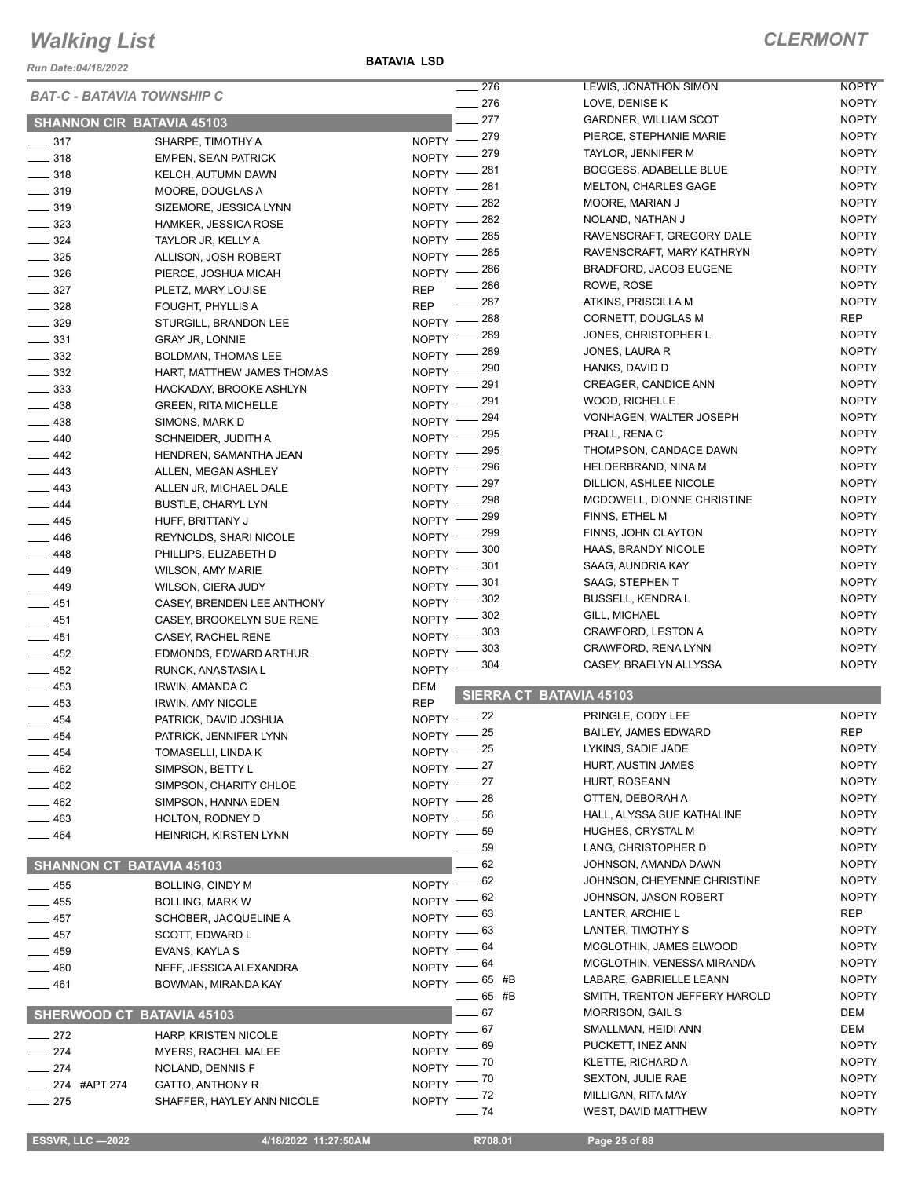*Run Date:04/18/2022*

**BATAVIA LSD**

|                   |                                   | $\sim$ 276           | LEWIS, JONATHON SIMON                     | <b>NOPTY</b> |
|-------------------|-----------------------------------|----------------------|-------------------------------------------|--------------|
|                   | <b>BAT-C - BATAVIA TOWNSHIP C</b> | $-276$               | LOVE, DENISE K                            | <b>NOPTY</b> |
|                   | <b>SHANNON CIR BATAVIA 45103</b>  | 277                  | <b>GARDNER, WILLIAM SCOT</b>              | <b>NOPTY</b> |
|                   |                                   | $-279$<br>$NOPTY$ –  | PIERCE, STEPHANIE MARIE                   | <b>NOPTY</b> |
| $\frac{1}{2}$ 317 | SHARPE, TIMOTHY A                 | 279                  | TAYLOR, JENNIFER M                        | <b>NOPTY</b> |
| $- 318$           | <b>EMPEN, SEAN PATRICK</b>        | NOPTY -<br>281       | <b>BOGGESS, ADABELLE BLUE</b>             | <b>NOPTY</b> |
| $\frac{1}{2}$ 318 | KELCH, AUTUMN DAWN                | NOPTY -<br>281       | <b>MELTON, CHARLES GAGE</b>               | <b>NOPTY</b> |
| $\frac{1}{2}$ 319 | MOORE, DOUGLAS A                  | NOPTY -<br>282       | MOORE, MARIAN J                           | <b>NOPTY</b> |
| $\frac{1}{2}$ 319 | SIZEMORE, JESSICA LYNN            | NOPTY -<br>282       | NOLAND, NATHAN J                          | <b>NOPTY</b> |
| $- 323$           | <b>HAMKER, JESSICA ROSE</b>       | NOPTY -<br>285       | RAVENSCRAFT, GREGORY DALE                 | <b>NOPTY</b> |
| $- 324$           | TAYLOR JR, KELLY A                | NOPTY -<br>285       | RAVENSCRAFT, MARY KATHRYN                 | <b>NOPTY</b> |
| $\frac{1}{2}$ 325 | ALLISON, JOSH ROBERT              | $NOPTY =$<br>286     | <b>BRADFORD, JACOB EUGENE</b>             | <b>NOPTY</b> |
| $\frac{1}{2}$ 326 | PIERCE, JOSHUA MICAH              | $N$ OPTY $-$<br>286  | ROWE, ROSE                                | <b>NOPTY</b> |
| $\frac{1}{2}$ 327 | PLETZ, MARY LOUISE                | <b>REP</b><br>287    |                                           | <b>NOPTY</b> |
| $\frac{1}{2}$ 328 | <b>FOUGHT, PHYLLIS A</b>          | <b>REP</b><br>$-288$ | ATKINS, PRISCILLA M                       |              |
| $\frac{1}{2}$ 329 | STURGILL, BRANDON LEE             | $N$ OPTY $-$         | CORNETT, DOUGLAS M                        | <b>REP</b>   |
| $\frac{331}{2}$   | <b>GRAY JR, LONNIE</b>            | 289<br>NOPTY -       | JONES, CHRISTOPHER L                      | <b>NOPTY</b> |
| $\frac{332}{2}$   | <b>BOLDMAN, THOMAS LEE</b>        | 289<br>NOPTY -       | JONES, LAURA R                            | <b>NOPTY</b> |
| $\frac{332}{2}$   | HART, MATTHEW JAMES THOMAS        | 290<br>NOPTY -       | HANKS, DAVID D                            | <b>NOPTY</b> |
| $\frac{1}{2}$ 333 | HACKADAY, BROOKE ASHLYN           | 291<br>NOPTY -       | <b>CREAGER, CANDICE ANN</b>               | <b>NOPTY</b> |
| $\frac{1}{2}$ 438 | <b>GREEN, RITA MICHELLE</b>       | 291<br>$N$ OPTY $-$  | WOOD, RICHELLE                            | <b>NOPTY</b> |
| $\frac{1}{2}$ 438 | SIMONS, MARK D                    | 294<br>NOPTY -       | VONHAGEN, WALTER JOSEPH                   | <b>NOPTY</b> |
| $\frac{1}{2}$ 440 | SCHNEIDER, JUDITH A               | 295<br>NOPTY -       | PRALL, RENA C                             | <b>NOPTY</b> |
| $-442$            | HENDREN, SAMANTHA JEAN            | 295<br>$NOPTY =$     | THOMPSON, CANDACE DAWN                    | <b>NOPTY</b> |
| $-443$            | ALLEN, MEGAN ASHLEY               | - 296<br>$NOPTY$ -   | HELDERBRAND, NINA M                       | <b>NOPTY</b> |
| $-443$            | ALLEN JR, MICHAEL DALE            | 297<br>$N$ OPTY $-$  | DILLION, ASHLEE NICOLE                    | <b>NOPTY</b> |
| $-444$            | <b>BUSTLE, CHARYL LYN</b>         | 298<br>$N$ OPTY $-$  | MCDOWELL, DIONNE CHRISTINE                | <b>NOPTY</b> |
| $\frac{1}{2}$ 445 | HUFF, BRITTANY J                  | 299<br>$N$ OPTY $-$  | FINNS, ETHEL M                            | <b>NOPTY</b> |
| $\frac{1}{2}$ 446 | REYNOLDS, SHARI NICOLE            | 299<br>NOPTY -       | FINNS, JOHN CLAYTON                       | <b>NOPTY</b> |
| $-448$            | PHILLIPS, ELIZABETH D             | 300<br>NOPTY -       | HAAS, BRANDY NICOLE                       | <b>NOPTY</b> |
| $-449$            | WILSON, AMY MARIE                 | 301<br>NOPTY -       | SAAG, AUNDRIA KAY                         | <b>NOPTY</b> |
| $-449$            | WILSON, CIERA JUDY                | 301<br>NOPTY -       | SAAG, STEPHEN T                           | <b>NOPTY</b> |
| $-451$            | CASEY, BRENDEN LEE ANTHONY        | 302<br>NOPTY -       | <b>BUSSELL, KENDRA L</b>                  | <b>NOPTY</b> |
| $-451$            | CASEY, BROOKELYN SUE RENE         | 302<br>NOPTY -       | GILL, MICHAEL                             | <b>NOPTY</b> |
| $-451$            | CASEY, RACHEL RENE                | 303<br>$N$ OPTY -    | CRAWFORD, LESTON A                        | <b>NOPTY</b> |
| $\frac{1}{2}$ 452 | EDMONDS, EDWARD ARTHUR            | 303<br>$N$ OPTY $-$  | CRAWFORD, RENA LYNN                       | <b>NOPTY</b> |
| $-452$            | RUNCK, ANASTASIA L                | 304<br>$N$ OPTY -    | CASEY, BRAELYN ALLYSSA                    | <b>NOPTY</b> |
| $-453$            | <b>IRWIN, AMANDA C</b>            | <b>DEM</b>           |                                           |              |
| $-453$            | <b>IRWIN, AMY NICOLE</b>          | <b>REP</b>           | SIERRA CT BATAVIA 45103                   |              |
| $-454$            | PATRICK, DAVID JOSHUA             | NOPTY -22            | PRINGLE, CODY LEE                         | <b>NOPTY</b> |
| $-454$            | PATRICK, JENNIFER LYNN            | NOPTY -25            | <b>BAILEY, JAMES EDWARD</b>               | <b>REP</b>   |
| __ 454            | TOMASELLI, LINDA K                | NOPTY -25            | LYKINS, SADIE JADE                        | <b>NOPTY</b> |
| $-462$            | SIMPSON, BETTY L                  | NOPTY $-27$          | HURT, AUSTIN JAMES                        | <b>NOPTY</b> |
| $-462$            | SIMPSON, CHARITY CHLOE            | NOPTY $-27$          | HURT, ROSEANN                             | <b>NOPTY</b> |
| $-462$            | SIMPSON, HANNA EDEN               | NOPTY $-28$          | OTTEN, DEBORAH A                          | <b>NOPTY</b> |
| $-463$            | HOLTON, RODNEY D                  | NOPTY -86            | HALL, ALYSSA SUE KATHALINE                | <b>NOPTY</b> |
| $-464$            | HEINRICH, KIRSTEN LYNN            | NOPTY $-$ 59         | HUGHES, CRYSTAL M                         | <b>NOPTY</b> |
|                   |                                   | 59                   | LANG, CHRISTOPHER D                       | <b>NOPTY</b> |
|                   | <b>SHANNON CT BATAVIA 45103</b>   | - 62                 | JOHNSON, AMANDA DAWN                      | <b>NOPTY</b> |
| $-455$            | <b>BOLLING, CINDY M</b>           | - 62<br>$N$ OPTY $-$ | JOHNSON, CHEYENNE CHRISTINE               | <b>NOPTY</b> |
|                   |                                   | - 62<br>NOPTY -      | JOHNSON, JASON ROBERT                     | <b>NOPTY</b> |
| $-455$            | <b>BOLLING, MARK W</b>            | NOPTY $-63$          | LANTER, ARCHIE L                          | REP          |
| $-457$            | SCHOBER, JACQUELINE A             | NOPTY $-63$          | LANTER, TIMOTHY S                         | <b>NOPTY</b> |
| $-457$            | SCOTT, EDWARD L                   | NOPTY $-64$          | MCGLOTHIN, JAMES ELWOOD                   | <b>NOPTY</b> |
| $-459$            | EVANS, KAYLA S                    | NOPTY $-64$          | MCGLOTHIN, VENESSA MIRANDA                | <b>NOPTY</b> |
| $-460$            | NEFF, JESSICA ALEXANDRA           | NOPTY -65 #B         | LABARE, GABRIELLE LEANN                   | <b>NOPTY</b> |
| $-461$            | BOWMAN, MIRANDA KAY               | $- 65$ #B            | SMITH, TRENTON JEFFERY HAROLD             | <b>NOPTY</b> |
|                   |                                   | $-67$                | <b>MORRISON, GAIL S</b>                   | <b>DEM</b>   |
|                   | SHERWOOD CT BATAVIA 45103         | $-67$                | SMALLMAN, HEIDI ANN                       | <b>DEM</b>   |
| $-272$            | HARP, KRISTEN NICOLE              | <b>NOPTY</b><br>69   | PUCKETT, INEZ ANN                         | <b>NOPTY</b> |
| $-274$            | <b>MYERS, RACHEL MALEE</b>        | NOPTY -<br>. 70      | <b>KLETTE, RICHARD A</b>                  | <b>NOPTY</b> |
| $\frac{274}{2}$   | NOLAND, DENNIS F                  | NOPTY -              | <b>SEXTON, JULIE RAE</b>                  | <b>NOPTY</b> |
| _ 274 #APT 274    | GATTO, ANTHONY R                  | $NOPTY$ - $70$       |                                           | <b>NOPTY</b> |
| $-275$            | SHAFFER, HAYLEY ANN NICOLE        | NOPTY $ 72$<br>74    | MILLIGAN, RITA MAY<br>WEST, DAVID MATTHEW | <b>NOPTY</b> |
|                   |                                   |                      |                                           |              |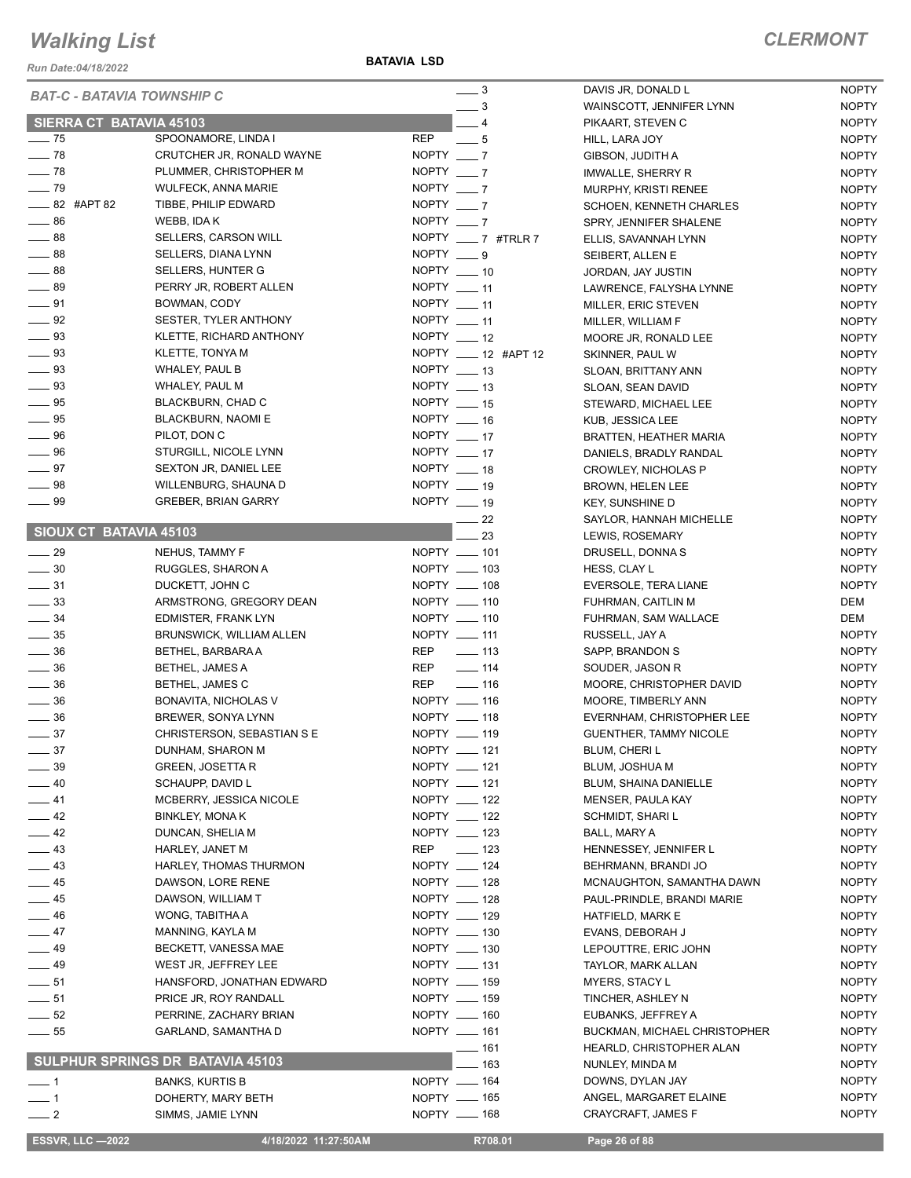*Run Date:04/18/2022*

#### *CLERMONT*

|                                | <b>BAT-C - BATAVIA TOWNSHIP C</b>       | $\frac{1}{2}$            | DAVIS JR, DONALD L             | <b>NOPTY</b> |
|--------------------------------|-----------------------------------------|--------------------------|--------------------------------|--------------|
|                                |                                         | $\equiv$ 3               | WAINSCOTT, JENNIFER LYNN       | <b>NOPTY</b> |
| <b>SIERRA CT BATAVIA 45103</b> |                                         | $-4$                     | PIKAART, STEVEN C              | <b>NOPTY</b> |
| $\frac{1}{2}$ 75               | SPOONAMORE, LINDA I                     | <b>REP</b><br>$-5$       | HILL, LARA JOY                 | <b>NOPTY</b> |
| $-78$                          | CRUTCHER JR, RONALD WAYNE               | NOPTY $-7$               | GIBSON, JUDITH A               | <b>NOPTY</b> |
| $-78$                          | PLUMMER, CHRISTOPHER M                  | NOPTY $-7$               | IMWALLE, SHERRY R              | <b>NOPTY</b> |
| $-79$                          | <b>WULFECK, ANNA MARIE</b>              | NOPTY $-7$               | <b>MURPHY, KRISTI RENEE</b>    | <b>NOPTY</b> |
| $\frac{1}{2}$ 82 #APT 82       | TIBBE, PHILIP EDWARD                    | $NOPTY$ $\_\_7$          | <b>SCHOEN, KENNETH CHARLES</b> | <b>NOPTY</b> |
| $\frac{1}{2}$ 86               | WEBB, IDA K                             | NOPTY $-7$               | SPRY, JENNIFER SHALENE         | <b>NOPTY</b> |
| $\frac{1}{2}$ 88               | SELLERS, CARSON WILL                    | NOPTY ____ 7 #TRLR 7     | ELLIS, SAVANNAH LYNN           | <b>NOPTY</b> |
| $\frac{1}{2}$ 88               | SELLERS, DIANA LYNN                     | NOPTY $\_\_\$ 9          | SEIBERT, ALLEN E               | <b>NOPTY</b> |
| $\frac{1}{2}$ 88               | <b>SELLERS, HUNTER G</b>                | NOPTY __ 10              | JORDAN, JAY JUSTIN             | <b>NOPTY</b> |
| $\frac{1}{2}$ 89               | PERRY JR, ROBERT ALLEN                  | NOPTY $-11$              | LAWRENCE, FALYSHA LYNNE        | <b>NOPTY</b> |
| $\frac{1}{2}$ 91               | BOWMAN, CODY                            | NOPTY $-11$              |                                | <b>NOPTY</b> |
| $\frac{1}{2}$ 92               | SESTER, TYLER ANTHONY                   | NOPTY __ 11              | MILLER, ERIC STEVEN            | <b>NOPTY</b> |
| $\frac{1}{2}$ 93               |                                         | $NOPTY$ __ 12            | MILLER, WILLIAM F              |              |
| $\frac{1}{2}$ 93               | KLETTE, RICHARD ANTHONY                 | NOPTY ____ 12 #APT 12    | MOORE JR, RONALD LEE           | <b>NOPTY</b> |
|                                | KLETTE, TONYA M                         |                          | SKINNER, PAUL W                | <b>NOPTY</b> |
| $\equiv$ 93                    | WHALEY, PAUL B                          | $NOPTY$ _____ 13         | SLOAN, BRITTANY ANN            | <b>NOPTY</b> |
| $\frac{1}{2}$ 93               | WHALEY, PAUL M                          | NOPTY $-13$              | SLOAN, SEAN DAVID              | <b>NOPTY</b> |
| $\frac{1}{2}$ 95               | BLACKBURN, CHAD C                       | NOPTY $-15$              | STEWARD, MICHAEL LEE           | <b>NOPTY</b> |
| $\frac{1}{2}$ 95               | <b>BLACKBURN, NAOMI E</b>               | NOPTY __ 16              | KUB, JESSICA LEE               | <b>NOPTY</b> |
| $\frac{1}{2}$ 96               | PILOT, DON C                            | NOPTY __ 17              | <b>BRATTEN, HEATHER MARIA</b>  | <b>NOPTY</b> |
| $\equiv$ 96                    | STURGILL, NICOLE LYNN                   | NOPTY $-17$              | DANIELS, BRADLY RANDAL         | <b>NOPTY</b> |
| $\frac{1}{2}$ 97               | SEXTON JR, DANIEL LEE                   | NOPTY $-18$              | CROWLEY, NICHOLAS P            | <b>NOPTY</b> |
| $\frac{1}{2}$ 98               | WILLENBURG, SHAUNA D                    | NOPTY __ 19              | BROWN, HELEN LEE               | <b>NOPTY</b> |
| $\frac{1}{2}$ 99               | <b>GREBER, BRIAN GARRY</b>              | $NOPTY$ ____ 19          | <b>KEY, SUNSHINE D</b>         | <b>NOPTY</b> |
|                                |                                         | $-22$                    | SAYLOR, HANNAH MICHELLE        | <b>NOPTY</b> |
| SIOUX CT BATAVIA 45103         |                                         | 23                       | LEWIS, ROSEMARY                | <b>NOPTY</b> |
| $\frac{1}{29}$                 | NEHUS, TAMMY F                          | NOPTY __ 101             | DRUSELL, DONNA S               | <b>NOPTY</b> |
| $\frac{1}{2}$ 30               | RUGGLES, SHARON A                       | NOPTY __ 103             | HESS, CLAY L                   | <b>NOPTY</b> |
| $\frac{1}{2}$ 31               | DUCKETT, JOHN C                         | NOPTY __ 108             | EVERSOLE, TERA LIANE           | <b>NOPTY</b> |
| $\frac{1}{2}$ 33               | ARMSTRONG, GREGORY DEAN                 | NOPTY __ 110             | FUHRMAN, CAITLIN M             | DEM          |
| $\frac{1}{2}$ 34               | EDMISTER, FRANK LYN                     | NOPTY __ 110             | FUHRMAN, SAM WALLACE           | <b>DEM</b>   |
| $\frac{1}{2}$ 35               | BRUNSWICK, WILLIAM ALLEN                | NOPTY __ 111             | RUSSELL, JAY A                 | <b>NOPTY</b> |
| $\frac{1}{2}$ 36               | BETHEL, BARBARA A                       | REP<br>$\frac{1}{2}$ 113 | SAPP, BRANDON S                | <b>NOPTY</b> |
| $\frac{1}{2}$ 36               | <b>BETHEL, JAMES A</b>                  | REP<br>$- 114$           | SOUDER, JASON R                | <b>NOPTY</b> |
| $\frac{1}{2}$ 36               | BETHEL, JAMES C                         | REP<br>$\frac{1}{16}$    | MOORE, CHRISTOPHER DAVID       | <b>NOPTY</b> |
| $\frac{1}{2}$ 36               | BONAVITA, NICHOLAS V                    | NOPTY __ 116             | MOORE, TIMBERLY ANN            | <b>NOPTY</b> |
| $\frac{1}{2}$ 36               |                                         | NOPTY __ 118             |                                | <b>NOPTY</b> |
|                                | BREWER, SONYA LYNN                      | NOPTY __ 119             | EVERNHAM, CHRISTOPHER LEE      |              |
| $\frac{1}{2}$ 37               | CHRISTERSON, SEBASTIAN S E              |                          | GUENTHER, TAMMY NICOLE         | <b>NOPTY</b> |
| $\frac{1}{2}$ 37               | DUNHAM, SHARON M                        | NOPTY __ 121             | <b>BLUM, CHERIL</b>            | <b>NOPTY</b> |
| $\frac{1}{2}$ 39               | <b>GREEN, JOSETTA R</b>                 | NOPTY __ 121             | BLUM, JOSHUA M                 | <b>NOPTY</b> |
| $\frac{1}{2}$ 40               | SCHAUPP, DAVID L                        | NOPTY __ 121             | BLUM, SHAINA DANIELLE          | <b>NOPTY</b> |
| $-41$                          | MCBERRY, JESSICA NICOLE                 | NOPTY __ 122             | MENSER, PAULA KAY              | <b>NOPTY</b> |
| $\frac{1}{2}$ 42               | <b>BINKLEY, MONAK</b>                   | NOPTY __ 122             | <b>SCHMIDT, SHARI L</b>        | <b>NOPTY</b> |
| $\frac{1}{2}$ 42               | DUNCAN, SHELIA M                        | NOPTY __ 123             | BALL, MARY A                   | <b>NOPTY</b> |
| $\frac{1}{2}$ 43               | HARLEY, JANET M                         | $\frac{1}{2}$ 123<br>REP | HENNESSEY, JENNIFER L          | <b>NOPTY</b> |
| $\frac{1}{2}$ 43               | HARLEY, THOMAS THURMON                  | NOPTY __ 124             | BEHRMANN, BRANDI JO            | <b>NOPTY</b> |
| $\frac{1}{2}$ 45               | DAWSON, LORE RENE                       | NOPTY __ 128             | MCNAUGHTON, SAMANTHA DAWN      | <b>NOPTY</b> |
| $\frac{1}{2}$ 45               | DAWSON, WILLIAM T                       | NOPTY __ 128             | PAUL-PRINDLE, BRANDI MARIE     | <b>NOPTY</b> |
| $-46$                          | WONG, TABITHA A                         | NOPTY __ 129             | HATFIELD, MARK E               | <b>NOPTY</b> |
| $\frac{1}{2}$ 47               | MANNING, KAYLA M                        | NOPTY __ 130             | EVANS, DEBORAH J               | <b>NOPTY</b> |
| $\_\_49$                       | BECKETT, VANESSA MAE                    | NOPTY __ 130             | LEPOUTTRE, ERIC JOHN           | <b>NOPTY</b> |
| $\frac{1}{2}$ 49               | WEST JR, JEFFREY LEE                    | NOPTY __ 131             | TAYLOR, MARK ALLAN             | <b>NOPTY</b> |
| $-51$                          | HANSFORD, JONATHAN EDWARD               | NOPTY __ 159             | MYERS, STACY L                 | <b>NOPTY</b> |
| $\frac{1}{2}$ 51               | PRICE JR, ROY RANDALL                   | NOPTY __ 159             | TINCHER, ASHLEY N              | <b>NOPTY</b> |
| $\frac{1}{2}$ 52               | PERRINE, ZACHARY BRIAN                  | NOPTY __ 160             | EUBANKS, JEFFREY A             | <b>NOPTY</b> |
| $\frac{1}{2}$ 55               | GARLAND, SAMANTHA D                     | NOPTY __ 161             | BUCKMAN, MICHAEL CHRISTOPHER   | <b>NOPTY</b> |
|                                |                                         | — 161                    | HEARLD, CHRISTOPHER ALAN       | <b>NOPTY</b> |
|                                | <b>SULPHUR SPRINGS DR BATAVIA 45103</b> | $-163$                   | NUNLEY, MINDA M                | <b>NOPTY</b> |
|                                |                                         | NOPTY - 164              |                                |              |
| $\overline{\phantom{0}}$ 1     | <b>BANKS, KURTIS B</b>                  |                          | DOWNS, DYLAN JAY               | <b>NOPTY</b> |
| $-1$                           | DOHERTY, MARY BETH                      | NOPTY __ 165             | ANGEL, MARGARET ELAINE         | <b>NOPTY</b> |
| $\frac{1}{2}$                  | SIMMS, JAMIE LYNN                       | $NOPTY$ — 168            | CRAYCRAFT, JAMES F             | <b>NOPTY</b> |

 **ESSVR, LLC —2022 4/18/2022 11:27:50AM R708.01 Page 26 of 88**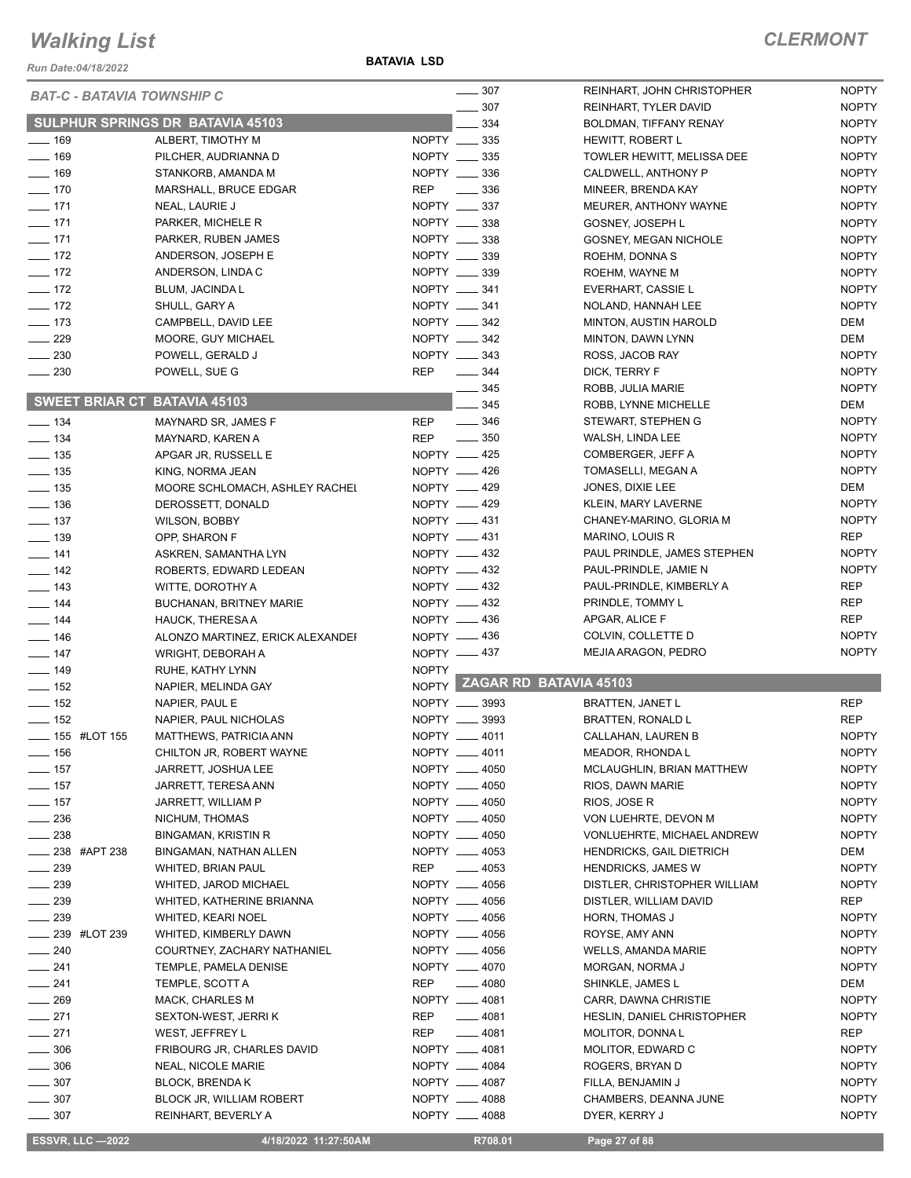*Run Date:04/18/2022*

**BATAVIA LSD**

|                              |                 |                                                        |              | $\frac{1}{2}$ 307              | REINHART, JOHN CHRISTOPHER             | <b>NOPTY</b>                 |
|------------------------------|-----------------|--------------------------------------------------------|--------------|--------------------------------|----------------------------------------|------------------------------|
|                              |                 | <b>BAT-C - BATAVIA TOWNSHIP C</b>                      |              | 307                            | REINHART, TYLER DAVID                  | <b>NOPTY</b>                 |
|                              |                 | SULPHUR SPRINGS DR BATAVIA 45103                       |              | 334                            | BOLDMAN, TIFFANY RENAY                 | <b>NOPTY</b>                 |
| $- 169$                      |                 | ALBERT, TIMOTHY M                                      |              | NOPTY __ 335                   | HEWITT, ROBERT L                       | <b>NOPTY</b>                 |
| $-169$                       |                 | PILCHER, AUDRIANNA D                                   |              | NOPTY __ 335                   |                                        | <b>NOPTY</b>                 |
| $- 169$                      |                 | STANKORB, AMANDA M                                     |              | NOPTY ____ 336                 | TOWLER HEWITT, MELISSA DEE             | <b>NOPTY</b>                 |
|                              |                 |                                                        |              |                                | CALDWELL, ANTHONY P                    |                              |
| $- 170$                      |                 | MARSHALL, BRUCE EDGAR                                  | <b>REP</b>   | $\frac{1}{2}$ 336              | MINEER, BRENDA KAY                     | <b>NOPTY</b>                 |
| $- 171$                      |                 | NEAL, LAURIE J                                         |              | NOPTY __ 337                   | MEURER, ANTHONY WAYNE                  | <b>NOPTY</b>                 |
| $- 171$                      |                 | PARKER, MICHELE R                                      |              | NOPTY __ 338                   | GOSNEY, JOSEPH L                       | <b>NOPTY</b>                 |
| $-171$                       |                 | PARKER, RUBEN JAMES                                    |              | NOPTY __ 338                   | GOSNEY, MEGAN NICHOLE                  | <b>NOPTY</b>                 |
| $\frac{1}{2}$ 172            |                 | ANDERSON, JOSEPH E                                     |              | NOPTY __ 339                   | ROEHM, DONNA S                         | <b>NOPTY</b>                 |
| $\frac{1}{2}$ 172            |                 | ANDERSON, LINDA C                                      |              | NOPTY __ 339                   | ROEHM, WAYNE M                         | <b>NOPTY</b>                 |
| $\frac{1}{2}$ 172            |                 | <b>BLUM, JACINDA L</b>                                 |              | NOPTY __ 341                   | EVERHART, CASSIE L                     | <b>NOPTY</b>                 |
| $\frac{1}{2}$ 172            |                 | SHULL, GARY A                                          |              | NOPTY __ 341                   | NOLAND, HANNAH LEE                     | <b>NOPTY</b>                 |
| $- 173$                      |                 | CAMPBELL, DAVID LEE                                    |              | NOPTY __ 342                   | MINTON, AUSTIN HAROLD                  | DEM                          |
| $\frac{1}{229}$              |                 | MOORE, GUY MICHAEL                                     |              | NOPTY _____ 342                | MINTON, DAWN LYNN                      | DEM                          |
| $\frac{1}{2}$ 230            |                 | POWELL, GERALD J                                       |              | NOPTY __ 343                   | ROSS, JACOB RAY                        | <b>NOPTY</b>                 |
| $\sim$ 230                   |                 | POWELL, SUE G                                          | <b>REP</b>   | $\frac{344}{2}$                | DICK, TERRY F                          | <b>NOPTY</b>                 |
|                              |                 |                                                        |              | $- 345$                        | ROBB, JULIA MARIE                      | <b>NOPTY</b>                 |
|                              |                 | <b>SWEET BRIAR CT BATAVIA 45103</b>                    |              | 345                            | ROBB, LYNNE MICHELLE                   | DEM                          |
| $\frac{1}{2}$ 134            |                 | MAYNARD SR, JAMES F                                    | <b>REP</b>   | $\frac{1}{2}$ 346              | STEWART, STEPHEN G                     | <b>NOPTY</b>                 |
| $\frac{1}{2}$ 134            |                 | MAYNARD, KAREN A                                       |              | REP $- 350$                    | WALSH, LINDA LEE                       | <b>NOPTY</b>                 |
| $\frac{1}{2}$ 135            |                 | APGAR JR, RUSSELL E                                    |              | NOPTY __ 425                   | COMBERGER, JEFF A                      | <b>NOPTY</b>                 |
| $\frac{1}{2}$ 135            |                 | KING, NORMA JEAN                                       |              | NOPTY -426                     | TOMASELLI, MEGAN A                     | <b>NOPTY</b>                 |
| $\frac{1}{2}$ 135            |                 | MOORE SCHLOMACH, ASHLEY RACHEI                         |              | NOPTY -429                     | JONES, DIXIE LEE                       | DEM                          |
| $\frac{1}{2}$ 136            |                 | DEROSSETT, DONALD                                      |              | NOPTY -429                     | KLEIN, MARY LAVERNE                    | <b>NOPTY</b>                 |
| $\frac{1}{2}$ 137            |                 | <b>WILSON, BOBBY</b>                                   |              | NOPTY -431                     | CHANEY-MARINO, GLORIA M                | <b>NOPTY</b>                 |
| $\frac{1}{2}$ 139            |                 | OPP, SHARON F                                          |              | NOPTY __ 431                   | MARINO, LOUIS R                        | REP                          |
| $- 141$                      |                 | ASKREN, SAMANTHA LYN                                   |              | NOPTY -432                     | PAUL PRINDLE, JAMES STEPHEN            | <b>NOPTY</b>                 |
| $\frac{1}{2}$ 142            |                 |                                                        |              | NOPTY -432                     | PAUL-PRINDLE, JAMIE N                  | <b>NOPTY</b>                 |
|                              |                 | ROBERTS, EDWARD LEDEAN                                 |              |                                | PAUL-PRINDLE, KIMBERLY A               | <b>REP</b>                   |
| $\frac{1}{2}$ 143            |                 | WITTE, DOROTHY A                                       |              | NOPTY -432                     |                                        |                              |
| $- 144$                      |                 | <b>BUCHANAN, BRITNEY MARIE</b>                         |              | NOPTY -432                     | PRINDLE, TOMMY L                       | <b>REP</b>                   |
| $\frac{1}{4}$                |                 | HAUCK, THERESA A                                       |              | NOPTY __ 436                   | APGAR, ALICE F                         | REP                          |
| $\frac{1}{2}$ 146            |                 | ALONZO MARTINEZ, ERICK ALEXANDEI                       |              | NOPTY -436                     | COLVIN, COLLETTE D                     | <b>NOPTY</b>                 |
| $- 147$                      |                 | WRIGHT, DEBORAH A                                      |              | NOPTY -437                     | MEJIA ARAGON, PEDRO                    | <b>NOPTY</b>                 |
| $\frac{1}{2}$ 149            |                 | RUHE, KATHY LYNN                                       | <b>NOPTY</b> |                                |                                        |                              |
| $\frac{1}{2}$ 152            |                 | NAPIER, MELINDA GAY                                    |              |                                | NOPTY ZAGAR RD BATAVIA 45103           |                              |
| $\frac{1}{2}$ 152            |                 | NAPIER, PAUL E                                         |              | NOPTY __ 3993                  | <b>BRATTEN, JANET L</b>                | <b>REP</b>                   |
| $\frac{1}{2}$ 152            |                 | NAPIER, PAUL NICHOLAS                                  |              | NOPTY __ 3993                  | BRATTEN, RONALD L                      | <b>REP</b>                   |
| <b>____ 155 #LOT 155</b>     |                 | MATTHEWS, PATRICIA ANN                                 |              | NOPTY __ 4011                  | CALLAHAN, LAUREN B                     | <b>NOPTY</b>                 |
| —— 156                       |                 | CHILTON JR, ROBERT WAYNE                               |              | NOPTY __ 4011                  | MEADOR, RHONDA L                       | <b>NOPTY</b>                 |
| $\frac{1}{2}$ 157            |                 | JARRETT, JOSHUA LEE                                    |              | NOPTY __ 4050                  | MCLAUGHLIN, BRIAN MATTHEW              | <b>NOPTY</b>                 |
| $\frac{1}{2}$ 157            |                 | JARRETT, TERESA ANN                                    |              | NOPTY __ 4050                  | RIOS, DAWN MARIE                       | NOPTY                        |
| $- 157$                      |                 | JARRETT, WILLIAM P                                     |              | NOPTY __ 4050                  | RIOS, JOSE R                           | <b>NOPTY</b>                 |
| $\frac{1}{2}$ 236            |                 | NICHUM, THOMAS                                         |              | NOPTY __ 4050                  | VON LUEHRTE, DEVON M                   | <b>NOPTY</b>                 |
| $\sim$ 238                   |                 | <b>BINGAMAN, KRISTIN R</b>                             |              | NOPTY __ 4050                  | VONLUEHRTE, MICHAEL ANDREW             | <b>NOPTY</b>                 |
| $\frac{1}{2}$ 238 #APT 238   |                 | BINGAMAN, NATHAN ALLEN                                 |              | NOPTY __ 4053                  | <b>HENDRICKS, GAIL DIETRICH</b>        | DEM                          |
| $\frac{1}{2}$ 239            |                 | WHITED, BRIAN PAUL                                     | REP          | $-4053$                        | <b>HENDRICKS, JAMES W</b>              | <b>NOPTY</b>                 |
| $\_\_2$ 239                  |                 | WHITED, JAROD MICHAEL                                  |              | NOPTY __ 4056                  | DISTLER, CHRISTOPHER WILLIAM           | <b>NOPTY</b>                 |
| $\frac{1}{2}$ 239            |                 | WHITED, KATHERINE BRIANNA                              |              | NOPTY __ 4056                  | DISTLER, WILLIAM DAVID                 | REP                          |
| $\sim$ 239                   |                 | <b>WHITED, KEARI NOEL</b>                              |              | NOPTY __ 4056                  | HORN, THOMAS J                         | <b>NOPTY</b>                 |
|                              | __ 239 #LOT 239 | WHITED, KIMBERLY DAWN                                  |              | NOPTY __ 4056                  | ROYSE, AMY ANN                         | <b>NOPTY</b>                 |
| $\sim$ 240                   |                 | COURTNEY, ZACHARY NATHANIEL                            |              | NOPTY __ 4056                  | WELLS, AMANDA MARIE                    | <b>NOPTY</b>                 |
| $-241$                       |                 | TEMPLE, PAMELA DENISE                                  |              | NOPTY __ 4070                  | MORGAN, NORMA J                        | <b>NOPTY</b>                 |
| $-241$                       |                 | TEMPLE, SCOTT A                                        | REP          | $-4080$                        | SHINKLE, JAMES L                       | DEM                          |
| $- 269$                      |                 | MACK, CHARLES M                                        |              | NOPTY __ 4081                  | CARR, DAWNA CHRISTIE                   | <b>NOPTY</b>                 |
|                              |                 |                                                        |              |                                |                                        |                              |
| $-271$                       |                 | SEXTON-WEST, JERRI K                                   | REP          | $- 4081$                       | HESLIN, DANIEL CHRISTOPHER             | <b>NOPTY</b>                 |
| $-271$                       |                 | WEST, JEFFREY L                                        | REP          | $-4081$                        | MOLITOR, DONNAL                        | REP                          |
|                              |                 |                                                        |              |                                |                                        | <b>NOPTY</b>                 |
| $\frac{1}{2}$ 306            |                 | FRIBOURG JR, CHARLES DAVID                             |              | NOPTY __ 4081                  | MOLITOR, EDWARD C                      |                              |
| $- 306$                      |                 | <b>NEAL, NICOLE MARIE</b>                              |              | NOPTY __ 4084                  | ROGERS, BRYAN D                        | <b>NOPTY</b>                 |
| $\frac{1}{2}$ 307            |                 | <b>BLOCK, BRENDA K</b>                                 |              | NOPTY __ 4087                  | FILLA, BENJAMIN J                      | <b>NOPTY</b>                 |
| $- 307$<br>$\frac{1}{2}$ 307 |                 | <b>BLOCK JR, WILLIAM ROBERT</b><br>REINHART, BEVERLY A |              | NOPTY __ 4088<br>NOPTY __ 4088 | CHAMBERS, DEANNA JUNE<br>DYER, KERRY J | <b>NOPTY</b><br><b>NOPTY</b> |

**ESSVR, LLC -2022 4/18/2022 11:27:50AM** R708.01 **Page 27 of 88**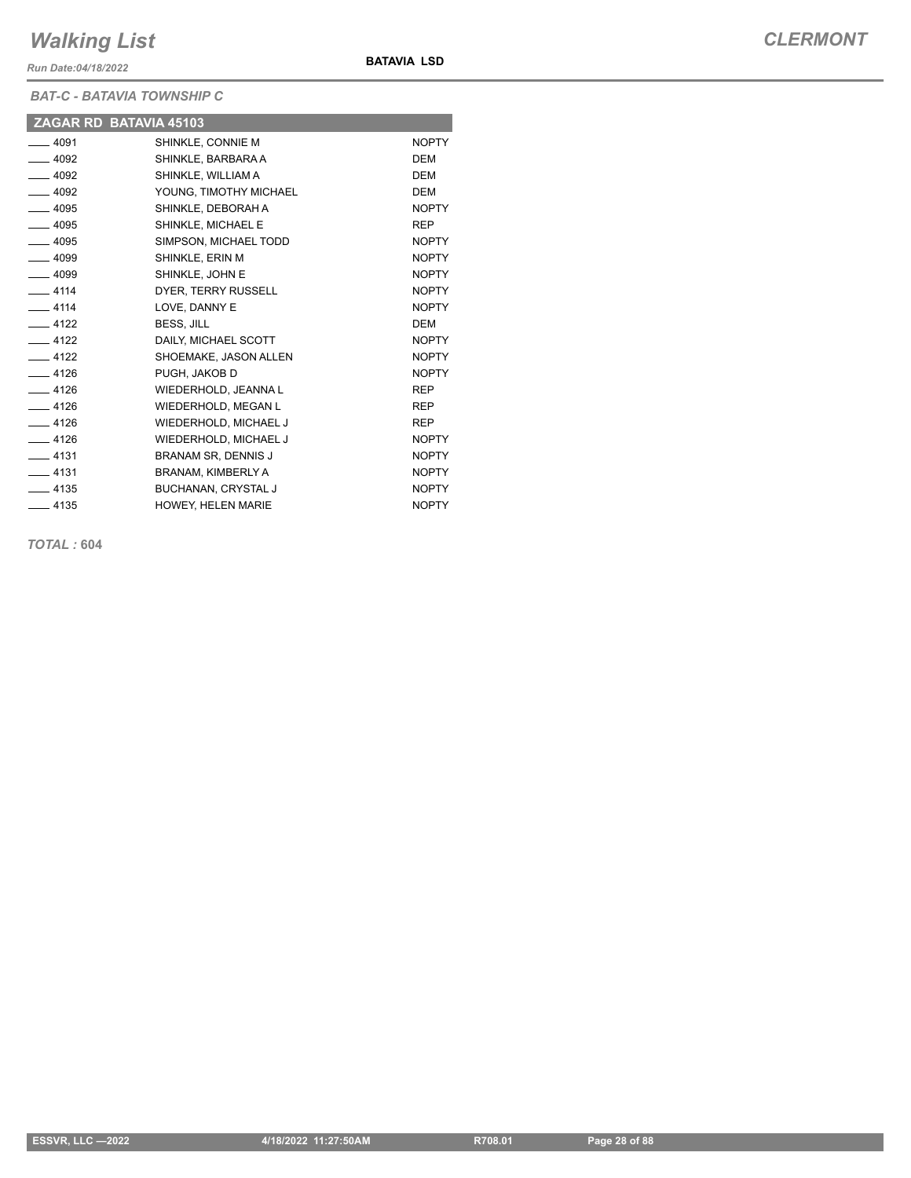*Run Date:04/18/2022*

*BAT-C - BATAVIA TOWNSHIP C*

|         | ZAGAR RD BATAVIA 45103     |              |
|---------|----------------------------|--------------|
| $-4091$ | SHINKLE, CONNIE M          | <b>NOPTY</b> |
| $-4092$ | SHINKLE, BARBARA A         | <b>DEM</b>   |
| $-4092$ | SHINKLE, WILLIAM A         | <b>DEM</b>   |
| $-4092$ | YOUNG, TIMOTHY MICHAEL     | <b>DEM</b>   |
| $-4095$ | SHINKLE, DEBORAH A         | <b>NOPTY</b> |
| $-4095$ | SHINKLE, MICHAEL E         | <b>REP</b>   |
| $-4095$ | SIMPSON, MICHAEL TODD      | <b>NOPTY</b> |
| $-4099$ | SHINKLE, ERIN M            | <b>NOPTY</b> |
| $-4099$ | SHINKLE, JOHN E            | <b>NOPTY</b> |
| $-4114$ | DYER. TERRY RUSSELL        | <b>NOPTY</b> |
| $-4114$ | LOVE, DANNY E              | <b>NOPTY</b> |
| $-4122$ | BESS, JILL                 | <b>DEM</b>   |
| $-4122$ | DAILY, MICHAEL SCOTT       | <b>NOPTY</b> |
| $-4122$ | SHOEMAKE, JASON ALLEN      | <b>NOPTY</b> |
| $-4126$ | PUGH. JAKOB D              | <b>NOPTY</b> |
| $-4126$ | WIEDERHOLD, JEANNA L       | <b>REP</b>   |
| $-4126$ | WIEDERHOLD, MEGAN L        | <b>REP</b>   |
| $-4126$ | WIEDERHOLD, MICHAEL J      | <b>REP</b>   |
| $-4126$ | WIEDERHOLD, MICHAEL J      | <b>NOPTY</b> |
| $-4131$ | <b>BRANAM SR. DENNIS J</b> | <b>NOPTY</b> |
| $-4131$ | BRANAM, KIMBERLY A         | <b>NOPTY</b> |
| $-4135$ | <b>BUCHANAN, CRYSTAL J</b> | <b>NOPTY</b> |
| $-4135$ | HOWEY, HELEN MARIE         | <b>NOPTY</b> |

**BATAVIA LSD**

*TOTAL :* **604**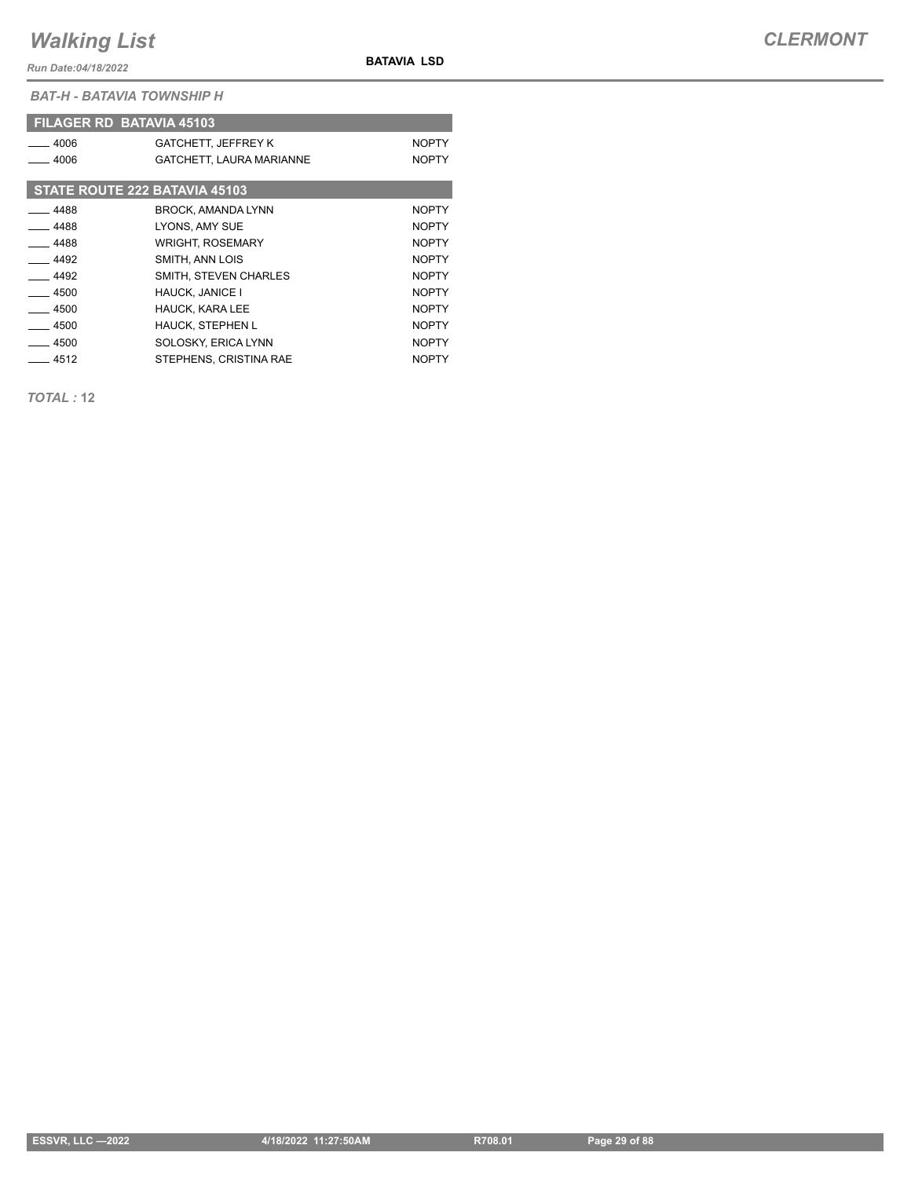*Run Date:04/18/2022*

**BATAVIA LSD**

*BAT-H - BATAVIA TOWNSHIP H*

|         | <b>FILAGER RD BATAVIA 45103</b> |              |
|---------|---------------------------------|--------------|
| $-4006$ | <b>GATCHETT, JEFFREY K</b>      | <b>NOPTY</b> |
| $-4006$ | GATCHETT, LAURA MARIANNE        | <b>NOPTY</b> |
|         | STATE ROUTE 222 BATAVIA 45103   |              |
| $-4488$ | <b>BROCK, AMANDA LYNN</b>       | <b>NOPTY</b> |
| _ 4488  | LYONS, AMY SUE                  | <b>NOPTY</b> |
| $-4488$ | <b>WRIGHT, ROSEMARY</b>         | <b>NOPTY</b> |
| $-4492$ | SMITH, ANN LOIS                 | <b>NOPTY</b> |
| $-4492$ | SMITH. STEVEN CHARLES           | <b>NOPTY</b> |
| $-4500$ | <b>HAUCK, JANICE I</b>          | <b>NOPTY</b> |
| $-4500$ | <b>HAUCK, KARA LEE</b>          | <b>NOPTY</b> |
| $-4500$ | <b>HAUCK, STEPHEN L</b>         | <b>NOPTY</b> |
| $-4500$ | SOLOSKY, ERICA LYNN             | <b>NOPTY</b> |
| $-4512$ | STEPHENS, CRISTINA RAE          | <b>NOPTY</b> |

*TOTAL :* **12**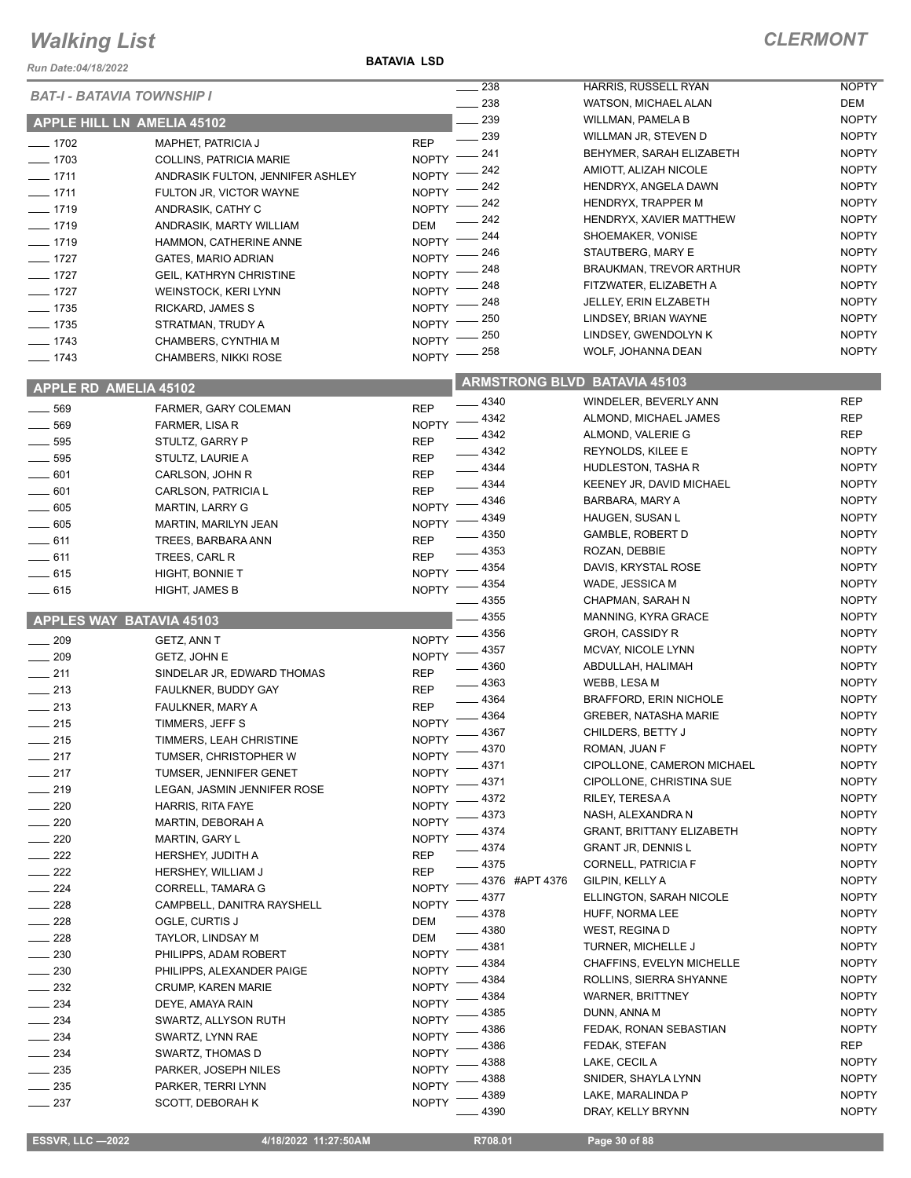#### *Run Date:04/18/2022*

| <b>BAT-I - BATAVIA TOWNSHIP I</b> |                                        |                              | 238                                 | HARRIS, RUSSELL RYAN             | <b>NOPTY</b> |
|-----------------------------------|----------------------------------------|------------------------------|-------------------------------------|----------------------------------|--------------|
|                                   |                                        |                              | 238                                 | WATSON, MICHAEL ALAN             | DEM          |
| APPLE HILL LN AMELIA 45102        |                                        |                              | 239                                 | WILLMAN, PAMELA B                | <b>NOPTY</b> |
|                                   |                                        |                              | 239                                 | WILLMAN JR, STEVEN D             | <b>NOPTY</b> |
| $- 1702$                          | <b>MAPHET, PATRICIA J</b>              | <b>REP</b>                   |                                     |                                  |              |
| $- 1703$                          | <b>COLLINS, PATRICIA MARIE</b>         | <b>NOPTY</b>                 | 241                                 | BEHYMER, SARAH ELIZABETH         | <b>NOPTY</b> |
| $- 1711$                          | ANDRASIK FULTON, JENNIFER ASHLEY       | <b>NOPTY</b>                 | 242                                 | AMIOTT, ALIZAH NICOLE            | <b>NOPTY</b> |
| $- 1711$                          | FULTON JR, VICTOR WAYNE                | <b>NOPTY</b>                 | 242                                 | HENDRYX, ANGELA DAWN             | <b>NOPTY</b> |
|                                   |                                        |                              | 242                                 | <b>HENDRYX, TRAPPER M</b>        | <b>NOPTY</b> |
| $- 1719$                          | ANDRASIK, CATHY C                      | <b>NOPTY</b>                 | 242                                 | HENDRYX, XAVIER MATTHEW          | <b>NOPTY</b> |
| $- 1719$                          | ANDRASIK, MARTY WILLIAM                | <b>DEM</b>                   | 244                                 |                                  |              |
| $- 1719$                          | HAMMON, CATHERINE ANNE                 | <b>NOPTY</b>                 |                                     | SHOEMAKER, VONISE                | <b>NOPTY</b> |
| $-1727$                           | <b>GATES, MARIO ADRIAN</b>             | <b>NOPTY</b>                 | 246                                 | STAUTBERG, MARY E                | <b>NOPTY</b> |
| $- 1727$                          | <b>GEIL, KATHRYN CHRISTINE</b>         | <b>NOPTY</b>                 | 248                                 | <b>BRAUKMAN, TREVOR ARTHUR</b>   | <b>NOPTY</b> |
|                                   |                                        | <b>NOPTY</b>                 | 248                                 | FITZWATER, ELIZABETH A           | <b>NOPTY</b> |
| $- 1727$                          | <b>WEINSTOCK, KERI LYNN</b>            |                              | 248                                 | JELLEY, ERIN ELZABETH            | <b>NOPTY</b> |
| $- 1735$                          | RICKARD, JAMES S                       | <b>NOPTY</b>                 |                                     |                                  | <b>NOPTY</b> |
| $- 1735$                          | STRATMAN, TRUDY A                      | <b>NOPTY</b>                 | 250                                 | LINDSEY, BRIAN WAYNE             |              |
| $- 1743$                          | CHAMBERS, CYNTHIA M                    | <b>NOPTY</b>                 | 250                                 | LINDSEY, GWENDOLYN K             | <b>NOPTY</b> |
| $- 1743$                          | <b>CHAMBERS, NIKKI ROSE</b>            | <b>NOPTY</b>                 | 258                                 | WOLF, JOHANNA DEAN               | <b>NOPTY</b> |
|                                   |                                        |                              |                                     |                                  |              |
| <b>APPLE RD AMELIA 45102</b>      |                                        |                              | <b>ARMSTRONG BLVD BATAVIA 45103</b> |                                  |              |
|                                   |                                        |                              |                                     |                                  |              |
| 569<br>$\overline{\phantom{0}}$   | FARMER, GARY COLEMAN                   | <b>REP</b>                   | $-4340$                             | WINDELER, BEVERLY ANN            | <b>REP</b>   |
| $\frac{1}{2}$ 569                 | FARMER, LISA R                         | <b>NOPTY</b>                 | $-4342$                             | ALMOND, MICHAEL JAMES            | <b>REP</b>   |
|                                   |                                        |                              | $-4342$                             | ALMOND, VALERIE G                | <b>REP</b>   |
| $\frac{1}{2}$ 595                 | STULTZ, GARRY P                        | <b>REP</b>                   | $-4342$                             | REYNOLDS, KILEE E                | <b>NOPTY</b> |
| $-595$                            | STULTZ, LAURIE A                       | <b>REP</b>                   | $-4344$                             | HUDLESTON, TASHAR                | <b>NOPTY</b> |
| $- 601$                           | CARLSON, JOHN R                        | <b>REP</b>                   |                                     |                                  |              |
| 601                               | CARLSON, PATRICIA L                    | <b>REP</b>                   | $-4344$                             | KEENEY JR, DAVID MICHAEL         | <b>NOPTY</b> |
| $\frac{1}{2}$ 605                 | <b>MARTIN, LARRY G</b>                 | <b>NOPTY</b>                 | _ 4346                              | BARBARA, MARY A                  | <b>NOPTY</b> |
| $\frac{1}{2}$ 605                 |                                        | <b>NOPTY</b>                 | 4349                                | HAUGEN, SUSAN L                  | <b>NOPTY</b> |
|                                   | MARTIN, MARILYN JEAN                   |                              | $-4350$                             | <b>GAMBLE, ROBERT D</b>          | <b>NOPTY</b> |
| $-611$                            | TREES, BARBARA ANN                     | <b>REP</b>                   | $-4353$                             | ROZAN, DEBBIE                    | <b>NOPTY</b> |
| $- 611$                           | TREES, CARL R                          | <b>REP</b>                   |                                     |                                  |              |
| $-615$                            | <b>HIGHT, BONNIE T</b>                 | <b>NOPTY</b>                 | 4354                                | DAVIS, KRYSTAL ROSE              | <b>NOPTY</b> |
| $-615$                            | <b>HIGHT, JAMES B</b>                  | <b>NOPTY</b>                 | 4354                                | WADE, JESSICA M                  | <b>NOPTY</b> |
|                                   |                                        |                              |                                     |                                  |              |
|                                   |                                        |                              | 4355                                | CHAPMAN, SARAH N                 | <b>NOPTY</b> |
|                                   |                                        |                              |                                     |                                  |              |
| <b>APPLES WAY BATAVIA 45103</b>   |                                        |                              | $-4355$                             | MANNING, KYRA GRACE              | <b>NOPTY</b> |
| $- 209$                           | GETZ, ANN T                            | <b>NOPTY</b>                 | 4356                                | <b>GROH, CASSIDY R</b>           | <b>NOPTY</b> |
|                                   |                                        |                              | 4357                                | MCVAY, NICOLE LYNN               | <b>NOPTY</b> |
| 209<br>$\frac{1}{2}$              | GETZ, JOHN E                           | <b>NOPTY</b>                 | 4360                                | ABDULLAH, HALIMAH                | <b>NOPTY</b> |
| $\frac{1}{211}$                   | SINDELAR JR, EDWARD THOMAS             | <b>REP</b>                   | 4363                                | WEBB, LESA M                     | <b>NOPTY</b> |
| $\frac{1}{213}$                   | FAULKNER, BUDDY GAY                    | <b>REP</b>                   |                                     |                                  |              |
| $\frac{1}{213}$                   | FAULKNER, MARY A                       | <b>REP</b>                   | 4364                                | <b>BRAFFORD, ERIN NICHOLE</b>    | <b>NOPTY</b> |
| $-215$                            | TIMMERS, JEFF S                        | <b>NOPTY</b>                 | 4364                                | <b>GREBER, NATASHA MARIE</b>     | <b>NOPTY</b> |
| 215                               |                                        |                              | 4367                                | CHILDERS, BETTY J                | <b>NOPTY</b> |
|                                   | TIMMERS, LEAH CHRISTINE                | <b>NOPTY</b>                 | 4370                                | ROMAN, JUAN F                    | <b>NOPTY</b> |
| $-217$                            | TUMSER, CHRISTOPHER W                  | <b>NOPTY</b>                 | 4371                                | CIPOLLONE, CAMERON MICHAEL       | <b>NOPTY</b> |
| $-217$                            | TUMSER, JENNIFER GENET                 | <b>NOPTY</b>                 |                                     |                                  |              |
| 219                               | LEGAN, JASMIN JENNIFER ROSE            | <b>NOPTY</b>                 | 4371                                | CIPOLLONE, CHRISTINA SUE         | <b>NOPTY</b> |
| 220                               | HARRIS, RITA FAYE                      | <b>NOPTY</b>                 | 4372                                | RILEY, TERESA A                  | <b>NOPTY</b> |
|                                   |                                        |                              | 4373                                | NASH, ALEXANDRA N                | <b>NOPTY</b> |
| 220                               | MARTIN, DEBORAH A                      | <b>NOPTY</b>                 | 4374                                | <b>GRANT, BRITTANY ELIZABETH</b> | <b>NOPTY</b> |
| 220                               | MARTIN, GARY L                         | <b>NOPTY</b>                 | 4374                                | <b>GRANT JR, DENNIS L</b>        | <b>NOPTY</b> |
| $-222$                            | HERSHEY, JUDITH A                      | <b>REP</b>                   |                                     |                                  |              |
| . 222                             | HERSHEY, WILLIAM J                     | <b>REP</b>                   | 4375                                | CORNELL, PATRICIA F              | <b>NOPTY</b> |
| 224                               | CORRELL, TAMARA G                      | <b>NOPTY</b>                 | 4376 #APT 4376                      | GILPIN, KELLY A                  | <b>NOPTY</b> |
|                                   |                                        |                              | 4377                                | <b>ELLINGTON, SARAH NICOLE</b>   | <b>NOPTY</b> |
| 228                               | CAMPBELL, DANITRA RAYSHELL             | <b>NOPTY</b>                 | 4378                                | HUFF, NORMA LEE                  | <b>NOPTY</b> |
| 228                               | OGLE, CURTIS J                         | DEM                          | 4380                                | WEST, REGINA D                   | <b>NOPTY</b> |
| $-228$                            | TAYLOR, LINDSAY M                      | <b>DEM</b>                   |                                     |                                  |              |
| $-230$                            | PHILIPPS, ADAM ROBERT                  | <b>NOPTY</b>                 | 4381                                | TURNER, MICHELLE J               | <b>NOPTY</b> |
| $=230$                            | PHILIPPS, ALEXANDER PAIGE              | <b>NOPTY</b>                 | 4384                                | CHAFFINS, EVELYN MICHELLE        | <b>NOPTY</b> |
|                                   |                                        |                              | 4384                                | ROLLINS, SIERRA SHYANNE          | <b>NOPTY</b> |
| . 232                             | CRUMP, KAREN MARIE                     | <b>NOPTY</b>                 | 4384                                | <b>WARNER, BRITTNEY</b>          | <b>NOPTY</b> |
| 234                               | DEYE, AMAYA RAIN                       | <b>NOPTY</b>                 | 4385                                | DUNN, ANNA M                     | <b>NOPTY</b> |
| 234                               | SWARTZ, ALLYSON RUTH                   | <b>NOPTY</b>                 |                                     |                                  |              |
| 234                               | SWARTZ, LYNN RAE                       | <b>NOPTY</b>                 | 4386                                | FEDAK, RONAN SEBASTIAN           | <b>NOPTY</b> |
| 234                               | SWARTZ, THOMAS D                       | <b>NOPTY</b>                 | 4386                                | FEDAK, STEFAN                    | REP          |
|                                   |                                        | <b>NOPTY</b>                 | 4388                                | LAKE, CECIL A                    | <b>NOPTY</b> |
| $-235$                            | PARKER, JOSEPH NILES                   |                              | 4388                                | SNIDER, SHAYLA LYNN              | <b>NOPTY</b> |
| 235<br>$-237$                     | PARKER, TERRI LYNN<br>SCOTT, DEBORAH K | <b>NOPTY</b><br><b>NOPTY</b> | 4389                                | LAKE, MARALINDA P                | <b>NOPTY</b> |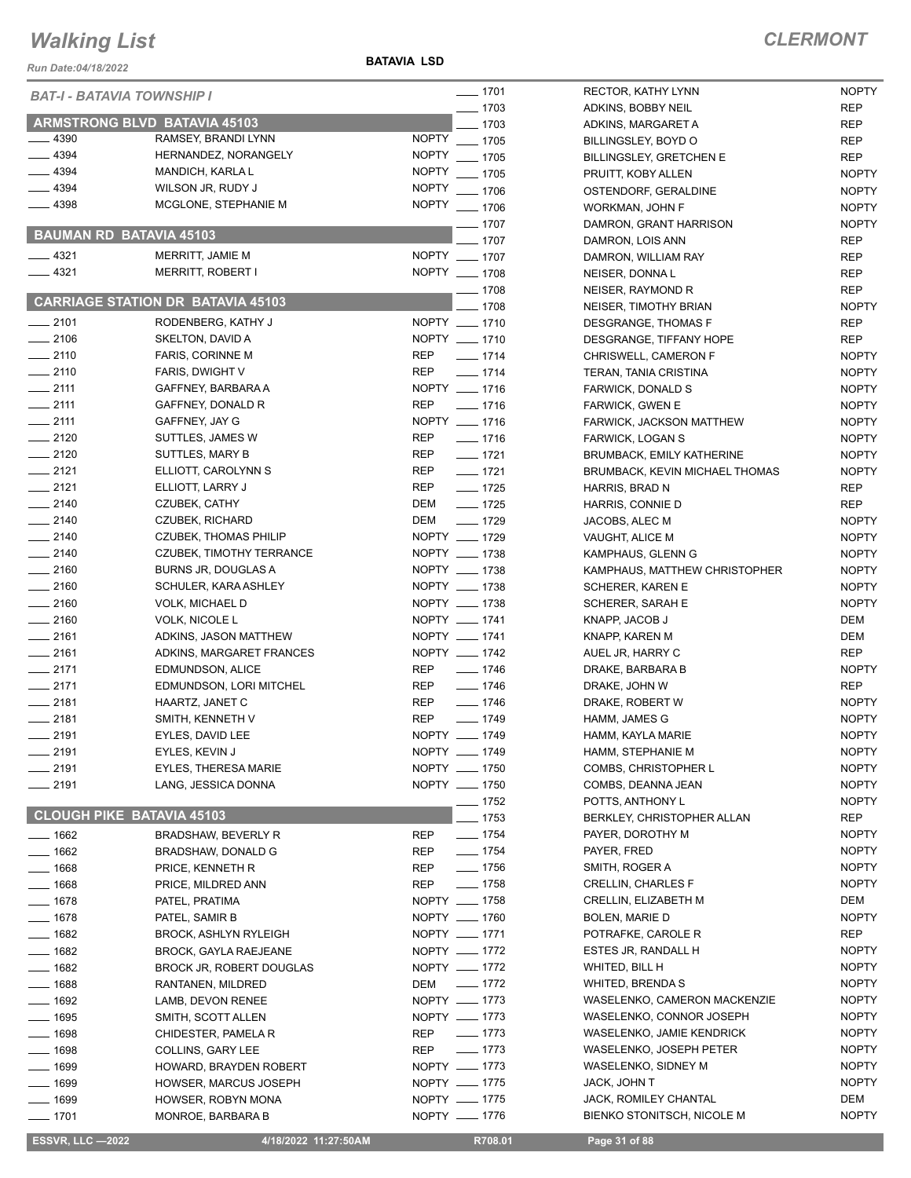**BATAVIA LSD**

### *CLERMONT*

| Run Date:04/18/2022 |                                                 | <b>DAIAVIA LJU</b>           |                      |                               |
|---------------------|-------------------------------------------------|------------------------------|----------------------|-------------------------------|
|                     | <b>BAT-I - BATAVIA TOWNSHIP I</b>               |                              | $- 1701$             | RECTOR, K                     |
|                     |                                                 |                              | $-1703$              | ADKINS, BO                    |
| __ 4390             | <b>ARMSTRONG BLVD BATAVIA 45103</b>             |                              | 1703                 | ADKINS, M/                    |
| 4394                | RAMSEY, BRANDI LYNN<br>HERNANDEZ, NORANGELY     | <b>NOPTY</b><br><b>NOPTY</b> | $-1705$              | <b>BILLINGSLE</b>             |
| $-4394$             | MANDICH, KARLA L                                | <b>NOPTY</b>                 | . 1705               | <b>BILLINGSLE</b>             |
| $-4394$             | WILSON JR, RUDY J                               | <b>NOPTY</b>                 | $-1705$<br>$- 1706$  | PRUITT, KC<br><b>OSTENDOF</b> |
| 4398                | MCGLONE, STEPHANIE M                            | <b>NOPTY</b>                 | $- 1706$             | <b>WORKMAN</b>                |
|                     |                                                 |                              | $\_$ 1707 $\_$       | DAMRON, O                     |
|                     | <b>BAUMAN RD BATAVIA 45103</b>                  |                              | 1707                 | DAMRON, L                     |
| __ 4321             | MERRITT, JAMIE M                                | NOPTY __ 1707                |                      | DAMRON, V                     |
| $-4321$             | MERRITT, ROBERT I                               | NOPTY __ 1708                |                      | NEISER, DO                    |
|                     |                                                 |                              | $-1708$              | NEISER, RA                    |
|                     | <b>CARRIAGE STATION DR BATAVIA 45103</b>        |                              | $-1708$              | NEISER, TII                   |
| $-2101$             | RODENBERG, KATHY J                              | NOPTY __ 1710                |                      | <b>DESGRANO</b>               |
| $-2106$             | SKELTON, DAVID A                                | NOPTY __ 1710                |                      | <b>DESGRANO</b>               |
| $-2110$             | <b>FARIS, CORINNE M</b>                         | REP                          | $- 1714$             | <b>CHRISWEL</b>               |
| $-2110$             | FARIS, DWIGHT V                                 | <b>REP</b>                   | $- 1714$             | <b>TERAN, TAI</b>             |
| $-2111$             | GAFFNEY, BARBARA A                              | NOPTY __ 1716                |                      | <b>FARWICK, I</b>             |
| $-2111$             | GAFFNEY, DONALD R                               | <b>REP</b>                   | $- 1716$             | FARWICK, 0                    |
| $-2111$<br>$-2120$  | GAFFNEY, JAY G                                  | NOPTY __ 1716                |                      | FARWICK,                      |
| $-2120$             | SUTTLES, JAMES W<br><b>SUTTLES, MARY B</b>      | REP<br>REP                   | $- 1716$<br>$- 1721$ | FARWICK, I<br><b>BRUMBACK</b> |
| $-2121$             | ELLIOTT, CAROLYNN S                             | REP                          | $- 1721$             | <b>BRUMBACK</b>               |
| $-2121$             | ELLIOTT, LARRY J                                | REP                          | $-1725$              | <b>HARRIS, BF</b>             |
| $-2140$             | CZUBEK, CATHY                                   | DEM                          | $- 1725$             | HARRIS, CO                    |
| $-2140$             | CZUBEK, RICHARD                                 | DEM                          | $- 1729$             | JACOBS, AI                    |
| $-2140$             | <b>CZUBEK, THOMAS PHILIP</b>                    | NOPTY __ 1729                |                      | VAUGHT, AI                    |
| $-2140$             | CZUBEK, TIMOTHY TERRANCE                        | NOPTY __ 1738                |                      | <b>KAMPHAUS</b>               |
| $-2160$             | <b>BURNS JR, DOUGLAS A</b>                      | NOPTY __ 1738                |                      | <b>KAMPHAUS</b>               |
| $= 2160$            | SCHULER, KARA ASHLEY                            | NOPTY __ 1738                |                      | SCHERER,                      |
| $-2160$             | <b>VOLK, MICHAEL D</b>                          | NOPTY __ 1738                |                      | SCHERER,                      |
| $-2160$             | VOLK, NICOLE L                                  | NOPTY __ 1741                |                      | KNAPP, JAC                    |
| $-2161$             | ADKINS, JASON MATTHEW                           | NOPTY __ 1741                |                      | KNAPP, KAI                    |
| $-2161$             | ADKINS, MARGARET FRANCES                        | NOPTY __ 1742                |                      | AUEL JR, H                    |
| $=$ 2171            | EDMUNDSON, ALICE                                | REP                          | $- 1746$             | DRAKE, BA                     |
| $-2171$             | EDMUNDSON, LORI MITCHEL                         | REP                          | $- 1746$             | DRAKE, JO                     |
| $-2181$             | HAARTZ, JANET C                                 | REP                          | $- 1746$             | DRAKE, RC                     |
| $-2181$             | SMITH, KENNETH V                                | REP<br>NOPTY __ 1749         | $- 1749$             | HAMM, JAN                     |
| $-2191$<br>__ 2191  | EYLES, DAVID LEE<br>EYLES, KEVIN J              | NOPTY __ 1749                |                      | HAMM, KAY                     |
| $-2191$             | <b>EYLES, THERESA MARIE</b>                     | NOPTY __ 1750                |                      | HAMM, STE<br>COMBS, CH        |
| 2191                | LANG, JESSICA DONNA                             | NOPTY __ 1750                |                      | COMBS, DE                     |
|                     |                                                 |                              | ___ 1752             | POTTS, AN'                    |
|                     | <b>CLOUGH PIKE BATAVIA 45103</b>                |                              | $-1753$              | BERKLEY, 0                    |
| __ 1662             | <b>BRADSHAW, BEVERLY R</b>                      | REP                          | $\frac{1}{2}$ 1754   | PAYER, DO                     |
| $-1662$             | BRADSHAW, DONALD G                              | REP                          | $- 1754$             | PAYER, FRI                    |
| __ 1668             | PRICE, KENNETH R                                | REP                          | $- 1756$             | SMITH, RO                     |
| $-1668$             | PRICE, MILDRED ANN                              | REP                          | $- 1758$             | CRELLIN, C                    |
| $-1678$             | PATEL, PRATIMA                                  | NOPTY __ 1758                |                      | CRELLIN, E                    |
| $-1678$             | PATEL, SAMIR B                                  | NOPTY __ 1760                |                      | <b>BOLEN, MA</b>              |
| $-1682$             | <b>BROCK, ASHLYN RYLEIGH</b>                    | NOPTY __ 1771                |                      | <b>POTRAFKE</b>               |
| $=$ 1682            | <b>BROCK, GAYLA RAEJEANE</b>                    | NOPTY __ 1772                |                      | ESTES JR,                     |
| $-1682$             | BROCK JR, ROBERT DOUGLAS                        | NOPTY __ 1772                |                      | WHITED, BI                    |
| ___ 1688            | RANTANEN, MILDRED                               | DEM                          | $- 1772$             | WHITED, BI                    |
| $- 1692$            | LAMB, DEVON RENEE                               | NOPTY __ 1773                |                      | WASELENK                      |
| __ 1695             | SMITH, SCOTT ALLEN                              | NOPTY __ 1773                | $- 1773$             | WASELENK                      |
| $- 1698$            | CHIDESTER, PAMELA R                             | REP                          | $- 1773$             | WASELENK<br>WASELENK          |
| $-1698$             | COLLINS, GARY LEE                               | REP<br>NOPTY __ 1773         |                      | WASELENK                      |
| _ 1699<br>$-1699$   | HOWARD, BRAYDEN ROBERT<br>HOWSER, MARCUS JOSEPH | NOPTY __ 1775                |                      | <b>JACK, JOHI</b>             |
| __ 1699             | HOWSER, ROBYN MONA                              | NOPTY __ 1775                |                      | JACK, ROM                     |
| $- 1701$            | MONROE, BARBARA B                               | NOPTY __ 1776                |                      | <b>BIENKO ST</b>              |
|                     |                                                 |                              |                      |                               |

| 1701         | RECTOR, KATHY LYNN                          | <b>NOPTY</b> |
|--------------|---------------------------------------------|--------------|
| 1703         | ADKINS, BOBBY NEIL                          | <b>REP</b>   |
| 1703         | ADKINS, MARGARET A                          | REP          |
| 1705         | BILLINGSLEY, BOYD O                         | REP          |
| 1705         | <b>BILLINGSLEY, GRETCHEN E</b>              | REP          |
| 1705         | PRUITT, KOBY ALLEN                          | <b>NOPTY</b> |
| 1706         | OSTENDORF, GERALDINE                        | <b>NOPTY</b> |
| 1706         | WORKMAN, JOHN F                             | <b>NOPTY</b> |
| 1707         | DAMRON, GRANT HARRISON                      | <b>NOPTY</b> |
| 1707         | DAMRON, LOIS ANN                            | REP          |
| 1707         | DAMRON, WILLIAM RAY                         | <b>REP</b>   |
| 1708         | NEISER, DONNA L                             | REP          |
| 1708         | NEISER, RAYMOND R                           | REP          |
| 1708         | NEISER, TIMOTHY BRIAN                       | <b>NOPTY</b> |
| 1710         | DESGRANGE, THOMAS F                         | <b>REP</b>   |
| 1710         | DESGRANGE, TIFFANY HOPE                     | REP          |
| 1714         | CHRISWELL, CAMERON F                        | <b>NOPTY</b> |
| 1714         | TERAN, TANIA CRISTINA                       | <b>NOPTY</b> |
| 1716         | <b>FARWICK, DONALD S</b>                    | <b>NOPTY</b> |
| 1716         | <b>FARWICK, GWEN E</b>                      | <b>NOPTY</b> |
| 1716         | FARWICK, JACKSON MATTHEW                    | <b>NOPTY</b> |
| 1716         | <b>FARWICK, LOGAN S</b>                     | <b>NOPTY</b> |
| 1721         | <b>BRUMBACK, EMILY KATHERINE</b>            | <b>NOPTY</b> |
| 1721         | BRUMBACK, KEVIN MICHAEL THOMAS              | <b>NOPTY</b> |
| 1725         | HARRIS, BRAD N                              | REP          |
| 1725         | HARRIS, CONNIE D                            | REP          |
| 1729         | JACOBS, ALEC M                              | <b>NOPTY</b> |
| 1729         | VAUGHT, ALICE M                             | <b>NOPTY</b> |
| 1738         | KAMPHAUS, GLENN G                           | <b>NOPTY</b> |
| 1738         | KAMPHAUS, MATTHEW CHRISTOPHER               | <b>NOPTY</b> |
| 1738         | <b>SCHERER, KAREN E</b>                     | <b>NOPTY</b> |
| 1738         | SCHERER, SARAH E                            | <b>NOPTY</b> |
| 1741         | KNAPP, JACOB J                              | DEM          |
| 1741         | KNAPP, KAREN M                              | DEM          |
| 1742         | AUEL JR, HARRY C                            | REP          |
| 1746         | DRAKE, BARBARA B                            | <b>NOPTY</b> |
| 1746         | DRAKE, JOHN W                               | REP          |
| 1746         | DRAKE, ROBERT W                             | <b>NOPTY</b> |
| 1749         | HAMM, JAMES G                               | <b>NOPTY</b> |
| 1749         | HAMM, KAYLA MARIE                           | <b>NOPTY</b> |
| 1749         | HAMM, STEPHANIE M                           | <b>NOPTY</b> |
| 1750         | COMBS, CHRISTOPHER L                        | <b>NOPTY</b> |
| 1750         | COMBS, DEANNA JEAN                          | <b>NOPTY</b> |
| 1752         | POTTS, ANTHONY L                            | <b>NOPTY</b> |
| 1753         | BERKLEY, CHRISTOPHER ALLAN                  | <b>REP</b>   |
| 1754         | PAYER, DOROTHY M                            | <b>NOPTY</b> |
| 1754         | PAYER, FRED                                 | <b>NOPTY</b> |
| 1756         | SMITH, ROGER A                              | <b>NOPTY</b> |
| 1758         | <b>CRELLIN, CHARLES F</b>                   | <b>NOPTY</b> |
|              |                                             | DEM          |
| 1758         | <b>CRELLIN, ELIZABETH M</b>                 |              |
| 1760<br>1771 | <b>BOLEN, MARIE D</b><br>POTRAFKE, CAROLE R | <b>NOPTY</b> |
|              |                                             | REP          |
| 1772         | ESTES JR, RANDALL H                         | <b>NOPTY</b> |
| 1772         | WHITED, BILL H                              | <b>NOPTY</b> |
| 1772         | <b>WHITED, BRENDA S</b>                     | <b>NOPTY</b> |
| 1773         | WASELENKO, CAMERON MACKENZIE                | <b>NOPTY</b> |
| 1773         | WASELENKO, CONNOR JOSEPH                    | <b>NOPTY</b> |
| 1773         | WASELENKO, JAMIE KENDRICK                   | <b>NOPTY</b> |
| 1773         | WASELENKO, JOSEPH PETER                     | <b>NOPTY</b> |
| 1773         | WASELENKO, SIDNEY M                         | <b>NOPTY</b> |
| 1775         | JACK, JOHN T                                | <b>NOPTY</b> |
| 1775         | JACK, ROMILEY CHANTAL                       | DEM          |
| 1776         | BIENKO STONITSCH, NICOLE M                  | <b>NOPTY</b> |

**ESSVR, LLC -2022 4/18/2022 11:27:50AM** R708.01 **Page 31 of 88**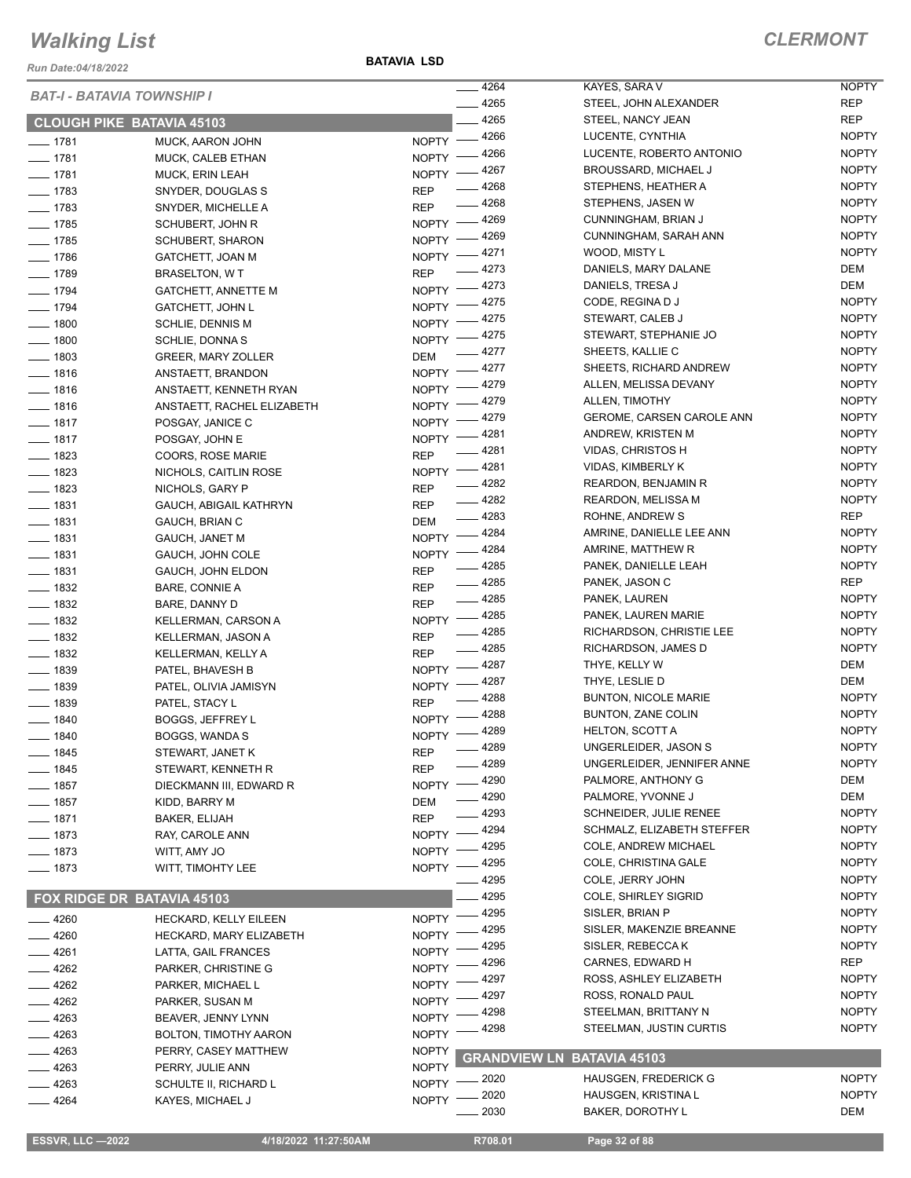*Run Date:04/18/2022*

**BATAVIA LSD**

|                                | <b>BAT-I - BATAVIA TOWNSHIP I</b>         | $-4264$                      | KAYES, SARA V                     | <b>NOPTY</b> |
|--------------------------------|-------------------------------------------|------------------------------|-----------------------------------|--------------|
|                                |                                           | $-4265$                      | STEEL, JOHN ALEXANDER             | <b>REP</b>   |
|                                | <b>CLOUGH PIKE BATAVIA 45103</b>          | 4265                         | STEEL, NANCY JEAN                 | <b>REP</b>   |
| $- 1781$                       | MUCK, AARON JOHN                          | NOPTY -4266                  | LUCENTE, CYNTHIA                  | <b>NOPTY</b> |
| $- 1781$                       | MUCK, CALEB ETHAN                         | NOPTY -4266                  | LUCENTE, ROBERTO ANTONIO          | <b>NOPTY</b> |
| $- 1781$                       | <b>MUCK, ERIN LEAH</b>                    | $-4267$<br>$N$ OPTY $-$      | <b>BROUSSARD, MICHAEL J</b>       | <b>NOPTY</b> |
| $- 1783$                       | SNYDER, DOUGLAS S                         | _ 4268<br><b>REP</b>         | STEPHENS, HEATHER A               | <b>NOPTY</b> |
| $- 1783$                       | SNYDER, MICHELLE A                        | $-4268$<br><b>REP</b>        | STEPHENS, JASEN W                 | <b>NOPTY</b> |
| $- 1785$                       | SCHUBERT, JOHN R                          | $-4269$<br>NOPTY -           | CUNNINGHAM, BRIAN J               | <b>NOPTY</b> |
| $- 1785$                       | <b>SCHUBERT, SHARON</b>                   | __ 4269<br>$NOPTY =$         | CUNNINGHAM, SARAH ANN             | <b>NOPTY</b> |
| $- 1786$                       | GATCHETT, JOAN M                          | NOPTY -4271                  | WOOD, MISTY L                     | <b>NOPTY</b> |
| $- 1789$                       | <b>BRASELTON, WT</b>                      | $-4273$<br><b>REP</b>        | DANIELS, MARY DALANE              | DEM          |
| $- 1794$                       | <b>GATCHETT, ANNETTE M</b>                | NOPTY -4273                  | DANIELS, TRESA J                  | DEM          |
| $- 1794$                       | <b>GATCHETT, JOHN L</b>                   | 4275<br>NOPTY -              | CODE, REGINA D J                  | <b>NOPTY</b> |
| $- 1800$                       | SCHLIE, DENNIS M                          | $-4275$<br>NOPTY -           | STEWART, CALEB J                  | <b>NOPTY</b> |
| $\frac{1}{2}$ 1800             | SCHLIE, DONNA S                           | $-4275$<br>$NOPTY =$         | STEWART, STEPHANIE JO             | <b>NOPTY</b> |
| $\frac{1}{2}$ 1803             | GREER, MARY ZOLLER                        | $-4277$<br><b>DEM</b>        | SHEETS, KALLIE C                  | <b>NOPTY</b> |
| $- 1816$                       | ANSTAETT, BRANDON                         | NOPTY -4277                  | SHEETS, RICHARD ANDREW            | <b>NOPTY</b> |
| $- 1816$                       | ANSTAETT, KENNETH RYAN                    | _ 4279<br>NOPTY -            | ALLEN, MELISSA DEVANY             | <b>NOPTY</b> |
| $- 1816$                       | ANSTAETT, RACHEL ELIZABETH                | _ 4279<br>NOPTY -            | ALLEN, TIMOTHY                    | <b>NOPTY</b> |
| $- 1817$                       | POSGAY, JANICE C                          | $-4279$<br>NOPTY -           | GEROME, CARSEN CAROLE ANN         | <b>NOPTY</b> |
| $- 1817$                       | POSGAY, JOHN E                            | _ 4281<br>NOPTY -            | ANDREW, KRISTEN M                 | <b>NOPTY</b> |
| $- 1823$                       | COORS, ROSE MARIE                         | $-4281$<br><b>REP</b>        | VIDAS, CHRISTOS H                 | <b>NOPTY</b> |
| $- 1823$                       | NICHOLS, CAITLIN ROSE                     | NOPTY -4281                  | <b>VIDAS, KIMBERLY K</b>          | <b>NOPTY</b> |
| $\frac{1}{2}$ 1823             | NICHOLS, GARY P                           | $-4282$<br><b>REP</b>        | <b>REARDON, BENJAMIN R</b>        | <b>NOPTY</b> |
| $- 1831$                       | <b>GAUCH, ABIGAIL KATHRYN</b>             | $-4282$<br><b>REP</b>        | <b>REARDON, MELISSA M</b>         | <b>NOPTY</b> |
| $- 1831$                       | GAUCH, BRIAN C                            | $-4283$<br><b>DEM</b>        | ROHNE, ANDREW S                   | REP          |
| $- 1831$                       | <b>GAUCH, JANET M</b>                     | NOPTY -4284                  | AMRINE, DANIELLE LEE ANN          | <b>NOPTY</b> |
| $\frac{1}{2}$ 1831             |                                           | _ 4284<br>NOPTY $-$          | AMRINE, MATTHEW R                 | <b>NOPTY</b> |
| $- 1831$                       | GAUCH, JOHN COLE                          | $-4285$<br><b>REP</b>        | PANEK, DANIELLE LEAH              | <b>NOPTY</b> |
|                                | GAUCH, JOHN ELDON                         | $-4285$<br><b>REP</b>        | PANEK, JASON C                    | REP          |
| $- 1832$<br>$\frac{1}{2}$ 1832 | <b>BARE, CONNIE A</b>                     | $-4285$<br><b>REP</b>        | PANEK, LAUREN                     | <b>NOPTY</b> |
|                                | BARE, DANNY D                             | NOPTY -4285                  | PANEK, LAUREN MARIE               | <b>NOPTY</b> |
| $- 1832$<br>$\frac{1}{2}$ 1832 | KELLERMAN, CARSON A                       | $-4285$<br><b>REP</b>        | RICHARDSON, CHRISTIE LEE          | <b>NOPTY</b> |
| $- 1832$                       | KELLERMAN, JASON A                        | $-4285$<br><b>REP</b>        | RICHARDSON, JAMES D               | <b>NOPTY</b> |
| $\frac{1}{2}$ 1839             | KELLERMAN, KELLY A                        | NOPTY -4287                  | THYE, KELLY W                     | DEM          |
| $\frac{1}{2}$ 1839             | PATEL, BHAVESH B<br>PATEL, OLIVIA JAMISYN | NOPTY -4287                  | THYE, LESLIE D                    | DEM          |
| $- 1839$                       | PATEL, STACY L                            | $-4288$<br><b>REP</b>        | <b>BUNTON, NICOLE MARIE</b>       | <b>NOPTY</b> |
| $- 1840$                       | <b>BOGGS, JEFFREY L</b>                   | _ 4288<br>$N$ OPTY $-$       | <b>BUNTON, ZANE COLIN</b>         | <b>NOPTY</b> |
| $- 1840$                       |                                           | NOPTY -4289                  | <b>HELTON, SCOTT A</b>            | <b>NOPTY</b> |
|                                | BOGGS, WANDA S                            | $-4289$                      | UNGERLEIDER, JASON S              | <b>NOPTY</b> |
| _ 1845                         | STEWART, JANET K                          | REP<br>$-4289$<br><b>REP</b> | UNGERLEIDER, JENNIFER ANNE        | <b>NOPTY</b> |
| <u>_</u> __ 1845               | STEWART, KENNETH R                        | $-4290$                      | PALMORE, ANTHONY G                | DEM          |
| —— 1857                        | DIECKMANN III, EDWARD R                   | <b>NOPTY</b><br>4290         | PALMORE, YVONNE J                 | DEM          |
| $- 1857$                       | KIDD, BARRY M                             | <b>DEM</b><br>- 4293         | <b>SCHNEIDER, JULIE RENEE</b>     | <b>NOPTY</b> |
| $- 1871$                       | BAKER, ELIJAH                             | <b>REP</b><br>4294           | SCHMALZ, ELIZABETH STEFFER        | <b>NOPTY</b> |
| __ 1873                        | RAY, CAROLE ANN                           | <b>NOPTY</b><br>4295         | COLE, ANDREW MICHAEL              | <b>NOPTY</b> |
| $- 1873$                       | WITT, AMY JO                              | <b>NOPTY</b><br>4295         | COLE, CHRISTINA GALE              | <b>NOPTY</b> |
| $- 1873$                       | WITT, TIMOHTY LEE                         | <b>NOPTY</b><br>4295         | COLE, JERRY JOHN                  | <b>NOPTY</b> |
|                                | FOX RIDGE DR BATAVIA 45103                | 4295                         | <b>COLE, SHIRLEY SIGRID</b>       | <b>NOPTY</b> |
|                                |                                           | 4295                         | SISLER, BRIAN P                   | <b>NOPTY</b> |
| $= 4260$                       | HECKARD, KELLY EILEEN                     | <b>NOPTY</b><br>4295         | SISLER, MAKENZIE BREANNE          | <b>NOPTY</b> |
| 4260                           | HECKARD, MARY ELIZABETH                   | <b>NOPTY</b><br>4295         | SISLER, REBECCA K                 | <b>NOPTY</b> |
| $=4261$                        | LATTA, GAIL FRANCES                       | <b>NOPTY</b><br>4296         | CARNES, EDWARD H                  | REP          |
| 4262                           | PARKER, CHRISTINE G                       | <b>NOPTY</b><br>4297         | ROSS, ASHLEY ELIZABETH            | <b>NOPTY</b> |
| _ 4262                         | PARKER, MICHAEL L                         | <b>NOPTY</b><br>4297         | ROSS, RONALD PAUL                 | <b>NOPTY</b> |
| 4262                           | PARKER, SUSAN M                           | <b>NOPTY</b><br>4298         | STEELMAN, BRITTANY N              | <b>NOPTY</b> |
| 4263                           | BEAVER, JENNY LYNN                        | <b>NOPTY</b><br>4298         | STEELMAN, JUSTIN CURTIS           | <b>NOPTY</b> |
| $-4263$                        | BOLTON, TIMOTHY AARON                     | <b>NOPTY</b>                 |                                   |              |
| - 4263                         | PERRY, CASEY MATTHEW                      | <b>NOPTY</b>                 | <b>GRANDVIEW LN BATAVIA 45103</b> |              |
| _ 4263                         | PERRY, JULIE ANN                          | <b>NOPTY</b>                 | <b>HAUSGEN, FREDERICK G</b>       | <b>NOPTY</b> |
| - 4263                         | SCHULTE II, RICHARD L                     | 2020<br><b>NOPTY</b>         |                                   |              |
| $-4264$                        | KAYES, MICHAEL J                          | 2020<br><b>NOPTY</b>         | <b>HAUSGEN, KRISTINA L</b>        | <b>NOPTY</b> |
|                                |                                           | 2030                         | <b>BAKER, DOROTHY L</b>           | DEM          |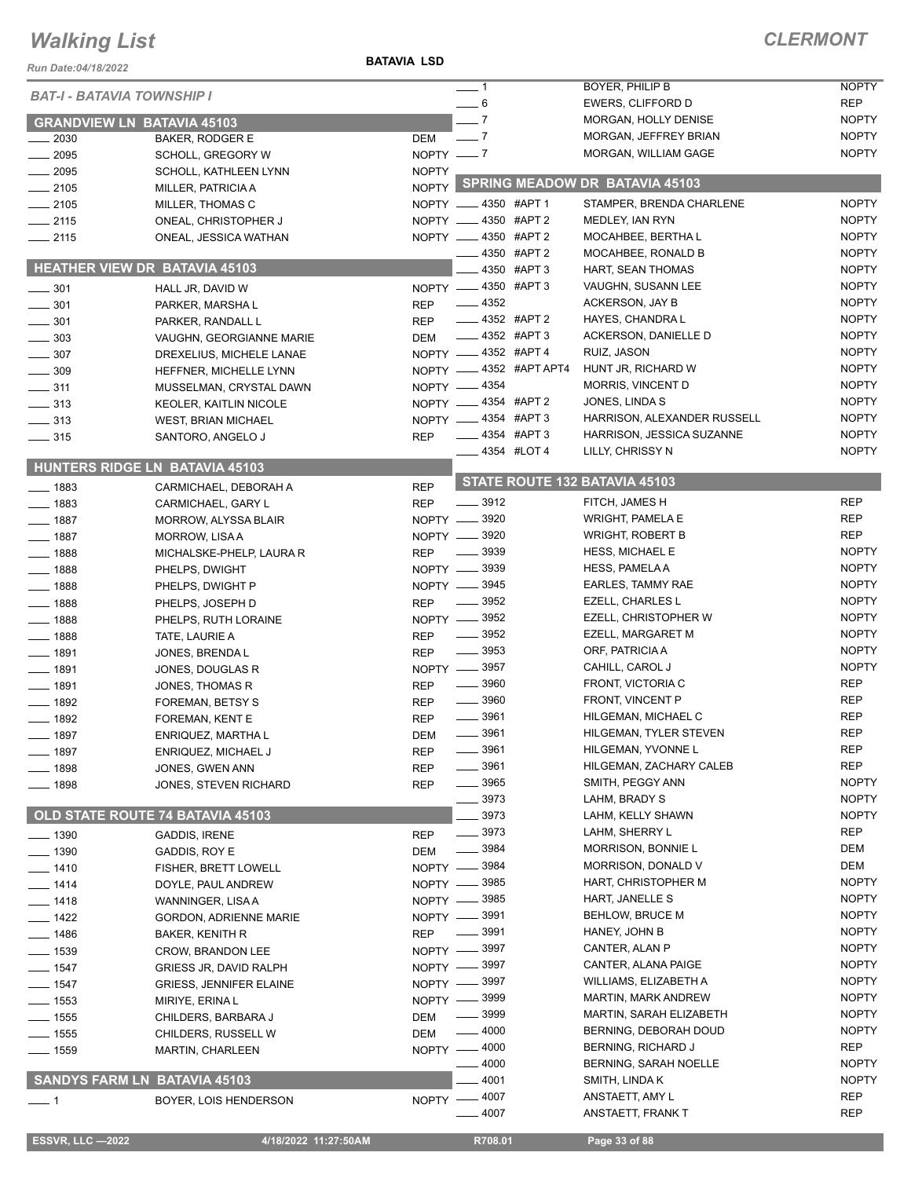**BATAVIA LSD**

#### *CLERMONT*

| Run Date:04/18/2022               |                                                 |              |                                    |                       |                                              |                              |
|-----------------------------------|-------------------------------------------------|--------------|------------------------------------|-----------------------|----------------------------------------------|------------------------------|
| <b>BAT-I - BATAVIA TOWNSHIP I</b> |                                                 |              | $-1$                               |                       | BOYER, PHILIP B                              | <b>NOPTY</b>                 |
|                                   |                                                 |              | $= 6$                              |                       | EWERS, CLIFFORD D                            | <b>REP</b>                   |
| <b>GRANDVIEW LN BATAVIA 45103</b> |                                                 |              | $-7$                               |                       | MORGAN, HOLLY DENISE                         | <b>NOPTY</b>                 |
| $\equiv$ 2030                     | BAKER, RODGER E                                 | DEM          | $\sim$ 7                           |                       | MORGAN, JEFFREY BRIAN                        | <b>NOPTY</b><br><b>NOPTY</b> |
| $-2095$                           | SCHOLL, GREGORY W                               | NOPTY $- 7$  |                                    |                       | MORGAN, WILLIAM GAGE                         |                              |
| $- 2095$<br>$-2105$               | SCHOLL, KATHLEEN LYNN<br>MILLER, PATRICIA A     | <b>NOPTY</b> |                                    |                       | NOPTY SPRING MEADOW DR BATAVIA 45103         |                              |
| $-2105$                           | MILLER, THOMAS C                                |              | NOPTY __ 4350 #APT 1               |                       | STAMPER, BRENDA CHARLENE                     | <b>NOPTY</b>                 |
| $-2115$                           | ONEAL, CHRISTOPHER J                            |              | NOPTY __ 4350 #APT 2               |                       | MEDLEY, IAN RYN                              | <b>NOPTY</b>                 |
| $-2115$                           | ONEAL, JESSICA WATHAN                           |              | NOPTY __ 4350 #APT 2               |                       | MOCAHBEE, BERTHA L                           | <b>NOPTY</b>                 |
|                                   |                                                 |              |                                    | 4350 #APT 2           | MOCAHBEE, RONALD B                           | <b>NOPTY</b>                 |
|                                   | HEATHER VIEW DR BATAVIA 45103                   |              |                                    | 4350 #APT 3           | HART, SEAN THOMAS                            | <b>NOPTY</b>                 |
| $- 301$                           | HALL JR, DAVID W                                |              | NOPTY -4350 #APT 3                 |                       | VAUGHN, SUSANN LEE                           | <b>NOPTY</b>                 |
| $-301$                            | PARKER, MARSHA L                                | <b>REP</b>   | $-4352$                            |                       | ACKERSON, JAY B                              | <b>NOPTY</b>                 |
| $\sim$ 301                        | PARKER, RANDALL L                               | <b>REP</b>   | $-4352$ #APT 2                     |                       | HAYES, CHANDRA L                             | <b>NOPTY</b>                 |
| $- 303$                           | VAUGHN, GEORGIANNE MARIE                        | <b>DEM</b>   | -4352 #APT 3                       |                       | ACKERSON, DANIELLE D                         | <b>NOPTY</b>                 |
| $\frac{1}{2}$ 307                 | DREXELIUS, MICHELE LANAE                        |              | NOPTY -4352 #APT 4                 |                       | RUIZ, JASON                                  | <b>NOPTY</b>                 |
| $\frac{1}{2}$ 309                 | HEFFNER, MICHELLE LYNN                          |              |                                    | NOPTY -4352 #APT APT4 | HUNT JR, RICHARD W                           | <b>NOPTY</b>                 |
| $\frac{1}{2}$ 311                 | MUSSELMAN, CRYSTAL DAWN                         |              | NOPTY -4354<br>NOPTY -4354 #APT 2  |                       | MORRIS, VINCENT D<br>JONES, LINDA S          | <b>NOPTY</b><br><b>NOPTY</b> |
| $\frac{1}{2}$ 313                 | <b>KEOLER, KAITLIN NICOLE</b>                   |              | NOPTY -4354 #APT 3                 |                       | HARRISON, ALEXANDER RUSSELL                  | <b>NOPTY</b>                 |
| $- 313$<br>$\frac{1}{2}$ 315      | <b>WEST, BRIAN MICHAEL</b><br>SANTORO, ANGELO J | <b>REP</b>   | $-4354$ #APT 3                     |                       | HARRISON, JESSICA SUZANNE                    | <b>NOPTY</b>                 |
|                                   |                                                 |              |                                    | 4354 #LOT 4           | LILLY, CHRISSY N                             | <b>NOPTY</b>                 |
|                                   | <b>HUNTERS RIDGE LN BATAVIA 45103</b>           |              |                                    |                       |                                              |                              |
| $- 1883$                          | CARMICHAEL, DEBORAH A                           | <b>REP</b>   |                                    |                       | STATE ROUTE 132 BATAVIA 45103                |                              |
| $- 1883$                          | CARMICHAEL, GARY L                              | <b>REP</b>   | $\frac{1}{2}$ 3912                 |                       | FITCH, JAMES H                               | <b>REP</b>                   |
| $\equiv$ 1887                     | MORROW, ALYSSA BLAIR                            |              | NOPTY -8920                        |                       | <b>WRIGHT, PAMELA E</b>                      | <b>REP</b>                   |
| $- 1887$                          | <b>MORROW, LISAA</b>                            |              | NOPTY -8920                        |                       | <b>WRIGHT, ROBERT B</b>                      | <b>REP</b>                   |
| $- 1888$                          | MICHALSKE-PHELP, LAURA R                        | <b>REP</b>   | $\frac{1}{2}$ 3939                 |                       | <b>HESS, MICHAEL E</b>                       | <b>NOPTY</b>                 |
| $- 1888$                          | PHELPS, DWIGHT                                  |              | NOPTY -8939                        |                       | HESS, PAMELA A<br>EARLES, TAMMY RAE          | <b>NOPTY</b><br><b>NOPTY</b> |
| $- 1888$<br>$- 1888$              | PHELPS, DWIGHT P                                | <b>REP</b>   | NOPTY - 3945<br>$\frac{1}{2}$ 3952 |                       | EZELL, CHARLES L                             | <b>NOPTY</b>                 |
| $- 1888$                          | PHELPS, JOSEPH D<br>PHELPS, RUTH LORAINE        |              | NOPTY -8952                        |                       | EZELL, CHRISTOPHER W                         | <b>NOPTY</b>                 |
| $- 1888$                          | TATE, LAURIE A                                  | <b>REP</b>   | $\frac{1}{2}$ 3952                 |                       | EZELL, MARGARET M                            | <b>NOPTY</b>                 |
| $- 1891$                          | JONES, BRENDA L                                 | <b>REP</b>   | $\frac{1}{2}$ 3953                 |                       | ORF, PATRICIA A                              | <b>NOPTY</b>                 |
| $- 1891$                          | JONES, DOUGLAS R                                |              | NOPTY -8957                        |                       | CAHILL, CAROL J                              | <b>NOPTY</b>                 |
| $- 1891$                          | JONES, THOMAS R                                 | <b>REP</b>   | $\frac{1}{2}$ 3960                 |                       | FRONT, VICTORIA C                            | <b>REP</b>                   |
| $- 1892$                          | <b>FOREMAN, BETSY S</b>                         | <b>REP</b>   | $\frac{1}{2}$ 3960                 |                       | FRONT, VINCENT P                             | <b>REP</b>                   |
| $- 1892$                          | FOREMAN, KENT E                                 | <b>REP</b>   | $\frac{1}{2}$ 3961                 |                       | HILGEMAN, MICHAEL C                          | <b>REP</b>                   |
| __ 1897                           | ENRIQUEZ, MARTHA L                              | DEM          | $- 3961$                           |                       | HILGEMAN, TYLER STEVEN                       | <b>REP</b>                   |
| $=$ 1897                          | ENRIQUEZ, MICHAEL J                             | REP          | $\frac{1}{2}$ 3961                 |                       | HILGEMAN, YVONNE L                           | <b>REP</b>                   |
| $- 1898$                          | JONES, GWEN ANN                                 | <b>REP</b>   | $- 3961$                           |                       | HILGEMAN, ZACHARY CALEB                      | <b>REP</b><br><b>NOPTY</b>   |
| ____ 1898                         | JONES, STEVEN RICHARD                           | <b>REP</b>   | ____ 3965<br>3973                  |                       | SMITH, PEGGY ANN<br>LAHM, BRADY S            | <b>NOPTY</b>                 |
|                                   | OLD STATE ROUTE 74 BATAVIA 45103                |              | 3973                               |                       | LAHM, KELLY SHAWN                            | <b>NOPTY</b>                 |
| —— 1390                           | GADDIS, IRENE                                   | REP          | $-3973$                            |                       | LAHM, SHERRY L                               | <b>REP</b>                   |
| ____ 1390                         | GADDIS, ROY E                                   | DEM          | $-3984$                            |                       | MORRISON, BONNIE L                           | DEM                          |
| ___ 1410                          | FISHER, BRETT LOWELL                            |              | NOPTY -8984                        |                       | MORRISON, DONALD V                           | DEM                          |
| __ 1414                           | DOYLE, PAUL ANDREW                              | $NOPTY -$    | _ 3985                             |                       | HART, CHRISTOPHER M                          | <b>NOPTY</b>                 |
| ___ 1418                          | WANNINGER, LISA A                               |              | NOPTY -8985                        |                       | HART, JANELLE S                              | <b>NOPTY</b>                 |
| $- 1422$                          | <b>GORDON, ADRIENNE MARIE</b>                   |              | NOPTY -8991                        |                       | BEHLOW, BRUCE M                              | <b>NOPTY</b>                 |
| $- 1486$                          | BAKER, KENITH R                                 | <b>REP</b>   | $-3991$                            |                       | HANEY, JOHN B                                | <b>NOPTY</b>                 |
| ___ 1539                          | CROW, BRANDON LEE                               |              | NOPTY - 3997                       |                       | CANTER, ALAN P                               | <b>NOPTY</b>                 |
| —— 1547                           | GRIESS JR, DAVID RALPH                          |              | NOPTY -8997                        |                       | CANTER, ALANA PAIGE                          | <b>NOPTY</b>                 |
| $\equiv$ 1547                     | <b>GRIESS, JENNIFER ELAINE</b>                  | $NOPTY -$    | $-3997$                            |                       | WILLIAMS, ELIZABETH A<br>MARTIN, MARK ANDREW | <b>NOPTY</b><br><b>NOPTY</b> |
| —— 1553                           | MIRIYE, ERINA L                                 |              | NOPTY - 3999<br>_ 3999             |                       | MARTIN, SARAH ELIZABETH                      | <b>NOPTY</b>                 |
| $\frac{1}{1555}$<br>____ 1555     | CHILDERS, BARBARA J<br>CHILDERS, RUSSELL W      | DEM<br>DEM   | $- 4000$                           |                       | BERNING, DEBORAH DOUD                        | <b>NOPTY</b>                 |
| —— 1559                           | MARTIN, CHARLEEN                                |              | NOPTY - 4000                       |                       | BERNING, RICHARD J                           | <b>REP</b>                   |
|                                   |                                                 |              | 4000                               |                       | BERNING, SARAH NOELLE                        | <b>NOPTY</b>                 |
|                                   | <b>SANDYS FARM LN BATAVIA 45103</b>             |              | 4001                               |                       | SMITH, LINDA K                               | <b>NOPTY</b>                 |
| — 1                               | BOYER, LOIS HENDERSON                           | NOPTY -      | 4007                               |                       | ANSTAETT, AMY L                              | <b>REP</b>                   |
|                                   |                                                 |              | 4007                               |                       | ANSTAETT, FRANK T                            | <b>REP</b>                   |

 **ESSVR, LLC —2022 4/18/2022 11:27:50AM R708.01 Page 33 of 88**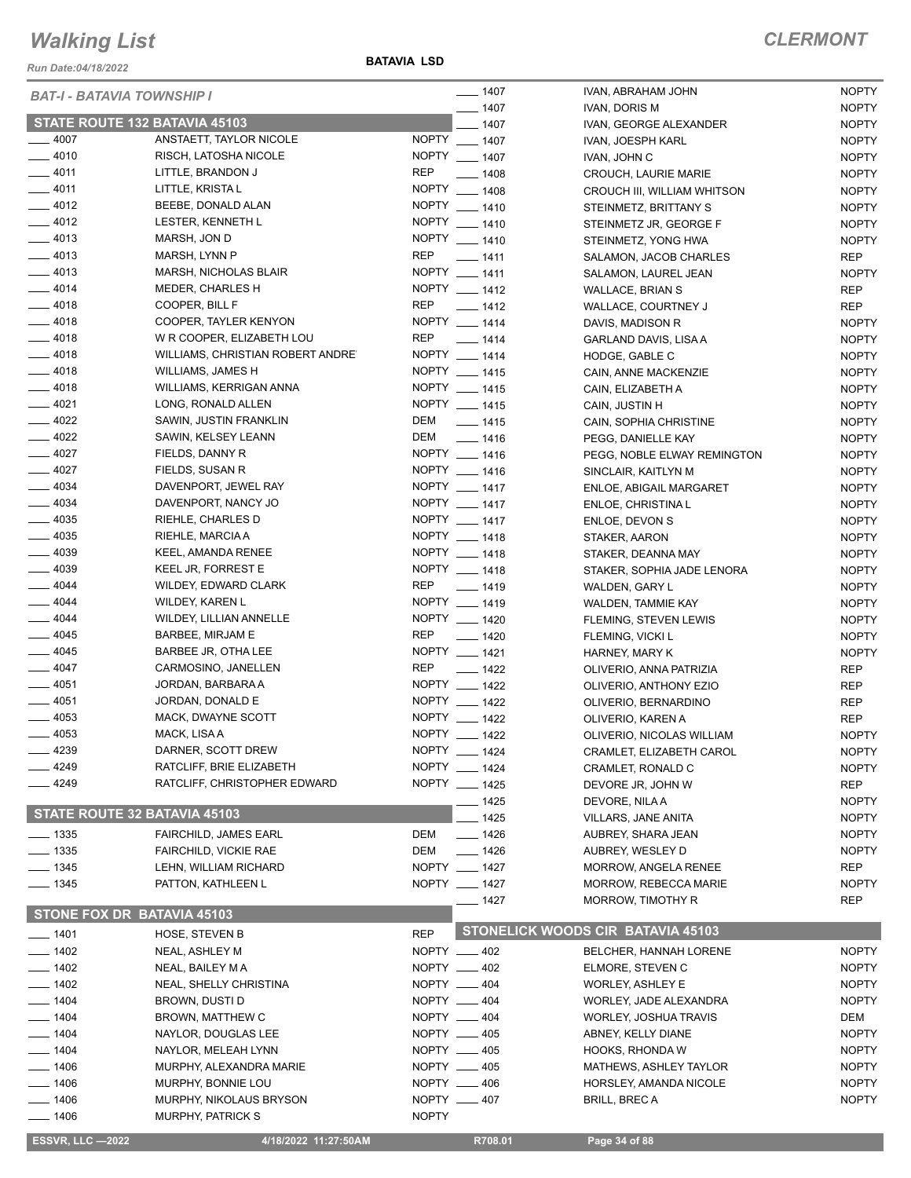*Run Date:04/18/2022*

**BATAVIA LSD**

| <b>BAT-I - BATAVIA TOWNSHIP I</b> |                                  | $- 1407$     | IVAN, ABRAHAM JOHN           | <b>NOPTY</b>                      |              |
|-----------------------------------|----------------------------------|--------------|------------------------------|-----------------------------------|--------------|
| STATE ROUTE 132 BATAVIA 45103     |                                  | $- 1407$     | IVAN, DORIS M                | <b>NOPTY</b>                      |              |
|                                   |                                  |              | $-1407$                      | IVAN, GEORGE ALEXANDER            | <b>NOPTY</b> |
| $-4007$<br>$-4010$                | ANSTAETT, TAYLOR NICOLE          |              | NOPTY __ 1407                | IVAN, JOESPH KARL                 | <b>NOPTY</b> |
|                                   | RISCH, LATOSHA NICOLE            |              | NOPTY __ 1407                | IVAN, JOHN C                      | <b>NOPTY</b> |
| $-4011$                           | LITTLE, BRANDON J                | <b>REP</b>   | $- 1408$                     | CROUCH, LAURIE MARIE              | <b>NOPTY</b> |
| $-4011$                           | LITTLE, KRISTA L                 |              | NOPTY __ 1408                | CROUCH III, WILLIAM WHITSON       | <b>NOPTY</b> |
| $-4012$                           | BEEBE, DONALD ALAN               |              | NOPTY __ 1410                | STEINMETZ, BRITTANY S             | <b>NOPTY</b> |
| $-4012$                           | LESTER, KENNETH L                |              | NOPTY __ 1410                | STEINMETZ JR, GEORGE F            | <b>NOPTY</b> |
| $-4013$                           | MARSH, JON D                     |              | NOPTY __ 1410                | STEINMETZ, YONG HWA               | <b>NOPTY</b> |
| $-4013$                           | MARSH, LYNN P                    | <b>REP</b>   | $- 1411$                     | SALAMON, JACOB CHARLES            | <b>REP</b>   |
| $-4013$                           | MARSH, NICHOLAS BLAIR            |              | NOPTY __ 1411                | SALAMON, LAUREL JEAN              | <b>NOPTY</b> |
| $-4014$                           | MEDER, CHARLES H                 |              | NOPTY __ 1412                | <b>WALLACE, BRIAN S</b>           | <b>REP</b>   |
| $-4018$                           | COOPER, BILL F                   | <b>REP</b>   | $\frac{1}{2}$ 1412           | WALLACE, COURTNEY J               | REP          |
| $-4018$                           | COOPER, TAYLER KENYON            |              | NOPTY __ 1414                | DAVIS, MADISON R                  | <b>NOPTY</b> |
| $-4018$                           | W R COOPER, ELIZABETH LOU        | <b>REP</b>   | $- 1414$                     | GARLAND DAVIS, LISA A             | <b>NOPTY</b> |
| $-4018$                           | WILLIAMS, CHRISTIAN ROBERT ANDRE |              | NOPTY __ 1414                | HODGE, GABLE C                    | <b>NOPTY</b> |
| $-4018$                           | <b>WILLIAMS, JAMES H</b>         |              | NOPTY __ 1415                | CAIN, ANNE MACKENZIE              | <b>NOPTY</b> |
| $-4018$                           | WILLIAMS, KERRIGAN ANNA          |              | NOPTY __ 1415                | CAIN, ELIZABETH A                 | <b>NOPTY</b> |
| $-4021$                           | LONG, RONALD ALLEN               |              | NOPTY __ 1415                | CAIN, JUSTIN H                    | <b>NOPTY</b> |
| $-4022$                           | SAWIN, JUSTIN FRANKLIN           | DEM          | $- 1415$                     | CAIN, SOPHIA CHRISTINE            | <b>NOPTY</b> |
| $-4022$                           | SAWIN, KELSEY LEANN              | DEM          | $- 1416$                     | PEGG, DANIELLE KAY                | <b>NOPTY</b> |
| $-4027$                           | FIELDS, DANNY R                  |              | NOPTY __ 1416                | PEGG, NOBLE ELWAY REMINGTON       | <b>NOPTY</b> |
| $-4027$                           | FIELDS, SUSAN R                  |              | NOPTY __ 1416                | SINCLAIR, KAITLYN M               | <b>NOPTY</b> |
| $-4034$                           | DAVENPORT, JEWEL RAY             |              | NOPTY __ 1417                | <b>ENLOE, ABIGAIL MARGARET</b>    | <b>NOPTY</b> |
| $- 4034$                          | DAVENPORT, NANCY JO              |              | NOPTY __ 1417                | ENLOE, CHRISTINA L                | <b>NOPTY</b> |
| $-4035$                           | RIEHLE, CHARLES D                |              | NOPTY __ 1417                | ENLOE, DEVON S                    | <b>NOPTY</b> |
| $-4035$                           | RIEHLE, MARCIA A                 |              | NOPTY __ 1418                | STAKER, AARON                     | <b>NOPTY</b> |
| $- 4039$                          | KEEL, AMANDA RENEE               |              | NOPTY __ 1418                | STAKER, DEANNA MAY                | <b>NOPTY</b> |
| $-4039$                           | KEEL JR, FORREST E               |              | NOPTY __ 1418                | STAKER, SOPHIA JADE LENORA        | <b>NOPTY</b> |
| $-4044$                           | WILDEY, EDWARD CLARK             | <b>REP</b>   | $- 1419$                     | WALDEN, GARY L                    | <b>NOPTY</b> |
| $-4044$                           | <b>WILDEY, KAREN L</b>           |              | NOPTY __ 1419                | WALDEN, TAMMIE KAY                | <b>NOPTY</b> |
| $-4044$                           | WILDEY, LILLIAN ANNELLE          |              | NOPTY __ 1420                | FLEMING, STEVEN LEWIS             | <b>NOPTY</b> |
| $-4045$                           | BARBEE, MIRJAM E                 | <b>REP</b>   | $\frac{1}{2}$ 1420           | FLEMING, VICKI L                  | <b>NOPTY</b> |
| $-4045$                           | BARBEE JR, OTHA LEE              |              | NOPTY __ 1421                | HARNEY, MARY K                    | <b>NOPTY</b> |
| $-4047$                           | CARMOSINO, JANELLEN              | <b>REP</b>   | $- 1422$                     | OLIVERIO, ANNA PATRIZIA           | <b>REP</b>   |
| $-4051$                           | JORDAN, BARBARA A                |              | NOPTY __ 1422                | OLIVERIO, ANTHONY EZIO            | <b>REP</b>   |
| $-4051$                           | JORDAN, DONALD E                 |              | NOPTY __ 1422                | OLIVERIO, BERNARDINO              | <b>REP</b>   |
| $-4053$                           | MACK, DWAYNE SCOTT               |              | NOPTY __ 1422                | OLIVERIO, KAREN A                 | <b>REP</b>   |
| $-4053$                           | MACK, LISA A                     |              | NOPTY __ 1422                | OLIVERIO, NICOLAS WILLIAM         | <b>NOPTY</b> |
| 4239                              | DARNER, SCOTT DREW               |              | NOPTY __ 1424                | CRAMLET, ELIZABETH CAROL          | <b>NOPTY</b> |
| 4249                              | RATCLIFF, BRIE ELIZABETH         |              | NOPTY __ 1424                | CRAMLET, RONALD C                 | <b>NOPTY</b> |
| _ 4249                            | RATCLIFF, CHRISTOPHER EDWARD     |              | NOPTY __ 1425                | DEVORE JR, JOHN W                 | <b>REP</b>   |
|                                   |                                  |              | _ 1425                       | DEVORE, NILA A                    | <b>NOPTY</b> |
| STATE ROUTE 32 BATAVIA 45103      |                                  |              | - 1425                       | <b>VILLARS, JANE ANITA</b>        | <b>NOPTY</b> |
| $\frac{1}{2}$ 1335                | <b>FAIRCHILD, JAMES EARL</b>     | DEM          | $- 1426$                     | AUBREY, SHARA JEAN                | <b>NOPTY</b> |
| $\frac{1}{2}$ 1335                | FAIRCHILD, VICKIE RAE            | DEM          | $- 1426$                     | AUBREY, WESLEY D                  | <b>NOPTY</b> |
| $- 1345$                          | LEHN, WILLIAM RICHARD            |              | NOPTY __ 1427                | MORROW, ANGELA RENEE              | <b>REP</b>   |
| $- 1345$                          | PATTON, KATHLEEN L               |              | NOPTY __ 1427                | MORROW, REBECCA MARIE             | <b>NOPTY</b> |
|                                   |                                  |              | ___ 1427                     | MORROW, TIMOTHY R                 | <b>REP</b>   |
| STONE FOX DR BATAVIA 45103        |                                  |              |                              |                                   |              |
| $-1401$                           | <b>HOSE, STEVEN B</b>            | <b>REP</b>   |                              | STONELICK WOODS CIR BATAVIA 45103 |              |
| $- 1402$                          | NEAL, ASHLEY M                   |              | NOPTY __ 402                 | BELCHER, HANNAH LORENE            | <b>NOPTY</b> |
| $- 1402$                          | NEAL, BAILEY M A                 |              | NOPTY __ 402                 |                                   | <b>NOPTY</b> |
| $- 1402$                          | NEAL, SHELLY CHRISTINA           |              | NOPTY __ 404                 | ELMORE, STEVEN C                  | <b>NOPTY</b> |
| $- 1404$                          | BROWN, DUSTI D                   |              | NOPTY __ 404                 | <b>WORLEY, ASHLEY E</b>           | <b>NOPTY</b> |
| $-1404$                           |                                  |              | NOPTY __ 404                 | WORLEY, JADE ALEXANDRA            |              |
| $- 1404$                          | BROWN, MATTHEW C                 |              | NOPTY __ 405                 | <b>WORLEY, JOSHUA TRAVIS</b>      | DEM          |
|                                   | NAYLOR, DOUGLAS LEE              |              |                              | ABNEY, KELLY DIANE                | <b>NOPTY</b> |
| $- 1404$                          | NAYLOR, MELEAH LYNN              |              | NOPTY __ 405<br>NOPTY __ 405 | HOOKS, RHONDA W                   | <b>NOPTY</b> |
| $- 1406$                          | MURPHY, ALEXANDRA MARIE          |              |                              | MATHEWS, ASHLEY TAYLOR            | <b>NOPTY</b> |
| $- 1406$                          | MURPHY, BONNIE LOU               |              | NOPTY __ 406                 | HORSLEY, AMANDA NICOLE            | <b>NOPTY</b> |
| $- 1406$                          | <b>MURPHY, NIKOLAUS BRYSON</b>   |              | NOPTY __ 407                 | <b>BRILL, BREC A</b>              | <b>NOPTY</b> |
| $- 1406$                          | <b>MURPHY, PATRICK S</b>         | <b>NOPTY</b> |                              |                                   |              |
| <b>ESSVR, LLC -2022</b>           | 4/18/2022 11:27:50AM             |              | R708.01                      | Page 34 of 88                     |              |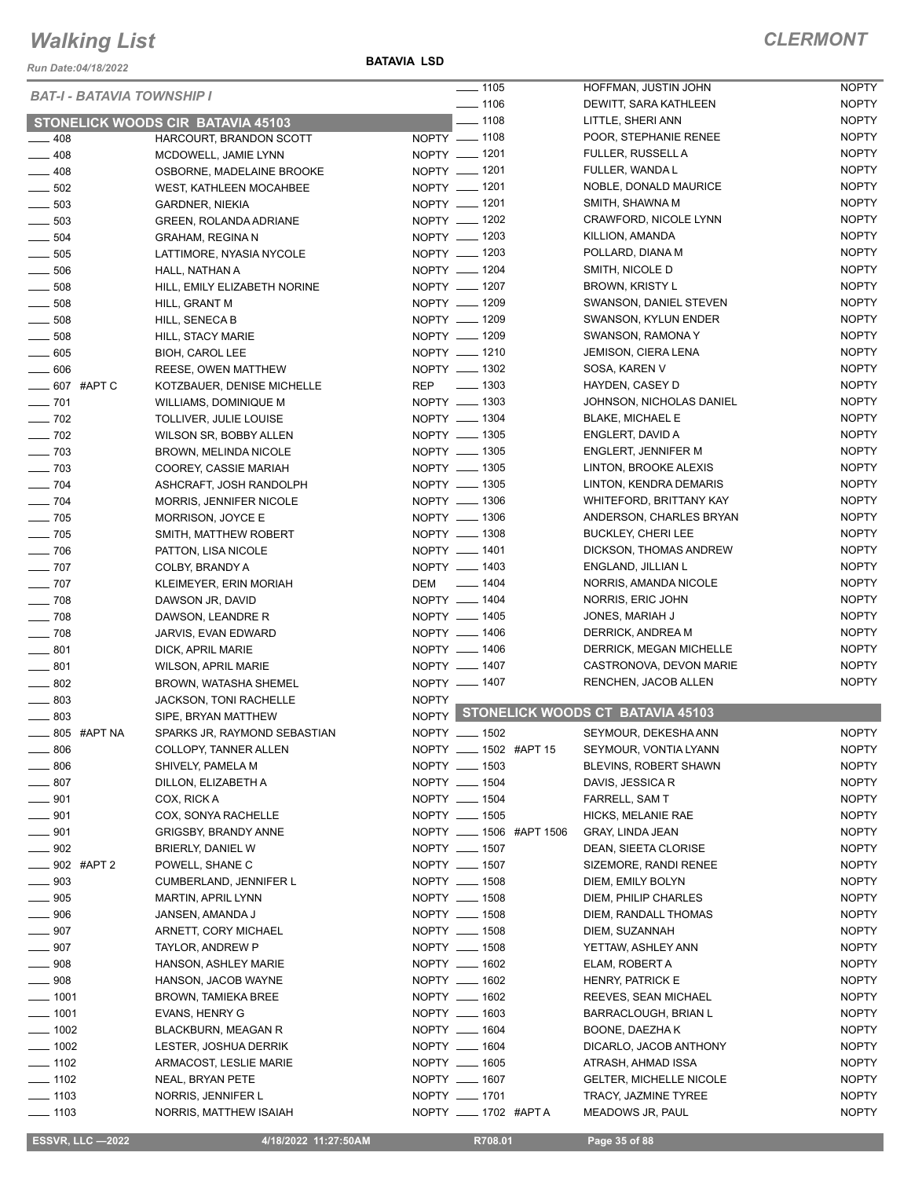*Run Date:04/18/2022*

**BATAVIA LSD**

| <b>BAT-I - BATAVIA TOWNSHIP I</b> |                                          | $- 1105$                | HOFFMAN, JUSTIN JOHN                   | <b>NOPTY</b> |
|-----------------------------------|------------------------------------------|-------------------------|----------------------------------------|--------------|
|                                   |                                          | $\frac{1}{2}$ 1106      | DEWITT, SARA KATHLEEN                  | <b>NOPTY</b> |
|                                   | <b>STONELICK WOODS CIR BATAVIA 45103</b> | $-1108$                 | LITTLE, SHERI ANN                      | <b>NOPTY</b> |
| $-408$                            | HARCOURT, BRANDON SCOTT                  | NOPTY __ 1108           | POOR, STEPHANIE RENEE                  | <b>NOPTY</b> |
| $-408$                            | MCDOWELL, JAMIE LYNN                     | NOPTY - 1201            | FULLER, RUSSELL A                      | <b>NOPTY</b> |
| $-408$                            | OSBORNE, MADELAINE BROOKE                | NOPTY __ 1201           | FULLER, WANDA L                        | <b>NOPTY</b> |
| $\frac{1}{2}$ 502                 | <b>WEST, KATHLEEN MOCAHBEE</b>           | NOPTY - 1201            | NOBLE, DONALD MAURICE                  | <b>NOPTY</b> |
| $\frac{1}{2}$ 503                 | <b>GARDNER, NIEKIA</b>                   | NOPTY - 1201            | SMITH, SHAWNA M                        | <b>NOPTY</b> |
| $\frac{1}{2}$ 503                 | GREEN, ROLANDA ADRIANE                   | NOPTY __ 1202           | CRAWFORD, NICOLE LYNN                  | <b>NOPTY</b> |
| $\frac{1}{2}$ 504                 | <b>GRAHAM, REGINA N</b>                  | NOPTY - 1203            | KILLION, AMANDA                        | <b>NOPTY</b> |
| $\frac{1}{2}$ 505                 | LATTIMORE, NYASIA NYCOLE                 | NOPTY __ 1203           | POLLARD, DIANA M                       | <b>NOPTY</b> |
| $\equiv$ 506                      | HALL, NATHAN A                           | NOPTY - 1204            | SMITH, NICOLE D                        | <b>NOPTY</b> |
| $\frac{1}{2}$ 508                 | HILL, EMILY ELIZABETH NORINE             | NOPTY - 1207            | <b>BROWN, KRISTY L</b>                 | <b>NOPTY</b> |
| $\frac{1}{2}$ 508                 | HILL, GRANT M                            | NOPTY __ 1209           | SWANSON, DANIEL STEVEN                 | <b>NOPTY</b> |
| $\frac{1}{2}$ 508                 | HILL, SENECA B                           | NOPTY - 1209            | SWANSON, KYLUN ENDER                   | <b>NOPTY</b> |
| $\frac{1}{2}$ 508                 |                                          | NOPTY __ 1209           | SWANSON, RAMONA Y                      | <b>NOPTY</b> |
|                                   | HILL, STACY MARIE                        | NOPTY - 1210            |                                        | <b>NOPTY</b> |
| $\_\_605$                         | <b>BIOH, CAROL LEE</b>                   | NOPTY - 1302            | JEMISON, CIERA LENA                    |              |
| $- 606$                           | REESE, OWEN MATTHEW                      |                         | SOSA, KAREN V                          | <b>NOPTY</b> |
| ___ 607 #APT C                    | KOTZBAUER, DENISE MICHELLE               | REP - 1303              | HAYDEN, CASEY D                        | <b>NOPTY</b> |
| $- 701$                           | WILLIAMS, DOMINIQUE M                    | NOPTY - 1303            | JOHNSON, NICHOLAS DANIEL               | <b>NOPTY</b> |
| $\frac{1}{2}$ 702                 | TOLLIVER, JULIE LOUISE                   | NOPTY __ 1304           | <b>BLAKE, MICHAEL E</b>                | <b>NOPTY</b> |
| $- 702$                           | WILSON SR, BOBBY ALLEN                   | NOPTY __ 1305           | ENGLERT, DAVID A                       | <b>NOPTY</b> |
| $\frac{1}{2}$ 703                 | <b>BROWN, MELINDA NICOLE</b>             | NOPTY __ 1305           | <b>ENGLERT, JENNIFER M</b>             | <b>NOPTY</b> |
| $\frac{1}{2}$ 703                 | COOREY, CASSIE MARIAH                    | NOPTY __ 1305           | LINTON, BROOKE ALEXIS                  | <b>NOPTY</b> |
| $\frac{1}{2}$ 704                 | ASHCRAFT, JOSH RANDOLPH                  | NOPTY - 1305            | LINTON, KENDRA DEMARIS                 | <b>NOPTY</b> |
| $\frac{1}{2}$ 704                 | MORRIS, JENNIFER NICOLE                  | NOPTY __ 1306           | WHITEFORD, BRITTANY KAY                | <b>NOPTY</b> |
| $\frac{1}{2}$ 705                 | MORRISON, JOYCE E                        | NOPTY __ 1306           | ANDERSON, CHARLES BRYAN                | <b>NOPTY</b> |
| $\frac{1}{2}$ 705                 | SMITH, MATTHEW ROBERT                    | NOPTY - 1308            | <b>BUCKLEY, CHERI LEE</b>              | <b>NOPTY</b> |
| $\frac{1}{2}$ 706                 | PATTON, LISA NICOLE                      | NOPTY __ 1401           | DICKSON, THOMAS ANDREW                 | <b>NOPTY</b> |
| $\sim$ 707                        | COLBY, BRANDY A                          | NOPTY - 1403            | ENGLAND, JILLIAN L                     | <b>NOPTY</b> |
| $\frac{1}{2}$ 707                 | KLEIMEYER, ERIN MORIAH                   | DEM __ 1404             | NORRIS, AMANDA NICOLE                  | <b>NOPTY</b> |
| $- 708$                           | DAWSON JR, DAVID                         | NOPTY - 1404            | NORRIS, ERIC JOHN                      | <b>NOPTY</b> |
| $- 708$                           | DAWSON, LEANDRE R                        | NOPTY - 1405            | JONES, MARIAH J                        | <b>NOPTY</b> |
| $- 708$                           | JARVIS, EVAN EDWARD                      | NOPTY __ 1406           | DERRICK, ANDREA M                      | <b>NOPTY</b> |
|                                   |                                          | NOPTY - 1406            | DERRICK, MEGAN MICHELLE                | <b>NOPTY</b> |
| $-801$                            | DICK, APRIL MARIE                        | NOPTY __ 1407           | CASTRONOVA, DEVON MARIE                | <b>NOPTY</b> |
| $-801$                            | WILSON, APRIL MARIE                      |                         |                                        | <b>NOPTY</b> |
| $-802$                            | BROWN, WATASHA SHEMEL                    | NOPTY - 1407            | RENCHEN, JACOB ALLEN                   |              |
| $- 803$                           | <b>JACKSON, TONI RACHELLE</b>            | <b>NOPTY</b>            | NOPTY STONELICK WOODS CT BATAVIA 45103 |              |
| $-803$                            | SIPE, BRYAN MATTHEW                      |                         |                                        |              |
| $\frac{1}{2}$ 805 #APT NA         | SPARKS JR, RAYMOND SEBASTIAN             | NOPTY __ 1502           | SEYMOUR, DEKESHA ANN                   | <b>NOPTY</b> |
| $-806$                            | COLLOPY, TANNER ALLEN                    | NOPTY __ 1502 #APT 15   | SEYMOUR, VONTIA LYANN                  | <b>NOPTY</b> |
| $- 806$                           | SHIVELY, PAMELA M                        | NOPTY __ 1503           | BLEVINS, ROBERT SHAWN                  | <b>NOPTY</b> |
| $-807$                            | DILLON, ELIZABETH A                      | NOPTY __ 1504           | DAVIS, JESSICA R                       | <b>NOPTY</b> |
| $- 901$                           | COX, RICK A                              | NOPTY __ 1504           | FARRELL, SAM T                         | <b>NOPTY</b> |
| $- 901$                           | COX, SONYA RACHELLE                      | NOPTY __ 1505           | HICKS, MELANIE RAE                     | <b>NOPTY</b> |
| $\frac{1}{2}$ 901                 | GRIGSBY, BRANDY ANNE                     | NOPTY __ 1506 #APT 1506 | <b>GRAY, LINDA JEAN</b>                | <b>NOPTY</b> |
| $\frac{1}{2}$ 902                 | BRIERLY, DANIEL W                        | NOPTY __ 1507           | DEAN, SIEETA CLORISE                   | <b>NOPTY</b> |
| ____ 902 #APT 2                   | POWELL, SHANE C                          | NOPTY __ 1507           | SIZEMORE, RANDI RENEE                  | <b>NOPTY</b> |
| $- 903$                           | CUMBERLAND, JENNIFER L                   | NOPTY __ 1508           | DIEM, EMILY BOLYN                      | <b>NOPTY</b> |
| $- 905$                           | <b>MARTIN, APRIL LYNN</b>                | NOPTY __ 1508           | DIEM, PHILIP CHARLES                   | <b>NOPTY</b> |
| $- 906$                           | JANSEN, AMANDA J                         | NOPTY __ 1508           | DIEM, RANDALL THOMAS                   | <b>NOPTY</b> |
| $\rule{1em}{0.15mm}$ 907          | ARNETT, CORY MICHAEL                     | NOPTY __ 1508           | DIEM, SUZANNAH                         | <b>NOPTY</b> |
| $- 907$                           | TAYLOR, ANDREW P                         | NOPTY __ 1508           | YETTAW, ASHLEY ANN                     | <b>NOPTY</b> |
| $- 908$                           | HANSON, ASHLEY MARIE                     | NOPTY __ 1602           |                                        | <b>NOPTY</b> |
|                                   |                                          |                         | ELAM, ROBERT A                         |              |
| $- 908$                           | HANSON, JACOB WAYNE                      | NOPTY __ 1602           | <b>HENRY, PATRICK E</b>                | <b>NOPTY</b> |
| $- 1001$                          | BROWN, TAMIEKA BREE                      | NOPTY __ 1602           | REEVES, SEAN MICHAEL                   | <b>NOPTY</b> |
| $- 1001$                          | EVANS, HENRY G                           | NOPTY __ 1603           | BARRACLOUGH, BRIAN L                   | <b>NOPTY</b> |
| $\frac{1}{2}$ 1002                | <b>BLACKBURN, MEAGAN R</b>               | NOPTY __ 1604           | BOONE, DAEZHA K                        | <b>NOPTY</b> |
| $\frac{1}{2}$ 1002                | LESTER, JOSHUA DERRIK                    | NOPTY __ 1604           | DICARLO, JACOB ANTHONY                 | <b>NOPTY</b> |
| $\frac{1}{2}$ 1102                | ARMACOST, LESLIE MARIE                   | NOPTY __ 1605           | ATRASH, AHMAD ISSA                     | <b>NOPTY</b> |
| $- 1102$                          | NEAL, BRYAN PETE                         | NOPTY __ 1607           | <b>GELTER, MICHELLE NICOLE</b>         | <b>NOPTY</b> |
| $- 1103$                          | NORRIS, JENNIFER L                       | NOPTY __ 1701           | TRACY, JAZMINE TYREE                   | <b>NOPTY</b> |
| $\frac{1}{2}$ 1103                | NORRIS, MATTHEW ISAIAH                   | NOPTY __ 1702 #APTA     | MEADOWS JR, PAUL                       | <b>NOPTY</b> |

**ESSVR, LLC -2022** 4/18/2022 11:27:50AM R708.01 Page 35 of 88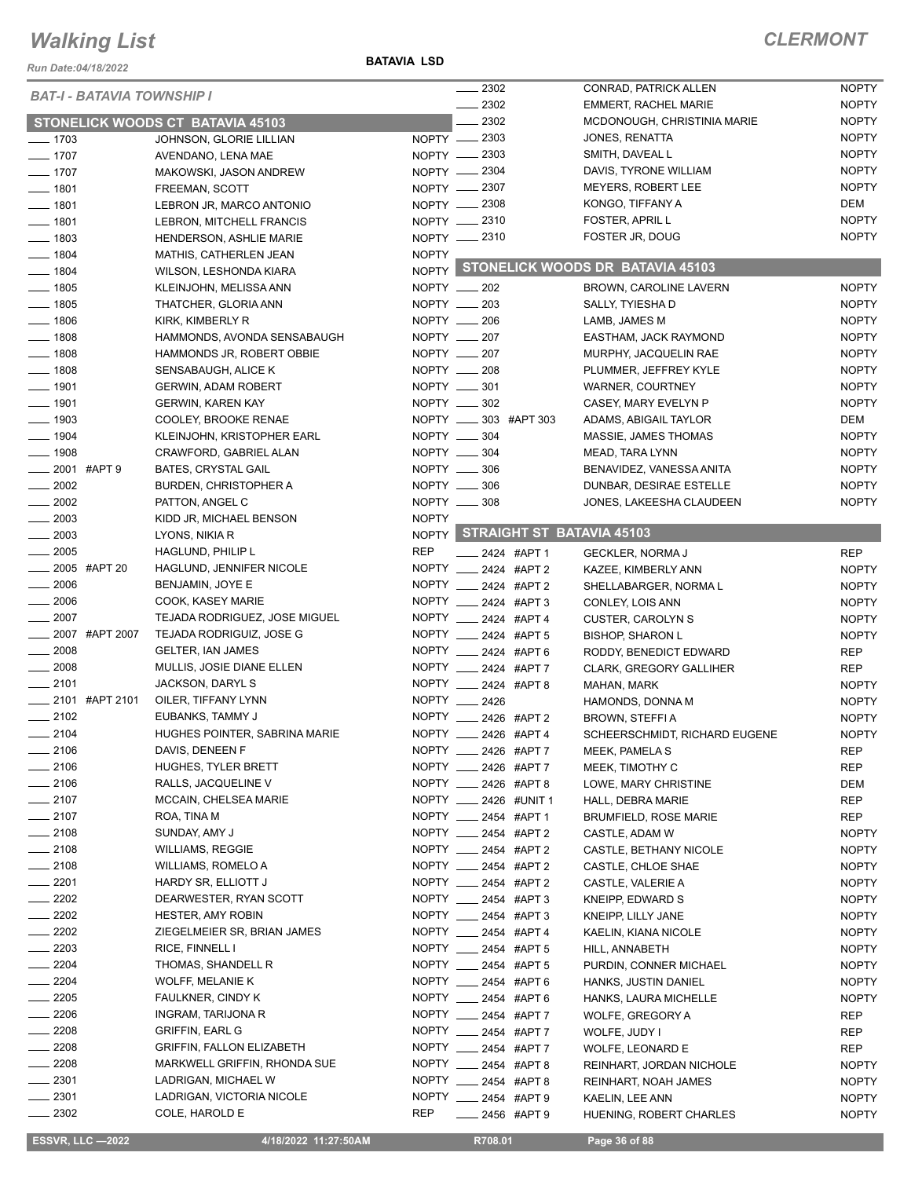#### *Run Date:04/18/2022*

#### **BATAVIA LSD**

#### *CLERMONT*

| <b>BAT-I - BATAVIA TOWNSHIP I</b> |                                         |              | $\frac{1}{2}$ 2302              | CONRAD, PATRICK ALLEN                  | <b>NOPTY</b> |
|-----------------------------------|-----------------------------------------|--------------|---------------------------------|----------------------------------------|--------------|
|                                   |                                         |              | . 2302                          | <b>EMMERT, RACHEL MARIE</b>            | <b>NOPTY</b> |
|                                   | <b>STONELICK WOODS CT BATAVIA 45103</b> |              | 2302                            | MCDONOUGH, CHRISTINIA MARIE            | <b>NOPTY</b> |
| $- 1703$                          | JOHNSON, GLORIE LILLIAN                 |              | NOPTY __ 2303                   | JONES, RENATTA                         | <b>NOPTY</b> |
| $- 1707$                          | AVENDANO, LENA MAE                      |              | NOPTY __ 2303                   | SMITH, DAVEAL L                        | <b>NOPTY</b> |
| $- 1707$                          | MAKOWSKI, JASON ANDREW                  |              | NOPTY -2304                     | DAVIS, TYRONE WILLIAM                  | <b>NOPTY</b> |
| $- 1801$                          | FREEMAN, SCOTT                          |              | NOPTY __ 2307                   | <b>MEYERS, ROBERT LEE</b>              | <b>NOPTY</b> |
| $- 1801$                          | LEBRON JR, MARCO ANTONIO                |              | NOPTY 2308                      | KONGO, TIFFANY A                       | DEM          |
| $- 1801$                          | LEBRON, MITCHELL FRANCIS                |              | NOPTY -2310                     | FOSTER, APRIL L                        | <b>NOPTY</b> |
| $- 1803$                          | HENDERSON, ASHLIE MARIE                 |              | NOPTY __ 2310                   | FOSTER JR, DOUG                        | <b>NOPTY</b> |
| $\frac{1}{2}$ 1804                | MATHIS, CATHERLEN JEAN                  | <b>NOPTY</b> |                                 |                                        |              |
| $- 1804$                          | WILSON, LESHONDA KIARA                  |              |                                 | NOPTY STONELICK WOODS DR BATAVIA 45103 |              |
| $- 1805$                          | KLEINJOHN, MELISSA ANN                  |              | $NOPTY$ __ 202                  | BROWN, CAROLINE LAVERN                 | <b>NOPTY</b> |
| $- 1805$                          | THATCHER, GLORIA ANN                    |              | NOPTY __ 203                    | SALLY, TYIESHA D                       | <b>NOPTY</b> |
| $- 1806$                          |                                         |              | NOPTY __ 206                    |                                        | <b>NOPTY</b> |
| $- 1808$                          | KIRK, KIMBERLY R                        |              | NOPTY __ 207                    | LAMB, JAMES M                          | <b>NOPTY</b> |
|                                   | HAMMONDS, AVONDA SENSABAUGH             |              |                                 | EASTHAM, JACK RAYMOND                  |              |
| $\frac{1}{2}$ 1808                | HAMMONDS JR, ROBERT OBBIE               |              | NOPTY __ 207                    | MURPHY, JACQUELIN RAE                  | <b>NOPTY</b> |
| $\frac{1}{2}$ 1808                | SENSABAUGH, ALICE K                     |              | NOPTY __ 208                    | PLUMMER, JEFFREY KYLE                  | <b>NOPTY</b> |
| $- 1901$                          | <b>GERWIN, ADAM ROBERT</b>              |              | NOPTY __ 301                    | WARNER, COURTNEY                       | <b>NOPTY</b> |
| $-1901$                           | <b>GERWIN, KAREN KAY</b>                |              | NOPTY __ 302                    | CASEY, MARY EVELYN P                   | <b>NOPTY</b> |
| $-1903$                           | COOLEY, BROOKE RENAE                    |              | NOPTY __ 303 #APT 303           | ADAMS, ABIGAIL TAYLOR                  | DEM          |
| $- 1904$                          | KLEINJOHN, KRISTOPHER EARL              |              | NOPTY __ 304                    | MASSIE, JAMES THOMAS                   | <b>NOPTY</b> |
| $- 1908$                          | CRAWFORD, GABRIEL ALAN                  |              | NOPTY __ 304                    | MEAD, TARA LYNN                        | <b>NOPTY</b> |
| $\frac{1}{2001}$ #APT 9           | BATES, CRYSTAL GAIL                     |              | NOPTY __ 306                    | BENAVIDEZ, VANESSA ANITA               | <b>NOPTY</b> |
| $\frac{2002}{2002}$               | <b>BURDEN, CHRISTOPHER A</b>            |              | NOPTY __ 306                    | DUNBAR, DESIRAE ESTELLE                | <b>NOPTY</b> |
| $\frac{1}{2002}$                  | PATTON, ANGEL C                         |              | NOPTY __ 308                    | JONES, LAKEESHA CLAUDEEN               | <b>NOPTY</b> |
| $\frac{2003}{2003}$               | KIDD JR, MICHAEL BENSON                 | <b>NOPTY</b> |                                 |                                        |              |
| $\frac{1}{2003}$                  | LYONS, NIKIA R                          |              | NOPTY STRAIGHT ST BATAVIA 45103 |                                        |              |
| $\frac{1}{2005}$                  | HAGLUND, PHILIP L                       | <b>REP</b>   | ____ 2424 #APT 1                | <b>GECKLER, NORMA J</b>                | <b>REP</b>   |
| ____ 2005 #APT 20                 | HAGLUND, JENNIFER NICOLE                |              | NOPTY __ 2424 #APT 2            | KAZEE, KIMBERLY ANN                    | <b>NOPTY</b> |
| 2006                              | BENJAMIN, JOYE E                        |              | NOPTY __ 2424 #APT 2            | SHELLABARGER, NORMA L                  | <b>NOPTY</b> |
| $\frac{1}{2006}$                  | COOK, KASEY MARIE                       |              | NOPTY __ 2424 #APT 3            | CONLEY, LOIS ANN                       | <b>NOPTY</b> |
| $-2007$                           | TEJADA RODRIGUEZ, JOSE MIGUEL           |              | NOPTY __ 2424 #APT 4            | <b>CUSTER, CAROLYN S</b>               | <b>NOPTY</b> |
| _2007 #APT 2007                   | TEJADA RODRIGUIZ, JOSE G                |              | NOPTY __ 2424 #APT 5            | <b>BISHOP, SHARON L</b>                | <b>NOPTY</b> |
| $\frac{1}{2008}$                  | <b>GELTER, IAN JAMES</b>                |              | NOPTY __ 2424 #APT 6            | RODDY, BENEDICT EDWARD                 | <b>REP</b>   |
| 2008                              | MULLIS, JOSIE DIANE ELLEN               |              | NOPTY __ 2424 #APT 7            | CLARK, GREGORY GALLIHER                | <b>REP</b>   |
| $-2101$                           | JACKSON, DARYL S                        |              | NOPTY __ 2424 #APT 8            | MAHAN, MARK                            | <b>NOPTY</b> |
| ____ 2101 #APT 2101               | OILER, TIFFANY LYNN                     |              | NOPTY __ 2426                   | HAMONDS, DONNA M                       | <b>NOPTY</b> |
| $-2102$                           | EUBANKS, TAMMY J                        |              | NOPTY __ 2426 #APT 2            | <b>BROWN, STEFFI A</b>                 | <b>NOPTY</b> |
| $-2104$                           | HUGHES POINTER, SABRINA MARIE           | <b>NOPTY</b> | 2426 #APT 4                     | SCHEERSCHMIDT, RICHARD EUGENE          | <b>NOPTY</b> |
| $-2106$                           | DAVIS, DENEEN F                         |              | NOPTY __ 2426 #APT 7            |                                        |              |
| $-2106$                           | HUGHES, TYLER BRETT                     |              | NOPTY __ 2426 #APT 7            | MEEK, PAMELA S                         | REP          |
| $-2106$                           | RALLS, JACQUELINE V                     |              | NOPTY __ 2426 #APT 8            | MEEK, TIMOTHY C                        | <b>REP</b>   |
|                                   |                                         |              |                                 | LOWE, MARY CHRISTINE                   | DEM          |
| $-2107$                           | MCCAIN, CHELSEA MARIE                   |              | NOPTY __ 2426 #UNIT 1           | HALL, DEBRA MARIE                      | <b>REP</b>   |
| $-2107$                           | ROA, TINA M                             |              | NOPTY __ 2454 #APT 1            | <b>BRUMFIELD, ROSE MARIE</b>           | <b>REP</b>   |
| $-2108$                           | SUNDAY, AMY J                           |              | NOPTY __ 2454 #APT 2            | CASTLE, ADAM W                         | <b>NOPTY</b> |
| $-2108$                           | <b>WILLIAMS, REGGIE</b>                 |              | NOPTY __ 2454 #APT 2            | CASTLE, BETHANY NICOLE                 | <b>NOPTY</b> |
| $-2108$                           | WILLIAMS, ROMELO A                      |              | NOPTY __ 2454 #APT 2            | CASTLE, CHLOE SHAE                     | <b>NOPTY</b> |
| $-2201$                           | HARDY SR, ELLIOTT J                     |              | NOPTY __ 2454 #APT 2            | CASTLE, VALERIE A                      | <b>NOPTY</b> |
| $\frac{2202}{2}$                  | DEARWESTER, RYAN SCOTT                  |              | NOPTY __ 2454 #APT 3            | KNEIPP, EDWARD S                       | <b>NOPTY</b> |
| $\frac{2202}{2}$                  | <b>HESTER, AMY ROBIN</b>                |              | NOPTY __ 2454 #APT 3            | KNEIPP, LILLY JANE                     | <b>NOPTY</b> |
| $\frac{2202}{2}$                  | ZIEGELMEIER SR, BRIAN JAMES             |              | NOPTY __ 2454 #APT 4            | KAELIN, KIANA NICOLE                   | <b>NOPTY</b> |
| $-2203$                           | RICE, FINNELL I                         |              | NOPTY __ 2454 #APT 5            | HILL, ANNABETH                         | <b>NOPTY</b> |
| $-2204$                           | THOMAS, SHANDELL R                      |              | NOPTY __ 2454 #APT 5            | PURDIN, CONNER MICHAEL                 | <b>NOPTY</b> |
| $-2204$                           | <b>WOLFF, MELANIE K</b>                 |              | NOPTY __ 2454 #APT 6            | HANKS, JUSTIN DANIEL                   | <b>NOPTY</b> |
| 2205                              | FAULKNER, CINDY K                       |              | NOPTY __ 2454 #APT 6            | HANKS, LAURA MICHELLE                  | <b>NOPTY</b> |
| $\frac{2206}{5}$                  | INGRAM, TARIJONA R                      |              | NOPTY __ 2454 #APT 7            | WOLFE, GREGORY A                       | <b>REP</b>   |
| $-2208$                           | <b>GRIFFIN, EARL G</b>                  |              | NOPTY __ 2454 #APT 7            | WOLFE, JUDY I                          | REP          |
| 2208                              | <b>GRIFFIN, FALLON ELIZABETH</b>        |              | NOPTY __ 2454 #APT 7            | WOLFE, LEONARD E                       | <b>REP</b>   |
| $-2208$                           | MARKWELL GRIFFIN, RHONDA SUE            |              | NOPTY __ 2454 #APT 8            | REINHART, JORDAN NICHOLE               | <b>NOPTY</b> |
| $-2301$                           | LADRIGAN, MICHAEL W                     |              | NOPTY __ 2454 #APT 8            | REINHART, NOAH JAMES                   | <b>NOPTY</b> |
| $\frac{1}{2}$ 2301                | LADRIGAN, VICTORIA NICOLE               | NOPTY _      | 2454 #APT 9                     | <b>KAELIN, LEE ANN</b>                 | <b>NOPTY</b> |
| $\frac{1}{2}$ 2302                | COLE, HAROLD E                          | <b>REP</b>   | _____ 2456 #APT 9               | HUENING, ROBERT CHARLES                | <b>NOPTY</b> |
|                                   |                                         |              |                                 |                                        |              |

**ESSVR, LLC -2022** 4/18/2022 11:27:50AM R708.01 Page 36 of 88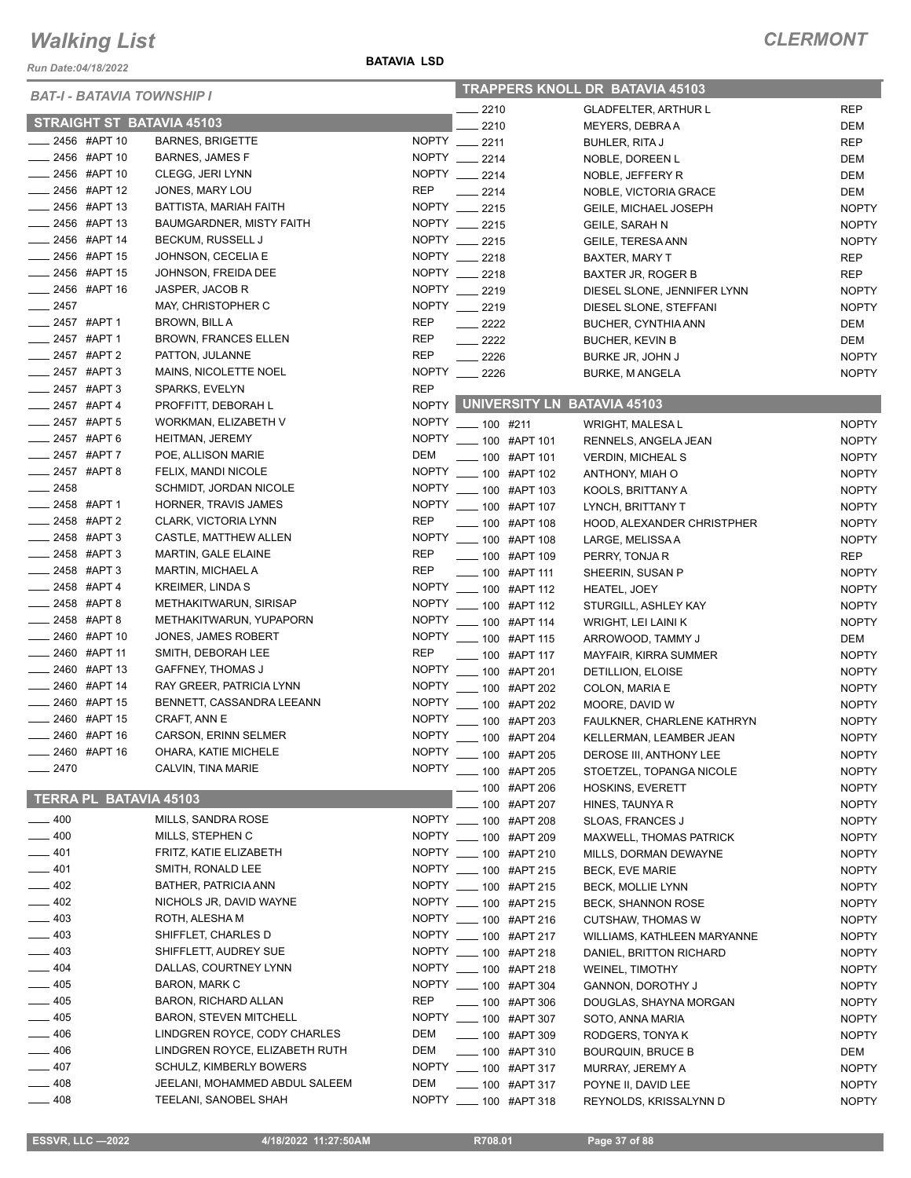*Run Date:04/18/2022*

#### **BATAVIA LSD**

| <b>BAT-I - BATAVIA TOWNSHIP I</b> |                               |                                  |              | <b>TRAPPERS KNOLL DR BATAVIA 45103</b> |                                |              |  |
|-----------------------------------|-------------------------------|----------------------------------|--------------|----------------------------------------|--------------------------------|--------------|--|
|                                   |                               |                                  |              | $-2210$                                | <b>GLADFELTER, ARTHUR L</b>    | <b>REP</b>   |  |
|                                   |                               | <b>STRAIGHT ST BATAVIA 45103</b> |              | 2210                                   | MEYERS, DEBRAA                 | DEM          |  |
| ____ 2456 #APT 10                 |                               | <b>BARNES, BRIGETTE</b>          |              | NOPTY __ 2211                          | <b>BUHLER, RITA J</b>          | <b>REP</b>   |  |
|                                   | 2456 #APT 10                  | <b>BARNES, JAMES F</b>           |              | NOPTY __ 2214                          | NOBLE, DOREEN L                | DEM          |  |
|                                   | _2456 #APT 10                 | CLEGG, JERI LYNN                 |              | NOPTY __ 2214                          | NOBLE, JEFFERY R               | DEM          |  |
| ____ 2456 #APT 12                 |                               | JONES, MARY LOU                  | <b>REP</b>   | $-2214$                                | NOBLE, VICTORIA GRACE          | DEM          |  |
| ____ 2456 #APT 13                 |                               | BATTISTA, MARIAH FAITH           |              | NOPTY __ 2215                          | <b>GEILE, MICHAEL JOSEPH</b>   | <b>NOPTY</b> |  |
| $-2456$ #APT 13                   |                               | <b>BAUMGARDNER, MISTY FAITH</b>  |              | NOPTY __ 2215                          | <b>GEILE, SARAH N</b>          | <b>NOPTY</b> |  |
| ____ 2456 #APT 14                 |                               | <b>BECKUM, RUSSELL J</b>         |              | NOPTY 2215                             | GEILE, TERESA ANN              | <b>NOPTY</b> |  |
|                                   | 2456 #APT 15                  | JOHNSON, CECELIA E               |              | NOPTY __ 2218                          | <b>BAXTER, MARY T</b>          | REP          |  |
|                                   | 2456 #APT 15                  | JOHNSON, FREIDA DEE              |              | NOPTY __ 2218                          | BAXTER JR, ROGER B             | REP          |  |
| ____ 2456 #APT 16                 |                               | JASPER, JACOB R                  |              | NOPTY __ 2219                          | DIESEL SLONE, JENNIFER LYNN    | <b>NOPTY</b> |  |
| $-2457$                           |                               | MAY, CHRISTOPHER C               |              | NOPTY __ 2219                          | DIESEL SLONE, STEFFANI         | <b>NOPTY</b> |  |
| ____ 2457 #APT 1                  |                               | BROWN, BILL A                    | <b>REP</b>   | $\frac{2222}{2}$                       | BUCHER, CYNTHIA ANN            | DEM          |  |
| ____ 2457 #APT 1                  |                               | <b>BROWN, FRANCES ELLEN</b>      | <b>REP</b>   | $\frac{2222}{2}$                       | <b>BUCHER, KEVIN B</b>         | DEM          |  |
| $\frac{1}{2457}$ #APT 2           |                               | PATTON, JULANNE                  | <b>REP</b>   | $\frac{1}{2226}$                       | BURKE JR, JOHN J               | <b>NOPTY</b> |  |
|                                   | 2457 #APT 3                   | MAINS, NICOLETTE NOEL            |              | NOPTY __ 2226                          |                                | <b>NOPTY</b> |  |
|                                   | _2457 #APT3                   | SPARKS, EVELYN                   | <b>REP</b>   |                                        | <b>BURKE, M ANGELA</b>         |              |  |
|                                   | 2457 #APT 4                   | PROFFITT, DEBORAH L              |              | NOPTY UNIVERSITY LN BATAVIA 45103      |                                |              |  |
|                                   | _2457 #APT 5                  | WORKMAN, ELIZABETH V             | <b>NOPTY</b> |                                        |                                |              |  |
|                                   |                               |                                  |              | $- 100$ #211                           | <b>WRIGHT, MALESA L</b>        | <b>NOPTY</b> |  |
| $-2457$ #APT 6                    |                               | HEITMAN, JEREMY                  | <b>NOPTY</b> | -00 #APT 101                           | RENNELS, ANGELA JEAN           | <b>NOPTY</b> |  |
| $-2457$ #APT 7                    |                               | POE, ALLISON MARIE               | DEM          | $- 100$ #APT 101                       | <b>VERDIN, MICHEAL S</b>       | <b>NOPTY</b> |  |
| $2457$ #APT 8                     |                               | FELIX, MANDI NICOLE              | <b>NOPTY</b> | -00 #APT 102                           | ANTHONY, MIAH O                | <b>NOPTY</b> |  |
| $-2458$                           |                               | SCHMIDT, JORDAN NICOLE           | <b>NOPTY</b> | $\frac{1}{2}$ 100 #APT 103             | KOOLS, BRITTANY A              | <b>NOPTY</b> |  |
| _____ 2458 #APT 1                 |                               | HORNER, TRAVIS JAMES             | <b>NOPTY</b> | $\frac{1}{2}$ 100 #APT 107             | LYNCH, BRITTANY T              | <b>NOPTY</b> |  |
| ____ 2458 #APT 2                  |                               | CLARK, VICTORIA LYNN             | <b>REP</b>   | ____ 100 #APT 108                      | HOOD, ALEXANDER CHRISTPHER     | <b>NOPTY</b> |  |
| $\frac{1}{2458}$ #APT 3           |                               | CASTLE, MATTHEW ALLEN            | <b>NOPTY</b> | ____ 100 #APT 108                      | LARGE, MELISSA A               | <b>NOPTY</b> |  |
| $2458$ #APT 3                     |                               | MARTIN, GALE ELAINE              | <b>REP</b>   | ___ 100 #APT 109                       | PERRY, TONJA R                 | REP          |  |
| $-2458$ #APT 3                    |                               | MARTIN, MICHAEL A                | <b>REP</b>   | ____ 100 #APT 111                      | SHEERIN, SUSAN P               | <b>NOPTY</b> |  |
|                                   | 2458 #APT 4                   | <b>KREIMER, LINDA S</b>          | <b>NOPTY</b> | -00 #APT 112                           | HEATEL, JOEY                   | <b>NOPTY</b> |  |
|                                   | 2458 #APT 8                   | METHAKITWARUN, SIRISAP           | <b>NOPTY</b> | $\frac{1}{2}$ 100 #APT 112             | STURGILL, ASHLEY KAY           | <b>NOPTY</b> |  |
|                                   | 2458 #APT 8                   | METHAKITWARUN, YUPAPORN          | <b>NOPTY</b> | $\frac{1}{2}$ 100 #APT 114             | WRIGHT, LEI LAINI K            | <b>NOPTY</b> |  |
| $\frac{1}{2460}$ #APT 10          |                               | JONES, JAMES ROBERT              | <b>NOPTY</b> | <b>____ 100 #APT 115</b>               | ARROWOOD, TAMMY J              | DEM          |  |
|                                   | $-2460$ #APT 11               | SMITH, DEBORAH LEE               | <b>REP</b>   | $-$ 100 #APT 117                       | MAYFAIR, KIRRA SUMMER          | <b>NOPTY</b> |  |
| $\frac{1}{2460}$ #APT 13          |                               | <b>GAFFNEY, THOMAS J</b>         | <b>NOPTY</b> | ____ 100 #APT 201                      | DETILLION, ELOISE              | <b>NOPTY</b> |  |
|                                   | 2460 #APT 14                  | RAY GREER, PATRICIA LYNN         | <b>NOPTY</b> | ___ 100 #APT 202                       | COLON, MARIA E                 | <b>NOPTY</b> |  |
|                                   | 2460 #APT 15                  | BENNETT, CASSANDRA LEEANN        | <b>NOPTY</b> | ____ 100 #APT 202                      | MOORE, DAVID W                 | <b>NOPTY</b> |  |
|                                   | 2460 #APT 15                  | CRAFT, ANN E                     | <b>NOPTY</b> | <b>____ 100 #APT 203</b>               | FAULKNER, CHARLENE KATHRYN     | <b>NOPTY</b> |  |
|                                   | 2460 #APT 16                  | <b>CARSON, ERINN SELMER</b>      | <b>NOPTY</b> | -6 100 #APT 204                        | KELLERMAN, LEAMBER JEAN        | <b>NOPTY</b> |  |
| ____ 2460 #APT 16                 |                               | OHARA, KATIE MICHELE             |              | NOPTY __ 100 #APT 205                  | DEROSE III, ANTHONY LEE        | <b>NOPTY</b> |  |
| $-2470$                           |                               | CALVIN, TINA MARIE               |              | NOPTY __ 100 #APT 205                  | STOETZEL, TOPANGA NICOLE       | <b>NOPTY</b> |  |
|                                   |                               |                                  |              | ____ 100 #APT 206                      | <b>HOSKINS, EVERETT</b>        | <b>NOPTY</b> |  |
|                                   | <b>TERRA PL BATAVIA 45103</b> |                                  |              |                                        |                                |              |  |
|                                   |                               | MILLS, SANDRA ROSE               |              | $-100$ #APT 207                        | HINES, TAUNYA R                | <b>NOPTY</b> |  |
| $- 400$                           |                               | MILLS, STEPHEN C                 |              | NOPTY __ 100 #APT 208                  | SLOAS, FRANCES J               | <b>NOPTY</b> |  |
| $-400$                            |                               |                                  |              | NOPTY __ 100 #APT 209                  | <b>MAXWELL, THOMAS PATRICK</b> | <b>NOPTY</b> |  |
| $-401$                            |                               | FRITZ, KATIE ELIZABETH           |              | NOPTY __ 100 #APT 210                  | MILLS, DORMAN DEWAYNE          | <b>NOPTY</b> |  |
| $-401$                            |                               | SMITH, RONALD LEE                |              | NOPTY __ 100 #APT 215                  | BECK, EVE MARIE                | <b>NOPTY</b> |  |
| $-402$                            |                               | BATHER, PATRICIA ANN             |              | NOPTY __ 100 #APT 215                  | <b>BECK, MOLLIE LYNN</b>       | <b>NOPTY</b> |  |
| $\frac{1}{2}$ 402                 |                               | NICHOLS JR, DAVID WAYNE          |              | NOPTY __ 100 #APT 215                  | <b>BECK, SHANNON ROSE</b>      | <b>NOPTY</b> |  |
| $-403$                            |                               | ROTH, ALESHA M                   |              | NOPTY __ 100 #APT 216                  | <b>CUTSHAW, THOMAS W</b>       | <b>NOPTY</b> |  |
| $-403$                            |                               | SHIFFLET, CHARLES D              |              | NOPTY __ 100 #APT 217                  | WILLIAMS, KATHLEEN MARYANNE    | <b>NOPTY</b> |  |
| $-403$                            |                               | SHIFFLETT, AUDREY SUE            |              | NOPTY __ 100 #APT 218                  | DANIEL, BRITTON RICHARD        | <b>NOPTY</b> |  |
| $-404$                            |                               | DALLAS, COURTNEY LYNN            |              | NOPTY __ 100 #APT 218                  | <b>WEINEL, TIMOTHY</b>         | <b>NOPTY</b> |  |
| $-405$                            |                               | <b>BARON, MARK C</b>             |              | NOPTY __ 100 #APT 304                  | GANNON, DOROTHY J              | <b>NOPTY</b> |  |
| $-405$                            |                               | BARON, RICHARD ALLAN             | <b>REP</b>   | $\frac{1}{2}$ 100 #APT 306             | DOUGLAS, SHAYNA MORGAN         | <b>NOPTY</b> |  |
| $-405$                            |                               | <b>BARON, STEVEN MITCHELL</b>    |              | NOPTY __ 100 #APT 307                  | SOTO, ANNA MARIA               | <b>NOPTY</b> |  |
| $-406$                            |                               | LINDGREN ROYCE, CODY CHARLES     | DEM          | $\frac{1}{2}$ 100 #APT 309             | RODGERS, TONYAK                | <b>NOPTY</b> |  |
| $-406$                            |                               | LINDGREN ROYCE, ELIZABETH RUTH   | DEM          | $\frac{1}{2}$ 100 #APT 310             | <b>BOURQUIN, BRUCE B</b>       | DEM          |  |
| $-407$                            |                               | SCHULZ, KIMBERLY BOWERS          |              | NOPTY __ 100 #APT 317                  | MURRAY, JEREMY A               | <b>NOPTY</b> |  |
| $\equiv$ 408                      |                               | JEELANI, MOHAMMED ABDUL SALEEM   | DEM          | $\frac{1}{2}$ 100 #APT 317             | POYNE II, DAVID LEE            | <b>NOPTY</b> |  |
| $-408$                            |                               | TEELANI, SANOBEL SHAH            |              | NOPTY __ 100 #APT 318                  | REYNOLDS, KRISSALYNN D         | <b>NOPTY</b> |  |
|                                   |                               |                                  |              |                                        |                                |              |  |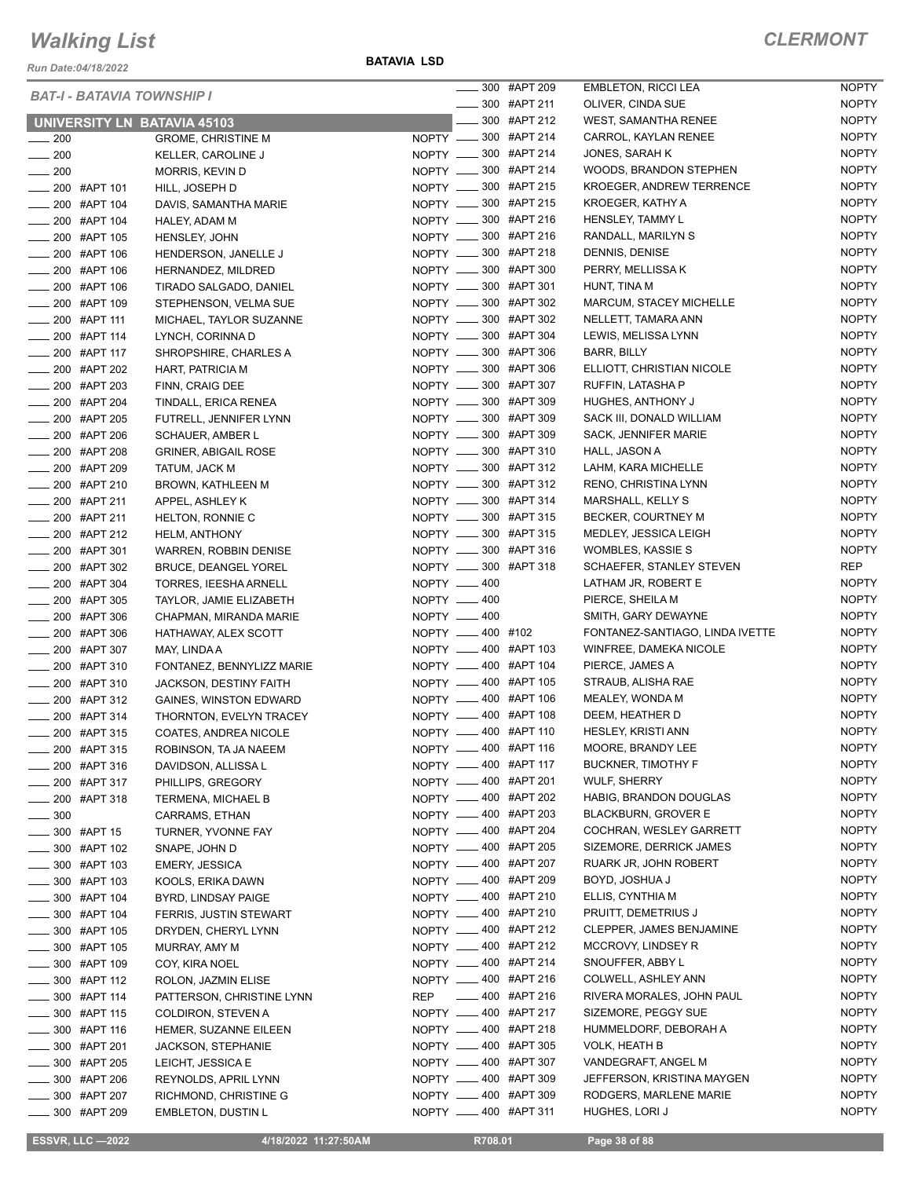*Run Date:04/18/2022*

**BATAVIA LSD**

|                   |                            | <b>BAT-I - BATAVIA TOWNSHIP I</b>  |                       | ____ 300 #APT 209          | <b>EMBLETON, RICCI LEA</b>      | <b>NOPTY</b> |
|-------------------|----------------------------|------------------------------------|-----------------------|----------------------------|---------------------------------|--------------|
|                   |                            |                                    |                       | $\frac{1}{2}$ 300 #APT 211 | OLIVER, CINDA SUE               | <b>NOPTY</b> |
|                   |                            | <b>UNIVERSITY LN BATAVIA 45103</b> |                       | ____ 300 #APT 212          | WEST, SAMANTHA RENEE            | <b>NOPTY</b> |
| $\frac{1}{200}$   |                            | <b>GROME, CHRISTINE M</b>          | NOPTY __ 300 #APT 214 |                            | CARROL, KAYLAN RENEE            | <b>NOPTY</b> |
| $\sim$ 200        |                            | KELLER, CAROLINE J                 | NOPTY __ 300 #APT 214 |                            | JONES, SARAH K                  | <b>NOPTY</b> |
| $\frac{1}{200}$   |                            | MORRIS, KEVIN D                    | NOPTY __ 300 #APT 214 |                            | WOODS, BRANDON STEPHEN          | <b>NOPTY</b> |
|                   | ____ 200 #APT 101          | HILL, JOSEPH D                     | NOPTY __ 300 #APT 215 |                            | KROEGER, ANDREW TERRENCE        | <b>NOPTY</b> |
|                   | 200 #APT 104               | DAVIS, SAMANTHA MARIE              | NOPTY __ 300 #APT 215 |                            | KROEGER, KATHY A                | <b>NOPTY</b> |
|                   | $\frac{1}{200}$ #APT 104   | HALEY, ADAM M                      | NOPTY __ 300 #APT 216 |                            | HENSLEY, TAMMY L                | <b>NOPTY</b> |
|                   | <b>200 #APT 105</b>        | HENSLEY, JOHN                      | NOPTY __ 300 #APT 216 |                            | RANDALL, MARILYN S              | <b>NOPTY</b> |
|                   | ___ 200 #APT 106           | HENDERSON, JANELLE J               | NOPTY __ 300 #APT 218 |                            | DENNIS, DENISE                  | <b>NOPTY</b> |
|                   | ____ 200 #APT 106          | HERNANDEZ, MILDRED                 | NOPTY __ 300 #APT 300 |                            | PERRY, MELLISSA K               | <b>NOPTY</b> |
|                   | ____ 200 #APT 106          | TIRADO SALGADO, DANIEL             | NOPTY __ 300 #APT 301 |                            | HUNT, TINA M                    | <b>NOPTY</b> |
|                   | ____ 200 #APT 109          | STEPHENSON, VELMA SUE              | NOPTY __ 300 #APT 302 |                            | MARCUM, STACEY MICHELLE         | <b>NOPTY</b> |
|                   | _____ 200 #APT 111         | MICHAEL, TAYLOR SUZANNE            | NOPTY __ 300 #APT 302 |                            | NELLETT, TAMARA ANN             | <b>NOPTY</b> |
|                   | ___ 200 #APT 114           | LYNCH, CORINNA D                   | NOPTY __ 300 #APT 304 |                            | LEWIS, MELISSA LYNN             | <b>NOPTY</b> |
|                   | ____ 200 #APT 117          | SHROPSHIRE, CHARLES A              | NOPTY __ 300 #APT 306 |                            | BARR, BILLY                     | <b>NOPTY</b> |
|                   | ____ 200 #APT 202          | <b>HART, PATRICIA M</b>            | NOPTY __ 300 #APT 306 |                            | ELLIOTT, CHRISTIAN NICOLE       | <b>NOPTY</b> |
|                   | ____ 200 #APT 203          | FINN, CRAIG DEE                    | NOPTY __ 300 #APT 307 |                            | RUFFIN, LATASHA P               | <b>NOPTY</b> |
|                   | ___ 200 #APT 204           | TINDALL, ERICA RENEA               | NOPTY __ 300 #APT 309 |                            | HUGHES, ANTHONY J               | <b>NOPTY</b> |
|                   | ____ 200 #APT 205          | FUTRELL, JENNIFER LYNN             | NOPTY __ 300 #APT 309 |                            | SACK III, DONALD WILLIAM        | <b>NOPTY</b> |
|                   | ___ 200 #APT 206           | <b>SCHAUER, AMBER L</b>            | NOPTY __ 300 #APT 309 |                            | SACK, JENNIFER MARIE            | <b>NOPTY</b> |
|                   |                            |                                    | NOPTY __ 300 #APT 310 |                            | HALL, JASON A                   | <b>NOPTY</b> |
|                   | ____ 200 #APT 208          | <b>GRINER, ABIGAIL ROSE</b>        | NOPTY __ 300 #APT 312 |                            | LAHM, KARA MICHELLE             | <b>NOPTY</b> |
|                   | ___ 200 #APT 209           | TATUM, JACK M                      | NOPTY __ 300 #APT 312 |                            |                                 | <b>NOPTY</b> |
|                   | ___ 200 #APT 210           | BROWN, KATHLEEN M                  |                       |                            | RENO, CHRISTINA LYNN            | <b>NOPTY</b> |
|                   | ____ 200 #APT 211          | APPEL, ASHLEY K                    | NOPTY __ 300 #APT 314 |                            | MARSHALL, KELLY S               |              |
|                   | ____ 200 #APT 211          | HELTON, RONNIE C                   | NOPTY __ 300 #APT 315 |                            | BECKER, COURTNEY M              | <b>NOPTY</b> |
|                   | ____ 200 #APT 212          | <b>HELM, ANTHONY</b>               | NOPTY __ 300 #APT 315 |                            | MEDLEY, JESSICA LEIGH           | <b>NOPTY</b> |
|                   | $\frac{1}{200}$ #APT 301   | <b>WARREN, ROBBIN DENISE</b>       | NOPTY __ 300 #APT 316 |                            | <b>WOMBLES, KASSIE S</b>        | <b>NOPTY</b> |
|                   | ____ 200 #APT 302          | BRUCE, DEANGEL YOREL               | NOPTY __ 300 #APT 318 |                            | <b>SCHAEFER, STANLEY STEVEN</b> | REP          |
|                   | $\frac{1}{200}$ #APT 304   | TORRES, IEESHA ARNELL              | NOPTY __ 400          |                            | LATHAM JR, ROBERT E             | <b>NOPTY</b> |
|                   | ____ 200 #APT 305          | TAYLOR, JAMIE ELIZABETH            | NOPTY -400            |                            | PIERCE, SHEILA M                | <b>NOPTY</b> |
|                   | _ 200 #APT 306             | CHAPMAN, MIRANDA MARIE             | NOPTY - 400           |                            | SMITH, GARY DEWAYNE             | <b>NOPTY</b> |
|                   | 200 #APT 306               | HATHAWAY, ALEX SCOTT               | NOPTY __ 400 #102     |                            | FONTANEZ-SANTIAGO, LINDA IVETTE | <b>NOPTY</b> |
|                   | ___ 200 #APT 307           | MAY, LINDA A                       | NOPTY __ 400 #APT 103 |                            | WINFREE, DAMEKA NICOLE          | <b>NOPTY</b> |
|                   | $\frac{1}{200}$ #APT 310   | FONTANEZ, BENNYLIZZ MARIE          | NOPTY __ 400 #APT 104 |                            | PIERCE, JAMES A                 | <b>NOPTY</b> |
|                   | ____ 200 #APT 310          | JACKSON, DESTINY FAITH             | NOPTY __ 400 #APT 105 |                            | STRAUB, ALISHA RAE              | <b>NOPTY</b> |
|                   | ____ 200 #APT 312          | <b>GAINES, WINSTON EDWARD</b>      | NOPTY __ 400 #APT 106 |                            | MEALEY, WONDA M                 | <b>NOPTY</b> |
|                   | 200 #APT 314               | THORNTON, EVELYN TRACEY            | NOPTY __ 400 #APT 108 |                            | DEEM, HEATHER D                 | <b>NOPTY</b> |
|                   | 200 #APT 315               | COATES, ANDREA NICOLE              | NOPTY __ 400 #APT 110 |                            | HESLEY, KRISTI ANN              | <b>NOPTY</b> |
|                   | _____ 200 #APT 315         | ROBINSON, TA JA NAEEM              | NOPTY __ 400 #APT 116 |                            | MOORE, BRANDY LEE               | <b>NOPTY</b> |
|                   | $\frac{1}{200}$ #APT 316   | DAVIDSON, ALLISSA L                | NOPTY __ 400 #APT 117 |                            | <b>BUCKNER, TIMOTHY F</b>       | <b>NOPTY</b> |
|                   | _____ 200 #APT 317         | PHILLIPS, GREGORY                  | NOPTY __ 400 #APT 201 |                            | <b>WULF, SHERRY</b>             | <b>NOPTY</b> |
|                   | ____ 200 #APT 318          | <b>TERMENA, MICHAEL B</b>          | NOPTY __ 400 #APT 202 |                            | HABIG, BRANDON DOUGLAS          | <b>NOPTY</b> |
| $\frac{1}{2}$ 300 |                            | CARRAMS, ETHAN                     | NOPTY __ 400 #APT 203 |                            | <b>BLACKBURN, GROVER E</b>      | <b>NOPTY</b> |
|                   | _____ 300 #APT 15          | TURNER, YVONNE FAY                 | NOPTY __ 400 #APT 204 |                            | COCHRAN, WESLEY GARRETT         | <b>NOPTY</b> |
|                   | _____ 300 #APT 102         | SNAPE, JOHN D                      | NOPTY __ 400 #APT 205 |                            | SIZEMORE, DERRICK JAMES         | <b>NOPTY</b> |
|                   | ____ 300 #APT 103          | <b>EMERY, JESSICA</b>              | NOPTY -400 #APT 207   |                            | RUARK JR, JOHN ROBERT           | <b>NOPTY</b> |
|                   | <b>______ 300 #APT 103</b> | KOOLS, ERIKA DAWN                  | NOPTY __ 400 #APT 209 |                            | BOYD, JOSHUA J                  | <b>NOPTY</b> |
|                   | <b>______ 300 #APT 104</b> | BYRD, LINDSAY PAIGE                | NOPTY __ 400 #APT 210 |                            | ELLIS, CYNTHIA M                | <b>NOPTY</b> |
|                   | ____ 300 #APT 104          | FERRIS, JUSTIN STEWART             | NOPTY __ 400 #APT 210 |                            | PRUITT, DEMETRIUS J             | <b>NOPTY</b> |
|                   | ____ 300 #APT 105          | DRYDEN, CHERYL LYNN                | NOPTY __ 400 #APT 212 |                            | CLEPPER, JAMES BENJAMINE        | <b>NOPTY</b> |
|                   | _____ 300 #APT 105         | MURRAY, AMY M                      | NOPTY __ 400 #APT 212 |                            | MCCROVY, LINDSEY R              | <b>NOPTY</b> |
|                   | $\frac{1}{2}$ 300 #APT 109 | COY, KIRA NOEL                     | NOPTY __ 400 #APT 214 |                            | SNOUFFER, ABBY L                | <b>NOPTY</b> |
|                   | <b>200 #APT 112</b>        | ROLON, JAZMIN ELISE                | NOPTY __ 400 #APT 216 |                            | COLWELL, ASHLEY ANN             | <b>NOPTY</b> |
|                   | ____ 300 #APT 114          | PATTERSON, CHRISTINE LYNN          | REP                   | _____ 400 #APT 216         | RIVERA MORALES, JOHN PAUL       | <b>NOPTY</b> |
|                   | -800 #APT 115              | <b>COLDIRON, STEVEN A</b>          | NOPTY __ 400 #APT 217 |                            | SIZEMORE, PEGGY SUE             | <b>NOPTY</b> |
|                   | ____ 300 #APT 116          | HEMER, SUZANNE EILEEN              | NOPTY __ 400 #APT 218 |                            | HUMMELDORF, DEBORAH A           | <b>NOPTY</b> |
|                   | ____ 300 #APT 201          | JACKSON, STEPHANIE                 | NOPTY __ 400 #APT 305 |                            | VOLK, HEATH B                   | <b>NOPTY</b> |
|                   | _____ 300 #APT 205         | LEICHT, JESSICA E                  | NOPTY __ 400 #APT 307 |                            | VANDEGRAFT, ANGEL M             | <b>NOPTY</b> |
|                   | $\frac{1}{2}$ 300 #APT 206 | REYNOLDS, APRIL LYNN               | NOPTY __ 400 #APT 309 |                            | JEFFERSON, KRISTINA MAYGEN      | <b>NOPTY</b> |
|                   | _____ 300 #APT 207         | RICHMOND, CHRISTINE G              | NOPTY __ 400 #APT 309 |                            | RODGERS, MARLENE MARIE          | <b>NOPTY</b> |
|                   | $\frac{1}{2}$ 300 #APT 209 | <b>EMBLETON, DUSTIN L</b>          | NOPTY __ 400 #APT 311 |                            | HUGHES, LORI J                  | <b>NOPTY</b> |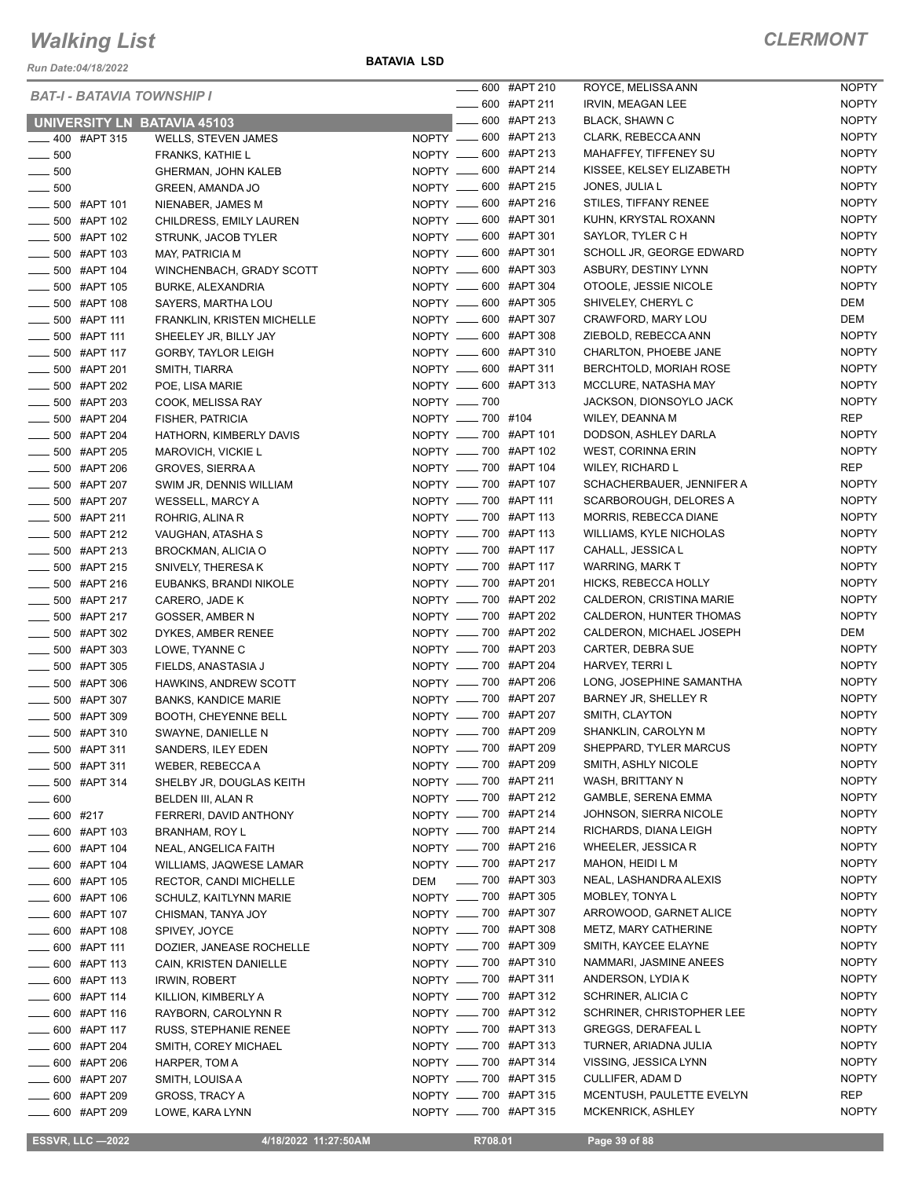*Run Date:04/18/2022*

**BATAVIA LSD**

|                        | <b>BAT-I - BATAVIA TOWNSHIP I</b> |                                    |                       | ____ 600 #APT 210          | ROYCE, MELISSA ANN        | <b>NOPTY</b> |
|------------------------|-----------------------------------|------------------------------------|-----------------------|----------------------------|---------------------------|--------------|
|                        |                                   |                                    |                       | $\frac{1}{2}$ 600 #APT 211 | IRVIN, MEAGAN LEE         | <b>NOPTY</b> |
|                        |                                   | <b>UNIVERSITY LN BATAVIA 45103</b> |                       | -600 #APT 213              | <b>BLACK, SHAWN C</b>     | <b>NOPTY</b> |
|                        | $\frac{1}{2}$ 400 #APT 315        | <b>WELLS, STEVEN JAMES</b>         | NOPTY __ 600 #APT 213 |                            | CLARK, REBECCA ANN        | <b>NOPTY</b> |
| $\frac{1}{2}$ 500      |                                   | <b>FRANKS, KATHIE L</b>            | NOPTY __ 600 #APT 213 |                            | MAHAFFEY, TIFFENEY SU     | <b>NOPTY</b> |
| $\frac{1}{2}$ 500      |                                   | <b>GHERMAN, JOHN KALEB</b>         | NOPTY __ 600 #APT 214 |                            | KISSEE, KELSEY ELIZABETH  | <b>NOPTY</b> |
| $\frac{1}{2}$ 500      |                                   | GREEN, AMANDA JO                   | NOPTY __ 600 #APT 215 |                            | JONES, JULIA L            | <b>NOPTY</b> |
|                        | <b>______ 500 #APT 101</b>        | NIENABER, JAMES M                  | NOPTY __ 600 #APT 216 |                            | STILES, TIFFANY RENEE     | <b>NOPTY</b> |
|                        | ____ 500 #APT 102                 | CHILDRESS, EMILY LAUREN            | NOPTY __ 600 #APT 301 |                            | KUHN, KRYSTAL ROXANN      | <b>NOPTY</b> |
|                        | <b>______ 500 #APT 102</b>        | STRUNK, JACOB TYLER                | NOPTY __ 600 #APT 301 |                            | SAYLOR, TYLER C H         | <b>NOPTY</b> |
|                        | ____ 500 #APT 103                 | MAY, PATRICIA M                    | NOPTY __ 600 #APT 301 |                            | SCHOLL JR, GEORGE EDWARD  | <b>NOPTY</b> |
|                        | $\frac{1}{2}$ 500 #APT 104        | WINCHENBACH, GRADY SCOTT           | NOPTY __ 600 #APT 303 |                            | ASBURY, DESTINY LYNN      | <b>NOPTY</b> |
|                        | <b>_____ 500 #APT 105</b>         | BURKE, ALEXANDRIA                  | NOPTY __ 600 #APT 304 |                            | OTOOLE, JESSIE NICOLE     | <b>NOPTY</b> |
|                        | ___ 500 #APT 108                  | SAYERS, MARTHA LOU                 | NOPTY __ 600 #APT 305 |                            | SHIVELEY, CHERYL C        | DEM          |
|                        |                                   |                                    | NOPTY __ 600 #APT 307 |                            | CRAWFORD, MARY LOU        | DEM          |
|                        | ____ 500 #APT 111                 | <b>FRANKLIN, KRISTEN MICHELLE</b>  | NOPTY __ 600 #APT 308 |                            | ZIEBOLD, REBECCA ANN      | <b>NOPTY</b> |
|                        | ____ 500 #APT 111                 | SHEELEY JR, BILLY JAY              |                       |                            |                           |              |
|                        | <b>______ 500 #APT 117</b>        | GORBY, TAYLOR LEIGH                | NOPTY __ 600 #APT 310 |                            | CHARLTON, PHOEBE JANE     | <b>NOPTY</b> |
|                        | <b>______ 500 #APT 201</b>        | SMITH, TIARRA                      | NOPTY __ 600 #APT 311 |                            | BERCHTOLD, MORIAH ROSE    | <b>NOPTY</b> |
|                        | <b>______ 500 #APT 202</b>        | POE, LISA MARIE                    | NOPTY __ 600 #APT 313 |                            | MCCLURE, NATASHA MAY      | <b>NOPTY</b> |
|                        | <b>_____ 500 #APT 203</b>         | COOK, MELISSA RAY                  | NOPTY - 700           |                            | JACKSON, DIONSOYLO JACK   | <b>NOPTY</b> |
|                        | ___ 500 #APT 204                  | FISHER, PATRICIA                   | NOPTY ____ 700 #104   |                            | WILEY, DEANNA M           | REP          |
|                        | ____ 500 #APT 204                 | HATHORN, KIMBERLY DAVIS            | NOPTY __ 700 #APT 101 |                            | DODSON, ASHLEY DARLA      | <b>NOPTY</b> |
|                        | <b>______ 500 #APT 205</b>        | MAROVICH, VICKIE L                 | NOPTY __ 700 #APT 102 |                            | <b>WEST, CORINNA ERIN</b> | <b>NOPTY</b> |
|                        | ____ 500 #APT 206                 | <b>GROVES, SIERRA A</b>            | NOPTY __ 700 #APT 104 |                            | <b>WILEY, RICHARD L</b>   | <b>REP</b>   |
|                        | <b>______ 500 #APT 207</b>        | SWIM JR, DENNIS WILLIAM            | NOPTY __ 700 #APT 107 |                            | SCHACHERBAUER, JENNIFER A | <b>NOPTY</b> |
|                        | ___ 500 #APT 207                  | <b>WESSELL, MARCY A</b>            | NOPTY __ 700 #APT 111 |                            | SCARBOROUGH, DELORES A    | <b>NOPTY</b> |
|                        | $\frac{1}{2}$ 500 #APT 211        | ROHRIG, ALINA R                    | NOPTY __ 700 #APT 113 |                            | MORRIS, REBECCA DIANE     | <b>NOPTY</b> |
|                        | ___ 500 #APT 212                  | VAUGHAN, ATASHA S                  | NOPTY __ 700 #APT 113 |                            | WILLIAMS, KYLE NICHOLAS   | <b>NOPTY</b> |
|                        | ____ 500 #APT 213                 | BROCKMAN, ALICIA O                 | NOPTY __ 700 #APT 117 |                            | CAHALL, JESSICA L         | <b>NOPTY</b> |
|                        | ____ 500 #APT 215                 | SNIVELY, THERESA K                 | NOPTY __ 700 #APT 117 |                            | WARRING, MARK T           | <b>NOPTY</b> |
|                        | ____ 500 #APT 216                 | EUBANKS, BRANDI NIKOLE             | NOPTY __ 700 #APT 201 |                            | HICKS, REBECCA HOLLY      | <b>NOPTY</b> |
|                        | <b>______ 500 #APT 217</b>        | CARERO, JADE K                     | NOPTY __ 700 #APT 202 |                            | CALDERON, CRISTINA MARIE  | <b>NOPTY</b> |
|                        | <b>______ 500 #APT 217</b>        | GOSSER, AMBER N                    | NOPTY __ 700 #APT 202 |                            | CALDERON, HUNTER THOMAS   | <b>NOPTY</b> |
|                        | 500 #APT 302                      | DYKES, AMBER RENEE                 | NOPTY __ 700 #APT 202 |                            | CALDERON, MICHAEL JOSEPH  | DEM          |
|                        | <b>_____ 500 #APT 303</b>         | LOWE, TYANNE C                     | NOPTY __ 700 #APT 203 |                            | CARTER, DEBRA SUE         | <b>NOPTY</b> |
|                        | ____ 500 #APT 305                 | FIELDS, ANASTASIA J                | NOPTY __ 700 #APT 204 |                            | HARVEY, TERRI L           | <b>NOPTY</b> |
|                        | ____ 500 #APT 306                 | HAWKINS, ANDREW SCOTT              | NOPTY __ 700 #APT 206 |                            | LONG, JOSEPHINE SAMANTHA  | <b>NOPTY</b> |
|                        |                                   |                                    | NOPTY __ 700 #APT 207 |                            | BARNEY JR, SHELLEY R      | <b>NOPTY</b> |
|                        | <b>______ 500 #APT 307</b>        | <b>BANKS, KANDICE MARIE</b>        | NOPTY __ 700 #APT 207 |                            | SMITH, CLAYTON            | <b>NOPTY</b> |
|                        | 500 #APT 309                      | BOOTH, CHEYENNE BELL               |                       |                            |                           |              |
|                        | <b>____ 500 #APT 310</b>          | SWAYNE, DANIELLE N                 | NOPTY __ 700 #APT 209 |                            | SHANKLIN, CAROLYN M       | <b>NOPTY</b> |
|                        | ___ 500 #APT 311                  | SANDERS, ILEY EDEN                 | NOPTY __ 700 #APT 209 |                            | SHEPPARD, TYLER MARCUS    | <b>NOPTY</b> |
|                        | _____ 500 #APT 311                | WEBER, REBECCAA                    | NOPTY __ 700 #APT 209 |                            | SMITH, ASHLY NICOLE       | <b>NOPTY</b> |
|                        | <b>______ 500 #APT 314</b>        | SHELBY JR, DOUGLAS KEITH           | NOPTY __ 700 #APT 211 |                            | WASH, BRITTANY N          | <b>NOPTY</b> |
| $\frac{1}{2}$ 600      |                                   | BELDEN III, ALAN R                 | NOPTY __ 700 #APT 212 |                            | GAMBLE, SERENA EMMA       | <b>NOPTY</b> |
| $\frac{1}{2}$ 600 #217 |                                   | FERRERI, DAVID ANTHONY             | NOPTY __ 700 #APT 214 |                            | JOHNSON, SIERRA NICOLE    | <b>NOPTY</b> |
|                        | ____ 600 #APT 103                 | <b>BRANHAM, ROY L</b>              | NOPTY __ 700 #APT 214 |                            | RICHARDS, DIANA LEIGH     | <b>NOPTY</b> |
|                        | -600 #APT 104                     | NEAL, ANGELICA FAITH               | NOPTY __ 700 #APT 216 |                            | WHEELER, JESSICA R        | <b>NOPTY</b> |
|                        | -600 #APT 104                     | WILLIAMS, JAQWESE LAMAR            | NOPTY __ 700 #APT 217 |                            | MAHON, HEIDI L M          | <b>NOPTY</b> |
|                        | ____ 600 #APT 105                 | RECTOR, CANDI MICHELLE             | DEM __ 700 #APT 303   |                            | NEAL, LASHANDRA ALEXIS    | <b>NOPTY</b> |
|                        | <b>600 #APT 106</b>               | SCHULZ, KAITLYNN MARIE             | NOPTY __ 700 #APT 305 |                            | <b>MOBLEY, TONYAL</b>     | <b>NOPTY</b> |
|                        | ___ 600 #APT 107                  | CHISMAN, TANYA JOY                 | NOPTY __ 700 #APT 307 |                            | ARROWOOD, GARNET ALICE    | <b>NOPTY</b> |
|                        | -600 #APT 108                     | SPIVEY, JOYCE                      | NOPTY __ 700 #APT 308 |                            | METZ, MARY CATHERINE      | <b>NOPTY</b> |
|                        | <b>_____ 600 #APT 111</b>         | DOZIER, JANEASE ROCHELLE           | NOPTY __ 700 #APT 309 |                            | SMITH, KAYCEE ELAYNE      | <b>NOPTY</b> |
|                        | ___ 600 #APT 113                  | CAIN, KRISTEN DANIELLE             | NOPTY __ 700 #APT 310 |                            | NAMMARI, JASMINE ANEES    | <b>NOPTY</b> |
|                        | <b>____ 600 #APT 113</b>          | <b>IRWIN, ROBERT</b>               | NOPTY __ 700 #APT 311 |                            | ANDERSON, LYDIA K         | <b>NOPTY</b> |
|                        | ___ 600 #APT 114                  | KILLION, KIMBERLY A                | NOPTY __ 700 #APT 312 |                            | SCHRINER, ALICIA C        | <b>NOPTY</b> |
|                        | $\frac{1}{2}$ 600 #APT 116        | RAYBORN, CAROLYNN R                | NOPTY __ 700 #APT 312 |                            | SCHRINER, CHRISTOPHER LEE | <b>NOPTY</b> |
|                        | <b>EXAMPLE 117</b>                | RUSS, STEPHANIE RENEE              | NOPTY __ 700 #APT 313 |                            | <b>GREGGS, DERAFEAL L</b> | <b>NOPTY</b> |
|                        | <b>_____ 600 #APT 204</b>         | SMITH, COREY MICHAEL               | NOPTY __ 700 #APT 313 |                            | TURNER, ARIADNA JULIA     | <b>NOPTY</b> |
|                        | <b>EXAMPLE 100 #APT 206</b>       | HARPER, TOM A                      | NOPTY __ 700 #APT 314 |                            | VISSING, JESSICA LYNN     | <b>NOPTY</b> |
|                        | ___ 600 #APT 207                  |                                    | NOPTY __ 700 #APT 315 |                            | CULLIFER, ADAM D          | <b>NOPTY</b> |
|                        |                                   | SMITH, LOUISA A                    | NOPTY __ 700 #APT 315 |                            | MCENTUSH, PAULETTE EVELYN | REP          |
|                        | _____ 600 #APT 209                | <b>GROSS, TRACY A</b>              | NOPTY __ 700 #APT 315 |                            |                           |              |
|                        | <b>______ 600 #APT 209</b>        | LOWE, KARA LYNN                    |                       |                            | MCKENRICK, ASHLEY         | <b>NOPTY</b> |

**ESSVR, LLC -2022** 4/18/2022 11:27:50AM R708.01 Page 39 of 88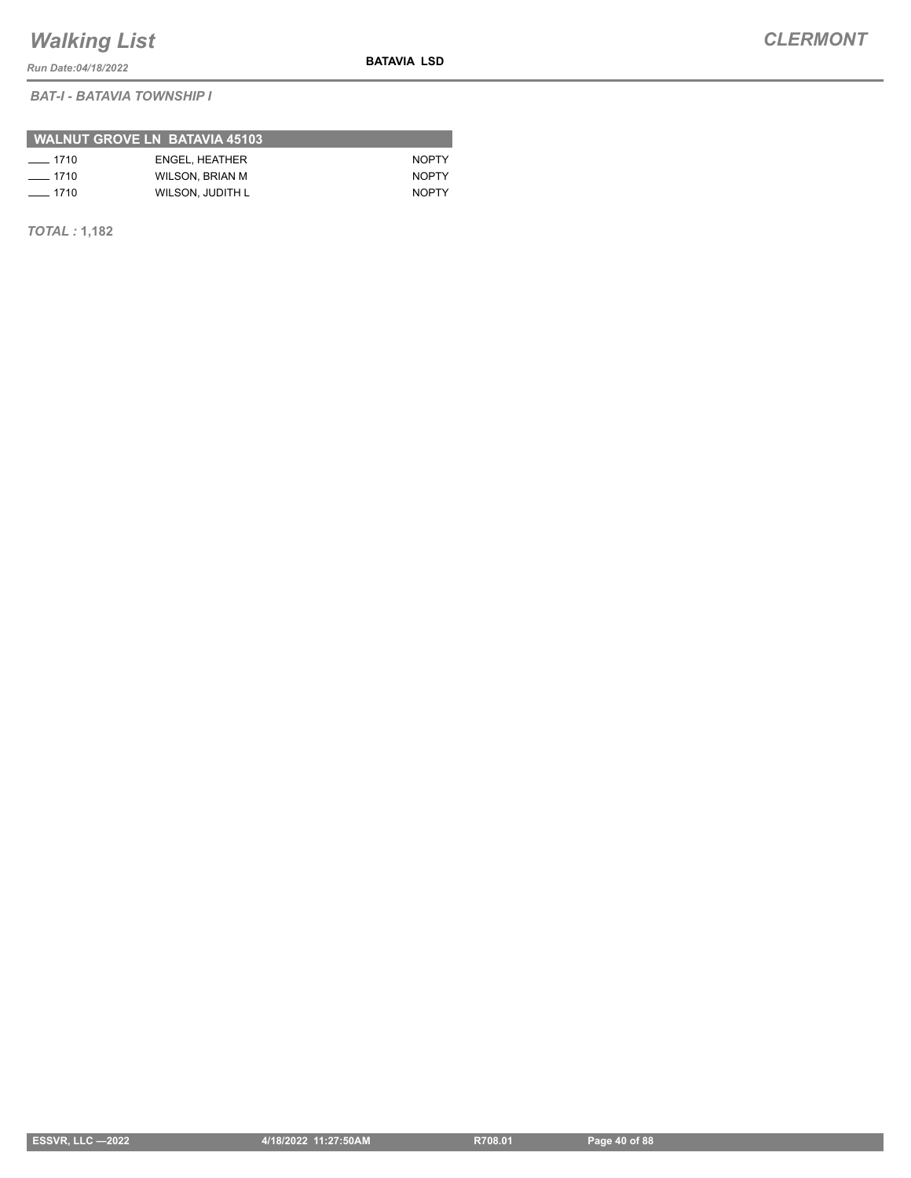*Run Date:04/18/2022*

*BAT-I - BATAVIA TOWNSHIP I*

| WALNUT GROVE LN BATAVIA 45103 |                  |              |  |  |  |
|-------------------------------|------------------|--------------|--|--|--|
| $- 1710$                      | ENGEL, HEATHER   | <b>NOPTY</b> |  |  |  |
| $-1710$                       | WILSON, BRIAN M  | <b>NOPTY</b> |  |  |  |
| $- 1710$                      | WILSON, JUDITH L | <b>NOPTY</b> |  |  |  |

*TOTAL :* **1,182**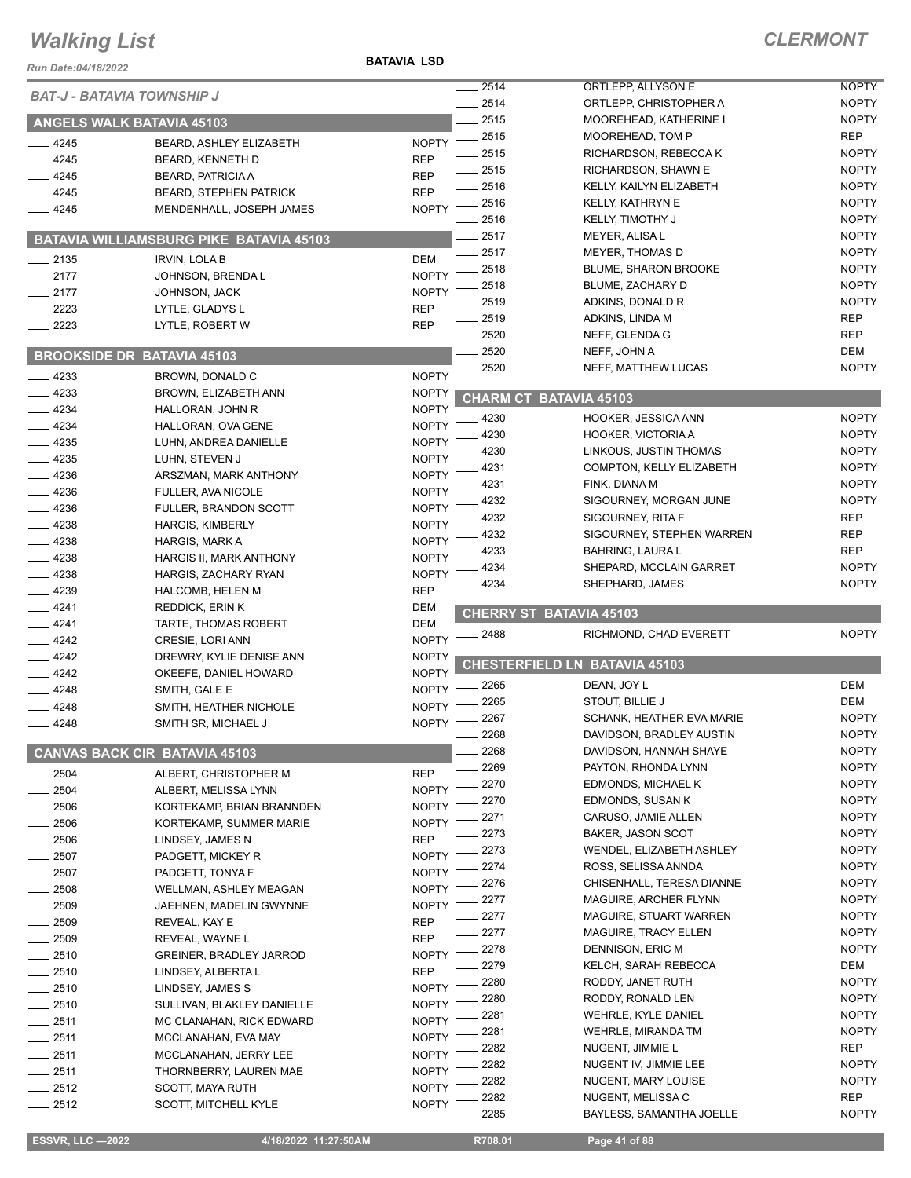#### **BATAVIA LSD**

| Run Date:04/18/2022               |                                                   |                              |              |                                            |                            |
|-----------------------------------|---------------------------------------------------|------------------------------|--------------|--------------------------------------------|----------------------------|
| <b>BAT-J - BATAVIA TOWNSHIP J</b> |                                                   |                              | 2514         | ORTLEPP, ALLYSON E                         | <b>NOPTY</b>               |
|                                   |                                                   |                              | 2514         | ORTLEPP, CHRISTOPHER A                     | <b>NOPTY</b>               |
|                                   | <b>ANGELS WALK BATAVIA 45103</b>                  |                              | 2515<br>2515 | MOOREHEAD, KATHERINE I<br>MOOREHEAD, TOM P | <b>NOPTY</b><br><b>REP</b> |
| 4245                              | BEARD, ASHLEY ELIZABETH                           | <b>NOPTY</b>                 | 2515         | RICHARDSON, REBECCA K                      | <b>NOPTY</b>               |
| 4245                              | <b>BEARD, KENNETH D</b>                           | <b>REP</b>                   | 2515         | RICHARDSON, SHAWN E                        | <b>NOPTY</b>               |
| 4245                              | <b>BEARD, PATRICIA A</b>                          | <b>REP</b>                   | 2516         | KELLY, KAILYN ELIZABETH                    | <b>NOPTY</b>               |
| 4245                              | <b>BEARD, STEPHEN PATRICK</b>                     | <b>REP</b>                   | 2516         | KELLY, KATHRYN E                           | <b>NOPTY</b>               |
| $-4245$                           | MENDENHALL, JOSEPH JAMES                          | <b>NOPTY</b>                 | 2516         | <b>KELLY, TIMOTHY J</b>                    | <b>NOPTY</b>               |
|                                   | BATAVIA WILLIAMSBURG PIKE BATAVIA 45103           |                              | 2517         | MEYER, ALISA L                             | <b>NOPTY</b>               |
|                                   |                                                   |                              | 2517         | MEYER, THOMAS D                            | <b>NOPTY</b>               |
| $-2135$                           | <b>IRVIN, LOLA B</b>                              | <b>DEM</b>                   | 2518         | <b>BLUME, SHARON BROOKE</b>                | <b>NOPTY</b>               |
| $-2177$                           | JOHNSON, BRENDA L                                 | <b>NOPTY</b>                 | 2518         | BLUME, ZACHARY D                           | <b>NOPTY</b>               |
| $-2177$                           | JOHNSON, JACK                                     | <b>NOPTY</b>                 | 2519         | ADKINS, DONALD R                           | <b>NOPTY</b>               |
| 2223                              | LYTLE, GLADYS L                                   | <b>REP</b>                   | 2519         | ADKINS, LINDA M                            | <b>REP</b>                 |
| 2223                              | LYTLE, ROBERT W                                   | <b>REP</b>                   | 2520         | NEFF, GLENDA G                             | <b>REP</b>                 |
|                                   | <b>BROOKSIDE DR BATAVIA 45103</b>                 |                              | 2520         | NEFF, JOHN A                               | <b>DEM</b>                 |
| 4233                              |                                                   | <b>NOPTY</b>                 | 2520         | NEFF, MATTHEW LUCAS                        | <b>NOPTY</b>               |
| 4233                              | BROWN, DONALD C                                   | <b>NOPTY</b>                 |              |                                            |                            |
| 4234                              | BROWN, ELIZABETH ANN<br>HALLORAN, JOHN R          | <b>NOPTY</b>                 |              | <b>CHARM CT BATAVIA 45103</b>              |                            |
| 4234                              | HALLORAN, OVA GENE                                | <b>NOPTY</b>                 | 4230         | HOOKER, JESSICA ANN                        | <b>NOPTY</b>               |
| 4235                              | LUHN, ANDREA DANIELLE                             | <b>NOPTY</b>                 | 4230         | HOOKER, VICTORIA A                         | <b>NOPTY</b>               |
| 4235                              | LUHN, STEVEN J                                    | <b>NOPTY</b>                 | 4230         | LINKOUS, JUSTIN THOMAS                     | <b>NOPTY</b>               |
| 4236                              | ARSZMAN, MARK ANTHONY                             | <b>NOPTY</b>                 | 4231         | COMPTON, KELLY ELIZABETH                   | <b>NOPTY</b>               |
| 4236                              | FULLER, AVA NICOLE                                | <b>NOPTY</b>                 | 4231         | FINK, DIANA M                              | <b>NOPTY</b>               |
| 4236                              | <b>FULLER, BRANDON SCOTT</b>                      | <b>NOPTY</b>                 | 4232         | SIGOURNEY, MORGAN JUNE                     | <b>NOPTY</b>               |
| 4238                              | <b>HARGIS, KIMBERLY</b>                           | <b>NOPTY</b>                 | 4232         | SIGOURNEY, RITA F                          | <b>REP</b>                 |
| 4238                              | <b>HARGIS, MARK A</b>                             | <b>NOPTY</b>                 | 4232         | SIGOURNEY, STEPHEN WARREN                  | <b>REP</b>                 |
| 4238                              | HARGIS II, MARK ANTHONY                           | <b>NOPTY</b>                 | 4233         | <b>BAHRING, LAURA L</b>                    | <b>REP</b>                 |
| 4238                              | HARGIS, ZACHARY RYAN                              | <b>NOPTY</b>                 | 4234         | SHEPARD, MCCLAIN GARRET                    | <b>NOPTY</b>               |
| 4239                              | HALCOMB, HELEN M                                  | <b>REP</b>                   | 4234         | SHEPHARD, JAMES                            | <b>NOPTY</b>               |
| 4241                              | <b>REDDICK, ERIN K</b>                            | <b>DEM</b>                   |              | <b>CHERRY ST BATAVIA 45103</b>             |                            |
| $-4241$                           | TARTE, THOMAS ROBERT                              | <b>DEM</b>                   |              |                                            |                            |
| $-4242$                           | CRESIE, LORI ANN                                  | <b>NOPTY</b>                 | 2488         | RICHMOND, CHAD EVERETT                     | <b>NOPTY</b>               |
| 4242                              | DREWRY, KYLIE DENISE ANN                          | <b>NOPTY</b>                 |              | CHESTERFIELD LN BATAVIA 45103              |                            |
| 4242                              | OKEEFE, DANIEL HOWARD                             | <b>NOPTY</b>                 | 2265         |                                            | <b>DEM</b>                 |
| 4248                              | SMITH, GALE E                                     | <b>NOPTY</b>                 | 2265         | DEAN, JOY L<br>STOUT, BILLIE J             | <b>DEM</b>                 |
| 4248                              | SMITH, HEATHER NICHOLE                            | <b>NOPTY</b>                 | 2267         | SCHANK, HEATHER EVA MARIE                  | <b>NOPTY</b>               |
| 4248                              | SMITH SR, MICHAEL J                               | <b>NOPTY</b>                 | 2268         | DAVIDSON, BRADLEY AUSTIN                   | <b>NOPTY</b>               |
|                                   | <b>CANVAS BACK CIR BATAVIA 45103</b>              |                              | 2268         | DAVIDSON, HANNAH SHAYE                     | <b>NOPTY</b>               |
|                                   |                                                   |                              | 2269         | PAYTON, RHONDA LYNN                        | <b>NOPTY</b>               |
| 2504                              | ALBERT, CHRISTOPHER M                             | <b>REP</b>                   | 2270         | EDMONDS, MICHAEL K                         | <b>NOPTY</b>               |
| 2504                              | ALBERT, MELISSA LYNN                              | <b>NOPTY</b>                 | 2270         | EDMONDS, SUSAN K                           | <b>NOPTY</b>               |
| 2506                              | KORTEKAMP, BRIAN BRANNDEN                         | <b>NOPTY</b>                 | 2271         | CARUSO, JAMIE ALLEN                        | <b>NOPTY</b>               |
| 2506                              | KORTEKAMP, SUMMER MARIE                           | <b>NOPTY</b>                 | 2273         | <b>BAKER, JASON SCOT</b>                   | <b>NOPTY</b>               |
| 2506                              | LINDSEY, JAMES N                                  | <b>REP</b>                   | 2273         | WENDEL, ELIZABETH ASHLEY                   | <b>NOPTY</b>               |
| 2507<br>2507                      | PADGETT, MICKEY R                                 | <b>NOPTY</b><br><b>NOPTY</b> | 2274         | ROSS, SELISSA ANNDA                        | <b>NOPTY</b>               |
| 2508                              | PADGETT, TONYA F                                  | <b>NOPTY</b>                 | 2276         | CHISENHALL, TERESA DIANNE                  | <b>NOPTY</b>               |
| 2509                              | WELLMAN, ASHLEY MEAGAN<br>JAEHNEN, MADELIN GWYNNE | <b>NOPTY</b>                 | 2277         | MAGUIRE, ARCHER FLYNN                      | <b>NOPTY</b>               |
| 2509                              | REVEAL, KAY E                                     | <b>REP</b>                   | 2277         | <b>MAGUIRE, STUART WARREN</b>              | <b>NOPTY</b>               |
| 2509                              | REVEAL, WAYNE L                                   | <b>REP</b>                   | 2277         | <b>MAGUIRE, TRACY ELLEN</b>                | <b>NOPTY</b>               |
| 2510                              | <b>GREINER, BRADLEY JARROD</b>                    | <b>NOPTY</b>                 | 2278         | DENNISON, ERIC M                           | <b>NOPTY</b>               |
| 2510                              | LINDSEY, ALBERTA L                                | <b>REP</b>                   | 2279         | KELCH, SARAH REBECCA                       | DEM                        |
| 2510                              | LINDSEY, JAMES S                                  | <b>NOPTY</b>                 | 2280         | RODDY, JANET RUTH                          | <b>NOPTY</b>               |
| 2510                              | SULLIVAN, BLAKLEY DANIELLE                        | <b>NOPTY</b>                 | 2280         | RODDY, RONALD LEN                          | <b>NOPTY</b>               |
| $-2511$                           | MC CLANAHAN, RICK EDWARD                          | <b>NOPTY</b>                 | 2281         | WEHRLE, KYLE DANIEL                        | <b>NOPTY</b>               |
| 2511                              | MCCLANAHAN, EVA MAY                               | <b>NOPTY</b>                 | 2281         | WEHRLE, MIRANDA TM                         | <b>NOPTY</b>               |
| $-2511$                           | MCCLANAHAN, JERRY LEE                             | <b>NOPTY</b>                 | 2282         | NUGENT, JIMMIE L                           | REP                        |
| $-2511$                           | THORNBERRY, LAUREN MAE                            | <b>NOPTY</b>                 | 2282         | NUGENT IV, JIMMIE LEE                      | <b>NOPTY</b>               |
| 2512                              | SCOTT, MAYA RUTH                                  | <b>NOPTY</b>                 | 2282         | NUGENT, MARY LOUISE                        | <b>NOPTY</b>               |
| $-2512$                           | <b>SCOTT, MITCHELL KYLE</b>                       | <b>NOPTY</b>                 | 2282         | NUGENT, MELISSA C                          | <b>REP</b>                 |
|                                   |                                                   |                              | 2285         | BAYLESS, SAMANTHA JOELLE                   | <b>NOPTY</b>               |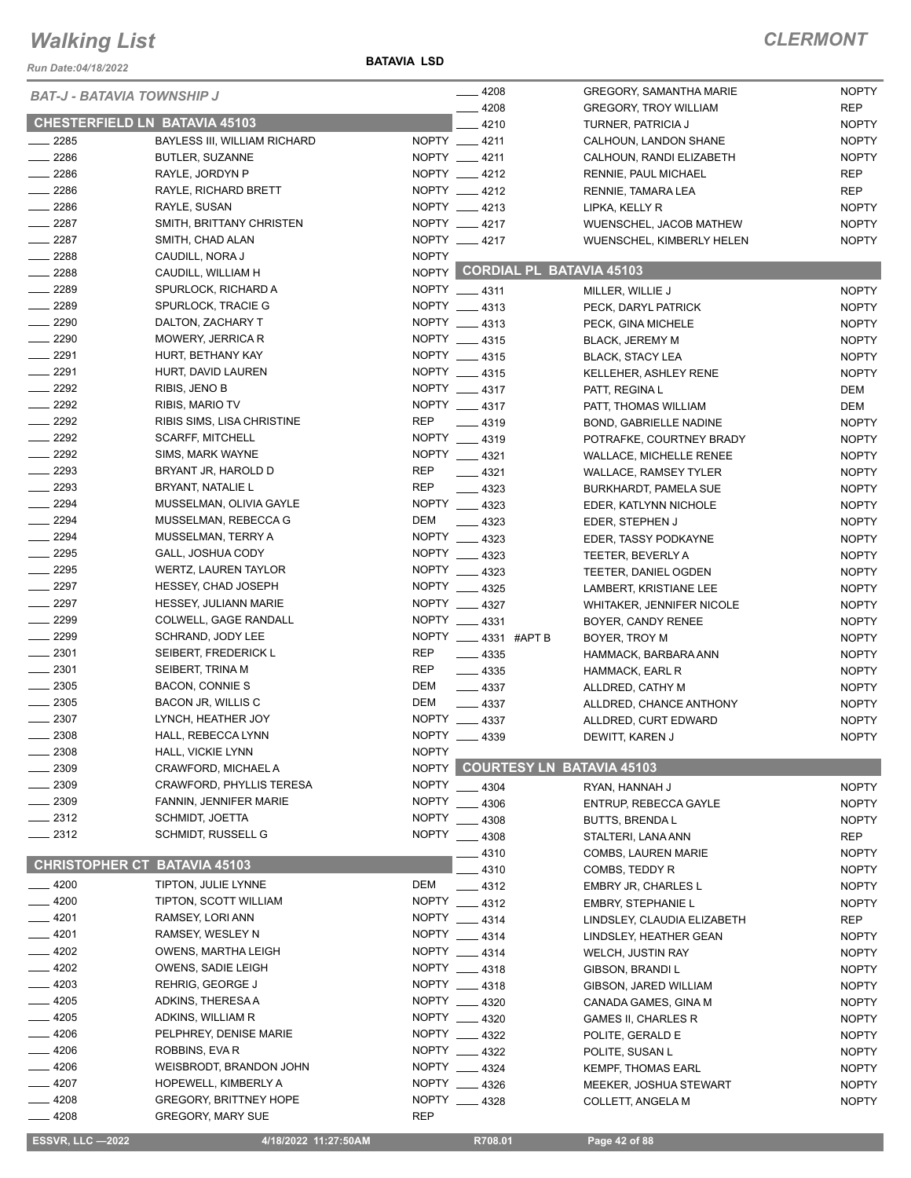*Run Date:04/18/2022*

#### **BATAVIA LSD**

|                                      |                                 |              | $-4208$                          | <b>GREGORY, SAMANTHA MARIE</b>   | <b>NOPTY</b> |
|--------------------------------------|---------------------------------|--------------|----------------------------------|----------------------------------|--------------|
| <b>BAT-J - BATAVIA TOWNSHIP J</b>    |                                 |              | $-4208$                          | <b>GREGORY, TROY WILLIAM</b>     | <b>REP</b>   |
| <b>CHESTERFIELD LN BATAVIA 45103</b> |                                 |              | $-4210$                          | TURNER, PATRICIA J               | <b>NOPTY</b> |
| $-2285$                              | BAYLESS III, WILLIAM RICHARD    |              | NOPTY __ 4211                    | CALHOUN, LANDON SHANE            | <b>NOPTY</b> |
| 2286                                 | BUTLER, SUZANNE                 |              | NOPTY __ 4211                    | CALHOUN, RANDI ELIZABETH         | <b>NOPTY</b> |
| $-2286$                              | RAYLE, JORDYN P                 |              | NOPTY __ 4212                    | RENNIE, PAUL MICHAEL             | <b>REP</b>   |
| $\frac{2286}{5}$                     | RAYLE, RICHARD BRETT            |              | NOPTY __ 4212                    | RENNIE, TAMARA LEA               | <b>REP</b>   |
| $-2286$                              | RAYLE, SUSAN                    |              | NOPTY __ 4213                    | LIPKA, KELLY R                   | <b>NOPTY</b> |
| $-2287$                              | SMITH, BRITTANY CHRISTEN        |              | NOPTY __ 4217                    | WUENSCHEL, JACOB MATHEW          | <b>NOPTY</b> |
| $-2287$                              | SMITH, CHAD ALAN                |              | NOPTY __ 4217                    | WUENSCHEL, KIMBERLY HELEN        | <b>NOPTY</b> |
| $-2288$                              | CAUDILL, NORA J                 | <b>NOPTY</b> |                                  |                                  |              |
| $-2288$                              | CAUDILL, WILLIAM H              |              | NOPTY CORDIAL PL BATAVIA 45103   |                                  |              |
| $-2289$                              | SPURLOCK, RICHARD A             |              | NOPTY __ 4311                    | MILLER, WILLIE J                 | <b>NOPTY</b> |
| $-2289$                              | SPURLOCK, TRACIE G              |              | NOPTY __ 4313                    | PECK, DARYL PATRICK              | <b>NOPTY</b> |
| 2290                                 | DALTON, ZACHARY T               |              | NOPTY __ 4313                    | PECK, GINA MICHELE               | <b>NOPTY</b> |
| $- 2290$                             | MOWERY, JERRICA R               |              | NOPTY __ 4315                    | <b>BLACK, JEREMY M</b>           | <b>NOPTY</b> |
| $-2291$                              | HURT, BETHANY KAY               |              | NOPTY __ 4315                    | <b>BLACK, STACY LEA</b>          | <b>NOPTY</b> |
| $-2291$                              | HURT, DAVID LAUREN              |              | NOPTY 4315                       | KELLEHER, ASHLEY RENE            | <b>NOPTY</b> |
| $-2292$                              | RIBIS, JENO B                   |              | NOPTY __ 4317                    | PATT, REGINA L                   | DEM          |
| $-2292$                              | <b>RIBIS, MARIO TV</b>          |              | NOPTY __ 4317                    | PATT, THOMAS WILLIAM             | DEM          |
| $\frac{1}{2292}$                     | RIBIS SIMS, LISA CHRISTINE      | <b>REP</b>   | $-4319$                          | BOND, GABRIELLE NADINE           | <b>NOPTY</b> |
| $-2292$                              | <b>SCARFF, MITCHELL</b>         |              | NOPTY __ 4319                    | POTRAFKE, COURTNEY BRADY         | <b>NOPTY</b> |
| $\frac{2292}{2}$                     | SIMS, MARK WAYNE                |              | NOPTY __ 4321                    | <b>WALLACE, MICHELLE RENEE</b>   | <b>NOPTY</b> |
| $\frac{1}{2293}$                     | BRYANT JR, HAROLD D             | <b>REP</b>   | $-4321$                          | <b>WALLACE, RAMSEY TYLER</b>     | <b>NOPTY</b> |
| 2293<br>$\overline{\phantom{0}}$     | BRYANT, NATALIE L               | <b>REP</b>   | $\frac{1}{2}$ 4323               | <b>BURKHARDT, PAMELA SUE</b>     | <b>NOPTY</b> |
| $-2294$                              | MUSSELMAN, OLIVIA GAYLE         |              | NOPTY __ 4323                    | EDER, KATLYNN NICHOLE            | <b>NOPTY</b> |
| $-2294$                              | MUSSELMAN, REBECCA G            | DEM          | $\frac{1}{2}$ 4323               | EDER, STEPHEN J                  | <b>NOPTY</b> |
| $\frac{2294}{5}$                     | MUSSELMAN, TERRY A              |              | NOPTY 4323                       | EDER, TASSY PODKAYNE             | <b>NOPTY</b> |
| $-2295$                              | GALL, JOSHUA CODY               |              | NOPTY __ 4323                    | TEETER, BEVERLY A                | <b>NOPTY</b> |
| $-2295$                              | WERTZ, LAUREN TAYLOR            |              | NOPTY __ 4323                    | TEETER, DANIEL OGDEN             | <b>NOPTY</b> |
| $-2297$                              | HESSEY, CHAD JOSEPH             |              | NOPTY __ 4325                    | LAMBERT, KRISTIANE LEE           | <b>NOPTY</b> |
| $-2297$                              | <b>HESSEY, JULIANN MARIE</b>    |              | NOPTY __ 4327                    | <b>WHITAKER, JENNIFER NICOLE</b> | <b>NOPTY</b> |
| $-2299$                              | COLWELL, GAGE RANDALL           |              | NOPTY 4331                       | BOYER, CANDY RENEE               | <b>NOPTY</b> |
| $- 2299$                             | SCHRAND, JODY LEE               |              | NOPTY __ 4331 #APT B             | BOYER, TROY M                    | <b>NOPTY</b> |
| $-2301$                              | SEIBERT, FREDERICK L            | <b>REP</b>   | $-4335$                          | HAMMACK, BARBARA ANN             | <b>NOPTY</b> |
| $-2301$                              | SEIBERT, TRINA M                | <b>REP</b>   | $- 4335$                         | HAMMACK, EARL R                  | <b>NOPTY</b> |
| $\frac{1}{2}$ 2305                   | <b>BACON, CONNIE S</b>          | DEM          | $-4337$                          | ALLDRED, CATHY M                 | <b>NOPTY</b> |
| $\frac{1}{2}$ 2305                   | BACON JR, WILLIS C              | DEM          | $\frac{4337}{2}$                 | ALLDRED, CHANCE ANTHONY          | <b>NOPTY</b> |
| 2307                                 | LYNCH, HEATHER JOY              |              | NOPTY __ 4337                    | ALLDRED, CURT EDWARD             | <b>NOPTY</b> |
| 2308                                 | HALL, REBECCA LYNN              | <b>NOPTY</b> | 4339                             | DEWITT, KAREN J                  | <b>NOPTY</b> |
| 2308                                 | <b>HALL, VICKIE LYNN</b>        | <b>NOPTY</b> |                                  |                                  |              |
| 2309                                 | CRAWFORD, MICHAEL A             | NOPTY        | <b>COURTESY LN BATAVIA 45103</b> |                                  |              |
| 2309                                 | <b>CRAWFORD, PHYLLIS TERESA</b> | <b>NOPTY</b> | .4304                            | RYAN. HANNAH J                   | <b>NOPTY</b> |
| 2309                                 | FANNIN, JENNIFER MARIE          | <b>NOPTY</b> | 4306                             | ENTRUP, REBECCA GAYLE            | <b>NOPTY</b> |
| 2312                                 | <b>SCHMIDT, JOETTA</b>          | <b>NOPTY</b> | 4308                             | <b>BUTTS, BRENDAL</b>            | <b>NOPTY</b> |
| $-2312$                              | <b>SCHMIDT, RUSSELL G</b>       | <b>NOPTY</b> | $-4308$                          | STALTERI, LANA ANN               | REP          |
|                                      |                                 |              | 4310                             | <b>COMBS, LAUREN MARIE</b>       | <b>NOPTY</b> |
| <b>CHRISTOPHER CT BATAVIA 45103</b>  |                                 |              | $-4310$                          | COMBS, TEDDY R                   | <b>NOPTY</b> |
| 4200                                 | TIPTON, JULIE LYNNE             | DEM          | $-4312$                          | EMBRY JR, CHARLES L              | <b>NOPTY</b> |
| $-4200$                              | TIPTON, SCOTT WILLIAM           |              | NOPTY __ 4312                    | <b>EMBRY, STEPHANIE L</b>        | <b>NOPTY</b> |
| $-4201$                              | RAMSEY, LORI ANN                |              | NOPTY __ 4314                    | LINDSLEY, CLAUDIA ELIZABETH      | <b>REP</b>   |
| $-4201$                              | RAMSEY, WESLEY N                |              | NOPTY 4314                       | LINDSLEY, HEATHER GEAN           | <b>NOPTY</b> |
| $-4202$                              | OWENS, MARTHA LEIGH             |              | NOPTY __ 4314                    | <b>WELCH, JUSTIN RAY</b>         | <b>NOPTY</b> |
| 4202                                 | OWENS, SADIE LEIGH              |              | NOPTY __ 4318                    | GIBSON, BRANDI L                 | <b>NOPTY</b> |
| 4203                                 | REHRIG, GEORGE J                |              | NOPTY __ 4318                    | GIBSON, JARED WILLIAM            | <b>NOPTY</b> |
| 4205                                 | ADKINS, THERESA A               |              | NOPTY 4320                       | CANADA GAMES, GINA M             | <b>NOPTY</b> |
| 4205                                 | ADKINS, WILLIAM R               |              | NOPTY __ 4320                    | <b>GAMES II, CHARLES R</b>       | <b>NOPTY</b> |
| 4206                                 | PELPHREY, DENISE MARIE          |              | NOPTY __ 4322                    | POLITE, GERALD E                 | <b>NOPTY</b> |
| 4206                                 | ROBBINS, EVA R                  |              | NOPTY 4322                       | POLITE, SUSAN L                  | <b>NOPTY</b> |
| 4206                                 | WEISBRODT, BRANDON JOHN         |              | NOPTY __ 4324                    | <b>KEMPF, THOMAS EARL</b>        | <b>NOPTY</b> |
| 4207                                 | HOPEWELL, KIMBERLY A            |              | NOPTY 4326                       | MEEKER, JOSHUA STEWART           | <b>NOPTY</b> |
| $-4208$                              | <b>GREGORY, BRITTNEY HOPE</b>   |              | NOPTY 4328                       | COLLETT, ANGELA M                | <b>NOPTY</b> |
| 4208                                 | <b>GREGORY, MARY SUE</b>        | REP          |                                  |                                  |              |
| <b>ESSVR, LLC-2022</b>               | 4/18/2022 11:27:50AM            |              | R708.01                          | Page 42 of 88                    |              |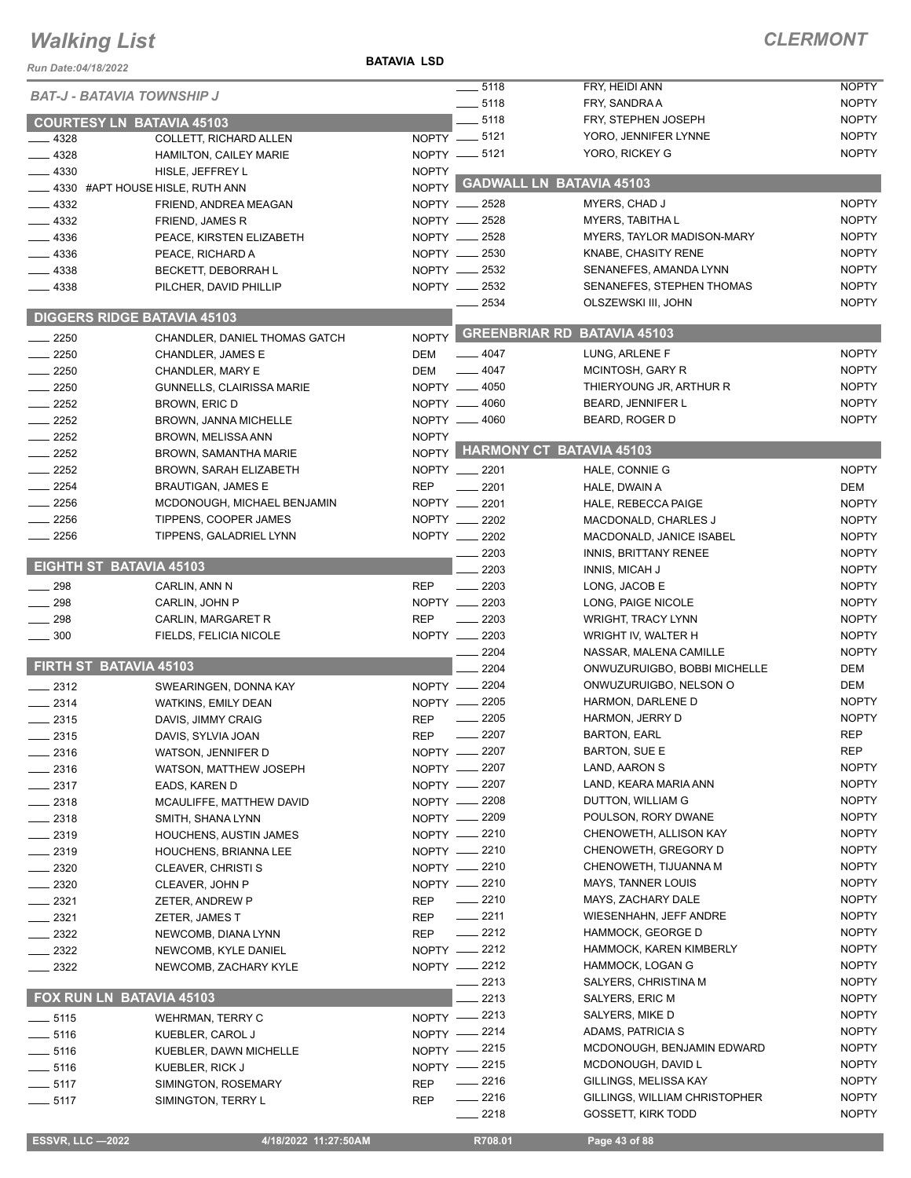#### **BATAVIA LSD**

| Run Date:04/18/2022               |                                              | DAIAVIA LOU  |                                |                                                   |                              |
|-----------------------------------|----------------------------------------------|--------------|--------------------------------|---------------------------------------------------|------------------------------|
| <b>BAT-J - BATAVIA TOWNSHIP J</b> |                                              |              | $-5118$                        | FRY, HEIDI ANN                                    | <b>NOPTY</b>                 |
|                                   |                                              |              | $- 5118$                       | FRY, SANDRA A                                     | <b>NOPTY</b>                 |
|                                   | <b>COURTESY LN BATAVIA 45103</b>             |              | 5118                           | FRY, STEPHEN JOSEPH                               | <b>NOPTY</b>                 |
| $-4328$                           | COLLETT, RICHARD ALLEN                       |              | NOPTY -6121                    | YORO, JENNIFER LYNNE                              | <b>NOPTY</b>                 |
| $-4328$                           | HAMILTON, CAILEY MARIE                       |              | NOPTY -6121                    | YORO, RICKEY G                                    | <b>NOPTY</b>                 |
| $-4330$                           | HISLE, JEFFREY L                             | <b>NOPTY</b> |                                | NOPTY GADWALL LN BATAVIA 45103                    |                              |
|                                   | 4330 #APT HOUSE HISLE, RUTH ANN              |              |                                |                                                   |                              |
| $-4332$                           | FRIEND, ANDREA MEAGAN                        |              | NOPTY __ 2528                  | MYERS, CHAD J                                     | <b>NOPTY</b>                 |
| $-4332$                           | FRIEND, JAMES R                              |              | NOPTY __ 2528                  | <b>MYERS, TABITHA L</b>                           | <b>NOPTY</b><br><b>NOPTY</b> |
| $-4336$<br>$-4336$                | PEACE, KIRSTEN ELIZABETH<br>PEACE, RICHARD A |              | NOPTY __ 2528<br>NOPTY __ 2530 | MYERS, TAYLOR MADISON-MARY<br>KNABE, CHASITY RENE | <b>NOPTY</b>                 |
| $-4338$                           | BECKETT, DEBORRAH L                          |              | NOPTY __ 2532                  | SENANEFES, AMANDA LYNN                            | <b>NOPTY</b>                 |
| $-4338$                           | PILCHER, DAVID PHILLIP                       |              | NOPTY __ 2532                  | SENANEFES, STEPHEN THOMAS                         | <b>NOPTY</b>                 |
|                                   |                                              |              | 2534                           | OLSZEWSKI III, JOHN                               | <b>NOPTY</b>                 |
|                                   | <b>DIGGERS RIDGE BATAVIA 45103</b>           |              |                                |                                                   |                              |
| $-2250$                           | CHANDLER, DANIEL THOMAS GATCH                | <b>NOPTY</b> |                                | <b>GREENBRIAR RD BATAVIA 45103</b>                |                              |
| $-2250$                           | CHANDLER, JAMES E                            | <b>DEM</b>   | $-4047$                        | LUNG, ARLENE F                                    | <b>NOPTY</b>                 |
| 2250                              | CHANDLER, MARY E                             | <b>DEM</b>   | $-4047$                        | MCINTOSH, GARY R                                  | <b>NOPTY</b>                 |
| 2250                              | <b>GUNNELLS, CLAIRISSA MARIE</b>             |              | NOPTY __ 4050                  | THIERYOUNG JR, ARTHUR R                           | <b>NOPTY</b>                 |
| 2252                              | BROWN, ERIC D                                |              | NOPTY __ 4060                  | <b>BEARD, JENNIFER L</b>                          | <b>NOPTY</b>                 |
| 2252                              | BROWN, JANNA MICHELLE                        |              | NOPTY __ 4060                  | BEARD, ROGER D                                    | <b>NOPTY</b>                 |
| $\frac{1}{2252}$                  | BROWN, MELISSA ANN                           | <b>NOPTY</b> |                                |                                                   |                              |
| $-2252$                           | <b>BROWN, SAMANTHA MARIE</b>                 |              |                                | NOPTY HARMONY CT BATAVIA 45103                    |                              |
| $\frac{1}{2252}$                  | BROWN, SARAH ELIZABETH                       |              | NOPTY __ 2201                  | HALE, CONNIE G                                    | <b>NOPTY</b>                 |
| $-2254$                           | <b>BRAUTIGAN, JAMES E</b>                    | <b>REP</b>   | .2201                          | HALE, DWAIN A                                     | DEM                          |
| $-2256$                           | MCDONOUGH, MICHAEL BENJAMIN                  |              | NOPTY __ 2201                  | HALE, REBECCA PAIGE                               | <b>NOPTY</b>                 |
| 2256                              | TIPPENS, COOPER JAMES                        |              | NOPTY __ 2202                  | MACDONALD, CHARLES J                              | <b>NOPTY</b>                 |
| 2256                              | TIPPENS, GALADRIEL LYNN                      |              | NOPTY __ 2202                  | MACDONALD, JANICE ISABEL                          | <b>NOPTY</b>                 |
| EIGHTH ST BATAVIA 45103           |                                              |              | 2203                           | INNIS, BRITTANY RENEE                             | <b>NOPTY</b>                 |
|                                   |                                              |              | 2203                           | INNIS, MICAH J                                    | <b>NOPTY</b>                 |
| 298                               | CARLIN, ANN N                                | <b>REP</b>   | $\frac{1}{2203}$               | LONG, JACOB E                                     | <b>NOPTY</b>                 |
| 298                               | CARLIN, JOHN P                               |              | NOPTY __ 2203                  | LONG, PAIGE NICOLE                                | <b>NOPTY</b>                 |
| 298                               | CARLIN, MARGARET R                           | <b>REP</b>   | $\frac{1}{2203}$               | <b>WRIGHT, TRACY LYNN</b>                         | <b>NOPTY</b>                 |
| $\frac{1}{2}$ 300                 | FIELDS, FELICIA NICOLE                       |              | NOPTY __ 2203                  | WRIGHT IV, WALTER H                               | <b>NOPTY</b>                 |
|                                   | FIRTH ST BATAVIA 45103                       |              | 2204                           | NASSAR, MALENA CAMILLE                            | <b>NOPTY</b>                 |
|                                   |                                              |              | 2204                           | ONWUZURUIGBO, BOBBI MICHELLE                      | DEM                          |
| $\frac{2312}{2}$                  | SWEARINGEN, DONNA KAY                        |              | NOPTY -2204                    | ONWUZURUIGBO, NELSON O                            | DEM<br><b>NOPTY</b>          |
| $-2314$                           | WATKINS, EMILY DEAN                          |              | NOPTY -2205<br>$-2205$         | HARMON, DARLENE D<br>HARMON, JERRY D              | <b>NOPTY</b>                 |
| $-2315$                           | DAVIS, JIMMY CRAIG                           | <b>REP</b>   | $-2207$                        | <b>BARTON, EARL</b>                               | <b>REP</b>                   |
| _ 2315                            | DAVIS, SYLVIA JOAN                           | <b>REP</b>   | NOPTY -2207                    | <b>BARTON, SUE E</b>                              | <b>REP</b>                   |
| __ 2316<br>$\frac{1}{2}$ 2316     | WATSON, JENNIFER D<br>WATSON, MATTHEW JOSEPH |              | NOPTY -2207                    | LAND, AARON S                                     | <b>NOPTY</b>                 |
| $-2317$                           | EADS, KAREN D                                |              | NOPTY -2207                    | LAND, KEARA MARIA ANN                             | <b>NOPTY</b>                 |
| $-2318$                           | MCAULIFFE, MATTHEW DAVID                     |              | NOPTY -2208                    | DUTTON, WILLIAM G                                 | <b>NOPTY</b>                 |
| $-2318$                           | SMITH, SHANA LYNN                            |              | NOPTY -2209                    | POULSON, RORY DWANE                               | <b>NOPTY</b>                 |
| _ 2319                            | <b>HOUCHENS, AUSTIN JAMES</b>                |              | NOPTY -2210                    | CHENOWETH, ALLISON KAY                            | <b>NOPTY</b>                 |
| __ 2319                           | HOUCHENS, BRIANNA LEE                        |              | NOPTY -2210                    | CHENOWETH, GREGORY D                              | <b>NOPTY</b>                 |
| $-2320$                           | CLEAVER, CHRISTI S                           |              | NOPTY -2210                    | CHENOWETH, TIJUANNA M                             | <b>NOPTY</b>                 |
| $-2320$                           | CLEAVER, JOHN P                              |              | NOPTY -2210                    | MAYS, TANNER LOUIS                                | <b>NOPTY</b>                 |
| $-2321$                           | ZETER, ANDREW P                              | <b>REP</b>   | $-2210$                        | MAYS, ZACHARY DALE                                | <b>NOPTY</b>                 |
| $-2321$                           | ZETER, JAMES T                               | REP          | $-2211$                        | <b>WIESENHAHN, JEFF ANDRE</b>                     | <b>NOPTY</b>                 |
| $-2322$                           | NEWCOMB, DIANA LYNN                          | <b>REP</b>   | $-2212$                        | <b>HAMMOCK, GEORGE D</b>                          | <b>NOPTY</b>                 |
| $-2322$                           | NEWCOMB, KYLE DANIEL                         |              | NOPTY -2212                    | HAMMOCK, KAREN KIMBERLY                           | <b>NOPTY</b>                 |
| $-2322$                           | NEWCOMB, ZACHARY KYLE                        |              | NOPTY -2212                    | HAMMOCK, LOGAN G                                  | <b>NOPTY</b>                 |
|                                   |                                              |              | 2213                           | SALYERS, CHRISTINA M                              | <b>NOPTY</b>                 |
|                                   | FOX RUN LN BATAVIA 45103                     |              | 2213                           | SALYERS, ERIC M                                   | <b>NOPTY</b>                 |
| $-5115$                           | WEHRMAN, TERRY C                             |              | NOPTY -2213                    | SALYERS, MIKE D                                   | <b>NOPTY</b>                 |
| $\frac{1}{2}$ 5116                | KUEBLER, CAROL J                             |              | NOPTY -2214                    | ADAMS, PATRICIA S                                 | <b>NOPTY</b>                 |
| $- 5116$                          | KUEBLER, DAWN MICHELLE                       |              | NOPTY -2215                    | MCDONOUGH, BENJAMIN EDWARD                        | <b>NOPTY</b>                 |
| $\frac{1}{2}$ 5116                | KUEBLER, RICK J                              |              | NOPTY -2215                    | MCDONOUGH, DAVID L                                | <b>NOPTY</b>                 |
| $- 5117$                          | SIMINGTON, ROSEMARY                          | <b>REP</b>   | $-2216$                        | GILLINGS, MELISSA KAY                             | <b>NOPTY</b>                 |
| $\frac{1}{2}$ 5117                | SIMINGTON, TERRY L                           | <b>REP</b>   | $-2216$                        | GILLINGS, WILLIAM CHRISTOPHER                     | <b>NOPTY</b>                 |
|                                   |                                              |              | $-2218$                        | <b>GOSSETT, KIRK TODD</b>                         | <b>NOPTY</b>                 |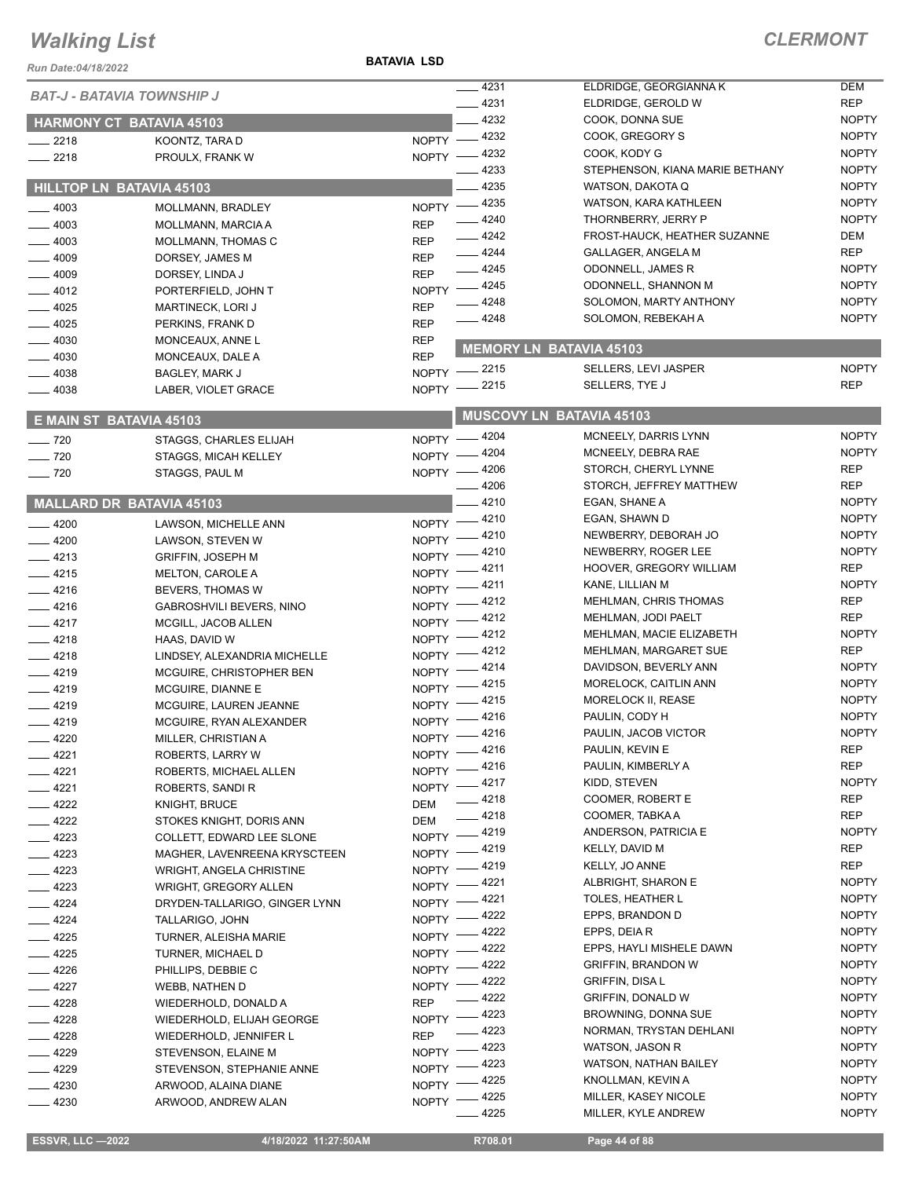*Run Date:04/18/2022*

**BATAVIA LSD**

|                   | <b>BAT-J - BATAVIA TOWNSHIP J</b> |              | $-4231$                    | ELDRIDGE, GEORGIANNA K          | <b>DEM</b>   |
|-------------------|-----------------------------------|--------------|----------------------------|---------------------------------|--------------|
|                   |                                   |              | $- 4231$                   | ELDRIDGE, GEROLD W              | <b>REP</b>   |
|                   | <b>HARMONY CT BATAVIA 45103</b>   |              | $-4232$                    | COOK, DONNA SUE                 | <b>NOPTY</b> |
| $-2218$           | KOONTZ, TARA D                    |              | NOPTY -4232                | COOK, GREGORY S                 | <b>NOPTY</b> |
| $-2218$           | PROULX, FRANK W                   |              | NOPTY -4232                | COOK, KODY G                    | <b>NOPTY</b> |
|                   |                                   |              | 4233                       | STEPHENSON, KIANA MARIE BETHANY | <b>NOPTY</b> |
|                   | <b>HILLTOP LN BATAVIA 45103</b>   |              | - 4235                     | WATSON, DAKOTA Q                | <b>NOPTY</b> |
| $-4003$           | MOLLMANN, BRADLEY                 |              | NOPTY -4235                | <b>WATSON, KARA KATHLEEN</b>    | <b>NOPTY</b> |
| $-4003$           | MOLLMANN, MARCIA A                | <b>REP</b>   | $-4240$                    | THORNBERRY, JERRY P             | <b>NOPTY</b> |
| $-4003$           | MOLLMANN, THOMAS C                | <b>REP</b>   | $-4242$                    | FROST-HAUCK, HEATHER SUZANNE    | DEM          |
| $-4009$           | DORSEY, JAMES M                   | <b>REP</b>   | $-4244$                    | GALLAGER, ANGELA M              | <b>REP</b>   |
| $-4009$           | DORSEY, LINDA J                   | <b>REP</b>   | $-4245$                    | ODONNELL, JAMES R               | <b>NOPTY</b> |
| $-4012$           | PORTERFIELD, JOHN T               |              | NOPTY -4245                | ODONNELL, SHANNON M             | <b>NOPTY</b> |
| $-4025$           | <b>MARTINECK, LORI J</b>          | <b>REP</b>   | $-4248$                    | SOLOMON, MARTY ANTHONY          | <b>NOPTY</b> |
| $-4025$           | PERKINS, FRANK D                  | <b>REP</b>   | $-4248$                    | SOLOMON, REBEKAH A              | <b>NOPTY</b> |
| $-4030$           | MONCEAUX, ANNE L                  | <b>REP</b>   |                            |                                 |              |
| $-4030$           | MONCEAUX, DALE A                  | <b>REP</b>   |                            | <b>MEMORY LN BATAVIA 45103</b>  |              |
| $-4038$           | <b>BAGLEY, MARK J</b>             |              | NOPTY -2215                | SELLERS, LEVI JASPER            | <b>NOPTY</b> |
| $-4038$           | LABER, VIOLET GRACE               |              | NOPTY -2215                | SELLERS, TYE J                  | <b>REP</b>   |
|                   |                                   |              |                            | <b>MUSCOVY LN BATAVIA 45103</b> |              |
|                   | E MAIN ST BATAVIA 45103           |              |                            | MCNEELY, DARRIS LYNN            | <b>NOPTY</b> |
| $\frac{1}{2}$ 720 | STAGGS, CHARLES ELIJAH            |              | NOPTY -4204                | MCNEELY, DEBRA RAE              | <b>NOPTY</b> |
| $- 720$           | <b>STAGGS, MICAH KELLEY</b>       |              | NOPTY - 4204               | STORCH, CHERYL LYNNE            | <b>REP</b>   |
| $\frac{1}{2}$ 720 | STAGGS, PAUL M                    |              | NOPTY -4206<br>$-4206$     | STORCH, JEFFREY MATTHEW         | <b>REP</b>   |
|                   |                                   |              | 4210                       | EGAN, SHANE A                   | <b>NOPTY</b> |
|                   | <b>MALLARD DR BATAVIA 45103</b>   |              |                            | EGAN, SHAWN D                   | <b>NOPTY</b> |
| $-4200$           | LAWSON, MICHELLE ANN              |              | NOPTY -4210                | NEWBERRY, DEBORAH JO            | <b>NOPTY</b> |
| $-4200$           | LAWSON, STEVEN W                  |              | NOPTY -4210                | NEWBERRY, ROGER LEE             | <b>NOPTY</b> |
| $-4213$           | <b>GRIFFIN, JOSEPH M</b>          |              | NOPTY -4210<br>NOPTY -4211 | HOOVER, GREGORY WILLIAM         | <b>REP</b>   |
| $-4215$           | MELTON, CAROLE A                  |              | NOPTY -4211                | KANE, LILLIAN M                 | <b>NOPTY</b> |
| $-4216$           | BEVERS, THOMAS W                  |              | NOPTY -4212                | MEHLMAN, CHRIS THOMAS           | <b>REP</b>   |
| $-4216$           | <b>GABROSHVILI BEVERS, NINO</b>   |              | NOPTY -4212                | MEHLMAN, JODI PAELT             | <b>REP</b>   |
| $-4217$           | MCGILL, JACOB ALLEN               |              | NOPTY -4212                | MEHLMAN, MACIE ELIZABETH        | <b>NOPTY</b> |
| $-4218$           | HAAS, DAVID W                     |              | NOPTY -4212                | MEHLMAN, MARGARET SUE           | <b>REP</b>   |
| $-4218$           | LINDSEY, ALEXANDRIA MICHELLE      |              | $-4214$                    | DAVIDSON, BEVERLY ANN           | <b>NOPTY</b> |
| $-4219$           | MCGUIRE, CHRISTOPHER BEN          | $N$ OPTY $-$ | NOPTY -4215                | MORELOCK, CAITLIN ANN           | <b>NOPTY</b> |
| $-4219$           | MCGUIRE, DIANNE E                 |              | NOPTY -4215                | MORELOCK II, REASE              | <b>NOPTY</b> |
| $-4219$           | MCGUIRE, LAUREN JEANNE            |              | NOPTY -4216                | PAULIN, CODY H                  | <b>NOPTY</b> |
| $-4219$           | MCGUIRE, RYAN ALEXANDER           |              |                            | PAULIN, JACOB VICTOR            | <b>NOPTY</b> |
| $-4220$           | MILLER, CHRISTIAN A               |              | NOPTY -4216<br>NOPTY -4216 | PAULIN, KEVIN E                 | <b>REP</b>   |
| $-4221$           | ROBERTS, LARRY W                  |              | _ 4216                     | PAULIN, KIMBERLY A              | <b>REP</b>   |
| $-4221$           | ROBERTS, MICHAEL ALLEN            | $N$ OPTY -   | NOPTY -4217                | KIDD, STEVEN                    | <b>NOPTY</b> |
| $-4221$           | ROBERTS, SANDI R                  |              | $-4218$                    | COOMER, ROBERT E                | <b>REP</b>   |
| $-4222$           | <b>KNIGHT, BRUCE</b>              | DEM          | $-4218$                    | COOMER, TABKA A                 | <b>REP</b>   |
| $-4222$           | STOKES KNIGHT, DORIS ANN          | DEM          | _ 4219                     | ANDERSON, PATRICIA E            | <b>NOPTY</b> |
| $-4223$           | COLLETT, EDWARD LEE SLONE         | $NOPTY =$    | NOPTY -4219                | KELLY, DAVID M                  | <b>REP</b>   |
| $-4223$           | MAGHER, LAVENREENA KRYSCTEEN      |              | NOPTY -4219                | KELLY, JO ANNE                  | <b>REP</b>   |
| $-4223$           | WRIGHT, ANGELA CHRISTINE          |              | _ 4221                     | ALBRIGHT, SHARON E              | <b>NOPTY</b> |
| $-4223$           | <b>WRIGHT, GREGORY ALLEN</b>      | $NOPTY$ -    | $-4221$                    | <b>TOLES, HEATHER L</b>         | <b>NOPTY</b> |
| $-4224$           | DRYDEN-TALLARIGO, GINGER LYNN     | $NOPTY =$    | $-4222$                    | EPPS, BRANDON D                 | <b>NOPTY</b> |
| $-4224$           | TALLARIGO, JOHN                   | $NOPTY$ -    | NOPTY -4222                | EPPS, DEIA R                    | <b>NOPTY</b> |
| $-4225$           | TURNER, ALEISHA MARIE             |              | NOPTY -4222                | EPPS, HAYLI MISHELE DAWN        | <b>NOPTY</b> |
| $-4225$           | TURNER, MICHAEL D                 |              |                            | <b>GRIFFIN, BRANDON W</b>       | <b>NOPTY</b> |
| $-4226$           | PHILLIPS, DEBBIE C                |              | NOPTY -4222                | <b>GRIFFIN, DISAL</b>           | <b>NOPTY</b> |
| _ 4227            | <b>WEBB, NATHEN D</b>             |              | NOPTY -4222<br>_ 4222      | <b>GRIFFIN, DONALD W</b>        | <b>NOPTY</b> |
| $-4228$           | WIEDERHOLD, DONALD A              | <b>REP</b>   | NOPTY -4223                | BROWNING, DONNA SUE             | <b>NOPTY</b> |
| $-4228$           | WIEDERHOLD, ELIJAH GEORGE         |              | - 4223                     | NORMAN, TRYSTAN DEHLANI         | <b>NOPTY</b> |
| $-4228$           | WIEDERHOLD, JENNIFER L            | <b>REP</b>   | _ 4223                     | WATSON, JASON R                 | <b>NOPTY</b> |
| $-4229$           | STEVENSON, ELAINE M               | $NOPTY =$    |                            | <b>WATSON, NATHAN BAILEY</b>    | <b>NOPTY</b> |
| $-4229$           | STEVENSON, STEPHANIE ANNE         |              | NOPTY -4223<br>4225        | KNOLLMAN, KEVIN A               | <b>NOPTY</b> |
| $-4230$           | ARWOOD, ALAINA DIANE              | NOPTY -      | _ 4225                     | MILLER, KASEY NICOLE            | <b>NOPTY</b> |
| $-4230$           | ARWOOD, ANDREW ALAN               | NOPTY -      | 4225                       | MILLER, KYLE ANDREW             | <b>NOPTY</b> |
|                   |                                   |              |                            |                                 |              |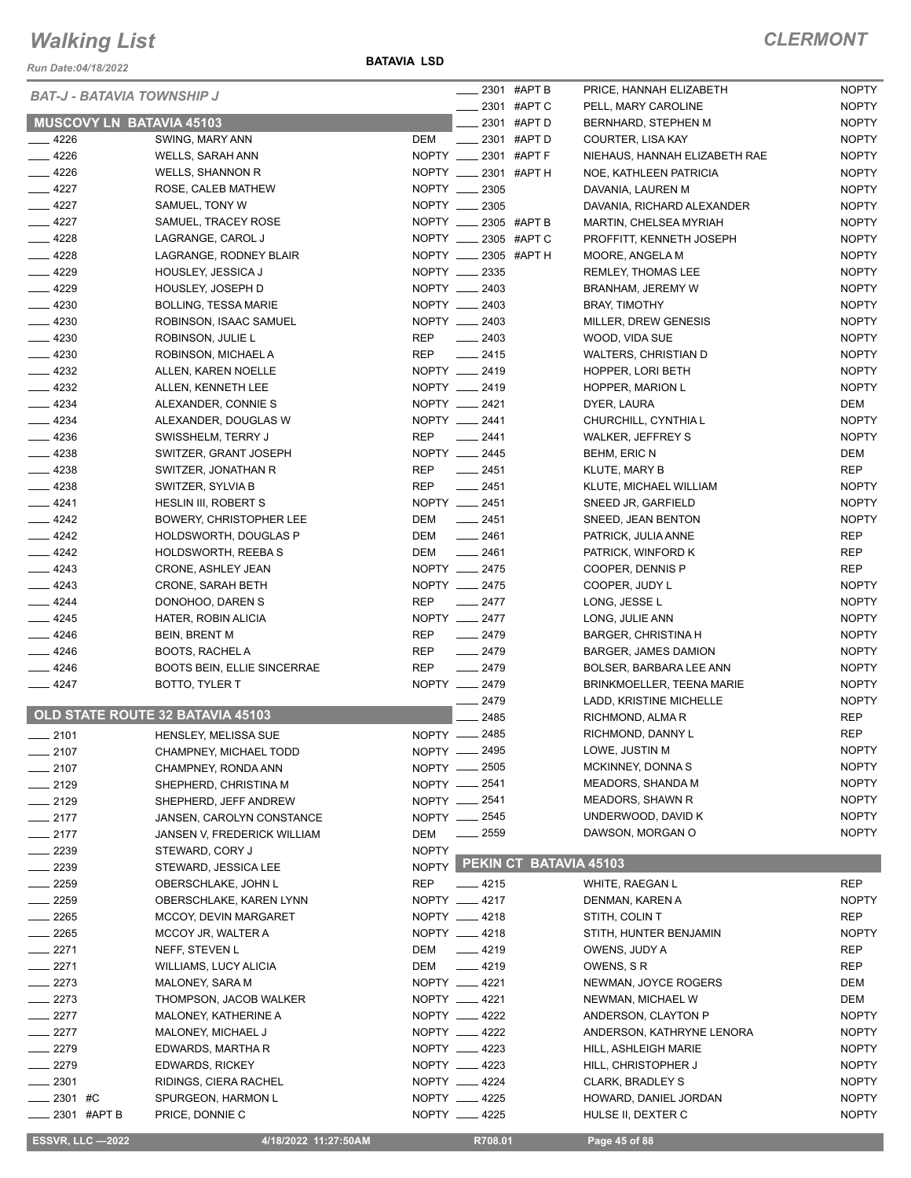*Run Date:04/18/2022*

#### *BAT-J - BATAVIA TOWNSHIP J*

#### **BATAVIA LSD**

|  | <b>CLERMONT</b> |  |  |  |  |  |
|--|-----------------|--|--|--|--|--|
|--|-----------------|--|--|--|--|--|

|                    | <b>BAT-J - BATAVIA TOWNSHIP J</b>  | ____ 2301 #APT B                 | PRICE, HANNAH ELIZABETH       | <b>NOPTY</b> |
|--------------------|------------------------------------|----------------------------------|-------------------------------|--------------|
|                    |                                    | 2301 #APT C                      | PELL, MARY CAROLINE           | <b>NOPTY</b> |
|                    | <b>MUSCOVY LN BATAVIA 45103</b>    | 2301 #APT D                      | BERNHARD, STEPHEN M           | <b>NOPTY</b> |
| $-4226$            | SWING, MARY ANN                    | DEM<br>$\frac{1}{2}$ 2301 #APT D | COURTER, LISA KAY             | <b>NOPTY</b> |
| $-4226$            | WELLS, SARAH ANN                   | NOPTY _____ 2301 #APT F          | NIEHAUS, HANNAH ELIZABETH RAE | <b>NOPTY</b> |
| $-4226$            | WELLS, SHANNON R                   | NOPTY __ 2301 #APT H             | NOE, KATHLEEN PATRICIA        | <b>NOPTY</b> |
| $-4227$            | ROSE, CALEB MATHEW                 | NOPTY __ 2305                    | DAVANIA, LAUREN M             | <b>NOPTY</b> |
| $-4227$            | SAMUEL, TONY W                     | NOPTY __ 2305                    | DAVANIA, RICHARD ALEXANDER    | <b>NOPTY</b> |
| $-4227$            | SAMUEL, TRACEY ROSE                | NOPTY __ 2305 #APT B             | MARTIN, CHELSEA MYRIAH        | <b>NOPTY</b> |
| $-4228$            | LAGRANGE, CAROL J                  | NOPTY __ 2305 #APT C             | PROFFITT, KENNETH JOSEPH      | <b>NOPTY</b> |
| $-4228$            | LAGRANGE, RODNEY BLAIR             | NOPTY __ 2305 #APT H             | MOORE, ANGELA M               | <b>NOPTY</b> |
| $-4229$            | HOUSLEY, JESSICA J                 | NOPTY __ 2335                    | REMLEY, THOMAS LEE            | <b>NOPTY</b> |
| $-4229$            | HOUSLEY, JOSEPH D                  | NOPTY __ 2403                    | BRANHAM, JEREMY W             | <b>NOPTY</b> |
| $-4230$            | <b>BOLLING, TESSA MARIE</b>        | NOPTY __ 2403                    | <b>BRAY, TIMOTHY</b>          | <b>NOPTY</b> |
| $-4230$            | ROBINSON, ISAAC SAMUEL             | NOPTY __ 2403                    | MILLER, DREW GENESIS          | <b>NOPTY</b> |
| $-4230$            | ROBINSON, JULIE L                  | $\frac{1}{2403}$<br>REP          | WOOD, VIDA SUE                | <b>NOPTY</b> |
| $-4230$            | ROBINSON, MICHAEL A                | REP<br>$-2415$                   | WALTERS, CHRISTIAN D          | <b>NOPTY</b> |
| $\frac{1}{2}$ 4232 | ALLEN, KAREN NOELLE                | NOPTY __ 2419                    | HOPPER, LORI BETH             | <b>NOPTY</b> |
| $\frac{4232}{ }$   | ALLEN, KENNETH LEE                 | NOPTY __ 2419                    | HOPPER, MARION L              | <b>NOPTY</b> |
| $-4234$            |                                    | NOPTY __ 2421                    |                               | DEM          |
|                    | ALEXANDER, CONNIE S                | NOPTY __ 2441                    | DYER, LAURA                   |              |
| $\frac{4234}{ }$   | ALEXANDER, DOUGLAS W               |                                  | CHURCHILL, CYNTHIA L          | <b>NOPTY</b> |
| $\frac{4236}{5}$   | SWISSHELM, TERRY J                 | REP<br>$\frac{1}{2441}$          | WALKER, JEFFREY S             | <b>NOPTY</b> |
| $-4238$            | SWITZER, GRANT JOSEPH              | NOPTY __ 2445                    | BEHM, ERIC N                  | DEM          |
| $-4238$            | SWITZER, JONATHAN R                | REP<br>$-2451$                   | <b>KLUTE, MARY B</b>          | <b>REP</b>   |
| $-4238$            | SWITZER, SYLVIA B                  | REP __ 2451                      | KLUTE, MICHAEL WILLIAM        | <b>NOPTY</b> |
| $-4241$            | HESLIN III, ROBERT S               | NOPTY __ 2451                    | SNEED JR, GARFIELD            | <b>NOPTY</b> |
| $-4242$            | BOWERY, CHRISTOPHER LEE            | DEM<br>$\frac{1}{2451}$          | SNEED, JEAN BENTON            | <b>NOPTY</b> |
| $-4242$            | HOLDSWORTH, DOUGLAS P              | DEM<br>$-2461$                   | PATRICK, JULIA ANNE           | REP          |
| $\frac{4242}{ }$   | <b>HOLDSWORTH, REEBAS</b>          | $-2461$<br>DEM                   | PATRICK, WINFORD K            | REP          |
| $-4243$            | CRONE, ASHLEY JEAN                 | NOPTY __ 2475                    | COOPER, DENNIS P              | <b>REP</b>   |
| $-4243$            | CRONE, SARAH BETH                  | NOPTY __ 2475                    | COOPER, JUDY L                | <b>NOPTY</b> |
| $-4244$            | DONOHOO, DAREN S                   | REP<br>$\frac{1}{2477}$          | LONG, JESSE L                 | <b>NOPTY</b> |
| $-4245$            | HATER, ROBIN ALICIA                | NOPTY __ 2477                    | LONG, JULIE ANN               | <b>NOPTY</b> |
| $-4246$            | <b>BEIN, BRENT M</b>               | REP<br>$-2479$                   | <b>BARGER, CHRISTINA H</b>    | <b>NOPTY</b> |
| $-4246$            | BOOTS, RACHEL A                    | $-2479$<br>REP                   | BARGER, JAMES DAMION          | <b>NOPTY</b> |
| $-4246$            | <b>BOOTS BEIN, ELLIE SINCERRAE</b> | REP<br>$-2479$                   | BOLSER, BARBARA LEE ANN       | <b>NOPTY</b> |
| $-4247$            | BOTTO, TYLER T                     | NOPTY __ 2479                    | BRINKMOELLER, TEENA MARIE     | <b>NOPTY</b> |
|                    |                                    | $-2479$                          | LADD, KRISTINE MICHELLE       | <b>NOPTY</b> |
|                    | OLD STATE ROUTE 32 BATAVIA 45103   | 2485                             | RICHMOND, ALMA R              | REP          |
| $-2101$            | HENSLEY, MELISSA SUE               | NOPTY __ 2485                    | RICHMOND, DANNY L             | REP          |
| $- 2107$           | CHAMPNEY, MICHAEL TODD             | NOPTY - 2495                     | LOWE, JUSTIN M                | <b>NOPTY</b> |
| $-2107$            | CHAMPNEY, RONDA ANN                | NOPTY __ 2505                    | MCKINNEY, DONNA S             | <b>NOPTY</b> |
| $-2129$            | SHEPHERD, CHRISTINA M              | NOPTY - 2541                     | MEADORS, SHANDA M             | <b>NOPTY</b> |
| $-2129$            | SHEPHERD, JEFF ANDREW              | NOPTY - 2541                     | <b>MEADORS, SHAWN R</b>       | <b>NOPTY</b> |
| $-2177$            | JANSEN, CAROLYN CONSTANCE          | NOPTY __ 2545                    | UNDERWOOD, DAVID K            | <b>NOPTY</b> |
|                    |                                    |                                  |                               |              |
| $-2177$            | JANSEN V, FREDERICK WILLIAM        | $\frac{1}{2559}$<br>DEM          | DAWSON, MORGAN O              | <b>NOPTY</b> |
| 2239               | STEWARD, CORY J                    | <b>NOPTY</b>                     | PEKIN CT BATAVIA 45103        |              |
| $-2239$            | STEWARD, JESSICA LEE               | NOPTY                            |                               |              |
| - 2259             | OBERSCHLAKE, JOHN L                | <b>REP</b><br>$-4215$            | WHITE, RAEGAN L               | <b>REP</b>   |
| $-2259$            | OBERSCHLAKE, KAREN LYNN            | NOPTY __ 4217                    | DENMAN, KAREN A               | <b>NOPTY</b> |
| $-2265$            | MCCOY, DEVIN MARGARET              | NOPTY __ 4218                    | STITH, COLIN T                | REP          |
| __ 2265            | MCCOY JR, WALTER A                 | NOPTY __ 4218                    | STITH, HUNTER BENJAMIN        | <b>NOPTY</b> |
| $-2271$            | NEFF, STEVEN L                     | $-4219$<br>DEM                   | OWENS, JUDY A                 | REP          |
| $-2271$            | <b>WILLIAMS, LUCY ALICIA</b>       | DEM<br>$\frac{1}{2}$ 4219        | OWENS, S R                    | REP          |
| $-2273$            | MALONEY, SARA M                    | NOPTY __ 4221                    | NEWMAN, JOYCE ROGERS          | DEM          |
| $-2273$            | THOMPSON, JACOB WALKER             | NOPTY __ 4221                    | NEWMAN, MICHAEL W             | DEM          |
| $-2277$            | MALONEY, KATHERINE A               | NOPTY __ 4222                    | ANDERSON, CLAYTON P           | <b>NOPTY</b> |
| $-2277$            | MALONEY, MICHAEL J                 | NOPTY __ 4222                    | ANDERSON, KATHRYNE LENORA     | <b>NOPTY</b> |
| $-2279$            | EDWARDS, MARTHA R                  | NOPTY __ 4223                    | HILL, ASHLEIGH MARIE          | <b>NOPTY</b> |
| $-2279$            | <b>EDWARDS, RICKEY</b>             | NOPTY __ 4223                    | HILL, CHRISTOPHER J           | <b>NOPTY</b> |
| $-2301$            | RIDINGS, CIERA RACHEL              | NOPTY __ 4224                    | <b>CLARK, BRADLEY S</b>       | <b>NOPTY</b> |
| 2301 #C            | SPURGEON, HARMON L                 | NOPTY __ 4225                    | HOWARD, DANIEL JORDAN         | <b>NOPTY</b> |
| $= 2301$ #APT B    | PRICE, DONNIE C                    | NOPTY __ 4225                    | HULSE II, DEXTER C            | <b>NOPTY</b> |
|                    |                                    |                                  |                               |              |

 **ESSVR, LLC —2022 4/18/2022 11:27:50AM R708.01 Page 45 of 88**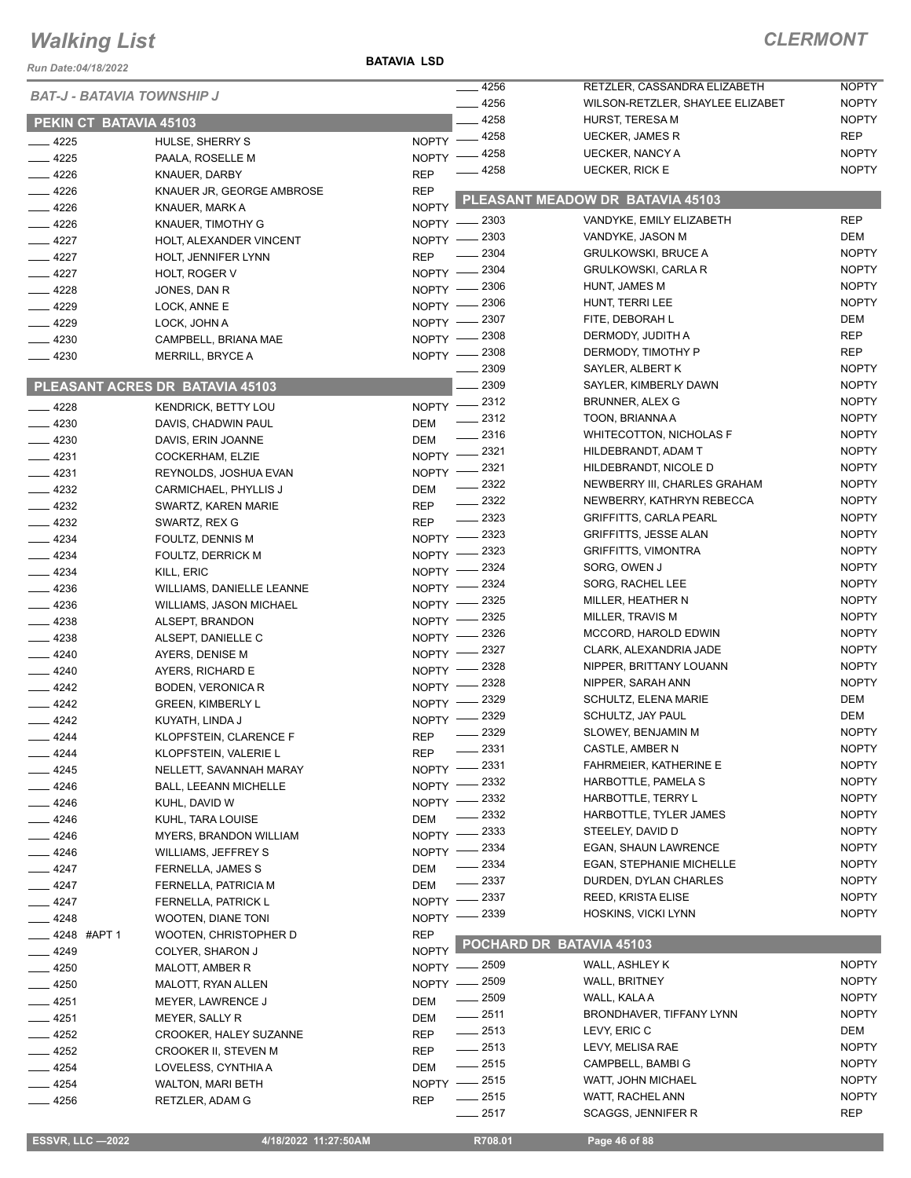#### *Run Date:04/18/2022*

**BATAVIA LSD**

|                  |                        |                                   |              | 4256               | RETZLER, CASSANDRA ELIZABETH                             | <b>NOPTY</b>                 |
|------------------|------------------------|-----------------------------------|--------------|--------------------|----------------------------------------------------------|------------------------------|
|                  |                        | <b>BAT-J - BATAVIA TOWNSHIP J</b> |              | 4256               | WILSON-RETZLER, SHAYLEE ELIZABET                         | <b>NOPTY</b>                 |
|                  |                        |                                   |              | 4258               | HURST, TERESA M                                          | <b>NOPTY</b>                 |
|                  | PEKIN CT BATAVIA 45103 |                                   |              | 4258               | <b>UECKER, JAMES R</b>                                   | <b>REP</b>                   |
| $-4225$          |                        | HULSE, SHERRY S                   | <b>NOPTY</b> | 4258               | <b>UECKER, NANCY A</b>                                   | <b>NOPTY</b>                 |
| $-4225$          |                        | PAALA, ROSELLE M                  | <b>NOPTY</b> | 4258               | <b>UECKER, RICK E</b>                                    | <b>NOPTY</b>                 |
| 4226             |                        | KNAUER, DARBY                     | <b>REP</b>   |                    |                                                          |                              |
| $-4226$          |                        | KNAUER JR, GEORGE AMBROSE         | <b>REP</b>   |                    | PLEASANT MEADOW DR BATAVIA 45103                         |                              |
| 4226             |                        | KNAUER, MARK A                    | <b>NOPTY</b> |                    |                                                          | <b>REP</b>                   |
| 4226             |                        | KNAUER, TIMOTHY G                 | $NOPTY -$    | - 2303             | VANDYKE, EMILY ELIZABETH                                 | <b>DEM</b>                   |
| $-4227$          |                        | HOLT, ALEXANDER VINCENT           | NOPTY -      | 2303               | VANDYKE, JASON M                                         | <b>NOPTY</b>                 |
| $-4227$          |                        | HOLT, JENNIFER LYNN               | <b>REP</b>   | 2304               | <b>GRULKOWSKI, BRUCE A</b><br><b>GRULKOWSKI, CARLA R</b> |                              |
| $-4227$          |                        | HOLT, ROGER V                     | $NOPTY -$    | - 2304             |                                                          | <b>NOPTY</b>                 |
| $-4228$          |                        | JONES, DAN R                      | $NOPTY -$    | _ 2306             | HUNT, JAMES M                                            | <b>NOPTY</b><br><b>NOPTY</b> |
| $-4229$          |                        | LOCK, ANNE E                      | $NOPTY -$    | _ 2306             | HUNT, TERRI LEE                                          |                              |
| $-4229$          |                        | LOCK, JOHN A                      | $NOPTY =$    | 2307               | FITE, DEBORAH L                                          | <b>DEM</b>                   |
| 4230             |                        | CAMPBELL, BRIANA MAE              | $N$ OPTY $-$ | _ 2308             | DERMODY, JUDITH A                                        | <b>REP</b>                   |
| $-4230$          |                        | <b>MERRILL, BRYCE A</b>           |              | NOPTY -2308        | DERMODY, TIMOTHY P                                       | <b>REP</b>                   |
|                  |                        |                                   |              | 2309<br>2309       | SAYLER, ALBERT K                                         | <b>NOPTY</b>                 |
|                  |                        | PLEASANT ACRES DR BATAVIA 45103   |              |                    | SAYLER, KIMBERLY DAWN                                    | <b>NOPTY</b>                 |
| $-4228$          |                        | <b>KENDRICK, BETTY LOU</b>        |              | NOPTY -2312        | <b>BRUNNER, ALEX G</b>                                   | <b>NOPTY</b>                 |
| $-4230$          |                        | DAVIS, CHADWIN PAUL               | DEM          | $\frac{2312}{2}$   | TOON, BRIANNA A                                          | <b>NOPTY</b>                 |
| $-4230$          |                        | DAVIS, ERIN JOANNE                | <b>DEM</b>   | $\frac{2316}{2}$   | <b>WHITECOTTON, NICHOLAS F</b>                           | <b>NOPTY</b>                 |
| $-4231$          |                        | COCKERHAM, ELZIE                  | $N$ OPTY $-$ | $-2321$            | HILDEBRANDT, ADAM T                                      | <b>NOPTY</b>                 |
| $-4231$          |                        | REYNOLDS, JOSHUA EVAN             | $N$ OPTY $-$ | 2321               | HILDEBRANDT, NICOLE D                                    | <b>NOPTY</b>                 |
| $-4232$          |                        | CARMICHAEL, PHYLLIS J             | <b>DEM</b>   | 2322               | NEWBERRY III, CHARLES GRAHAM                             | <b>NOPTY</b>                 |
| $\frac{4232}{ }$ |                        | SWARTZ, KAREN MARIE               | <b>REP</b>   | 2322               | NEWBERRY, KATHRYN REBECCA                                | <b>NOPTY</b>                 |
| $-4232$          |                        | SWARTZ, REX G                     | <b>REP</b>   | $\frac{1}{2}$ 2323 | <b>GRIFFITTS, CARLA PEARL</b>                            | <b>NOPTY</b>                 |
| $-4234$          |                        | FOULTZ, DENNIS M                  | NOPTY -      | 2323               | <b>GRIFFITTS, JESSE ALAN</b>                             | <b>NOPTY</b>                 |
| $-4234$          |                        | FOULTZ, DERRICK M                 | $NOPTY =$    | 2323               | <b>GRIFFITTS, VIMONTRA</b>                               | <b>NOPTY</b>                 |
| $-4234$          |                        | KILL, ERIC                        | <b>NOPTY</b> | 2324               | SORG, OWEN J                                             | <b>NOPTY</b>                 |
| $-4236$          |                        | WILLIAMS, DANIELLE LEANNE         | <b>NOPTY</b> | 2324               | SORG, RACHEL LEE                                         | <b>NOPTY</b>                 |
| $-4236$          |                        | <b>WILLIAMS, JASON MICHAEL</b>    | <b>NOPTY</b> | 2325               | MILLER, HEATHER N                                        | <b>NOPTY</b>                 |
| $-4238$          |                        | ALSEPT, BRANDON                   | <b>NOPTY</b> | 2325               | MILLER, TRAVIS M                                         | <b>NOPTY</b>                 |
| $-4238$          |                        | ALSEPT, DANIELLE C                | <b>NOPTY</b> | 2326               | MCCORD, HAROLD EDWIN                                     | <b>NOPTY</b>                 |
| 4240             |                        | AYERS, DENISE M                   | <b>NOPTY</b> | 2327               | CLARK, ALEXANDRIA JADE                                   | <b>NOPTY</b>                 |
| $-4240$          |                        | AYERS, RICHARD E                  | <b>NOPTY</b> | 2328               | NIPPER, BRITTANY LOUANN                                  | <b>NOPTY</b>                 |
| $-4242$          |                        | <b>BODEN, VERONICA R</b>          | <b>NOPTY</b> | 2328               | NIPPER, SARAH ANN                                        | <b>NOPTY</b>                 |
| $\frac{4242}{5}$ |                        | <b>GREEN, KIMBERLY L</b>          | <b>NOPTY</b> | 2329               | SCHULTZ, ELENA MARIE                                     | DEM                          |
| $-4242$          |                        | KUYATH, LINDA J                   | <b>NOPTY</b> | 2329               | SCHULTZ, JAY PAUL                                        | DEM                          |
| 4244             |                        | <b>KLOPFSTEIN. CLARENCE F</b>     | <b>REP</b>   | 2329               | SLOWEY, BENJAMIN M                                       | <b>NOPTY</b>                 |
| __ 4244          |                        | KLOPFSTEIN, VALERIE L             | REP          | $\frac{1}{2}$ 2331 | CASTLE, AMBER N                                          | <b>NOPTY</b>                 |
| 4245             |                        | NELLETT, SAVANNAH MARAY           | <b>NOPTY</b> | 2331               | FAHRMEIER, KATHERINE E                                   | <b>NOPTY</b>                 |
| 4246             |                        | <b>BALL, LEEANN MICHELLE</b>      | <b>NOPTY</b> | 2332               | HARBOTTLE, PAMELA S                                      | <b>NOPTY</b>                 |
| 4246             |                        | KUHL, DAVID W                     | NOPTY        | 2332               | HARBOTTLE, TERRY L                                       | <b>NOPTY</b>                 |
| - 4246           |                        | KUHL, TARA LOUISE                 | <b>DEM</b>   | 2332               | HARBOTTLE, TYLER JAMES                                   | <b>NOPTY</b>                 |
| $-4246$          |                        | MYERS, BRANDON WILLIAM            | $NOPTY -$    | _ 2333             | STEELEY, DAVID D                                         | <b>NOPTY</b>                 |
| $-4246$          |                        | <b>WILLIAMS, JEFFREY S</b>        |              | NOPTY -2334        | <b>EGAN, SHAUN LAWRENCE</b>                              | <b>NOPTY</b>                 |
| $-4247$          |                        | FERNELLA, JAMES S                 | <b>DEM</b>   | - 2334             | <b>EGAN, STEPHANIE MICHELLE</b>                          | <b>NOPTY</b>                 |
| $-4247$          |                        | FERNELLA, PATRICIA M              | DEM          | $-2337$            | DURDEN, DYLAN CHARLES                                    | <b>NOPTY</b>                 |
| $-4247$          |                        | FERNELLA, PATRICK L               | <b>NOPTY</b> | 2337               | REED, KRISTA ELISE                                       | <b>NOPTY</b>                 |
| $-4248$          |                        | WOOTEN, DIANE TONI                | NOPTY -      | 2339               | HOSKINS, VICKI LYNN                                      | <b>NOPTY</b>                 |
| — 4248 #APT 1    |                        | WOOTEN, CHRISTOPHER D             | <b>REP</b>   |                    |                                                          |                              |
| __ 4249          |                        | COLYER, SHARON J                  | <b>NOPTY</b> |                    | POCHARD DR BATAVIA 45103                                 |                              |
| $-4250$          |                        | MALOTT, AMBER R                   | $NOPTY -$    | _ 2509             | WALL, ASHLEY K                                           | <b>NOPTY</b>                 |
| - 4250           |                        | MALOTT, RYAN ALLEN                | NOPTY -      | _ 2509             | WALL, BRITNEY                                            | <b>NOPTY</b>                 |
| $-4251$          |                        | MEYER, LAWRENCE J                 | <b>DEM</b>   | 2509               | WALL, KALA A                                             | <b>NOPTY</b>                 |
| $-4251$          |                        | MEYER, SALLY R                    | DEM          | $-2511$            | <b>BRONDHAVER, TIFFANY LYNN</b>                          | <b>NOPTY</b>                 |
| _ 4252           |                        | CROOKER, HALEY SUZANNE            | <b>REP</b>   | $-2513$            | LEVY, ERIC C                                             | DEM                          |
| $-4252$          |                        | CROOKER II, STEVEN M              | <b>REP</b>   | $-2513$            | LEVY, MELISA RAE                                         | <b>NOPTY</b>                 |
| 4254             |                        | LOVELESS, CYNTHIA A               | DEM          | $-2515$            | CAMPBELL, BAMBI G                                        | <b>NOPTY</b>                 |
| $-4254$          |                        | <b>WALTON, MARI BETH</b>          |              | NOPTY -2515        | WATT, JOHN MICHAEL                                       | <b>NOPTY</b>                 |
| 4256             |                        | RETZLER, ADAM G                   | REP          | $-2515$            | WATT, RACHEL ANN                                         | <b>NOPTY</b>                 |
|                  |                        |                                   |              | $-2517$            | <b>SCAGGS, JENNIFER R</b>                                | <b>REP</b>                   |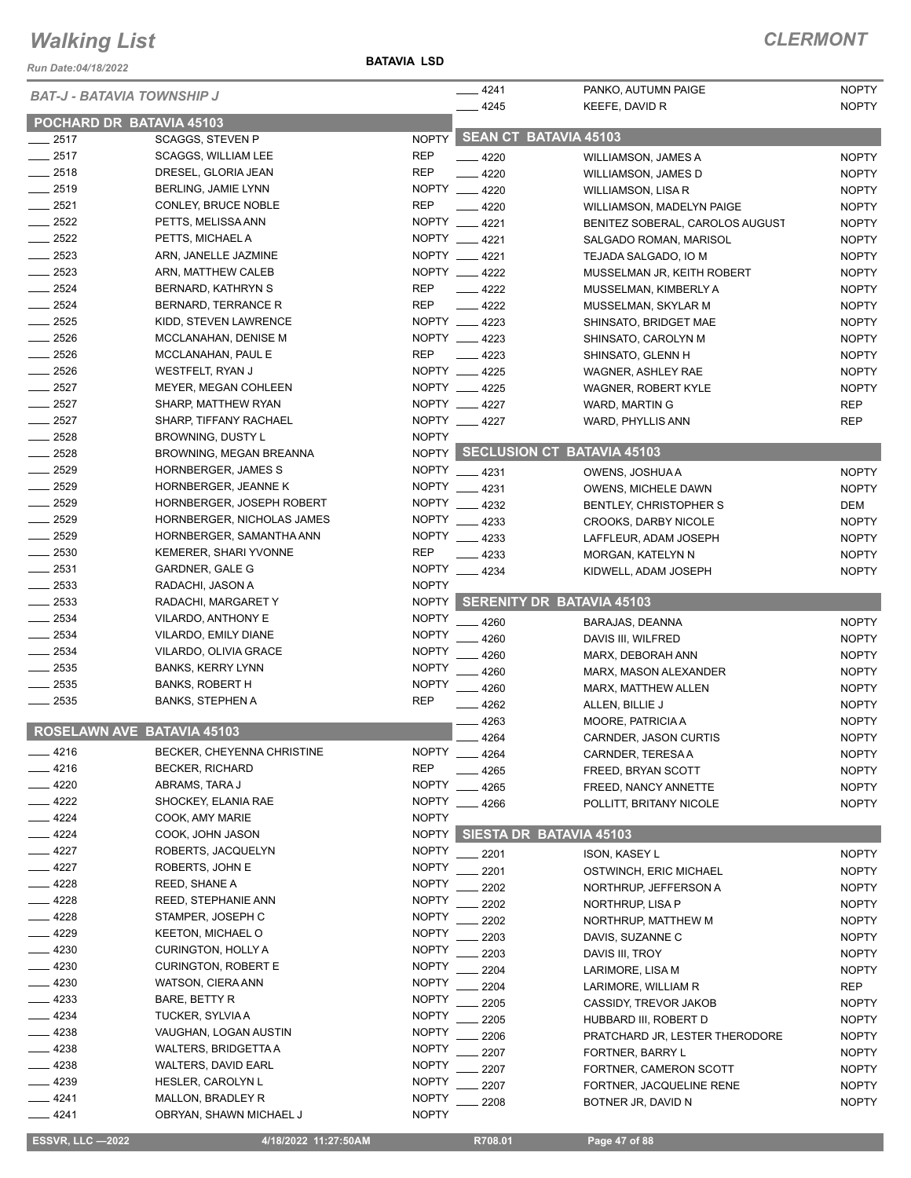*Run Date:04/18/2022*

| <b>BAT-J - BATAVIA TOWNSHIP J</b> |                                              | $-4241$                      | PANKO, AUTUMN PAIGE         | <b>NOPTY</b>                     |              |
|-----------------------------------|----------------------------------------------|------------------------------|-----------------------------|----------------------------------|--------------|
|                                   | POCHARD DR BATAVIA 45103                     |                              | $-4245$                     | KEEFE, DAVID R                   | <b>NOPTY</b> |
| $-2517$                           | <b>SCAGGS, STEVEN P</b>                      |                              | NOPTY SEAN CT BATAVIA 45103 |                                  |              |
| $-2517$                           | <b>SCAGGS, WILLIAM LEE</b>                   | <b>REP</b>                   | $-4220$                     | WILLIAMSON, JAMES A              | <b>NOPTY</b> |
| $-2518$                           | DRESEL, GLORIA JEAN                          | <b>REP</b>                   | $-4220$                     | <b>WILLIAMSON, JAMES D</b>       | <b>NOPTY</b> |
| $-2519$                           | <b>BERLING, JAMIE LYNN</b>                   |                              | NOPTY __ 4220               | WILLIAMSON, LISA R               | <b>NOPTY</b> |
| $\frac{1}{2521}$                  | <b>CONLEY, BRUCE NOBLE</b>                   | <b>REP</b>                   | $-4220$                     | WILLIAMSON, MADELYN PAIGE        | <b>NOPTY</b> |
| $-2522$                           | PETTS, MELISSA ANN                           |                              | NOPTY __ 4221               | BENITEZ SOBERAL, CAROLOS AUGUST  | <b>NOPTY</b> |
| $\frac{1}{2522}$                  | PETTS, MICHAEL A                             |                              | NOPTY __ 4221               | SALGADO ROMAN, MARISOL           | <b>NOPTY</b> |
| $\frac{1}{2523}$                  | ARN, JANELLE JAZMINE                         |                              | NOPTY __ 4221               | TEJADA SALGADO, IO M             | <b>NOPTY</b> |
| $\frac{2523}{2523}$               | ARN, MATTHEW CALEB                           |                              | NOPTY __ 4222               | MUSSELMAN JR, KEITH ROBERT       | <b>NOPTY</b> |
| $\frac{1}{2524}$                  | BERNARD, KATHRYN S                           | <b>REP</b>                   | $-4222$                     | MUSSELMAN, KIMBERLY A            | <b>NOPTY</b> |
| $-2524$                           | BERNARD, TERRANCE R                          | <b>REP</b>                   | $\frac{4222}{ }$            | MUSSELMAN, SKYLAR M              | <b>NOPTY</b> |
| $-2525$                           | KIDD, STEVEN LAWRENCE                        |                              | NOPTY __ 4223               | SHINSATO, BRIDGET MAE            | <b>NOPTY</b> |
| $-2526$                           | MCCLANAHAN, DENISE M                         |                              | NOPTY __ 4223               | SHINSATO, CAROLYN M              | <b>NOPTY</b> |
| $-2526$                           | MCCLANAHAN, PAUL E                           | <b>REP</b>                   | 4223                        | SHINSATO, GLENN H                | <b>NOPTY</b> |
| $-2526$                           | WESTFELT, RYAN J                             |                              | NOPTY __ 4225               | WAGNER, ASHLEY RAE               | <b>NOPTY</b> |
| $\frac{2527}{2527}$               | MEYER, MEGAN COHLEEN                         |                              | NOPTY __ 4225               | <b>WAGNER, ROBERT KYLE</b>       | <b>NOPTY</b> |
| $-2527$                           | SHARP, MATTHEW RYAN                          |                              | NOPTY 4227                  | WARD, MARTIN G                   | <b>REP</b>   |
| $-2527$                           | SHARP, TIFFANY RACHAEL                       |                              | NOPTY __ 4227               | WARD, PHYLLIS ANN                | <b>REP</b>   |
| $\frac{2528}{2528}$               | BROWNING, DUSTY L                            | <b>NOPTY</b>                 |                             |                                  |              |
| $-2528$                           | <b>BROWNING, MEGAN BREANNA</b>               |                              |                             | NOPTY SECLUSION CT BATAVIA 45103 |              |
| $-2529$                           | HORNBERGER, JAMES S                          | <b>NOPTY</b>                 | $-4231$                     | OWENS, JOSHUA A                  | <b>NOPTY</b> |
| $-2529$                           | HORNBERGER, JEANNE K                         | <b>NOPTY</b>                 | .4231                       | OWENS, MICHELE DAWN              | <b>NOPTY</b> |
| $-2529$                           | HORNBERGER, JOSEPH ROBERT                    | <b>NOPTY</b>                 | 4232                        | BENTLEY, CHRISTOPHER S           | DEM          |
| $-2529$                           | HORNBERGER, NICHOLAS JAMES                   | <b>NOPTY</b>                 | $-4233$                     | <b>CROOKS, DARBY NICOLE</b>      | <b>NOPTY</b> |
| $-2529$                           | HORNBERGER, SAMANTHA ANN                     | <b>NOPTY</b>                 | $-4233$                     | LAFFLEUR, ADAM JOSEPH            | <b>NOPTY</b> |
| $\frac{1}{2530}$                  | KEMERER, SHARI YVONNE                        | <b>REP</b>                   | - 4233                      | MORGAN, KATELYN N                | <b>NOPTY</b> |
| $\frac{1}{2531}$                  | GARDNER, GALE G                              | <b>NOPTY</b>                 | 4234                        | KIDWELL, ADAM JOSEPH             | <b>NOPTY</b> |
| $-2533$                           | RADACHI, JASON A                             | <b>NOPTY</b>                 |                             |                                  |              |
| $\frac{1}{2533}$                  | RADACHI, MARGARET Y                          | <b>NOPTY</b>                 |                             | <b>SERENITY DR BATAVIA 45103</b> |              |
| $-2534$                           | VILARDO, ANTHONY E                           | <b>NOPTY</b>                 | 4260                        | BARAJAS, DEANNA                  | <b>NOPTY</b> |
| $\frac{1}{2534}$                  | VILARDO, EMILY DIANE                         | <b>NOPTY</b>                 | 4260                        | DAVIS III, WILFRED               | <b>NOPTY</b> |
| $\frac{1}{2534}$                  | VILARDO, OLIVIA GRACE                        | <b>NOPTY</b>                 | 4260                        | MARX, DEBORAH ANN                | <b>NOPTY</b> |
| $\frac{1}{2535}$                  | <b>BANKS, KERRY LYNN</b>                     | <b>NOPTY</b>                 | 4260                        | MARX, MASON ALEXANDER            | <b>NOPTY</b> |
| $-2535$                           | <b>BANKS, ROBERT H</b>                       | <b>NOPTY</b>                 | $-4260$                     | MARX, MATTHEW ALLEN              | <b>NOPTY</b> |
| $-2535$                           | <b>BANKS, STEPHEN A</b>                      | <b>REP</b>                   | $-4262$                     | ALLEN, BILLIE J                  | <b>NOPTY</b> |
|                                   | <b>ROSELAWN AVE BATAVIA 45103</b>            |                              | 4263                        | MOORE, PATRICIA A                | <b>NOPTY</b> |
|                                   |                                              |                              | 4264                        | CARNDER, JASON CURTIS            | <b>NOPTY</b> |
| _ 4216                            | BECKER, CHEYENNA CHRISTINE                   | <b>NOPTY</b>                 | . 4264                      | CARNDER, TERESA A                | <b>NOPTY</b> |
| $-4216$                           | <b>BECKER, RICHARD</b>                       | <b>REP</b>                   | 4265                        | FREED, BRYAN SCOTT               | <b>NOPTY</b> |
| $-4220$                           | ABRAMS, TARA J                               | <b>NOPTY</b>                 | 4265                        | FREED, NANCY ANNETTE             | <b>NOPTY</b> |
| - 4222                            | SHOCKEY, ELANIA RAE                          | <b>NOPTY</b>                 | 4266                        | POLLITT, BRITANY NICOLE          | <b>NOPTY</b> |
| $-4224$                           | COOK, AMY MARIE                              | <b>NOPTY</b>                 |                             |                                  |              |
| $-4224$                           | COOK, JOHN JASON                             | <b>NOPTY</b>                 |                             | SIESTA DR BATAVIA 45103          |              |
| $-4227$                           | ROBERTS, JACQUELYN                           | <b>NOPTY</b>                 | 2201                        | <b>ISON, KASEY L</b>             | <b>NOPTY</b> |
| $-4227$                           | ROBERTS, JOHN E                              | <b>NOPTY</b>                 | 2201                        | OSTWINCH, ERIC MICHAEL           | <b>NOPTY</b> |
| _ 4228                            | REED, SHANE A                                | <b>NOPTY</b>                 | 2202                        | NORTHRUP, JEFFERSON A            | <b>NOPTY</b> |
| 4228                              | REED, STEPHANIE ANN                          | <b>NOPTY</b>                 | 2202                        | NORTHRUP, LISA P                 | <b>NOPTY</b> |
| 4228                              | STAMPER, JOSEPH C                            | <b>NOPTY</b><br><b>NOPTY</b> | 2202                        | NORTHRUP, MATTHEW M              | <b>NOPTY</b> |
| 4229                              | <b>KEETON, MICHAEL O</b>                     |                              | 2203                        | DAVIS, SUZANNE C                 | <b>NOPTY</b> |
| $-4230$                           | CURINGTON, HOLLY A                           | <b>NOPTY</b>                 | 2203                        | DAVIS III, TROY                  | <b>NOPTY</b> |
| - 4230                            | <b>CURINGTON, ROBERT E</b>                   | <b>NOPTY</b>                 | 2204                        | LARIMORE, LISA M                 | <b>NOPTY</b> |
| $-4230$                           | WATSON, CIERA ANN                            | <b>NOPTY</b>                 | 2204                        | LARIMORE, WILLIAM R              | <b>REP</b>   |
| - 4233                            | BARE, BETTY R                                | <b>NOPTY</b>                 | 2205                        | CASSIDY, TREVOR JAKOB            | <b>NOPTY</b> |
| 4234                              | TUCKER, SYLVIA A                             | <b>NOPTY</b>                 | 2205                        | HUBBARD III, ROBERT D            | <b>NOPTY</b> |
| - 4238                            | VAUGHAN, LOGAN AUSTIN                        | <b>NOPTY</b>                 | 2206                        | PRATCHARD JR, LESTER THERODORE   | <b>NOPTY</b> |
| _ 4238                            | <b>WALTERS, BRIDGETTA A</b>                  | <b>NOPTY</b>                 | 2207                        | FORTNER, BARRY L                 | <b>NOPTY</b> |
| _ 4238                            | WALTERS, DAVID EARL                          | <b>NOPTY</b>                 | 2207                        | FORTNER, CAMERON SCOTT           | <b>NOPTY</b> |
| - 4239<br>$-4241$                 | <b>HESLER, CAROLYN L</b>                     | <b>NOPTY</b><br><b>NOPTY</b> | 2207                        | FORTNER, JACQUELINE RENE         | <b>NOPTY</b> |
| 4241                              | MALLON, BRADLEY R<br>OBRYAN, SHAWN MICHAEL J | <b>NOPTY</b>                 | 2208                        | BOTNER JR, DAVID N               | <b>NOPTY</b> |
|                                   |                                              |                              |                             |                                  |              |

 **ESSVR, LLC —2022 4/18/2022 11:27:50AM R708.01 Page 47 of 88**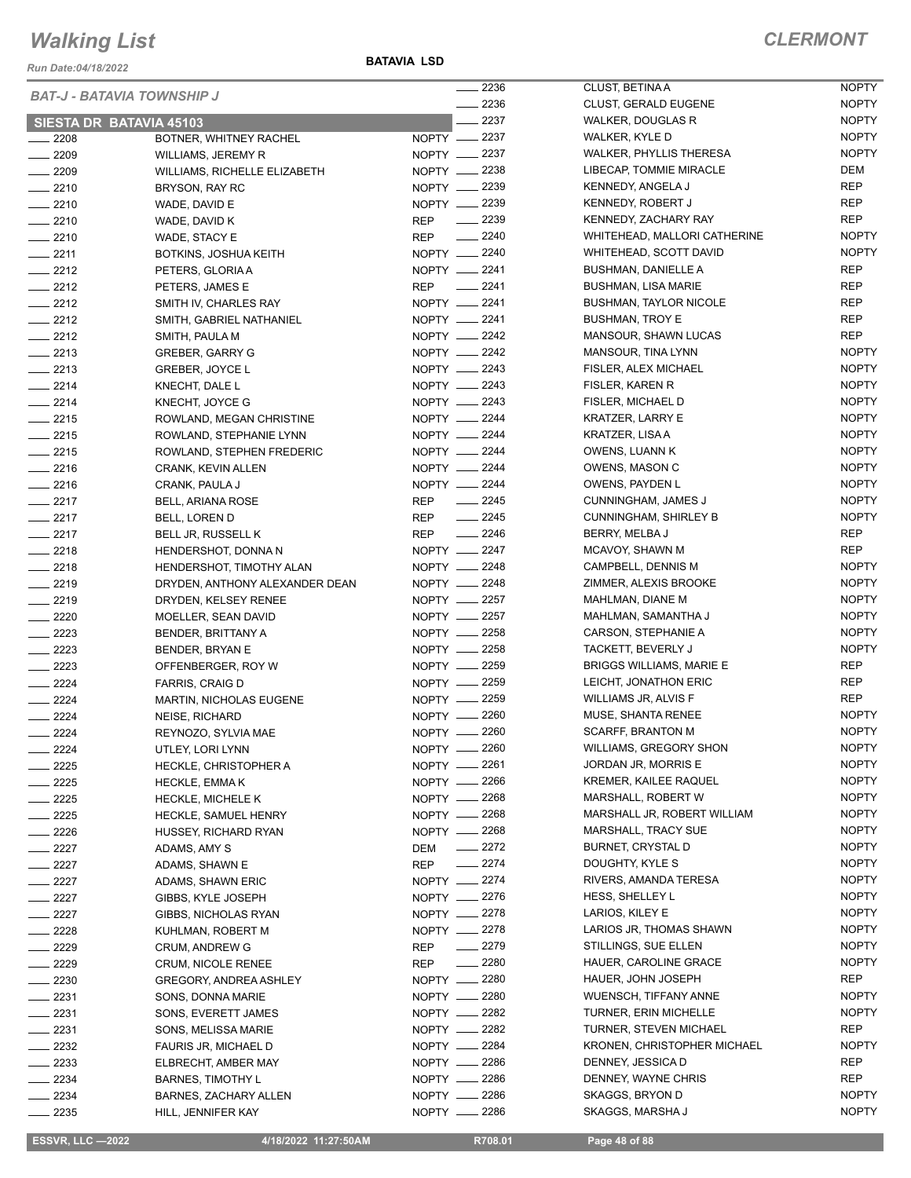*Run Date:04/18/2022*

**BATAVIA LSD**

|                  | <b>BAT-J - BATAVIA TOWNSHIP J</b>     | $\sim$ 2236                    | CLUST, BETINA A                 | <b>NOPTY</b> |
|------------------|---------------------------------------|--------------------------------|---------------------------------|--------------|
|                  |                                       | $\frac{2236}{5}$               | <b>CLUST, GERALD EUGENE</b>     | <b>NOPTY</b> |
|                  | <b>SIESTA DR BATAVIA 45103</b>        | $-2237$                        | <b>WALKER, DOUGLAS R</b>        | <b>NOPTY</b> |
| $\frac{2208}{2}$ | BOTNER, WHITNEY RACHEL                | NOPTY __ 2237                  | WALKER, KYLE D                  | <b>NOPTY</b> |
| $- 2209$         | WILLIAMS, JEREMY R                    | NOPTY -2237                    | WALKER, PHYLLIS THERESA         | <b>NOPTY</b> |
| $-2209$          | WILLIAMS, RICHELLE ELIZABETH          | NOPTY __ 2238                  | LIBECAP, TOMMIE MIRACLE         | DEM          |
| $-2210$          | BRYSON, RAY RC                        | NOPTY __ 2239                  | KENNEDY, ANGELA J               | <b>REP</b>   |
| $-2210$          | WADE, DAVID E                         | NOPTY __ 2239                  | KENNEDY, ROBERT J               | <b>REP</b>   |
| $-2210$          | WADE, DAVID K                         | $\frac{2239}{2}$<br><b>REP</b> | KENNEDY, ZACHARY RAY            | <b>REP</b>   |
| $-2210$          | WADE, STACY E                         | $\frac{1}{2240}$<br><b>REP</b> | WHITEHEAD, MALLORI CATHERINE    | <b>NOPTY</b> |
| $-2211$          | BOTKINS, JOSHUA KEITH                 | NOPTY __ 2240                  | WHITEHEAD, SCOTT DAVID          | <b>NOPTY</b> |
| $-2212$          | PETERS, GLORIA A                      | NOPTY __ 2241                  | <b>BUSHMAN, DANIELLE A</b>      | <b>REP</b>   |
| $-2212$          | PETERS, JAMES E                       | $\frac{1}{2241}$<br><b>REP</b> | <b>BUSHMAN, LISA MARIE</b>      | <b>REP</b>   |
| $\frac{2212}{ }$ | SMITH IV, CHARLES RAY                 | NOPTY __ 2241                  | <b>BUSHMAN, TAYLOR NICOLE</b>   | <b>REP</b>   |
| $-2212$          | SMITH, GABRIEL NATHANIEL              | NOPTY -2241                    | <b>BUSHMAN, TROY E</b>          | <b>REP</b>   |
| $-2212$          |                                       | NOPTY __ 2242                  | MANSOUR, SHAWN LUCAS            | <b>REP</b>   |
| $\frac{2213}{2}$ | SMITH, PAULA M                        | NOPTY <u>_</u> 2242            | MANSOUR, TINA LYNN              | <b>NOPTY</b> |
|                  | <b>GREBER, GARRY G</b>                |                                | FISLER, ALEX MICHAEL            |              |
| $-2213$          | <b>GREBER, JOYCE L</b>                | NOPTY -2243                    |                                 | <b>NOPTY</b> |
| $-2214$          | KNECHT, DALE L                        | NOPTY __ 2243                  | FISLER, KAREN R                 | <b>NOPTY</b> |
| $-2214$          | KNECHT, JOYCE G                       | NOPTY -2243                    | FISLER, MICHAEL D               | <b>NOPTY</b> |
| $-2215$          | ROWLAND, MEGAN CHRISTINE              | NOPTY __ 2244                  | KRATZER, LARRY E                | <b>NOPTY</b> |
| $-2215$          | ROWLAND, STEPHANIE LYNN               | NOPTY __ 2244                  | KRATZER, LISA A                 | <b>NOPTY</b> |
| $-2215$          | ROWLAND, STEPHEN FREDERIC             | NOPTY -2244                    | OWENS, LUANN K                  | <b>NOPTY</b> |
| $-2216$          | CRANK, KEVIN ALLEN                    | NOPTY __ 2244                  | OWENS, MASON C                  | <b>NOPTY</b> |
| $-2216$          | CRANK, PAULA J                        | NOPTY __ 2244                  | OWENS, PAYDEN L                 | <b>NOPTY</b> |
| $-2217$          | BELL, ARIANA ROSE                     | $\frac{2245}{ }$<br>REP        | CUNNINGHAM, JAMES J             | <b>NOPTY</b> |
| $-2217$          | BELL, LOREN D                         | $-2245$<br>REP                 | <b>CUNNINGHAM, SHIRLEY B</b>    | <b>NOPTY</b> |
| $-2217$          | <b>BELL JR, RUSSELL K</b>             | $-2246$<br><b>REP</b>          | BERRY, MELBA J                  | <b>REP</b>   |
| $-2218$          | HENDERSHOT, DONNA N                   | NOPTY __ 2247                  | MCAVOY, SHAWN M                 | <b>REP</b>   |
| $-2218$          | HENDERSHOT, TIMOTHY ALAN              | NOPTY __ 2248                  | CAMPBELL, DENNIS M              | <b>NOPTY</b> |
| $-2219$          | DRYDEN, ANTHONY ALEXANDER DEAN        | NOPTY __ 2248                  | ZIMMER, ALEXIS BROOKE           | <b>NOPTY</b> |
| $-2219$          | DRYDEN, KELSEY RENEE                  | NOPTY __ 2257                  | MAHLMAN, DIANE M                | <b>NOPTY</b> |
| $- 2220$         | MOELLER, SEAN DAVID                   | NOPTY __ 2257                  | MAHLMAN, SAMANTHA J             | <b>NOPTY</b> |
| $-2223$          | BENDER, BRITTANY A                    | NOPTY 2258                     | CARSON, STEPHANIE A             | <b>NOPTY</b> |
| $-2223$          |                                       | NOPTY 2258                     | TACKETT, BEVERLY J              | <b>NOPTY</b> |
| $\frac{2223}{2}$ | BENDER, BRYAN E<br>OFFENBERGER, ROY W | NOPTY __ 2259                  | <b>BRIGGS WILLIAMS, MARIE E</b> | <b>REP</b>   |
|                  |                                       | NOPTY -2259                    | LEICHT, JONATHON ERIC           | REP          |
| $-2224$          | <b>FARRIS, CRAIG D</b>                |                                |                                 |              |
| $-2224$          | <b>MARTIN, NICHOLAS EUGENE</b>        | NOPTY -2259                    | <b>WILLIAMS JR, ALVIS F</b>     | <b>REP</b>   |
| $-2224$          | <b>NEISE, RICHARD</b>                 | NOPTY __ 2260                  | MUSE, SHANTA RENEE              | <b>NOPTY</b> |
| 2224             | REYNOZO, SYLVIA MAE                   | NOPTY -2260                    | <b>SCARFF, BRANTON M</b>        | <b>NOPTY</b> |
| _ 2224           | UTLEY, LORI LYNN                      | NOPTY __ 2260                  | WILLIAMS, GREGORY SHON          | <b>NOPTY</b> |
| $-2225$          | <b>HECKLE, CHRISTOPHER A</b>          | NOPTY -2261                    | JORDAN JR, MORRIS E             | <b>NOPTY</b> |
| $- 2225$         | <b>HECKLE, EMMAK</b>                  | NOPTY __ 2266                  | KREMER, KAILEE RAQUEL           | <b>NOPTY</b> |
| $-2225$          | HECKLE, MICHELE K                     | NOPTY __ 2268                  | MARSHALL, ROBERT W              | <b>NOPTY</b> |
| $-2225$          | HECKLE, SAMUEL HENRY                  | NOPTY -2268                    | MARSHALL JR, ROBERT WILLIAM     | <b>NOPTY</b> |
| $-2226$          | HUSSEY, RICHARD RYAN                  | NOPTY __ 2268                  | MARSHALL, TRACY SUE             | <b>NOPTY</b> |
| $- 2227$         | ADAMS, AMY S                          | $-2272$<br>DEM                 | BURNET, CRYSTAL D               | <b>NOPTY</b> |
| _ 2227           | ADAMS, SHAWN E                        | $-2274$<br>REP                 | DOUGHTY, KYLE S                 | <b>NOPTY</b> |
| $- 2227$         | ADAMS, SHAWN ERIC                     | NOPTY __ 2274                  | RIVERS, AMANDA TERESA           | <b>NOPTY</b> |
| 2227             | GIBBS, KYLE JOSEPH                    | NOPTY __ 2276                  | HESS, SHELLEY L                 | <b>NOPTY</b> |
| $\sim$ 2227      | GIBBS, NICHOLAS RYAN                  | NOPTY __ 2278                  | LARIOS, KILEY E                 | <b>NOPTY</b> |
| $-2228$          | KUHLMAN, ROBERT M                     | NOPTY -2278                    | LARIOS JR, THOMAS SHAWN         | <b>NOPTY</b> |
| - 2229           | CRUM, ANDREW G                        | $-2279$<br>REP                 | STILLINGS, SUE ELLEN            | <b>NOPTY</b> |
| $-2229$          | <b>CRUM, NICOLE RENEE</b>             | $-2280$<br>REP                 | HAUER, CAROLINE GRACE           | <b>NOPTY</b> |
| $-2230$          |                                       | NOPTY -2280                    | HAUER, JOHN JOSEPH              | REP          |
|                  | GREGORY, ANDREA ASHLEY                |                                |                                 | <b>NOPTY</b> |
| ____ 2231        | SONS, DONNA MARIE                     | NOPTY __ 2280                  | WUENSCH, TIFFANY ANNE           |              |
| $-2231$          | SONS, EVERETT JAMES                   | NOPTY -2282                    | TURNER, ERIN MICHELLE           | <b>NOPTY</b> |
| $-2231$          | SONS, MELISSA MARIE                   | NOPTY -2282                    | <b>TURNER, STEVEN MICHAEL</b>   | REP          |
| 2232             | FAURIS JR, MICHAEL D                  | NOPTY __ 2284                  | KRONEN, CHRISTOPHER MICHAEL     | <b>NOPTY</b> |
| $- 2233$         | ELBRECHT, AMBER MAY                   | NOPTY -2286                    | DENNEY, JESSICA D               | REP          |
| $- 2234$         | <b>BARNES, TIMOTHY L</b>              | NOPTY __ 2286                  | DENNEY, WAYNE CHRIS             | <b>REP</b>   |
| $- 2234$         | BARNES, ZACHARY ALLEN                 | NOPTY -2286                    | SKAGGS, BRYON D                 | <b>NOPTY</b> |
| - 2235           | HILL, JENNIFER KAY                    | NOPTY -2286                    | SKAGGS, MARSHA J                | <b>NOPTY</b> |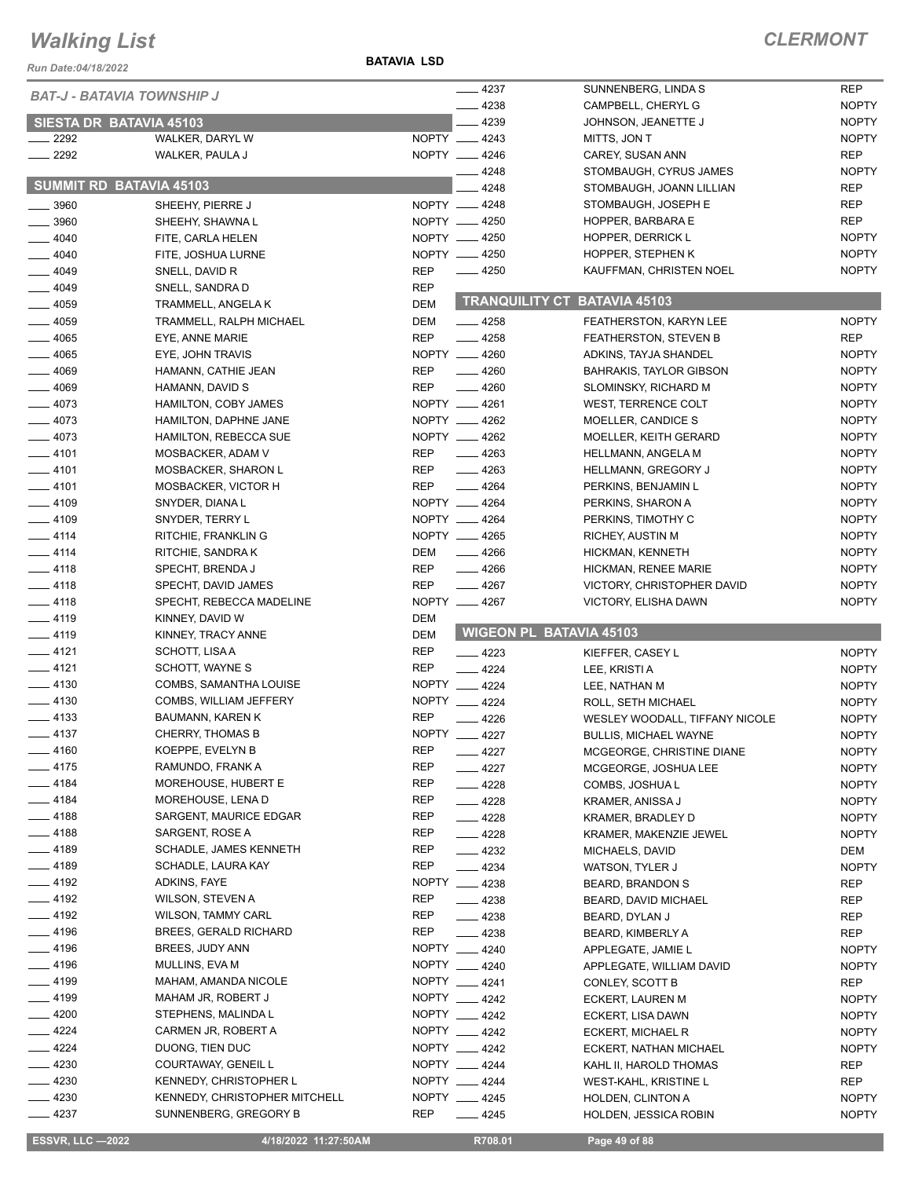*Run Date:04/18/2022*

**BATAVIA LSD**

### *CLERMONT*

| <b>BAT-J - BATAVIA TOWNSHIP J</b> |                                                        | $-4237$                         | SUNNENBERG, LINDA S                               | <b>REP</b>                   |
|-----------------------------------|--------------------------------------------------------|---------------------------------|---------------------------------------------------|------------------------------|
|                                   |                                                        | $-4238$                         | CAMPBELL, CHERYL G                                | <b>NOPTY</b>                 |
| SIESTA DR BATAVIA 45103           |                                                        | 4239                            | JOHNSON, JEANETTE J                               | <b>NOPTY</b>                 |
| $\sim$ 2292                       | WALKER, DARYL W                                        | NOPTY __ 4243                   | MITTS, JON T                                      | <b>NOPTY</b>                 |
| $-2292$                           | WALKER, PAULA J                                        | NOPTY __ 4246                   | CAREY, SUSAN ANN                                  | <b>REP</b>                   |
|                                   |                                                        | 4248                            | STOMBAUGH, CYRUS JAMES                            | <b>NOPTY</b>                 |
| <b>SUMMIT RD BATAVIA 45103</b>    |                                                        | 4248                            | STOMBAUGH, JOANN LILLIAN                          | <b>REP</b>                   |
| $- 3960$                          | SHEEHY, PIERRE J                                       | NOPTY -4248                     | STOMBAUGH, JOSEPH E                               | <b>REP</b>                   |
| $-3960$                           | SHEEHY, SHAWNA L                                       | NOPTY __ 4250                   | HOPPER, BARBARA E                                 | <b>REP</b>                   |
| $-4040$                           | FITE, CARLA HELEN                                      | NOPTY -4250                     | HOPPER, DERRICK L                                 | <b>NOPTY</b>                 |
| $-4040$                           | FITE, JOSHUA LURNE                                     | NOPTY -4250                     | HOPPER, STEPHEN K                                 | <b>NOPTY</b>                 |
| $-4049$                           | SNELL, DAVID R                                         | $-4250$<br><b>REP</b>           | KAUFFMAN, CHRISTEN NOEL                           | <b>NOPTY</b>                 |
| $- 4049$                          | SNELL, SANDRA D                                        | <b>REP</b>                      |                                                   |                              |
| $-4059$                           | TRAMMELL, ANGELA K                                     | <b>DEM</b>                      | TRANQUILITY CT BATAVIA 45103                      |                              |
| $-4059$                           | TRAMMELL, RALPH MICHAEL                                | <b>DEM</b><br>$-4258$           | <b>FEATHERSTON, KARYN LEE</b>                     | <b>NOPTY</b>                 |
| $- 4065$                          | EYE, ANNE MARIE                                        | <b>REP</b><br>$-4258$           | FEATHERSTON, STEVEN B                             | <b>REP</b>                   |
| $-4065$                           | EYE, JOHN TRAVIS                                       | NOPTY __ 4260                   | ADKINS, TAYJA SHANDEL                             | <b>NOPTY</b>                 |
| $- 4069$                          | HAMANN, CATHIE JEAN                                    | <b>REP</b><br>$-4260$           | <b>BAHRAKIS, TAYLOR GIBSON</b>                    | <b>NOPTY</b>                 |
| $-4069$                           | HAMANN, DAVID S                                        | <b>REP</b><br>$-4260$           | SLOMINSKY, RICHARD M                              | <b>NOPTY</b>                 |
| $-4073$                           | HAMILTON, COBY JAMES                                   | NOPTY __ 4261                   | WEST, TERRENCE COLT                               | <b>NOPTY</b>                 |
| $-4073$                           | HAMILTON, DAPHNE JANE                                  | NOPTY __ 4262                   | MOELLER, CANDICE S                                | <b>NOPTY</b>                 |
| $-4073$                           | <b>HAMILTON, REBECCA SUE</b>                           | NOPTY __ 4262                   | MOELLER, KEITH GERARD                             | <b>NOPTY</b>                 |
| $-4101$                           | MOSBACKER, ADAM V                                      | $-4263$<br>REP                  | HELLMANN, ANGELA M                                | <b>NOPTY</b>                 |
| $-4101$                           | MOSBACKER, SHARON L                                    | REP<br>$\frac{4263}{5}$         | HELLMANN, GREGORY J                               | <b>NOPTY</b>                 |
| $-4101$                           | MOSBACKER, VICTOR H                                    | <b>REP</b><br>$-4264$           | PERKINS, BENJAMIN L                               | <b>NOPTY</b>                 |
| $- 4109$                          | SNYDER, DIANA L                                        | NOPTY __ 4264                   | PERKINS, SHARON A                                 | <b>NOPTY</b>                 |
| $-4109$                           | SNYDER, TERRY L                                        | NOPTY __ 4264                   | PERKINS, TIMOTHY C                                | <b>NOPTY</b>                 |
| $-4114$                           | RITCHIE, FRANKLIN G                                    | NOPTY __ 4265                   | RICHEY, AUSTIN M                                  | <b>NOPTY</b>                 |
| $-4114$                           | RITCHIE, SANDRA K                                      | DEM<br>$-4266$                  | HICKMAN, KENNETH                                  | <b>NOPTY</b>                 |
| $-4118$                           | SPECHT, BRENDA J                                       | <b>REP</b><br>$-4266$           | HICKMAN, RENEE MARIE                              | <b>NOPTY</b>                 |
| $-4118$                           | SPECHT, DAVID JAMES                                    | <b>REP</b><br>$-4267$           | VICTORY, CHRISTOPHER DAVID                        | <b>NOPTY</b>                 |
|                                   | SPECHT, REBECCA MADELINE                               | NOPTY __ 4267                   | VICTORY, ELISHA DAWN                              | <b>NOPTY</b>                 |
|                                   |                                                        |                                 |                                                   |                              |
| $-4118$                           |                                                        |                                 |                                                   |                              |
| $-4119$                           | KINNEY, DAVID W                                        | <b>DEM</b>                      | <b>WIGEON PL BATAVIA 45103</b>                    |                              |
| $-4119$                           | KINNEY, TRACY ANNE                                     | <b>DEM</b>                      |                                                   |                              |
| $-4121$                           | SCHOTT, LISAA                                          | <b>REP</b><br>$-4223$           | KIEFFER, CASEY L                                  | <b>NOPTY</b>                 |
| $-4121$                           | SCHOTT, WAYNE S                                        | <b>REP</b><br>$-4224$           | LEE, KRISTI A                                     | <b>NOPTY</b>                 |
| $-4130$                           | COMBS, SAMANTHA LOUISE                                 | NOPTY 4224                      | LEE, NATHAN M                                     | <b>NOPTY</b>                 |
| $-4130$                           | COMBS, WILLIAM JEFFERY                                 | NOPTY __ 4224                   | ROLL, SETH MICHAEL                                | <b>NOPTY</b>                 |
| $-4133$                           | <b>BAUMANN, KAREN K</b>                                | <b>REP</b><br>$-4226$           | WESLEY WOODALL, TIFFANY NICOLE                    | <b>NOPTY</b>                 |
| $- 4137$                          | CHERRY, THOMAS B                                       | <b>NOPTY</b><br>4227            | <b>BULLIS, MICHAEL WAYNE</b>                      | <b>NOPTY</b>                 |
| $-4160$                           | KOEPPE, EVELYN B                                       | <b>REP</b><br>$-4227$           | MCGEORGE, CHRISTINE DIANE                         | <b>NOPTY</b>                 |
| $-4175$                           | RAMUNDO, FRANK A                                       | <b>REP</b><br>$-4227$           | MCGEORGE, JOSHUA LEE                              | <b>NOPTY</b>                 |
| $-4184$                           | MOREHOUSE, HUBERT E                                    | <b>REP</b><br>$-4228$           | COMBS, JOSHUA L                                   | <b>NOPTY</b>                 |
| $-4184$                           | MOREHOUSE, LENA D                                      | <b>REP</b><br>$-4228$           | KRAMER, ANISSA J                                  | <b>NOPTY</b>                 |
| $-4188$                           | SARGENT, MAURICE EDGAR                                 | REP<br>$-4228$                  | KRAMER, BRADLEY D                                 | <b>NOPTY</b>                 |
| $-4188$                           | SARGENT, ROSE A                                        | REP<br>$-4228$                  | <b>KRAMER, MAKENZIE JEWEL</b>                     | <b>NOPTY</b>                 |
| $-4189$                           | SCHADLE, JAMES KENNETH                                 | REP<br>$\frac{4232}{ }$         | MICHAELS, DAVID                                   | DEM                          |
| $-4189$                           | SCHADLE, LAURA KAY                                     | <b>REP</b><br>$-4234$           | WATSON, TYLER J                                   | <b>NOPTY</b>                 |
| $-4192$                           | ADKINS, FAYE                                           | NOPTY 4238                      | BEARD, BRANDON S                                  | <b>REP</b>                   |
| $-4192$                           | WILSON, STEVEN A                                       | <b>REP</b><br>$-4238$           | BEARD, DAVID MICHAEL                              | REP                          |
| $-4192$                           | <b>WILSON, TAMMY CARL</b>                              | REP<br>$-4238$                  | BEARD, DYLAN J                                    | REP                          |
| $-4196$                           | <b>BREES, GERALD RICHARD</b>                           | REP<br>$-4238$                  | BEARD, KIMBERLY A                                 | <b>REP</b>                   |
| $-4196$                           | BREES, JUDY ANN                                        | NOPTY __ 4240                   | APPLEGATE, JAMIE L                                | <b>NOPTY</b>                 |
| $-4196$                           | MULLINS, EVA M                                         | NOPTY 4240                      | APPLEGATE, WILLIAM DAVID                          | <b>NOPTY</b>                 |
| $-4199$                           | MAHAM, AMANDA NICOLE                                   | NOPTY __ 4241                   | CONLEY, SCOTT B                                   | REP                          |
| $- 4199$                          | MAHAM JR, ROBERT J                                     | NOPTY __ 4242                   | ECKERT, LAUREN M                                  | <b>NOPTY</b>                 |
| $-4200$                           | STEPHENS, MALINDA L                                    | NOPTY __ 4242                   | ECKERT, LISA DAWN                                 | <b>NOPTY</b>                 |
| $-4224$                           | CARMEN JR, ROBERT A                                    | NOPTY __ 4242                   | ECKERT, MICHAEL R                                 | <b>NOPTY</b>                 |
| $-4224$                           | DUONG, TIEN DUC                                        | NOPTY __ 4242                   | ECKERT, NATHAN MICHAEL                            | <b>NOPTY</b>                 |
| $-4230$                           | COURTAWAY, GENEIL L                                    | NOPTY __ 4244                   | KAHL II, HAROLD THOMAS                            | REP                          |
| $-4230$                           | KENNEDY, CHRISTOPHER L                                 | NOPTY __ 4244                   | WEST-KAHL, KRISTINE L                             | REP                          |
| $-4230$<br>$-4237$                | KENNEDY, CHRISTOPHER MITCHELL<br>SUNNENBERG, GREGORY B | NOPTY __ 4245<br>REP<br>$-4245$ | HOLDEN, CLINTON A<br><b>HOLDEN, JESSICA ROBIN</b> | <b>NOPTY</b><br><b>NOPTY</b> |

 **ESSVR, LLC —2022 4/18/2022 11:27:50AM R708.01 Page 49 of 88**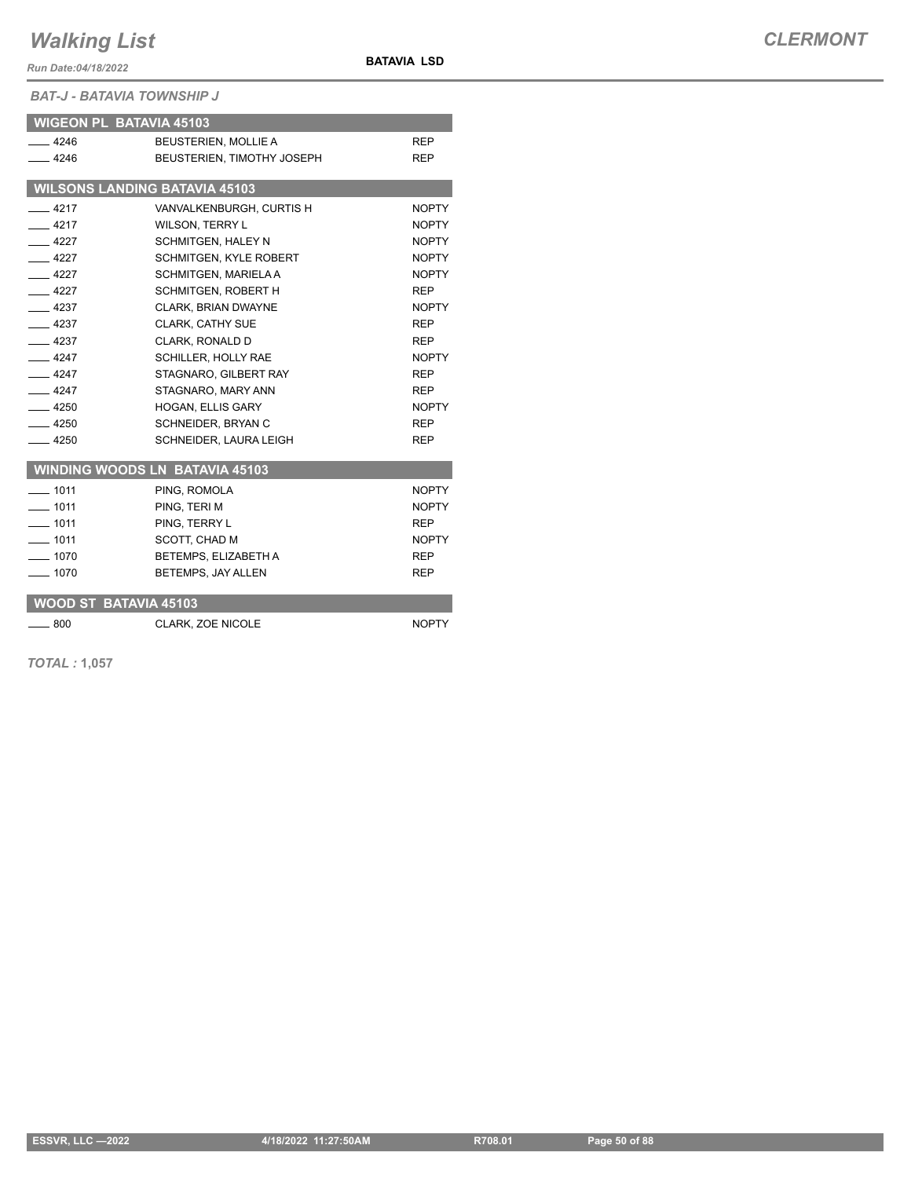*Run Date:04/18/2022*

**BATAVIA LSD**

*BAT-J - BATAVIA TOWNSHIP J*

| <b>WIGEON PL BATAVIA 45103</b>       |                                       |              |
|--------------------------------------|---------------------------------------|--------------|
| $-4246$                              | <b>BEUSTERIEN, MOLLIE A</b>           | <b>REP</b>   |
| $-4246$                              | BEUSTERIEN, TIMOTHY JOSEPH            | <b>REP</b>   |
| <b>WILSONS LANDING BATAVIA 45103</b> |                                       |              |
|                                      |                                       |              |
| $-4217$                              | VANVALKENBURGH, CURTIS H              | <b>NOPTY</b> |
| $-4217$                              | <b>WILSON, TERRY L</b>                | <b>NOPTY</b> |
| $-4227$                              | <b>SCHMITGEN, HALEY N</b>             | <b>NOPTY</b> |
| 4227                                 | SCHMITGEN, KYLE ROBERT                | <b>NOPTY</b> |
| $-4227$                              | SCHMITGEN, MARIELA A                  | <b>NOPTY</b> |
| $-4227$                              | SCHMITGEN, ROBERT H                   | <b>REP</b>   |
| $-4237$                              | <b>CLARK. BRIAN DWAYNE</b>            | <b>NOPTY</b> |
| $-4237$                              | <b>CLARK, CATHY SUE</b>               | <b>REP</b>   |
| $-4237$                              | CLARK, RONALD D                       | <b>REP</b>   |
| $-4247$                              | <b>SCHILLER. HOLLY RAE</b>            | <b>NOPTY</b> |
| $-4247$                              | STAGNARO, GILBERT RAY                 | <b>REP</b>   |
| $-4247$                              | STAGNARO, MARY ANN                    | <b>REP</b>   |
| $-4250$                              | HOGAN, ELLIS GARY                     | <b>NOPTY</b> |
| $-4250$                              | SCHNEIDER, BRYAN C                    | REP          |
| $-4250$                              | SCHNEIDER, LAURA LEIGH                | <b>REP</b>   |
|                                      | <b>WINDING WOODS LN BATAVIA 45103</b> |              |
| $-1011$                              | PING, ROMOLA                          | <b>NOPTY</b> |
| $-1011$                              | PING, TERI M                          | <b>NOPTY</b> |
| $- 1011$                             | PING. TERRY L                         | <b>REP</b>   |
| $-1011$                              | SCOTT, CHAD M                         | <b>NOPTY</b> |
| $-1070$                              | BETEMPS, ELIZABETH A                  | <b>REP</b>   |
| $-1070$                              | BETEMPS, JAY ALLEN                    | <b>REP</b>   |
| <b>WOOD ST BATAVIA 45103</b>         |                                       |              |
| $-800$                               | <b>CLARK. ZOE NICOLE</b>              | <b>NOPTY</b> |

*TOTAL :* **1,057**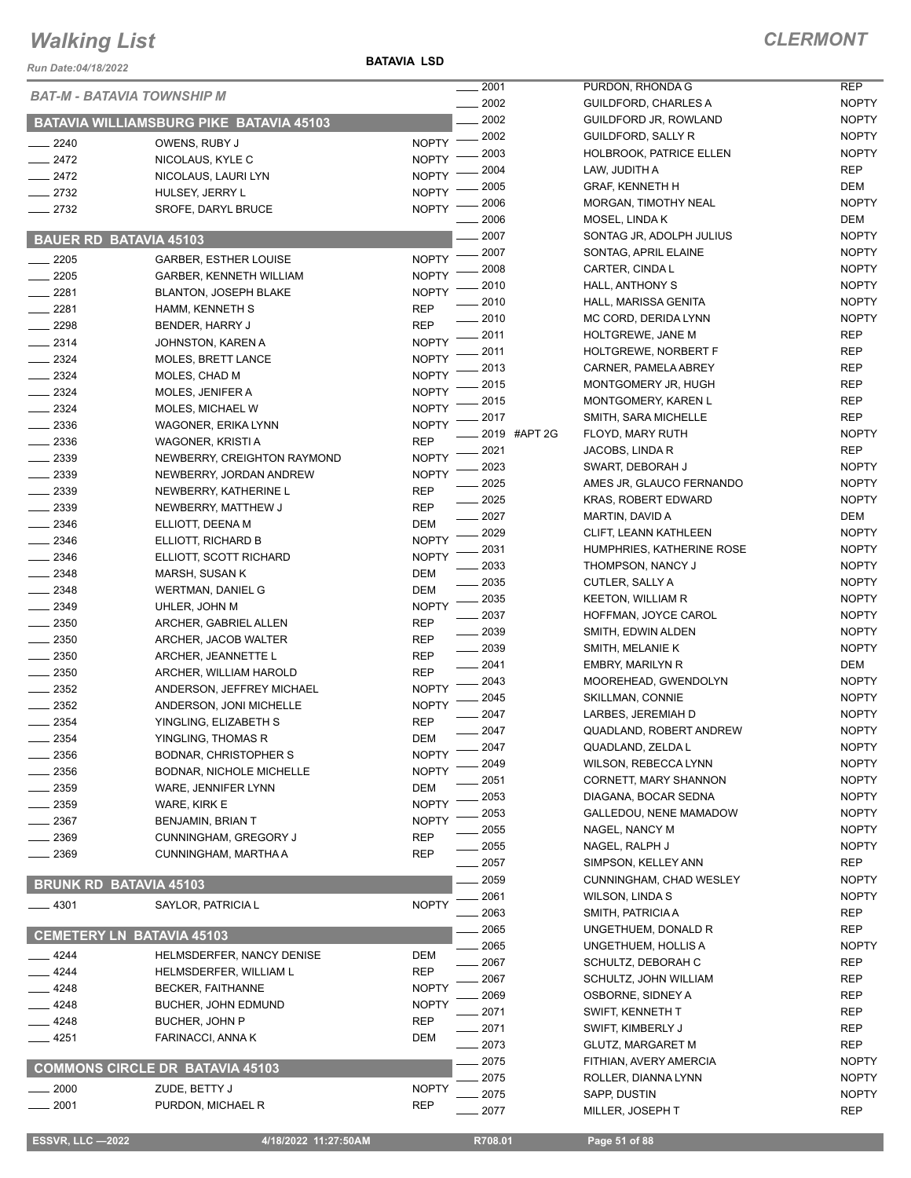#### **BATAVIA LSD**

| Run Date:04/18/2022               |                                                | <b>BATAVIA LSD</b> |              |                                       |                              |
|-----------------------------------|------------------------------------------------|--------------------|--------------|---------------------------------------|------------------------------|
| <b>BAT-M - BATAVIA TOWNSHIP M</b> |                                                |                    | .2001        | PURDON, RHONDA G                      | <b>REP</b>                   |
|                                   |                                                |                    | 2002         | <b>GUILDFORD, CHARLES A</b>           | <b>NOPTY</b>                 |
|                                   | <b>BATAVIA WILLIAMSBURG PIKE BATAVIA 45103</b> |                    | 2002         | GUILDFORD JR, ROWLAND                 | <b>NOPTY</b>                 |
| $-2240$                           | OWENS, RUBY J                                  | <b>NOPTY</b>       | . 2002       | <b>GUILDFORD, SALLY R</b>             | <b>NOPTY</b>                 |
| 2472                              | NICOLAUS, KYLE C                               | <b>NOPTY</b>       | 2003         | HOLBROOK, PATRICE ELLEN               | <b>NOPTY</b>                 |
| $-2472$                           | NICOLAUS, LAURI LYN                            | <b>NOPTY</b>       | 2004         | LAW, JUDITH A                         | <b>REP</b>                   |
| 2732                              | HULSEY, JERRY L                                | <b>NOPTY</b>       | 2005         | <b>GRAF, KENNETH H</b>                | <b>DEM</b>                   |
| 2732                              | SROFE, DARYL BRUCE                             | <b>NOPTY</b>       | 2006         | MORGAN, TIMOTHY NEAL                  | <b>NOPTY</b>                 |
|                                   |                                                |                    | 2006         | MOSEL, LINDA K                        | DEM                          |
| <b>BAUER RD BATAVIA 45103</b>     |                                                |                    | 2007         | SONTAG JR, ADOLPH JULIUS              | <b>NOPTY</b>                 |
| 2205                              | <b>GARBER, ESTHER LOUISE</b>                   | <b>NOPTY</b>       | 2007         | SONTAG, APRIL ELAINE                  | <b>NOPTY</b>                 |
| 2205                              | GARBER, KENNETH WILLIAM                        | <b>NOPTY</b>       | 2008         | CARTER, CINDA L                       | <b>NOPTY</b>                 |
| 2281                              | <b>BLANTON, JOSEPH BLAKE</b>                   | <b>NOPTY</b>       | 2010         | HALL, ANTHONY S                       | <b>NOPTY</b>                 |
| 2281                              | HAMM, KENNETH S                                | <b>REP</b>         | 2010         | HALL, MARISSA GENITA                  | <b>NOPTY</b>                 |
| 2298                              | BENDER, HARRY J                                | <b>REP</b>         | 2010         | MC CORD, DERIDA LYNN                  | <b>NOPTY</b>                 |
| 2314                              | JOHNSTON, KAREN A                              | <b>NOPTY</b>       | 2011         | HOLTGREWE, JANE M                     | <b>REP</b>                   |
| 2324                              | <b>MOLES, BRETT LANCE</b>                      | <b>NOPTY</b>       | 2011         | <b>HOLTGREWE, NORBERT F</b>           | <b>REP</b>                   |
| 2324                              | MOLES, CHAD M                                  | <b>NOPTY</b>       | 2013         | CARNER, PAMELA ABREY                  | <b>REP</b>                   |
| 2324                              | MOLES, JENIFER A                               | <b>NOPTY</b>       | 2015         | MONTGOMERY JR, HUGH                   | <b>REP</b>                   |
| 2324                              | MOLES, MICHAEL W                               | <b>NOPTY</b>       | 2015         | MONTGOMERY, KAREN L                   | <b>REP</b>                   |
| 2336                              | WAGONER, ERIKA LYNN                            | <b>NOPTY</b>       | 2017         | SMITH, SARA MICHELLE                  | <b>REP</b>                   |
| 2336                              | WAGONER, KRISTI A                              | <b>REP</b>         | 2019 #APT 2G | FLOYD, MARY RUTH                      | <b>NOPTY</b>                 |
| 2339                              | NEWBERRY, CREIGHTON RAYMOND                    | <b>NOPTY</b>       | 2021         | JACOBS, LINDA R                       | <b>REP</b>                   |
| 2339                              | NEWBERRY, JORDAN ANDREW                        | <b>NOPTY</b>       | 2023         | SWART, DEBORAH J                      | <b>NOPTY</b>                 |
| 2339                              | NEWBERRY, KATHERINE L                          | <b>REP</b>         | 2025         | AMES JR, GLAUCO FERNANDO              | <b>NOPTY</b>                 |
| 2339                              | NEWBERRY, MATTHEW J                            | <b>REP</b>         | 2025         | <b>KRAS, ROBERT EDWARD</b>            | <b>NOPTY</b>                 |
| 2346                              | ELLIOTT, DEENA M                               | <b>DEM</b>         | 2027         | MARTIN, DAVID A                       | <b>DEM</b>                   |
| 2346                              | ELLIOTT, RICHARD B                             | <b>NOPTY</b>       | 2029         | CLIFT, LEANN KATHLEEN                 | <b>NOPTY</b>                 |
| 2346                              | ELLIOTT, SCOTT RICHARD                         | <b>NOPTY</b>       | 2031         | HUMPHRIES, KATHERINE ROSE             | <b>NOPTY</b>                 |
| 2348                              | MARSH, SUSAN K                                 | <b>DEM</b>         | 2033         | THOMPSON, NANCY J                     | <b>NOPTY</b>                 |
| 2348                              | <b>WERTMAN, DANIEL G</b>                       | <b>DEM</b>         | 2035         | CUTLER, SALLY A                       | <b>NOPTY</b>                 |
| 2349                              | UHLER, JOHN M                                  | <b>NOPTY</b>       | 2035         | <b>KEETON, WILLIAM R</b>              | <b>NOPTY</b>                 |
| 2350                              | ARCHER, GABRIEL ALLEN                          | <b>REP</b>         | 2037         | HOFFMAN, JOYCE CAROL                  | <b>NOPTY</b>                 |
| 2350                              | ARCHER, JACOB WALTER                           | <b>REP</b>         | 2039         | SMITH, EDWIN ALDEN                    | <b>NOPTY</b>                 |
| 2350                              | ARCHER, JEANNETTE L                            | <b>REP</b>         | 2039         | SMITH, MELANIE K                      | <b>NOPTY</b>                 |
| 2350                              | ARCHER, WILLIAM HAROLD                         | <b>REP</b>         | 2041         | <b>EMBRY, MARILYN R</b>               | DEM                          |
| 2352                              | ANDERSON, JEFFREY MICHAEL                      | <b>NOPTY</b>       | 2043         | MOOREHEAD, GWENDOLYN                  | <b>NOPTY</b>                 |
| 2352                              | ANDERSON, JONI MICHELLE                        | <b>NOPTY</b>       | 2045         | <b>SKILLMAN, CONNIE</b>               | <b>NOPTY</b>                 |
| 2354                              | YINGLING, ELIZABETH S                          | <b>REP</b>         | 2047         | LARBES, JEREMIAH D                    | <b>NOPTY</b>                 |
| 2354                              | YINGLING, THOMAS R                             | DEM                | 2047         | QUADLAND, ROBERT ANDREW               | <b>NOPTY</b>                 |
| 2356                              | <b>BODNAR, CHRISTOPHER S</b>                   | <b>NOPTY</b>       | 2047         | QUADLAND, ZELDA L                     | <b>NOPTY</b>                 |
| 2356                              | <b>BODNAR, NICHOLE MICHELLE</b>                | <b>NOPTY</b>       | 2049         | <b>WILSON, REBECCA LYNN</b>           | <b>NOPTY</b>                 |
| 2359                              | WARE, JENNIFER LYNN                            | DEM                | 2051         | CORNETT, MARY SHANNON                 | <b>NOPTY</b>                 |
| 2359                              | WARE, KIRK E                                   | <b>NOPTY</b>       | 2053         | DIAGANA, BOCAR SEDNA                  | <b>NOPTY</b>                 |
| 2367                              | BENJAMIN, BRIAN T                              | <b>NOPTY</b>       | 2053         | GALLEDOU, NENE MAMADOW                | <b>NOPTY</b>                 |
| 2369                              | CUNNINGHAM, GREGORY J                          | <b>REP</b>         | 2055         | NAGEL, NANCY M                        | <b>NOPTY</b>                 |
| 2369                              | CUNNINGHAM, MARTHA A                           | <b>REP</b>         | 2055         | NAGEL, RALPH J                        | <b>NOPTY</b>                 |
|                                   |                                                |                    | 2057         | SIMPSON, KELLEY ANN                   | <b>REP</b>                   |
| <b>BRUNK RD BATAVIA 45103</b>     |                                                |                    | 2059         | CUNNINGHAM, CHAD WESLEY               | <b>NOPTY</b>                 |
| 4301                              | SAYLOR, PATRICIA L                             | <b>NOPTY</b>       | 2061         | <b>WILSON, LINDAS</b>                 | <b>NOPTY</b>                 |
|                                   |                                                |                    | 2063         | SMITH, PATRICIA A                     | <b>REP</b><br><b>REP</b>     |
| <b>CEMETERY LN BATAVIA 45103</b>  |                                                |                    | 2065<br>2065 | UNGETHUEM, DONALD R                   |                              |
| 4244                              | HELMSDERFER, NANCY DENISE                      | DEM                |              | UNGETHUEM, HOLLIS A                   | <b>NOPTY</b>                 |
| 4244                              | HELMSDERFER, WILLIAM L                         | <b>REP</b>         | 2067         | SCHULTZ, DEBORAH C                    | <b>REP</b>                   |
| 4248                              | <b>BECKER, FAITHANNE</b>                       | <b>NOPTY</b>       | 2067         | SCHULTZ, JOHN WILLIAM                 | <b>REP</b>                   |
| 4248                              | BUCHER, JOHN EDMUND                            | <b>NOPTY</b>       | 2069         | OSBORNE, SIDNEY A<br>SWIFT, KENNETH T | <b>REP</b><br><b>REP</b>     |
| 4248                              | BUCHER, JOHN P                                 | <b>REP</b>         | 2071         |                                       |                              |
| 4251                              | FARINACCI, ANNA K                              | <b>DEM</b>         | 2071         | SWIFT, KIMBERLY J                     | <b>REP</b>                   |
|                                   |                                                |                    | 2073         | <b>GLUTZ, MARGARET M</b>              | <b>REP</b>                   |
|                                   | <b>COMMONS CIRCLE DR BATAVIA 45103</b>         |                    | 2075         | FITHIAN, AVERY AMERCIA                | <b>NOPTY</b>                 |
| 2000                              | ZUDE, BETTY J                                  | <b>NOPTY</b>       | 2075<br>2075 | ROLLER, DIANNA LYNN                   | <b>NOPTY</b><br><b>NOPTY</b> |
| 2001                              | PURDON, MICHAEL R                              | <b>REP</b>         | 2077         | SAPP, DUSTIN<br>MILLER, JOSEPH T      | <b>REP</b>                   |
|                                   |                                                |                    |              |                                       |                              |
| <b>ESSVR, LLC -2022</b>           | 4/18/2022 11:27:50AM                           |                    | R708.01      | Page 51 of 88                         |                              |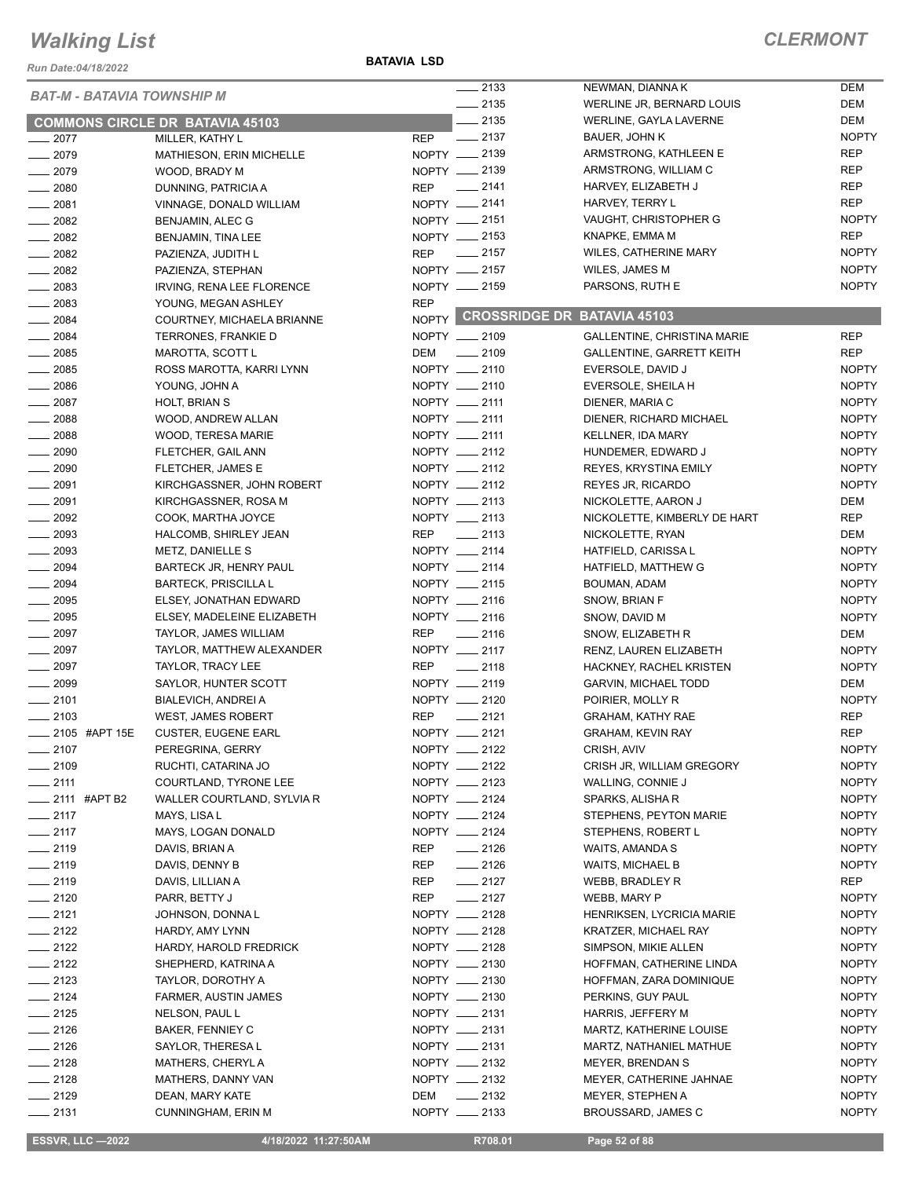*Run Date:04/18/2022*

#### **BATAVIA LSD**

### *CLERMONT*

|                                   |                                        |            | $\frac{1}{2133}$   | NEWMAN, DIANNA K                  | <b>DEM</b>   |
|-----------------------------------|----------------------------------------|------------|--------------------|-----------------------------------|--------------|
| <b>BAT-M - BATAVIA TOWNSHIP M</b> |                                        |            | $-2135$            | WERLINE JR, BERNARD LOUIS         | <b>DEM</b>   |
|                                   | <b>COMMONS CIRCLE DR BATAVIA 45103</b> |            | $-2135$            | WERLINE, GAYLA LAVERNE            | <b>DEM</b>   |
| $-2077$                           | MILLER, KATHY L                        | <b>REP</b> | $\frac{1}{2}$ 2137 | BAUER, JOHN K                     | <b>NOPTY</b> |
| $-2079$                           | MATHIESON, ERIN MICHELLE               |            | NOPTY __ 2139      | ARMSTRONG, KATHLEEN E             | <b>REP</b>   |
| $-2079$                           | WOOD, BRADY M                          |            | NOPTY __ 2139      | ARMSTRONG, WILLIAM C              | <b>REP</b>   |
| $\frac{1}{2080}$                  | DUNNING, PATRICIA A                    | <b>REP</b> | $\frac{1}{2141}$   | HARVEY, ELIZABETH J               | <b>REP</b>   |
|                                   |                                        |            | NOPTY __ 2141      | HARVEY, TERRY L                   | <b>REP</b>   |
| $-2081$                           | VINNAGE, DONALD WILLIAM                |            | NOPTY __ 2151      |                                   | <b>NOPTY</b> |
| $-2082$                           | BENJAMIN, ALEC G                       |            |                    | VAUGHT, CHRISTOPHER G             |              |
| $- 2082$                          | BENJAMIN, TINA LEE                     |            | NOPTY -2153        | KNAPKE, EMMA M                    | <b>REP</b>   |
| $\frac{2082}{200}$                | PAZIENZA, JUDITH L                     |            | REP __ 2157        | WILES, CATHERINE MARY             | <b>NOPTY</b> |
| $-2082$                           | PAZIENZA, STEPHAN                      |            | NOPTY -2157        | WILES, JAMES M                    | <b>NOPTY</b> |
| $\frac{1}{2083}$                  | IRVING, RENA LEE FLORENCE              |            | NOPTY __ 2159      | PARSONS, RUTH E                   | <b>NOPTY</b> |
| $\frac{1}{2083}$                  | YOUNG, MEGAN ASHLEY                    | <b>REP</b> |                    |                                   |              |
| $- 2084$                          | COURTNEY, MICHAELA BRIANNE             |            |                    | NOPTY CROSSRIDGE DR BATAVIA 45103 |              |
| $- 2084$                          | TERRONES, FRANKIE D                    |            | NOPTY __ 2109      | GALLENTINE, CHRISTINA MARIE       | <b>REP</b>   |
| $\frac{1}{2085}$                  | MAROTTA, SCOTT L                       | DEM        | $\frac{1}{2109}$   | GALLENTINE, GARRETT KEITH         | <b>REP</b>   |
| $- 2085$                          | ROSS MAROTTA, KARRI LYNN               |            | NOPTY __ 2110      | EVERSOLE, DAVID J                 | <b>NOPTY</b> |
| $- 2086$                          | YOUNG, JOHN A                          |            | NOPTY __ 2110      | EVERSOLE, SHEILA H                | <b>NOPTY</b> |
| $- 2087$                          | HOLT, BRIAN S                          |            | NOPTY __ 2111      | DIENER, MARIA C                   | <b>NOPTY</b> |
| $\frac{1}{2088}$                  | WOOD, ANDREW ALLAN                     |            | NOPTY __ 2111      | DIENER, RICHARD MICHAEL           | <b>NOPTY</b> |
| $- 2088$                          | WOOD, TERESA MARIE                     |            | NOPTY __ 2111      | KELLNER, IDA MARY                 | <b>NOPTY</b> |
| $\frac{1}{2090}$                  | FLETCHER, GAIL ANN                     |            | NOPTY __ 2112      | HUNDEMER, EDWARD J                | <b>NOPTY</b> |
| $\frac{1}{2090}$                  | FLETCHER, JAMES E                      |            | NOPTY __ 2112      | <b>REYES, KRYSTINA EMILY</b>      | <b>NOPTY</b> |
| $-2091$                           | KIRCHGASSNER, JOHN ROBERT              |            | NOPTY __ 2112      | <b>REYES JR, RICARDO</b>          | <b>NOPTY</b> |
| $\frac{1}{2091}$                  | KIRCHGASSNER, ROSA M                   |            | NOPTY __ 2113      | NICKOLETTE, AARON J               | DEM          |
| $\frac{1}{2092}$                  | COOK, MARTHA JOYCE                     |            | NOPTY __ 2113      | NICKOLETTE, KIMBERLY DE HART      | <b>REP</b>   |
| $\frac{1}{2093}$                  |                                        |            | REP __ 2113        |                                   | DEM          |
| $-2093$                           | HALCOMB, SHIRLEY JEAN                  |            |                    | NICKOLETTE, RYAN                  |              |
|                                   | METZ, DANIELLE S                       |            | NOPTY __ 2114      | HATFIELD, CARISSA L               | <b>NOPTY</b> |
| $\frac{1}{2094}$                  | BARTECK JR, HENRY PAUL                 |            | NOPTY __ 2114      | HATFIELD, MATTHEW G               | <b>NOPTY</b> |
| $\frac{1}{2094}$                  | <b>BARTECK, PRISCILLA L</b>            |            | NOPTY __ 2115      | BOUMAN, ADAM                      | <b>NOPTY</b> |
| $\frac{1}{2095}$                  | ELSEY, JONATHAN EDWARD                 |            | NOPTY __ 2116      | SNOW, BRIAN F                     | <b>NOPTY</b> |
| $\frac{1}{2095}$                  | ELSEY, MADELEINE ELIZABETH             |            | NOPTY __ 2116      | SNOW, DAVID M                     | <b>NOPTY</b> |
| $\frac{1}{2097}$                  | TAYLOR, JAMES WILLIAM                  | REP        | $\frac{1}{2116}$   | SNOW, ELIZABETH R                 | DEM          |
| $- 2097$                          | TAYLOR, MATTHEW ALEXANDER              |            | NOPTY __ 2117      | RENZ, LAUREN ELIZABETH            | <b>NOPTY</b> |
| $\frac{1}{2097}$                  | TAYLOR, TRACY LEE                      | <b>REP</b> | $-2118$            | HACKNEY, RACHEL KRISTEN           | <b>NOPTY</b> |
| $- 2099$                          | SAYLOR, HUNTER SCOTT                   |            | NOPTY __ 2119      | <b>GARVIN, MICHAEL TODD</b>       | <b>DEM</b>   |
| $-2101$                           | BIALEVICH, ANDREI A                    |            | NOPTY __ 2120      | POIRIER, MOLLY R                  | <b>NOPTY</b> |
| $-2103$                           | WEST, JAMES ROBERT                     | <b>REP</b> | $\frac{1}{2121}$   | GRAHAM, KATHY RAE                 | <b>REP</b>   |
| ____ 2105 #APT 15E                | <b>CUSTER, EUGENE EARL</b>             |            | NOPTY __ 2121      | <b>GRAHAM, KEVIN RAY</b>          | <b>REP</b>   |
| $-2107$                           | PEREGRINA, GERRY                       |            | NOPTY __ 2122      | CRISH, AVIV                       | <b>NOPTY</b> |
| $-2109$                           | RUCHTI, CATARINA JO                    |            | NOPTY __ 2122      | CRISH JR, WILLIAM GREGORY         | <b>NOPTY</b> |
| $-2111$                           | COURTLAND, TYRONE LEE                  |            | NOPTY __ 2123      | WALLING, CONNIE J                 | <b>NOPTY</b> |
| $\frac{1}{2111}$ #APT B2          | WALLER COURTLAND, SYLVIA R             |            | NOPTY __ 2124      | SPARKS, ALISHA R                  | <b>NOPTY</b> |
| $-2117$                           | MAYS, LISA L                           |            | NOPTY __ 2124      | STEPHENS, PEYTON MARIE            | <b>NOPTY</b> |
| $-2117$                           | MAYS, LOGAN DONALD                     |            | NOPTY __ 2124      | STEPHENS, ROBERT L                | <b>NOPTY</b> |
| $-2119$                           | DAVIS, BRIAN A                         | REP        | $-2126$            | WAITS, AMANDA S                   | <b>NOPTY</b> |
| $-2119$                           | DAVIS, DENNY B                         | REP        | $-2126$            | <b>WAITS, MICHAEL B</b>           | <b>NOPTY</b> |
| $-2119$                           | DAVIS, LILLIAN A                       | REP        | $-2127$            | WEBB, BRADLEY R                   | REP          |
| $-2120$                           |                                        |            | $-2127$            |                                   |              |
|                                   | PARR, BETTY J                          | REP        | NOPTY __ 2128      | WEBB, MARY P                      | <b>NOPTY</b> |
| $-2121$                           | JOHNSON, DONNAL                        |            |                    | <b>HENRIKSEN, LYCRICIA MARIE</b>  | <b>NOPTY</b> |
| $-2122$                           | HARDY, AMY LYNN                        |            | NOPTY __ 2128      | KRATZER, MICHAEL RAY              | <b>NOPTY</b> |
| $-2122$                           | HARDY, HAROLD FREDRICK                 |            | NOPTY __ 2128      | SIMPSON, MIKIE ALLEN              | <b>NOPTY</b> |
| $\frac{2122}{2}$                  | SHEPHERD, KATRINA A                    |            | NOPTY __ 2130      | HOFFMAN, CATHERINE LINDA          | <b>NOPTY</b> |
| $-2123$                           | TAYLOR, DOROTHY A                      |            | NOPTY __ 2130      | HOFFMAN, ZARA DOMINIQUE           | <b>NOPTY</b> |
| $\frac{1}{2124}$                  | FARMER, AUSTIN JAMES                   |            | NOPTY __ 2130      | PERKINS, GUY PAUL                 | <b>NOPTY</b> |
| $-2125$                           | NELSON, PAUL L                         |            | NOPTY __ 2131      | HARRIS, JEFFERY M                 | <b>NOPTY</b> |
| $-2126$                           | BAKER, FENNIEY C                       |            | NOPTY __ 2131      | MARTZ, KATHERINE LOUISE           | <b>NOPTY</b> |
| $-2126$                           | SAYLOR, THERESA L                      |            | NOPTY __ 2131      | MARTZ, NATHANIEL MATHUE           | <b>NOPTY</b> |
| $-2128$                           | MATHERS, CHERYLA                       |            | NOPTY __ 2132      | MEYER, BRENDAN S                  | <b>NOPTY</b> |
| $-2128$                           | MATHERS, DANNY VAN                     |            | NOPTY __ 2132      | MEYER, CATHERINE JAHNAE           | <b>NOPTY</b> |
| $-2129$                           | DEAN, MARY KATE                        | DEM        | $\frac{1}{2132}$   | MEYER, STEPHEN A                  | <b>NOPTY</b> |
| $-2131$                           | <b>CUNNINGHAM, ERIN M</b>              |            | NOPTY __ 2133      | BROUSSARD, JAMES C                | <b>NOPTY</b> |

**ESSVR, LLC -2022** 4/18/2022 11:27:50AM R708.01 Page 52 of 88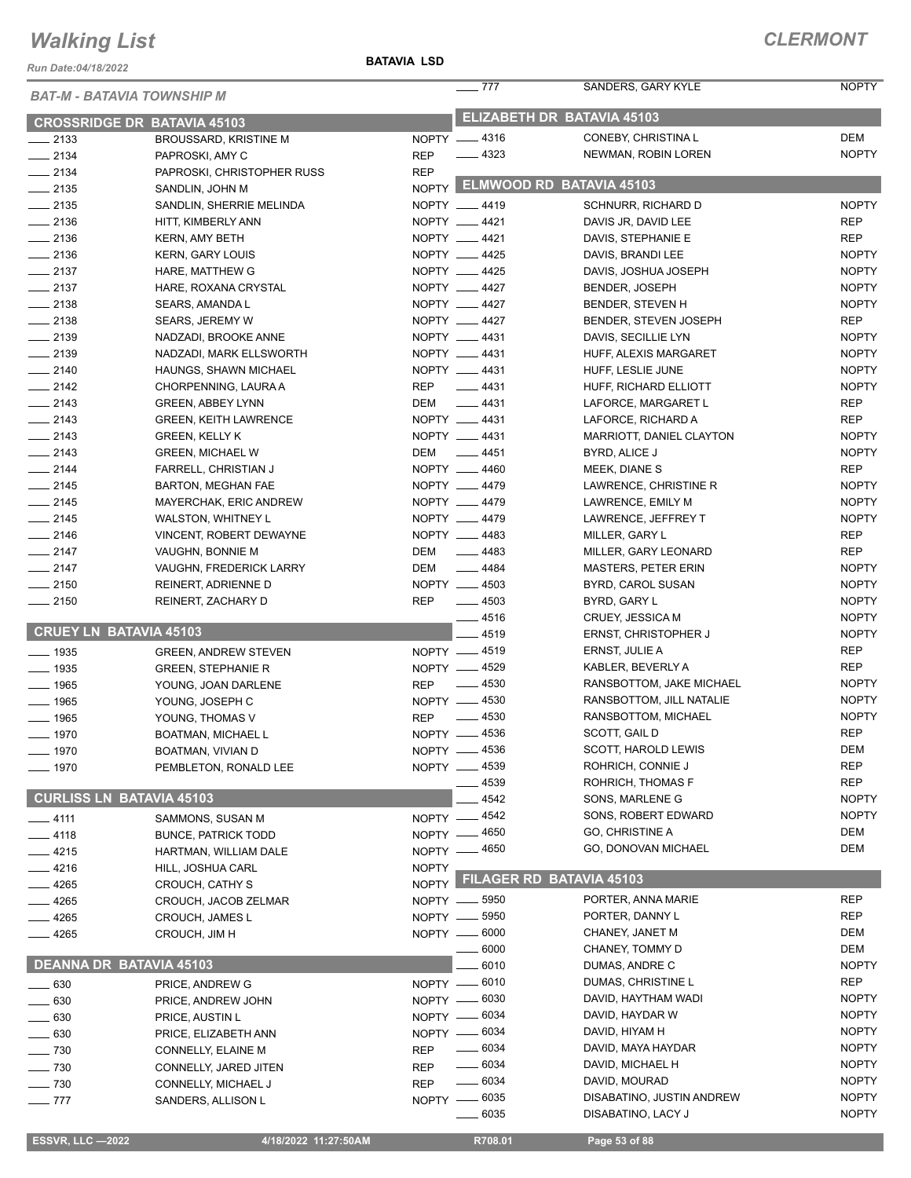*Run Date:04/18/2022*

#### **BATAVIA LSD**

| <b>BAT-M - BATAVIA TOWNSHIP M</b>  |                              |              | $-777$             | SANDERS, GARY KYLE             | <b>NOPTY</b> |
|------------------------------------|------------------------------|--------------|--------------------|--------------------------------|--------------|
| <b>CROSSRIDGE DR BATAVIA 45103</b> |                              |              |                    | ELIZABETH DR BATAVIA 45103     |              |
| $\frac{1}{2133}$                   | BROUSSARD, KRISTINE M        |              | NOPTY -4316        | CONEBY, CHRISTINA L            | <b>DEM</b>   |
| $-2134$                            | PAPROSKI, AMY C              | <b>REP</b>   | $-4323$            | NEWMAN, ROBIN LOREN            | <b>NOPTY</b> |
| $\frac{1}{2134}$                   | PAPROSKI, CHRISTOPHER RUSS   | <b>REP</b>   |                    |                                |              |
| $\frac{1}{2135}$                   | SANDLIN, JOHN M              |              |                    | NOPTY ELMWOOD RD BATAVIA 45103 |              |
| $\frac{1}{2135}$                   | SANDLIN, SHERRIE MELINDA     |              | NOPTY __ 4419      | <b>SCHNURR, RICHARD D</b>      | <b>NOPTY</b> |
| $-2136$                            | HITT, KIMBERLY ANN           |              | NOPTY __ 4421      | DAVIS JR, DAVID LEE            | <b>REP</b>   |
| $-2136$                            | <b>KERN, AMY BETH</b>        |              | NOPTY __ 4421      | DAVIS, STEPHANIE E             | <b>REP</b>   |
| $-2136$                            | <b>KERN, GARY LOUIS</b>      |              | NOPTY __ 4425      | DAVIS, BRANDI LEE              | <b>NOPTY</b> |
| $\frac{2137}{2}$                   | HARE, MATTHEW G              |              | NOPTY __ 4425      | DAVIS, JOSHUA JOSEPH           | <b>NOPTY</b> |
| $-2137$                            | HARE, ROXANA CRYSTAL         |              | NOPTY __ 4427      | <b>BENDER, JOSEPH</b>          | <b>NOPTY</b> |
| $-2138$                            | SEARS, AMANDA L              |              | NOPTY __ 4427      | BENDER, STEVEN H               | <b>NOPTY</b> |
| $-2138$                            | <b>SEARS, JEREMY W</b>       |              | NOPTY __ 4427      | BENDER, STEVEN JOSEPH          | <b>REP</b>   |
| $-2139$                            | NADZADI, BROOKE ANNE         |              | NOPTY __ 4431      | DAVIS, SECILLIE LYN            | <b>NOPTY</b> |
| $\frac{1}{2139}$                   | NADZADI, MARK ELLSWORTH      |              | NOPTY __ 4431      | HUFF, ALEXIS MARGARET          | <b>NOPTY</b> |
| $-2140$                            | HAUNGS, SHAWN MICHAEL        |              | NOPTY __ 4431      | HUFF, LESLIE JUNE              | <b>NOPTY</b> |
| $-2142$                            | CHORPENNING, LAURA A         | REP          | $-4431$            | HUFF, RICHARD ELLIOTT          | <b>NOPTY</b> |
| $\frac{1}{2143}$                   | <b>GREEN, ABBEY LYNN</b>     | DEM          | $\frac{1}{2}$ 4431 | LAFORCE, MARGARET L            | <b>REP</b>   |
| $\frac{1}{2143}$                   | <b>GREEN, KEITH LAWRENCE</b> |              | NOPTY __ 4431      | LAFORCE, RICHARD A             | <b>REP</b>   |
| $\frac{2143}{2}$                   | <b>GREEN, KELLY K</b>        |              | NOPTY __ 4431      | MARRIOTT, DANIEL CLAYTON       | <b>NOPTY</b> |
| $-2143$                            | <b>GREEN, MICHAEL W</b>      | DEM          | $\frac{1}{2}$ 4451 | BYRD, ALICE J                  | <b>NOPTY</b> |
| $-2144$                            | FARRELL, CHRISTIAN J         |              | NOPTY __ 4460      | MEEK, DIANE S                  | <b>REP</b>   |
| $\frac{1}{2145}$                   | <b>BARTON, MEGHAN FAE</b>    |              | NOPTY __ 4479      | LAWRENCE, CHRISTINE R          | <b>NOPTY</b> |
| $-2145$                            | MAYERCHAK, ERIC ANDREW       |              | NOPTY __ 4479      | LAWRENCE, EMILY M              | <b>NOPTY</b> |
| $-2145$                            | WALSTON, WHITNEY L           |              | NOPTY __ 4479      | LAWRENCE, JEFFREY T            | <b>NOPTY</b> |
| $-2146$                            | VINCENT, ROBERT DEWAYNE      |              | NOPTY __ 4483      | MILLER, GARY L                 | <b>REP</b>   |
| $-2147$                            | VAUGHN, BONNIE M             | DEM          | $-4483$            | MILLER, GARY LEONARD           | <b>REP</b>   |
| $-2147$                            | VAUGHN, FREDERICK LARRY      | DEM          | $- 4484$           | MASTERS, PETER ERIN            | <b>NOPTY</b> |
| $-2150$                            | REINERT, ADRIENNE D          |              | NOPTY __ 4503      | BYRD, CAROL SUSAN              | <b>NOPTY</b> |
| $-2150$                            | REINERT, ZACHARY D           | <b>REP</b>   | $\frac{1}{2}$ 4503 | BYRD, GARY L                   | <b>NOPTY</b> |
|                                    |                              |              | $-4516$            | <b>CRUEY, JESSICA M</b>        | <b>NOPTY</b> |
| <b>CRUEY LN BATAVIA 45103</b>      |                              |              | 4519               | <b>ERNST, CHRISTOPHER J</b>    | <b>NOPTY</b> |
| $- 1935$                           | <b>GREEN, ANDREW STEVEN</b>  |              | NOPTY -4519        | ERNST, JULIE A                 | <b>REP</b>   |
| $- 1935$                           | <b>GREEN, STEPHANIE R</b>    |              | NOPTY __ 4529      | KABLER, BEVERLY A              | <b>REP</b>   |
| $- 1965$                           | YOUNG, JOAN DARLENE          | <b>REP</b>   | $-4530$            | RANSBOTTOM, JAKE MICHAEL       | <b>NOPTY</b> |
| $- 1965$                           | YOUNG, JOSEPH C              |              | NOPTY -4530        | RANSBOTTOM, JILL NATALIE       | <b>NOPTY</b> |
| $- 1965$                           | YOUNG, THOMAS V              | <b>REP</b>   | $-4530$            | RANSBOTTOM, MICHAEL            | <b>NOPTY</b> |
| $- 1970$                           |                              |              | NOPTY -4536        | SCOTT, GAIL D                  | <b>REP</b>   |
|                                    | <b>BOATMAN, MICHAEL L</b>    |              | NOPTY __ 4536      | SCOTT, HAROLD LEWIS            | <b>DEM</b>   |
| $- 1970$                           | BOATMAN, VIVIAN D            |              | NOPTY __ 4539      | ROHRICH, CONNIE J              | <b>REP</b>   |
| $- 1970$                           | PEMBLETON, RONALD LEE        |              | 4539               | ROHRICH, THOMAS F              | <b>REP</b>   |
| <b>CURLISS LN BATAVIA 45103</b>    |                              |              | 4542               | SONS, MARLENE G                | <b>NOPTY</b> |
|                                    |                              |              | NOPTY - 4542       | SONS, ROBERT EDWARD            | <b>NOPTY</b> |
| $-4111$                            | SAMMONS, SUSAN M             |              | NOPTY - 4650       | <b>GO, CHRISTINE A</b>         | DEM          |
| __ 4118                            | <b>BUNCE, PATRICK TODD</b>   |              |                    | GO, DONOVAN MICHAEL            | <b>DEM</b>   |
| $-4215$                            | HARTMAN, WILLIAM DALE        |              | NOPTY - 4650       |                                |              |
| $-4216$                            | HILL, JOSHUA CARL            | <b>NOPTY</b> |                    | NOPTY FILAGER RD BATAVIA 45103 |              |
| $-4265$                            | CROUCH, CATHY S              |              |                    |                                |              |
| $-4265$                            | CROUCH, JACOB ZELMAR         |              | NOPTY __ 5950      | PORTER, ANNA MARIE             | <b>REP</b>   |
| 4265                               | <b>CROUCH, JAMES L</b>       |              | NOPTY __ 5950      | PORTER, DANNY L                | <b>REP</b>   |
| 4265                               | CROUCH, JIM H                |              | NOPTY -6000        | CHANEY, JANET M                | DEM          |
|                                    |                              |              | 6000               | CHANEY, TOMMY D                | <b>DEM</b>   |
| <b>DEANNA DR BATAVIA 45103</b>     |                              |              | 6010               | DUMAS, ANDRE C                 | <b>NOPTY</b> |
| $\sim$ 630                         | PRICE, ANDREW G              |              | NOPTY - 6010       | DUMAS, CHRISTINE L             | <b>REP</b>   |
| 630                                | PRICE, ANDREW JOHN           |              | NOPTY - 6030       | DAVID, HAYTHAM WADI            | <b>NOPTY</b> |
| 630                                | PRICE, AUSTIN L              | NOPTY -      | 6034               | DAVID, HAYDAR W                | <b>NOPTY</b> |
| 630                                | PRICE, ELIZABETH ANN         |              | NOPTY - 6034       | DAVID, HIYAM H                 | <b>NOPTY</b> |
| $-730$                             | CONNELLY, ELAINE M           | <b>REP</b>   | $- 6034$           | DAVID, MAYA HAYDAR             | <b>NOPTY</b> |
| $-730$                             | CONNELLY, JARED JITEN        | <b>REP</b>   | $\frac{1}{2}$ 6034 | DAVID, MICHAEL H               | <b>NOPTY</b> |
| $\sim$ 730                         | CONNELLY, MICHAEL J          | <b>REP</b>   | $- 6034$           | DAVID, MOURAD                  | <b>NOPTY</b> |
| $\equiv$ 777                       | SANDERS, ALLISON L           |              | NOPTY - 6035       | DISABATINO, JUSTIN ANDREW      | <b>NOPTY</b> |
|                                    |                              |              | _____ 6035         | DISABATINO, LACY J             | <b>NOPTY</b> |
| <b>ESSVR, LLC -2022</b>            | 4/18/2022 11:27:50AM         |              | R708.01            | Page 53 of 88                  |              |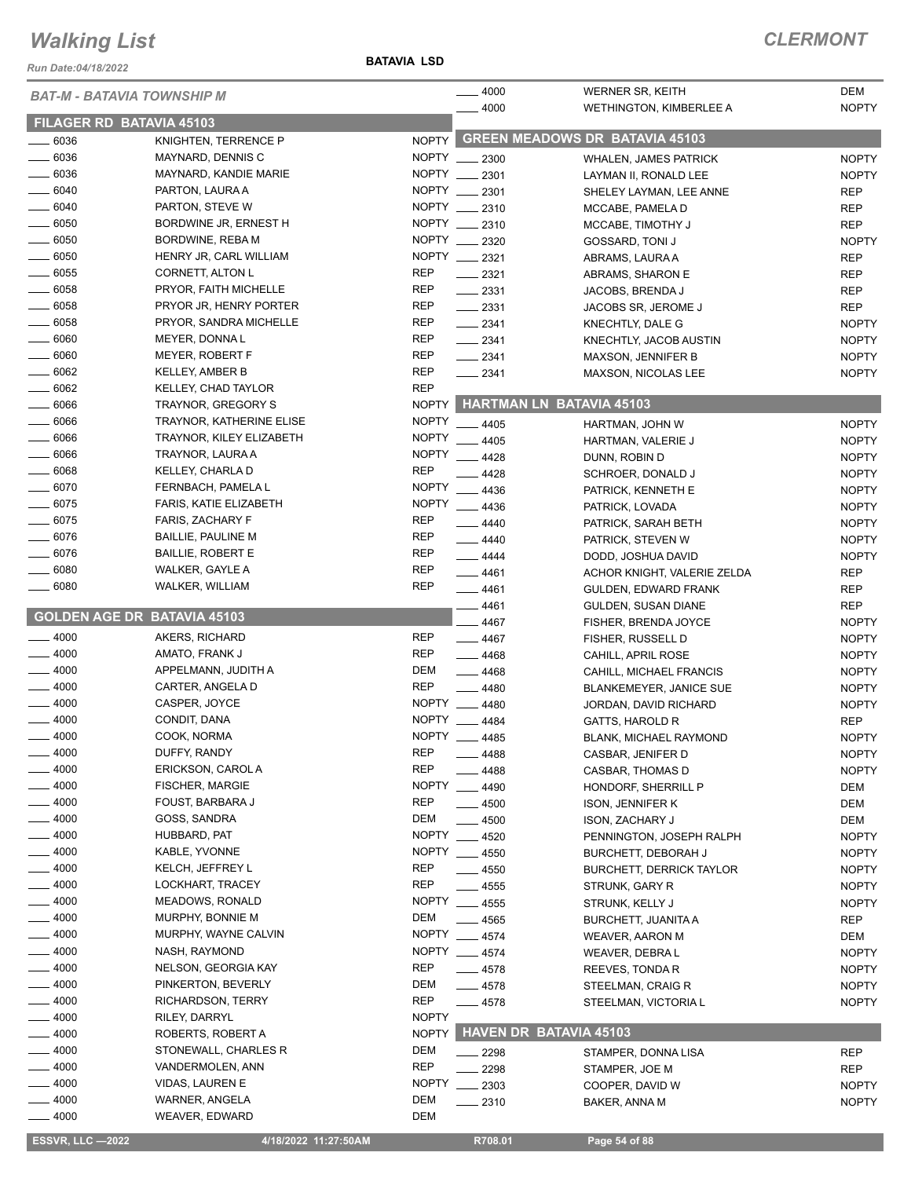*Run Date:04/18/2022*

**BATAVIA LSD**

|                    | BAT-M - BATAVIA TOWNSHIP M         |              | 4000                      | <b>WERNER SR, KEITH</b>               | <b>DEM</b>        |
|--------------------|------------------------------------|--------------|---------------------------|---------------------------------------|-------------------|
|                    |                                    |              | 4000                      | <b>WETHINGTON, KIMBERLEE A</b>        | <b>NOPTY</b>      |
|                    | FILAGER RD BATAVIA 45103           |              |                           |                                       |                   |
| $- 6036$           | KNIGHTEN, TERRENCE P               | <b>NOPTY</b> |                           | <b>GREEN MEADOWS DR BATAVIA 45103</b> |                   |
| $\frac{1}{2}$ 6036 | MAYNARD, DENNIS C                  | NOPTY __     | 2300                      | <b>WHALEN, JAMES PATRICK</b>          | <b>NOPTY</b>      |
| $- 6036$           | MAYNARD, KANDIE MARIE              | <b>NOPTY</b> | 2301                      | LAYMAN II, RONALD LEE                 | <b>NOPTY</b>      |
| $- 6040$           | PARTON, LAURA A                    | <b>NOPTY</b> | 2301                      | SHELEY LAYMAN, LEE ANNE               | <b>REP</b>        |
| $- 6040$           | PARTON, STEVE W                    | <b>NOPTY</b> | 2310                      | MCCABE, PAMELA D                      | <b>REP</b>        |
| $- 6050$           | BORDWINE JR, ERNEST H              | NOPTY        | 2310                      | MCCABE, TIMOTHY J                     | <b>REP</b>        |
| $\frac{1}{2}$ 6050 | BORDWINE, REBA M                   | NOPTY __     | 2320                      | <b>GOSSARD, TONI J</b>                | <b>NOPTY</b>      |
| $=6050$            | HENRY JR, CARL WILLIAM             |              | NOPTY __ 2321             | ABRAMS, LAURA A                       | <b>REP</b>        |
| $\frac{1}{2}$ 6055 | CORNETT, ALTON L                   | <b>REP</b>   | $\frac{2321}{2}$          | ABRAMS, SHARON E                      | <b>REP</b>        |
| $\frac{1}{2}$ 6058 | PRYOR, FAITH MICHELLE              | <b>REP</b>   | $\frac{1}{2}$ 2331        | JACOBS, BRENDA J                      | <b>REP</b>        |
| $- 6058$           | PRYOR JR, HENRY PORTER             | <b>REP</b>   | $-2331$                   | JACOBS SR, JEROME J                   | <b>REP</b>        |
| $\frac{1}{2}$ 6058 | PRYOR, SANDRA MICHELLE             | <b>REP</b>   | $-2341$                   | KNECHTLY, DALE G                      | <b>NOPTY</b>      |
| $- 6060$           | MEYER, DONNA L                     | REP          | $-2341$                   |                                       | <b>NOPTY</b>      |
| $\frac{1}{2}$ 6060 | MEYER, ROBERT F                    | <b>REP</b>   |                           | KNECHTLY, JACOB AUSTIN                |                   |
| $- 6062$           | <b>KELLEY, AMBER B</b>             | <b>REP</b>   | $\frac{1}{2}$ 2341        | <b>MAXSON, JENNIFER B</b>             | <b>NOPTY</b>      |
|                    |                                    |              | $-2341$                   | <b>MAXSON, NICOLAS LEE</b>            | <b>NOPTY</b>      |
| $- 6062$           | KELLEY, CHAD TAYLOR                | <b>REP</b>   |                           |                                       |                   |
| $- 6066$           | TRAYNOR, GREGORY S                 | <b>NOPTY</b> |                           | <b>HARTMAN LN BATAVIA 45103</b>       |                   |
| $-6066$            | <b>TRAYNOR, KATHERINE ELISE</b>    | <b>NOPTY</b> | 4405                      | HARTMAN, JOHN W                       | <b>NOPTY</b>      |
| $\frac{1}{2}$ 6066 | TRAYNOR, KILEY ELIZABETH           | <b>NOPTY</b> | 4405                      | HARTMAN, VALERIE J                    | <b>NOPTY</b>      |
| $- 6066$           | TRAYNOR, LAURA A                   | <b>NOPTY</b> | 4428                      | DUNN, ROBIN D                         | <b>NOPTY</b>      |
| $- 6068$           | KELLEY, CHARLA D                   | <b>REP</b>   | 4428                      | SCHROER, DONALD J                     | <b>NOPTY</b>      |
| $-6070$            | FERNBACH, PAMELA L                 | <b>NOPTY</b> | 4436                      | PATRICK, KENNETH E                    | <b>NOPTY</b>      |
| $-6075$            | FARIS, KATIE ELIZABETH             | <b>NOPTY</b> | 4436                      | PATRICK, LOVADA                       | <b>NOPTY</b>      |
| $- 6075$           | FARIS, ZACHARY F                   | <b>REP</b>   | 4440                      | PATRICK, SARAH BETH                   | <b>NOPTY</b>      |
| $- 6076$           | <b>BAILLIE, PAULINE M</b>          | <b>REP</b>   | $-4440$                   | PATRICK, STEVEN W                     | <b>NOPTY</b>      |
| $- 6076$           | <b>BAILLIE, ROBERT E</b>           | <b>REP</b>   | $-4444$                   | DODD, JOSHUA DAVID                    | <b>NOPTY</b>      |
| $- 6080$           | WALKER, GAYLE A                    | <b>REP</b>   | $- 4461$                  | ACHOR KNIGHT, VALERIE ZELDA           | <b>REP</b>        |
| $- 6080$           | <b>WALKER, WILLIAM</b>             | <b>REP</b>   | $-4461$                   | GULDEN, EDWARD FRANK                  | <b>REP</b>        |
|                    |                                    |              | 4461                      |                                       | <b>REP</b>        |
|                    |                                    |              |                           |                                       |                   |
|                    | <b>GOLDEN AGE DR BATAVIA 45103</b> |              |                           | GULDEN, SUSAN DIANE                   |                   |
|                    |                                    |              | 4467                      | FISHER, BRENDA JOYCE                  | <b>NOPTY</b>      |
| $-4000$            | AKERS, RICHARD                     | <b>REP</b>   | $-4467$                   | FISHER, RUSSELL D                     | <b>NOPTY</b>      |
| $-4000$            | AMATO, FRANK J                     | <b>REP</b>   | $-4468$                   | CAHILL, APRIL ROSE                    | <b>NOPTY</b>      |
| $-4000$            | APPELMANN, JUDITH A                | DEM          | $-4468$                   | CAHILL, MICHAEL FRANCIS               | <b>NOPTY</b>      |
| $-4000$            | CARTER, ANGELA D                   | <b>REP</b>   | 4480                      | BLANKEMEYER, JANICE SUE               | <b>NOPTY</b>      |
| $-4000$            | CASPER, JOYCE                      | <b>NOPTY</b> | 4480                      | JORDAN, DAVID RICHARD                 | <b>NOPTY</b>      |
| 4000               | CONDIT, DANA                       | <b>NOPTY</b> | 4484                      | <b>GATTS, HAROLD R</b>                | <b>REP</b>        |
| $-4000$            | COOK, NORMA                        | <b>NOPTY</b> | 4485                      | <b>BLANK, MICHAEL RAYMOND</b>         | <b>NOPTY</b>      |
| $-4000$            | DUFFY, RANDY                       | <b>REP</b>   | 4488                      | CASBAR, JENIFER D                     | <b>NOPTY</b>      |
| 4000               | ERICKSON, CAROL A                  | <b>REP</b>   | 4488                      | CASBAR, THOMAS D                      | <b>NOPTY</b>      |
| $-4000$            | <b>FISCHER, MARGIE</b>             | <b>NOPTY</b> | 4490                      | HONDORF, SHERRILL P                   | DEM               |
| $-4000$            | FOUST, BARBARA J                   | <b>REP</b>   | $-4500$                   | <b>ISON, JENNIFER K</b>               | DEM               |
| _ 4000             | GOSS, SANDRA                       | DEM          | 4500                      | <b>ISON, ZACHARY J</b>                | DEM               |
| $-4000$            | HUBBARD, PAT                       | <b>NOPTY</b> | 4520                      | PENNINGTON, JOSEPH RALPH              | <b>NOPTY</b>      |
| _ 4000             | KABLE, YVONNE                      | NOPTY        | $-4550$                   | BURCHETT, DEBORAH J                   | <b>NOPTY</b>      |
| $-4000$            | KELCH, JEFFREY L                   | <b>REP</b>   | 4550                      | <b>BURCHETT, DERRICK TAYLOR</b>       | <b>NOPTY</b>      |
| $-4000$            | LOCKHART, TRACEY                   | <b>REP</b>   | - 4555                    | STRUNK, GARY R                        | <b>NOPTY</b>      |
| $=4000$            | MEADOWS, RONALD                    | NOPTY        | 4555                      | STRUNK, KELLY J                       | <b>NOPTY</b>      |
| $-4000$            | MURPHY, BONNIE M                   | DEM          |                           |                                       |                   |
| 4000               | MURPHY, WAYNE CALVIN               |              | $- 4565$<br>NOPTY __ 4574 | <b>BURCHETT, JUANITA A</b>            | <b>REP</b><br>DEM |
| .4000              | NASH, RAYMOND                      |              |                           | WEAVER, AARON M                       |                   |
|                    |                                    |              | NOPTY __ 4574             | WEAVER, DEBRA L                       | <b>NOPTY</b>      |
| $-4000$            | NELSON, GEORGIA KAY                | <b>REP</b>   | $-4578$                   | REEVES, TONDA R                       | <b>NOPTY</b>      |
| _ 4000             | PINKERTON, BEVERLY                 | DEM          | $-4578$                   | STEELMAN, CRAIG R                     | <b>NOPTY</b>      |
| $-4000$            | RICHARDSON, TERRY                  | <b>REP</b>   | $-4578$                   | STEELMAN, VICTORIA L                  | <b>NOPTY</b>      |
| _ 4000             | RILEY, DARRYL                      | <b>NOPTY</b> |                           |                                       |                   |
| _ 4000             | ROBERTS, ROBERT A                  | <b>NOPTY</b> |                           | <b>HAVEN DR BATAVIA 45103</b>         |                   |
| - 4000             | STONEWALL, CHARLES R               | DEM          | 2298                      | STAMPER, DONNA LISA                   | REP               |
| - 4000             | VANDERMOLEN, ANN                   | <b>REP</b>   | 2298                      | STAMPER, JOE M                        | <b>REP</b>        |
| $-4000$            | VIDAS, LAUREN E                    | <b>NOPTY</b> | 2303                      | COOPER, DAVID W                       | <b>NOPTY</b>      |
| $-4000$<br>$-4000$ | WARNER, ANGELA<br>WEAVER, EDWARD   | DEM<br>DEM   | 2310                      | BAKER, ANNA M                         | <b>NOPTY</b>      |

**ESSVR, LLC -2022** 4/18/2022 11:27:50AM R708.01 Page 54 of 88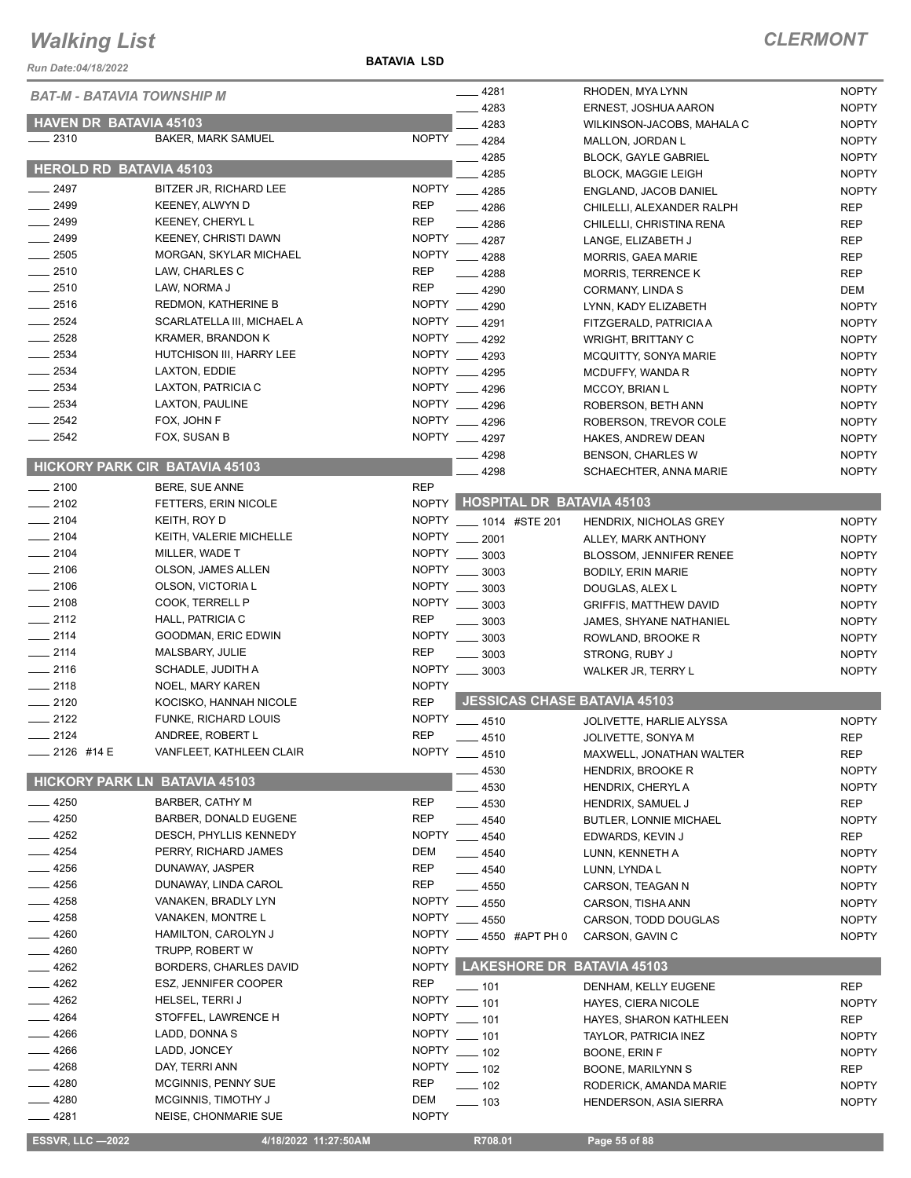*Run Date:04/18/2022*

**BATAVIA LSD**

| <b>BAT-M - BATAVIA TOWNSHIP M</b>     |                                                 |                          | _ 4281                           | RHODEN, MYA LYNN                            | <b>NOPTY</b>                 |
|---------------------------------------|-------------------------------------------------|--------------------------|----------------------------------|---------------------------------------------|------------------------------|
|                                       |                                                 |                          | 4283                             | ERNEST, JOSHUA AARON                        | <b>NOPTY</b>                 |
| <b>HAVEN DR BATAVIA 45103</b>         |                                                 |                          | 4283                             | WILKINSON-JACOBS, MAHALA C                  | <b>NOPTY</b>                 |
| 2310                                  | <b>BAKER, MARK SAMUEL</b>                       | <b>NOPTY</b>             | 4284                             | MALLON, JORDAN L                            | <b>NOPTY</b>                 |
| <b>HEROLD RD BATAVIA 45103</b>        |                                                 |                          | 4285                             | <b>BLOCK, GAYLE GABRIEL</b>                 | <b>NOPTY</b>                 |
|                                       |                                                 |                          | 4285                             | <b>BLOCK. MAGGIE LEIGH</b>                  | <b>NOPTY</b>                 |
| $\frac{2497}{2}$                      | BITZER JR, RICHARD LEE                          |                          | NOPTY __ 4285                    | ENGLAND, JACOB DANIEL                       | <b>NOPTY</b>                 |
| $-2499$                               | KEENEY, ALWYN D                                 | <b>REP</b><br><b>REP</b> | 4286                             | CHILELLI, ALEXANDER RALPH                   | <b>REP</b>                   |
| $\frac{1}{2499}$<br>$-2499$           | KEENEY, CHERYL L<br><b>KEENEY, CHRISTI DAWN</b> |                          | 4286<br>NOPTY __ 4287            | CHILELLI, CHRISTINA RENA                    | <b>REP</b>                   |
| $-2505$                               |                                                 |                          | NOPTY 4288                       | LANGE, ELIZABETH J                          | <b>REP</b>                   |
| $-2510$                               | MORGAN, SKYLAR MICHAEL<br>LAW, CHARLES C        | <b>REP</b>               |                                  | <b>MORRIS, GAEA MARIE</b>                   | <b>REP</b>                   |
| 2510                                  | LAW, NORMA J                                    | <b>REP</b>               | $-4288$                          | <b>MORRIS, TERRENCE K</b>                   | <b>REP</b>                   |
| $-2516$                               | REDMON, KATHERINE B                             |                          | $-4290$<br>NOPTY __ 4290         | CORMANY, LINDA S                            | DEM                          |
| 2524                                  | SCARLATELLA III, MICHAEL A                      |                          | NOPTY __ 4291                    | LYNN, KADY ELIZABETH                        | <b>NOPTY</b>                 |
| $-2528$                               | <b>KRAMER, BRANDON K</b>                        |                          | NOPTY __ 4292                    | FITZGERALD, PATRICIA A                      | <b>NOPTY</b>                 |
| $-2534$                               | HUTCHISON III, HARRY LEE                        |                          | NOPTY __ 4293                    | <b>WRIGHT, BRITTANY C</b>                   | <b>NOPTY</b>                 |
| $-2534$                               | LAXTON, EDDIE                                   |                          | NOPTY 4295                       | MCQUITTY, SONYA MARIE                       | <b>NOPTY</b><br><b>NOPTY</b> |
| 2534                                  | LAXTON, PATRICIA C                              |                          | NOPTY __ 4296                    | MCDUFFY, WANDA R                            | <b>NOPTY</b>                 |
| $-2534$                               | LAXTON, PAULINE                                 |                          | NOPTY __ 4296                    | <b>MCCOY, BRIAN L</b><br>ROBERSON, BETH ANN | <b>NOPTY</b>                 |
| $-2542$                               | FOX, JOHN F                                     |                          | NOPTY __ 4296                    |                                             |                              |
| 2542                                  | FOX, SUSAN B                                    |                          | NOPTY __ 4297                    | ROBERSON, TREVOR COLE<br>HAKES, ANDREW DEAN | <b>NOPTY</b><br><b>NOPTY</b> |
|                                       |                                                 |                          | 4298                             | BENSON, CHARLES W                           | <b>NOPTY</b>                 |
| <b>HICKORY PARK CIR BATAVIA 45103</b> |                                                 |                          | 4298                             | SCHAECHTER, ANNA MARIE                      | <b>NOPTY</b>                 |
| $-2100$                               | BERE, SUE ANNE                                  | <b>REP</b>               |                                  |                                             |                              |
| $\frac{1}{2102}$                      | FETTERS, ERIN NICOLE                            |                          | NOPTY HOSPITAL DR BATAVIA 45103  |                                             |                              |
| $-2104$                               | KEITH, ROY D                                    |                          | NOPTY ____ 1014 #STE 201         | HENDRIX, NICHOLAS GREY                      | <b>NOPTY</b>                 |
| $-2104$                               | KEITH, VALERIE MICHELLE                         |                          | NOPTY __ 2001                    | ALLEY, MARK ANTHONY                         | <b>NOPTY</b>                 |
| 2104                                  | MILLER, WADE T                                  | NOPTY                    | 3003                             | BLOSSOM, JENNIFER RENEE                     | <b>NOPTY</b>                 |
| $-2106$                               | OLSON, JAMES ALLEN                              | <b>NOPTY</b>             | 3003                             | <b>BODILY, ERIN MARIE</b>                   | <b>NOPTY</b>                 |
| $-2106$                               | OLSON, VICTORIA L                               |                          | NOPTY __ 3003                    | DOUGLAS, ALEX L                             | <b>NOPTY</b>                 |
| $-2108$                               | COOK, TERRELL P                                 | NOPTY                    | 3003                             | <b>GRIFFIS, MATTHEW DAVID</b>               | <b>NOPTY</b>                 |
| $\frac{1}{2112}$                      | HALL, PATRICIA C                                | <b>REP</b>               | 3003                             | JAMES, SHYANE NATHANIEL                     | <b>NOPTY</b>                 |
| 2114                                  | GOODMAN, ERIC EDWIN                             | NOPTY __                 | 3003                             | ROWLAND, BROOKE R                           | <b>NOPTY</b>                 |
| $-2114$                               | MALSBARY, JULIE                                 | <b>REP</b>               | 3003                             | STRONG, RUBY J                              | <b>NOPTY</b>                 |
| $-2116$                               | SCHADLE, JUDITH A                               |                          | NOPTY __ 3003                    | WALKER JR, TERRY L                          | <b>NOPTY</b>                 |
| $-2118$                               | NOEL, MARY KAREN                                | <b>NOPTY</b>             |                                  |                                             |                              |
| $-2120$                               | KOCISKO, HANNAH NICOLE                          | <b>REP</b>               |                                  | <b>JESSICAS CHASE BATAVIA 45103</b>         |                              |
| $-2122$                               | FUNKE, RICHARD LOUIS                            | <b>NOPTY</b>             | $-4510$                          | <b>JOLIVETTE, HARLIE ALYSSA</b>             | <b>NOPTY</b>                 |
| $-2124$                               | ANDREE, ROBERT L                                | <b>REP</b>               | $-4510$                          | JOLIVETTE, SONYA M                          | <b>REP</b>                   |
| —— 2126 #14 Е                         | VANFLEET, KATHLEEN CLAIR                        | <b>NOPTY</b>             | $-4510$                          | MAXWELL, JONATHAN WALTER                    | <b>REP</b>                   |
|                                       |                                                 |                          | 4530                             | HENDRIX, BROOKE R                           | <b>NOPTY</b>                 |
| HICKORY PARK LN BATAVIA 45103         |                                                 |                          | 4530                             | HENDRIX, CHERYLA                            | <b>NOPTY</b>                 |
| $-4250$                               | BARBER, CATHY M                                 | <b>REP</b>               | $-4530$                          | HENDRIX, SAMUEL J                           | <b>REP</b>                   |
| $-4250$                               | BARBER, DONALD EUGENE                           | <b>REP</b>               | $-4540$                          | <b>BUTLER, LONNIE MICHAEL</b>               | <b>NOPTY</b>                 |
| $-4252$                               | DESCH, PHYLLIS KENNEDY                          | <b>NOPTY</b>             | $-4540$                          | EDWARDS, KEVIN J                            | <b>REP</b>                   |
| 4254                                  | PERRY, RICHARD JAMES                            | DEM                      | $-4540$                          | LUNN, KENNETH A                             | <b>NOPTY</b>                 |
| 4256                                  | DUNAWAY, JASPER                                 | REP                      | $-4540$                          | LUNN, LYNDA L                               | <b>NOPTY</b>                 |
| 4256                                  | DUNAWAY, LINDA CAROL                            | <b>REP</b>               | $-4550$                          | CARSON, TEAGAN N                            | <b>NOPTY</b>                 |
| 4258                                  | VANAKEN, BRADLY LYN                             | <b>NOPTY</b>             | 4550                             | CARSON, TISHA ANN                           | <b>NOPTY</b>                 |
| $-4258$                               | VANAKEN, MONTRE L                               |                          | NOPTY __ 4550                    | CARSON, TODD DOUGLAS                        | <b>NOPTY</b>                 |
| 4260                                  | HAMILTON, CAROLYN J                             | <b>NOPTY</b>             | <b>LEGGIO #APT PH 0</b>          | CARSON, GAVIN C                             | <b>NOPTY</b>                 |
| 4260                                  | TRUPP, ROBERT W                                 | <b>NOPTY</b>             |                                  |                                             |                              |
| 4262                                  | BORDERS, CHARLES DAVID                          |                          | NOPTY LAKESHORE DR BATAVIA 45103 |                                             |                              |
| 4262                                  | ESZ, JENNIFER COOPER                            | <b>REP</b>               | ___ 101                          | DENHAM, KELLY EUGENE                        | <b>REP</b>                   |
| $-4262$                               | <b>HELSEL, TERRIJ</b>                           | <b>NOPTY</b>             | $-$ 101                          | <b>HAYES, CIERA NICOLE</b>                  | <b>NOPTY</b>                 |
| $-4264$                               | STOFFEL, LAWRENCE H                             | <b>NOPTY</b>             | $-101$                           | HAYES, SHARON KATHLEEN                      | <b>REP</b>                   |
| _ 4266                                | LADD, DONNA S                                   | <b>NOPTY</b>             | $-101$                           | <b>TAYLOR, PATRICIA INEZ</b>                | <b>NOPTY</b>                 |
| $-4266$                               | LADD, JONCEY                                    | <b>NOPTY</b>             | $=$ 102                          | BOONE, ERIN F                               | <b>NOPTY</b>                 |
| 4268                                  | DAY, TERRI ANN                                  | <b>NOPTY</b>             | $\frac{1}{2}$ 102                | BOONE, MARILYNN S                           | REP                          |
| 4280                                  | MCGINNIS, PENNY SUE                             | REP                      | $-$ 102                          | RODERICK, AMANDA MARIE                      | <b>NOPTY</b>                 |
| 4280                                  | MCGINNIS, TIMOTHY J                             | DEM                      | $- 103$                          | HENDERSON, ASIA SIERRA                      | <b>NOPTY</b>                 |
| 4281                                  | <b>NEISE, CHONMARIE SUE</b>                     | <b>NOPTY</b>             |                                  |                                             |                              |
| <b>ESSVR, LLC-2022</b>                | 4/18/2022 11:27:50AM                            |                          | R708.01                          | Page 55 of 88                               |                              |
|                                       |                                                 |                          |                                  |                                             |                              |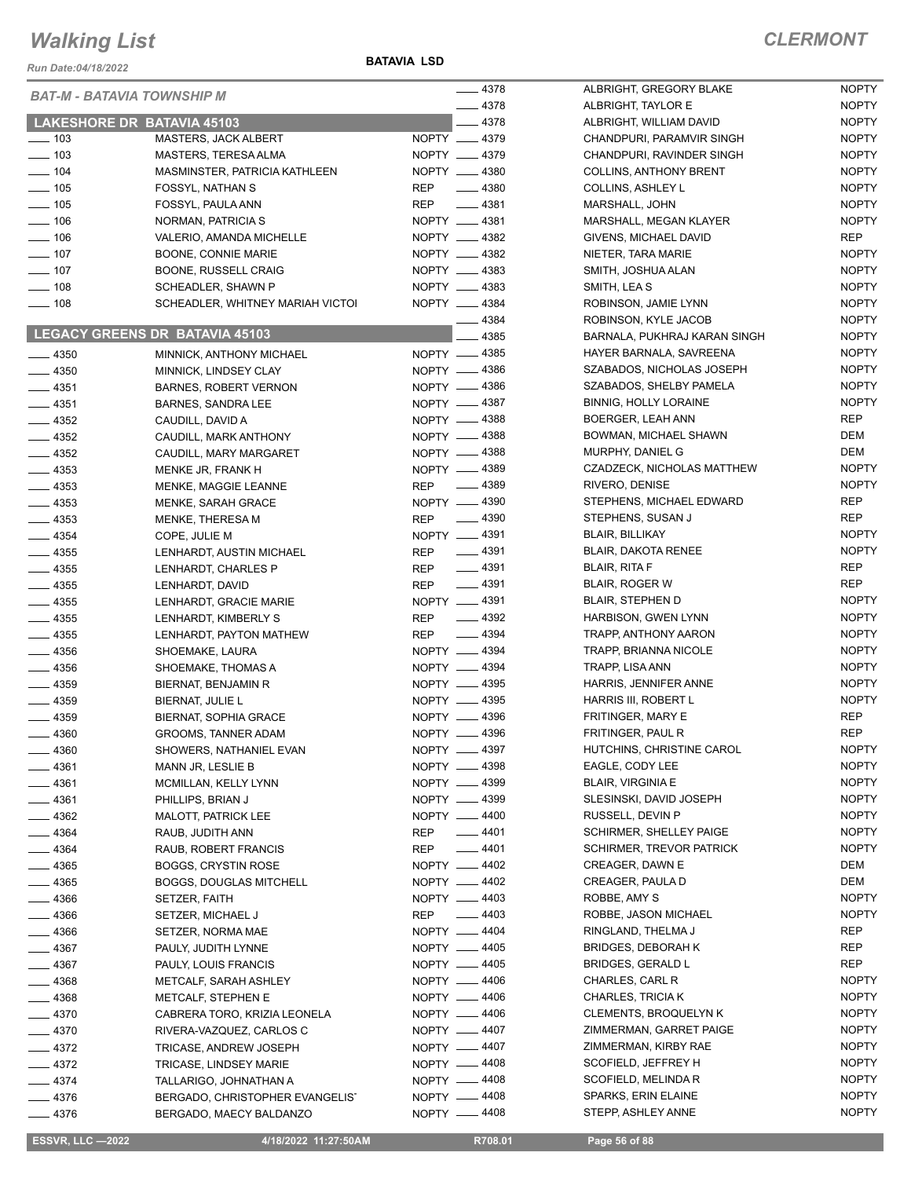#### *Run Date:04/18/2022*

#### **BATAVIA LSD**

|                    | <b>BAT-M - BATAVIA TOWNSHIP M</b>                         |                              | $-4378$  | ALBRIGHT, G                 |
|--------------------|-----------------------------------------------------------|------------------------------|----------|-----------------------------|
|                    |                                                           |                              | $-4378$  | ALBRIGHT, TA                |
| ____ 103           | <b>LAKESHORE DR BATAVIA 45103</b><br>MASTERS, JACK ALBERT | NOPTY __ 4379                | $-4378$  | ALBRIGHT, W<br>CHANDPURI,   |
| $- 103$            | MASTERS, TERESA ALMA                                      | NOPTY __ 4379                |          | CHANDPURI,                  |
| $- 104$            | MASMINSTER, PATRICIA KATHLEEN                             | NOPTY __ 4380                |          | COLLINS, AN'                |
| $\frac{1}{2}$ 105  | FOSSYL, NATHAN S                                          | REP                          | $- 4380$ | COLLINS, ASI                |
| $\frac{1}{2}$ 105  | FOSSYL, PAULA ANN                                         | REP                          | $- 4381$ | MARSHALL, J                 |
| $\frac{1}{2}$ 106  | NORMAN, PATRICIA S                                        | NOPTY __ 4381                |          | <b>MARSHALL, N</b>          |
| $\frac{1}{2}$ 106  | VALERIO, AMANDA MICHELLE                                  | NOPTY __ 4382                |          | GIVENS, MICI                |
| $- 107$            | BOONE, CONNIE MARIE                                       | NOPTY __ 4382                |          | NIETER, TAR                 |
| $- 107$            | BOONE, RUSSELL CRAIG                                      | NOPTY __ 4383                |          | SMITH, JOSH                 |
| $\frac{1}{2}$ 108  | SCHEADLER, SHAWN P                                        | NOPTY __ 4383                |          | SMITH, LEA S                |
| $\frac{1}{2}$ 108  | SCHEADLER, WHITNEY MARIAH VICTOI                          | NOPTY __ 4384                |          | ROBINSON, J                 |
|                    |                                                           |                              | $-4384$  | ROBINSON, K                 |
|                    | LEGACY GREENS DR BATAVIA 45103                            |                              | _ 4385   | <b>BARNALA, PL</b>          |
| $-4350$            | MINNICK, ANTHONY MICHAEL                                  | NOPTY -4385                  |          | <b>HAYER BARN</b>           |
| $-4350$            | MINNICK, LINDSEY CLAY                                     | NOPTY -4386                  |          | SZABADOS, N                 |
| $-4351$            | <b>BARNES, ROBERT VERNON</b>                              | NOPTY 4386                   |          | SZABADOS, S                 |
| $-4351$            | <b>BARNES, SANDRA LEE</b>                                 | NOPTY -4387                  |          | <b>BINNIG, HOLI</b>         |
| $-4352$            | CAUDILL, DAVID A                                          | NOPTY -4388                  |          | <b>BOERGER, LI</b>          |
| $-4352$            | CAUDILL, MARK ANTHONY                                     | NOPTY -4388                  |          | BOWMAN, MI                  |
| —— 4352            | CAUDILL, MARY MARGARET                                    | NOPTY -4388<br>NOPTY __ 4389 |          | MURPHY, DAI                 |
| $-4353$            | MENKE JR, FRANK H                                         |                              | $- 4389$ | CZADZECK, N<br>RIVERO, DEN  |
| —— 4353<br>$-4353$ | MENKE, MAGGIE LEANNE                                      | REP<br>NOPTY -4390           |          | STEPHENS, N                 |
| $-4353$            | MENKE, SARAH GRACE<br>MENKE, THERESA M                    | <b>REP</b>                   | $-4390$  | STEPHENS, S                 |
| $-4354$            | COPE, JULIE M                                             | NOPTY -4391                  |          | <b>BLAIR, BILLIK</b>        |
| $- 4355$           | LENHARDT, AUSTIN MICHAEL                                  | REP                          | $-4391$  | <b>BLAIR, DAKO</b>          |
| $\frac{1}{2}$ 4355 | LENHARDT, CHARLES P                                       | REP                          | $-4391$  | <b>BLAIR, RITA F</b>        |
| $\frac{1}{2}$ 4355 | LENHARDT, DAVID                                           | REP                          | $- 4391$ | <b>BLAIR, ROGE</b>          |
| —— 4355            | LENHARDT, GRACIE MARIE                                    | NOPTY -4391                  |          | <b>BLAIR, STEPH</b>         |
| $-4355$            | LENHARDT, KIMBERLY S                                      | REP                          | $-4392$  | <b>HARBISON, G</b>          |
| $-4355$            | LENHARDT, PAYTON MATHEW                                   | REP                          | $-4394$  | TRAPP, ANTH                 |
| $- 4356$           | SHOEMAKE, LAURA                                           | NOPTY -4394                  |          | TRAPP, BRIAI                |
| $- 4356$           | SHOEMAKE, THOMAS A                                        | NOPTY -4394                  |          | TRAPP, LISA                 |
| $\frac{1}{2}$ 4359 | BIERNAT, BENJAMIN R                                       | NOPTY -4395                  |          | HARRIS, JEN                 |
| $-4359$            | BIERNAT, JULIE L                                          | NOPTY __ 4395                |          | HARRIS III, R               |
| $-4359$            | <b>BIERNAT, SOPHIA GRACE</b>                              | NOPTY __ 4396                |          | <b>FRITINGER, M</b>         |
| $-4360$            | GROOMS, TANNER ADAM                                       | NOPTY -                      | 4396     | <b>FRITINGER, F</b>         |
| — 4360             | SHOWERS, NATHANIEL EVAN                                   | NOPTY - 4397                 |          | HUTCHINS, C                 |
| $-4361$            | MANN JR, LESLIE B                                         | NOPTY __ 4398                |          | EAGLE, COD'                 |
| —— 4361            | MCMILLAN, KELLY LYNN                                      | NOPTY -4399                  |          | <b>BLAIR, VIRGI</b>         |
| $-4361$            | PHILLIPS, BRIAN J                                         | NOPTY __ 4399<br>NOPTY -4400 |          | SLESINSKI, D<br>RUSSELL, DE |
| —— 4362<br>$-4364$ | <b>MALOTT, PATRICK LEE</b><br>RAUB, JUDITH ANN            | <b>REP</b>                   | $-4401$  | <b>SCHIRMER, S</b>          |
| $-4364$            | RAUB, ROBERT FRANCIS                                      | REP                          | $-4401$  | <b>SCHIRMER, T</b>          |
| $-4365$            | <b>BOGGS, CRYSTIN ROSE</b>                                | NOPTY -4402                  |          | CREAGER, D.                 |
| $\frac{1}{2}$ 4365 | <b>BOGGS, DOUGLAS MITCHELL</b>                            | NOPTY -4402                  |          | CREAGER, P                  |
| $- 4366$           | SETZER, FAITH                                             | NOPTY -4403                  |          | ROBBE, AMY                  |
| ____ 4366          | SETZER, MICHAEL J                                         | REP                          | $- 4403$ | ROBBE, JASO                 |
| —— 4366            | SETZER, NORMA MAE                                         | NOPTY __ 4404                |          | RINGLAND, T                 |
| $-4367$            | PAULY, JUDITH LYNNE                                       | NOPTY -4405                  |          | BRIDGES, DE                 |
| $-4367$            | PAULY, LOUIS FRANCIS                                      | NOPTY __ 4405                |          | <b>BRIDGES, GE</b>          |
| $- 4368$           | METCALF, SARAH ASHLEY                                     | NOPTY -4406                  |          | CHARLES, CA                 |
| $- 4368$           | METCALF, STEPHEN E                                        | NOPTY -4406                  |          | <b>CHARLES, TF</b>          |
| $-4370$            | CABRERA TORO, KRIZIA LEONELA                              | NOPTY -4406                  |          | <b>CLEMENTS, B</b>          |
| — 4370             | RIVERA-VAZQUEZ, CARLOS C                                  | NOPTY -4407                  |          | <b>ZIMMERMAN</b>            |
| $-4372$            | TRICASE, ANDREW JOSEPH                                    | NOPTY __ 4407                |          | <b>ZIMMERMAN</b>            |
| $-4372$            | TRICASE, LINDSEY MARIE                                    | NOPTY -4408                  |          | SCOFIELD, JI                |
| $-4374$            | TALLARIGO, JOHNATHAN A                                    | NOPTY -4408                  |          | SCOFIELD, M                 |
| $-4376$            | BERGADO, CHRISTOPHER EVANGELIST                           | NOPTY -4408                  |          | SPARKS, ERI                 |
| —— 4376            | BERGADO, MAECY BALDANZO                                   | NOPTY -4408                  |          | STEPP, ASHL                 |

| 4378 | ALBRIGHT, GREGORY BLAKE         | <b>NOPTY</b> |
|------|---------------------------------|--------------|
| 4378 | ALBRIGHT, TAYLOR E              | <b>NOPTY</b> |
| 4378 | ALBRIGHT, WILLIAM DAVID         | <b>NOPTY</b> |
| 4379 | CHANDPURI, PARAMVIR SINGH       | <b>NOPTY</b> |
| 4379 | CHANDPURI, RAVINDER SINGH       | <b>NOPTY</b> |
| 4380 | <b>COLLINS, ANTHONY BRENT</b>   | <b>NOPTY</b> |
| 4380 | COLLINS, ASHLEY L               | <b>NOPTY</b> |
| 4381 | MARSHALL, JOHN                  | <b>NOPTY</b> |
| 4381 | MARSHALL, MEGAN KLAYER          | <b>NOPTY</b> |
| 4382 | GIVENS, MICHAEL DAVID           | <b>REP</b>   |
| 4382 | NIETER. TARA MARIE              | <b>NOPTY</b> |
| 4383 | SMITH, JOSHUA ALAN              | <b>NOPTY</b> |
| 4383 | SMITH, LEA S                    | <b>NOPTY</b> |
| 4384 |                                 | <b>NOPTY</b> |
|      | ROBINSON, JAMIE LYNN            |              |
| 4384 | ROBINSON, KYLE JACOB            | <b>NOPTY</b> |
| 4385 | BARNALA, PUKHRAJ KARAN SINGH    | <b>NOPTY</b> |
| 4385 | HAYER BARNALA, SAVREENA         | <b>NOPTY</b> |
| 4386 | SZABADOS, NICHOLAS JOSEPH       | <b>NOPTY</b> |
| 4386 | SZABADOS, SHELBY PAMELA         | <b>NOPTY</b> |
| 4387 | <b>BINNIG, HOLLY LORAINE</b>    | <b>NOPTY</b> |
| 4388 | BOERGER, LEAH ANN               | REP          |
| 4388 | BOWMAN, MICHAEL SHAWN           | DEM          |
| 4388 | MURPHY, DANIEL G                | DEM          |
| 4389 | CZADZECK, NICHOLAS MATTHEW      | <b>NOPTY</b> |
| 4389 | RIVERO, DENISE                  | <b>NOPTY</b> |
| 4390 | STEPHENS, MICHAEL EDWARD        | REP          |
| 4390 | STEPHENS, SUSAN J               | <b>REP</b>   |
| 4391 | <b>BLAIR, BILLIKAY</b>          | <b>NOPTY</b> |
| 4391 | <b>BLAIR, DAKOTA RENEE</b>      | <b>NOPTY</b> |
| 4391 | <b>BLAIR, RITA F</b>            | REP          |
| 4391 | <b>BLAIR, ROGER W</b>           | REP          |
| 4391 | <b>BLAIR, STEPHEN D</b>         | <b>NOPTY</b> |
| 4392 | <b>HARBISON, GWEN LYNN</b>      | <b>NOPTY</b> |
| 4394 | TRAPP, ANTHONY AARON            | <b>NOPTY</b> |
| 4394 | <b>TRAPP, BRIANNA NICOLE</b>    | <b>NOPTY</b> |
| 4394 | TRAPP, LISA ANN                 | <b>NOPTY</b> |
| 4395 | HARRIS, JENNIFER ANNE           | <b>NOPTY</b> |
| 4395 | <b>HARRIS III. ROBERT L</b>     | <b>NOPTY</b> |
| 4396 | FRITINGER, MARY E               | REP          |
| 4396 | FRITINGER, PAUL R               | <b>REP</b>   |
| 4397 | HUTCHINS, CHRISTINE CAROL       | <b>NOPTY</b> |
| 4398 | EAGLE, CODY LEE                 | <b>NOPTY</b> |
| 4399 | <b>BLAIR, VIRGINIA E</b>        | <b>NOPTY</b> |
| 4399 | SLESINSKI, DAVID JOSEPH         | <b>NOPTY</b> |
| 4400 | RUSSELL, DEVIN P                | <b>NOPTY</b> |
| 4401 | SCHIRMER, SHELLEY PAIGE         | <b>NOPTY</b> |
| 4401 | <b>SCHIRMER, TREVOR PATRICK</b> | <b>NOPTY</b> |
| 4402 | CREAGER, DAWN E                 | <b>DEM</b>   |
| 4402 | CREAGER, PAULA D                | DEM          |
| 4403 | ROBBE, AMY S                    | <b>NOPTY</b> |
| 4403 | ROBBE, JASON MICHAEL            | <b>NOPTY</b> |
| 4404 | RINGLAND, THELMA J              | <b>REP</b>   |
| 4405 |                                 |              |
|      | <b>BRIDGES, DEBORAH K</b>       | <b>REP</b>   |
| 4405 | <b>BRIDGES, GERALD L</b>        | <b>REP</b>   |
| 4406 | CHARLES, CARL R                 | <b>NOPTY</b> |
| 4406 | <b>CHARLES, TRICIA K</b>        | <b>NOPTY</b> |
| 4406 | <b>CLEMENTS, BROQUELYN K</b>    | <b>NOPTY</b> |
| 4407 | ZIMMERMAN, GARRET PAIGE         | <b>NOPTY</b> |
| 4407 | ZIMMERMAN, KIRBY RAE            | <b>NOPTY</b> |
| 4408 | SCOFIELD, JEFFREY H             | <b>NOPTY</b> |
| 4408 | SCOFIELD, MELINDA R             | <b>NOPTY</b> |
| 4408 | SPARKS, ERIN ELAINE             | <b>NOPTY</b> |
| 4408 | STEPP, ASHLEY ANNE              | NOPTY        |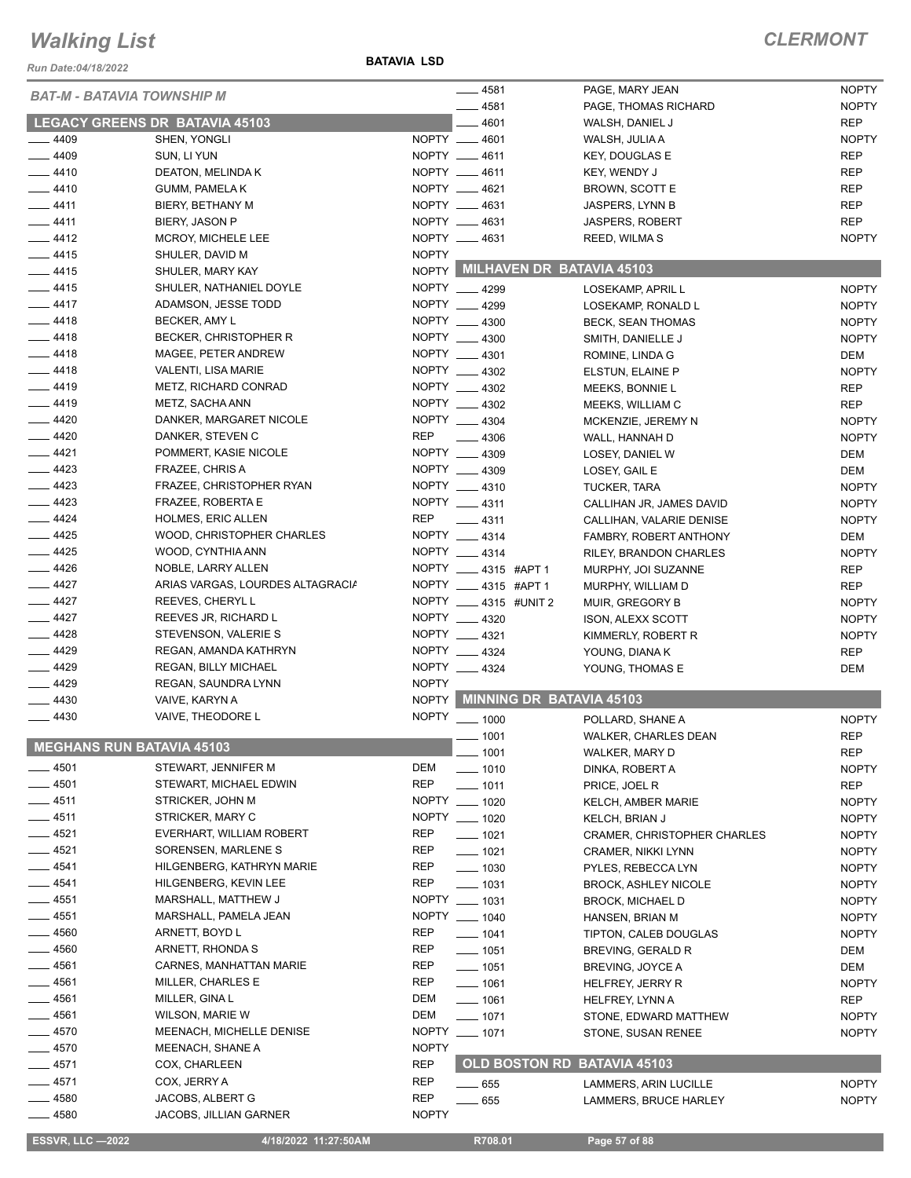*Run Date:04/18/2022*

**BATAVIA LSD**

### *CLERMONT*

|                  | <b>BAT-M - BATAVIA TOWNSHIP M</b> |               | $- 4581$                        | PAGE, MARY JEAN             | <b>NOPTY</b> |
|------------------|-----------------------------------|---------------|---------------------------------|-----------------------------|--------------|
|                  |                                   |               | $-4581$                         | PAGE, THOMAS RICHARD        | <b>NOPTY</b> |
|                  | LEGACY GREENS DR BATAVIA 45103    |               | 4601                            | WALSH, DANIEL J             | <b>REP</b>   |
| $-4409$          | SHEN, YONGLI                      |               | NOPTY __ 4601                   | WALSH, JULIA A              | <b>NOPTY</b> |
| $-4409$          | SUN, LI YUN                       |               | NOPTY __ 4611                   | <b>KEY, DOUGLAS E</b>       | <b>REP</b>   |
| $-4410$          | DEATON, MELINDA K                 |               | NOPTY __ 4611                   | KEY, WENDY J                | <b>REP</b>   |
| $-4410$          | <b>GUMM, PAMELA K</b>             |               | NOPTY __ 4621                   | BROWN, SCOTT E              | <b>REP</b>   |
| $-4411$          | BIERY, BETHANY M                  |               | NOPTY __ 4631                   | JASPERS, LYNN B             | <b>REP</b>   |
| $-4411$          | BIERY, JASON P                    |               | NOPTY __ 4631                   | <b>JASPERS, ROBERT</b>      | <b>REP</b>   |
| $-4412$          | MCROY, MICHELE LEE                |               | NOPTY __ 4631                   | REED, WILMAS                | <b>NOPTY</b> |
| $-4415$          | SHULER, DAVID M                   | <b>NOPTY</b>  |                                 |                             |              |
| $-4415$          | SHULER, MARY KAY                  |               | NOPTY MILHAVEN DR BATAVIA 45103 |                             |              |
| $-4415$          | SHULER, NATHANIEL DOYLE           |               | NOPTY 4299                      | LOSEKAMP, APRIL L           | <b>NOPTY</b> |
| $-4417$          | ADAMSON, JESSE TODD               |               | NOPTY __ 4299                   | LOSEKAMP, RONALD L          | <b>NOPTY</b> |
| $-4418$          | BECKER, AMY L                     |               | NOPTY __ 4300                   | <b>BECK, SEAN THOMAS</b>    | <b>NOPTY</b> |
| $-4418$          | <b>BECKER, CHRISTOPHER R</b>      |               | NOPTY __ 4300                   | SMITH, DANIELLE J           | <b>NOPTY</b> |
| $-4418$          | MAGEE, PETER ANDREW               |               | NOPTY __ 4301                   | ROMINE, LINDA G             | <b>DEM</b>   |
| $-4418$          | VALENTI, LISA MARIE               |               | NOPTY 4302                      | ELSTUN, ELAINE P            | <b>NOPTY</b> |
| $-4419$          | METZ, RICHARD CONRAD              |               | NOPTY __ 4302                   | MEEKS, BONNIE L             | <b>REP</b>   |
| $-4419$          | METZ, SACHA ANN                   |               | NOPTY __ 4302                   | MEEKS, WILLIAM C            | <b>REP</b>   |
| $-4420$          | DANKER, MARGARET NICOLE           |               | NOPTY __ 4304                   | MCKENZIE, JEREMY N          | <b>NOPTY</b> |
| $-4420$          | DANKER, STEVEN C                  | <b>REP</b>    | 4306                            | WALL, HANNAH D              | <b>NOPTY</b> |
| $-4421$          | POMMERT, KASIE NICOLE             |               | NOPTY __ 4309                   | LOSEY, DANIEL W             | <b>DEM</b>   |
| $-4423$          | FRAZEE, CHRIS A                   |               | NOPTY __ 4309                   | LOSEY, GAIL E               | <b>DEM</b>   |
| $-4423$          | FRAZEE, CHRISTOPHER RYAN          |               | NOPTY __ 4310                   | <b>TUCKER, TARA</b>         | <b>NOPTY</b> |
| $-4423$          | FRAZEE, ROBERTA E                 | NOPTY __ 4311 |                                 | CALLIHAN JR, JAMES DAVID    | <b>NOPTY</b> |
| $\frac{4424}{5}$ | <b>HOLMES, ERIC ALLEN</b>         | <b>REP</b>    | $-4311$                         | CALLIHAN, VALARIE DENISE    | <b>NOPTY</b> |
| $-4425$          | WOOD, CHRISTOPHER CHARLES         |               | NOPTY __ 4314                   | FAMBRY, ROBERT ANTHONY      | <b>DEM</b>   |
| $-4425$          | WOOD, CYNTHIA ANN                 |               | NOPTY 4314                      | RILEY, BRANDON CHARLES      | <b>NOPTY</b> |
| $-4426$          | NOBLE, LARRY ALLEN                |               | NOPTY __ 4315 #APT 1            | MURPHY, JOI SUZANNE         | <b>REP</b>   |
| $-4427$          | ARIAS VARGAS, LOURDES ALTAGRACIA  |               | NOPTY __ 4315 #APT 1            | MURPHY, WILLIAM D           | <b>REP</b>   |
| $-4427$          | REEVES, CHERYL L                  |               | NOPTY ____ 4315 #UNIT 2         | MUIR, GREGORY B             | <b>NOPTY</b> |
| $-4427$          | REEVES JR, RICHARD L              |               | NOPTY __ 4320                   | ISON, ALEXX SCOTT           | <b>NOPTY</b> |
| $-4428$          | STEVENSON, VALERIE S              |               | NOPTY __ 4321                   | KIMMERLY, ROBERT R          | <b>NOPTY</b> |
| $-4429$          | REGAN, AMANDA KATHRYN             |               | NOPTY __ 4324                   | YOUNG, DIANA K              | REP          |
| $-4429$          | REGAN, BILLY MICHAEL              |               | NOPTY __ 4324                   | YOUNG, THOMAS E             | <b>DEM</b>   |
| $-4429$          | REGAN, SAUNDRA LYNN               | <b>NOPTY</b>  |                                 |                             |              |
| $-4430$          | VAIVE, KARYN A                    | <b>NOPTY</b>  | MINNING DR BATAVIA 45103        |                             |              |
| $-4430$          | VAIVE, THEODORE L                 |               | NOPTY __ 1000                   | POLLARD, SHANE A            | <b>NOPTY</b> |
|                  |                                   |               | $-1001$                         | WALKER, CHARLES DEAN        | <b>REP</b>   |
|                  | <b>MEGHANS RUN BATAVIA 45103</b>  |               | — 1001                          | WALKER, MARY D              | <b>REP</b>   |
| $-4501$          | STEWART, JENNIFER M               | DEM           | $- 1010$                        | DINKA, ROBERT A             | <b>NOPTY</b> |
| $-4501$          | STEWART, MICHAEL EDWIN            | <b>REP</b>    | $- 1011$                        | PRICE, JOEL R               | <b>REP</b>   |
| $-4511$          | STRICKER, JOHN M                  |               | NOPTY __ 1020                   | KELCH, AMBER MARIE          | <b>NOPTY</b> |
| $-4511$          | STRICKER, MARY C                  |               | NOPTY __ 1020                   | <b>KELCH, BRIAN J</b>       | <b>NOPTY</b> |
| $-4521$          | EVERHART, WILLIAM ROBERT          | <b>REP</b>    | $- 1021$                        | CRAMER, CHRISTOPHER CHARLES | <b>NOPTY</b> |
| $-4521$          | SORENSEN, MARLENE S               | REP           | $- 1021$                        | CRAMER, NIKKI LYNN          | <b>NOPTY</b> |
| $-4541$          | HILGENBERG, KATHRYN MARIE         | REP           | $\frac{1}{2}$ 1030              | PYLES, REBECCA LYN          | <b>NOPTY</b> |
| $-4541$          | HILGENBERG, KEVIN LEE             | <b>REP</b>    | $- 1031$                        | <b>BROCK, ASHLEY NICOLE</b> | <b>NOPTY</b> |
| ____ 4551        | MARSHALL, MATTHEW J               |               | NOPTY __ 1031                   | <b>BROCK, MICHAEL D</b>     | <b>NOPTY</b> |
| $-4551$          | MARSHALL, PAMELA JEAN             |               | NOPTY __ 1040                   | HANSEN, BRIAN M             | <b>NOPTY</b> |
| $-4560$          | ARNETT, BOYD L                    | <b>REP</b>    | $- 1041$                        | TIPTON, CALEB DOUGLAS       | <b>NOPTY</b> |
| $-4560$          | ARNETT, RHONDA S                  | <b>REP</b>    | $- 1051$                        | BREVING, GERALD R           | DEM          |
| $-4561$          | CARNES, MANHATTAN MARIE           | REP           | $- 1051$                        | BREVING, JOYCE A            | <b>DEM</b>   |
| ___ 4561         | MILLER, CHARLES E                 | REP           | $- 1061$                        | HELFREY, JERRY R            | <b>NOPTY</b> |
| $- 4561$         | MILLER, GINA L                    | DEM           | $- 1061$                        | HELFREY, LYNN A             | REP          |
| $-4561$          | WILSON, MARIE W                   | DEM           | $- 1071$                        | STONE, EDWARD MATTHEW       | <b>NOPTY</b> |
| $-4570$          | MEENACH, MICHELLE DENISE          |               | NOPTY __ 1071                   | STONE, SUSAN RENEE          | <b>NOPTY</b> |
| $-4570$          | MEENACH, SHANE A                  | <b>NOPTY</b>  |                                 |                             |              |
| ___ 4571         | COX, CHARLEEN                     | REP           | OLD BOSTON RD BATAVIA 45103     |                             |              |
| $-4571$          | COX, JERRY A                      | <b>REP</b>    | $\frac{1}{2}$ 655               | LAMMERS, ARIN LUCILLE       | <b>NOPTY</b> |
| $-4580$          | JACOBS, ALBERT G                  | REP           | $-655$                          | LAMMERS, BRUCE HARLEY       | <b>NOPTY</b> |
| $-4580$          | JACOBS, JILLIAN GARNER            | <b>NOPTY</b>  |                                 |                             |              |
|                  |                                   |               |                                 |                             |              |

**ESSVR, LLC -2022** 4/18/2022 11:27:50AM R708.01 Page 57 of 88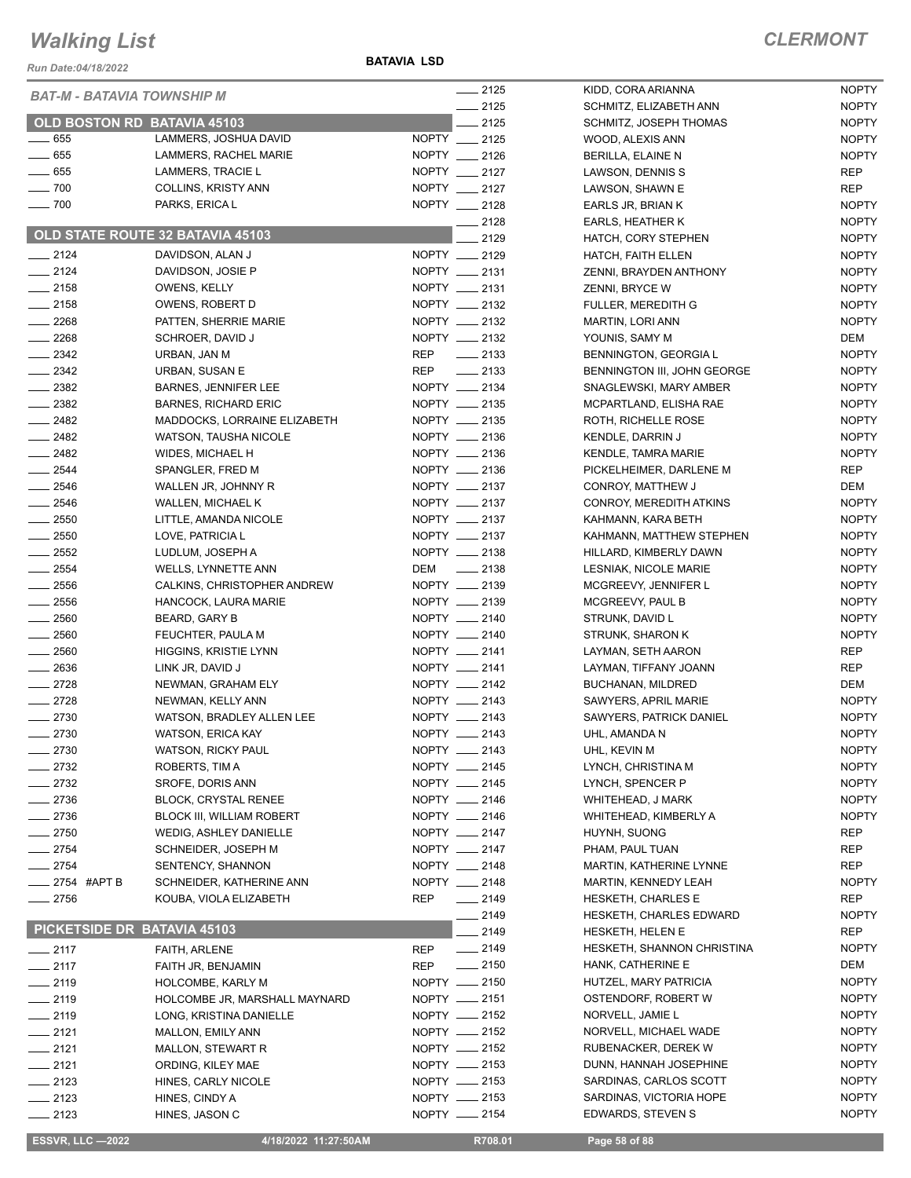*Run Date:04/18/2022*

**BATAVIA LSD**

| <b>BAT-M - BATAVIA TOWNSHIP M</b><br>$-2125$<br><b>NOPTY</b><br>SCHMITZ, ELIZABETH ANN<br>OLD BOSTON RD BATAVIA 45103<br>$-2125$<br><b>NOPTY</b><br>SCHMITZ, JOSEPH THOMAS<br>$- 655$<br>LAMMERS, JOSHUA DAVID<br>NOPTY __ 2125<br><b>NOPTY</b><br>WOOD, ALEXIS ANN<br>$- 655$<br>NOPTY __ 2126<br>LAMMERS, RACHEL MARIE<br><b>NOPTY</b><br>BERILLA, ELAINE N<br>$\frac{1}{2}$ 655<br>NOPTY __ 2127<br><b>LAMMERS, TRACIE L</b><br><b>REP</b><br>LAWSON, DENNIS S<br>NOPTY __ 2127<br>$\sim$ 700<br><b>COLLINS, KRISTY ANN</b><br><b>REP</b><br>LAWSON, SHAWN E<br>NOPTY __ 2128<br>$- 700$<br>PARKS, ERICA L<br><b>NOPTY</b><br>EARLS JR, BRIAN K<br>$-2128$<br><b>NOPTY</b><br><b>EARLS, HEATHER K</b><br>OLD STATE ROUTE 32 BATAVIA 45103<br>2129<br><b>NOPTY</b><br>HATCH, CORY STEPHEN<br>$-2124$<br>NOPTY __ 2129<br><b>NOPTY</b><br>DAVIDSON, ALAN J<br><b>HATCH, FAITH ELLEN</b><br>$-2124$<br>NOPTY __ 2131<br><b>NOPTY</b><br>DAVIDSON, JOSIE P<br>ZENNI, BRAYDEN ANTHONY<br>NOPTY __ 2131<br>$-2158$<br><b>NOPTY</b><br>OWENS, KELLY<br>ZENNI, BRYCE W<br>NOPTY __ 2132<br>$-2158$<br><b>NOPTY</b><br>OWENS, ROBERT D<br>FULLER, MEREDITH G<br>NOPTY __ 2132<br>$-2268$<br><b>NOPTY</b><br>PATTEN, SHERRIE MARIE<br><b>MARTIN, LORI ANN</b><br>$-2268$<br>NOPTY __ 2132<br>DEM<br>SCHROER, DAVID J<br>YOUNIS, SAMY M<br>$\frac{2342}{2}$<br><b>REP</b><br>$\frac{1}{2133}$<br><b>NOPTY</b><br>URBAN, JAN M<br>BENNINGTON, GEORGIA L<br>$-2342$<br><b>REP</b><br>$\frac{1}{2}$ 2133<br><b>NOPTY</b><br>BENNINGTON III, JOHN GEORGE<br>URBAN, SUSAN E<br>$\frac{2382}{2}$<br>NOPTY __ 2134<br>BARNES, JENNIFER LEE<br>SNAGLEWSKI, MARY AMBER<br><b>NOPTY</b><br>NOPTY __ 2135<br>$\frac{1}{2}$ 2382<br><b>NOPTY</b><br><b>BARNES, RICHARD ERIC</b><br>MCPARTLAND, ELISHA RAE<br>NOPTY __ 2135<br>$-2482$<br><b>NOPTY</b><br>MADDOCKS, LORRAINE ELIZABETH<br>ROTH, RICHELLE ROSE<br>NOPTY __ 2136<br>$\frac{2482}{5}$<br><b>NOPTY</b><br><b>WATSON, TAUSHA NICOLE</b><br>KENDLE, DARRIN J<br>$\frac{1}{2482}$<br>NOPTY __ 2136<br><b>NOPTY</b><br>WIDES, MICHAEL H<br>KENDLE, TAMRA MARIE<br>$\frac{1}{2544}$<br>REP<br>NOPTY __ 2136<br>PICKELHEIMER, DARLENE M<br>SPANGLER, FRED M<br>$\frac{1}{2546}$<br>NOPTY __ 2137<br>DEM<br>WALLEN JR, JOHNNY R<br>CONROY, MATTHEW J<br>NOPTY __ 2137<br>$\frac{1}{2546}$<br><b>NOPTY</b><br><b>WALLEN, MICHAEL K</b><br>CONROY, MEREDITH ATKINS<br>NOPTY __ 2137<br>$\frac{1}{2550}$<br><b>NOPTY</b><br>LITTLE, AMANDA NICOLE<br>KAHMANN, KARA BETH<br>NOPTY __ 2137<br>$\frac{1}{2550}$<br><b>NOPTY</b><br>LOVE, PATRICIA L<br>KAHMANN, MATTHEW STEPHEN<br>$\frac{1}{2552}$<br>NOPTY __ 2138<br><b>NOPTY</b><br>LUDLUM, JOSEPH A<br>HILLARD, KIMBERLY DAWN<br>$-2554$<br>DEM ______ 2138<br><b>NOPTY</b><br><b>WELLS, LYNNETTE ANN</b><br>LESNIAK, NICOLE MARIE<br>$-2556$<br>NOPTY __ 2139<br><b>NOPTY</b><br>CALKINS, CHRISTOPHER ANDREW<br>MCGREEVY, JENNIFER L<br>$\frac{1}{2556}$<br>NOPTY __ 2139<br><b>NOPTY</b><br>HANCOCK, LAURA MARIE<br>MCGREEVY, PAUL B<br>$\frac{1}{2560}$<br>NOPTY __ 2140<br><b>NOPTY</b><br>BEARD, GARY B<br>STRUNK, DAVID L<br>NOPTY __ 2140<br>$-2560$<br><b>NOPTY</b><br>FEUCHTER, PAULA M<br>STRUNK, SHARON K<br>NOPTY __ 2141<br>$\frac{1}{2560}$<br><b>REP</b><br>HIGGINS, KRISTIE LYNN<br>LAYMAN, SETH AARON<br>NOPTY __ 2141<br>$-2636$<br><b>REP</b><br>LINK JR, DAVID J<br>LAYMAN, TIFFANY JOANN<br>$-2728$<br>NOPTY __ 2142<br>DEM<br>NEWMAN, GRAHAM ELY<br><b>BUCHANAN, MILDRED</b><br>$-2728$<br>NOPTY __ 2143<br><b>NOPTY</b><br>NEWMAN, KELLY ANN<br>SAWYERS, APRIL MARIE<br>$-2730$<br>NOPTY __ 2143<br><b>NOPTY</b><br>WATSON, BRADLEY ALLEN LEE<br>SAWYERS, PATRICK DANIEL<br>NOPTY __ 2143<br>$-2730$<br>WATSON, ERICA KAY<br><b>NOPTY</b><br>UHL. AMANDA N<br>NOPTY __ 2143<br>_ 2730<br><b>WATSON, RICKY PAUL</b><br>UHL, KEVIN M<br><b>NOPTY</b><br>NOPTY __ 2145<br>$-2732$<br><b>NOPTY</b><br>ROBERTS, TIM A<br>LYNCH, CHRISTINA M<br>2732<br>NOPTY __ 2145<br><b>NOPTY</b><br>SROFE, DORIS ANN<br>LYNCH, SPENCER P<br><b>NOPTY</b><br>$=$ 2736<br><b>BLOCK, CRYSTAL RENEE</b><br>NOPTY __ 2146<br>WHITEHEAD, J MARK<br>$-2736$<br>NOPTY __ 2146<br><b>NOPTY</b><br><b>BLOCK III, WILLIAM ROBERT</b><br>WHITEHEAD, KIMBERLY A<br>$-2750$<br>NOPTY __ 2147<br>WEDIG, ASHLEY DANIELLE<br>HUYNH, SUONG<br>REP<br>NOPTY __ 2147<br>$-2754$<br><b>REP</b><br>SCHNEIDER, JOSEPH M<br>PHAM, PAUL TUAN<br>NOPTY __ 2148<br>$-2754$<br><b>REP</b><br>SENTENCY, SHANNON<br>MARTIN, KATHERINE LYNNE<br>NOPTY __ 2148<br><sub>—</sub> 2754 #APT B<br>SCHNEIDER, KATHERINE ANN<br><b>NOPTY</b><br>MARTIN, KENNEDY LEAH<br>$-2756$<br>$-2149$<br><b>REP</b><br>REP<br><b>HESKETH, CHARLES E</b><br>KOUBA, VIOLA ELIZABETH<br>2149<br><b>HESKETH, CHARLES EDWARD</b><br><b>NOPTY</b><br>PICKETSIDE DR BATAVIA 45103<br>2149<br><b>REP</b><br><b>HESKETH, HELEN E</b><br>$-2149$<br>HESKETH, SHANNON CHRISTINA<br><b>NOPTY</b><br>$-2117$<br><b>REP</b><br>FAITH, ARLENE<br>$\frac{1}{2150}$<br>HANK, CATHERINE E<br>DEM<br>$-2117$<br>REP<br>FAITH JR, BENJAMIN<br>NOPTY - 2150<br><b>NOPTY</b><br>$-2119$<br>HUTZEL, MARY PATRICIA<br>HOLCOMBE, KARLY M<br>NOPTY __ 2151<br>OSTENDORF, ROBERT W<br><b>NOPTY</b><br>$-2119$<br>HOLCOMBE JR, MARSHALL MAYNARD<br>NOPTY __ 2152<br><b>NOPTY</b><br>$-2119$<br>NORVELL, JAMIE L<br>LONG, KRISTINA DANIELLE<br>NOPTY __ 2152<br><b>NOPTY</b><br>$-2121$<br>NORVELL, MICHAEL WADE<br>MALLON, EMILY ANN<br><b>NOPTY</b><br>NOPTY __ 2152<br>RUBENACKER, DEREK W<br>$- 2121$<br>MALLON, STEWART R<br>NOPTY __ 2153<br><b>NOPTY</b><br>$-2121$<br>DUNN, HANNAH JOSEPHINE<br>ORDING, KILEY MAE<br>NOPTY -2153<br>SARDINAS, CARLOS SCOTT<br><b>NOPTY</b><br>$-2123$<br>HINES, CARLY NICOLE<br>NOPTY __ 2153<br><b>NOPTY</b><br>SARDINAS, VICTORIA HOPE<br>____ 2123<br>HINES, CINDY A<br><b>NOPTY</b><br>NOPTY __ 2154<br>EDWARDS, STEVEN S<br>$-2123$<br>HINES, JASON C<br><b>ESSVR, LLC -2022</b><br>4/18/2022 11:27:50AM<br>R708.01<br>Page 58 of 88 |  | $-2125$ | KIDD, CORA ARIANNA | <b>NOPTY</b> |
|------------------------------------------------------------------------------------------------------------------------------------------------------------------------------------------------------------------------------------------------------------------------------------------------------------------------------------------------------------------------------------------------------------------------------------------------------------------------------------------------------------------------------------------------------------------------------------------------------------------------------------------------------------------------------------------------------------------------------------------------------------------------------------------------------------------------------------------------------------------------------------------------------------------------------------------------------------------------------------------------------------------------------------------------------------------------------------------------------------------------------------------------------------------------------------------------------------------------------------------------------------------------------------------------------------------------------------------------------------------------------------------------------------------------------------------------------------------------------------------------------------------------------------------------------------------------------------------------------------------------------------------------------------------------------------------------------------------------------------------------------------------------------------------------------------------------------------------------------------------------------------------------------------------------------------------------------------------------------------------------------------------------------------------------------------------------------------------------------------------------------------------------------------------------------------------------------------------------------------------------------------------------------------------------------------------------------------------------------------------------------------------------------------------------------------------------------------------------------------------------------------------------------------------------------------------------------------------------------------------------------------------------------------------------------------------------------------------------------------------------------------------------------------------------------------------------------------------------------------------------------------------------------------------------------------------------------------------------------------------------------------------------------------------------------------------------------------------------------------------------------------------------------------------------------------------------------------------------------------------------------------------------------------------------------------------------------------------------------------------------------------------------------------------------------------------------------------------------------------------------------------------------------------------------------------------------------------------------------------------------------------------------------------------------------------------------------------------------------------------------------------------------------------------------------------------------------------------------------------------------------------------------------------------------------------------------------------------------------------------------------------------------------------------------------------------------------------------------------------------------------------------------------------------------------------------------------------------------------------------------------------------------------------------------------------------------------------------------------------------------------------------------------------------------------------------------------------------------------------------------------------------------------------------------------------------------------------------------------------------------------------------------------------------------------------------------------------------------------------------------------------------------------------------------------------------------------------------------------------------------------------------------------------------------------------------------------------------------------------------------------------------------------------------------------------------------------------------------------------------------------------------------------------------------------------------------------------------------------------------------------------------------------------------------------------------------------------------------------------------------------------------------------------------------------------------------------------------------------------------------------------------------------------------------------------------------------------------------------------------------------------------------------------------------------------------------------------------------------------------------------------------------------------------------------------------------------------------------------------------------------------------------------------------------------------------------------------------------------------------|--|---------|--------------------|--------------|
|                                                                                                                                                                                                                                                                                                                                                                                                                                                                                                                                                                                                                                                                                                                                                                                                                                                                                                                                                                                                                                                                                                                                                                                                                                                                                                                                                                                                                                                                                                                                                                                                                                                                                                                                                                                                                                                                                                                                                                                                                                                                                                                                                                                                                                                                                                                                                                                                                                                                                                                                                                                                                                                                                                                                                                                                                                                                                                                                                                                                                                                                                                                                                                                                                                                                                                                                                                                                                                                                                                                                                                                                                                                                                                                                                                                                                                                                                                                                                                                                                                                                                                                                                                                                                                                                                                                                                                                                                                                                                                                                                                                                                                                                                                                                                                                                                                                                                                                                                                                                                                                                                                                                                                                                                                                                                                                                                                                                                                                                                                                                                                                                                                                                                                                                                                                                                                                                                                                                                                                          |  |         |                    |              |
|                                                                                                                                                                                                                                                                                                                                                                                                                                                                                                                                                                                                                                                                                                                                                                                                                                                                                                                                                                                                                                                                                                                                                                                                                                                                                                                                                                                                                                                                                                                                                                                                                                                                                                                                                                                                                                                                                                                                                                                                                                                                                                                                                                                                                                                                                                                                                                                                                                                                                                                                                                                                                                                                                                                                                                                                                                                                                                                                                                                                                                                                                                                                                                                                                                                                                                                                                                                                                                                                                                                                                                                                                                                                                                                                                                                                                                                                                                                                                                                                                                                                                                                                                                                                                                                                                                                                                                                                                                                                                                                                                                                                                                                                                                                                                                                                                                                                                                                                                                                                                                                                                                                                                                                                                                                                                                                                                                                                                                                                                                                                                                                                                                                                                                                                                                                                                                                                                                                                                                                          |  |         |                    |              |
|                                                                                                                                                                                                                                                                                                                                                                                                                                                                                                                                                                                                                                                                                                                                                                                                                                                                                                                                                                                                                                                                                                                                                                                                                                                                                                                                                                                                                                                                                                                                                                                                                                                                                                                                                                                                                                                                                                                                                                                                                                                                                                                                                                                                                                                                                                                                                                                                                                                                                                                                                                                                                                                                                                                                                                                                                                                                                                                                                                                                                                                                                                                                                                                                                                                                                                                                                                                                                                                                                                                                                                                                                                                                                                                                                                                                                                                                                                                                                                                                                                                                                                                                                                                                                                                                                                                                                                                                                                                                                                                                                                                                                                                                                                                                                                                                                                                                                                                                                                                                                                                                                                                                                                                                                                                                                                                                                                                                                                                                                                                                                                                                                                                                                                                                                                                                                                                                                                                                                                                          |  |         |                    |              |
|                                                                                                                                                                                                                                                                                                                                                                                                                                                                                                                                                                                                                                                                                                                                                                                                                                                                                                                                                                                                                                                                                                                                                                                                                                                                                                                                                                                                                                                                                                                                                                                                                                                                                                                                                                                                                                                                                                                                                                                                                                                                                                                                                                                                                                                                                                                                                                                                                                                                                                                                                                                                                                                                                                                                                                                                                                                                                                                                                                                                                                                                                                                                                                                                                                                                                                                                                                                                                                                                                                                                                                                                                                                                                                                                                                                                                                                                                                                                                                                                                                                                                                                                                                                                                                                                                                                                                                                                                                                                                                                                                                                                                                                                                                                                                                                                                                                                                                                                                                                                                                                                                                                                                                                                                                                                                                                                                                                                                                                                                                                                                                                                                                                                                                                                                                                                                                                                                                                                                                                          |  |         |                    |              |
|                                                                                                                                                                                                                                                                                                                                                                                                                                                                                                                                                                                                                                                                                                                                                                                                                                                                                                                                                                                                                                                                                                                                                                                                                                                                                                                                                                                                                                                                                                                                                                                                                                                                                                                                                                                                                                                                                                                                                                                                                                                                                                                                                                                                                                                                                                                                                                                                                                                                                                                                                                                                                                                                                                                                                                                                                                                                                                                                                                                                                                                                                                                                                                                                                                                                                                                                                                                                                                                                                                                                                                                                                                                                                                                                                                                                                                                                                                                                                                                                                                                                                                                                                                                                                                                                                                                                                                                                                                                                                                                                                                                                                                                                                                                                                                                                                                                                                                                                                                                                                                                                                                                                                                                                                                                                                                                                                                                                                                                                                                                                                                                                                                                                                                                                                                                                                                                                                                                                                                                          |  |         |                    |              |
|                                                                                                                                                                                                                                                                                                                                                                                                                                                                                                                                                                                                                                                                                                                                                                                                                                                                                                                                                                                                                                                                                                                                                                                                                                                                                                                                                                                                                                                                                                                                                                                                                                                                                                                                                                                                                                                                                                                                                                                                                                                                                                                                                                                                                                                                                                                                                                                                                                                                                                                                                                                                                                                                                                                                                                                                                                                                                                                                                                                                                                                                                                                                                                                                                                                                                                                                                                                                                                                                                                                                                                                                                                                                                                                                                                                                                                                                                                                                                                                                                                                                                                                                                                                                                                                                                                                                                                                                                                                                                                                                                                                                                                                                                                                                                                                                                                                                                                                                                                                                                                                                                                                                                                                                                                                                                                                                                                                                                                                                                                                                                                                                                                                                                                                                                                                                                                                                                                                                                                                          |  |         |                    |              |
|                                                                                                                                                                                                                                                                                                                                                                                                                                                                                                                                                                                                                                                                                                                                                                                                                                                                                                                                                                                                                                                                                                                                                                                                                                                                                                                                                                                                                                                                                                                                                                                                                                                                                                                                                                                                                                                                                                                                                                                                                                                                                                                                                                                                                                                                                                                                                                                                                                                                                                                                                                                                                                                                                                                                                                                                                                                                                                                                                                                                                                                                                                                                                                                                                                                                                                                                                                                                                                                                                                                                                                                                                                                                                                                                                                                                                                                                                                                                                                                                                                                                                                                                                                                                                                                                                                                                                                                                                                                                                                                                                                                                                                                                                                                                                                                                                                                                                                                                                                                                                                                                                                                                                                                                                                                                                                                                                                                                                                                                                                                                                                                                                                                                                                                                                                                                                                                                                                                                                                                          |  |         |                    |              |
|                                                                                                                                                                                                                                                                                                                                                                                                                                                                                                                                                                                                                                                                                                                                                                                                                                                                                                                                                                                                                                                                                                                                                                                                                                                                                                                                                                                                                                                                                                                                                                                                                                                                                                                                                                                                                                                                                                                                                                                                                                                                                                                                                                                                                                                                                                                                                                                                                                                                                                                                                                                                                                                                                                                                                                                                                                                                                                                                                                                                                                                                                                                                                                                                                                                                                                                                                                                                                                                                                                                                                                                                                                                                                                                                                                                                                                                                                                                                                                                                                                                                                                                                                                                                                                                                                                                                                                                                                                                                                                                                                                                                                                                                                                                                                                                                                                                                                                                                                                                                                                                                                                                                                                                                                                                                                                                                                                                                                                                                                                                                                                                                                                                                                                                                                                                                                                                                                                                                                                                          |  |         |                    |              |
|                                                                                                                                                                                                                                                                                                                                                                                                                                                                                                                                                                                                                                                                                                                                                                                                                                                                                                                                                                                                                                                                                                                                                                                                                                                                                                                                                                                                                                                                                                                                                                                                                                                                                                                                                                                                                                                                                                                                                                                                                                                                                                                                                                                                                                                                                                                                                                                                                                                                                                                                                                                                                                                                                                                                                                                                                                                                                                                                                                                                                                                                                                                                                                                                                                                                                                                                                                                                                                                                                                                                                                                                                                                                                                                                                                                                                                                                                                                                                                                                                                                                                                                                                                                                                                                                                                                                                                                                                                                                                                                                                                                                                                                                                                                                                                                                                                                                                                                                                                                                                                                                                                                                                                                                                                                                                                                                                                                                                                                                                                                                                                                                                                                                                                                                                                                                                                                                                                                                                                                          |  |         |                    |              |
|                                                                                                                                                                                                                                                                                                                                                                                                                                                                                                                                                                                                                                                                                                                                                                                                                                                                                                                                                                                                                                                                                                                                                                                                                                                                                                                                                                                                                                                                                                                                                                                                                                                                                                                                                                                                                                                                                                                                                                                                                                                                                                                                                                                                                                                                                                                                                                                                                                                                                                                                                                                                                                                                                                                                                                                                                                                                                                                                                                                                                                                                                                                                                                                                                                                                                                                                                                                                                                                                                                                                                                                                                                                                                                                                                                                                                                                                                                                                                                                                                                                                                                                                                                                                                                                                                                                                                                                                                                                                                                                                                                                                                                                                                                                                                                                                                                                                                                                                                                                                                                                                                                                                                                                                                                                                                                                                                                                                                                                                                                                                                                                                                                                                                                                                                                                                                                                                                                                                                                                          |  |         |                    |              |
|                                                                                                                                                                                                                                                                                                                                                                                                                                                                                                                                                                                                                                                                                                                                                                                                                                                                                                                                                                                                                                                                                                                                                                                                                                                                                                                                                                                                                                                                                                                                                                                                                                                                                                                                                                                                                                                                                                                                                                                                                                                                                                                                                                                                                                                                                                                                                                                                                                                                                                                                                                                                                                                                                                                                                                                                                                                                                                                                                                                                                                                                                                                                                                                                                                                                                                                                                                                                                                                                                                                                                                                                                                                                                                                                                                                                                                                                                                                                                                                                                                                                                                                                                                                                                                                                                                                                                                                                                                                                                                                                                                                                                                                                                                                                                                                                                                                                                                                                                                                                                                                                                                                                                                                                                                                                                                                                                                                                                                                                                                                                                                                                                                                                                                                                                                                                                                                                                                                                                                                          |  |         |                    |              |
|                                                                                                                                                                                                                                                                                                                                                                                                                                                                                                                                                                                                                                                                                                                                                                                                                                                                                                                                                                                                                                                                                                                                                                                                                                                                                                                                                                                                                                                                                                                                                                                                                                                                                                                                                                                                                                                                                                                                                                                                                                                                                                                                                                                                                                                                                                                                                                                                                                                                                                                                                                                                                                                                                                                                                                                                                                                                                                                                                                                                                                                                                                                                                                                                                                                                                                                                                                                                                                                                                                                                                                                                                                                                                                                                                                                                                                                                                                                                                                                                                                                                                                                                                                                                                                                                                                                                                                                                                                                                                                                                                                                                                                                                                                                                                                                                                                                                                                                                                                                                                                                                                                                                                                                                                                                                                                                                                                                                                                                                                                                                                                                                                                                                                                                                                                                                                                                                                                                                                                                          |  |         |                    |              |
|                                                                                                                                                                                                                                                                                                                                                                                                                                                                                                                                                                                                                                                                                                                                                                                                                                                                                                                                                                                                                                                                                                                                                                                                                                                                                                                                                                                                                                                                                                                                                                                                                                                                                                                                                                                                                                                                                                                                                                                                                                                                                                                                                                                                                                                                                                                                                                                                                                                                                                                                                                                                                                                                                                                                                                                                                                                                                                                                                                                                                                                                                                                                                                                                                                                                                                                                                                                                                                                                                                                                                                                                                                                                                                                                                                                                                                                                                                                                                                                                                                                                                                                                                                                                                                                                                                                                                                                                                                                                                                                                                                                                                                                                                                                                                                                                                                                                                                                                                                                                                                                                                                                                                                                                                                                                                                                                                                                                                                                                                                                                                                                                                                                                                                                                                                                                                                                                                                                                                                                          |  |         |                    |              |
|                                                                                                                                                                                                                                                                                                                                                                                                                                                                                                                                                                                                                                                                                                                                                                                                                                                                                                                                                                                                                                                                                                                                                                                                                                                                                                                                                                                                                                                                                                                                                                                                                                                                                                                                                                                                                                                                                                                                                                                                                                                                                                                                                                                                                                                                                                                                                                                                                                                                                                                                                                                                                                                                                                                                                                                                                                                                                                                                                                                                                                                                                                                                                                                                                                                                                                                                                                                                                                                                                                                                                                                                                                                                                                                                                                                                                                                                                                                                                                                                                                                                                                                                                                                                                                                                                                                                                                                                                                                                                                                                                                                                                                                                                                                                                                                                                                                                                                                                                                                                                                                                                                                                                                                                                                                                                                                                                                                                                                                                                                                                                                                                                                                                                                                                                                                                                                                                                                                                                                                          |  |         |                    |              |
|                                                                                                                                                                                                                                                                                                                                                                                                                                                                                                                                                                                                                                                                                                                                                                                                                                                                                                                                                                                                                                                                                                                                                                                                                                                                                                                                                                                                                                                                                                                                                                                                                                                                                                                                                                                                                                                                                                                                                                                                                                                                                                                                                                                                                                                                                                                                                                                                                                                                                                                                                                                                                                                                                                                                                                                                                                                                                                                                                                                                                                                                                                                                                                                                                                                                                                                                                                                                                                                                                                                                                                                                                                                                                                                                                                                                                                                                                                                                                                                                                                                                                                                                                                                                                                                                                                                                                                                                                                                                                                                                                                                                                                                                                                                                                                                                                                                                                                                                                                                                                                                                                                                                                                                                                                                                                                                                                                                                                                                                                                                                                                                                                                                                                                                                                                                                                                                                                                                                                                                          |  |         |                    |              |
|                                                                                                                                                                                                                                                                                                                                                                                                                                                                                                                                                                                                                                                                                                                                                                                                                                                                                                                                                                                                                                                                                                                                                                                                                                                                                                                                                                                                                                                                                                                                                                                                                                                                                                                                                                                                                                                                                                                                                                                                                                                                                                                                                                                                                                                                                                                                                                                                                                                                                                                                                                                                                                                                                                                                                                                                                                                                                                                                                                                                                                                                                                                                                                                                                                                                                                                                                                                                                                                                                                                                                                                                                                                                                                                                                                                                                                                                                                                                                                                                                                                                                                                                                                                                                                                                                                                                                                                                                                                                                                                                                                                                                                                                                                                                                                                                                                                                                                                                                                                                                                                                                                                                                                                                                                                                                                                                                                                                                                                                                                                                                                                                                                                                                                                                                                                                                                                                                                                                                                                          |  |         |                    |              |
|                                                                                                                                                                                                                                                                                                                                                                                                                                                                                                                                                                                                                                                                                                                                                                                                                                                                                                                                                                                                                                                                                                                                                                                                                                                                                                                                                                                                                                                                                                                                                                                                                                                                                                                                                                                                                                                                                                                                                                                                                                                                                                                                                                                                                                                                                                                                                                                                                                                                                                                                                                                                                                                                                                                                                                                                                                                                                                                                                                                                                                                                                                                                                                                                                                                                                                                                                                                                                                                                                                                                                                                                                                                                                                                                                                                                                                                                                                                                                                                                                                                                                                                                                                                                                                                                                                                                                                                                                                                                                                                                                                                                                                                                                                                                                                                                                                                                                                                                                                                                                                                                                                                                                                                                                                                                                                                                                                                                                                                                                                                                                                                                                                                                                                                                                                                                                                                                                                                                                                                          |  |         |                    |              |
|                                                                                                                                                                                                                                                                                                                                                                                                                                                                                                                                                                                                                                                                                                                                                                                                                                                                                                                                                                                                                                                                                                                                                                                                                                                                                                                                                                                                                                                                                                                                                                                                                                                                                                                                                                                                                                                                                                                                                                                                                                                                                                                                                                                                                                                                                                                                                                                                                                                                                                                                                                                                                                                                                                                                                                                                                                                                                                                                                                                                                                                                                                                                                                                                                                                                                                                                                                                                                                                                                                                                                                                                                                                                                                                                                                                                                                                                                                                                                                                                                                                                                                                                                                                                                                                                                                                                                                                                                                                                                                                                                                                                                                                                                                                                                                                                                                                                                                                                                                                                                                                                                                                                                                                                                                                                                                                                                                                                                                                                                                                                                                                                                                                                                                                                                                                                                                                                                                                                                                                          |  |         |                    |              |
|                                                                                                                                                                                                                                                                                                                                                                                                                                                                                                                                                                                                                                                                                                                                                                                                                                                                                                                                                                                                                                                                                                                                                                                                                                                                                                                                                                                                                                                                                                                                                                                                                                                                                                                                                                                                                                                                                                                                                                                                                                                                                                                                                                                                                                                                                                                                                                                                                                                                                                                                                                                                                                                                                                                                                                                                                                                                                                                                                                                                                                                                                                                                                                                                                                                                                                                                                                                                                                                                                                                                                                                                                                                                                                                                                                                                                                                                                                                                                                                                                                                                                                                                                                                                                                                                                                                                                                                                                                                                                                                                                                                                                                                                                                                                                                                                                                                                                                                                                                                                                                                                                                                                                                                                                                                                                                                                                                                                                                                                                                                                                                                                                                                                                                                                                                                                                                                                                                                                                                                          |  |         |                    |              |
|                                                                                                                                                                                                                                                                                                                                                                                                                                                                                                                                                                                                                                                                                                                                                                                                                                                                                                                                                                                                                                                                                                                                                                                                                                                                                                                                                                                                                                                                                                                                                                                                                                                                                                                                                                                                                                                                                                                                                                                                                                                                                                                                                                                                                                                                                                                                                                                                                                                                                                                                                                                                                                                                                                                                                                                                                                                                                                                                                                                                                                                                                                                                                                                                                                                                                                                                                                                                                                                                                                                                                                                                                                                                                                                                                                                                                                                                                                                                                                                                                                                                                                                                                                                                                                                                                                                                                                                                                                                                                                                                                                                                                                                                                                                                                                                                                                                                                                                                                                                                                                                                                                                                                                                                                                                                                                                                                                                                                                                                                                                                                                                                                                                                                                                                                                                                                                                                                                                                                                                          |  |         |                    |              |
|                                                                                                                                                                                                                                                                                                                                                                                                                                                                                                                                                                                                                                                                                                                                                                                                                                                                                                                                                                                                                                                                                                                                                                                                                                                                                                                                                                                                                                                                                                                                                                                                                                                                                                                                                                                                                                                                                                                                                                                                                                                                                                                                                                                                                                                                                                                                                                                                                                                                                                                                                                                                                                                                                                                                                                                                                                                                                                                                                                                                                                                                                                                                                                                                                                                                                                                                                                                                                                                                                                                                                                                                                                                                                                                                                                                                                                                                                                                                                                                                                                                                                                                                                                                                                                                                                                                                                                                                                                                                                                                                                                                                                                                                                                                                                                                                                                                                                                                                                                                                                                                                                                                                                                                                                                                                                                                                                                                                                                                                                                                                                                                                                                                                                                                                                                                                                                                                                                                                                                                          |  |         |                    |              |
|                                                                                                                                                                                                                                                                                                                                                                                                                                                                                                                                                                                                                                                                                                                                                                                                                                                                                                                                                                                                                                                                                                                                                                                                                                                                                                                                                                                                                                                                                                                                                                                                                                                                                                                                                                                                                                                                                                                                                                                                                                                                                                                                                                                                                                                                                                                                                                                                                                                                                                                                                                                                                                                                                                                                                                                                                                                                                                                                                                                                                                                                                                                                                                                                                                                                                                                                                                                                                                                                                                                                                                                                                                                                                                                                                                                                                                                                                                                                                                                                                                                                                                                                                                                                                                                                                                                                                                                                                                                                                                                                                                                                                                                                                                                                                                                                                                                                                                                                                                                                                                                                                                                                                                                                                                                                                                                                                                                                                                                                                                                                                                                                                                                                                                                                                                                                                                                                                                                                                                                          |  |         |                    |              |
|                                                                                                                                                                                                                                                                                                                                                                                                                                                                                                                                                                                                                                                                                                                                                                                                                                                                                                                                                                                                                                                                                                                                                                                                                                                                                                                                                                                                                                                                                                                                                                                                                                                                                                                                                                                                                                                                                                                                                                                                                                                                                                                                                                                                                                                                                                                                                                                                                                                                                                                                                                                                                                                                                                                                                                                                                                                                                                                                                                                                                                                                                                                                                                                                                                                                                                                                                                                                                                                                                                                                                                                                                                                                                                                                                                                                                                                                                                                                                                                                                                                                                                                                                                                                                                                                                                                                                                                                                                                                                                                                                                                                                                                                                                                                                                                                                                                                                                                                                                                                                                                                                                                                                                                                                                                                                                                                                                                                                                                                                                                                                                                                                                                                                                                                                                                                                                                                                                                                                                                          |  |         |                    |              |
|                                                                                                                                                                                                                                                                                                                                                                                                                                                                                                                                                                                                                                                                                                                                                                                                                                                                                                                                                                                                                                                                                                                                                                                                                                                                                                                                                                                                                                                                                                                                                                                                                                                                                                                                                                                                                                                                                                                                                                                                                                                                                                                                                                                                                                                                                                                                                                                                                                                                                                                                                                                                                                                                                                                                                                                                                                                                                                                                                                                                                                                                                                                                                                                                                                                                                                                                                                                                                                                                                                                                                                                                                                                                                                                                                                                                                                                                                                                                                                                                                                                                                                                                                                                                                                                                                                                                                                                                                                                                                                                                                                                                                                                                                                                                                                                                                                                                                                                                                                                                                                                                                                                                                                                                                                                                                                                                                                                                                                                                                                                                                                                                                                                                                                                                                                                                                                                                                                                                                                                          |  |         |                    |              |
|                                                                                                                                                                                                                                                                                                                                                                                                                                                                                                                                                                                                                                                                                                                                                                                                                                                                                                                                                                                                                                                                                                                                                                                                                                                                                                                                                                                                                                                                                                                                                                                                                                                                                                                                                                                                                                                                                                                                                                                                                                                                                                                                                                                                                                                                                                                                                                                                                                                                                                                                                                                                                                                                                                                                                                                                                                                                                                                                                                                                                                                                                                                                                                                                                                                                                                                                                                                                                                                                                                                                                                                                                                                                                                                                                                                                                                                                                                                                                                                                                                                                                                                                                                                                                                                                                                                                                                                                                                                                                                                                                                                                                                                                                                                                                                                                                                                                                                                                                                                                                                                                                                                                                                                                                                                                                                                                                                                                                                                                                                                                                                                                                                                                                                                                                                                                                                                                                                                                                                                          |  |         |                    |              |
|                                                                                                                                                                                                                                                                                                                                                                                                                                                                                                                                                                                                                                                                                                                                                                                                                                                                                                                                                                                                                                                                                                                                                                                                                                                                                                                                                                                                                                                                                                                                                                                                                                                                                                                                                                                                                                                                                                                                                                                                                                                                                                                                                                                                                                                                                                                                                                                                                                                                                                                                                                                                                                                                                                                                                                                                                                                                                                                                                                                                                                                                                                                                                                                                                                                                                                                                                                                                                                                                                                                                                                                                                                                                                                                                                                                                                                                                                                                                                                                                                                                                                                                                                                                                                                                                                                                                                                                                                                                                                                                                                                                                                                                                                                                                                                                                                                                                                                                                                                                                                                                                                                                                                                                                                                                                                                                                                                                                                                                                                                                                                                                                                                                                                                                                                                                                                                                                                                                                                                                          |  |         |                    |              |
|                                                                                                                                                                                                                                                                                                                                                                                                                                                                                                                                                                                                                                                                                                                                                                                                                                                                                                                                                                                                                                                                                                                                                                                                                                                                                                                                                                                                                                                                                                                                                                                                                                                                                                                                                                                                                                                                                                                                                                                                                                                                                                                                                                                                                                                                                                                                                                                                                                                                                                                                                                                                                                                                                                                                                                                                                                                                                                                                                                                                                                                                                                                                                                                                                                                                                                                                                                                                                                                                                                                                                                                                                                                                                                                                                                                                                                                                                                                                                                                                                                                                                                                                                                                                                                                                                                                                                                                                                                                                                                                                                                                                                                                                                                                                                                                                                                                                                                                                                                                                                                                                                                                                                                                                                                                                                                                                                                                                                                                                                                                                                                                                                                                                                                                                                                                                                                                                                                                                                                                          |  |         |                    |              |
|                                                                                                                                                                                                                                                                                                                                                                                                                                                                                                                                                                                                                                                                                                                                                                                                                                                                                                                                                                                                                                                                                                                                                                                                                                                                                                                                                                                                                                                                                                                                                                                                                                                                                                                                                                                                                                                                                                                                                                                                                                                                                                                                                                                                                                                                                                                                                                                                                                                                                                                                                                                                                                                                                                                                                                                                                                                                                                                                                                                                                                                                                                                                                                                                                                                                                                                                                                                                                                                                                                                                                                                                                                                                                                                                                                                                                                                                                                                                                                                                                                                                                                                                                                                                                                                                                                                                                                                                                                                                                                                                                                                                                                                                                                                                                                                                                                                                                                                                                                                                                                                                                                                                                                                                                                                                                                                                                                                                                                                                                                                                                                                                                                                                                                                                                                                                                                                                                                                                                                                          |  |         |                    |              |
|                                                                                                                                                                                                                                                                                                                                                                                                                                                                                                                                                                                                                                                                                                                                                                                                                                                                                                                                                                                                                                                                                                                                                                                                                                                                                                                                                                                                                                                                                                                                                                                                                                                                                                                                                                                                                                                                                                                                                                                                                                                                                                                                                                                                                                                                                                                                                                                                                                                                                                                                                                                                                                                                                                                                                                                                                                                                                                                                                                                                                                                                                                                                                                                                                                                                                                                                                                                                                                                                                                                                                                                                                                                                                                                                                                                                                                                                                                                                                                                                                                                                                                                                                                                                                                                                                                                                                                                                                                                                                                                                                                                                                                                                                                                                                                                                                                                                                                                                                                                                                                                                                                                                                                                                                                                                                                                                                                                                                                                                                                                                                                                                                                                                                                                                                                                                                                                                                                                                                                                          |  |         |                    |              |
|                                                                                                                                                                                                                                                                                                                                                                                                                                                                                                                                                                                                                                                                                                                                                                                                                                                                                                                                                                                                                                                                                                                                                                                                                                                                                                                                                                                                                                                                                                                                                                                                                                                                                                                                                                                                                                                                                                                                                                                                                                                                                                                                                                                                                                                                                                                                                                                                                                                                                                                                                                                                                                                                                                                                                                                                                                                                                                                                                                                                                                                                                                                                                                                                                                                                                                                                                                                                                                                                                                                                                                                                                                                                                                                                                                                                                                                                                                                                                                                                                                                                                                                                                                                                                                                                                                                                                                                                                                                                                                                                                                                                                                                                                                                                                                                                                                                                                                                                                                                                                                                                                                                                                                                                                                                                                                                                                                                                                                                                                                                                                                                                                                                                                                                                                                                                                                                                                                                                                                                          |  |         |                    |              |
|                                                                                                                                                                                                                                                                                                                                                                                                                                                                                                                                                                                                                                                                                                                                                                                                                                                                                                                                                                                                                                                                                                                                                                                                                                                                                                                                                                                                                                                                                                                                                                                                                                                                                                                                                                                                                                                                                                                                                                                                                                                                                                                                                                                                                                                                                                                                                                                                                                                                                                                                                                                                                                                                                                                                                                                                                                                                                                                                                                                                                                                                                                                                                                                                                                                                                                                                                                                                                                                                                                                                                                                                                                                                                                                                                                                                                                                                                                                                                                                                                                                                                                                                                                                                                                                                                                                                                                                                                                                                                                                                                                                                                                                                                                                                                                                                                                                                                                                                                                                                                                                                                                                                                                                                                                                                                                                                                                                                                                                                                                                                                                                                                                                                                                                                                                                                                                                                                                                                                                                          |  |         |                    |              |
|                                                                                                                                                                                                                                                                                                                                                                                                                                                                                                                                                                                                                                                                                                                                                                                                                                                                                                                                                                                                                                                                                                                                                                                                                                                                                                                                                                                                                                                                                                                                                                                                                                                                                                                                                                                                                                                                                                                                                                                                                                                                                                                                                                                                                                                                                                                                                                                                                                                                                                                                                                                                                                                                                                                                                                                                                                                                                                                                                                                                                                                                                                                                                                                                                                                                                                                                                                                                                                                                                                                                                                                                                                                                                                                                                                                                                                                                                                                                                                                                                                                                                                                                                                                                                                                                                                                                                                                                                                                                                                                                                                                                                                                                                                                                                                                                                                                                                                                                                                                                                                                                                                                                                                                                                                                                                                                                                                                                                                                                                                                                                                                                                                                                                                                                                                                                                                                                                                                                                                                          |  |         |                    |              |
|                                                                                                                                                                                                                                                                                                                                                                                                                                                                                                                                                                                                                                                                                                                                                                                                                                                                                                                                                                                                                                                                                                                                                                                                                                                                                                                                                                                                                                                                                                                                                                                                                                                                                                                                                                                                                                                                                                                                                                                                                                                                                                                                                                                                                                                                                                                                                                                                                                                                                                                                                                                                                                                                                                                                                                                                                                                                                                                                                                                                                                                                                                                                                                                                                                                                                                                                                                                                                                                                                                                                                                                                                                                                                                                                                                                                                                                                                                                                                                                                                                                                                                                                                                                                                                                                                                                                                                                                                                                                                                                                                                                                                                                                                                                                                                                                                                                                                                                                                                                                                                                                                                                                                                                                                                                                                                                                                                                                                                                                                                                                                                                                                                                                                                                                                                                                                                                                                                                                                                                          |  |         |                    |              |
|                                                                                                                                                                                                                                                                                                                                                                                                                                                                                                                                                                                                                                                                                                                                                                                                                                                                                                                                                                                                                                                                                                                                                                                                                                                                                                                                                                                                                                                                                                                                                                                                                                                                                                                                                                                                                                                                                                                                                                                                                                                                                                                                                                                                                                                                                                                                                                                                                                                                                                                                                                                                                                                                                                                                                                                                                                                                                                                                                                                                                                                                                                                                                                                                                                                                                                                                                                                                                                                                                                                                                                                                                                                                                                                                                                                                                                                                                                                                                                                                                                                                                                                                                                                                                                                                                                                                                                                                                                                                                                                                                                                                                                                                                                                                                                                                                                                                                                                                                                                                                                                                                                                                                                                                                                                                                                                                                                                                                                                                                                                                                                                                                                                                                                                                                                                                                                                                                                                                                                                          |  |         |                    |              |
|                                                                                                                                                                                                                                                                                                                                                                                                                                                                                                                                                                                                                                                                                                                                                                                                                                                                                                                                                                                                                                                                                                                                                                                                                                                                                                                                                                                                                                                                                                                                                                                                                                                                                                                                                                                                                                                                                                                                                                                                                                                                                                                                                                                                                                                                                                                                                                                                                                                                                                                                                                                                                                                                                                                                                                                                                                                                                                                                                                                                                                                                                                                                                                                                                                                                                                                                                                                                                                                                                                                                                                                                                                                                                                                                                                                                                                                                                                                                                                                                                                                                                                                                                                                                                                                                                                                                                                                                                                                                                                                                                                                                                                                                                                                                                                                                                                                                                                                                                                                                                                                                                                                                                                                                                                                                                                                                                                                                                                                                                                                                                                                                                                                                                                                                                                                                                                                                                                                                                                                          |  |         |                    |              |
|                                                                                                                                                                                                                                                                                                                                                                                                                                                                                                                                                                                                                                                                                                                                                                                                                                                                                                                                                                                                                                                                                                                                                                                                                                                                                                                                                                                                                                                                                                                                                                                                                                                                                                                                                                                                                                                                                                                                                                                                                                                                                                                                                                                                                                                                                                                                                                                                                                                                                                                                                                                                                                                                                                                                                                                                                                                                                                                                                                                                                                                                                                                                                                                                                                                                                                                                                                                                                                                                                                                                                                                                                                                                                                                                                                                                                                                                                                                                                                                                                                                                                                                                                                                                                                                                                                                                                                                                                                                                                                                                                                                                                                                                                                                                                                                                                                                                                                                                                                                                                                                                                                                                                                                                                                                                                                                                                                                                                                                                                                                                                                                                                                                                                                                                                                                                                                                                                                                                                                                          |  |         |                    |              |
|                                                                                                                                                                                                                                                                                                                                                                                                                                                                                                                                                                                                                                                                                                                                                                                                                                                                                                                                                                                                                                                                                                                                                                                                                                                                                                                                                                                                                                                                                                                                                                                                                                                                                                                                                                                                                                                                                                                                                                                                                                                                                                                                                                                                                                                                                                                                                                                                                                                                                                                                                                                                                                                                                                                                                                                                                                                                                                                                                                                                                                                                                                                                                                                                                                                                                                                                                                                                                                                                                                                                                                                                                                                                                                                                                                                                                                                                                                                                                                                                                                                                                                                                                                                                                                                                                                                                                                                                                                                                                                                                                                                                                                                                                                                                                                                                                                                                                                                                                                                                                                                                                                                                                                                                                                                                                                                                                                                                                                                                                                                                                                                                                                                                                                                                                                                                                                                                                                                                                                                          |  |         |                    |              |
|                                                                                                                                                                                                                                                                                                                                                                                                                                                                                                                                                                                                                                                                                                                                                                                                                                                                                                                                                                                                                                                                                                                                                                                                                                                                                                                                                                                                                                                                                                                                                                                                                                                                                                                                                                                                                                                                                                                                                                                                                                                                                                                                                                                                                                                                                                                                                                                                                                                                                                                                                                                                                                                                                                                                                                                                                                                                                                                                                                                                                                                                                                                                                                                                                                                                                                                                                                                                                                                                                                                                                                                                                                                                                                                                                                                                                                                                                                                                                                                                                                                                                                                                                                                                                                                                                                                                                                                                                                                                                                                                                                                                                                                                                                                                                                                                                                                                                                                                                                                                                                                                                                                                                                                                                                                                                                                                                                                                                                                                                                                                                                                                                                                                                                                                                                                                                                                                                                                                                                                          |  |         |                    |              |
|                                                                                                                                                                                                                                                                                                                                                                                                                                                                                                                                                                                                                                                                                                                                                                                                                                                                                                                                                                                                                                                                                                                                                                                                                                                                                                                                                                                                                                                                                                                                                                                                                                                                                                                                                                                                                                                                                                                                                                                                                                                                                                                                                                                                                                                                                                                                                                                                                                                                                                                                                                                                                                                                                                                                                                                                                                                                                                                                                                                                                                                                                                                                                                                                                                                                                                                                                                                                                                                                                                                                                                                                                                                                                                                                                                                                                                                                                                                                                                                                                                                                                                                                                                                                                                                                                                                                                                                                                                                                                                                                                                                                                                                                                                                                                                                                                                                                                                                                                                                                                                                                                                                                                                                                                                                                                                                                                                                                                                                                                                                                                                                                                                                                                                                                                                                                                                                                                                                                                                                          |  |         |                    |              |
|                                                                                                                                                                                                                                                                                                                                                                                                                                                                                                                                                                                                                                                                                                                                                                                                                                                                                                                                                                                                                                                                                                                                                                                                                                                                                                                                                                                                                                                                                                                                                                                                                                                                                                                                                                                                                                                                                                                                                                                                                                                                                                                                                                                                                                                                                                                                                                                                                                                                                                                                                                                                                                                                                                                                                                                                                                                                                                                                                                                                                                                                                                                                                                                                                                                                                                                                                                                                                                                                                                                                                                                                                                                                                                                                                                                                                                                                                                                                                                                                                                                                                                                                                                                                                                                                                                                                                                                                                                                                                                                                                                                                                                                                                                                                                                                                                                                                                                                                                                                                                                                                                                                                                                                                                                                                                                                                                                                                                                                                                                                                                                                                                                                                                                                                                                                                                                                                                                                                                                                          |  |         |                    |              |
|                                                                                                                                                                                                                                                                                                                                                                                                                                                                                                                                                                                                                                                                                                                                                                                                                                                                                                                                                                                                                                                                                                                                                                                                                                                                                                                                                                                                                                                                                                                                                                                                                                                                                                                                                                                                                                                                                                                                                                                                                                                                                                                                                                                                                                                                                                                                                                                                                                                                                                                                                                                                                                                                                                                                                                                                                                                                                                                                                                                                                                                                                                                                                                                                                                                                                                                                                                                                                                                                                                                                                                                                                                                                                                                                                                                                                                                                                                                                                                                                                                                                                                                                                                                                                                                                                                                                                                                                                                                                                                                                                                                                                                                                                                                                                                                                                                                                                                                                                                                                                                                                                                                                                                                                                                                                                                                                                                                                                                                                                                                                                                                                                                                                                                                                                                                                                                                                                                                                                                                          |  |         |                    |              |
|                                                                                                                                                                                                                                                                                                                                                                                                                                                                                                                                                                                                                                                                                                                                                                                                                                                                                                                                                                                                                                                                                                                                                                                                                                                                                                                                                                                                                                                                                                                                                                                                                                                                                                                                                                                                                                                                                                                                                                                                                                                                                                                                                                                                                                                                                                                                                                                                                                                                                                                                                                                                                                                                                                                                                                                                                                                                                                                                                                                                                                                                                                                                                                                                                                                                                                                                                                                                                                                                                                                                                                                                                                                                                                                                                                                                                                                                                                                                                                                                                                                                                                                                                                                                                                                                                                                                                                                                                                                                                                                                                                                                                                                                                                                                                                                                                                                                                                                                                                                                                                                                                                                                                                                                                                                                                                                                                                                                                                                                                                                                                                                                                                                                                                                                                                                                                                                                                                                                                                                          |  |         |                    |              |
|                                                                                                                                                                                                                                                                                                                                                                                                                                                                                                                                                                                                                                                                                                                                                                                                                                                                                                                                                                                                                                                                                                                                                                                                                                                                                                                                                                                                                                                                                                                                                                                                                                                                                                                                                                                                                                                                                                                                                                                                                                                                                                                                                                                                                                                                                                                                                                                                                                                                                                                                                                                                                                                                                                                                                                                                                                                                                                                                                                                                                                                                                                                                                                                                                                                                                                                                                                                                                                                                                                                                                                                                                                                                                                                                                                                                                                                                                                                                                                                                                                                                                                                                                                                                                                                                                                                                                                                                                                                                                                                                                                                                                                                                                                                                                                                                                                                                                                                                                                                                                                                                                                                                                                                                                                                                                                                                                                                                                                                                                                                                                                                                                                                                                                                                                                                                                                                                                                                                                                                          |  |         |                    |              |
|                                                                                                                                                                                                                                                                                                                                                                                                                                                                                                                                                                                                                                                                                                                                                                                                                                                                                                                                                                                                                                                                                                                                                                                                                                                                                                                                                                                                                                                                                                                                                                                                                                                                                                                                                                                                                                                                                                                                                                                                                                                                                                                                                                                                                                                                                                                                                                                                                                                                                                                                                                                                                                                                                                                                                                                                                                                                                                                                                                                                                                                                                                                                                                                                                                                                                                                                                                                                                                                                                                                                                                                                                                                                                                                                                                                                                                                                                                                                                                                                                                                                                                                                                                                                                                                                                                                                                                                                                                                                                                                                                                                                                                                                                                                                                                                                                                                                                                                                                                                                                                                                                                                                                                                                                                                                                                                                                                                                                                                                                                                                                                                                                                                                                                                                                                                                                                                                                                                                                                                          |  |         |                    |              |
|                                                                                                                                                                                                                                                                                                                                                                                                                                                                                                                                                                                                                                                                                                                                                                                                                                                                                                                                                                                                                                                                                                                                                                                                                                                                                                                                                                                                                                                                                                                                                                                                                                                                                                                                                                                                                                                                                                                                                                                                                                                                                                                                                                                                                                                                                                                                                                                                                                                                                                                                                                                                                                                                                                                                                                                                                                                                                                                                                                                                                                                                                                                                                                                                                                                                                                                                                                                                                                                                                                                                                                                                                                                                                                                                                                                                                                                                                                                                                                                                                                                                                                                                                                                                                                                                                                                                                                                                                                                                                                                                                                                                                                                                                                                                                                                                                                                                                                                                                                                                                                                                                                                                                                                                                                                                                                                                                                                                                                                                                                                                                                                                                                                                                                                                                                                                                                                                                                                                                                                          |  |         |                    |              |
|                                                                                                                                                                                                                                                                                                                                                                                                                                                                                                                                                                                                                                                                                                                                                                                                                                                                                                                                                                                                                                                                                                                                                                                                                                                                                                                                                                                                                                                                                                                                                                                                                                                                                                                                                                                                                                                                                                                                                                                                                                                                                                                                                                                                                                                                                                                                                                                                                                                                                                                                                                                                                                                                                                                                                                                                                                                                                                                                                                                                                                                                                                                                                                                                                                                                                                                                                                                                                                                                                                                                                                                                                                                                                                                                                                                                                                                                                                                                                                                                                                                                                                                                                                                                                                                                                                                                                                                                                                                                                                                                                                                                                                                                                                                                                                                                                                                                                                                                                                                                                                                                                                                                                                                                                                                                                                                                                                                                                                                                                                                                                                                                                                                                                                                                                                                                                                                                                                                                                                                          |  |         |                    |              |
|                                                                                                                                                                                                                                                                                                                                                                                                                                                                                                                                                                                                                                                                                                                                                                                                                                                                                                                                                                                                                                                                                                                                                                                                                                                                                                                                                                                                                                                                                                                                                                                                                                                                                                                                                                                                                                                                                                                                                                                                                                                                                                                                                                                                                                                                                                                                                                                                                                                                                                                                                                                                                                                                                                                                                                                                                                                                                                                                                                                                                                                                                                                                                                                                                                                                                                                                                                                                                                                                                                                                                                                                                                                                                                                                                                                                                                                                                                                                                                                                                                                                                                                                                                                                                                                                                                                                                                                                                                                                                                                                                                                                                                                                                                                                                                                                                                                                                                                                                                                                                                                                                                                                                                                                                                                                                                                                                                                                                                                                                                                                                                                                                                                                                                                                                                                                                                                                                                                                                                                          |  |         |                    |              |
|                                                                                                                                                                                                                                                                                                                                                                                                                                                                                                                                                                                                                                                                                                                                                                                                                                                                                                                                                                                                                                                                                                                                                                                                                                                                                                                                                                                                                                                                                                                                                                                                                                                                                                                                                                                                                                                                                                                                                                                                                                                                                                                                                                                                                                                                                                                                                                                                                                                                                                                                                                                                                                                                                                                                                                                                                                                                                                                                                                                                                                                                                                                                                                                                                                                                                                                                                                                                                                                                                                                                                                                                                                                                                                                                                                                                                                                                                                                                                                                                                                                                                                                                                                                                                                                                                                                                                                                                                                                                                                                                                                                                                                                                                                                                                                                                                                                                                                                                                                                                                                                                                                                                                                                                                                                                                                                                                                                                                                                                                                                                                                                                                                                                                                                                                                                                                                                                                                                                                                                          |  |         |                    |              |
|                                                                                                                                                                                                                                                                                                                                                                                                                                                                                                                                                                                                                                                                                                                                                                                                                                                                                                                                                                                                                                                                                                                                                                                                                                                                                                                                                                                                                                                                                                                                                                                                                                                                                                                                                                                                                                                                                                                                                                                                                                                                                                                                                                                                                                                                                                                                                                                                                                                                                                                                                                                                                                                                                                                                                                                                                                                                                                                                                                                                                                                                                                                                                                                                                                                                                                                                                                                                                                                                                                                                                                                                                                                                                                                                                                                                                                                                                                                                                                                                                                                                                                                                                                                                                                                                                                                                                                                                                                                                                                                                                                                                                                                                                                                                                                                                                                                                                                                                                                                                                                                                                                                                                                                                                                                                                                                                                                                                                                                                                                                                                                                                                                                                                                                                                                                                                                                                                                                                                                                          |  |         |                    |              |
|                                                                                                                                                                                                                                                                                                                                                                                                                                                                                                                                                                                                                                                                                                                                                                                                                                                                                                                                                                                                                                                                                                                                                                                                                                                                                                                                                                                                                                                                                                                                                                                                                                                                                                                                                                                                                                                                                                                                                                                                                                                                                                                                                                                                                                                                                                                                                                                                                                                                                                                                                                                                                                                                                                                                                                                                                                                                                                                                                                                                                                                                                                                                                                                                                                                                                                                                                                                                                                                                                                                                                                                                                                                                                                                                                                                                                                                                                                                                                                                                                                                                                                                                                                                                                                                                                                                                                                                                                                                                                                                                                                                                                                                                                                                                                                                                                                                                                                                                                                                                                                                                                                                                                                                                                                                                                                                                                                                                                                                                                                                                                                                                                                                                                                                                                                                                                                                                                                                                                                                          |  |         |                    |              |
|                                                                                                                                                                                                                                                                                                                                                                                                                                                                                                                                                                                                                                                                                                                                                                                                                                                                                                                                                                                                                                                                                                                                                                                                                                                                                                                                                                                                                                                                                                                                                                                                                                                                                                                                                                                                                                                                                                                                                                                                                                                                                                                                                                                                                                                                                                                                                                                                                                                                                                                                                                                                                                                                                                                                                                                                                                                                                                                                                                                                                                                                                                                                                                                                                                                                                                                                                                                                                                                                                                                                                                                                                                                                                                                                                                                                                                                                                                                                                                                                                                                                                                                                                                                                                                                                                                                                                                                                                                                                                                                                                                                                                                                                                                                                                                                                                                                                                                                                                                                                                                                                                                                                                                                                                                                                                                                                                                                                                                                                                                                                                                                                                                                                                                                                                                                                                                                                                                                                                                                          |  |         |                    |              |
|                                                                                                                                                                                                                                                                                                                                                                                                                                                                                                                                                                                                                                                                                                                                                                                                                                                                                                                                                                                                                                                                                                                                                                                                                                                                                                                                                                                                                                                                                                                                                                                                                                                                                                                                                                                                                                                                                                                                                                                                                                                                                                                                                                                                                                                                                                                                                                                                                                                                                                                                                                                                                                                                                                                                                                                                                                                                                                                                                                                                                                                                                                                                                                                                                                                                                                                                                                                                                                                                                                                                                                                                                                                                                                                                                                                                                                                                                                                                                                                                                                                                                                                                                                                                                                                                                                                                                                                                                                                                                                                                                                                                                                                                                                                                                                                                                                                                                                                                                                                                                                                                                                                                                                                                                                                                                                                                                                                                                                                                                                                                                                                                                                                                                                                                                                                                                                                                                                                                                                                          |  |         |                    |              |
|                                                                                                                                                                                                                                                                                                                                                                                                                                                                                                                                                                                                                                                                                                                                                                                                                                                                                                                                                                                                                                                                                                                                                                                                                                                                                                                                                                                                                                                                                                                                                                                                                                                                                                                                                                                                                                                                                                                                                                                                                                                                                                                                                                                                                                                                                                                                                                                                                                                                                                                                                                                                                                                                                                                                                                                                                                                                                                                                                                                                                                                                                                                                                                                                                                                                                                                                                                                                                                                                                                                                                                                                                                                                                                                                                                                                                                                                                                                                                                                                                                                                                                                                                                                                                                                                                                                                                                                                                                                                                                                                                                                                                                                                                                                                                                                                                                                                                                                                                                                                                                                                                                                                                                                                                                                                                                                                                                                                                                                                                                                                                                                                                                                                                                                                                                                                                                                                                                                                                                                          |  |         |                    |              |
|                                                                                                                                                                                                                                                                                                                                                                                                                                                                                                                                                                                                                                                                                                                                                                                                                                                                                                                                                                                                                                                                                                                                                                                                                                                                                                                                                                                                                                                                                                                                                                                                                                                                                                                                                                                                                                                                                                                                                                                                                                                                                                                                                                                                                                                                                                                                                                                                                                                                                                                                                                                                                                                                                                                                                                                                                                                                                                                                                                                                                                                                                                                                                                                                                                                                                                                                                                                                                                                                                                                                                                                                                                                                                                                                                                                                                                                                                                                                                                                                                                                                                                                                                                                                                                                                                                                                                                                                                                                                                                                                                                                                                                                                                                                                                                                                                                                                                                                                                                                                                                                                                                                                                                                                                                                                                                                                                                                                                                                                                                                                                                                                                                                                                                                                                                                                                                                                                                                                                                                          |  |         |                    |              |
|                                                                                                                                                                                                                                                                                                                                                                                                                                                                                                                                                                                                                                                                                                                                                                                                                                                                                                                                                                                                                                                                                                                                                                                                                                                                                                                                                                                                                                                                                                                                                                                                                                                                                                                                                                                                                                                                                                                                                                                                                                                                                                                                                                                                                                                                                                                                                                                                                                                                                                                                                                                                                                                                                                                                                                                                                                                                                                                                                                                                                                                                                                                                                                                                                                                                                                                                                                                                                                                                                                                                                                                                                                                                                                                                                                                                                                                                                                                                                                                                                                                                                                                                                                                                                                                                                                                                                                                                                                                                                                                                                                                                                                                                                                                                                                                                                                                                                                                                                                                                                                                                                                                                                                                                                                                                                                                                                                                                                                                                                                                                                                                                                                                                                                                                                                                                                                                                                                                                                                                          |  |         |                    |              |
|                                                                                                                                                                                                                                                                                                                                                                                                                                                                                                                                                                                                                                                                                                                                                                                                                                                                                                                                                                                                                                                                                                                                                                                                                                                                                                                                                                                                                                                                                                                                                                                                                                                                                                                                                                                                                                                                                                                                                                                                                                                                                                                                                                                                                                                                                                                                                                                                                                                                                                                                                                                                                                                                                                                                                                                                                                                                                                                                                                                                                                                                                                                                                                                                                                                                                                                                                                                                                                                                                                                                                                                                                                                                                                                                                                                                                                                                                                                                                                                                                                                                                                                                                                                                                                                                                                                                                                                                                                                                                                                                                                                                                                                                                                                                                                                                                                                                                                                                                                                                                                                                                                                                                                                                                                                                                                                                                                                                                                                                                                                                                                                                                                                                                                                                                                                                                                                                                                                                                                                          |  |         |                    |              |
|                                                                                                                                                                                                                                                                                                                                                                                                                                                                                                                                                                                                                                                                                                                                                                                                                                                                                                                                                                                                                                                                                                                                                                                                                                                                                                                                                                                                                                                                                                                                                                                                                                                                                                                                                                                                                                                                                                                                                                                                                                                                                                                                                                                                                                                                                                                                                                                                                                                                                                                                                                                                                                                                                                                                                                                                                                                                                                                                                                                                                                                                                                                                                                                                                                                                                                                                                                                                                                                                                                                                                                                                                                                                                                                                                                                                                                                                                                                                                                                                                                                                                                                                                                                                                                                                                                                                                                                                                                                                                                                                                                                                                                                                                                                                                                                                                                                                                                                                                                                                                                                                                                                                                                                                                                                                                                                                                                                                                                                                                                                                                                                                                                                                                                                                                                                                                                                                                                                                                                                          |  |         |                    |              |
|                                                                                                                                                                                                                                                                                                                                                                                                                                                                                                                                                                                                                                                                                                                                                                                                                                                                                                                                                                                                                                                                                                                                                                                                                                                                                                                                                                                                                                                                                                                                                                                                                                                                                                                                                                                                                                                                                                                                                                                                                                                                                                                                                                                                                                                                                                                                                                                                                                                                                                                                                                                                                                                                                                                                                                                                                                                                                                                                                                                                                                                                                                                                                                                                                                                                                                                                                                                                                                                                                                                                                                                                                                                                                                                                                                                                                                                                                                                                                                                                                                                                                                                                                                                                                                                                                                                                                                                                                                                                                                                                                                                                                                                                                                                                                                                                                                                                                                                                                                                                                                                                                                                                                                                                                                                                                                                                                                                                                                                                                                                                                                                                                                                                                                                                                                                                                                                                                                                                                                                          |  |         |                    |              |
|                                                                                                                                                                                                                                                                                                                                                                                                                                                                                                                                                                                                                                                                                                                                                                                                                                                                                                                                                                                                                                                                                                                                                                                                                                                                                                                                                                                                                                                                                                                                                                                                                                                                                                                                                                                                                                                                                                                                                                                                                                                                                                                                                                                                                                                                                                                                                                                                                                                                                                                                                                                                                                                                                                                                                                                                                                                                                                                                                                                                                                                                                                                                                                                                                                                                                                                                                                                                                                                                                                                                                                                                                                                                                                                                                                                                                                                                                                                                                                                                                                                                                                                                                                                                                                                                                                                                                                                                                                                                                                                                                                                                                                                                                                                                                                                                                                                                                                                                                                                                                                                                                                                                                                                                                                                                                                                                                                                                                                                                                                                                                                                                                                                                                                                                                                                                                                                                                                                                                                                          |  |         |                    |              |
|                                                                                                                                                                                                                                                                                                                                                                                                                                                                                                                                                                                                                                                                                                                                                                                                                                                                                                                                                                                                                                                                                                                                                                                                                                                                                                                                                                                                                                                                                                                                                                                                                                                                                                                                                                                                                                                                                                                                                                                                                                                                                                                                                                                                                                                                                                                                                                                                                                                                                                                                                                                                                                                                                                                                                                                                                                                                                                                                                                                                                                                                                                                                                                                                                                                                                                                                                                                                                                                                                                                                                                                                                                                                                                                                                                                                                                                                                                                                                                                                                                                                                                                                                                                                                                                                                                                                                                                                                                                                                                                                                                                                                                                                                                                                                                                                                                                                                                                                                                                                                                                                                                                                                                                                                                                                                                                                                                                                                                                                                                                                                                                                                                                                                                                                                                                                                                                                                                                                                                                          |  |         |                    |              |
|                                                                                                                                                                                                                                                                                                                                                                                                                                                                                                                                                                                                                                                                                                                                                                                                                                                                                                                                                                                                                                                                                                                                                                                                                                                                                                                                                                                                                                                                                                                                                                                                                                                                                                                                                                                                                                                                                                                                                                                                                                                                                                                                                                                                                                                                                                                                                                                                                                                                                                                                                                                                                                                                                                                                                                                                                                                                                                                                                                                                                                                                                                                                                                                                                                                                                                                                                                                                                                                                                                                                                                                                                                                                                                                                                                                                                                                                                                                                                                                                                                                                                                                                                                                                                                                                                                                                                                                                                                                                                                                                                                                                                                                                                                                                                                                                                                                                                                                                                                                                                                                                                                                                                                                                                                                                                                                                                                                                                                                                                                                                                                                                                                                                                                                                                                                                                                                                                                                                                                                          |  |         |                    |              |
|                                                                                                                                                                                                                                                                                                                                                                                                                                                                                                                                                                                                                                                                                                                                                                                                                                                                                                                                                                                                                                                                                                                                                                                                                                                                                                                                                                                                                                                                                                                                                                                                                                                                                                                                                                                                                                                                                                                                                                                                                                                                                                                                                                                                                                                                                                                                                                                                                                                                                                                                                                                                                                                                                                                                                                                                                                                                                                                                                                                                                                                                                                                                                                                                                                                                                                                                                                                                                                                                                                                                                                                                                                                                                                                                                                                                                                                                                                                                                                                                                                                                                                                                                                                                                                                                                                                                                                                                                                                                                                                                                                                                                                                                                                                                                                                                                                                                                                                                                                                                                                                                                                                                                                                                                                                                                                                                                                                                                                                                                                                                                                                                                                                                                                                                                                                                                                                                                                                                                                                          |  |         |                    |              |
|                                                                                                                                                                                                                                                                                                                                                                                                                                                                                                                                                                                                                                                                                                                                                                                                                                                                                                                                                                                                                                                                                                                                                                                                                                                                                                                                                                                                                                                                                                                                                                                                                                                                                                                                                                                                                                                                                                                                                                                                                                                                                                                                                                                                                                                                                                                                                                                                                                                                                                                                                                                                                                                                                                                                                                                                                                                                                                                                                                                                                                                                                                                                                                                                                                                                                                                                                                                                                                                                                                                                                                                                                                                                                                                                                                                                                                                                                                                                                                                                                                                                                                                                                                                                                                                                                                                                                                                                                                                                                                                                                                                                                                                                                                                                                                                                                                                                                                                                                                                                                                                                                                                                                                                                                                                                                                                                                                                                                                                                                                                                                                                                                                                                                                                                                                                                                                                                                                                                                                                          |  |         |                    |              |
|                                                                                                                                                                                                                                                                                                                                                                                                                                                                                                                                                                                                                                                                                                                                                                                                                                                                                                                                                                                                                                                                                                                                                                                                                                                                                                                                                                                                                                                                                                                                                                                                                                                                                                                                                                                                                                                                                                                                                                                                                                                                                                                                                                                                                                                                                                                                                                                                                                                                                                                                                                                                                                                                                                                                                                                                                                                                                                                                                                                                                                                                                                                                                                                                                                                                                                                                                                                                                                                                                                                                                                                                                                                                                                                                                                                                                                                                                                                                                                                                                                                                                                                                                                                                                                                                                                                                                                                                                                                                                                                                                                                                                                                                                                                                                                                                                                                                                                                                                                                                                                                                                                                                                                                                                                                                                                                                                                                                                                                                                                                                                                                                                                                                                                                                                                                                                                                                                                                                                                                          |  |         |                    |              |
|                                                                                                                                                                                                                                                                                                                                                                                                                                                                                                                                                                                                                                                                                                                                                                                                                                                                                                                                                                                                                                                                                                                                                                                                                                                                                                                                                                                                                                                                                                                                                                                                                                                                                                                                                                                                                                                                                                                                                                                                                                                                                                                                                                                                                                                                                                                                                                                                                                                                                                                                                                                                                                                                                                                                                                                                                                                                                                                                                                                                                                                                                                                                                                                                                                                                                                                                                                                                                                                                                                                                                                                                                                                                                                                                                                                                                                                                                                                                                                                                                                                                                                                                                                                                                                                                                                                                                                                                                                                                                                                                                                                                                                                                                                                                                                                                                                                                                                                                                                                                                                                                                                                                                                                                                                                                                                                                                                                                                                                                                                                                                                                                                                                                                                                                                                                                                                                                                                                                                                                          |  |         |                    |              |
|                                                                                                                                                                                                                                                                                                                                                                                                                                                                                                                                                                                                                                                                                                                                                                                                                                                                                                                                                                                                                                                                                                                                                                                                                                                                                                                                                                                                                                                                                                                                                                                                                                                                                                                                                                                                                                                                                                                                                                                                                                                                                                                                                                                                                                                                                                                                                                                                                                                                                                                                                                                                                                                                                                                                                                                                                                                                                                                                                                                                                                                                                                                                                                                                                                                                                                                                                                                                                                                                                                                                                                                                                                                                                                                                                                                                                                                                                                                                                                                                                                                                                                                                                                                                                                                                                                                                                                                                                                                                                                                                                                                                                                                                                                                                                                                                                                                                                                                                                                                                                                                                                                                                                                                                                                                                                                                                                                                                                                                                                                                                                                                                                                                                                                                                                                                                                                                                                                                                                                                          |  |         |                    |              |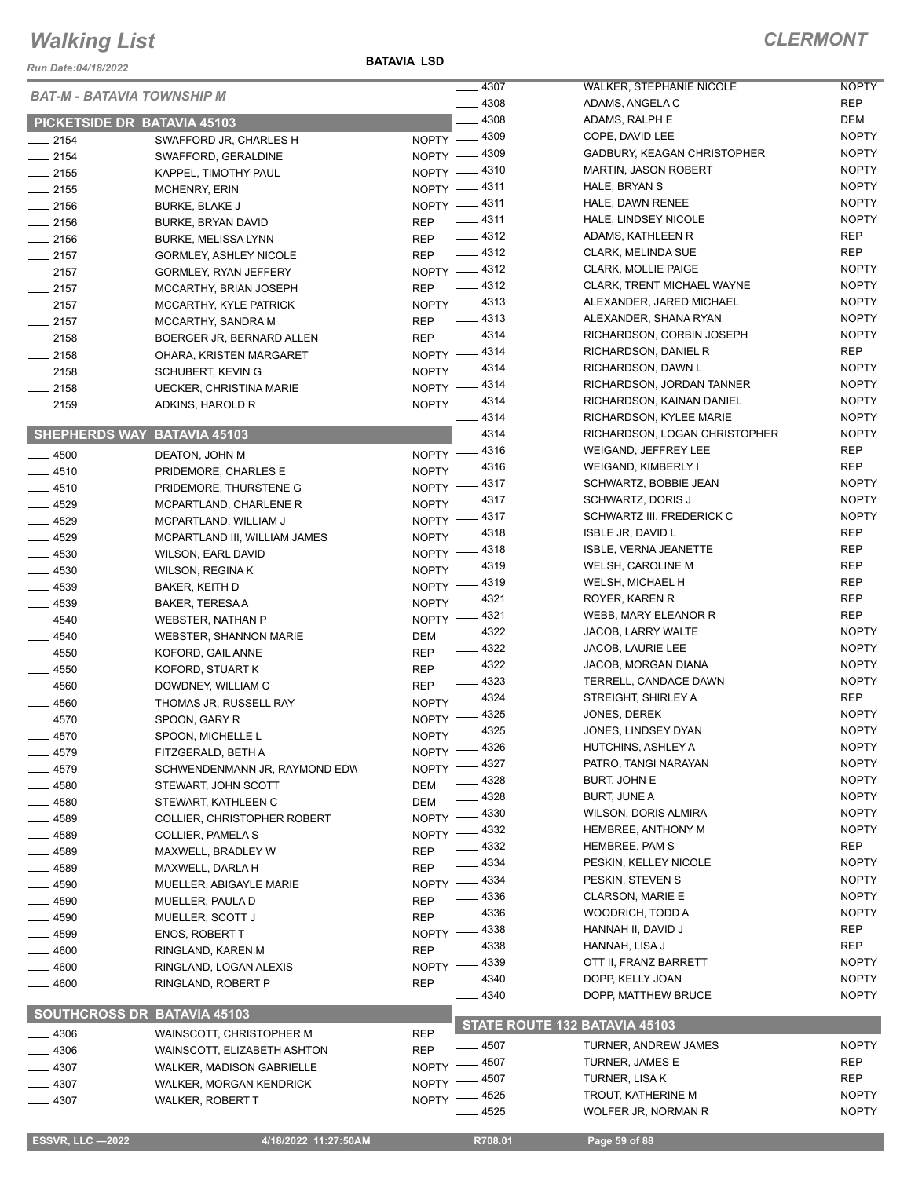*Run Date:04/18/2022*

#### **BATAVIA LSD**

#### *CLERMONT*

NOPTY NOPTY

NOPTY

|                        | <b>BAT-M - BATAVIA TOWNSHIP M</b>  |              | $-4307$                | WALKER, STEPHANIE NICOLE      | <b>NOPTY</b> |
|------------------------|------------------------------------|--------------|------------------------|-------------------------------|--------------|
|                        |                                    |              | $-4308$                | ADAMS, ANGELA C               | <b>REP</b>   |
|                        | PICKETSIDE DR BATAVIA 45103        |              | $-4308$                | ADAMS, RALPH E                | DEM          |
| $-2154$                | SWAFFORD JR, CHARLES H             |              | NOPTY -4309            | COPE, DAVID LEE               | <b>NOPTY</b> |
| $-2154$                | SWAFFORD, GERALDINE                |              | NOPTY -4309            | GADBURY, KEAGAN CHRISTOPHER   | <b>NOPTY</b> |
| $\frac{1}{2155}$       | KAPPEL, TIMOTHY PAUL               |              | NOPTY -4310            | <b>MARTIN, JASON ROBERT</b>   | <b>NOPTY</b> |
| $\frac{1}{2155}$       | <b>MCHENRY, ERIN</b>               |              | NOPTY -4311            | HALE, BRYAN S                 | <b>NOPTY</b> |
| $-2156$                | <b>BURKE, BLAKE J</b>              |              | NOPTY -4311            | HALE, DAWN RENEE              | <b>NOPTY</b> |
| $-2156$                | BURKE, BRYAN DAVID                 | <b>REP</b>   | $-4311$                | HALE, LINDSEY NICOLE          | <b>NOPTY</b> |
| $-2156$                | <b>BURKE, MELISSA LYNN</b>         |              | REP - 4312             | ADAMS, KATHLEEN R             | REP          |
| $-2157$                |                                    |              | REP - 4312             | CLARK, MELINDA SUE            | REP          |
|                        | <b>GORMLEY, ASHLEY NICOLE</b>      |              | NOPTY -4312            | <b>CLARK, MOLLIE PAIGE</b>    | <b>NOPTY</b> |
| $\frac{1}{2157}$       | <b>GORMLEY, RYAN JEFFERY</b>       |              | $-4312$                | CLARK, TRENT MICHAEL WAYNE    | <b>NOPTY</b> |
| $-2157$                | MCCARTHY, BRIAN JOSEPH             | <b>REP</b>   |                        | ALEXANDER, JARED MICHAEL      | <b>NOPTY</b> |
| $\frac{1}{2157}$       | MCCARTHY, KYLE PATRICK             |              | NOPTY -4313            |                               |              |
| $-2157$                | MCCARTHY, SANDRA M                 |              | REP -4313              | ALEXANDER, SHANA RYAN         | <b>NOPTY</b> |
| $-2158$                | BOERGER JR, BERNARD ALLEN          |              | REP - 4314             | RICHARDSON, CORBIN JOSEPH     | <b>NOPTY</b> |
| $-2158$                | OHARA, KRISTEN MARGARET            |              | NOPTY - 4314           | RICHARDSON, DANIEL R          | REP          |
| $-2158$                | SCHUBERT, KEVIN G                  |              | NOPTY - 4314           | RICHARDSON, DAWN L            | <b>NOPTY</b> |
| $-2158$                | <b>UECKER, CHRISTINA MARIE</b>     |              | NOPTY -4314            | RICHARDSON, JORDAN TANNER     | <b>NOPTY</b> |
| $-2159$                | ADKINS, HAROLD R                   |              | NOPTY -4314            | RICHARDSON, KAINAN DANIEL     | <b>NOPTY</b> |
|                        |                                    |              | $-4314$                | RICHARDSON, KYLEE MARIE       | <b>NOPTY</b> |
|                        | SHEPHERDS WAY BATAVIA 45103        |              | $-4314$                | RICHARDSON, LOGAN CHRISTOPHER | <b>NOPTY</b> |
| $-4500$                | DEATON, JOHN M                     |              | NOPTY -4316            | WEIGAND, JEFFREY LEE          | REP          |
| $-4510$                | PRIDEMORE, CHARLES E               |              | NOPTY -4316            | WEIGAND, KIMBERLY I           | REP          |
| $-4510$                | PRIDEMORE, THURSTENE G             |              | NOPTY -4317            | SCHWARTZ, BOBBIE JEAN         | <b>NOPTY</b> |
| $-4529$                | MCPARTLAND, CHARLENE R             |              | NOPTY -4317            | <b>SCHWARTZ, DORIS J</b>      | <b>NOPTY</b> |
|                        |                                    |              | NOPTY -4317            | SCHWARTZ III, FREDERICK C     | <b>NOPTY</b> |
| $- 4529$               | MCPARTLAND, WILLIAM J              |              | NOPTY -4318            | <b>ISBLE JR, DAVID L</b>      | <b>REP</b>   |
| $-4529$                | MCPARTLAND III, WILLIAM JAMES      |              | NOPTY -4318            | <b>ISBLE, VERNA JEANETTE</b>  | <b>REP</b>   |
| $- 4530$               | WILSON, EARL DAVID                 |              | NOPTY -4319            | WELSH, CAROLINE M             | <b>REP</b>   |
| $-4530$                | <b>WILSON, REGINA K</b>            |              |                        | WELSH, MICHAEL H              | <b>REP</b>   |
| $-4539$                | BAKER, KEITH D                     |              | NOPTY -4319<br>$-4321$ | ROYER, KAREN R                | <b>REP</b>   |
| $- 4539$               | BAKER, TERESA A                    | $N$ OPTY $-$ |                        |                               | <b>REP</b>   |
| $-4540$                | <b>WEBSTER, NATHAN P</b>           |              | NOPTY -4321            | WEBB, MARY ELEANOR R          |              |
| $- 4540$               | <b>WEBSTER, SHANNON MARIE</b>      | DEM          | $-4322$                | JACOB, LARRY WALTE            | <b>NOPTY</b> |
| $- 4550$               | KOFORD, GAIL ANNE                  | REP          | $-4322$                | JACOB, LAURIE LEE             | <b>NOPTY</b> |
| $- 4550$               | KOFORD, STUART K                   | <b>REP</b>   | $-4322$                | JACOB, MORGAN DIANA           | <b>NOPTY</b> |
| $- 4560$               | DOWDNEY, WILLIAM C                 | <b>REP</b>   | $-4323$                | TERRELL, CANDACE DAWN         | <b>NOPTY</b> |
| $-4560$                | THOMAS JR, RUSSELL RAY             |              | NOPTY -4324            | STREIGHT, SHIRLEY A           | REP          |
| $-4570$                | SPOON, GARY R                      |              | NOPTY -4325            | JONES, DEREK                  | <b>NOPTY</b> |
| $\frac{1}{2}$ 4570     | SPOON, MICHELLE L                  |              | NOPTY -4325            | JONES, LINDSEY DYAN           | <b>NOPTY</b> |
| _ 4579                 | FITZGERALD, BETH A                 |              | NOPTY -4326            | HUTCHINS, ASHLEY A            | <b>NOPTY</b> |
| - 4579                 | SCHWENDENMANN JR, RAYMOND EDW      | NOPTY -      | $-4327$                | PATRO, TANGI NARAYAN          | <b>NOPTY</b> |
| $-4580$                | STEWART, JOHN SCOTT                | <b>DEM</b>   | _ 4328                 | BURT, JOHN E                  | <b>NOPTY</b> |
| $-4580$                | STEWART, KATHLEEN C                | <b>DEM</b>   | $-4328$                | <b>BURT, JUNE A</b>           | <b>NOPTY</b> |
| ____ 4589              | COLLIER, CHRISTOPHER ROBERT        | NOPTY -      | _ 4330                 | <b>WILSON, DORIS ALMIRA</b>   | <b>NOPTY</b> |
| $- 4589$               | COLLIER, PAMELA S                  |              | NOPTY -4332            | HEMBREE, ANTHONY M            | <b>NOPTY</b> |
|                        |                                    | <b>REP</b>   | $- 4332$               | HEMBREE, PAM S                | <b>REP</b>   |
| _ 4589                 | MAXWELL, BRADLEY W                 | <b>REP</b>   | $-4334$                | PESKIN, KELLEY NICOLE         | <b>NOPTY</b> |
| $-4589$                | MAXWELL, DARLA H                   |              | NOPTY -4334            | PESKIN, STEVEN S              | <b>NOPTY</b> |
| —— 4590                | MUELLER, ABIGAYLE MARIE            |              | $-4336$                | <b>CLARSON, MARIE E</b>       | <b>NOPTY</b> |
| $-4590$                | MUELLER, PAULA D                   | <b>REP</b>   | $- 4336$               | WOODRICH, TODD A              | <b>NOPTY</b> |
| $-4590$                | MUELLER, SCOTT J                   | <b>REP</b>   | $-4338$                | HANNAH II, DAVID J            | REP          |
| $- 4599$               | <b>ENOS, ROBERT T</b>              | $NOPTY =$    | - 4338                 | HANNAH, LISA J                | REP          |
| $-4600$                | RINGLAND, KAREN M                  | <b>REP</b>   |                        |                               |              |
| $=$ 4600               | RINGLAND, LOGAN ALEXIS             | NOPTY -      | $-4339$                | OTT II, FRANZ BARRETT         | <b>NOPTY</b> |
| $=4600$                | RINGLAND, ROBERT P                 | <b>REP</b>   | _ 4340                 | DOPP, KELLY JOAN              | <b>NOPTY</b> |
|                        |                                    |              | $-4340$                | DOPP, MATTHEW BRUCE           | <b>NOPTY</b> |
|                        | <b>SOUTHCROSS DR BATAVIA 45103</b> |              |                        | STATE ROUTE 132 BATAVIA 45103 |              |
| _ 4306                 | WAINSCOTT, CHRISTOPHER M           | <b>REP</b>   | $-4507$                | <b>TURNER, ANDREW JAMES</b>   | <b>NOPTY</b> |
| $-4306$                | WAINSCOTT, ELIZABETH ASHTON        | <b>REP</b>   | $-4507$                | TURNER, JAMES E               | REP          |
| $-4307$                | <b>WALKER, MADISON GABRIELLE</b>   | NOPTY -      |                        |                               | REP          |
| —— 4307                | WALKER, MORGAN KENDRICK            | NOPTY -      | . 4507                 | TURNER, LISA K                |              |
| $-4307$                | <b>WALKER, ROBERT T</b>            | NOPTY $-$    | $-4525$                | TROUT, KATHERINE M            | <b>NOPTY</b> |
|                        |                                    |              | $-4525$                | WOLFER JR, NORMAN R           | <b>NOPTY</b> |
| <b>ESSVR, LLC-2022</b> | 4/18/2022 11:27:50AM               |              | R708.01                | Page 59 of 88                 |              |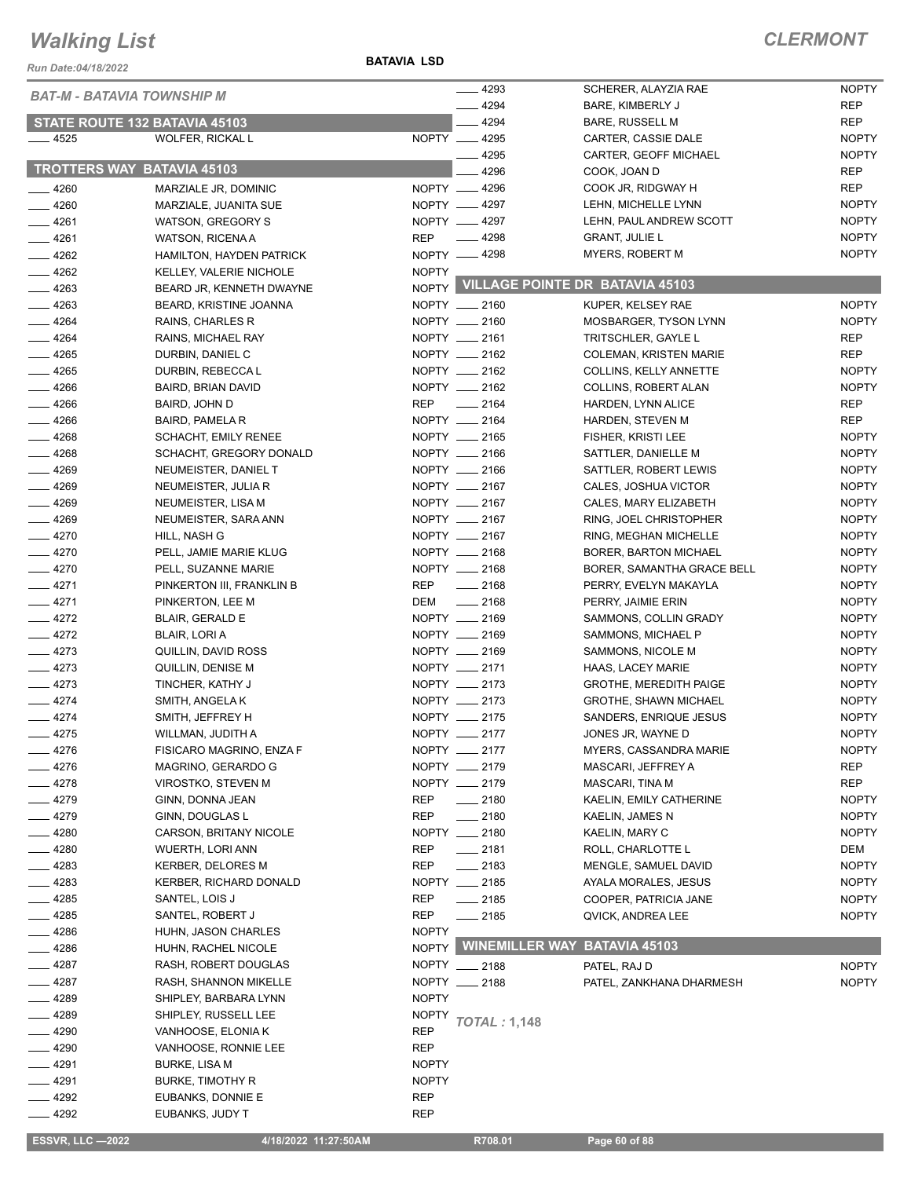*Run Date:04/18/2022*

#### **BATAVIA LSD**

| <b>REP</b><br>BARE, KIMBERLY J<br>4294<br><b>REP</b><br>STATE ROUTE 132 BATAVIA 45103<br><b>BARE, RUSSELL M</b><br>WOLFER, RICKAL L<br>NOPTY __ 4295<br>$-4525$<br><b>NOPTY</b><br>CARTER, CASSIE DALE<br>$-4295$<br><b>NOPTY</b><br>CARTER, GEOFF MICHAEL<br><b>TROTTERS WAY BATAVIA 45103</b><br>4296<br><b>REP</b><br>COOK, JOAN D<br>NOPTY __ 4296<br><b>REP</b><br>COOK JR, RIDGWAY H<br>$-4260$<br>MARZIALE JR, DOMINIC<br><b>NOPTY</b><br>$-4260$<br>NOPTY -4297<br>LEHN, MICHELLE LYNN<br>MARZIALE, JUANITA SUE<br><b>NOPTY</b><br>NOPTY __ 4297<br>LEHN, PAUL ANDREW SCOTT<br>$-4261$<br>WATSON, GREGORY S<br>$-4298$<br><b>REP</b><br><b>GRANT, JULIE L</b><br><b>NOPTY</b><br>$-4261$<br><b>WATSON, RICENA A</b><br>NOPTY -4298<br><b>NOPTY</b><br><b>MYERS, ROBERT M</b><br>$-4262$<br>HAMILTON, HAYDEN PATRICK<br>$\frac{4262}{5}$<br><b>NOPTY</b><br>KELLEY, VALERIE NICHOLE<br>NOPTY VILLAGE POINTE DR BATAVIA 45103<br>$-4263$<br>BEARD JR, KENNETH DWAYNE<br>$-4263$<br><b>NOPTY</b><br>BEARD, KRISTINE JOANNA<br>NOPTY __ 2160<br>KUPER, KELSEY RAE<br>$-4264$<br>NOPTY __ 2160<br><b>NOPTY</b><br>RAINS, CHARLES R<br>MOSBARGER, TYSON LYNN<br>$-4264$<br>NOPTY __ 2161<br>RAINS, MICHAEL RAY<br>TRITSCHLER, GAYLE L<br>REP<br>$-4265$<br>NOPTY __ 2162<br><b>REP</b><br>DURBIN, DANIEL C<br><b>COLEMAN, KRISTEN MARIE</b><br>$-4265$<br>NOPTY __ 2162<br><b>NOPTY</b><br>DURBIN, REBECCA L<br><b>COLLINS, KELLY ANNETTE</b><br>NOPTY __ 2162<br>$-4266$<br>BAIRD, BRIAN DAVID<br><b>NOPTY</b><br>COLLINS, ROBERT ALAN<br>$-4266$<br>$-2164$<br><b>REP</b><br><b>REP</b><br>BAIRD, JOHN D<br>HARDEN, LYNN ALICE<br>NOPTY __ 2164<br>$-4266$<br><b>REP</b><br><b>BAIRD, PAMELA R</b><br>HARDEN, STEVEN M<br>$-4268$<br>NOPTY __ 2165<br><b>NOPTY</b><br><b>SCHACHT, EMILY RENEE</b><br>FISHER, KRISTI LEE<br>$-4268$<br>NOPTY __ 2166<br><b>NOPTY</b><br>SCHACHT, GREGORY DONALD<br>SATTLER, DANIELLE M<br>$-4269$<br>NEUMEISTER, DANIEL T<br>NOPTY __ 2166<br><b>NOPTY</b><br>SATTLER, ROBERT LEWIS<br>NOPTY __ 2167<br>$-4269$<br><b>NOPTY</b><br>NEUMEISTER, JULIA R<br>CALES, JOSHUA VICTOR<br>NOPTY __ 2167<br>$-4269$<br><b>NOPTY</b><br>NEUMEISTER, LISA M<br>CALES, MARY ELIZABETH<br>NOPTY __ 2167<br>$-4269$<br><b>NOPTY</b><br>NEUMEISTER, SARA ANN<br>RING, JOEL CHRISTOPHER<br>$-4270$<br>NOPTY __ 2167<br><b>NOPTY</b><br>HILL, NASH G<br>RING, MEGHAN MICHELLE<br>$-4270$<br>NOPTY __ 2168<br>PELL, JAMIE MARIE KLUG<br>BORER, BARTON MICHAEL<br><b>NOPTY</b><br>$-4270$<br>NOPTY __ 2168<br><b>NOPTY</b><br>PELL, SUZANNE MARIE<br>BORER, SAMANTHA GRACE BELL<br>$-4271$<br><b>REP</b><br>$\frac{1}{2168}$<br><b>NOPTY</b><br>PINKERTON III, FRANKLIN B<br>PERRY, EVELYN MAKAYLA<br>$-4271$<br>DEM<br>$\frac{1}{2168}$<br><b>NOPTY</b><br>PINKERTON, LEE M<br>PERRY, JAIMIE ERIN<br>NOPTY __ 2169<br>$-4272$<br><b>NOPTY</b><br>BLAIR, GERALD E<br>SAMMONS, COLLIN GRADY<br>$-4272$<br>NOPTY __ 2169<br>BLAIR, LORI A<br><b>NOPTY</b><br>SAMMONS, MICHAEL P<br>$-4273$<br>NOPTY __ 2169<br><b>NOPTY</b><br>QUILLIN, DAVID ROSS<br>SAMMONS, NICOLE M<br>$-4273$<br>NOPTY __ 2171<br>QUILLIN, DENISE M<br>HAAS, LACEY MARIE<br><b>NOPTY</b><br>$-4273$<br>NOPTY __ 2173<br><b>NOPTY</b><br>TINCHER, KATHY J<br><b>GROTHE, MEREDITH PAIGE</b><br>$-4274$<br>NOPTY __ 2173<br>SMITH, ANGELA K<br><b>GROTHE, SHAWN MICHAEL</b><br><b>NOPTY</b><br>NOPTY __ 2175<br>$-4274$<br>SMITH, JEFFREY H<br><b>NOPTY</b><br>SANDERS, ENRIQUE JESUS<br>NOPTY __ 2177<br><b>NOPTY</b><br>$-4275$<br>WILLMAN, JUDITH A<br>JONES JR, WAYNE D<br>NOPTY __ 2177<br>4276<br><b>MYERS, CASSANDRA MARIE</b><br><b>NOPTY</b><br>FISICARO MAGRINO, ENZA F<br>4276<br>NOPTY __ 2179<br>REP<br>MAGRINO, GERARDO G<br>MASCARI, JEFFREY A<br>$-4278$<br>NOPTY __ 2179<br><b>REP</b><br>VIROSTKO, STEVEN M<br>MASCARI, TINA M<br>_ 4279<br>REP<br>GINN, DONNA JEAN<br>$- 2180$<br>KAELIN, EMILY CATHERINE<br><b>NOPTY</b><br>$-4279$<br><b>REP</b><br>$-2180$<br><b>NOPTY</b><br>GINN, DOUGLAS L<br>KAELIN, JAMES N<br>NOPTY __ 2180<br>_ 4280<br>CARSON, BRITANY NICOLE<br>KAELIN, MARY C<br><b>NOPTY</b><br>$-4280$<br>$-2181$<br>REP<br>DEM<br>WUERTH, LORI ANN<br>ROLL, CHARLOTTE L<br>$-4283$<br><b>REP</b><br>$-2183$<br><b>NOPTY</b><br><b>KERBER, DELORES M</b><br>MENGLE, SAMUEL DAVID<br>4283<br>KERBER, RICHARD DONALD<br>NOPTY __ 2185<br>AYALA MORALES, JESUS<br><b>NOPTY</b><br>4285<br><b>REP</b><br>SANTEL, LOIS J<br>____ 2185<br><b>NOPTY</b><br>COOPER, PATRICIA JANE<br>4285<br><b>REP</b><br>SANTEL, ROBERT J<br>____ 2185<br><b>NOPTY</b><br>QVICK, ANDREA LEE<br>4286<br><b>NOPTY</b><br>HUHN, JASON CHARLES<br><b>WINEMILLER WAY BATAVIA 45103</b><br><b>NOPTY</b><br>4286<br>HUHN, RACHEL NICOLE<br>4287<br>RASH, ROBERT DOUGLAS<br>NOPTY __ 2188<br><b>NOPTY</b><br>PATEL, RAJ D<br>$-4287$<br>RASH, SHANNON MIKELLE<br>NOPTY __ 2188<br><b>NOPTY</b><br>PATEL, ZANKHANA DHARMESH<br>4289<br>SHIPLEY, BARBARA LYNN<br><b>NOPTY</b><br>$-4289$<br><b>NOPTY</b><br>SHIPLEY, RUSSELL LEE<br><b>TOTAL: 1,148</b><br>$-4290$<br><b>REP</b><br>VANHOOSE, ELONIA K<br><b>REP</b><br>$=$ 4290<br>VANHOOSE, RONNIE LEE<br>$-4291$<br><b>NOPTY</b><br>BURKE, LISA M<br>$-4291$<br><b>BURKE, TIMOTHY R</b><br><b>NOPTY</b><br>4292<br>EUBANKS, DONNIE E<br>REP<br>_ 4292<br><b>REP</b><br>EUBANKS, JUDY T<br><b>ESSVR, LLC -2022</b><br>4/18/2022 11:27:50AM<br>R708.01<br>Page 60 of 88 | <b>BAT-M - BATAVIA TOWNSHIP M</b> |  | $-4293$ | SCHERER, ALAYZIA RAE | <b>NOPTY</b> |
|------------------------------------------------------------------------------------------------------------------------------------------------------------------------------------------------------------------------------------------------------------------------------------------------------------------------------------------------------------------------------------------------------------------------------------------------------------------------------------------------------------------------------------------------------------------------------------------------------------------------------------------------------------------------------------------------------------------------------------------------------------------------------------------------------------------------------------------------------------------------------------------------------------------------------------------------------------------------------------------------------------------------------------------------------------------------------------------------------------------------------------------------------------------------------------------------------------------------------------------------------------------------------------------------------------------------------------------------------------------------------------------------------------------------------------------------------------------------------------------------------------------------------------------------------------------------------------------------------------------------------------------------------------------------------------------------------------------------------------------------------------------------------------------------------------------------------------------------------------------------------------------------------------------------------------------------------------------------------------------------------------------------------------------------------------------------------------------------------------------------------------------------------------------------------------------------------------------------------------------------------------------------------------------------------------------------------------------------------------------------------------------------------------------------------------------------------------------------------------------------------------------------------------------------------------------------------------------------------------------------------------------------------------------------------------------------------------------------------------------------------------------------------------------------------------------------------------------------------------------------------------------------------------------------------------------------------------------------------------------------------------------------------------------------------------------------------------------------------------------------------------------------------------------------------------------------------------------------------------------------------------------------------------------------------------------------------------------------------------------------------------------------------------------------------------------------------------------------------------------------------------------------------------------------------------------------------------------------------------------------------------------------------------------------------------------------------------------------------------------------------------------------------------------------------------------------------------------------------------------------------------------------------------------------------------------------------------------------------------------------------------------------------------------------------------------------------------------------------------------------------------------------------------------------------------------------------------------------------------------------------------------------------------------------------------------------------------------------------------------------------------------------------------------------------------------------------------------------------------------------------------------------------------------------------------------------------------------------------------------------------------------------------------------------------------------------------------------------------------------------------------------------------------------------------------------------------------------------------------------------------------------------------------------------------------------------------------------------------------------------------------------------------------------------------------------------------------------------------------------------------------------------------------------------------------------------------------------------------------------------------------------------------------------------------------------------------------------------------------------------------------------------------------|-----------------------------------|--|---------|----------------------|--------------|
|                                                                                                                                                                                                                                                                                                                                                                                                                                                                                                                                                                                                                                                                                                                                                                                                                                                                                                                                                                                                                                                                                                                                                                                                                                                                                                                                                                                                                                                                                                                                                                                                                                                                                                                                                                                                                                                                                                                                                                                                                                                                                                                                                                                                                                                                                                                                                                                                                                                                                                                                                                                                                                                                                                                                                                                                                                                                                                                                                                                                                                                                                                                                                                                                                                                                                                                                                                                                                                                                                                                                                                                                                                                                                                                                                                                                                                                                                                                                                                                                                                                                                                                                                                                                                                                                                                                                                                                                                                                                                                                                                                                                                                                                                                                                                                                                                                                                                                                                                                                                                                                                                                                                                                                                                                                                                                                                                                                                            |                                   |  | 4294    |                      |              |
|                                                                                                                                                                                                                                                                                                                                                                                                                                                                                                                                                                                                                                                                                                                                                                                                                                                                                                                                                                                                                                                                                                                                                                                                                                                                                                                                                                                                                                                                                                                                                                                                                                                                                                                                                                                                                                                                                                                                                                                                                                                                                                                                                                                                                                                                                                                                                                                                                                                                                                                                                                                                                                                                                                                                                                                                                                                                                                                                                                                                                                                                                                                                                                                                                                                                                                                                                                                                                                                                                                                                                                                                                                                                                                                                                                                                                                                                                                                                                                                                                                                                                                                                                                                                                                                                                                                                                                                                                                                                                                                                                                                                                                                                                                                                                                                                                                                                                                                                                                                                                                                                                                                                                                                                                                                                                                                                                                                                            |                                   |  |         |                      |              |
|                                                                                                                                                                                                                                                                                                                                                                                                                                                                                                                                                                                                                                                                                                                                                                                                                                                                                                                                                                                                                                                                                                                                                                                                                                                                                                                                                                                                                                                                                                                                                                                                                                                                                                                                                                                                                                                                                                                                                                                                                                                                                                                                                                                                                                                                                                                                                                                                                                                                                                                                                                                                                                                                                                                                                                                                                                                                                                                                                                                                                                                                                                                                                                                                                                                                                                                                                                                                                                                                                                                                                                                                                                                                                                                                                                                                                                                                                                                                                                                                                                                                                                                                                                                                                                                                                                                                                                                                                                                                                                                                                                                                                                                                                                                                                                                                                                                                                                                                                                                                                                                                                                                                                                                                                                                                                                                                                                                                            |                                   |  |         |                      |              |
|                                                                                                                                                                                                                                                                                                                                                                                                                                                                                                                                                                                                                                                                                                                                                                                                                                                                                                                                                                                                                                                                                                                                                                                                                                                                                                                                                                                                                                                                                                                                                                                                                                                                                                                                                                                                                                                                                                                                                                                                                                                                                                                                                                                                                                                                                                                                                                                                                                                                                                                                                                                                                                                                                                                                                                                                                                                                                                                                                                                                                                                                                                                                                                                                                                                                                                                                                                                                                                                                                                                                                                                                                                                                                                                                                                                                                                                                                                                                                                                                                                                                                                                                                                                                                                                                                                                                                                                                                                                                                                                                                                                                                                                                                                                                                                                                                                                                                                                                                                                                                                                                                                                                                                                                                                                                                                                                                                                                            |                                   |  |         |                      |              |
|                                                                                                                                                                                                                                                                                                                                                                                                                                                                                                                                                                                                                                                                                                                                                                                                                                                                                                                                                                                                                                                                                                                                                                                                                                                                                                                                                                                                                                                                                                                                                                                                                                                                                                                                                                                                                                                                                                                                                                                                                                                                                                                                                                                                                                                                                                                                                                                                                                                                                                                                                                                                                                                                                                                                                                                                                                                                                                                                                                                                                                                                                                                                                                                                                                                                                                                                                                                                                                                                                                                                                                                                                                                                                                                                                                                                                                                                                                                                                                                                                                                                                                                                                                                                                                                                                                                                                                                                                                                                                                                                                                                                                                                                                                                                                                                                                                                                                                                                                                                                                                                                                                                                                                                                                                                                                                                                                                                                            |                                   |  |         |                      |              |
|                                                                                                                                                                                                                                                                                                                                                                                                                                                                                                                                                                                                                                                                                                                                                                                                                                                                                                                                                                                                                                                                                                                                                                                                                                                                                                                                                                                                                                                                                                                                                                                                                                                                                                                                                                                                                                                                                                                                                                                                                                                                                                                                                                                                                                                                                                                                                                                                                                                                                                                                                                                                                                                                                                                                                                                                                                                                                                                                                                                                                                                                                                                                                                                                                                                                                                                                                                                                                                                                                                                                                                                                                                                                                                                                                                                                                                                                                                                                                                                                                                                                                                                                                                                                                                                                                                                                                                                                                                                                                                                                                                                                                                                                                                                                                                                                                                                                                                                                                                                                                                                                                                                                                                                                                                                                                                                                                                                                            |                                   |  |         |                      |              |
|                                                                                                                                                                                                                                                                                                                                                                                                                                                                                                                                                                                                                                                                                                                                                                                                                                                                                                                                                                                                                                                                                                                                                                                                                                                                                                                                                                                                                                                                                                                                                                                                                                                                                                                                                                                                                                                                                                                                                                                                                                                                                                                                                                                                                                                                                                                                                                                                                                                                                                                                                                                                                                                                                                                                                                                                                                                                                                                                                                                                                                                                                                                                                                                                                                                                                                                                                                                                                                                                                                                                                                                                                                                                                                                                                                                                                                                                                                                                                                                                                                                                                                                                                                                                                                                                                                                                                                                                                                                                                                                                                                                                                                                                                                                                                                                                                                                                                                                                                                                                                                                                                                                                                                                                                                                                                                                                                                                                            |                                   |  |         |                      |              |
|                                                                                                                                                                                                                                                                                                                                                                                                                                                                                                                                                                                                                                                                                                                                                                                                                                                                                                                                                                                                                                                                                                                                                                                                                                                                                                                                                                                                                                                                                                                                                                                                                                                                                                                                                                                                                                                                                                                                                                                                                                                                                                                                                                                                                                                                                                                                                                                                                                                                                                                                                                                                                                                                                                                                                                                                                                                                                                                                                                                                                                                                                                                                                                                                                                                                                                                                                                                                                                                                                                                                                                                                                                                                                                                                                                                                                                                                                                                                                                                                                                                                                                                                                                                                                                                                                                                                                                                                                                                                                                                                                                                                                                                                                                                                                                                                                                                                                                                                                                                                                                                                                                                                                                                                                                                                                                                                                                                                            |                                   |  |         |                      |              |
|                                                                                                                                                                                                                                                                                                                                                                                                                                                                                                                                                                                                                                                                                                                                                                                                                                                                                                                                                                                                                                                                                                                                                                                                                                                                                                                                                                                                                                                                                                                                                                                                                                                                                                                                                                                                                                                                                                                                                                                                                                                                                                                                                                                                                                                                                                                                                                                                                                                                                                                                                                                                                                                                                                                                                                                                                                                                                                                                                                                                                                                                                                                                                                                                                                                                                                                                                                                                                                                                                                                                                                                                                                                                                                                                                                                                                                                                                                                                                                                                                                                                                                                                                                                                                                                                                                                                                                                                                                                                                                                                                                                                                                                                                                                                                                                                                                                                                                                                                                                                                                                                                                                                                                                                                                                                                                                                                                                                            |                                   |  |         |                      |              |
|                                                                                                                                                                                                                                                                                                                                                                                                                                                                                                                                                                                                                                                                                                                                                                                                                                                                                                                                                                                                                                                                                                                                                                                                                                                                                                                                                                                                                                                                                                                                                                                                                                                                                                                                                                                                                                                                                                                                                                                                                                                                                                                                                                                                                                                                                                                                                                                                                                                                                                                                                                                                                                                                                                                                                                                                                                                                                                                                                                                                                                                                                                                                                                                                                                                                                                                                                                                                                                                                                                                                                                                                                                                                                                                                                                                                                                                                                                                                                                                                                                                                                                                                                                                                                                                                                                                                                                                                                                                                                                                                                                                                                                                                                                                                                                                                                                                                                                                                                                                                                                                                                                                                                                                                                                                                                                                                                                                                            |                                   |  |         |                      |              |
|                                                                                                                                                                                                                                                                                                                                                                                                                                                                                                                                                                                                                                                                                                                                                                                                                                                                                                                                                                                                                                                                                                                                                                                                                                                                                                                                                                                                                                                                                                                                                                                                                                                                                                                                                                                                                                                                                                                                                                                                                                                                                                                                                                                                                                                                                                                                                                                                                                                                                                                                                                                                                                                                                                                                                                                                                                                                                                                                                                                                                                                                                                                                                                                                                                                                                                                                                                                                                                                                                                                                                                                                                                                                                                                                                                                                                                                                                                                                                                                                                                                                                                                                                                                                                                                                                                                                                                                                                                                                                                                                                                                                                                                                                                                                                                                                                                                                                                                                                                                                                                                                                                                                                                                                                                                                                                                                                                                                            |                                   |  |         |                      |              |
|                                                                                                                                                                                                                                                                                                                                                                                                                                                                                                                                                                                                                                                                                                                                                                                                                                                                                                                                                                                                                                                                                                                                                                                                                                                                                                                                                                                                                                                                                                                                                                                                                                                                                                                                                                                                                                                                                                                                                                                                                                                                                                                                                                                                                                                                                                                                                                                                                                                                                                                                                                                                                                                                                                                                                                                                                                                                                                                                                                                                                                                                                                                                                                                                                                                                                                                                                                                                                                                                                                                                                                                                                                                                                                                                                                                                                                                                                                                                                                                                                                                                                                                                                                                                                                                                                                                                                                                                                                                                                                                                                                                                                                                                                                                                                                                                                                                                                                                                                                                                                                                                                                                                                                                                                                                                                                                                                                                                            |                                   |  |         |                      |              |
|                                                                                                                                                                                                                                                                                                                                                                                                                                                                                                                                                                                                                                                                                                                                                                                                                                                                                                                                                                                                                                                                                                                                                                                                                                                                                                                                                                                                                                                                                                                                                                                                                                                                                                                                                                                                                                                                                                                                                                                                                                                                                                                                                                                                                                                                                                                                                                                                                                                                                                                                                                                                                                                                                                                                                                                                                                                                                                                                                                                                                                                                                                                                                                                                                                                                                                                                                                                                                                                                                                                                                                                                                                                                                                                                                                                                                                                                                                                                                                                                                                                                                                                                                                                                                                                                                                                                                                                                                                                                                                                                                                                                                                                                                                                                                                                                                                                                                                                                                                                                                                                                                                                                                                                                                                                                                                                                                                                                            |                                   |  |         |                      |              |
|                                                                                                                                                                                                                                                                                                                                                                                                                                                                                                                                                                                                                                                                                                                                                                                                                                                                                                                                                                                                                                                                                                                                                                                                                                                                                                                                                                                                                                                                                                                                                                                                                                                                                                                                                                                                                                                                                                                                                                                                                                                                                                                                                                                                                                                                                                                                                                                                                                                                                                                                                                                                                                                                                                                                                                                                                                                                                                                                                                                                                                                                                                                                                                                                                                                                                                                                                                                                                                                                                                                                                                                                                                                                                                                                                                                                                                                                                                                                                                                                                                                                                                                                                                                                                                                                                                                                                                                                                                                                                                                                                                                                                                                                                                                                                                                                                                                                                                                                                                                                                                                                                                                                                                                                                                                                                                                                                                                                            |                                   |  |         |                      |              |
|                                                                                                                                                                                                                                                                                                                                                                                                                                                                                                                                                                                                                                                                                                                                                                                                                                                                                                                                                                                                                                                                                                                                                                                                                                                                                                                                                                                                                                                                                                                                                                                                                                                                                                                                                                                                                                                                                                                                                                                                                                                                                                                                                                                                                                                                                                                                                                                                                                                                                                                                                                                                                                                                                                                                                                                                                                                                                                                                                                                                                                                                                                                                                                                                                                                                                                                                                                                                                                                                                                                                                                                                                                                                                                                                                                                                                                                                                                                                                                                                                                                                                                                                                                                                                                                                                                                                                                                                                                                                                                                                                                                                                                                                                                                                                                                                                                                                                                                                                                                                                                                                                                                                                                                                                                                                                                                                                                                                            |                                   |  |         |                      |              |
|                                                                                                                                                                                                                                                                                                                                                                                                                                                                                                                                                                                                                                                                                                                                                                                                                                                                                                                                                                                                                                                                                                                                                                                                                                                                                                                                                                                                                                                                                                                                                                                                                                                                                                                                                                                                                                                                                                                                                                                                                                                                                                                                                                                                                                                                                                                                                                                                                                                                                                                                                                                                                                                                                                                                                                                                                                                                                                                                                                                                                                                                                                                                                                                                                                                                                                                                                                                                                                                                                                                                                                                                                                                                                                                                                                                                                                                                                                                                                                                                                                                                                                                                                                                                                                                                                                                                                                                                                                                                                                                                                                                                                                                                                                                                                                                                                                                                                                                                                                                                                                                                                                                                                                                                                                                                                                                                                                                                            |                                   |  |         |                      |              |
|                                                                                                                                                                                                                                                                                                                                                                                                                                                                                                                                                                                                                                                                                                                                                                                                                                                                                                                                                                                                                                                                                                                                                                                                                                                                                                                                                                                                                                                                                                                                                                                                                                                                                                                                                                                                                                                                                                                                                                                                                                                                                                                                                                                                                                                                                                                                                                                                                                                                                                                                                                                                                                                                                                                                                                                                                                                                                                                                                                                                                                                                                                                                                                                                                                                                                                                                                                                                                                                                                                                                                                                                                                                                                                                                                                                                                                                                                                                                                                                                                                                                                                                                                                                                                                                                                                                                                                                                                                                                                                                                                                                                                                                                                                                                                                                                                                                                                                                                                                                                                                                                                                                                                                                                                                                                                                                                                                                                            |                                   |  |         |                      |              |
|                                                                                                                                                                                                                                                                                                                                                                                                                                                                                                                                                                                                                                                                                                                                                                                                                                                                                                                                                                                                                                                                                                                                                                                                                                                                                                                                                                                                                                                                                                                                                                                                                                                                                                                                                                                                                                                                                                                                                                                                                                                                                                                                                                                                                                                                                                                                                                                                                                                                                                                                                                                                                                                                                                                                                                                                                                                                                                                                                                                                                                                                                                                                                                                                                                                                                                                                                                                                                                                                                                                                                                                                                                                                                                                                                                                                                                                                                                                                                                                                                                                                                                                                                                                                                                                                                                                                                                                                                                                                                                                                                                                                                                                                                                                                                                                                                                                                                                                                                                                                                                                                                                                                                                                                                                                                                                                                                                                                            |                                   |  |         |                      |              |
|                                                                                                                                                                                                                                                                                                                                                                                                                                                                                                                                                                                                                                                                                                                                                                                                                                                                                                                                                                                                                                                                                                                                                                                                                                                                                                                                                                                                                                                                                                                                                                                                                                                                                                                                                                                                                                                                                                                                                                                                                                                                                                                                                                                                                                                                                                                                                                                                                                                                                                                                                                                                                                                                                                                                                                                                                                                                                                                                                                                                                                                                                                                                                                                                                                                                                                                                                                                                                                                                                                                                                                                                                                                                                                                                                                                                                                                                                                                                                                                                                                                                                                                                                                                                                                                                                                                                                                                                                                                                                                                                                                                                                                                                                                                                                                                                                                                                                                                                                                                                                                                                                                                                                                                                                                                                                                                                                                                                            |                                   |  |         |                      |              |
|                                                                                                                                                                                                                                                                                                                                                                                                                                                                                                                                                                                                                                                                                                                                                                                                                                                                                                                                                                                                                                                                                                                                                                                                                                                                                                                                                                                                                                                                                                                                                                                                                                                                                                                                                                                                                                                                                                                                                                                                                                                                                                                                                                                                                                                                                                                                                                                                                                                                                                                                                                                                                                                                                                                                                                                                                                                                                                                                                                                                                                                                                                                                                                                                                                                                                                                                                                                                                                                                                                                                                                                                                                                                                                                                                                                                                                                                                                                                                                                                                                                                                                                                                                                                                                                                                                                                                                                                                                                                                                                                                                                                                                                                                                                                                                                                                                                                                                                                                                                                                                                                                                                                                                                                                                                                                                                                                                                                            |                                   |  |         |                      |              |
|                                                                                                                                                                                                                                                                                                                                                                                                                                                                                                                                                                                                                                                                                                                                                                                                                                                                                                                                                                                                                                                                                                                                                                                                                                                                                                                                                                                                                                                                                                                                                                                                                                                                                                                                                                                                                                                                                                                                                                                                                                                                                                                                                                                                                                                                                                                                                                                                                                                                                                                                                                                                                                                                                                                                                                                                                                                                                                                                                                                                                                                                                                                                                                                                                                                                                                                                                                                                                                                                                                                                                                                                                                                                                                                                                                                                                                                                                                                                                                                                                                                                                                                                                                                                                                                                                                                                                                                                                                                                                                                                                                                                                                                                                                                                                                                                                                                                                                                                                                                                                                                                                                                                                                                                                                                                                                                                                                                                            |                                   |  |         |                      |              |
|                                                                                                                                                                                                                                                                                                                                                                                                                                                                                                                                                                                                                                                                                                                                                                                                                                                                                                                                                                                                                                                                                                                                                                                                                                                                                                                                                                                                                                                                                                                                                                                                                                                                                                                                                                                                                                                                                                                                                                                                                                                                                                                                                                                                                                                                                                                                                                                                                                                                                                                                                                                                                                                                                                                                                                                                                                                                                                                                                                                                                                                                                                                                                                                                                                                                                                                                                                                                                                                                                                                                                                                                                                                                                                                                                                                                                                                                                                                                                                                                                                                                                                                                                                                                                                                                                                                                                                                                                                                                                                                                                                                                                                                                                                                                                                                                                                                                                                                                                                                                                                                                                                                                                                                                                                                                                                                                                                                                            |                                   |  |         |                      |              |
|                                                                                                                                                                                                                                                                                                                                                                                                                                                                                                                                                                                                                                                                                                                                                                                                                                                                                                                                                                                                                                                                                                                                                                                                                                                                                                                                                                                                                                                                                                                                                                                                                                                                                                                                                                                                                                                                                                                                                                                                                                                                                                                                                                                                                                                                                                                                                                                                                                                                                                                                                                                                                                                                                                                                                                                                                                                                                                                                                                                                                                                                                                                                                                                                                                                                                                                                                                                                                                                                                                                                                                                                                                                                                                                                                                                                                                                                                                                                                                                                                                                                                                                                                                                                                                                                                                                                                                                                                                                                                                                                                                                                                                                                                                                                                                                                                                                                                                                                                                                                                                                                                                                                                                                                                                                                                                                                                                                                            |                                   |  |         |                      |              |
|                                                                                                                                                                                                                                                                                                                                                                                                                                                                                                                                                                                                                                                                                                                                                                                                                                                                                                                                                                                                                                                                                                                                                                                                                                                                                                                                                                                                                                                                                                                                                                                                                                                                                                                                                                                                                                                                                                                                                                                                                                                                                                                                                                                                                                                                                                                                                                                                                                                                                                                                                                                                                                                                                                                                                                                                                                                                                                                                                                                                                                                                                                                                                                                                                                                                                                                                                                                                                                                                                                                                                                                                                                                                                                                                                                                                                                                                                                                                                                                                                                                                                                                                                                                                                                                                                                                                                                                                                                                                                                                                                                                                                                                                                                                                                                                                                                                                                                                                                                                                                                                                                                                                                                                                                                                                                                                                                                                                            |                                   |  |         |                      |              |
|                                                                                                                                                                                                                                                                                                                                                                                                                                                                                                                                                                                                                                                                                                                                                                                                                                                                                                                                                                                                                                                                                                                                                                                                                                                                                                                                                                                                                                                                                                                                                                                                                                                                                                                                                                                                                                                                                                                                                                                                                                                                                                                                                                                                                                                                                                                                                                                                                                                                                                                                                                                                                                                                                                                                                                                                                                                                                                                                                                                                                                                                                                                                                                                                                                                                                                                                                                                                                                                                                                                                                                                                                                                                                                                                                                                                                                                                                                                                                                                                                                                                                                                                                                                                                                                                                                                                                                                                                                                                                                                                                                                                                                                                                                                                                                                                                                                                                                                                                                                                                                                                                                                                                                                                                                                                                                                                                                                                            |                                   |  |         |                      |              |
|                                                                                                                                                                                                                                                                                                                                                                                                                                                                                                                                                                                                                                                                                                                                                                                                                                                                                                                                                                                                                                                                                                                                                                                                                                                                                                                                                                                                                                                                                                                                                                                                                                                                                                                                                                                                                                                                                                                                                                                                                                                                                                                                                                                                                                                                                                                                                                                                                                                                                                                                                                                                                                                                                                                                                                                                                                                                                                                                                                                                                                                                                                                                                                                                                                                                                                                                                                                                                                                                                                                                                                                                                                                                                                                                                                                                                                                                                                                                                                                                                                                                                                                                                                                                                                                                                                                                                                                                                                                                                                                                                                                                                                                                                                                                                                                                                                                                                                                                                                                                                                                                                                                                                                                                                                                                                                                                                                                                            |                                   |  |         |                      |              |
|                                                                                                                                                                                                                                                                                                                                                                                                                                                                                                                                                                                                                                                                                                                                                                                                                                                                                                                                                                                                                                                                                                                                                                                                                                                                                                                                                                                                                                                                                                                                                                                                                                                                                                                                                                                                                                                                                                                                                                                                                                                                                                                                                                                                                                                                                                                                                                                                                                                                                                                                                                                                                                                                                                                                                                                                                                                                                                                                                                                                                                                                                                                                                                                                                                                                                                                                                                                                                                                                                                                                                                                                                                                                                                                                                                                                                                                                                                                                                                                                                                                                                                                                                                                                                                                                                                                                                                                                                                                                                                                                                                                                                                                                                                                                                                                                                                                                                                                                                                                                                                                                                                                                                                                                                                                                                                                                                                                                            |                                   |  |         |                      |              |
|                                                                                                                                                                                                                                                                                                                                                                                                                                                                                                                                                                                                                                                                                                                                                                                                                                                                                                                                                                                                                                                                                                                                                                                                                                                                                                                                                                                                                                                                                                                                                                                                                                                                                                                                                                                                                                                                                                                                                                                                                                                                                                                                                                                                                                                                                                                                                                                                                                                                                                                                                                                                                                                                                                                                                                                                                                                                                                                                                                                                                                                                                                                                                                                                                                                                                                                                                                                                                                                                                                                                                                                                                                                                                                                                                                                                                                                                                                                                                                                                                                                                                                                                                                                                                                                                                                                                                                                                                                                                                                                                                                                                                                                                                                                                                                                                                                                                                                                                                                                                                                                                                                                                                                                                                                                                                                                                                                                                            |                                   |  |         |                      |              |
|                                                                                                                                                                                                                                                                                                                                                                                                                                                                                                                                                                                                                                                                                                                                                                                                                                                                                                                                                                                                                                                                                                                                                                                                                                                                                                                                                                                                                                                                                                                                                                                                                                                                                                                                                                                                                                                                                                                                                                                                                                                                                                                                                                                                                                                                                                                                                                                                                                                                                                                                                                                                                                                                                                                                                                                                                                                                                                                                                                                                                                                                                                                                                                                                                                                                                                                                                                                                                                                                                                                                                                                                                                                                                                                                                                                                                                                                                                                                                                                                                                                                                                                                                                                                                                                                                                                                                                                                                                                                                                                                                                                                                                                                                                                                                                                                                                                                                                                                                                                                                                                                                                                                                                                                                                                                                                                                                                                                            |                                   |  |         |                      |              |
|                                                                                                                                                                                                                                                                                                                                                                                                                                                                                                                                                                                                                                                                                                                                                                                                                                                                                                                                                                                                                                                                                                                                                                                                                                                                                                                                                                                                                                                                                                                                                                                                                                                                                                                                                                                                                                                                                                                                                                                                                                                                                                                                                                                                                                                                                                                                                                                                                                                                                                                                                                                                                                                                                                                                                                                                                                                                                                                                                                                                                                                                                                                                                                                                                                                                                                                                                                                                                                                                                                                                                                                                                                                                                                                                                                                                                                                                                                                                                                                                                                                                                                                                                                                                                                                                                                                                                                                                                                                                                                                                                                                                                                                                                                                                                                                                                                                                                                                                                                                                                                                                                                                                                                                                                                                                                                                                                                                                            |                                   |  |         |                      |              |
|                                                                                                                                                                                                                                                                                                                                                                                                                                                                                                                                                                                                                                                                                                                                                                                                                                                                                                                                                                                                                                                                                                                                                                                                                                                                                                                                                                                                                                                                                                                                                                                                                                                                                                                                                                                                                                                                                                                                                                                                                                                                                                                                                                                                                                                                                                                                                                                                                                                                                                                                                                                                                                                                                                                                                                                                                                                                                                                                                                                                                                                                                                                                                                                                                                                                                                                                                                                                                                                                                                                                                                                                                                                                                                                                                                                                                                                                                                                                                                                                                                                                                                                                                                                                                                                                                                                                                                                                                                                                                                                                                                                                                                                                                                                                                                                                                                                                                                                                                                                                                                                                                                                                                                                                                                                                                                                                                                                                            |                                   |  |         |                      |              |
|                                                                                                                                                                                                                                                                                                                                                                                                                                                                                                                                                                                                                                                                                                                                                                                                                                                                                                                                                                                                                                                                                                                                                                                                                                                                                                                                                                                                                                                                                                                                                                                                                                                                                                                                                                                                                                                                                                                                                                                                                                                                                                                                                                                                                                                                                                                                                                                                                                                                                                                                                                                                                                                                                                                                                                                                                                                                                                                                                                                                                                                                                                                                                                                                                                                                                                                                                                                                                                                                                                                                                                                                                                                                                                                                                                                                                                                                                                                                                                                                                                                                                                                                                                                                                                                                                                                                                                                                                                                                                                                                                                                                                                                                                                                                                                                                                                                                                                                                                                                                                                                                                                                                                                                                                                                                                                                                                                                                            |                                   |  |         |                      |              |
|                                                                                                                                                                                                                                                                                                                                                                                                                                                                                                                                                                                                                                                                                                                                                                                                                                                                                                                                                                                                                                                                                                                                                                                                                                                                                                                                                                                                                                                                                                                                                                                                                                                                                                                                                                                                                                                                                                                                                                                                                                                                                                                                                                                                                                                                                                                                                                                                                                                                                                                                                                                                                                                                                                                                                                                                                                                                                                                                                                                                                                                                                                                                                                                                                                                                                                                                                                                                                                                                                                                                                                                                                                                                                                                                                                                                                                                                                                                                                                                                                                                                                                                                                                                                                                                                                                                                                                                                                                                                                                                                                                                                                                                                                                                                                                                                                                                                                                                                                                                                                                                                                                                                                                                                                                                                                                                                                                                                            |                                   |  |         |                      |              |
|                                                                                                                                                                                                                                                                                                                                                                                                                                                                                                                                                                                                                                                                                                                                                                                                                                                                                                                                                                                                                                                                                                                                                                                                                                                                                                                                                                                                                                                                                                                                                                                                                                                                                                                                                                                                                                                                                                                                                                                                                                                                                                                                                                                                                                                                                                                                                                                                                                                                                                                                                                                                                                                                                                                                                                                                                                                                                                                                                                                                                                                                                                                                                                                                                                                                                                                                                                                                                                                                                                                                                                                                                                                                                                                                                                                                                                                                                                                                                                                                                                                                                                                                                                                                                                                                                                                                                                                                                                                                                                                                                                                                                                                                                                                                                                                                                                                                                                                                                                                                                                                                                                                                                                                                                                                                                                                                                                                                            |                                   |  |         |                      |              |
|                                                                                                                                                                                                                                                                                                                                                                                                                                                                                                                                                                                                                                                                                                                                                                                                                                                                                                                                                                                                                                                                                                                                                                                                                                                                                                                                                                                                                                                                                                                                                                                                                                                                                                                                                                                                                                                                                                                                                                                                                                                                                                                                                                                                                                                                                                                                                                                                                                                                                                                                                                                                                                                                                                                                                                                                                                                                                                                                                                                                                                                                                                                                                                                                                                                                                                                                                                                                                                                                                                                                                                                                                                                                                                                                                                                                                                                                                                                                                                                                                                                                                                                                                                                                                                                                                                                                                                                                                                                                                                                                                                                                                                                                                                                                                                                                                                                                                                                                                                                                                                                                                                                                                                                                                                                                                                                                                                                                            |                                   |  |         |                      |              |
|                                                                                                                                                                                                                                                                                                                                                                                                                                                                                                                                                                                                                                                                                                                                                                                                                                                                                                                                                                                                                                                                                                                                                                                                                                                                                                                                                                                                                                                                                                                                                                                                                                                                                                                                                                                                                                                                                                                                                                                                                                                                                                                                                                                                                                                                                                                                                                                                                                                                                                                                                                                                                                                                                                                                                                                                                                                                                                                                                                                                                                                                                                                                                                                                                                                                                                                                                                                                                                                                                                                                                                                                                                                                                                                                                                                                                                                                                                                                                                                                                                                                                                                                                                                                                                                                                                                                                                                                                                                                                                                                                                                                                                                                                                                                                                                                                                                                                                                                                                                                                                                                                                                                                                                                                                                                                                                                                                                                            |                                   |  |         |                      |              |
|                                                                                                                                                                                                                                                                                                                                                                                                                                                                                                                                                                                                                                                                                                                                                                                                                                                                                                                                                                                                                                                                                                                                                                                                                                                                                                                                                                                                                                                                                                                                                                                                                                                                                                                                                                                                                                                                                                                                                                                                                                                                                                                                                                                                                                                                                                                                                                                                                                                                                                                                                                                                                                                                                                                                                                                                                                                                                                                                                                                                                                                                                                                                                                                                                                                                                                                                                                                                                                                                                                                                                                                                                                                                                                                                                                                                                                                                                                                                                                                                                                                                                                                                                                                                                                                                                                                                                                                                                                                                                                                                                                                                                                                                                                                                                                                                                                                                                                                                                                                                                                                                                                                                                                                                                                                                                                                                                                                                            |                                   |  |         |                      |              |
|                                                                                                                                                                                                                                                                                                                                                                                                                                                                                                                                                                                                                                                                                                                                                                                                                                                                                                                                                                                                                                                                                                                                                                                                                                                                                                                                                                                                                                                                                                                                                                                                                                                                                                                                                                                                                                                                                                                                                                                                                                                                                                                                                                                                                                                                                                                                                                                                                                                                                                                                                                                                                                                                                                                                                                                                                                                                                                                                                                                                                                                                                                                                                                                                                                                                                                                                                                                                                                                                                                                                                                                                                                                                                                                                                                                                                                                                                                                                                                                                                                                                                                                                                                                                                                                                                                                                                                                                                                                                                                                                                                                                                                                                                                                                                                                                                                                                                                                                                                                                                                                                                                                                                                                                                                                                                                                                                                                                            |                                   |  |         |                      |              |
|                                                                                                                                                                                                                                                                                                                                                                                                                                                                                                                                                                                                                                                                                                                                                                                                                                                                                                                                                                                                                                                                                                                                                                                                                                                                                                                                                                                                                                                                                                                                                                                                                                                                                                                                                                                                                                                                                                                                                                                                                                                                                                                                                                                                                                                                                                                                                                                                                                                                                                                                                                                                                                                                                                                                                                                                                                                                                                                                                                                                                                                                                                                                                                                                                                                                                                                                                                                                                                                                                                                                                                                                                                                                                                                                                                                                                                                                                                                                                                                                                                                                                                                                                                                                                                                                                                                                                                                                                                                                                                                                                                                                                                                                                                                                                                                                                                                                                                                                                                                                                                                                                                                                                                                                                                                                                                                                                                                                            |                                   |  |         |                      |              |
|                                                                                                                                                                                                                                                                                                                                                                                                                                                                                                                                                                                                                                                                                                                                                                                                                                                                                                                                                                                                                                                                                                                                                                                                                                                                                                                                                                                                                                                                                                                                                                                                                                                                                                                                                                                                                                                                                                                                                                                                                                                                                                                                                                                                                                                                                                                                                                                                                                                                                                                                                                                                                                                                                                                                                                                                                                                                                                                                                                                                                                                                                                                                                                                                                                                                                                                                                                                                                                                                                                                                                                                                                                                                                                                                                                                                                                                                                                                                                                                                                                                                                                                                                                                                                                                                                                                                                                                                                                                                                                                                                                                                                                                                                                                                                                                                                                                                                                                                                                                                                                                                                                                                                                                                                                                                                                                                                                                                            |                                   |  |         |                      |              |
|                                                                                                                                                                                                                                                                                                                                                                                                                                                                                                                                                                                                                                                                                                                                                                                                                                                                                                                                                                                                                                                                                                                                                                                                                                                                                                                                                                                                                                                                                                                                                                                                                                                                                                                                                                                                                                                                                                                                                                                                                                                                                                                                                                                                                                                                                                                                                                                                                                                                                                                                                                                                                                                                                                                                                                                                                                                                                                                                                                                                                                                                                                                                                                                                                                                                                                                                                                                                                                                                                                                                                                                                                                                                                                                                                                                                                                                                                                                                                                                                                                                                                                                                                                                                                                                                                                                                                                                                                                                                                                                                                                                                                                                                                                                                                                                                                                                                                                                                                                                                                                                                                                                                                                                                                                                                                                                                                                                                            |                                   |  |         |                      |              |
|                                                                                                                                                                                                                                                                                                                                                                                                                                                                                                                                                                                                                                                                                                                                                                                                                                                                                                                                                                                                                                                                                                                                                                                                                                                                                                                                                                                                                                                                                                                                                                                                                                                                                                                                                                                                                                                                                                                                                                                                                                                                                                                                                                                                                                                                                                                                                                                                                                                                                                                                                                                                                                                                                                                                                                                                                                                                                                                                                                                                                                                                                                                                                                                                                                                                                                                                                                                                                                                                                                                                                                                                                                                                                                                                                                                                                                                                                                                                                                                                                                                                                                                                                                                                                                                                                                                                                                                                                                                                                                                                                                                                                                                                                                                                                                                                                                                                                                                                                                                                                                                                                                                                                                                                                                                                                                                                                                                                            |                                   |  |         |                      |              |
|                                                                                                                                                                                                                                                                                                                                                                                                                                                                                                                                                                                                                                                                                                                                                                                                                                                                                                                                                                                                                                                                                                                                                                                                                                                                                                                                                                                                                                                                                                                                                                                                                                                                                                                                                                                                                                                                                                                                                                                                                                                                                                                                                                                                                                                                                                                                                                                                                                                                                                                                                                                                                                                                                                                                                                                                                                                                                                                                                                                                                                                                                                                                                                                                                                                                                                                                                                                                                                                                                                                                                                                                                                                                                                                                                                                                                                                                                                                                                                                                                                                                                                                                                                                                                                                                                                                                                                                                                                                                                                                                                                                                                                                                                                                                                                                                                                                                                                                                                                                                                                                                                                                                                                                                                                                                                                                                                                                                            |                                   |  |         |                      |              |
|                                                                                                                                                                                                                                                                                                                                                                                                                                                                                                                                                                                                                                                                                                                                                                                                                                                                                                                                                                                                                                                                                                                                                                                                                                                                                                                                                                                                                                                                                                                                                                                                                                                                                                                                                                                                                                                                                                                                                                                                                                                                                                                                                                                                                                                                                                                                                                                                                                                                                                                                                                                                                                                                                                                                                                                                                                                                                                                                                                                                                                                                                                                                                                                                                                                                                                                                                                                                                                                                                                                                                                                                                                                                                                                                                                                                                                                                                                                                                                                                                                                                                                                                                                                                                                                                                                                                                                                                                                                                                                                                                                                                                                                                                                                                                                                                                                                                                                                                                                                                                                                                                                                                                                                                                                                                                                                                                                                                            |                                   |  |         |                      |              |
|                                                                                                                                                                                                                                                                                                                                                                                                                                                                                                                                                                                                                                                                                                                                                                                                                                                                                                                                                                                                                                                                                                                                                                                                                                                                                                                                                                                                                                                                                                                                                                                                                                                                                                                                                                                                                                                                                                                                                                                                                                                                                                                                                                                                                                                                                                                                                                                                                                                                                                                                                                                                                                                                                                                                                                                                                                                                                                                                                                                                                                                                                                                                                                                                                                                                                                                                                                                                                                                                                                                                                                                                                                                                                                                                                                                                                                                                                                                                                                                                                                                                                                                                                                                                                                                                                                                                                                                                                                                                                                                                                                                                                                                                                                                                                                                                                                                                                                                                                                                                                                                                                                                                                                                                                                                                                                                                                                                                            |                                   |  |         |                      |              |
|                                                                                                                                                                                                                                                                                                                                                                                                                                                                                                                                                                                                                                                                                                                                                                                                                                                                                                                                                                                                                                                                                                                                                                                                                                                                                                                                                                                                                                                                                                                                                                                                                                                                                                                                                                                                                                                                                                                                                                                                                                                                                                                                                                                                                                                                                                                                                                                                                                                                                                                                                                                                                                                                                                                                                                                                                                                                                                                                                                                                                                                                                                                                                                                                                                                                                                                                                                                                                                                                                                                                                                                                                                                                                                                                                                                                                                                                                                                                                                                                                                                                                                                                                                                                                                                                                                                                                                                                                                                                                                                                                                                                                                                                                                                                                                                                                                                                                                                                                                                                                                                                                                                                                                                                                                                                                                                                                                                                            |                                   |  |         |                      |              |
|                                                                                                                                                                                                                                                                                                                                                                                                                                                                                                                                                                                                                                                                                                                                                                                                                                                                                                                                                                                                                                                                                                                                                                                                                                                                                                                                                                                                                                                                                                                                                                                                                                                                                                                                                                                                                                                                                                                                                                                                                                                                                                                                                                                                                                                                                                                                                                                                                                                                                                                                                                                                                                                                                                                                                                                                                                                                                                                                                                                                                                                                                                                                                                                                                                                                                                                                                                                                                                                                                                                                                                                                                                                                                                                                                                                                                                                                                                                                                                                                                                                                                                                                                                                                                                                                                                                                                                                                                                                                                                                                                                                                                                                                                                                                                                                                                                                                                                                                                                                                                                                                                                                                                                                                                                                                                                                                                                                                            |                                   |  |         |                      |              |
|                                                                                                                                                                                                                                                                                                                                                                                                                                                                                                                                                                                                                                                                                                                                                                                                                                                                                                                                                                                                                                                                                                                                                                                                                                                                                                                                                                                                                                                                                                                                                                                                                                                                                                                                                                                                                                                                                                                                                                                                                                                                                                                                                                                                                                                                                                                                                                                                                                                                                                                                                                                                                                                                                                                                                                                                                                                                                                                                                                                                                                                                                                                                                                                                                                                                                                                                                                                                                                                                                                                                                                                                                                                                                                                                                                                                                                                                                                                                                                                                                                                                                                                                                                                                                                                                                                                                                                                                                                                                                                                                                                                                                                                                                                                                                                                                                                                                                                                                                                                                                                                                                                                                                                                                                                                                                                                                                                                                            |                                   |  |         |                      |              |
|                                                                                                                                                                                                                                                                                                                                                                                                                                                                                                                                                                                                                                                                                                                                                                                                                                                                                                                                                                                                                                                                                                                                                                                                                                                                                                                                                                                                                                                                                                                                                                                                                                                                                                                                                                                                                                                                                                                                                                                                                                                                                                                                                                                                                                                                                                                                                                                                                                                                                                                                                                                                                                                                                                                                                                                                                                                                                                                                                                                                                                                                                                                                                                                                                                                                                                                                                                                                                                                                                                                                                                                                                                                                                                                                                                                                                                                                                                                                                                                                                                                                                                                                                                                                                                                                                                                                                                                                                                                                                                                                                                                                                                                                                                                                                                                                                                                                                                                                                                                                                                                                                                                                                                                                                                                                                                                                                                                                            |                                   |  |         |                      |              |
|                                                                                                                                                                                                                                                                                                                                                                                                                                                                                                                                                                                                                                                                                                                                                                                                                                                                                                                                                                                                                                                                                                                                                                                                                                                                                                                                                                                                                                                                                                                                                                                                                                                                                                                                                                                                                                                                                                                                                                                                                                                                                                                                                                                                                                                                                                                                                                                                                                                                                                                                                                                                                                                                                                                                                                                                                                                                                                                                                                                                                                                                                                                                                                                                                                                                                                                                                                                                                                                                                                                                                                                                                                                                                                                                                                                                                                                                                                                                                                                                                                                                                                                                                                                                                                                                                                                                                                                                                                                                                                                                                                                                                                                                                                                                                                                                                                                                                                                                                                                                                                                                                                                                                                                                                                                                                                                                                                                                            |                                   |  |         |                      |              |
|                                                                                                                                                                                                                                                                                                                                                                                                                                                                                                                                                                                                                                                                                                                                                                                                                                                                                                                                                                                                                                                                                                                                                                                                                                                                                                                                                                                                                                                                                                                                                                                                                                                                                                                                                                                                                                                                                                                                                                                                                                                                                                                                                                                                                                                                                                                                                                                                                                                                                                                                                                                                                                                                                                                                                                                                                                                                                                                                                                                                                                                                                                                                                                                                                                                                                                                                                                                                                                                                                                                                                                                                                                                                                                                                                                                                                                                                                                                                                                                                                                                                                                                                                                                                                                                                                                                                                                                                                                                                                                                                                                                                                                                                                                                                                                                                                                                                                                                                                                                                                                                                                                                                                                                                                                                                                                                                                                                                            |                                   |  |         |                      |              |
|                                                                                                                                                                                                                                                                                                                                                                                                                                                                                                                                                                                                                                                                                                                                                                                                                                                                                                                                                                                                                                                                                                                                                                                                                                                                                                                                                                                                                                                                                                                                                                                                                                                                                                                                                                                                                                                                                                                                                                                                                                                                                                                                                                                                                                                                                                                                                                                                                                                                                                                                                                                                                                                                                                                                                                                                                                                                                                                                                                                                                                                                                                                                                                                                                                                                                                                                                                                                                                                                                                                                                                                                                                                                                                                                                                                                                                                                                                                                                                                                                                                                                                                                                                                                                                                                                                                                                                                                                                                                                                                                                                                                                                                                                                                                                                                                                                                                                                                                                                                                                                                                                                                                                                                                                                                                                                                                                                                                            |                                   |  |         |                      |              |
|                                                                                                                                                                                                                                                                                                                                                                                                                                                                                                                                                                                                                                                                                                                                                                                                                                                                                                                                                                                                                                                                                                                                                                                                                                                                                                                                                                                                                                                                                                                                                                                                                                                                                                                                                                                                                                                                                                                                                                                                                                                                                                                                                                                                                                                                                                                                                                                                                                                                                                                                                                                                                                                                                                                                                                                                                                                                                                                                                                                                                                                                                                                                                                                                                                                                                                                                                                                                                                                                                                                                                                                                                                                                                                                                                                                                                                                                                                                                                                                                                                                                                                                                                                                                                                                                                                                                                                                                                                                                                                                                                                                                                                                                                                                                                                                                                                                                                                                                                                                                                                                                                                                                                                                                                                                                                                                                                                                                            |                                   |  |         |                      |              |
|                                                                                                                                                                                                                                                                                                                                                                                                                                                                                                                                                                                                                                                                                                                                                                                                                                                                                                                                                                                                                                                                                                                                                                                                                                                                                                                                                                                                                                                                                                                                                                                                                                                                                                                                                                                                                                                                                                                                                                                                                                                                                                                                                                                                                                                                                                                                                                                                                                                                                                                                                                                                                                                                                                                                                                                                                                                                                                                                                                                                                                                                                                                                                                                                                                                                                                                                                                                                                                                                                                                                                                                                                                                                                                                                                                                                                                                                                                                                                                                                                                                                                                                                                                                                                                                                                                                                                                                                                                                                                                                                                                                                                                                                                                                                                                                                                                                                                                                                                                                                                                                                                                                                                                                                                                                                                                                                                                                                            |                                   |  |         |                      |              |
|                                                                                                                                                                                                                                                                                                                                                                                                                                                                                                                                                                                                                                                                                                                                                                                                                                                                                                                                                                                                                                                                                                                                                                                                                                                                                                                                                                                                                                                                                                                                                                                                                                                                                                                                                                                                                                                                                                                                                                                                                                                                                                                                                                                                                                                                                                                                                                                                                                                                                                                                                                                                                                                                                                                                                                                                                                                                                                                                                                                                                                                                                                                                                                                                                                                                                                                                                                                                                                                                                                                                                                                                                                                                                                                                                                                                                                                                                                                                                                                                                                                                                                                                                                                                                                                                                                                                                                                                                                                                                                                                                                                                                                                                                                                                                                                                                                                                                                                                                                                                                                                                                                                                                                                                                                                                                                                                                                                                            |                                   |  |         |                      |              |
|                                                                                                                                                                                                                                                                                                                                                                                                                                                                                                                                                                                                                                                                                                                                                                                                                                                                                                                                                                                                                                                                                                                                                                                                                                                                                                                                                                                                                                                                                                                                                                                                                                                                                                                                                                                                                                                                                                                                                                                                                                                                                                                                                                                                                                                                                                                                                                                                                                                                                                                                                                                                                                                                                                                                                                                                                                                                                                                                                                                                                                                                                                                                                                                                                                                                                                                                                                                                                                                                                                                                                                                                                                                                                                                                                                                                                                                                                                                                                                                                                                                                                                                                                                                                                                                                                                                                                                                                                                                                                                                                                                                                                                                                                                                                                                                                                                                                                                                                                                                                                                                                                                                                                                                                                                                                                                                                                                                                            |                                   |  |         |                      |              |
|                                                                                                                                                                                                                                                                                                                                                                                                                                                                                                                                                                                                                                                                                                                                                                                                                                                                                                                                                                                                                                                                                                                                                                                                                                                                                                                                                                                                                                                                                                                                                                                                                                                                                                                                                                                                                                                                                                                                                                                                                                                                                                                                                                                                                                                                                                                                                                                                                                                                                                                                                                                                                                                                                                                                                                                                                                                                                                                                                                                                                                                                                                                                                                                                                                                                                                                                                                                                                                                                                                                                                                                                                                                                                                                                                                                                                                                                                                                                                                                                                                                                                                                                                                                                                                                                                                                                                                                                                                                                                                                                                                                                                                                                                                                                                                                                                                                                                                                                                                                                                                                                                                                                                                                                                                                                                                                                                                                                            |                                   |  |         |                      |              |
|                                                                                                                                                                                                                                                                                                                                                                                                                                                                                                                                                                                                                                                                                                                                                                                                                                                                                                                                                                                                                                                                                                                                                                                                                                                                                                                                                                                                                                                                                                                                                                                                                                                                                                                                                                                                                                                                                                                                                                                                                                                                                                                                                                                                                                                                                                                                                                                                                                                                                                                                                                                                                                                                                                                                                                                                                                                                                                                                                                                                                                                                                                                                                                                                                                                                                                                                                                                                                                                                                                                                                                                                                                                                                                                                                                                                                                                                                                                                                                                                                                                                                                                                                                                                                                                                                                                                                                                                                                                                                                                                                                                                                                                                                                                                                                                                                                                                                                                                                                                                                                                                                                                                                                                                                                                                                                                                                                                                            |                                   |  |         |                      |              |
|                                                                                                                                                                                                                                                                                                                                                                                                                                                                                                                                                                                                                                                                                                                                                                                                                                                                                                                                                                                                                                                                                                                                                                                                                                                                                                                                                                                                                                                                                                                                                                                                                                                                                                                                                                                                                                                                                                                                                                                                                                                                                                                                                                                                                                                                                                                                                                                                                                                                                                                                                                                                                                                                                                                                                                                                                                                                                                                                                                                                                                                                                                                                                                                                                                                                                                                                                                                                                                                                                                                                                                                                                                                                                                                                                                                                                                                                                                                                                                                                                                                                                                                                                                                                                                                                                                                                                                                                                                                                                                                                                                                                                                                                                                                                                                                                                                                                                                                                                                                                                                                                                                                                                                                                                                                                                                                                                                                                            |                                   |  |         |                      |              |
|                                                                                                                                                                                                                                                                                                                                                                                                                                                                                                                                                                                                                                                                                                                                                                                                                                                                                                                                                                                                                                                                                                                                                                                                                                                                                                                                                                                                                                                                                                                                                                                                                                                                                                                                                                                                                                                                                                                                                                                                                                                                                                                                                                                                                                                                                                                                                                                                                                                                                                                                                                                                                                                                                                                                                                                                                                                                                                                                                                                                                                                                                                                                                                                                                                                                                                                                                                                                                                                                                                                                                                                                                                                                                                                                                                                                                                                                                                                                                                                                                                                                                                                                                                                                                                                                                                                                                                                                                                                                                                                                                                                                                                                                                                                                                                                                                                                                                                                                                                                                                                                                                                                                                                                                                                                                                                                                                                                                            |                                   |  |         |                      |              |
|                                                                                                                                                                                                                                                                                                                                                                                                                                                                                                                                                                                                                                                                                                                                                                                                                                                                                                                                                                                                                                                                                                                                                                                                                                                                                                                                                                                                                                                                                                                                                                                                                                                                                                                                                                                                                                                                                                                                                                                                                                                                                                                                                                                                                                                                                                                                                                                                                                                                                                                                                                                                                                                                                                                                                                                                                                                                                                                                                                                                                                                                                                                                                                                                                                                                                                                                                                                                                                                                                                                                                                                                                                                                                                                                                                                                                                                                                                                                                                                                                                                                                                                                                                                                                                                                                                                                                                                                                                                                                                                                                                                                                                                                                                                                                                                                                                                                                                                                                                                                                                                                                                                                                                                                                                                                                                                                                                                                            |                                   |  |         |                      |              |
|                                                                                                                                                                                                                                                                                                                                                                                                                                                                                                                                                                                                                                                                                                                                                                                                                                                                                                                                                                                                                                                                                                                                                                                                                                                                                                                                                                                                                                                                                                                                                                                                                                                                                                                                                                                                                                                                                                                                                                                                                                                                                                                                                                                                                                                                                                                                                                                                                                                                                                                                                                                                                                                                                                                                                                                                                                                                                                                                                                                                                                                                                                                                                                                                                                                                                                                                                                                                                                                                                                                                                                                                                                                                                                                                                                                                                                                                                                                                                                                                                                                                                                                                                                                                                                                                                                                                                                                                                                                                                                                                                                                                                                                                                                                                                                                                                                                                                                                                                                                                                                                                                                                                                                                                                                                                                                                                                                                                            |                                   |  |         |                      |              |
|                                                                                                                                                                                                                                                                                                                                                                                                                                                                                                                                                                                                                                                                                                                                                                                                                                                                                                                                                                                                                                                                                                                                                                                                                                                                                                                                                                                                                                                                                                                                                                                                                                                                                                                                                                                                                                                                                                                                                                                                                                                                                                                                                                                                                                                                                                                                                                                                                                                                                                                                                                                                                                                                                                                                                                                                                                                                                                                                                                                                                                                                                                                                                                                                                                                                                                                                                                                                                                                                                                                                                                                                                                                                                                                                                                                                                                                                                                                                                                                                                                                                                                                                                                                                                                                                                                                                                                                                                                                                                                                                                                                                                                                                                                                                                                                                                                                                                                                                                                                                                                                                                                                                                                                                                                                                                                                                                                                                            |                                   |  |         |                      |              |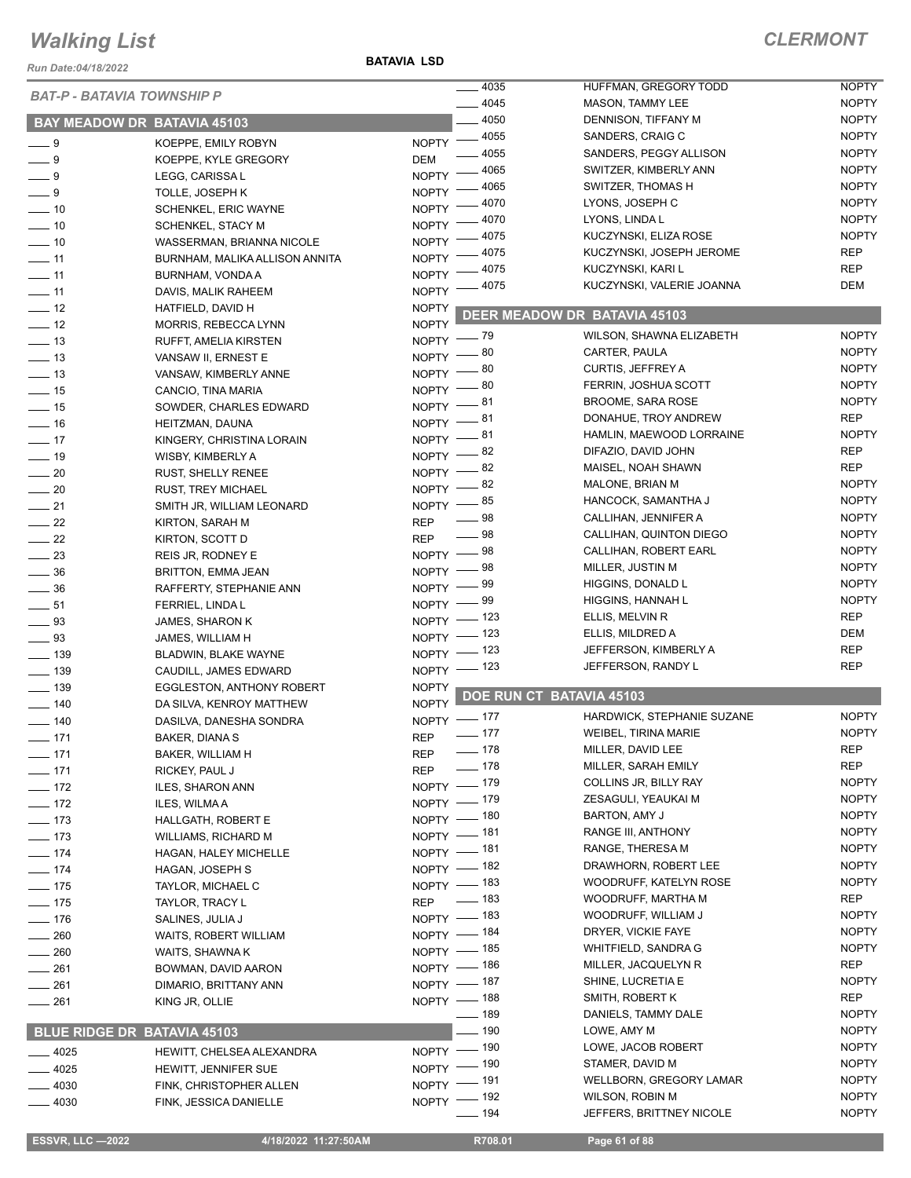*Run Date:04/18/2022*

#### **BATAVIA LSD**

|                             |                                    |                            | 4035              | HUFFMAN, GREGORY TODD               | <b>NOPTY</b> |
|-----------------------------|------------------------------------|----------------------------|-------------------|-------------------------------------|--------------|
|                             | <b>BAT-P - BATAVIA TOWNSHIP P</b>  |                            | 4045              | MASON, TAMMY LEE                    | <b>NOPTY</b> |
|                             |                                    |                            | 4050              | DENNISON, TIFFANY M                 | <b>NOPTY</b> |
|                             | <b>BAY MEADOW DR BATAVIA 45103</b> |                            | $-4055$           |                                     |              |
| $-9$                        | KOEPPE, EMILY ROBYN                | <b>NOPTY</b>               |                   | SANDERS, CRAIG C                    | <b>NOPTY</b> |
| $-9$                        | KOEPPE, KYLE GREGORY               | <b>DEM</b>                 | 4055              | SANDERS, PEGGY ALLISON              | <b>NOPTY</b> |
| $\overline{\phantom{0}}$ 9  | LEGG, CARISSA L                    | <b>NOPTY</b>               | 4065              | SWITZER, KIMBERLY ANN               | <b>NOPTY</b> |
| $-9$                        | TOLLE, JOSEPH K                    | <b>NOPTY</b>               | 4065              | SWITZER, THOMAS H                   | <b>NOPTY</b> |
| $\overline{\phantom{0}}$ 10 | SCHENKEL, ERIC WAYNE               | NOPTY -                    | 4070              | LYONS, JOSEPH C                     | <b>NOPTY</b> |
| $\frac{1}{2}$ 10            | <b>SCHENKEL, STACY M</b>           | NOPTY <sup>-</sup>         | 4070              | LYONS, LINDA L                      | <b>NOPTY</b> |
| $- 10$                      | WASSERMAN, BRIANNA NICOLE          | NOPTY -                    | 4075              | KUCZYNSKI, ELIZA ROSE               | <b>NOPTY</b> |
| $\frac{1}{11}$              | BURNHAM, MALIKA ALLISON ANNITA     | NOPTY <sup>-</sup>         | 4075              | KUCZYNSKI, JOSEPH JEROME            | <b>REP</b>   |
| $-11$                       | BURNHAM, VONDA A                   | <b>NOPTY</b>               | - 4075            | KUCZYNSKI, KARI L                   | <b>REP</b>   |
| $-11$                       | DAVIS, MALIK RAHEEM                | NOPTY <sup>-</sup>         | 4075              | KUCZYNSKI, VALERIE JOANNA           | DEM          |
| $\frac{1}{2}$               | HATFIELD, DAVID H                  | <b>NOPTY</b>               |                   |                                     |              |
| $-12$                       | MORRIS, REBECCA LYNN               | <b>NOPTY</b>               |                   | <b>DEER MEADOW DR BATAVIA 45103</b> |              |
| $\equiv$ 13                 | RUFFT, AMELIA KIRSTEN              | NOPTY $ 79$                |                   | WILSON, SHAWNA ELIZABETH            | <b>NOPTY</b> |
| $\frac{1}{2}$ 13            | VANSAW II, ERNEST E                | NOPTY $-80$                |                   | CARTER, PAULA                       | <b>NOPTY</b> |
| $\frac{1}{2}$ 13            | VANSAW, KIMBERLY ANNE              | NOPTY $-80$                |                   | CURTIS, JEFFREY A                   | <b>NOPTY</b> |
| $\frac{1}{2}$ 15            | CANCIO, TINA MARIA                 | $NOPTY \longrightarrow 80$ |                   | FERRIN, JOSHUA SCOTT                | <b>NOPTY</b> |
| $-15$                       | SOWDER, CHARLES EDWARD             | $N$ OPTY $-$               | _ 81              | <b>BROOME, SARA ROSE</b>            | <b>NOPTY</b> |
|                             |                                    | NOPTY $-81$                |                   | DONAHUE, TROY ANDREW                | <b>REP</b>   |
| $-16$                       | HEITZMAN, DAUNA                    | NOPTY $-81$                |                   | HAMLIN, MAEWOOD LORRAINE            | <b>NOPTY</b> |
| $-17$                       | KINGERY, CHRISTINA LORAIN          | NOPTY $-82$                |                   | DIFAZIO, DAVID JOHN                 | <b>REP</b>   |
| $\frac{1}{2}$ 19            | WISBY, KIMBERLY A                  | NOPTY $-82$                |                   | MAISEL, NOAH SHAWN                  | <b>REP</b>   |
| $\sim$ 20                   | <b>RUST, SHELLY RENEE</b>          |                            |                   | MALONE, BRIAN M                     | <b>NOPTY</b> |
| $\sim$ 20                   | <b>RUST, TREY MICHAEL</b>          | NOPTY $-82$                |                   | HANCOCK, SAMANTHA J                 | <b>NOPTY</b> |
| $-21$                       | SMITH JR, WILLIAM LEONARD          | NOPTY $-$ 85               | — 98              | CALLIHAN, JENNIFER A                | <b>NOPTY</b> |
| $\frac{22}{2}$              | KIRTON, SARAH M                    | <b>REP</b>                 | $-98$             | CALLIHAN, QUINTON DIEGO             | <b>NOPTY</b> |
| $\frac{1}{22}$              | KIRTON, SCOTT D                    | <b>REP</b>                 |                   |                                     | <b>NOPTY</b> |
| $\frac{1}{2}$               | REIS JR, RODNEY E                  | NOPTY $-$ 98               |                   | CALLIHAN, ROBERT EARL               |              |
| $\frac{1}{2}$ 36            | BRITTON, EMMA JEAN                 | $N$ OPTY $-$               | _ 98              | MILLER, JUSTIN M                    | <b>NOPTY</b> |
| $\frac{1}{2}$ 36            | RAFFERTY, STEPHANIE ANN            | $N$ OPTY $-$               | _ 99              | HIGGINS, DONALD L                   | <b>NOPTY</b> |
| $\frac{1}{2}$ 51            | FERRIEL, LINDA L                   | $N$ OPTY $-$               | _ 99              | HIGGINS, HANNAH L                   | <b>NOPTY</b> |
| $\frac{1}{2}$ 93            | JAMES, SHARON K                    | NOPTY - 123                |                   | ELLIS, MELVIN R                     | <b>REP</b>   |
| $\frac{1}{2}$ 93            | JAMES, WILLIAM H                   | NOPTY - 123                |                   | ELLIS, MILDRED A                    | DEM          |
| $- 139$                     | BLADWIN, BLAKE WAYNE               | NOPTY - 123                |                   | JEFFERSON, KIMBERLY A               | <b>REP</b>   |
| $- 139$                     | CAUDILL, JAMES EDWARD              | NOPTY - 123                |                   | JEFFERSON, RANDY L                  | <b>REP</b>   |
| $\frac{1}{2}$ 139           | <b>EGGLESTON, ANTHONY ROBERT</b>   | <b>NOPTY</b>               |                   |                                     |              |
| $\frac{1}{2}$ 140           | DA SILVA, KENROY MATTHEW           | <b>NOPTY</b>               |                   | DOE RUN CT BATAVIA 45103            |              |
| $- 140$                     | DASILVA, DANESHA SONDRA            | NOPTY - 177                |                   | HARDWICK, STEPHANIE SUZANE          | <b>NOPTY</b> |
| $- 171$                     | BAKER, DIANA S                     | <b>REP</b>                 | $-177$            | WEIBEL, TIRINA MARIE                | <b>NOPTY</b> |
| $- 171$                     | BAKER, WILLIAM H                   | REP                        | $- 178$           | MILLER, DAVID LEE                   | <b>REP</b>   |
| $-171$                      | RICKEY, PAUL J                     | REP                        | $- 178$           | MILLER, SARAH EMILY                 | <b>REP</b>   |
| $- 172$                     | ILES, SHARON ANN                   | NOPTY - 179                |                   | COLLINS JR, BILLY RAY               | <b>NOPTY</b> |
| $-172$                      | ILES, WILMA A                      | NOPTY - 179                |                   | ZESAGULI, YEAUKAI M                 | <b>NOPTY</b> |
| $\frac{1}{2}$ 173           | HALLGATH, ROBERT E                 | NOPTY - 180                |                   | BARTON, AMY J                       | <b>NOPTY</b> |
| $- 173$                     | <b>WILLIAMS, RICHARD M</b>         | NOPTY - 181                |                   | RANGE III, ANTHONY                  | <b>NOPTY</b> |
| $- 174$                     | HAGAN, HALEY MICHELLE              | NOPTY - 181                |                   | RANGE, THERESA M                    | <b>NOPTY</b> |
| $- 174$                     | HAGAN, JOSEPH S                    | NOPTY - 182                |                   | DRAWHORN, ROBERT LEE                | <b>NOPTY</b> |
|                             |                                    | NOPTY - 183                |                   | WOODRUFF, KATELYN ROSE              | <b>NOPTY</b> |
| $- 175$                     | TAYLOR, MICHAEL C                  | REP - 183                  |                   | WOODRUFF, MARTHA M                  | REP          |
| $\frac{1}{2}$ 175           | TAYLOR, TRACY L                    | NOPTY - 183                |                   | WOODRUFF, WILLIAM J                 | <b>NOPTY</b> |
| $- 176$                     | SALINES, JULIA J                   | NOPTY - 184                |                   | DRYER, VICKIE FAYE                  | <b>NOPTY</b> |
| $\frac{1}{260}$             | WAITS, ROBERT WILLIAM              |                            |                   | WHITFIELD, SANDRA G                 | <b>NOPTY</b> |
| $\frac{1}{260}$             | WAITS, SHAWNA K                    | NOPTY - 185                |                   |                                     | REP          |
| $\frac{1}{261}$             | BOWMAN, DAVID AARON                | NOPTY - 186                |                   | MILLER, JACQUELYN R                 |              |
| $\_\_2$ 261                 | DIMARIO, BRITTANY ANN              | NOPTY - 187                |                   | SHINE, LUCRETIA E                   | <b>NOPTY</b> |
| $- 261$                     | KING JR, OLLIE                     | NOPTY - 188                |                   | SMITH, ROBERT K                     | REP          |
|                             |                                    |                            | $\frac{1}{2}$ 189 | DANIELS, TAMMY DALE                 | <b>NOPTY</b> |
|                             | BLUE RIDGE DR BATAVIA 45103        |                            | $-190$            | LOWE, AMY M                         | <b>NOPTY</b> |
| $-4025$                     | HEWITT, CHELSEA ALEXANDRA          | NOPTY - 190                |                   | LOWE, JACOB ROBERT                  | <b>NOPTY</b> |
| $-4025$                     | HEWITT, JENNIFER SUE               | NOPTY - 190                |                   | STAMER, DAVID M                     | <b>NOPTY</b> |
| $-4030$                     | FINK, CHRISTOPHER ALLEN            | NOPTY - 191                |                   | WELLBORN, GREGORY LAMAR             | <b>NOPTY</b> |
| $-4030$                     | FINK, JESSICA DANIELLE             | NOPTY - 192                |                   | WILSON, ROBIN M                     | <b>NOPTY</b> |
|                             |                                    |                            | $- 194$           | JEFFERS, BRITTNEY NICOLE            | <b>NOPTY</b> |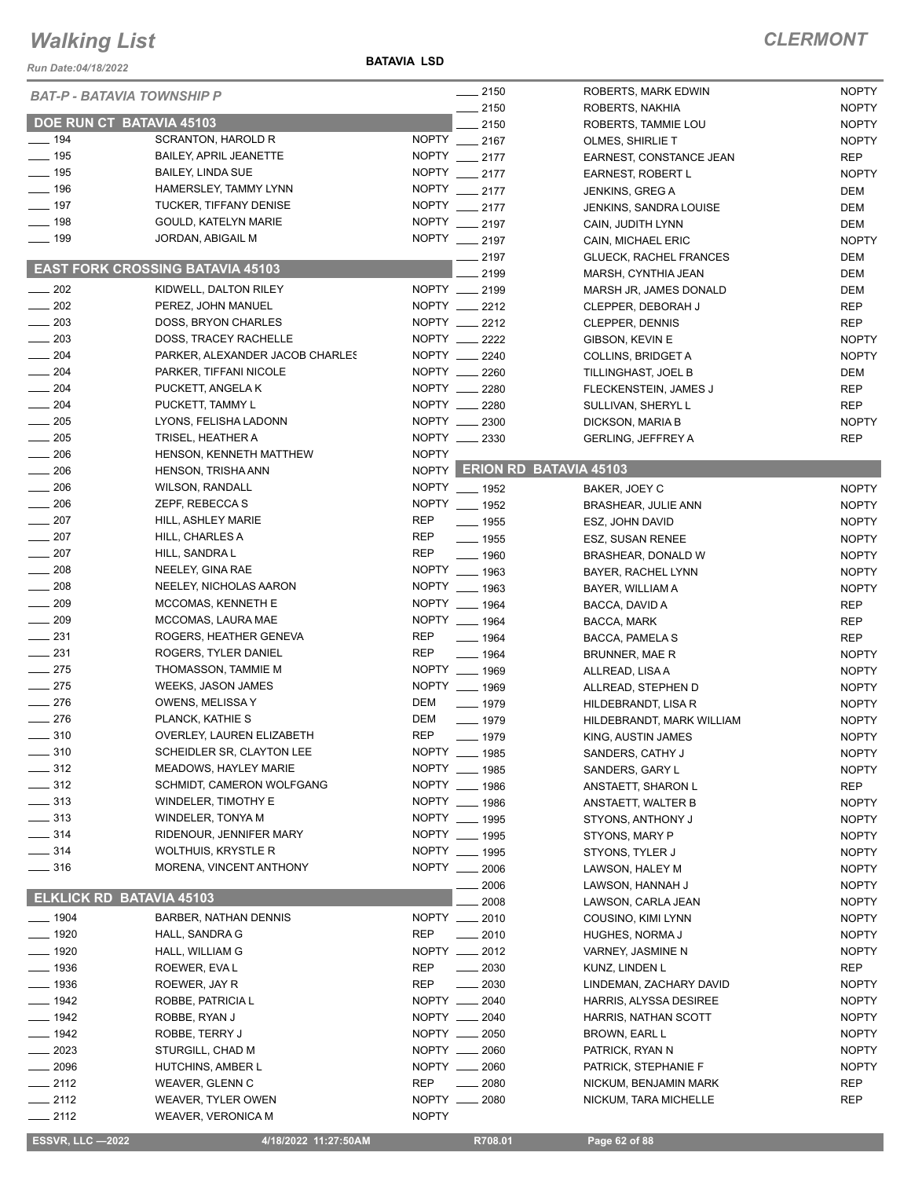*Run Date:04/18/2022*

**BATAVIA LSD**

| <b>BAT-P - BATAVIA TOWNSHIP P</b>  |                                                |              | $-2150$                      | ROBERTS, MARK EDWIN                       | <b>NOPTY</b>                 |
|------------------------------------|------------------------------------------------|--------------|------------------------------|-------------------------------------------|------------------------------|
|                                    |                                                |              | $-2150$                      | ROBERTS, NAKHIA                           | <b>NOPTY</b>                 |
| DOE RUN CT BATAVIA 45103           |                                                |              | 2150                         | ROBERTS, TAMMIE LOU                       | <b>NOPTY</b>                 |
| $- 194$                            | <b>SCRANTON, HAROLD R</b>                      |              | NOPTY __ 2167                | OLMES, SHIRLIE T                          | <b>NOPTY</b>                 |
| $\frac{1}{2}$ 195                  | <b>BAILEY, APRIL JEANETTE</b>                  |              | NOPTY __ 2177                | EARNEST, CONSTANCE JEAN                   | <b>REP</b>                   |
| $- 195$                            | <b>BAILEY, LINDA SUE</b>                       |              | NOPTY __ 2177                | EARNEST, ROBERT L                         | <b>NOPTY</b>                 |
| $-196$                             | HAMERSLEY, TAMMY LYNN                          |              | NOPTY __ 2177                | JENKINS, GREG A                           | DEM                          |
| $-197$                             | <b>TUCKER, TIFFANY DENISE</b>                  |              | NOPTY __ 2177                | <b>JENKINS, SANDRA LOUISE</b>             | DEM                          |
| $-198$                             | GOULD, KATELYN MARIE                           |              | NOPTY __ 2197                | CAIN, JUDITH LYNN                         | DEM                          |
| $- 199$                            | JORDAN, ABIGAIL M                              |              | NOPTY __ 2197                | CAIN, MICHAEL ERIC                        | <b>NOPTY</b>                 |
|                                    | <b>EAST FORK CROSSING BATAVIA 45103</b>        |              | $-2197$                      | <b>GLUECK, RACHEL FRANCES</b>             | DEM                          |
|                                    |                                                |              | 2199                         | MARSH, CYNTHIA JEAN                       | DEM                          |
| $\frac{1}{202}$                    | KIDWELL, DALTON RILEY                          |              | NOPTY __ 2199                | MARSH JR, JAMES DONALD                    | DEM                          |
| $\frac{1}{202}$                    | PEREZ, JOHN MANUEL                             |              | NOPTY __ 2212                | CLEPPER, DEBORAH J                        | <b>REP</b>                   |
| 203                                | DOSS, BRYON CHARLES                            |              | NOPTY __ 2212                | CLEPPER, DENNIS                           | <b>REP</b>                   |
| $\frac{1}{203}$                    | DOSS, TRACEY RACHELLE                          |              | NOPTY __ 2222                | GIBSON, KEVIN E                           | <b>NOPTY</b>                 |
| $- 204$                            | PARKER, ALEXANDER JACOB CHARLES                |              | NOPTY __ 2240                | COLLINS, BRIDGET A                        | <b>NOPTY</b>                 |
| $-204$                             | PARKER, TIFFANI NICOLE                         |              | NOPTY __ 2260                | TILLINGHAST, JOEL B                       | DEM                          |
| $\frac{1}{204}$                    | PUCKETT, ANGELA K                              |              | NOPTY __ 2280                | FLECKENSTEIN, JAMES J                     | <b>REP</b>                   |
| 204                                | PUCKETT, TAMMY L                               |              | NOPTY __ 2280                | SULLIVAN, SHERYL L                        | <b>REP</b>                   |
| $\sim$ 205                         | LYONS, FELISHA LADONN                          |              | NOPTY __ 2300                | DICKSON, MARIA B                          | <b>NOPTY</b>                 |
| 205                                | TRISEL, HEATHER A                              |              | NOPTY __ 2330                | <b>GERLING, JEFFREY A</b>                 | <b>REP</b>                   |
| $\frac{1}{206}$                    | HENSON, KENNETH MATTHEW                        | <b>NOPTY</b> | NOPTY ERION RD BATAVIA 45103 |                                           |                              |
| $\frac{1}{206}$                    | <b>HENSON, TRISHA ANN</b>                      |              |                              |                                           |                              |
| 206                                | <b>WILSON, RANDALL</b>                         |              | NOPTY __ 1952                | BAKER, JOEY C                             | <b>NOPTY</b>                 |
| $\frac{1}{206}$                    | ZEPF, REBECCA S                                |              | NOPTY __ 1952                | BRASHEAR, JULIE ANN                       | <b>NOPTY</b>                 |
| $\frac{1}{207}$                    | HILL, ASHLEY MARIE                             | <b>REP</b>   | $\frac{1}{2}$ 1955           | ESZ, JOHN DAVID                           | <b>NOPTY</b>                 |
| $-207$                             | HILL, CHARLES A                                | <b>REP</b>   | $\frac{1}{2}$ 1955           | ESZ, SUSAN RENEE                          | <b>NOPTY</b>                 |
| $\frac{1}{207}$<br>$\frac{1}{208}$ | HILL, SANDRA L                                 | <b>REP</b>   | $- 1960$<br>NOPTY __ 1963    | BRASHEAR, DONALD W                        | <b>NOPTY</b>                 |
| $-208$                             | NEELEY, GINA RAE                               |              | NOPTY __ 1963                | BAYER, RACHEL LYNN                        | <b>NOPTY</b>                 |
| $\frac{1}{209}$                    | NEELEY, NICHOLAS AARON                         |              | NOPTY __ 1964                | BAYER, WILLIAM A                          | <b>NOPTY</b>                 |
| $\frac{1}{209}$                    | MCCOMAS, KENNETH E<br>MCCOMAS, LAURA MAE       |              | NOPTY __ 1964                | BACCA, DAVID A                            | REP                          |
| $\frac{1}{2}$ 231                  |                                                | <b>REP</b>   |                              | BACCA, MARK                               | <b>REP</b>                   |
| $\frac{1}{231}$                    | ROGERS, HEATHER GENEVA<br>ROGERS, TYLER DANIEL | <b>REP</b>   | $- 1964$                     | BACCA, PAMELA S                           | <b>REP</b>                   |
| $\frac{1}{275}$                    | THOMASSON, TAMMIE M                            |              | $- 1964$<br>NOPTY __ 1969    | BRUNNER, MAE R                            | <b>NOPTY</b>                 |
| $-275$                             | WEEKS, JASON JAMES                             |              | NOPTY __ 1969                | ALLREAD, LISA A                           | <b>NOPTY</b><br><b>NOPTY</b> |
| $-276$                             | OWENS, MELISSA Y                               | <b>DEM</b>   | $- 1979$                     | ALLREAD, STEPHEN D<br>HILDEBRANDT, LISA R | <b>NOPTY</b>                 |
| $-276$                             | PLANCK, KATHIE S                               | <b>DEM</b>   | $- 1979$                     | HILDEBRANDT, MARK WILLIAM                 | <b>NOPTY</b>                 |
| . 310                              | OVERLEY, LAUREN ELIZABETH                      | <b>REP</b>   | $- 1979$                     |                                           | <b>NOPTY</b>                 |
| $-310$                             | SCHEIDLER SR, CLAYTON LEE                      |              | NOPTY __ 1985                | KING, AUSTIN JAMES<br>SANDERS, CATHY J    | <b>NOPTY</b>                 |
| $-312$                             | <b>MEADOWS, HAYLEY MARIE</b>                   |              | NOPTY __ 1985                | SANDERS, GARY L                           | <b>NOPTY</b>                 |
| $\frac{1}{2}$ 312                  | SCHMIDT, CAMERON WOLFGANG                      |              | NOPTY __ 1986                | ANSTAETT, SHARON L                        | REP                          |
| $- 313$                            | <b>WINDELER, TIMOTHY E</b>                     |              | NOPTY __ 1986                | ANSTAETT, WALTER B                        | <b>NOPTY</b>                 |
| $\frac{1}{2}$ 313                  | WINDELER, TONYA M                              |              | NOPTY __ 1995                | STYONS, ANTHONY J                         | <b>NOPTY</b>                 |
| $\frac{1}{2}$ 314                  | RIDENOUR, JENNIFER MARY                        |              | NOPTY __ 1995                | STYONS, MARY P                            | <b>NOPTY</b>                 |
| $\frac{1}{2}$ 314                  | WOLTHUIS, KRYSTLE R                            |              | NOPTY __ 1995                | STYONS, TYLER J                           | <b>NOPTY</b>                 |
| $\frac{1}{2}$ 316                  | MORENA, VINCENT ANTHONY                        |              | NOPTY __ 2006                | LAWSON, HALEY M                           | <b>NOPTY</b>                 |
|                                    |                                                |              | 2006                         | LAWSON, HANNAH J                          | <b>NOPTY</b>                 |
| <b>ELKLICK RD BATAVIA 45103</b>    |                                                |              | 2008                         | LAWSON, CARLA JEAN                        | <b>NOPTY</b>                 |
| $- 1904$                           | BARBER, NATHAN DENNIS                          |              | NOPTY __ 2010                | COUSINO, KIMI LYNN                        | <b>NOPTY</b>                 |
| $- 1920$                           | HALL, SANDRA G                                 | <b>REP</b>   | $-2010$                      | HUGHES, NORMA J                           | <b>NOPTY</b>                 |
| $- 1920$                           | HALL, WILLIAM G                                |              | NOPTY __ 2012                | VARNEY, JASMINE N                         | <b>NOPTY</b>                 |
| $-1936$                            | ROEWER, EVA L                                  | <b>REP</b>   | $- 2030$                     | KUNZ, LINDEN L                            | <b>REP</b>                   |
| _ 1936                             | ROEWER, JAY R                                  | <b>REP</b>   | 2030                         | LINDEMAN, ZACHARY DAVID                   | <b>NOPTY</b>                 |
| $-1942$                            | ROBBE, PATRICIA L                              |              | NOPTY __ 2040                | HARRIS, ALYSSA DESIREE                    | <b>NOPTY</b>                 |
| $-1942$                            | ROBBE, RYAN J                                  |              | NOPTY __ 2040                | HARRIS, NATHAN SCOTT                      | <b>NOPTY</b>                 |
| $- 1942$                           | ROBBE, TERRY J                                 |              | NOPTY __ 2050                | BROWN, EARL L                             | <b>NOPTY</b>                 |
| $= 2023$                           | STURGILL, CHAD M                               |              | NOPTY __ 2060                | PATRICK, RYAN N                           | <b>NOPTY</b>                 |
| $-2096$                            | HUTCHINS, AMBER L                              |              | NOPTY __ 2060                | PATRICK, STEPHANIE F                      | <b>NOPTY</b>                 |
| $-2112$                            | WEAVER, GLENN C                                | <b>REP</b>   | 2080                         | NICKUM, BENJAMIN MARK                     | <b>REP</b>                   |
| $-2112$                            | WEAVER, TYLER OWEN                             | NOPTY __     | 2080                         | NICKUM, TARA MICHELLE                     | REP                          |
| $-2112$                            | <b>WEAVER, VERONICA M</b>                      | <b>NOPTY</b> |                              |                                           |                              |
| <b>ESSVR, LLC -2022</b>            | 4/18/2022 11:27:50AM                           |              | R708.01                      | Page 62 of 88                             |                              |
|                                    |                                                |              |                              |                                           |                              |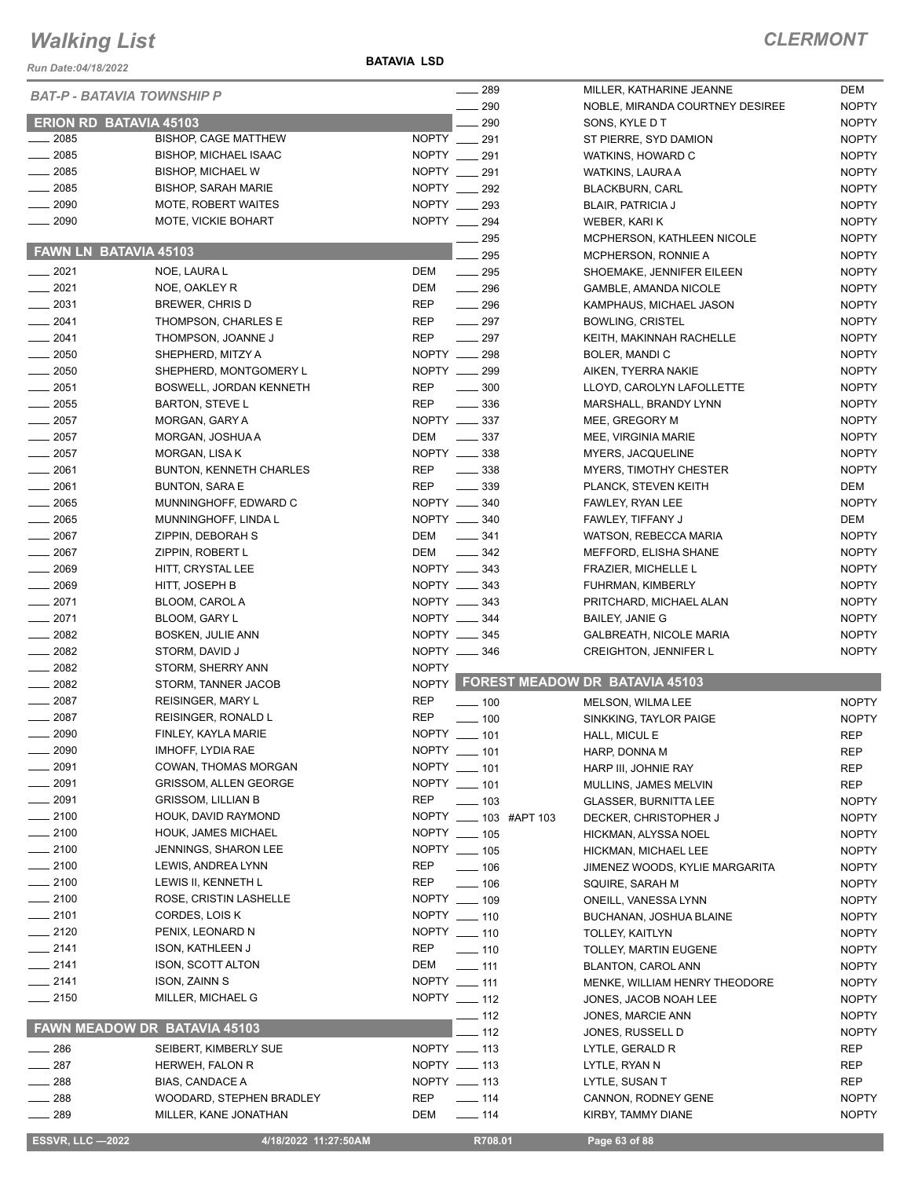*Run Date:04/18/2022*

**BATAVIA LSD**

| <b>BAT-P - BATAVIA TOWNSHIP P</b> |                              |              | $\sim$ 289             | MILLER, KATHARINE JEANNE             | DEM          |
|-----------------------------------|------------------------------|--------------|------------------------|--------------------------------------|--------------|
|                                   |                              |              | 290                    | NOBLE, MIRANDA COURTNEY DESIREE      | <b>NOPTY</b> |
| <b>ERION RD BATAVIA 45103</b>     |                              |              | 290                    | SONS, KYLE D T                       | <b>NOPTY</b> |
| $-2085$                           | <b>BISHOP, CAGE MATTHEW</b>  | NOPTY 291    |                        | ST PIERRE, SYD DAMION                | <b>NOPTY</b> |
| $\frac{1}{2085}$                  | <b>BISHOP, MICHAEL ISAAC</b> | NOPTY __ 291 |                        | WATKINS, HOWARD C                    | <b>NOPTY</b> |
| $\frac{1}{2085}$                  | <b>BISHOP, MICHAEL W</b>     | NOPTY __ 291 |                        | WATKINS, LAURA A                     | <b>NOPTY</b> |
| $\frac{1}{2085}$                  | <b>BISHOP, SARAH MARIE</b>   | NOPTY 292    |                        | <b>BLACKBURN, CARL</b>               | <b>NOPTY</b> |
| $-2090$                           | MOTE, ROBERT WAITES          | NOPTY __ 293 |                        | <b>BLAIR, PATRICIA J</b>             | <b>NOPTY</b> |
| $-2090$                           | MOTE, VICKIE BOHART          | NOPTY __ 294 |                        | WEBER, KARI K                        | <b>NOPTY</b> |
|                                   |                              |              | $- 295$                | MCPHERSON, KATHLEEN NICOLE           | <b>NOPTY</b> |
| FAWN LN BATAVIA 45103             |                              |              | 295                    | MCPHERSON, RONNIE A                  | <b>NOPTY</b> |
| $-2021$                           | NOE, LAURA L                 | DEM          | $\frac{1}{295}$        | SHOEMAKE, JENNIFER EILEEN            | <b>NOPTY</b> |
| $-2021$                           | NOE, OAKLEY R                | DEM          | $- 296$                | GAMBLE, AMANDA NICOLE                | <b>NOPTY</b> |
| $\frac{1}{2031}$                  | BREWER, CHRIS D              | <b>REP</b>   | $-296$                 | KAMPHAUS, MICHAEL JASON              | <b>NOPTY</b> |
| $-2041$                           | THOMPSON, CHARLES E          | REP          | $\frac{1}{297}$        | <b>BOWLING, CRISTEL</b>              | <b>NOPTY</b> |
| $-2041$                           | THOMPSON, JOANNE J           | <b>REP</b>   | $\frac{1}{297}$        | KEITH, MAKINNAH RACHELLE             | <b>NOPTY</b> |
| $\frac{1}{2050}$                  | SHEPHERD, MITZY A            | NOPTY __ 298 |                        | BOLER, MANDI C                       | <b>NOPTY</b> |
| $\frac{1}{2050}$                  | SHEPHERD, MONTGOMERY L       | NOPTY __ 299 |                        | AIKEN, TYERRA NAKIE                  | <b>NOPTY</b> |
| 2051                              | BOSWELL, JORDAN KENNETH      | REP          | $\frac{1}{2}$ 300      | LLOYD, CAROLYN LAFOLLETTE            | <b>NOPTY</b> |
| $-2055$                           | BARTON, STEVE L              | REP          | $\frac{1}{2}$ 336      | MARSHALL, BRANDY LYNN                | <b>NOPTY</b> |
| $\frac{1}{2057}$                  | MORGAN, GARY A               | NOPTY __ 337 |                        | MEE, GREGORY M                       | <b>NOPTY</b> |
| $\frac{1}{2057}$                  | MORGAN, JOSHUA A             | DEM          | $\frac{1}{2}$ 337      | MEE, VIRGINIA MARIE                  | <b>NOPTY</b> |
| $\frac{1}{2057}$                  | MORGAN, LISA K               | NOPTY __ 338 |                        | MYERS, JACQUELINE                    | <b>NOPTY</b> |
| $-2061$                           | BUNTON, KENNETH CHARLES      | <b>REP</b>   | $\frac{1}{2}$ 338      | MYERS, TIMOTHY CHESTER               | <b>NOPTY</b> |
| $-2061$                           | <b>BUNTON, SARA E</b>        | REP          | $\frac{1}{2}$ 339      | PLANCK, STEVEN KEITH                 | DEM          |
| $\frac{1}{2065}$                  | MUNNINGHOFF, EDWARD C        | NOPTY __ 340 |                        | FAWLEY, RYAN LEE                     | <b>NOPTY</b> |
| $\frac{1}{2065}$                  | MUNNINGHOFF, LINDA L         | NOPTY __ 340 |                        | FAWLEY, TIFFANY J                    | DEM          |
| $\frac{1}{2067}$                  | ZIPPIN, DEBORAH S            | DEM          | $\frac{1}{2}$ 341      | WATSON, REBECCA MARIA                | <b>NOPTY</b> |
| 2067                              | ZIPPIN, ROBERT L             | DEM          | $\frac{342}{2}$        | MEFFORD, ELISHA SHANE                | <b>NOPTY</b> |
| $- 2069$                          | HITT, CRYSTAL LEE            | NOPTY __ 343 |                        | FRAZIER, MICHELLE L                  | <b>NOPTY</b> |
| $- 2069$                          | HITT, JOSEPH B               | NOPTY __ 343 |                        | FUHRMAN, KIMBERLY                    | <b>NOPTY</b> |
| $-2071$                           | BLOOM, CAROL A               | NOPTY __ 343 |                        | PRITCHARD, MICHAEL ALAN              | <b>NOPTY</b> |
| $-2071$                           | BLOOM, GARY L                | NOPTY __ 344 |                        | <b>BAILEY, JANIE G</b>               | <b>NOPTY</b> |
| 2082                              | BOSKEN, JULIE ANN            | NOPTY __ 345 |                        | GALBREATH, NICOLE MARIA              | <b>NOPTY</b> |
| $\frac{1}{2082}$                  | STORM, DAVID J               | NOPTY __ 346 |                        | CREIGHTON, JENNIFER L                | <b>NOPTY</b> |
| $- 2082$                          | STORM, SHERRY ANN            | <b>NOPTY</b> |                        |                                      |              |
| $\frac{2082}{200}$                | STORM, TANNER JACOB          |              |                        | NOPTY FOREST MEADOW DR BATAVIA 45103 |              |
| $\frac{1}{2087}$                  | <b>REISINGER, MARY L</b>     | <b>REP</b>   | $\frac{1}{2}$ 100      | MELSON, WILMA LEE                    | <b>NOPTY</b> |
| 2087                              | REISINGER, RONALD L          | <b>REP</b>   | $\frac{1}{2}$ 100      | SINKKING, TAYLOR PAIGE               | <b>NOPTY</b> |
| 2090                              | FINLEY, KAYLA MARIE          | <b>NOPTY</b> | $- 101$                | HALL, MICUL E                        | <b>REP</b>   |
| 2090                              | IMHOFF, LYDIA RAE            | NOPTY __ 101 |                        | HARP, DONNA M                        | <b>REP</b>   |
| 2091                              | COWAN, THOMAS MORGAN         | NOPTY __ 101 |                        | HARP III, JOHNIE RAY                 | <b>REP</b>   |
| 2091                              | <b>GRISSOM, ALLEN GEORGE</b> | NOPTY __ 101 |                        | MULLINS, JAMES MELVIN                | REP          |
| 2091                              | <b>GRISSOM, LILLIAN B</b>    | <b>REP</b>   | $\frac{1}{2}$ 103      | GLASSER, BURNITTA LEE                | <b>NOPTY</b> |
| $= 2100$                          | HOUK, DAVID RAYMOND          |              | NOPTY __ 103 #APT 103  | DECKER, CHRISTOPHER J                | <b>NOPTY</b> |
| $-2100$                           | HOUK, JAMES MICHAEL          | NOPTY __ 105 |                        | HICKMAN, ALYSSA NOEL                 | <b>NOPTY</b> |
| __ 2100                           | JENNINGS, SHARON LEE         | NOPTY __ 105 |                        | HICKMAN, MICHAEL LEE                 | <b>NOPTY</b> |
| $-2100$                           | LEWIS, ANDREA LYNN           | <b>REP</b>   | $- 106$                | JIMENEZ WOODS, KYLIE MARGARITA       | <b>NOPTY</b> |
| $-2100$                           | LEWIS II, KENNETH L          | <b>REP</b>   | $- 106$                | SQUIRE, SARAH M                      | <b>NOPTY</b> |
| $-2100$                           | ROSE, CRISTIN LASHELLE       | NOPTY __ 109 |                        | ONEILL, VANESSA LYNN                 | <b>NOPTY</b> |
| $-2101$                           | CORDES, LOIS K               | NOPTY __ 110 |                        | BUCHANAN, JOSHUA BLAINE              | <b>NOPTY</b> |
| $-2120$                           | PENIX, LEONARD N             | NOPTY __ 110 |                        | TOLLEY, KAITLYN                      | <b>NOPTY</b> |
| $-2141$                           | <b>ISON, KATHLEEN J</b>      | REP          | $\frac{1}{2}$ 110      | TOLLEY, MARTIN EUGENE                | <b>NOPTY</b> |
| $-2141$                           | <b>ISON, SCOTT ALTON</b>     | DEM          | $-111$                 | <b>BLANTON, CAROL ANN</b>            | <b>NOPTY</b> |
| $-2141$                           | <b>ISON, ZAINN S</b>         | NOPTY __ 111 |                        |                                      | <b>NOPTY</b> |
| $-2150$                           | MILLER, MICHAEL G            | NOPTY __ 112 |                        | MENKE, WILLIAM HENRY THEODORE        |              |
|                                   |                              |              |                        | JONES, JACOB NOAH LEE                | <b>NOPTY</b> |
| FAWN MEADOW DR BATAVIA 45103      |                              |              | $\equiv$ 112<br>$-112$ | JONES, MARCIE ANN                    | <b>NOPTY</b> |
| $-286$                            |                              | NOPTY __ 113 |                        | JONES, RUSSELL D                     | <b>NOPTY</b> |
|                                   | SEIBERT, KIMBERLY SUE        |              |                        | LYTLE, GERALD R                      | REP          |
| 287                               | HERWEH, FALON R              | NOPTY __ 113 |                        | LYTLE, RYAN N                        | REP          |
| 288                               | <b>BIAS, CANDACE A</b>       | NOPTY __ 113 |                        | LYTLE, SUSAN T                       | REP          |
| 288                               | WOODARD, STEPHEN BRADLEY     | <b>REP</b>   | $\frac{1}{2}$ 114      | CANNON, RODNEY GENE                  | <b>NOPTY</b> |
| $-289$                            | MILLER, KANE JONATHAN        | DEM          | $- 114$                | KIRBY, TAMMY DIANE                   | <b>NOPTY</b> |
| <b>ESSVR, LLC -2022</b>           | 4/18/2022 11:27:50AM         |              | R708.01                | Page 63 of 88                        |              |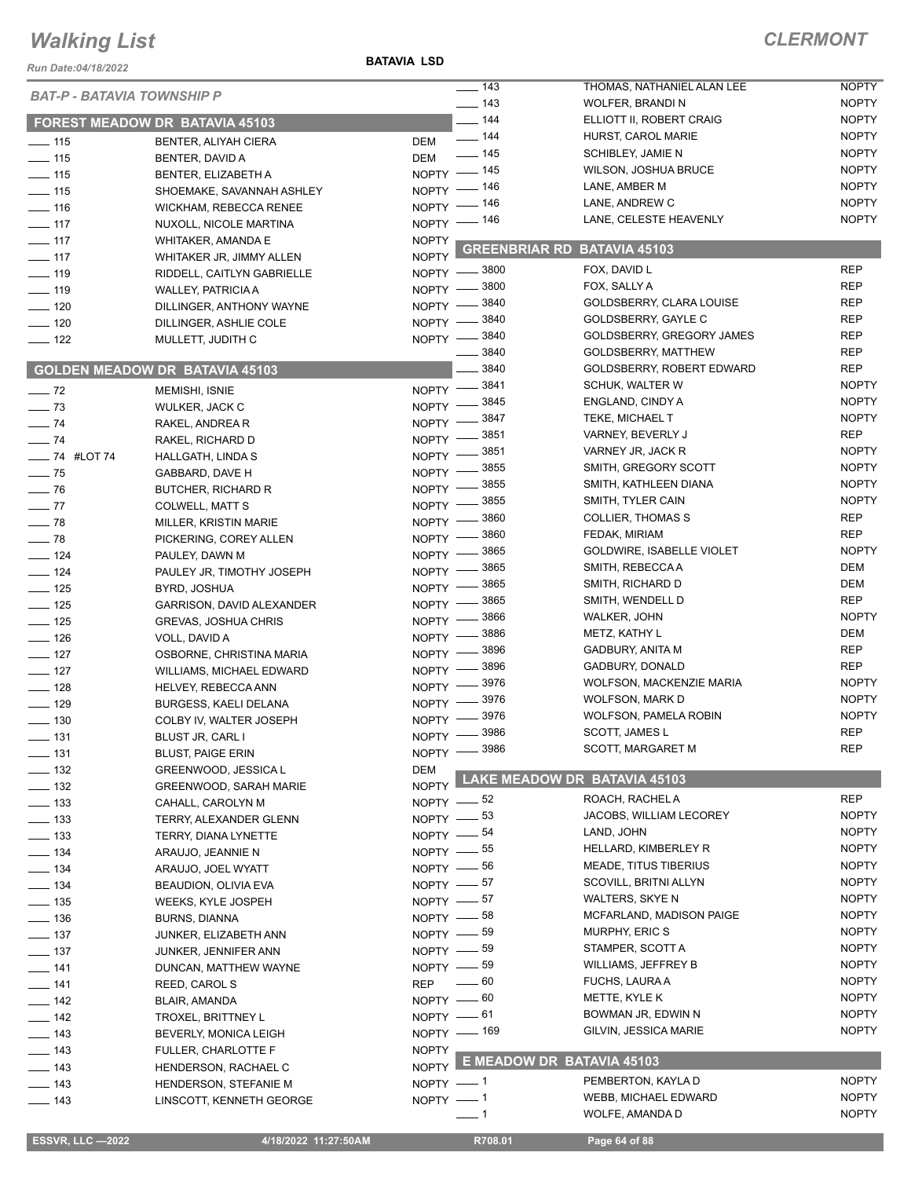#### **BATAVIA LSD**

| Run Date:04/18/2022                    |                                                          | <b>BATAVIA LSD</b>      |                            |                                                  |                          |
|----------------------------------------|----------------------------------------------------------|-------------------------|----------------------------|--------------------------------------------------|--------------------------|
| <b>BAT-P - BATAVIA TOWNSHIP P</b>      |                                                          |                         | $\frac{1}{2}$ 143          | THOMAS, NATHANIEL ALAN LEE                       | <b>NOPTY</b>             |
|                                        |                                                          |                         | $\frac{1}{2}$ 143          | WOLFER, BRANDI N                                 | <b>NOPTY</b>             |
|                                        | <b>FOREST MEADOW DR BATAVIA 45103</b>                    |                         | $-$ 144                    | ELLIOTT II, ROBERT CRAIG                         | <b>NOPTY</b>             |
| $\frac{1}{2}$ 115                      | BENTER, ALIYAH CIERA                                     | DEM                     | $- 144$                    | HURST, CAROL MARIE                               | <b>NOPTY</b>             |
| $\frac{1}{15}$                         | BENTER, DAVID A                                          | DEM                     | $- 145$                    | SCHIBLEY, JAMIE N                                | <b>NOPTY</b>             |
| $\frac{1}{2}$ 115                      | BENTER, ELIZABETH A                                      | $NOPTY =$               | $-145$                     | <b>WILSON, JOSHUA BRUCE</b>                      | <b>NOPTY</b>             |
| $\frac{1}{15}$                         | SHOEMAKE, SAVANNAH ASHLEY                                |                         | NOPTY - 146                | LANE, AMBER M                                    | <b>NOPTY</b>             |
| $- 116$                                | WICKHAM, REBECCA RENEE                                   |                         | NOPTY - 146                | LANE, ANDREW C                                   | <b>NOPTY</b>             |
| $\equiv$ 117                           | NUXOLL, NICOLE MARTINA                                   |                         | NOPTY - 146                | LANE, CELESTE HEAVENLY                           | <b>NOPTY</b>             |
| $\frac{1}{2}$ 117                      | WHITAKER, AMANDA E                                       | <b>NOPTY</b>            | <b>GREENBRIAR RD</b>       | BATAVIA 45103                                    |                          |
| $- 117$                                | WHITAKER JR, JIMMY ALLEN                                 | <b>NOPTY</b>            |                            |                                                  |                          |
| $\frac{1}{2}$ 119                      | RIDDELL, CAITLYN GABRIELLE                               |                         | NOPTY -8800                | FOX, DAVID L                                     | <b>REP</b>               |
| $- 119$                                | WALLEY, PATRICIA A                                       | $N$ OPTY $-$            | $=$ 3800                   | FOX, SALLY A                                     | <b>REP</b><br><b>REP</b> |
| $\frac{1}{2}$ 120                      | DILLINGER, ANTHONY WAYNE                                 | $N$ OPTY $-$            | 3840                       | GOLDSBERRY, CLARA LOUISE                         | <b>REP</b>               |
| $\frac{1}{2}$ 120                      | DILLINGER, ASHLIE COLE                                   | NOPTY -                 | 3840<br>3840               | GOLDSBERRY, GAYLE C                              | <b>REP</b>               |
| $-$ 122                                | MULLETT, JUDITH C                                        | $N$ OPTY $-$            | 3840                       | GOLDSBERRY, GREGORY JAMES<br>GOLDSBERRY, MATTHEW | <b>REP</b>               |
|                                        |                                                          |                         | 3840                       | GOLDSBERRY, ROBERT EDWARD                        | <b>REP</b>               |
|                                        | <b>GOLDEN MEADOW DR BATAVIA 45103</b>                    |                         | 3841                       | <b>SCHUK, WALTER W</b>                           | <b>NOPTY</b>             |
| $\frac{1}{2}$ 72                       | <b>MEMISHI, ISNIE</b>                                    | $NOPTY$ –               | 3845                       | ENGLAND, CINDY A                                 | <b>NOPTY</b>             |
| $\frac{1}{2}$ 73                       | WULKER, JACK C                                           | <b>NOPTY</b>            | 3847                       | TEKE, MICHAEL T                                  | <b>NOPTY</b>             |
| $-74$                                  | RAKEL, ANDREA R                                          | <b>NOPTY</b>            | 3851                       | VARNEY, BEVERLY J                                | <b>REP</b>               |
| $-74$                                  | RAKEL, RICHARD D                                         | NOPTY -                 | 3851                       | VARNEY JR, JACK R                                | <b>NOPTY</b>             |
| $- 74$ #LOT 74                         | HALLGATH, LINDA S                                        | NOPTY -                 | 3855                       | SMITH, GREGORY SCOTT                             | <b>NOPTY</b>             |
| $\frac{1}{2}$ 75                       | GABBARD, DAVE H                                          | <b>NOPTY</b>            | 3855                       | SMITH, KATHLEEN DIANA                            | <b>NOPTY</b>             |
| $\frac{1}{2}$ 76                       | <b>BUTCHER, RICHARD R</b>                                | <b>NOPTY</b>            | 3855                       | SMITH, TYLER CAIN                                | <b>NOPTY</b>             |
| $\frac{1}{2}$                          | COLWELL, MATT S                                          | NOPTY -                 | 3860                       | <b>COLLIER, THOMAS S</b>                         | <b>REP</b>               |
| $- 78$                                 | MILLER, KRISTIN MARIE                                    | NOPTY $-$<br>$NOPTY =$  | 3860                       | FEDAK, MIRIAM                                    | <b>REP</b>               |
| $\frac{1}{2}$ 78                       | PICKERING, COREY ALLEN                                   | $N$ OPTY $-$            | 3865                       | GOLDWIRE, ISABELLE VIOLET                        | <b>NOPTY</b>             |
| $\frac{1}{2}$ 124                      | PAULEY, DAWN M                                           |                         | 3865                       | SMITH, REBECCA A                                 | DEM                      |
| $\frac{1}{2}$ 124                      | PAULEY JR, TIMOTHY JOSEPH                                | NOPTY =<br><b>NOPTY</b> | 3865                       | SMITH, RICHARD D                                 | DEM                      |
| $\frac{1}{2}$ 125<br>$\frac{1}{2}$ 125 | BYRD, JOSHUA                                             | <b>NOPTY</b>            | 3865                       | SMITH, WENDELL D                                 | <b>REP</b>               |
| $\frac{1}{2}$ 125                      | GARRISON, DAVID ALEXANDER<br><b>GREVAS, JOSHUA CHRIS</b> | <b>NOPTY</b>            | 3866                       | WALKER, JOHN                                     | <b>NOPTY</b>             |
| $\frac{1}{2}$ 126                      | VOLL, DAVID A                                            | <b>NOPTY</b>            | 3886                       | METZ, KATHY L                                    | <b>DEM</b>               |
| $- 127$                                | OSBORNE, CHRISTINA MARIA                                 | NOPTY -                 | 3896                       | <b>GADBURY, ANITA M</b>                          | <b>REP</b>               |
| $\frac{1}{2}$ 127                      | WILLIAMS, MICHAEL EDWARD                                 | NOPTY -                 | 3896                       | GADBURY, DONALD                                  | <b>REP</b>               |
| $\equiv$ 128                           | HELVEY, REBECCA ANN                                      | <b>NOPTY</b>            | 3976                       | WOLFSON, MACKENZIE MARIA                         | <b>NOPTY</b>             |
| $\frac{1}{2}$ 129                      | BURGESS, KAELI DELANA                                    | NOPTY -                 | 3976                       | <b>WOLFSON, MARK D</b>                           | <b>NOPTY</b>             |
| $\frac{1}{2}$ 130                      | COLBY IV, WALTER JOSEPH                                  | $NOPTY$ –               | $= 3976$                   | <b>WOLFSON, PAMELA ROBIN</b>                     | <b>NOPTY</b>             |
| $\frac{1}{2}$ 131                      | <b>BLUST JR, CARL I</b>                                  | $NOPTY =$               | - 3986                     | SCOTT, JAMES L                                   | <b>REP</b>               |
| $- 131$                                | <b>BLUST, PAIGE ERIN</b>                                 | NOPTY -                 | 3986                       | SCOTT, MARGARET M                                | <b>REP</b>               |
| $\equiv$ 132                           | GREENWOOD, JESSICA L                                     | <b>DEM</b>              |                            |                                                  |                          |
| $\frac{1}{2}$ 132                      | <b>GREENWOOD, SARAH MARIE</b>                            | <b>NOPTY</b>            |                            | LAKE MEADOW DR BATAVIA 45103                     |                          |
| $\frac{1}{2}$ 133                      | CAHALL, CAROLYN M                                        |                         | NOPTY $-$ 52               | ROACH, RACHEL A                                  | <b>REP</b>               |
| $\frac{1}{2}$ 133                      | TERRY, ALEXANDER GLENN                                   |                         | NOPTY $-$ 53               | JACOBS, WILLIAM LECOREY                          | <b>NOPTY</b>             |
| $\frac{1}{2}$ 133                      | TERRY, DIANA LYNETTE                                     |                         | NOPTY -84                  | LAND, JOHN                                       | <b>NOPTY</b>             |
| $\frac{1}{2}$ 134                      | ARAUJO, JEANNIE N                                        |                         | NOPTY -65                  | HELLARD, KIMBERLEY R                             | <b>NOPTY</b>             |
| $\frac{1}{2}$ 134                      | ARAUJO, JOEL WYATT                                       |                         | NOPTY -86                  | <b>MEADE, TITUS TIBERIUS</b>                     | <b>NOPTY</b>             |
| $- 134$                                | BEAUDION, OLIVIA EVA                                     |                         | NOPTY $-$ 57               | SCOVILL, BRITNI ALLYN                            | <b>NOPTY</b>             |
| $\frac{1}{2}$ 135                      | WEEKS, KYLE JOSPEH                                       |                         | NOPTY $-$ 57               | <b>WALTERS, SKYE N</b>                           | <b>NOPTY</b>             |
| $- 136$                                | BURNS, DIANNA                                            |                         | NOPTY $-$ 58               | MCFARLAND, MADISON PAIGE                         | <b>NOPTY</b>             |
| $\frac{1}{2}$ 137                      | JUNKER, ELIZABETH ANN                                    |                         | NOPTY $-$ 59               | MURPHY, ERIC S                                   | <b>NOPTY</b>             |
| $\frac{1}{2}$ 137                      | JUNKER, JENNIFER ANN                                     |                         | NOPTY -89                  | STAMPER, SCOTT A                                 | <b>NOPTY</b>             |
| $- 141$                                | DUNCAN, MATTHEW WAYNE                                    |                         | NOPTY -89                  | WILLIAMS, JEFFREY B                              | <b>NOPTY</b>             |
| $- 141$                                | REED, CAROL S                                            | <b>REP</b>              | _ 60                       | <b>FUCHS, LAURA A</b>                            | <b>NOPTY</b>             |
| $\frac{1}{2}$ 142                      | BLAIR, AMANDA                                            |                         | NOPTY $-60$                | METTE, KYLE K                                    | <b>NOPTY</b>             |
| $\frac{1}{2}$ 142                      | TROXEL, BRITTNEY L                                       |                         | NOPTY $-61$                | BOWMAN JR, EDWIN N                               | <b>NOPTY</b>             |
| $\frac{1}{2}$ 143                      | BEVERLY, MONICA LEIGH                                    |                         | NOPTY - 169                | GILVIN, JESSICA MARIE                            | <b>NOPTY</b>             |
| $- 143$                                | FULLER, CHARLOTTE F                                      | <b>NOPTY</b>            |                            |                                                  |                          |
| $\frac{1}{2}$ 143                      | HENDERSON, RACHAEL C                                     | <b>NOPTY</b>            |                            | E MEADOW DR BATAVIA 45103                        |                          |
| $\frac{1}{2}$ 143                      | HENDERSON, STEFANIE M                                    | NOPTY -1                |                            | PEMBERTON, KAYLA D                               | <b>NOPTY</b>             |
| $\frac{1}{2}$ 143                      | LINSCOTT, KENNETH GEORGE                                 | NOPTY -1                |                            | WEBB, MICHAEL EDWARD                             | <b>NOPTY</b>             |
|                                        |                                                          |                         | $\overline{\phantom{0}}$ 1 | WOLFE, AMANDA D                                  | <b>NOPTY</b>             |
|                                        |                                                          |                         |                            |                                                  |                          |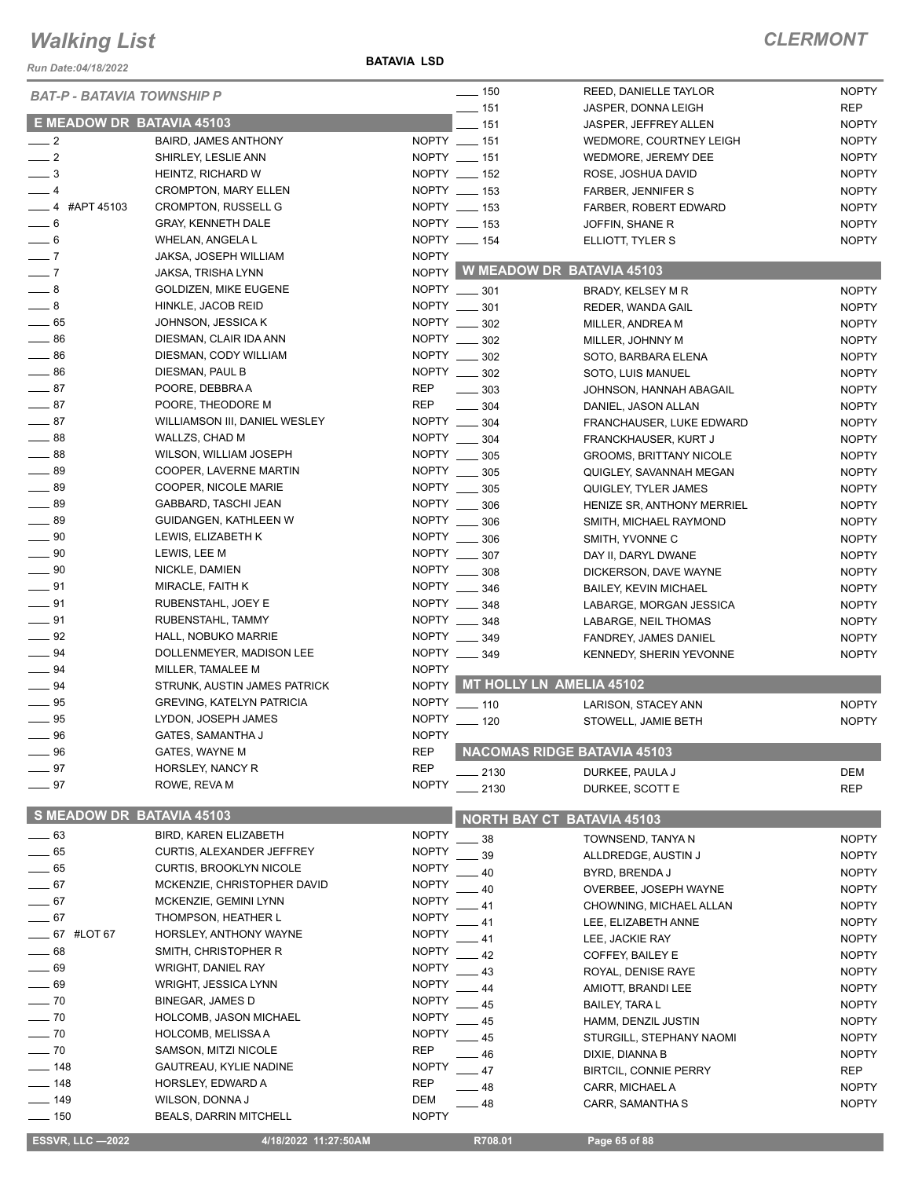*Run Date:04/18/2022*

**BATAVIA LSD**

| <b>BAT-P - BATAVIA TOWNSHIP P</b> |                                  |                              | $\frac{1}{2}$ 150 | REED, DANIELLE TAYLOR              | <b>NOPTY</b> |
|-----------------------------------|----------------------------------|------------------------------|-------------------|------------------------------------|--------------|
|                                   |                                  |                              | $- 151$           | JASPER, DONNA LEIGH                | <b>REP</b>   |
| E MEADOW DR BATAVIA 45103         |                                  |                              | $-151$            | JASPER, JEFFREY ALLEN              | <b>NOPTY</b> |
| $\frac{1}{2}$                     | <b>BAIRD, JAMES ANTHONY</b>      |                              | NOPTY __ 151      | WEDMORE, COURTNEY LEIGH            | <b>NOPTY</b> |
| $\frac{1}{2}$                     | SHIRLEY, LESLIE ANN              |                              | NOPTY __ 151      | WEDMORE, JEREMY DEE                | <b>NOPTY</b> |
| $\overline{\phantom{0}}^3$        | HEINTZ, RICHARD W                |                              | NOPTY __ 152      | ROSE, JOSHUA DAVID                 | <b>NOPTY</b> |
| $-4$                              | <b>CROMPTON, MARY ELLEN</b>      |                              | NOPTY __ 153      | FARBER, JENNIFER S                 | <b>NOPTY</b> |
| $-4$ #APT 45103                   | <b>CROMPTON, RUSSELL G</b>       |                              | NOPTY __ 153      | FARBER, ROBERT EDWARD              | <b>NOPTY</b> |
| $-6$                              | <b>GRAY, KENNETH DALE</b>        |                              | NOPTY __ 153      | JOFFIN, SHANE R                    | <b>NOPTY</b> |
| $\frac{1}{\sqrt{2}}$ 6            | WHELAN, ANGELA L                 |                              | NOPTY __ 154      | ELLIOTT, TYLER S                   | <b>NOPTY</b> |
| $\overline{\phantom{0}}$ 7        | JAKSA, JOSEPH WILLIAM            | <b>NOPTY</b>                 |                   |                                    |              |
| $\overline{\phantom{0}}$ 7        | JAKSA, TRISHA LYNN               |                              |                   | NOPTY W MEADOW DR BATAVIA 45103    |              |
| $\_\_\$ 8                         | <b>GOLDIZEN, MIKE EUGENE</b>     |                              | NOPTY __ 301      | BRADY, KELSEY M R                  | <b>NOPTY</b> |
| $-8$                              | HINKLE, JACOB REID               |                              | NOPTY __ 301      | REDER, WANDA GAIL                  | <b>NOPTY</b> |
| $-65$                             | JOHNSON, JESSICA K               |                              | NOPTY __ 302      | MILLER, ANDREA M                   | <b>NOPTY</b> |
| $\frac{1}{2}$ 86                  | DIESMAN, CLAIR IDA ANN           |                              | NOPTY __ 302      | MILLER, JOHNNY M                   | <b>NOPTY</b> |
| $\frac{1}{2}$ 86                  | DIESMAN, CODY WILLIAM            |                              | NOPTY __ 302      | SOTO, BARBARA ELENA                | <b>NOPTY</b> |
| $\frac{1}{2}$ 86                  | DIESMAN, PAUL B                  |                              | NOPTY __ 302      | SOTO, LUIS MANUEL                  | <b>NOPTY</b> |
| $\frac{1}{2}$ 87                  | POORE, DEBBRA A                  | <b>REP</b>                   | $\frac{1}{2}$ 303 | JOHNSON, HANNAH ABAGAIL            | <b>NOPTY</b> |
| $\frac{1}{2}$ 87                  | POORE, THEODORE M                | <b>REP</b>                   | $\frac{1}{2}$ 304 | DANIEL, JASON ALLAN                | <b>NOPTY</b> |
| $-87$                             | WILLIAMSON III, DANIEL WESLEY    |                              | NOPTY __ 304      | FRANCHAUSER, LUKE EDWARD           | <b>NOPTY</b> |
| $\frac{1}{2}$ 88                  | WALLZS, CHAD M                   |                              | NOPTY _____ 304   | FRANCKHAUSER, KURT J               | <b>NOPTY</b> |
| $-88$                             | WILSON, WILLIAM JOSEPH           |                              | NOPTY __ 305      | <b>GROOMS, BRITTANY NICOLE</b>     | <b>NOPTY</b> |
| $-89$                             | COOPER, LAVERNE MARTIN           |                              | NOPTY __ 305      | QUIGLEY, SAVANNAH MEGAN            | <b>NOPTY</b> |
| $\frac{1}{2}$ 89                  | COOPER, NICOLE MARIE             |                              | NOPTY __ 305      | QUIGLEY, TYLER JAMES               | <b>NOPTY</b> |
| $\frac{1}{2}$ 89                  | GABBARD, TASCHI JEAN             |                              | NOPTY __ 306      | HENIZE SR, ANTHONY MERRIEL         | <b>NOPTY</b> |
| $\frac{1}{2}$ 89                  | GUIDANGEN, KATHLEEN W            |                              | NOPTY _____ 306   | SMITH, MICHAEL RAYMOND             | <b>NOPTY</b> |
| $\_\_\_\$ 90                      | LEWIS, ELIZABETH K               |                              | NOPTY __ 306      | SMITH, YVONNE C                    | <b>NOPTY</b> |
| $\frac{1}{2}$ 90                  | LEWIS, LEE M                     |                              | NOPTY __ 307      | DAY II, DARYL DWANE                | <b>NOPTY</b> |
| $\_\_\_\$ 90                      | NICKLE, DAMIEN                   |                              | NOPTY __ 308      | DICKERSON, DAVE WAYNE              | <b>NOPTY</b> |
| $\equiv$ 91                       | MIRACLE, FAITH K                 |                              | NOPTY __ 346      | <b>BAILEY, KEVIN MICHAEL</b>       | <b>NOPTY</b> |
| $\frac{1}{2}$ 91                  | RUBENSTAHL, JOEY E               |                              | NOPTY ____ 348    | LABARGE, MORGAN JESSICA            | <b>NOPTY</b> |
| $\frac{1}{2}$ 91                  | RUBENSTAHL, TAMMY                |                              | NOPTY __ 348      | LABARGE, NEIL THOMAS               | <b>NOPTY</b> |
| $-92$                             | HALL, NOBUKO MARRIE              |                              | NOPTY __ 349      | FANDREY, JAMES DANIEL              | <b>NOPTY</b> |
| $\frac{1}{2}$ 94                  | DOLLENMEYER, MADISON LEE         |                              | NOPTY __ 349      | KENNEDY, SHERIN YEVONNE            | <b>NOPTY</b> |
| $\frac{1}{2}$ 94                  | MILLER, TAMALEE M                | <b>NOPTY</b>                 |                   |                                    |              |
| $\frac{1}{2}$ 94                  | STRUNK, AUSTIN JAMES PATRICK     |                              |                   | NOPTY MT HOLLY LN AMELIA 45102     |              |
| $\frac{1}{2}$ 95                  | <b>GREVING, KATELYN PATRICIA</b> |                              | NOPTY __ 110      | LARISON, STACEY ANN                | <b>NOPTY</b> |
| $\frac{1}{2}$ 95                  | LYDON, JOSEPH JAMES              | <b>NOPTY</b>                 | $- 120$           | STOWELL, JAMIE BETH                | <b>NOPTY</b> |
| 96                                | GATES, SAMANTHA J                | <b>NOPTY</b>                 |                   |                                    |              |
| $\equiv$ 96                       | <b>GATES, WAYNE M</b>            | <b>REP</b>                   |                   | <b>NACOMAS RIDGE BATAVIA 45103</b> |              |
| 97                                | HORSLEY, NANCY R                 | <b>REP</b>                   | 2130              | DURKEE, PAULA J                    | DEM          |
| $-97$                             | ROWE, REVA M                     | <b>NOPTY</b>                 | 2130              | DURKEE, SCOTT E                    | <b>REP</b>   |
| S MEADOW DR BATAVIA 45103         |                                  |                              |                   |                                    |              |
|                                   |                                  |                              |                   | <b>NORTH BAY CT BATAVIA 45103</b>  |              |
| $\sim$ 63                         | <b>BIRD, KAREN ELIZABETH</b>     | <b>NOPTY</b><br><b>NOPTY</b> | 38                | TOWNSEND, TANYA N                  | <b>NOPTY</b> |
| $-65$                             | CURTIS, ALEXANDER JEFFREY        |                              | 39                | ALLDREDGE, AUSTIN J                | <b>NOPTY</b> |
| $-65$                             | <b>CURTIS, BROOKLYN NICOLE</b>   | <b>NOPTY</b>                 | 40                | BYRD, BRENDA J                     | <b>NOPTY</b> |
| $-67$                             | MCKENZIE, CHRISTOPHER DAVID      | <b>NOPTY</b>                 | 40                | OVERBEE, JOSEPH WAYNE              | <b>NOPTY</b> |
| $-67$                             | MCKENZIE, GEMINI LYNN            | <b>NOPTY</b>                 | 41                | CHOWNING, MICHAEL ALLAN            | <b>NOPTY</b> |
| $-67$                             | THOMPSON, HEATHER L              | <b>NOPTY</b>                 | - 41              | LEE, ELIZABETH ANNE                | <b>NOPTY</b> |
| <b>_____ 67 #LOT 67</b>           | HORSLEY, ANTHONY WAYNE           | <b>NOPTY</b>                 | - 41              | LEE, JACKIE RAY                    | <b>NOPTY</b> |
| $= 68$                            | SMITH, CHRISTOPHER R             | <b>NOPTY</b>                 | 42                | COFFEY, BAILEY E                   | <b>NOPTY</b> |
| $-69$                             | <b>WRIGHT, DANIEL RAY</b>        | <b>NOPTY</b>                 | 43                | ROYAL, DENISE RAYE                 | <b>NOPTY</b> |
| $-69$                             | WRIGHT, JESSICA LYNN             | <b>NOPTY</b>                 | 44                | AMIOTT, BRANDI LEE                 | <b>NOPTY</b> |
| $-70$                             | <b>BINEGAR, JAMES D</b>          | <b>NOPTY</b>                 | 45                | <b>BAILEY, TARAL</b>               | <b>NOPTY</b> |
| $-70$                             | HOLCOMB, JASON MICHAEL           | <b>NOPTY</b>                 | 45                | HAMM, DENZIL JUSTIN                | <b>NOPTY</b> |
| $-70$                             | HOLCOMB, MELISSA A               | <b>NOPTY</b>                 | 45                | STURGILL, STEPHANY NAOMI           | <b>NOPTY</b> |
| $-70$                             | SAMSON, MITZI NICOLE             | <b>REP</b>                   | 46                | DIXIE, DIANNA B                    | <b>NOPTY</b> |
| 148                               | GAUTREAU, KYLIE NADINE           | <b>NOPTY</b>                 | 47                | <b>BIRTCIL, CONNIE PERRY</b>       | REP          |
| $-148$                            | HORSLEY, EDWARD A                | REP                          | 48                | CARR, MICHAEL A                    | <b>NOPTY</b> |
| $- 149$                           | WILSON, DONNA J                  | DEM                          | 48                | CARR, SAMANTHA S                   | <b>NOPTY</b> |
| $\frac{1}{2}$ 150                 | <b>BEALS, DARRIN MITCHELL</b>    | <b>NOPTY</b>                 |                   |                                    |              |
| <b>ESSVR, LLC -2022</b>           | 4/18/2022 11:27:50AM             |                              | R708.01           | Page 65 of 88                      |              |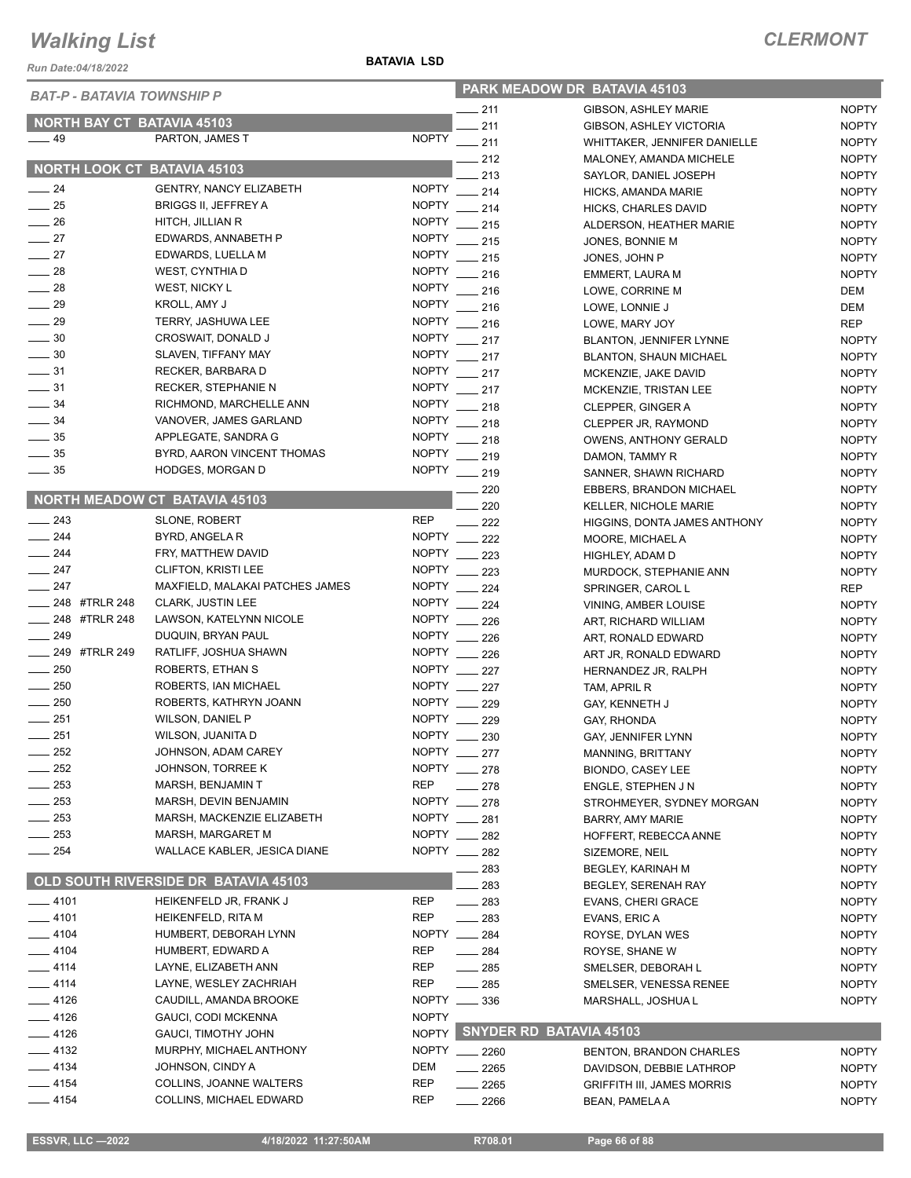*Run Date:04/18/2022*

#### **BATAVIA LSD**

| <b>BAT-P - BATAVIA TOWNSHIP P</b>  |                                                |              | PARK MEADOW DR BATAVIA 45103    |                                                               |                              |
|------------------------------------|------------------------------------------------|--------------|---------------------------------|---------------------------------------------------------------|------------------------------|
|                                    |                                                |              | $-211$                          | <b>GIBSON, ASHLEY MARIE</b>                                   | <b>NOPTY</b>                 |
| <b>NORTH BAY CT BATAVIA 45103</b>  |                                                |              | 211                             | GIBSON, ASHLEY VICTORIA                                       | <b>NOPTY</b>                 |
| $-49$                              | PARTON, JAMES T                                | <b>NOPTY</b> | $-211$                          | WHITTAKER, JENNIFER DANIELLE                                  | <b>NOPTY</b>                 |
| <b>NORTH LOOK CT BATAVIA 45103</b> |                                                |              | 212                             | MALONEY, AMANDA MICHELE                                       | <b>NOPTY</b>                 |
|                                    |                                                |              | 213                             | SAYLOR, DANIEL JOSEPH                                         | <b>NOPTY</b>                 |
| $-24$                              | <b>GENTRY, NANCY ELIZABETH</b>                 |              | NOPTY __ 214                    | HICKS, AMANDA MARIE                                           | <b>NOPTY</b>                 |
| $\frac{1}{25}$                     | <b>BRIGGS II, JEFFREY A</b>                    | <b>NOPTY</b> | 214                             | HICKS, CHARLES DAVID                                          | <b>NOPTY</b>                 |
| $\frac{1}{26}$                     | HITCH, JILLIAN R                               | <b>NOPTY</b> | $\frac{1}{215}$                 | ALDERSON, HEATHER MARIE                                       | <b>NOPTY</b>                 |
| $-27$                              | EDWARDS, ANNABETH P                            |              | NOPTY __ 215                    | JONES, BONNIE M                                               | <b>NOPTY</b>                 |
| $-27$                              | EDWARDS, LUELLA M                              |              | NOPTY __ 215                    | JONES, JOHN P                                                 | <b>NOPTY</b>                 |
| $\equiv$ 28                        | WEST, CYNTHIA D                                | <b>NOPTY</b> | 216                             | EMMERT, LAURA M                                               | <b>NOPTY</b>                 |
| $-28$                              | WEST, NICKY L                                  | <b>NOPTY</b> | 216                             | LOWE, CORRINE M                                               | DEM                          |
| $\frac{1}{29}$                     | KROLL, AMY J                                   | <b>NOPTY</b> | 216                             | LOWE, LONNIE J                                                | DEM                          |
| $\frac{1}{29}$                     | TERRY, JASHUWA LEE                             | <b>NOPTY</b> | 216                             | LOWE, MARY JOY                                                | <b>REP</b>                   |
| $\frac{1}{2}$ 30                   | CROSWAIT, DONALD J                             |              | NOPTY __ 217                    | <b>BLANTON, JENNIFER LYNNE</b>                                | <b>NOPTY</b>                 |
| $\frac{1}{2}$ 30                   | SLAVEN, TIFFANY MAY                            |              | NOPTY __ 217                    | BLANTON, SHAUN MICHAEL                                        | <b>NOPTY</b>                 |
| $\frac{1}{2}$ 31                   | RECKER, BARBARA D                              |              | NOPTY __ 217                    | MCKENZIE, JAKE DAVID                                          | <b>NOPTY</b>                 |
| $\equiv$ 31                        | RECKER, STEPHANIE N                            | <b>NOPTY</b> | $\frac{1}{217}$                 | MCKENZIE, TRISTAN LEE                                         | <b>NOPTY</b>                 |
| $\equiv$ 34                        | RICHMOND, MARCHELLE ANN                        | <b>NOPTY</b> | 218                             | CLEPPER, GINGER A                                             | <b>NOPTY</b>                 |
| $\frac{1}{2}$ 34                   | VANOVER, JAMES GARLAND                         |              | NOPTY __ 218                    | CLEPPER JR, RAYMOND                                           | <b>NOPTY</b>                 |
| $\frac{1}{2}$ 35                   | APPLEGATE, SANDRA G                            | <b>NOPTY</b> | $-218$                          | <b>OWENS, ANTHONY GERALD</b>                                  | <b>NOPTY</b>                 |
| $\frac{1}{2}$ 35                   | BYRD, AARON VINCENT THOMAS<br>HODGES, MORGAN D | <b>NOPTY</b> | $\frac{1}{219}$                 | DAMON, TAMMY R                                                | <b>NOPTY</b>                 |
| $\frac{1}{2}$ 35                   |                                                |              | NOPTY __ 219                    | SANNER, SHAWN RICHARD                                         | <b>NOPTY</b>                 |
| NORTH MEADOW CT BATAVIA 45103      |                                                |              | 220                             | <b>EBBERS, BRANDON MICHAEL</b>                                | <b>NOPTY</b>                 |
|                                    |                                                |              | 220                             | KELLER, NICHOLE MARIE                                         | <b>NOPTY</b>                 |
| $\frac{243}{2}$                    | SLONE, ROBERT                                  | <b>REP</b>   | 222                             | HIGGINS, DONTA JAMES ANTHONY                                  | <b>NOPTY</b>                 |
| $-244$                             | BYRD, ANGELA R                                 | <b>NOPTY</b> | 222                             | MOORE, MICHAEL A                                              | <b>NOPTY</b>                 |
| $\frac{1}{244}$                    | FRY, MATTHEW DAVID                             |              | NOPTY __ 223                    | HIGHLEY, ADAM D                                               | <b>NOPTY</b>                 |
| $\frac{1}{247}$                    | <b>CLIFTON, KRISTI LEE</b>                     |              | NOPTY __ 223                    | MURDOCK, STEPHANIE ANN                                        | <b>NOPTY</b>                 |
| $\frac{1}{247}$                    | MAXFIELD, MALAKAI PATCHES JAMES                |              | NOPTY __ 224                    | SPRINGER, CAROL L                                             | REP                          |
| ____ 248 #TRLR 248                 | <b>CLARK, JUSTIN LEE</b>                       |              | NOPTY __ 224                    | VINING, AMBER LOUISE                                          | <b>NOPTY</b>                 |
| ____ 248 #TRLR 248                 | LAWSON, KATELYNN NICOLE                        | NOPTY __     | 226                             | ART, RICHARD WILLIAM                                          | <b>NOPTY</b>                 |
| $-249$                             | DUQUIN, BRYAN PAUL                             | <b>NOPTY</b> | 226                             | ART, RONALD EDWARD                                            | <b>NOPTY</b>                 |
| ____ 249 #TRLR 249                 | RATLIFF, JOSHUA SHAWN                          | NOPTY ___    | 226                             | ART JR, RONALD EDWARD                                         | <b>NOPTY</b>                 |
| $\frac{1}{250}$                    | ROBERTS, ETHAN S                               |              | NOPTY __ 227                    | HERNANDEZ JR, RALPH                                           | <b>NOPTY</b>                 |
| $-250$<br>$\frac{1}{250}$          | ROBERTS, IAN MICHAEL                           | NOPTY __     | NOPTY __ 227                    | TAM, APRIL R                                                  | <b>NOPTY</b>                 |
| $-251$                             | ROBERTS, KATHRYN JOANN<br>WILSON, DANIEL P     | <b>NOPTY</b> | 229                             | GAY, KENNETH J                                                | <b>NOPTY</b>                 |
| 251                                | WILSON, JUANITA D                              | NOPTY        | 229                             | GAY, RHONDA                                                   | <b>NOPTY</b>                 |
| $-252$                             | JOHNSON, ADAM CAREY                            |              | 230<br>NOPTY __ 277             | GAY, JENNIFER LYNN                                            | <b>NOPTY</b>                 |
| $\equiv$ 252                       | JOHNSON, TORREE K                              |              | NOPTY __ 278                    | MANNING, BRITTANY                                             | <b>NOPTY</b>                 |
| $\equiv$ 253                       | MARSH, BENJAMIN T                              | <b>REP</b>   | $-278$                          | <b>BIONDO, CASEY LEE</b>                                      | <b>NOPTY</b>                 |
| $-253$                             | MARSH, DEVIN BENJAMIN                          |              | NOPTY 278                       | ENGLE, STEPHEN J N                                            | <b>NOPTY</b>                 |
| - 253                              | MARSH, MACKENZIE ELIZABETH                     |              | NOPTY __ 281                    | STROHMEYER, SYDNEY MORGAN                                     | <b>NOPTY</b>                 |
| - 253                              | MARSH, MARGARET M                              | NOPTY __     |                                 | <b>BARRY, AMY MARIE</b>                                       | <b>NOPTY</b>                 |
| 254                                | WALLACE KABLER, JESICA DIANE                   |              | 282<br>NOPTY __ 282             | HOFFERT, REBECCA ANNE                                         | <b>NOPTY</b>                 |
|                                    |                                                |              | 283                             | SIZEMORE, NEIL                                                | <b>NOPTY</b><br><b>NOPTY</b> |
|                                    | OLD SOUTH RIVERSIDE DR BATAVIA 45103           |              | 283                             | BEGLEY, KARINAH M<br>BEGLEY, SERENAH RAY                      | <b>NOPTY</b>                 |
| $-4101$                            | HEIKENFELD JR, FRANK J                         | <b>REP</b>   | 283                             |                                                               | <b>NOPTY</b>                 |
|                                    | <b>HEIKENFELD, RITA M</b>                      | REP          |                                 | <b>EVANS, CHERI GRACE</b>                                     |                              |
| $-4101$<br>____ 4104               | HUMBERT, DEBORAH LYNN                          |              | $\frac{1}{283}$<br>NOPTY __ 284 | EVANS, ERIC A<br>ROYSE, DYLAN WES                             | <b>NOPTY</b><br><b>NOPTY</b> |
| $-4104$                            | HUMBERT, EDWARD A                              | REP          | $\frac{1}{284}$                 |                                                               |                              |
| $-4114$                            | LAYNE, ELIZABETH ANN                           | REP          | $\equiv$ 285                    | ROYSE, SHANE W<br>SMELSER, DEBORAH L                          | NOPTY<br><b>NOPTY</b>        |
| $-4114$                            | LAYNE, WESLEY ZACHRIAH                         | <b>REP</b>   | 285                             | SMELSER, VENESSA RENEE                                        | <b>NOPTY</b>                 |
| $-4126$                            | CAUDILL, AMANDA BROOKE                         |              | NOPTY __ 336                    | MARSHALL, JOSHUA L                                            | <b>NOPTY</b>                 |
| $-4126$                            | GAUCI, CODI MCKENNA                            | <b>NOPTY</b> |                                 |                                                               |                              |
| $-4126$                            | <b>GAUCI, TIMOTHY JOHN</b>                     |              | NOPTY SNYDER RD BATAVIA 45103   |                                                               |                              |
| $-4132$                            | MURPHY, MICHAEL ANTHONY                        |              | NOPTY __ 2260                   |                                                               |                              |
| $-4134$                            | JOHNSON, CINDY A                               | DEM          |                                 | BENTON, BRANDON CHARLES                                       | <b>NOPTY</b>                 |
| $-4154$                            | COLLINS, JOANNE WALTERS                        | <b>REP</b>   | 2265<br>2265                    | DAVIDSON, DEBBIE LATHROP<br><b>GRIFFITH III, JAMES MORRIS</b> | <b>NOPTY</b><br><b>NOPTY</b> |
| $-4154$                            | COLLINS, MICHAEL EDWARD                        | REP          | 2266                            |                                                               |                              |
|                                    |                                                |              |                                 | BEAN, PAMELA A                                                | <b>NOPTY</b>                 |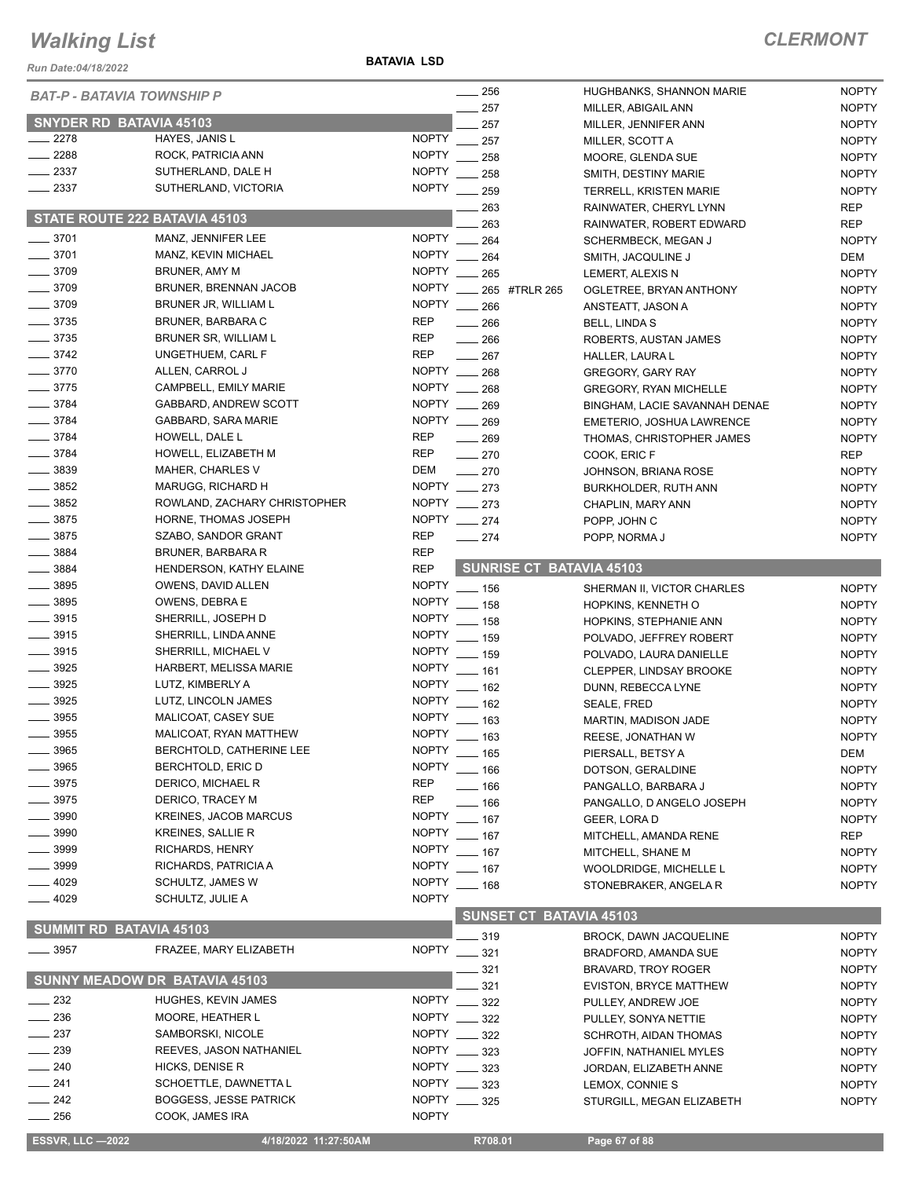*Run Date:04/18/2022*

**BATAVIA LSD**

| <b>BAT-P - BATAVIA TOWNSHIP P</b> |                               |              | $\frac{1}{256}$   |                                 | HUGHBANKS, SHANNON MARIE      | <b>NOPTY</b> |
|-----------------------------------|-------------------------------|--------------|-------------------|---------------------------------|-------------------------------|--------------|
|                                   |                               |              | $-257$            |                                 | MILLER, ABIGAIL ANN           | <b>NOPTY</b> |
| <b>SNYDER RD BATAVIA 45103</b>    |                               |              | 257               |                                 | MILLER, JENNIFER ANN          | <b>NOPTY</b> |
| $-2278$                           | HAYES, JANIS L                | <b>NOPTY</b> | 257               |                                 | MILLER, SCOTT A               | <b>NOPTY</b> |
| $\frac{2288}{2}$                  | ROCK, PATRICIA ANN            | <b>NOPTY</b> | 258               |                                 | MOORE, GLENDA SUE             | <b>NOPTY</b> |
| $-2337$                           | SUTHERLAND, DALE H            | <b>NOPTY</b> | 258               |                                 | SMITH, DESTINY MARIE          | <b>NOPTY</b> |
| $-2337$                           | SUTHERLAND, VICTORIA          | <b>NOPTY</b> | .259              |                                 | TERRELL, KRISTEN MARIE        | <b>NOPTY</b> |
|                                   |                               |              | 263               |                                 | RAINWATER, CHERYL LYNN        | <b>REP</b>   |
| STATE ROUTE 222 BATAVIA 45103     |                               |              | 263               |                                 | RAINWATER, ROBERT EDWARD      | <b>REP</b>   |
| $- 3701$                          | MANZ, JENNIFER LEE            |              | NOPTY __ 264      |                                 | <b>SCHERMBECK, MEGAN J</b>    | <b>NOPTY</b> |
| $- 3701$                          | MANZ, KEVIN MICHAEL           |              | NOPTY __ 264      |                                 | SMITH, JACQULINE J            | DEM          |
| $- 3709$                          | <b>BRUNER, AMY M</b>          |              | NOPTY __ 265      |                                 | LEMERT, ALEXIS N              | <b>NOPTY</b> |
| $\frac{1}{2}$ 3709                | <b>BRUNER, BRENNAN JACOB</b>  |              |                   | NOPTY ____ 265 #TRLR 265        | OGLETREE, BRYAN ANTHONY       | <b>NOPTY</b> |
| $\frac{1}{2}$ 3709                | BRUNER JR, WILLIAM L          |              | NOPTY __ 266      |                                 | ANSTEATT, JASON A             | <b>NOPTY</b> |
| $\frac{1}{2}$ 3735                | BRUNER, BARBARA C             | <b>REP</b>   | $\frac{1}{266}$   |                                 | BELL, LINDA S                 | <b>NOPTY</b> |
| $\frac{1}{2}$ 3735                | BRUNER SR, WILLIAM L          | <b>REP</b>   | $\frac{1}{266}$   |                                 | ROBERTS, AUSTAN JAMES         | <b>NOPTY</b> |
| $- 3742$                          | UNGETHUEM, CARL F             | <b>REP</b>   | $-267$            |                                 | HALLER, LAURA L               | <b>NOPTY</b> |
| $- 3770$                          | ALLEN, CARROL J               |              | NOPTY __ 268      |                                 | <b>GREGORY, GARY RAY</b>      | <b>NOPTY</b> |
| $-3775$                           | CAMPBELL, EMILY MARIE         |              | NOPTY __ 268      |                                 | <b>GREGORY, RYAN MICHELLE</b> | <b>NOPTY</b> |
| $- 3784$                          | GABBARD, ANDREW SCOTT         |              | NOPTY __ 269      |                                 | BINGHAM, LACIE SAVANNAH DENAE | <b>NOPTY</b> |
| $-3784$                           | GABBARD, SARA MARIE           |              | NOPTY __ 269      |                                 | EMETERIO, JOSHUA LAWRENCE     | <b>NOPTY</b> |
| $- 3784$                          | HOWELL, DALE L                | <b>REP</b>   | $\frac{1}{269}$   |                                 | THOMAS, CHRISTOPHER JAMES     | <b>NOPTY</b> |
| $- 3784$                          | HOWELL, ELIZABETH M           | <b>REP</b>   | $\sim$ 270        |                                 | COOK, ERIC F                  | <b>REP</b>   |
| $\frac{1}{2}$ 3839                | MAHER, CHARLES V              | DEM          | $-270$            |                                 | JOHNSON, BRIANA ROSE          | <b>NOPTY</b> |
| $\frac{1}{2}$ 3852                | MARUGG, RICHARD H             |              | NOPTY __ 273      |                                 |                               | <b>NOPTY</b> |
| $\frac{1}{2}$ 3852                | ROWLAND, ZACHARY CHRISTOPHER  |              | NOPTY __ 273      |                                 | BURKHOLDER, RUTH ANN          |              |
| $\frac{1}{2}$ 3875                | HORNE, THOMAS JOSEPH          |              | NOPTY __ 274      |                                 | CHAPLIN, MARY ANN             | <b>NOPTY</b> |
| $- 3875$                          |                               | <b>REP</b>   |                   |                                 | POPP, JOHN C                  | <b>NOPTY</b> |
|                                   | SZABO, SANDOR GRANT           |              | $\sim$ 274        |                                 | POPP, NORMA J                 | <b>NOPTY</b> |
| $\frac{1}{2}$ 3884                | BRUNER, BARBARA R             | <b>REP</b>   |                   | <b>SUNRISE CT BATAVIA 45103</b> |                               |              |
| $\frac{1}{2}$ 3884                | HENDERSON, KATHY ELAINE       | <b>REP</b>   |                   |                                 |                               |              |
| $\frac{1}{2}$ 3895                | OWENS, DAVID ALLEN            |              | NOPTY __ 156      |                                 | SHERMAN II, VICTOR CHARLES    | <b>NOPTY</b> |
| $\frac{1}{2}$ 3895                | OWENS, DEBRA E                |              | NOPTY __ 158      |                                 | HOPKINS, KENNETH O            | <b>NOPTY</b> |
| $\frac{1}{2}$ 3915                | SHERRILL, JOSEPH D            |              | NOPTY __ 158      |                                 | HOPKINS, STEPHANIE ANN        | <b>NOPTY</b> |
| $\frac{1}{2}$ 3915                | SHERRILL, LINDA ANNE          | <b>NOPTY</b> | $\frac{1}{2}$ 159 |                                 | POLVADO, JEFFREY ROBERT       | <b>NOPTY</b> |
| $- 3915$                          | SHERRILL, MICHAEL V           |              | NOPTY __ 159      |                                 | POLVADO, LAURA DANIELLE       | <b>NOPTY</b> |
| $\frac{1}{2}$ 3925                | HARBERT, MELISSA MARIE        |              | NOPTY __ 161      |                                 | CLEPPER, LINDSAY BROOKE       | <b>NOPTY</b> |
| $\frac{1}{2}$ 3925                | LUTZ, KIMBERLY A              |              | NOPTY __ 162      |                                 | DUNN, REBECCA LYNE            | <b>NOPTY</b> |
| $\frac{1}{2}$ 3925                | LUTZ, LINCOLN JAMES           |              | NOPTY __ 162      |                                 | SEALE, FRED                   | <b>NOPTY</b> |
| 3955                              | MALICOAT, CASEY SUE           | <b>NOPTY</b> | $- 163$           |                                 | MARTIN, MADISON JADE          | <b>NOPTY</b> |
| $\frac{1}{2}$ 3955                | MALICOAT, RYAN MATTHEW        | <b>NOPTY</b> | - 163             |                                 | REESE, JONATHAN W             | <b>NOPTY</b> |
| 3965                              | BERCHTOLD, CATHERINE LEE      |              | NOPTY __ 165      |                                 | PIERSALL, BETSY A             | DEM          |
| 3965                              | BERCHTOLD, ERIC D             | <b>NOPTY</b> | $-166$            |                                 | DOTSON, GERALDINE             | <b>NOPTY</b> |
| 3975                              | DERICO, MICHAEL R             | <b>REP</b>   | — 166             |                                 | PANGALLO, BARBARA J           | <b>NOPTY</b> |
| 3975                              | DERICO, TRACEY M              | <b>REP</b>   | $-166$            |                                 | PANGALLO, D ANGELO JOSEPH     | <b>NOPTY</b> |
| 3990                              | <b>KREINES, JACOB MARCUS</b>  | NOPTY        | $\frac{1}{2}$ 167 |                                 | GEER, LORA D                  | <b>NOPTY</b> |
| 3990                              | <b>KREINES, SALLIE R</b>      | <b>NOPTY</b> | $- 167$           |                                 | MITCHELL, AMANDA RENE         | <b>REP</b>   |
| _ 3999                            | RICHARDS, HENRY               | <b>NOPTY</b> | $\frac{1}{2}$ 167 |                                 | MITCHELL, SHANE M             | <b>NOPTY</b> |
| $-3999$                           | RICHARDS, PATRICIA A          | <b>NOPTY</b> | $- 167$           |                                 | WOOLDRIDGE, MICHELLE L        | <b>NOPTY</b> |
| _ 4029                            | SCHULTZ, JAMES W              | <b>NOPTY</b> | $- 168$           |                                 | STONEBRAKER, ANGELA R         | <b>NOPTY</b> |
| $-4029$                           | SCHULTZ, JULIE A              | <b>NOPTY</b> |                   |                                 |                               |              |
|                                   |                               |              |                   | <b>SUNSET CT BATAVIA 45103</b>  |                               |              |
| <b>SUMMIT RD BATAVIA 45103</b>    |                               |              | __ 319            |                                 | BROCK, DAWN JACQUELINE        | <b>NOPTY</b> |
| $\frac{1}{2}$ 3957                | FRAZEE, MARY ELIZABETH        |              | NOPTY ____ 321    |                                 |                               |              |
|                                   |                               |              |                   |                                 | BRADFORD, AMANDA SUE          | <b>NOPTY</b> |
|                                   | SUNNY MEADOW DR BATAVIA 45103 |              | 321               |                                 | <b>BRAVARD, TROY ROGER</b>    | <b>NOPTY</b> |
|                                   |                               |              | 321               |                                 | <b>EVISTON, BRYCE MATTHEW</b> | <b>NOPTY</b> |
| $-232$                            | HUGHES, KEVIN JAMES           |              | NOPTY __ 322      |                                 | PULLEY, ANDREW JOE            | <b>NOPTY</b> |
| 236                               | MOORE, HEATHER L              |              | NOPTY ____ 322    |                                 | PULLEY, SONYA NETTIE          | <b>NOPTY</b> |
| 237                               | SAMBORSKI, NICOLE             |              | NOPTY __ 322      |                                 | SCHROTH, AIDAN THOMAS         | <b>NOPTY</b> |
| 239                               | REEVES, JASON NATHANIEL       |              | NOPTY __ 323      |                                 | JOFFIN, NATHANIEL MYLES       | <b>NOPTY</b> |
| 240                               | HICKS, DENISE R               |              | NOPTY __ 323      |                                 | JORDAN, ELIZABETH ANNE        | <b>NOPTY</b> |
| 241                               | SCHOETTLE, DAWNETTA L         |              | NOPTY __ 323      |                                 | LEMOX, CONNIE S               | <b>NOPTY</b> |
| $-242$                            | <b>BOGGESS, JESSE PATRICK</b> |              | NOPTY __ 325      |                                 | STURGILL, MEGAN ELIZABETH     | <b>NOPTY</b> |
| 256                               | COOK, JAMES IRA               | <b>NOPTY</b> |                   |                                 |                               |              |
| <b>ESSVR, LLC -2022</b>           | 4/18/2022 11:27:50AM          |              | R708.01           |                                 | Page 67 of 88                 |              |
|                                   |                               |              |                   |                                 |                               |              |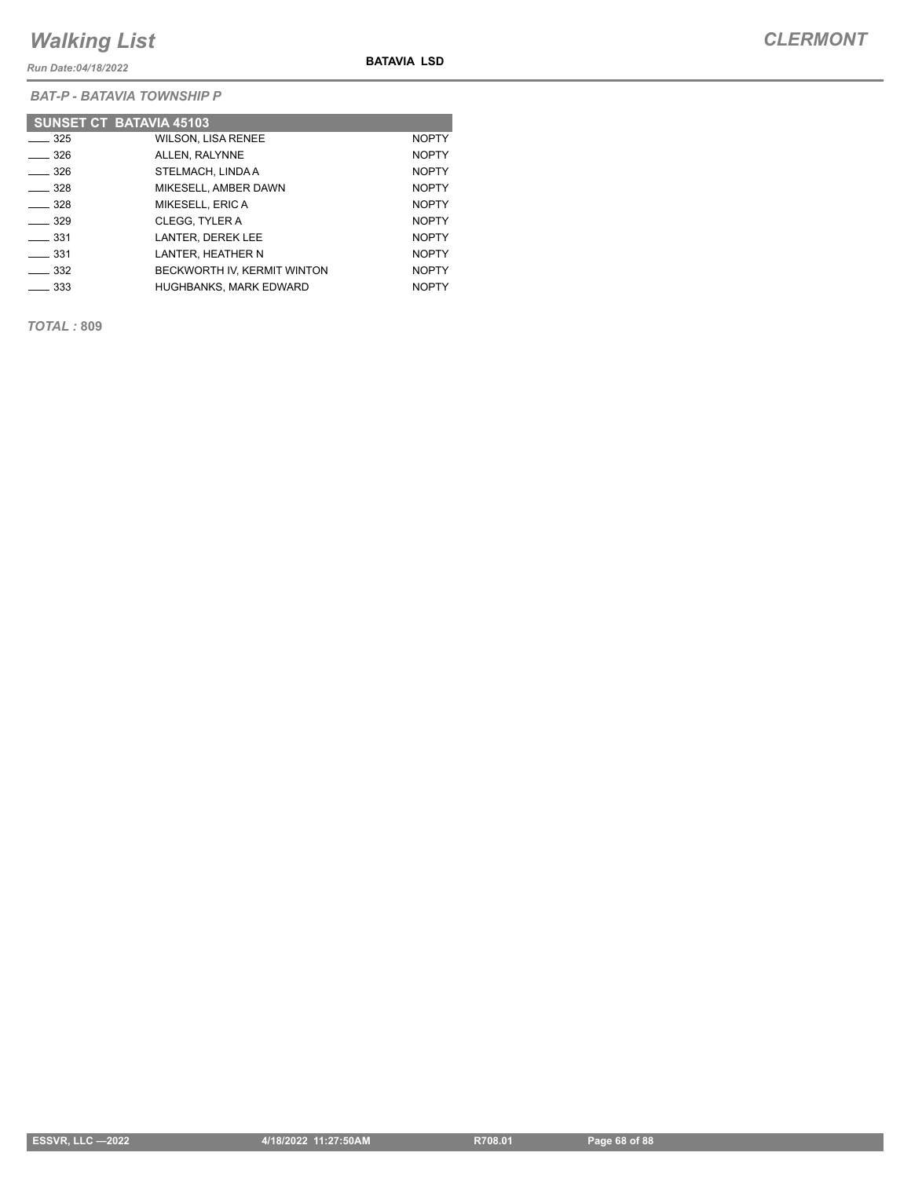*Run Date:04/18/2022*

**BATAVIA LSD**

*BAT-P - BATAVIA TOWNSHIP P*

|                   | <b>SUNSET CT BATAVIA 45103</b> |              |
|-------------------|--------------------------------|--------------|
| $\frac{1}{2}$ 325 | <b>WILSON, LISA RENEE</b>      | <b>NOPTY</b> |
| $\equiv$ 326      | ALLEN. RALYNNE                 | <b>NOPTY</b> |
| $\frac{1}{2}$ 326 | STELMACH, LINDA A              | <b>NOPTY</b> |
| $\equiv$ 328      | MIKESELL, AMBER DAWN           | <b>NOPTY</b> |
| $\equiv$ 328      | MIKESELL, ERIC A               | <b>NOPTY</b> |
| $\equiv$ 329      | CLEGG, TYLER A                 | <b>NOPTY</b> |
| $\equiv$ 331      | LANTER. DEREK LEE              | <b>NOPTY</b> |
| $-331$            | LANTER, HEATHER N              | <b>NOPTY</b> |
| $\equiv$ 332      | BECKWORTH IV. KERMIT WINTON    | <b>NOPTY</b> |
| $\equiv$ 333      | <b>HUGHBANKS, MARK EDWARD</b>  | <b>NOPTY</b> |

*TOTAL :* **809**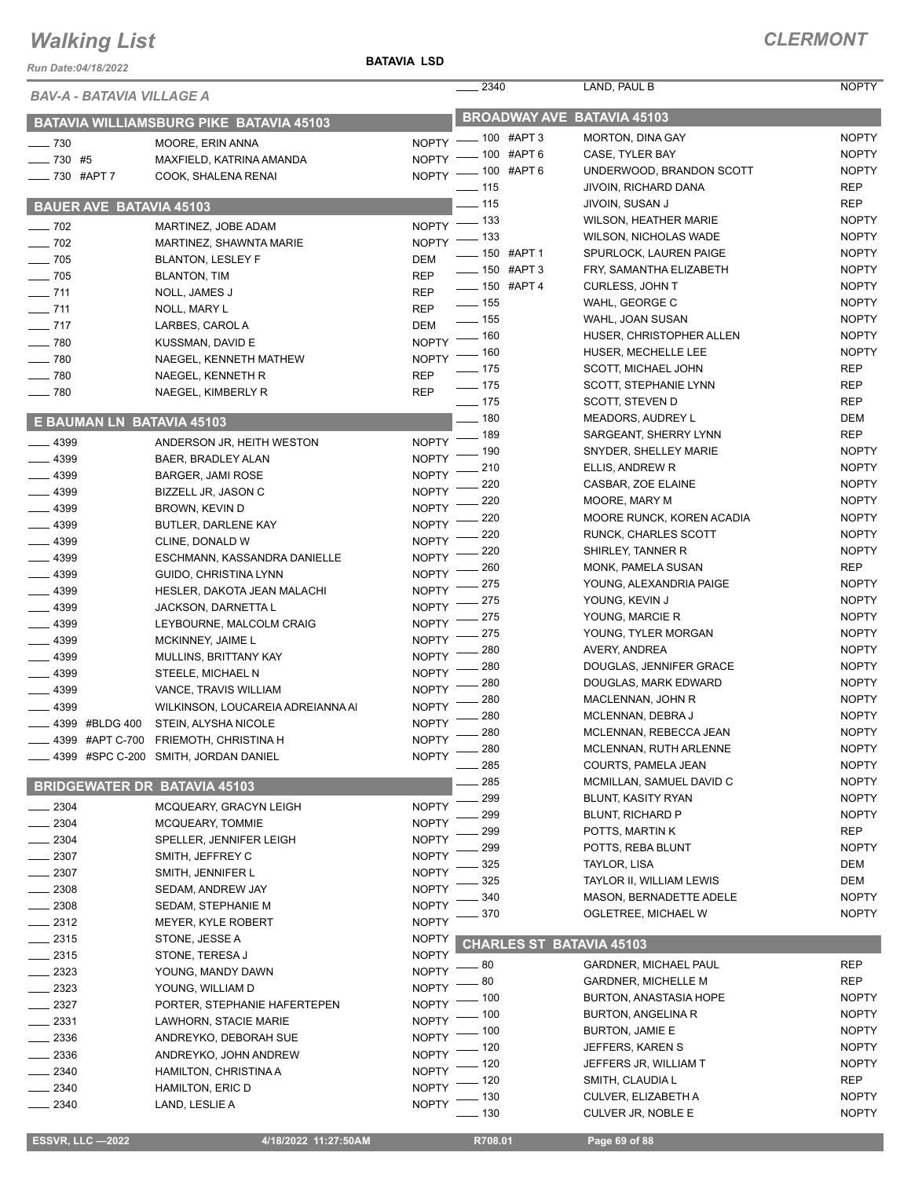*Run Date:04/18/2022*

#### **BATAVIA LSD**

| <i><b>BAV-A - BATAVIA VILLAGE A</b></i> |                                      |                                   | 2340               | LAND, PAUL B                     | <b>NOPTY</b>        |
|-----------------------------------------|--------------------------------------|-----------------------------------|--------------------|----------------------------------|---------------------|
| BATAVIA WILLIAMSBURG PIKE BATAVIA 45103 |                                      | <b>BROADWAY AVE BATAVIA 45103</b> |                    |                                  |                     |
| $-730$                                  | MOORE, ERIN ANNA                     |                                   | NOPTY - 100 #APT 3 | MORTON, DINA GAY                 | <b>NOPTY</b>        |
| $-730$ #5                               | MAXFIELD, KATRINA AMANDA             | <b>NOPTY</b>                      | .100 #APT 6        | CASE, TYLER BAY                  | <b>NOPTY</b>        |
| _ 730 #APT 7                            | COOK, SHALENA RENAI                  | <b>NOPTY</b>                      | $-100$ #APT 6      | UNDERWOOD, BRANDON SCOTT         | <b>NOPTY</b>        |
|                                         |                                      |                                   | $-115$             | JIVOIN, RICHARD DANA             | <b>REP</b>          |
| <b>BAUER AVE BATAVIA 45103</b>          |                                      |                                   | $-115$             | JIVOIN, SUSAN J                  | <b>REP</b>          |
| $\sim$ 702                              | MARTINEZ, JOBE ADAM                  |                                   | NOPTY - 133        | <b>WILSON, HEATHER MARIE</b>     | <b>NOPTY</b>        |
| $-702$                                  | MARTINEZ, SHAWNTA MARIE              | <b>NOPTY</b>                      | _ 133              | <b>WILSON, NICHOLAS WADE</b>     | <b>NOPTY</b>        |
| $-705$                                  | <b>BLANTON, LESLEY F</b>             | <b>DEM</b>                        | $- 150$ #APT 1     | SPURLOCK, LAUREN PAIGE           | <b>NOPTY</b>        |
| $\frac{1}{2}$ 705                       | <b>BLANTON, TIM</b>                  | <b>REP</b>                        | -60 #APT 3         | FRY, SAMANTHA ELIZABETH          | <b>NOPTY</b>        |
| $-711$                                  | NOLL, JAMES J                        | <b>REP</b>                        | -60 #APT 4         | CURLESS, JOHN T                  | <b>NOPTY</b>        |
| $- 711$                                 | NOLL, MARY L                         | <b>REP</b>                        | $\frac{1}{2}$ 155  | WAHL, GEORGE C                   | <b>NOPTY</b>        |
| $- 717$                                 | LARBES, CAROL A                      | <b>DEM</b>                        | $\frac{1}{2}$ 155  | WAHL, JOAN SUSAN                 | <b>NOPTY</b>        |
| $- 780$                                 | KUSSMAN, DAVID E                     | <b>NOPTY</b>                      | $-160$             | HUSER, CHRISTOPHER ALLEN         | <b>NOPTY</b>        |
| $-780$                                  | NAEGEL, KENNETH MATHEW               | <b>NOPTY</b>                      | $-160$             | HUSER, MECHELLE LEE              | <b>NOPTY</b>        |
| 780                                     | NAEGEL, KENNETH R                    | <b>REP</b>                        | $- 175$            | SCOTT, MICHAEL JOHN              | <b>REP</b>          |
| $-780$                                  | NAEGEL, KIMBERLY R                   | <b>REP</b>                        | $- 175$            | SCOTT, STEPHANIE LYNN            | <b>REP</b>          |
|                                         |                                      |                                   | $- 175$            | SCOTT, STEVEN D                  | <b>REP</b>          |
| E BAUMAN LN BATAVIA 45103               |                                      |                                   | $-180$             | <b>MEADORS, AUDREY L</b>         | <b>DEM</b>          |
| 4399                                    | ANDERSON JR, HEITH WESTON            | <b>NOPTY</b>                      | $-189$             | SARGEANT, SHERRY LYNN            | <b>REP</b>          |
| 4399                                    | BAER, BRADLEY ALAN                   | <b>NOPTY</b>                      | . 190              | SNYDER, SHELLEY MARIE            | <b>NOPTY</b>        |
| 4399                                    | <b>BARGER, JAMI ROSE</b>             | <b>NOPTY</b>                      | 210                | ELLIS, ANDREW R                  | <b>NOPTY</b>        |
| $-4399$                                 | BIZZELL JR, JASON C                  | <b>NOPTY</b>                      | 220                | CASBAR, ZOE ELAINE               | <b>NOPTY</b>        |
| $-4399$                                 | BROWN, KEVIN D                       | <b>NOPTY</b>                      | 220                | MOORE, MARY M                    | <b>NOPTY</b>        |
| $-4399$                                 | BUTLER, DARLENE KAY                  | <b>NOPTY</b>                      | 220                | <b>MOORE RUNCK, KOREN ACADIA</b> | <b>NOPTY</b>        |
| $-4399$                                 | CLINE, DONALD W                      | <b>NOPTY</b>                      | 220                | RUNCK, CHARLES SCOTT             | <b>NOPTY</b>        |
| $-4399$                                 | ESCHMANN, KASSANDRA DANIELLE         | <b>NOPTY</b>                      | 220                | SHIRLEY, TANNER R                | <b>NOPTY</b>        |
| 4399                                    | GUIDO, CHRISTINA LYNN                | <b>NOPTY</b>                      | 260                | MONK, PAMELA SUSAN               | <b>REP</b>          |
| 4399                                    | HESLER, DAKOTA JEAN MALACHI          | <b>NOPTY</b>                      | 275                | YOUNG, ALEXANDRIA PAIGE          | <b>NOPTY</b>        |
| 4399                                    | JACKSON, DARNETTA L                  | <b>NOPTY</b>                      | 275                | YOUNG, KEVIN J                   | <b>NOPTY</b>        |
| .4399                                   | LEYBOURNE, MALCOLM CRAIG             | <b>NOPTY</b>                      | 275                | YOUNG, MARCIE R                  | <b>NOPTY</b>        |
| $-4399$                                 | MCKINNEY, JAIME L                    | <b>NOPTY</b>                      | 275                | YOUNG, TYLER MORGAN              | <b>NOPTY</b>        |
| $-4399$                                 | MULLINS, BRITTANY KAY                | <b>NOPTY</b>                      | 280                | AVERY, ANDREA                    | <b>NOPTY</b>        |
| 4399                                    | STEELE, MICHAEL N                    | <b>NOPTY</b>                      | 280                | DOUGLAS, JENNIFER GRACE          | <b>NOPTY</b>        |
| 4399                                    | VANCE, TRAVIS WILLIAM                | <b>NOPTY</b>                      | 280                | DOUGLAS, MARK EDWARD             | <b>NOPTY</b>        |
| 4399                                    | WILKINSON, LOUCAREIA ADREIANNA AI    | <b>NOPTY</b>                      | 280                | MACLENNAN, JOHN R                | <b>NOPTY</b>        |
| 4399<br>#BLDG 400                       | STEIN, ALYSHA NICOLE                 | <b>NOPTY</b>                      | 280                | MCLENNAN, DEBRA J                | <b>NOPTY</b>        |
| 4399 #APT C-700                         | FRIEMOTH, CHRISTINA H                | <b>NOPTY</b>                      | 280                | MCLENNAN, REBECCA JEAN           | <b>NOPTY</b>        |
|                                         | 4399 #SPC C-200 SMITH, JORDAN DANIEL | <b>NOPTY</b>                      | 280                | MCLENNAN, RUTH ARLENNE           | <b>NOPTY</b>        |
|                                         |                                      |                                   | 285                | COURTS, PAMELA JEAN              | <b>NOPTY</b>        |
| <b>BRIDGEWATER DR BATAVIA 45103</b>     |                                      |                                   | 285                | MCMILLAN, SAMUEL DAVID C         | <b>NOPTY</b>        |
| 2304                                    | MCQUEARY, GRACYN LEIGH               | <b>NOPTY</b>                      | 299                | BLUNT, KASITY RYAN               | <b>NOPTY</b>        |
| 2304                                    | MCQUEARY, TOMMIE                     | <b>NOPTY</b>                      | 299                | <b>BLUNT, RICHARD P</b>          | <b>NOPTY</b>        |
| $-2304$                                 | SPELLER, JENNIFER LEIGH              | <b>NOPTY</b>                      | 299                | POTTS, MARTIN K                  | <b>REP</b>          |
| $= 2307$                                | SMITH, JEFFREY C                     | <b>NOPTY</b>                      | 299                | POTTS, REBA BLUNT                | <b>NOPTY</b>        |
| $=$ 2307                                | SMITH, JENNIFER L                    | <b>NOPTY</b>                      | 325                | TAYLOR, LISA                     | DEM                 |
| $-2308$                                 | SEDAM, ANDREW JAY                    | <b>NOPTY</b>                      | 325                | TAYLOR II, WILLIAM LEWIS         | DEM<br><b>NOPTY</b> |
| 2308                                    | SEDAM, STEPHANIE M                   | <b>NOPTY</b>                      | 340                | MASON, BERNADETTE ADELE          |                     |
| $-2312$                                 | <b>MEYER, KYLE ROBERT</b>            | <b>NOPTY</b>                      | 370                | OGLETREE, MICHAEL W              | <b>NOPTY</b>        |
| $= 2315$                                | STONE, JESSE A                       | NOPTY                             |                    | CHARLES ST BATAVIA 45103         |                     |
| $-2315$                                 | STONE, TERESA J                      | <b>NOPTY</b>                      |                    |                                  |                     |
| $-2323$                                 | YOUNG, MANDY DAWN                    | <b>NOPTY</b>                      | 80                 | <b>GARDNER, MICHAEL PAUL</b>     | <b>REP</b>          |
| _ 2323                                  | YOUNG, WILLIAM D                     | <b>NOPTY</b>                      | 80                 | <b>GARDNER, MICHELLE M</b>       | <b>REP</b>          |
| $-2327$                                 | PORTER, STEPHANIE HAFERTEPEN         | <b>NOPTY</b>                      | 100                | <b>BURTON, ANASTASIA HOPE</b>    | <b>NOPTY</b>        |
| 2331                                    | LAWHORN, STACIE MARIE                | <b>NOPTY</b>                      | $-100$             | <b>BURTON, ANGELINA R</b>        | <b>NOPTY</b>        |
| 2336                                    | ANDREYKO, DEBORAH SUE                | <b>NOPTY</b>                      | . 100              | <b>BURTON, JAMIE E</b>           | <b>NOPTY</b>        |
| 2336                                    | ANDREYKO, JOHN ANDREW                | <b>NOPTY</b>                      | 120                | JEFFERS, KAREN S                 | <b>NOPTY</b>        |
| . 2340                                  | <b>HAMILTON, CHRISTINA A</b>         | <b>NOPTY</b>                      | 120                | JEFFERS JR, WILLIAM T            | <b>NOPTY</b>        |
| 2340                                    | HAMILTON, ERIC D                     | <b>NOPTY</b>                      | 120                | SMITH, CLAUDIA L                 | <b>REP</b>          |
| 2340                                    | LAND, LESLIE A                       | <b>NOPTY</b>                      | 130                | CULVER, ELIZABETH A              | <b>NOPTY</b>        |
|                                         |                                      |                                   | - 130              | CULVER JR, NOBLE E               | <b>NOPTY</b>        |

**ESSVR, LLC -2022** 4/18/2022 11:27:50AM R708.01 Page 69 of 88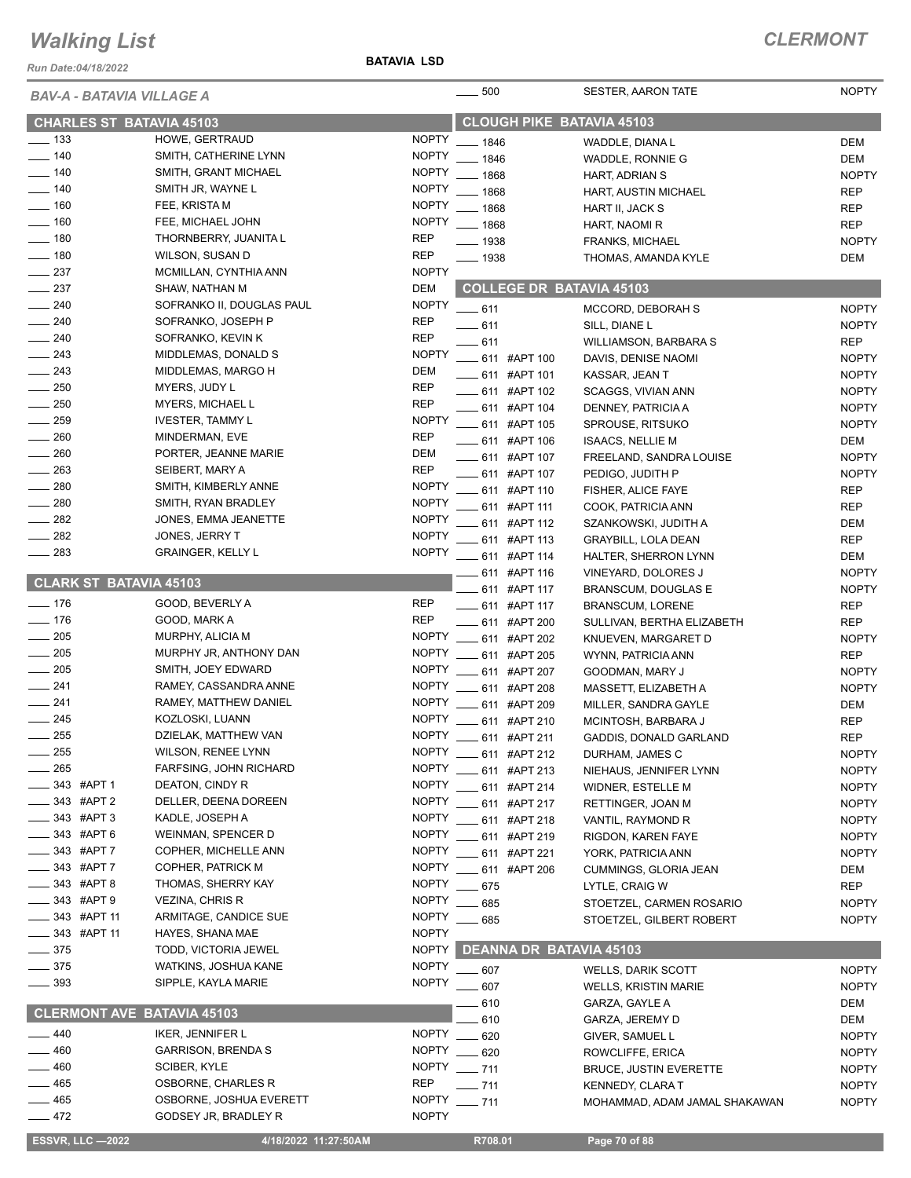*Run Date:04/18/2022*

#### **BATAVIA LSD**

| <b>BAV-A - BATAVIA VILLAGE A</b>  |                             | $\frac{1}{2}$ 500 | <b>SESTER, AARON TATE</b>        | <b>NOPTY</b>                  |              |
|-----------------------------------|-----------------------------|-------------------|----------------------------------|-------------------------------|--------------|
| <b>CHARLES ST BATAVIA 45103</b>   |                             |                   | <b>CLOUGH PIKE BATAVIA 45103</b> |                               |              |
| $\frac{1}{2}$ 133                 | HOWE, GERTRAUD              | <b>NOPTY</b>      | $- 1846$                         | WADDLE, DIANA L               | <b>DEM</b>   |
| $- 140$                           | SMITH, CATHERINE LYNN       | <b>NOPTY</b>      | $- 1846$                         | WADDLE, RONNIE G              | <b>DEM</b>   |
| $- 140$                           | SMITH, GRANT MICHAEL        | <b>NOPTY</b>      | $- 1868$                         | HART, ADRIAN S                | <b>NOPTY</b> |
| $-140$                            | SMITH JR, WAYNE L           | <b>NOPTY</b>      | $- 1868$                         | HART, AUSTIN MICHAEL          | <b>REP</b>   |
| $- 160$                           | FEE, KRISTA M               | <b>NOPTY</b>      | $- 1868$                         | HART II, JACK S               | <b>REP</b>   |
| $\frac{1}{160}$                   | FEE, MICHAEL JOHN           | <b>NOPTY</b>      | $- 1868$                         | HART, NAOMI R                 | <b>REP</b>   |
| $\frac{1}{2}$ 180                 | THORNBERRY, JUANITA L       | <b>REP</b>        | $- 1938$                         | <b>FRANKS, MICHAEL</b>        | <b>NOPTY</b> |
| $- 180$                           | WILSON, SUSAN D             | <b>REP</b>        | $- 1938$                         | THOMAS, AMANDA KYLE           | <b>DEM</b>   |
| $\frac{237}{2}$                   | MCMILLAN, CYNTHIA ANN       | <b>NOPTY</b>      |                                  |                               |              |
| $\frac{1}{2}$ 237                 | SHAW, NATHAN M              | <b>DEM</b>        | <b>COLLEGE DR BATAVIA 45103</b>  |                               |              |
| $\frac{1}{240}$                   | SOFRANKO II, DOUGLAS PAUL   | <b>NOPTY</b>      |                                  |                               |              |
| $\frac{1}{240}$                   | SOFRANKO, JOSEPH P          | <b>REP</b>        | $-611$                           | MCCORD, DEBORAH S             | <b>NOPTY</b> |
| $\frac{1}{240}$                   | SOFRANKO, KEVIN K           | <b>REP</b>        | $-611$                           | SILL, DIANE L                 | <b>NOPTY</b> |
| $\frac{243}{2}$                   | MIDDLEMAS, DONALD S         | <b>NOPTY</b>      | $-611$                           | WILLIAMSON, BARBARA S         | <b>REP</b>   |
| $\frac{1}{243}$                   | MIDDLEMAS, MARGO H          | DEM               | ___ 611 #APT 100                 | DAVIS, DENISE NAOMI           | <b>NOPTY</b> |
| $\frac{1}{250}$                   |                             | <b>REP</b>        | $\frac{1}{2}$ 611 #APT 101       | KASSAR, JEAN T                | <b>NOPTY</b> |
|                                   | MYERS, JUDY L               |                   | $\frac{1}{2}$ 611 #APT 102       | SCAGGS, VIVIAN ANN            | <b>NOPTY</b> |
| $\frac{1}{250}$                   | MYERS, MICHAEL L            | <b>REP</b>        | $\frac{1}{2}$ 611 #APT 104       | DENNEY, PATRICIA A            | <b>NOPTY</b> |
| $\frac{1}{259}$                   | <b>IVESTER, TAMMY L</b>     | <b>NOPTY</b>      | ____ 611 #APT 105                | SPROUSE, RITSUKO              | <b>NOPTY</b> |
| $-260$                            | MINDERMAN, EVE              | <b>REP</b>        | 611 #APT 106                     | <b>ISAACS, NELLIE M</b>       | DEM          |
| $\frac{1}{260}$                   | PORTER, JEANNE MARIE        | <b>DEM</b>        | ____ 611 #APT 107                | FREELAND, SANDRA LOUISE       | <b>NOPTY</b> |
| 263                               | SEIBERT, MARY A             | <b>REP</b>        | 611 #APT 107                     | PEDIGO, JUDITH P              | <b>NOPTY</b> |
| 280                               | SMITH, KIMBERLY ANNE        | <b>NOPTY</b>      | ____ 611 #APT 110                | FISHER, ALICE FAYE            | <b>REP</b>   |
| $\frac{1}{280}$                   | SMITH, RYAN BRADLEY         | <b>NOPTY</b>      | ____ 611 #APT 111                | COOK, PATRICIA ANN            | <b>REP</b>   |
| 282                               | JONES, EMMA JEANETTE        | <b>NOPTY</b>      | 611 #APT 112                     | SZANKOWSKI, JUDITH A          | <b>DEM</b>   |
| $\frac{1}{282}$                   | JONES, JERRY T              | <b>NOPTY</b>      | 611 #APT 113                     | <b>GRAYBILL, LOLA DEAN</b>    | <b>REP</b>   |
| $\frac{1}{283}$                   | <b>GRAINGER, KELLY L</b>    | <b>NOPTY</b>      | 611 #APT 114                     | HALTER, SHERRON LYNN          | <b>DEM</b>   |
|                                   |                             |                   | ____ 611 #APT 116                | VINEYARD, DOLORES J           | <b>NOPTY</b> |
| <b>CLARK ST BATAVIA 45103</b>     |                             |                   | ____ 611 #APT 117                | BRANSCUM, DOUGLAS E           | <b>NOPTY</b> |
| $- 176$                           | GOOD, BEVERLY A             | <b>REP</b>        | $\frac{1}{2}$ 611 #APT 117       | <b>BRANSCUM, LORENE</b>       | <b>REP</b>   |
| $- 176$                           | GOOD, MARK A                | <b>REP</b>        | $\frac{1}{2}$ 611 #APT 200       |                               | <b>REP</b>   |
| $\frac{1}{205}$                   | MURPHY, ALICIA M            | <b>NOPTY</b>      |                                  | SULLIVAN, BERTHA ELIZABETH    |              |
| $\frac{1}{205}$                   | MURPHY JR, ANTHONY DAN      | <b>NOPTY</b>      | $\frac{1}{2}$ 611 #APT 202       | KNUEVEN, MARGARET D           | <b>NOPTY</b> |
| $\frac{1}{205}$                   | SMITH, JOEY EDWARD          | <b>NOPTY</b>      | 611 #APT 205                     | WYNN, PATRICIA ANN            | <b>REP</b>   |
| $\frac{241}{2}$                   | RAMEY, CASSANDRA ANNE       | <b>NOPTY</b>      | _ 611 #APT 207                   | GOODMAN, MARY J               | <b>NOPTY</b> |
| $\frac{1}{241}$                   | RAMEY, MATTHEW DANIEL       |                   | ___ 611 #APT 208                 | MASSETT, ELIZABETH A          | <b>NOPTY</b> |
|                                   |                             |                   | NOPTY __ 611 #APT 209            | MILLER, SANDRA GAYLE          | <b>DEM</b>   |
| $\frac{1}{245}$                   | KOZLOSKI, LUANN             |                   | NOPTY __ 611 #APT 210            | MCINTOSH, BARBARA J           | <b>REP</b>   |
| $\frac{1}{255}$                   | DZIELAK, MATTHEW VAN        | NOPTY             | $\frac{1}{2}$ 611 #APT 211       | GADDIS, DONALD GARLAND        | <b>REP</b>   |
| $-255$                            | WILSON, RENEE LYNN          |                   | NOPTY ____ 611 #APT 212          | DURHAM, JAMES C               | <b>NOPTY</b> |
| $=265$                            | FARFSING, JOHN RICHARD      |                   | NOPTY __ 611 #APT 213            | NIEHAUS, JENNIFER LYNN        | <b>NOPTY</b> |
| $-343$ #APT 1                     | DEATON, CINDY R             | <b>NOPTY</b>      | -611 #APT 214                    | <b>WIDNER, ESTELLE M</b>      | <b>NOPTY</b> |
| _343 #APT 2                       | DELLER, DEENA DOREEN        | <b>NOPTY</b>      | ___ 611 #APT 217                 | RETTINGER, JOAN M             | <b>NOPTY</b> |
| $-343$ #APT 3                     | KADLE, JOSEPH A             | <b>NOPTY</b>      | ___ 611 #APT 218                 | VANTIL, RAYMOND R             | <b>NOPTY</b> |
| 343 #APT 6                        | <b>WEINMAN, SPENCER D</b>   | <b>NOPTY</b>      | <b>_____ 611 #APT 219</b>        | RIGDON, KAREN FAYE            | <b>NOPTY</b> |
| 343 #APT 7                        | COPHER, MICHELLE ANN        | <b>NOPTY</b>      | $\frac{1}{2}$ 611 #APT 221       | YORK, PATRICIA ANN            | <b>NOPTY</b> |
| 343 #APT 7                        | COPHER, PATRICK M           | NOPTY             | <b>____ 611 #APT 206</b>         | CUMMINGS, GLORIA JEAN         | DEM          |
| _343 #APT8                        | THOMAS, SHERRY KAY          | <b>NOPTY</b>      | $- 675$                          | LYTLE, CRAIG W                | <b>REP</b>   |
| $-343$ #APT 9                     | VEZINA, CHRIS R             | <b>NOPTY</b>      | $- 685$                          | STOETZEL, CARMEN ROSARIO      | <b>NOPTY</b> |
| $-343$ #APT 11                    | ARMITAGE, CANDICE SUE       | <b>NOPTY</b>      | $- 685$                          | STOETZEL, GILBERT ROBERT      | <b>NOPTY</b> |
| $\frac{1}{2}$ 343 #APT 11         | HAYES, SHANA MAE            | <b>NOPTY</b>      |                                  |                               |              |
| $\frac{1}{2}$ 375                 | <b>TODD, VICTORIA JEWEL</b> | <b>NOPTY</b>      | <b>DEANNA DR BATAVIA 45103</b>   |                               |              |
| $\frac{1}{2}$ 375                 | WATKINS, JOSHUA KANE        | <b>NOPTY</b>      | $-607$                           | <b>WELLS, DARIK SCOTT</b>     | <b>NOPTY</b> |
| $\frac{1}{2}$ 393                 | SIPPLE, KAYLA MARIE         | <b>NOPTY</b>      |                                  |                               |              |
|                                   |                             |                   | 607                              | <b>WELLS, KRISTIN MARIE</b>   | <b>NOPTY</b> |
| <b>CLERMONT AVE BATAVIA 45103</b> |                             |                   | 610                              | GARZA, GAYLE A                | DEM          |
| $-440$                            |                             | <b>NOPTY</b>      | 610                              | GARZA, JEREMY D               | DEM          |
|                                   | IKER, JENNIFER L            |                   | $-620$                           | GIVER, SAMUEL L               | <b>NOPTY</b> |
| 460                               | <b>GARRISON, BRENDA S</b>   | <b>NOPTY</b>      | $- 620$                          | ROWCLIFFE, ERICA              | <b>NOPTY</b> |
| 460                               | SCIBER, KYLE                | <b>NOPTY</b>      | $- 711$                          | <b>BRUCE, JUSTIN EVERETTE</b> | <b>NOPTY</b> |
| 465                               | OSBORNE, CHARLES R          | <b>REP</b>        | $- 711$                          | <b>KENNEDY, CLARA T</b>       | <b>NOPTY</b> |
| 465                               | OSBORNE, JOSHUA EVERETT     | <b>NOPTY</b>      | $- 711$                          | MOHAMMAD, ADAM JAMAL SHAKAWAN | <b>NOPTY</b> |
| $-472$                            | GODSEY JR, BRADLEY R        | <b>NOPTY</b>      |                                  |                               |              |
| <b>ESSVR, LLC -2022</b>           | 4/18/2022 11:27:50AM        |                   | R708.01                          | Page 70 of 88                 |              |
|                                   |                             |                   |                                  |                               |              |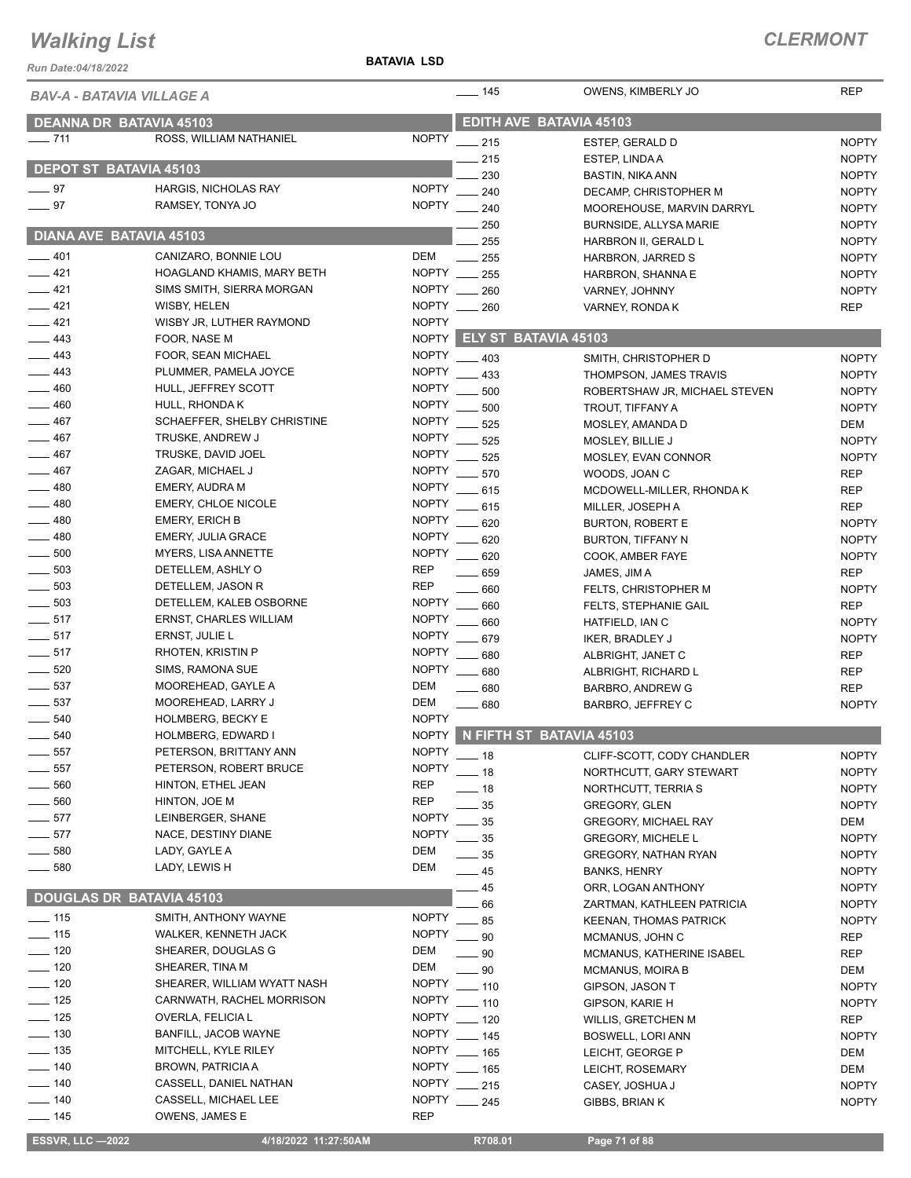*Run Date:04/18/2022*

#### **BATAVIA LSD**

| BAV-A - BATAVIA VILLAGE A       |                               |              | $- 145$                    | OWENS, KIMBERLY JO             | <b>REP</b>   |
|---------------------------------|-------------------------------|--------------|----------------------------|--------------------------------|--------------|
| <b>DEANNA DR BATAVIA 45103</b>  |                               |              |                            | EDITH AVE BATAVIA 45103        |              |
| $- 711$                         | ROSS, WILLIAM NATHANIEL       | <b>NOPTY</b> | $\frac{1}{215}$            |                                | <b>NOPTY</b> |
|                                 |                               |              |                            | ESTEP, GERALD D                |              |
| <b>DEPOT ST BATAVIA 45103</b>   |                               |              | $-215$<br>230              | ESTEP, LINDA A                 | <b>NOPTY</b> |
| $-97$                           | HARGIS, NICHOLAS RAY          | <b>NOPTY</b> |                            | <b>BASTIN, NIKA ANN</b>        | <b>NOPTY</b> |
| $\frac{1}{2}$ 97                | RAMSEY, TONYA JO              |              | 240<br>NOPTY __ 240        | DECAMP, CHRISTOPHER M          | <b>NOPTY</b> |
|                                 |                               |              |                            | MOOREHOUSE, MARVIN DARRYL      | <b>NOPTY</b> |
| <b>DIANA AVE BATAVIA 45103</b>  |                               |              | $\frac{1}{250}$            | <b>BURNSIDE, ALLYSA MARIE</b>  | <b>NOPTY</b> |
|                                 |                               |              | 255                        | HARBRON II, GERALD L           | <b>NOPTY</b> |
| $-401$                          | CANIZARO, BONNIE LOU          | DEM          | $\frac{1}{255}$            | HARBRON, JARRED S              | <b>NOPTY</b> |
| $-421$                          | HOAGLAND KHAMIS, MARY BETH    |              | NOPTY __ 255               | HARBRON, SHANNA E              | <b>NOPTY</b> |
| $-421$                          | SIMS SMITH, SIERRA MORGAN     |              | NOPTY __ 260               | VARNEY, JOHNNY                 | <b>NOPTY</b> |
| $-421$                          | WISBY, HELEN                  |              | NOPTY __ 260               | VARNEY, RONDA K                | <b>REP</b>   |
| $-421$                          | WISBY JR, LUTHER RAYMOND      | <b>NOPTY</b> |                            |                                |              |
| $\equiv$ 443                    | FOOR, NASE M                  |              | NOPTY ELY ST BATAVIA 45103 |                                |              |
| $\frac{1}{2}$ 443               | FOOR, SEAN MICHAEL            | <b>NOPTY</b> | $\frac{1}{2}$ 403          | SMITH, CHRISTOPHER D           | <b>NOPTY</b> |
| 443                             | PLUMMER, PAMELA JOYCE         | <b>NOPTY</b> | $\equiv$ 433               | THOMPSON, JAMES TRAVIS         | <b>NOPTY</b> |
| 460                             | HULL, JEFFREY SCOTT           | <b>NOPTY</b> | 500                        | ROBERTSHAW JR, MICHAEL STEVEN  | <b>NOPTY</b> |
| 460                             | HULL, RHONDA K                | <b>NOPTY</b> | 500                        | TROUT, TIFFANY A               | <b>NOPTY</b> |
| 467                             | SCHAEFFER, SHELBY CHRISTINE   | <b>NOPTY</b> | 525                        | MOSLEY, AMANDA D               | DEM          |
| 467                             | TRUSKE, ANDREW J              | <b>NOPTY</b> | 525                        | MOSLEY, BILLIE J               | <b>NOPTY</b> |
| 467                             | TRUSKE, DAVID JOEL            | <b>NOPTY</b> | $\frac{1}{2}$ 525          |                                |              |
| 467                             | ZAGAR, MICHAEL J              | NOPTY        |                            | MOSLEY, EVAN CONNOR            | <b>NOPTY</b> |
| 480                             |                               |              | $- 570$                    | WOODS, JOAN C                  | REP          |
|                                 | EMERY, AUDRA M                | <b>NOPTY</b> | $-615$                     | MCDOWELL-MILLER, RHONDA K      | <b>REP</b>   |
| $-480$                          | <b>EMERY, CHLOE NICOLE</b>    | <b>NOPTY</b> | $-615$                     | MILLER, JOSEPH A               | <b>REP</b>   |
| $\frac{1}{2}$ 480               | <b>EMERY, ERICH B</b>         | <b>NOPTY</b> | 620                        | BURTON, ROBERT E               | <b>NOPTY</b> |
| $-480$                          | <b>EMERY, JULIA GRACE</b>     | <b>NOPTY</b> | $-620$                     | BURTON, TIFFANY N              | <b>NOPTY</b> |
| $\frac{1}{2}$ 500               | MYERS, LISA ANNETTE           | <b>NOPTY</b> | $-620$                     | COOK, AMBER FAYE               | <b>NOPTY</b> |
| $\frac{1}{2}$ 503               | DETELLEM, ASHLY O             | <b>REP</b>   | 659                        | JAMES, JIM A                   | <b>REP</b>   |
| 503                             | DETELLEM, JASON R             | REP          | 660                        | FELTS, CHRISTOPHER M           | <b>NOPTY</b> |
| $\frac{1}{2}$ 503               | DETELLEM, KALEB OSBORNE       | <b>NOPTY</b> | 660                        | <b>FELTS, STEPHANIE GAIL</b>   | <b>REP</b>   |
| $-517$                          | <b>ERNST, CHARLES WILLIAM</b> | <b>NOPTY</b> | 660                        | HATFIELD, IAN C                | <b>NOPTY</b> |
| $-517$                          | ERNST, JULIE L                | <b>NOPTY</b> | 679                        | <b>IKER, BRADLEY J</b>         | <b>NOPTY</b> |
| $-517$                          | RHOTEN, KRISTIN P             | <b>NOPTY</b> | 680                        | ALBRIGHT, JANET C              | <b>REP</b>   |
| $\frac{1}{2}$ 520               | SIMS, RAMONA SUE              |              | NOPTY __ 680               | ALBRIGHT, RICHARD L            | <b>REP</b>   |
| $\frac{1}{2}$ 537               | MOOREHEAD, GAYLE A            | DEM          | $\frac{1}{2}$ 680          | BARBRO, ANDREW G               | REP          |
| 537                             | MOOREHEAD, LARRY J            | <b>DEM</b>   | $- 680$                    | BARBRO, JEFFREY C              | <b>NOPTY</b> |
| 540                             | <b>HOLMBERG, BECKY E</b>      | <b>NOPTY</b> |                            |                                |              |
| $\frac{1}{2}$ 540               | HOLMBERG, EDWARD I            |              |                            | NOPTY N FIFTH ST BATAVIA 45103 |              |
| 557                             | PETERSON, BRITTANY ANN        | <b>NOPTY</b> |                            |                                |              |
| 557                             | PETERSON, ROBERT BRUCE        | <b>NOPTY</b> | $-18$                      | CLIFF-SCOTT, CODY CHANDLER     | <b>NOPTY</b> |
|                                 |                               |              | $-18$                      | NORTHCUTT, GARY STEWART        | <b>NOPTY</b> |
| 560                             | HINTON, ETHEL JEAN            | <b>REP</b>   | $-18$                      | NORTHCUTT, TERRIA S            | <b>NOPTY</b> |
| 560                             | HINTON, JOE M                 | REP          | 35                         | <b>GREGORY, GLEN</b>           | <b>NOPTY</b> |
| $-577$                          | LEINBERGER, SHANE             | <b>NOPTY</b> | 35                         | <b>GREGORY, MICHAEL RAY</b>    | DEM          |
| $-577$                          | NACE, DESTINY DIANE           | <b>NOPTY</b> | 35                         | <b>GREGORY, MICHELE L</b>      | <b>NOPTY</b> |
| $\frac{1}{2}$ 580               | LADY, GAYLE A                 | DEM          | $-35$                      | <b>GREGORY, NATHAN RYAN</b>    | <b>NOPTY</b> |
| $\frac{1}{2}$ 580               | LADY, LEWIS H                 | DEM          | $\equiv$ 45                | BANKS, HENRY                   | <b>NOPTY</b> |
|                                 |                               |              | 45                         | ORR, LOGAN ANTHONY             | <b>NOPTY</b> |
| <b>DOUGLAS DR BATAVIA 45103</b> |                               |              | 66                         | ZARTMAN, KATHLEEN PATRICIA     | <b>NOPTY</b> |
| $\frac{1}{2}$ 115               | SMITH, ANTHONY WAYNE          | <b>NOPTY</b> | $\frac{1}{2}$ 85           | KEENAN, THOMAS PATRICK         | <b>NOPTY</b> |
| $\frac{1}{15}$                  | WALKER, KENNETH JACK          | <b>NOPTY</b> | $\frac{1}{2}$ 90           | MCMANUS, JOHN C                | REP          |
| $- 120$                         | SHEARER, DOUGLAS G            | DEM          | $\_\_$ 90                  | MCMANUS, KATHERINE ISABEL      | REP          |
| $\frac{1}{2}$ 120               | SHEARER, TINA M               | DEM          | $-90$                      | <b>MCMANUS, MOIRA B</b>        | DEM          |
| $\frac{1}{2}$ 120               | SHEARER, WILLIAM WYATT NASH   | <b>NOPTY</b> | $-110$                     | GIPSON, JASON T                | <b>NOPTY</b> |
| $\frac{1}{2}$ 125               | CARNWATH, RACHEL MORRISON     | <b>NOPTY</b> | $- 110$                    | GIPSON, KARIE H                | <b>NOPTY</b> |
| $\frac{1}{2}$ 125               | OVERLA, FELICIA L             | <b>NOPTY</b> |                            |                                |              |
| $\frac{1}{2}$ 130               | BANFILL, JACOB WAYNE          | <b>NOPTY</b> | $-120$                     | <b>WILLIS, GRETCHEN M</b>      | REP          |
|                                 |                               |              | $\frac{1}{2}$ 145          | BOSWELL, LORI ANN              | <b>NOPTY</b> |
| $\frac{1}{2}$ 135               | MITCHELL, KYLE RILEY          | <b>NOPTY</b> | $\frac{1}{165}$            | LEICHT, GEORGE P               | DEM          |
| $- 140$                         | <b>BROWN, PATRICIA A</b>      | NOPTY        | $\frac{1}{2}$ 165          | LEICHT, ROSEMARY               | DEM          |
| $- 140$                         | CASSELL, DANIEL NATHAN        | <b>NOPTY</b> | $-215$                     | CASEY, JOSHUA J                | <b>NOPTY</b> |
| $- 140$                         | CASSELL, MICHAEL LEE          | <b>NOPTY</b> | $-245$                     | GIBBS, BRIAN K                 | <b>NOPTY</b> |
| $\frac{1}{2}$ 145               | OWENS, JAMES E                | REP          |                            |                                |              |
| <b>ESSVR, LLC -2022</b>         | 4/18/2022 11:27:50AM          |              | R708.01                    | Page 71 of 88                  |              |
|                                 |                               |              |                            |                                |              |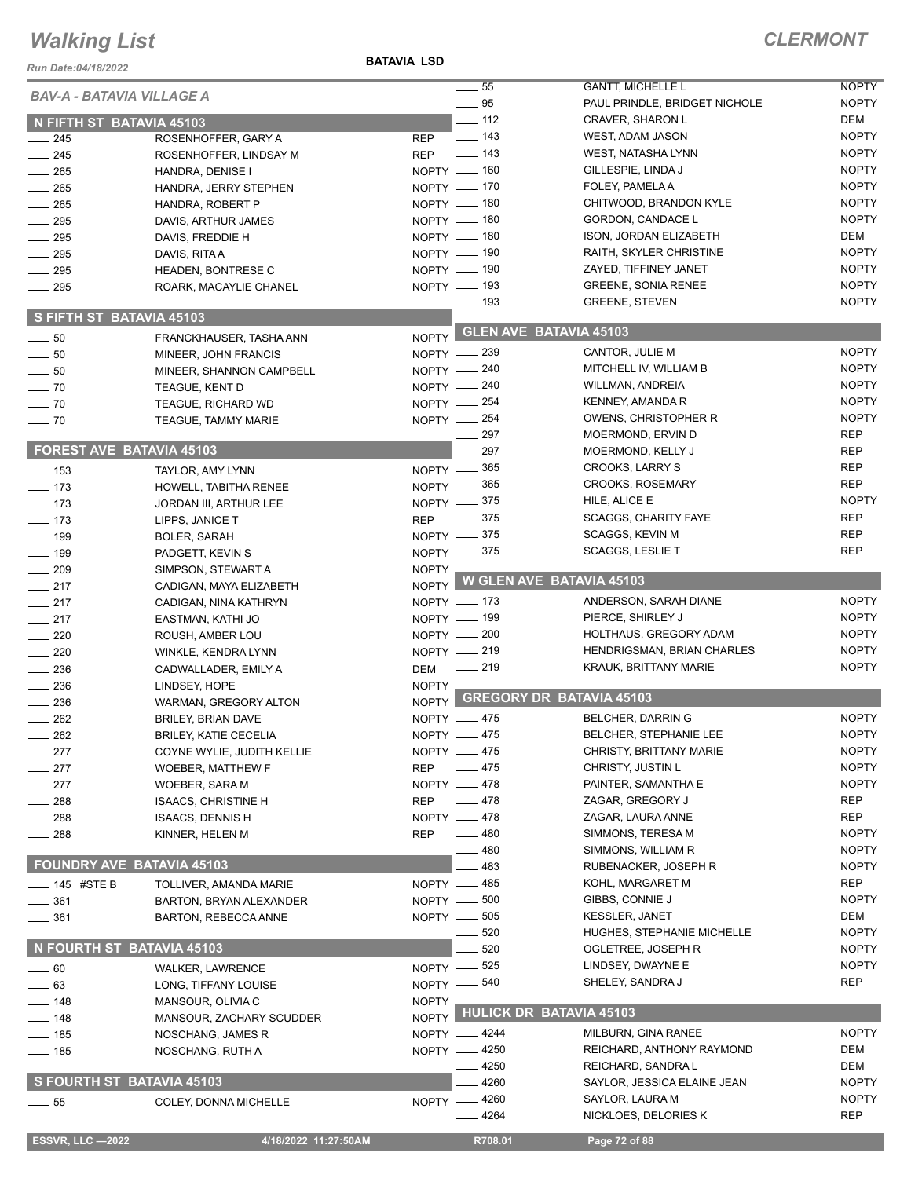#### *Run Date:04/18/2022*

**BATAVIA LSD**

| KUII DAIC.04/10/ZUZZ             |                                                 |              | $\frac{1}{2}$ 55             | <b>GANTT, MICHELLE L</b>                | <b>NOPTY</b>                 |
|----------------------------------|-------------------------------------------------|--------------|------------------------------|-----------------------------------------|------------------------------|
| <b>BAV-A - BATAVIA VILLAGE A</b> |                                                 |              | $-95$                        | PAUL PRINDLE, BRIDGET NICHOLE           | <b>NOPTY</b>                 |
| N FIFTH ST BATAVIA 45103         |                                                 |              | $\frac{1}{2}$ 112            | CRAVER, SHARON L                        | DEM                          |
| $\frac{1}{245}$                  | ROSENHOFFER, GARY A                             | <b>REP</b>   | $\overline{a}$ 143           | WEST, ADAM JASON                        | <b>NOPTY</b>                 |
| $\frac{1}{245}$                  | ROSENHOFFER, LINDSAY M                          |              | REP - 143                    | WEST, NATASHA LYNN                      | <b>NOPTY</b>                 |
| $\frac{1}{265}$                  | HANDRA, DENISE I                                |              | NOPTY - 160                  | GILLESPIE, LINDA J                      | <b>NOPTY</b>                 |
| $\frac{1}{265}$                  | HANDRA, JERRY STEPHEN                           |              | NOPTY - 170                  | FOLEY, PAMELA A                         | <b>NOPTY</b>                 |
| 265                              | HANDRA, ROBERT P                                |              | NOPTY - 180                  | CHITWOOD, BRANDON KYLE                  | <b>NOPTY</b>                 |
| 295                              | DAVIS, ARTHUR JAMES                             |              | NOPTY - 180                  | GORDON, CANDACE L                       | <b>NOPTY</b>                 |
| 295                              | DAVIS, FREDDIE H                                |              | NOPTY - 180                  | ISON, JORDAN ELIZABETH                  | DEM                          |
| $\frac{1}{2}$ 295                | DAVIS, RITA A                                   |              | NOPTY - 190                  | RAITH, SKYLER CHRISTINE                 | <b>NOPTY</b>                 |
| $\frac{1}{2}$ 295                | HEADEN, BONTRESE C                              |              | NOPTY - 190                  | ZAYED, TIFFINEY JANET                   | <b>NOPTY</b>                 |
| $\frac{1}{2}$ 295                | ROARK, MACAYLIE CHANEL                          |              | $NOPTY$ - 193                | <b>GREENE, SONIA RENEE</b>              | <b>NOPTY</b>                 |
| S FIFTH ST BATAVIA 45103         |                                                 |              | $\frac{1}{2}$ 193            | <b>GREENE, STEVEN</b>                   | <b>NOPTY</b>                 |
| $\frac{1}{2}$ 50                 |                                                 |              | NOPTY GLEN AVE BATAVIA 45103 |                                         |                              |
| $\sim$ 50                        | FRANCKHAUSER, TASHA ANN<br>MINEER, JOHN FRANCIS |              | NOPTY -239                   | CANTOR, JULIE M                         | <b>NOPTY</b>                 |
| $\sim$ 50                        | MINEER, SHANNON CAMPBELL                        |              | NOPTY -240                   | MITCHELL IV, WILLIAM B                  | <b>NOPTY</b>                 |
| $\sim$ 70                        | TEAGUE, KENT D                                  |              | NOPTY - 240                  | <b>WILLMAN, ANDREIA</b>                 | <b>NOPTY</b>                 |
| $\sim$ 70                        | <b>TEAGUE, RICHARD WD</b>                       |              | NOPTY $-254$                 | KENNEY, AMANDA R                        | <b>NOPTY</b>                 |
| $\sim$ 70                        | TEAGUE, TAMMY MARIE                             |              | NOPTY -254                   | OWENS, CHRISTOPHER R                    | <b>NOPTY</b>                 |
|                                  |                                                 |              | 297                          | MOERMOND, ERVIN D                       | <b>REP</b>                   |
| FOREST AVE BATAVIA 45103         |                                                 |              | 297                          | MOERMOND, KELLY J                       | <b>REP</b>                   |
| $\frac{1}{2}$ 153                | TAYLOR, AMY LYNN                                |              | NOPTY -865                   | <b>CROOKS, LARRY S</b>                  | <b>REP</b>                   |
| $-173$                           | HOWELL, TABITHA RENEE                           |              | NOPTY -865                   | <b>CROOKS, ROSEMARY</b>                 | <b>REP</b>                   |
| $\equiv$ 173                     | JORDAN III, ARTHUR LEE                          |              | NOPTY -875                   | HILE, ALICE E                           | <b>NOPTY</b>                 |
| $- 173$                          | LIPPS, JANICE T                                 | <b>REP</b>   | $\sim$ 375                   | <b>SCAGGS, CHARITY FAYE</b>             | <b>REP</b>                   |
| $\frac{1}{2}$ 199                | <b>BOLER, SARAH</b>                             |              | NOPTY $-375$                 | <b>SCAGGS, KEVIN M</b>                  | <b>REP</b>                   |
| $\frac{1}{2}$ 199                | PADGETT, KEVIN S                                |              | NOPTY $-375$                 | <b>SCAGGS, LESLIE T</b>                 | <b>REP</b>                   |
| $-209$                           | SIMPSON, STEWART A                              | <b>NOPTY</b> |                              |                                         |                              |
| $-217$                           | CADIGAN, MAYA ELIZABETH                         |              |                              | NOPTY W GLEN AVE BATAVIA 45103          |                              |
| $\frac{1}{217}$                  | CADIGAN, NINA KATHRYN                           |              | NOPTY - 173                  | ANDERSON, SARAH DIANE                   | <b>NOPTY</b>                 |
| $\sim$ 217                       | EASTMAN, KATHI JO                               |              | NOPTY - 199                  | PIERCE, SHIRLEY J                       | <b>NOPTY</b>                 |
| $\frac{1}{220}$                  | ROUSH, AMBER LOU                                |              | NOPTY - 200                  | <b>HOLTHAUS, GREGORY ADAM</b>           | <b>NOPTY</b>                 |
| $\sim$ 220                       | WINKLE, KENDRA LYNN                             |              | NOPTY $-219$                 | HENDRIGSMAN, BRIAN CHARLES              | <b>NOPTY</b>                 |
| $\frac{1}{2}$ 236                | CADWALLADER, EMILY A                            | <b>DEM</b>   | $\frac{1}{219}$              | KRAUK, BRITTANY MARIE                   | <b>NOPTY</b>                 |
| 236                              | LINDSEY, HOPE                                   | <b>NOPTY</b> |                              |                                         |                              |
| 236                              | WARMAN, GREGORY ALTON                           |              |                              | NOPTY GREGORY DR BATAVIA 45103          |                              |
| 262                              | BRILEY, BRIAN DAVE                              |              | NOPTY __ 475                 | BELCHER, DARRIN G                       | <b>NOPTY</b>                 |
| $-262$                           | BRILEY, KATIE CECELIA                           | NOPTY -      | $-475$                       | BELCHER, STEPHANIE LEE                  | <b>NOPTY</b>                 |
| $-277$                           | COYNE WYLIE, JUDITH KELLIE                      |              | NOPTY __ 475                 | <b>CHRISTY, BRITTANY MARIE</b>          | <b>NOPTY</b>                 |
| $-277$                           | <b>WOEBER, MATTHEW F</b>                        |              | REP __ 475                   | CHRISTY, JUSTIN L                       | <b>NOPTY</b>                 |
| $-277$                           | <b>WOEBER, SARA M</b>                           |              | NOPTY __ 478                 | PAINTER, SAMANTHA E                     | <b>NOPTY</b>                 |
| 288                              | <b>ISAACS, CHRISTINE H</b>                      | <b>REP</b>   | $-478$                       | ZAGAR, GREGORY J                        | REP                          |
| 288                              | <b>ISAACS, DENNIS H</b>                         |              | NOPTY __ 478                 | ZAGAR, LAURA ANNE                       | <b>REP</b>                   |
| $-288$                           | KINNER, HELEN M                                 | <b>REP</b>   | $-480$                       | SIMMONS, TERESA M                       | <b>NOPTY</b>                 |
|                                  |                                                 |              | —— 480                       | SIMMONS, WILLIAM R                      | <b>NOPTY</b>                 |
| FOUNDRY AVE BATAVIA 45103        |                                                 |              | 483                          | RUBENACKER, JOSEPH R                    | <b>NOPTY</b>                 |
| _ 145   #STE B                   | TOLLIVER, AMANDA MARIE                          |              | NOPTY -485                   | KOHL, MARGARET M                        | REP                          |
| $=$ 361                          | BARTON, BRYAN ALEXANDER                         |              | NOPTY - 500                  | GIBBS, CONNIE J                         | <b>NOPTY</b>                 |
| $\frac{1}{2}$ 361                | BARTON, REBECCA ANNE                            |              | NOPTY - 505                  | <b>KESSLER, JANET</b>                   | DEM                          |
| N FOURTH ST BATAVIA 45103        |                                                 |              | $=$ 520                      | HUGHES, STEPHANIE MICHELLE              | <b>NOPTY</b>                 |
|                                  |                                                 |              | 520                          | OGLETREE, JOSEPH R<br>LINDSEY, DWAYNE E | <b>NOPTY</b><br><b>NOPTY</b> |
| $\sim$ 60                        | <b>WALKER, LAWRENCE</b>                         |              | NOPTY -825                   | SHELEY, SANDRA J                        | <b>REP</b>                   |
| $-63$                            | LONG, TIFFANY LOUISE                            |              | NOPTY -840                   |                                         |                              |
| $- 148$                          | MANSOUR, OLIVIA C                               | <b>NOPTY</b> |                              | NOPTY HULICK DR BATAVIA 45103           |                              |
| $- 148$                          | MANSOUR, ZACHARY SCUDDER                        |              | NOPTY -4244                  | MILBURN, GINA RANEE                     | <b>NOPTY</b>                 |
| $- 185$                          | NOSCHANG, JAMES R                               |              | NOPTY -4250                  | REICHARD, ANTHONY RAYMOND               | DEM                          |
| $- 185$                          | NOSCHANG, RUTH A                                |              | —— 4250                      | REICHARD, SANDRA L                      | DEM                          |
| <b>S FOURTH ST BATAVIA 45103</b> |                                                 |              | 4260                         | SAYLOR, JESSICA ELAINE JEAN             | <b>NOPTY</b>                 |
|                                  |                                                 |              | NOPTY - 4260                 | SAYLOR, LAURA M                         | <b>NOPTY</b>                 |
| $\frac{1}{2}$ 55                 | COLEY, DONNA MICHELLE                           |              | —— 4264                      | NICKLOES, DELORIES K                    | <b>REP</b>                   |
|                                  |                                                 |              |                              |                                         |                              |
| <b>ESSVR, LLC -2022</b>          | 4/18/2022 11:27:50AM                            |              | R708.01                      | Page 72 of 88                           |                              |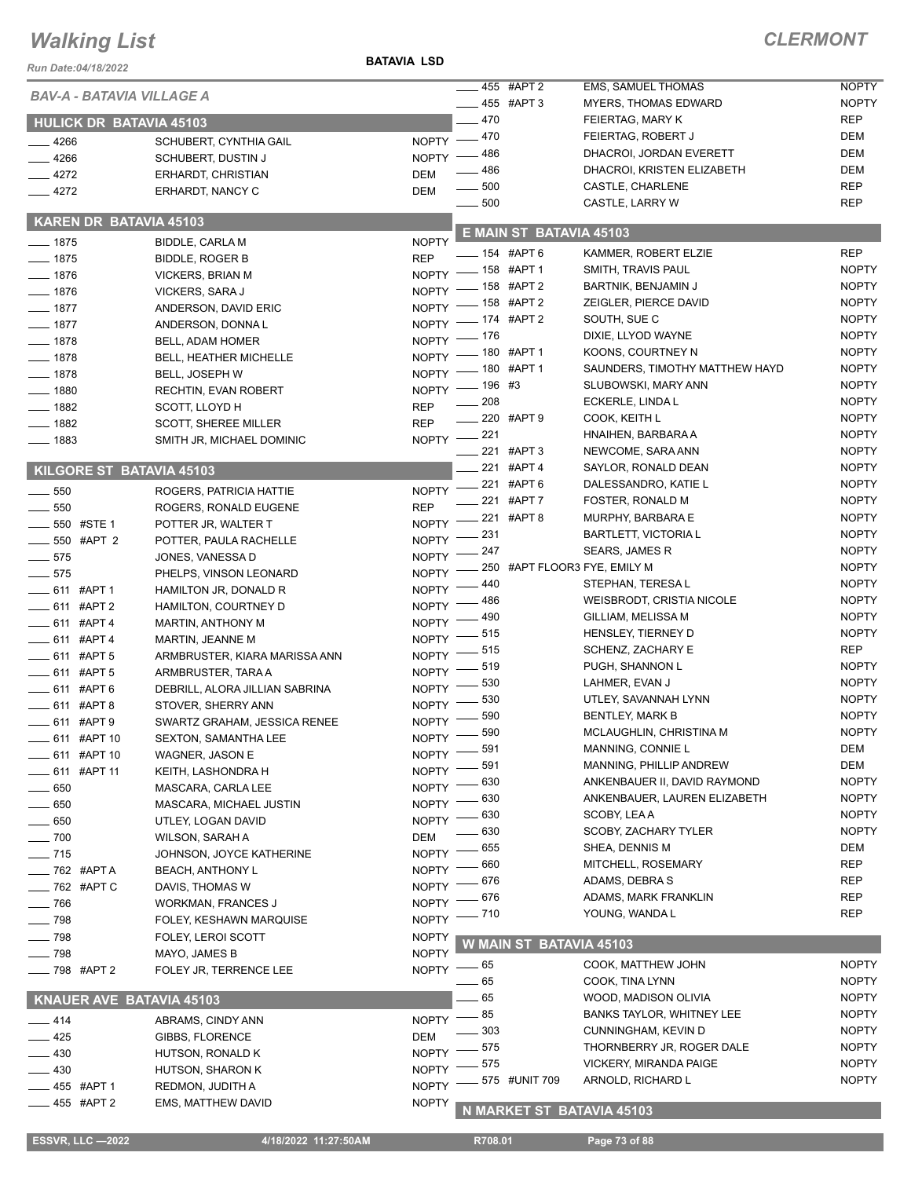#### **BATAVIA LSD**

| 455 #APT 2<br>EMS, SAMUEL THOMAS<br>BAV-A - BATAVIA VILLAGE A<br><b>NOPTY</b><br>$-455$ #APT 3<br><b>MYERS, THOMAS EDWARD</b><br>$-470$<br><b>REP</b><br>FEIERTAG, MARY K<br><b>HULICK DR BATAVIA 45103</b><br>$-470$<br><b>DEM</b><br>FEIERTAG, ROBERT J<br>$\overline{\phantom{a}}$<br><b>NOPTY</b><br>$-4266$<br>SCHUBERT, CYNTHIA GAIL<br><b>DEM</b><br>- 486<br>DHACROI, JORDAN EVERETT<br><b>NOPTY</b><br>$-4266$<br><b>SCHUBERT, DUSTIN J</b><br>- 486<br><b>DEM</b><br>DHACROI, KRISTEN ELIZABETH<br>$-4272$<br><b>DEM</b><br>ERHARDT, CHRISTIAN<br>$-500$<br><b>REP</b><br>CASTLE, CHARLENE<br>$-4272$<br>ERHARDT, NANCY C<br><b>DEM</b><br>$\sim$ 500<br><b>REP</b><br>CASTLE, LARRY W<br>KAREN DR BATAVIA 45103<br>E MAIN ST BATAVIA 45103<br><b>NOPTY</b><br>$- 1875$<br><b>BIDDLE, CARLA M</b><br>-6 154 #APT 6<br><b>REP</b><br>KAMMER, ROBERT ELZIE<br><b>REP</b><br>$- 1875$<br><b>BIDDLE, ROGER B</b><br>NOPTY - 158 #APT 1<br><b>NOPTY</b><br>SMITH, TRAVIS PAUL<br>$- 1876$<br><b>VICKERS, BRIAN M</b><br>$-158$ #APT 2<br>BARTNIK, BENJAMIN J<br><b>NOPTY</b><br>$N$ OPTY $-$<br>$- 1876$<br>VICKERS, SARA J<br><b>NOPTY</b><br>NOPTY -8 #APT 2<br>ZEIGLER, PIERCE DAVID<br>$- 1877$<br>ANDERSON, DAVID ERIC<br><b>NOPTY</b><br>$-174$ #APT 2<br>SOUTH, SUE C<br>$NOPTY =$<br>$-1877$<br>ANDERSON, DONNAL<br><b>NOPTY</b><br>_ 176<br>DIXIE, LLYOD WAYNE<br>$NOPTY =$<br>$-1878$<br>BELL, ADAM HOMER<br><b>NOPTY</b><br>NOPTY -80 #APT 1<br>KOONS, COURTNEY N<br>$-1878$<br><b>BELL, HEATHER MICHELLE</b><br>NOPTY - 180 #APT 1<br><b>NOPTY</b><br>SAUNDERS, TIMOTHY MATTHEW HAYD<br>$-1878$<br>BELL, JOSEPH W<br><b>NOPTY</b><br>NOPTY - 196 #3<br>SLUBOWSKI, MARY ANN<br>$- 1880$<br>RECHTIN, EVAN ROBERT<br>$\sim$ 208<br>ECKERLE, LINDA L<br><b>NOPTY</b><br><b>REP</b><br>$-1882$<br>SCOTT, LLOYD H<br>____ 220 #APT 9<br><b>NOPTY</b><br>COOK, KEITH L<br><b>REP</b><br>$- 1882$<br><b>SCOTT, SHEREE MILLER</b><br>NOPTY -221<br><b>NOPTY</b><br>HNAIHEN, BARBARA A<br>$- 1883$<br>SMITH JR, MICHAEL DOMINIC<br><b>NOPTY</b><br>$-221$ #APT 3<br>NEWCOME, SARA ANN<br>$-221$ #APT 4<br><b>NOPTY</b><br>SAYLOR, RONALD DEAN<br>KILGORE ST BATAVIA 45103<br>-221 #APT 6<br><b>NOPTY</b><br>DALESSANDRO, KATIE L<br><b>NOPTY</b><br>$\frac{1}{2}$ 550<br>ROGERS, PATRICIA HATTIE<br>221 #APT 7<br><b>NOPTY</b><br>FOSTER, RONALD M<br><b>REP</b><br>$-550$<br>ROGERS, RONALD EUGENE<br>221 #APT 8<br><b>NOPTY</b><br>MURPHY, BARBARA E<br><b>NOPTY</b><br>$\frac{1}{2}$ 550 #STE 1<br>POTTER JR, WALTER T<br><b>NOPTY</b><br>231<br><b>BARTLETT, VICTORIA L</b><br><b>NOPTY</b><br>___ 550 #APT 2<br>POTTER, PAULA RACHELLE<br><b>NOPTY</b><br>247<br><b>SEARS, JAMES R</b><br><b>NOPTY</b><br>$-575$<br>JONES, VANESSA D<br><b>NOPTY</b><br>250 #APT FLOOR3 FYE, EMILY M<br>$-575$<br><b>NOPTY</b><br>PHELPS, VINSON LEONARD<br><b>NOPTY</b><br>440<br>STEPHAN, TERESA L<br>611 #APT 1<br><b>NOPTY</b><br>HAMILTON JR, DONALD R<br><b>NOPTY</b><br>486<br><b>WEISBRODT, CRISTIA NICOLE</b><br><b>NOPTY</b><br>$-611$ #APT 2<br>HAMILTON, COURTNEY D<br><b>NOPTY</b><br>490<br>GILLIAM, MELISSA M<br><b>NOPTY</b><br>$-611$ #APT 4<br><b>MARTIN, ANTHONY M</b><br><b>NOPTY</b><br>. 515<br>HENSLEY, TIERNEY D<br><b>NOPTY</b><br>__ 611 #APT 4<br>MARTIN, JEANNE M<br>- 515<br><b>REP</b><br>SCHENZ, ZACHARY E<br><b>NOPTY</b><br>$-611$ #APT 5<br>ARMBRUSTER, KIARA MARISSA ANN<br><b>NOPTY</b><br>519<br>PUGH, SHANNON L<br>NOPTY <sup>-</sup><br>$-611$ #APT 5<br>ARMBRUSTER, TARA A<br><b>NOPTY</b><br>530<br>LAHMER, EVAN J<br><b>NOPTY</b><br>_611 #APT6<br>DEBRILL, ALORA JILLIAN SABRINA<br><b>NOPTY</b><br>530<br>UTLEY, SAVANNAH LYNN<br>$-611$ #APT 8<br><b>NOPTY</b><br>STOVER, SHERRY ANN<br>590<br><b>NOPTY</b><br><b>BENTLEY, MARK B</b><br><b>NOPTY</b><br>— 611 #APT 9<br>SWARTZ GRAHAM, JESSICA RENEE<br>$-590$<br>MCLAUGHLIN, CHRISTINA M<br><b>NOPTY</b><br><b>NOPTY</b><br>611 #APT 10<br><b>SEXTON, SAMANTHA LEE</b><br>591<br><b>DEM</b><br>MANNING, CONNIE L<br><b>NOPTY</b><br>611 #APT 10<br>WAGNER, JASON E<br><b>DEM</b><br>591<br>MANNING, PHILLIP ANDREW<br><b>NOPTY</b><br>$-611$ #APT 11<br>KEITH, LASHONDRA H<br><b>NOPTY</b><br>630<br>ANKENBAUER II, DAVID RAYMOND<br><b>NOPTY</b><br>650<br>MASCARA, CARLA LEE<br><b>NOPTY</b><br>630<br>ANKENBAUER, LAUREN ELIZABETH<br><b>NOPTY</b><br>$-650$<br>MASCARA, MICHAEL JUSTIN<br><b>NOPTY</b><br>630<br>SCOBY, LEAA<br><b>NOPTY</b><br>$-650$<br>UTLEY, LOGAN DAVID<br><b>NOPTY</b><br>630<br>SCOBY, ZACHARY TYLER<br>$-700$<br><b>DEM</b><br><b>WILSON, SARAH A</b><br><b>DEM</b><br>655<br>SHEA, DENNIS M<br><b>NOPTY</b><br>$- 715$<br>JOHNSON, JOYCE KATHERINE<br><b>REP</b><br>660<br>MITCHELL, ROSEMARY<br><b>NOPTY</b><br>$-$ 762 #APT A<br><b>BEACH, ANTHONY L</b><br>676<br>ADAMS, DEBRA S<br><b>REP</b><br><b>NOPTY</b><br>____ 762 #APT C<br>DAVIS, THOMAS W<br><b>REP</b><br>676<br>ADAMS, MARK FRANKLIN<br><b>NOPTY</b><br>$-766$<br><b>WORKMAN, FRANCES J</b><br>YOUNG, WANDA L<br><b>REP</b><br>_ 710<br>NOPTY -<br>$-798$<br>FOLEY, KESHAWN MARQUISE<br>$-798$<br><b>NOPTY</b><br>FOLEY, LEROI SCOTT<br>W MAIN ST BATAVIA 45103<br><b>NOPTY</b><br>$-798$<br>MAYO, JAMES B<br><b>NOPTY</b><br>COOK, MATTHEW JOHN<br>NOPTY $-65$<br>____ 798 #APT 2<br>FOLEY JR, TERRENCE LEE<br><b>NOPTY</b><br>- 65<br>COOK, TINA LYNN<br>65<br><b>NOPTY</b><br>WOOD, MADISON OLIVIA<br><b>KNAUER AVE BATAVIA 45103</b><br><b>NOPTY</b><br>85<br><b>BANKS TAYLOR, WHITNEY LEE</b><br><b>NOPTY</b><br>__ 414<br>ABRAMS, CINDY ANN<br><b>NOPTY</b><br>303<br>CUNNINGHAM, KEVIN D<br>$-425$<br><b>DEM</b><br>GIBBS, FLORENCE<br><b>NOPTY</b><br>575<br>THORNBERRY JR, ROGER DALE<br><b>NOPTY</b><br>430<br>HUTSON, RONALD K<br>VICKERY, MIRANDA PAIGE<br><b>NOPTY</b><br>575<br><b>NOPTY</b><br>.430<br>HUTSON, SHARON K<br><b>NOPTY</b><br>575 #UNIT 709<br>ARNOLD, RICHARD L<br><b>NOPTY</b><br>_455 #APT 1<br>REDMON, JUDITH A<br>$-455$ #APT 2<br><b>NOPTY</b><br><b>EMS, MATTHEW DAVID</b><br>N MARKET ST BATAVIA 45103<br><b>ESSVR, LLC -2022</b><br>4/18/2022 11:27:50AM<br>R708.01<br>Page 73 of 88 | Run Date:04/18/2022 |  |  |  |              |
|-------------------------------------------------------------------------------------------------------------------------------------------------------------------------------------------------------------------------------------------------------------------------------------------------------------------------------------------------------------------------------------------------------------------------------------------------------------------------------------------------------------------------------------------------------------------------------------------------------------------------------------------------------------------------------------------------------------------------------------------------------------------------------------------------------------------------------------------------------------------------------------------------------------------------------------------------------------------------------------------------------------------------------------------------------------------------------------------------------------------------------------------------------------------------------------------------------------------------------------------------------------------------------------------------------------------------------------------------------------------------------------------------------------------------------------------------------------------------------------------------------------------------------------------------------------------------------------------------------------------------------------------------------------------------------------------------------------------------------------------------------------------------------------------------------------------------------------------------------------------------------------------------------------------------------------------------------------------------------------------------------------------------------------------------------------------------------------------------------------------------------------------------------------------------------------------------------------------------------------------------------------------------------------------------------------------------------------------------------------------------------------------------------------------------------------------------------------------------------------------------------------------------------------------------------------------------------------------------------------------------------------------------------------------------------------------------------------------------------------------------------------------------------------------------------------------------------------------------------------------------------------------------------------------------------------------------------------------------------------------------------------------------------------------------------------------------------------------------------------------------------------------------------------------------------------------------------------------------------------------------------------------------------------------------------------------------------------------------------------------------------------------------------------------------------------------------------------------------------------------------------------------------------------------------------------------------------------------------------------------------------------------------------------------------------------------------------------------------------------------------------------------------------------------------------------------------------------------------------------------------------------------------------------------------------------------------------------------------------------------------------------------------------------------------------------------------------------------------------------------------------------------------------------------------------------------------------------------------------------------------------------------------------------------------------------------------------------------------------------------------------------------------------------------------------------------------------------------------------------------------------------------------------------------------------------------------------------------------------------------------------------------------------------------------------------------------------------------------------------------------------------------------------------------------------------------------------------------------------------------------------------------------------------------------------------------------------------------------------------------------------------------------------------------------------------------------------------------------------------------------------------------------------------------------------------------------------------------------------------------------------------------------------------------------------------------------------------------------------------------------------------------------------------------------------------------------------------------------------------------------------------------------------------------------------------------------------------------------------------------------------------------------------------------------------------------------------------------------------------------------------------------------------------------------------------------------------------------------------------------------------------------------------------------------------------------------------------------------------------------------------------------------------------------------------------------------------------------------------------------|---------------------|--|--|--|--------------|
|                                                                                                                                                                                                                                                                                                                                                                                                                                                                                                                                                                                                                                                                                                                                                                                                                                                                                                                                                                                                                                                                                                                                                                                                                                                                                                                                                                                                                                                                                                                                                                                                                                                                                                                                                                                                                                                                                                                                                                                                                                                                                                                                                                                                                                                                                                                                                                                                                                                                                                                                                                                                                                                                                                                                                                                                                                                                                                                                                                                                                                                                                                                                                                                                                                                                                                                                                                                                                                                                                                                                                                                                                                                                                                                                                                                                                                                                                                                                                                                                                                                                                                                                                                                                                                                                                                                                                                                                                                                                                                                                                                                                                                                                                                                                                                                                                                                                                                                                                                                                                                                                                                                                                                                                                                                                                                                                                                                                                                                                                                                                                                                                                                                                                                                                                                                                                                                                                                                                                                                                                                                                                                                   |                     |  |  |  | <b>NOPTY</b> |
|                                                                                                                                                                                                                                                                                                                                                                                                                                                                                                                                                                                                                                                                                                                                                                                                                                                                                                                                                                                                                                                                                                                                                                                                                                                                                                                                                                                                                                                                                                                                                                                                                                                                                                                                                                                                                                                                                                                                                                                                                                                                                                                                                                                                                                                                                                                                                                                                                                                                                                                                                                                                                                                                                                                                                                                                                                                                                                                                                                                                                                                                                                                                                                                                                                                                                                                                                                                                                                                                                                                                                                                                                                                                                                                                                                                                                                                                                                                                                                                                                                                                                                                                                                                                                                                                                                                                                                                                                                                                                                                                                                                                                                                                                                                                                                                                                                                                                                                                                                                                                                                                                                                                                                                                                                                                                                                                                                                                                                                                                                                                                                                                                                                                                                                                                                                                                                                                                                                                                                                                                                                                                                                   |                     |  |  |  |              |
|                                                                                                                                                                                                                                                                                                                                                                                                                                                                                                                                                                                                                                                                                                                                                                                                                                                                                                                                                                                                                                                                                                                                                                                                                                                                                                                                                                                                                                                                                                                                                                                                                                                                                                                                                                                                                                                                                                                                                                                                                                                                                                                                                                                                                                                                                                                                                                                                                                                                                                                                                                                                                                                                                                                                                                                                                                                                                                                                                                                                                                                                                                                                                                                                                                                                                                                                                                                                                                                                                                                                                                                                                                                                                                                                                                                                                                                                                                                                                                                                                                                                                                                                                                                                                                                                                                                                                                                                                                                                                                                                                                                                                                                                                                                                                                                                                                                                                                                                                                                                                                                                                                                                                                                                                                                                                                                                                                                                                                                                                                                                                                                                                                                                                                                                                                                                                                                                                                                                                                                                                                                                                                                   |                     |  |  |  |              |
|                                                                                                                                                                                                                                                                                                                                                                                                                                                                                                                                                                                                                                                                                                                                                                                                                                                                                                                                                                                                                                                                                                                                                                                                                                                                                                                                                                                                                                                                                                                                                                                                                                                                                                                                                                                                                                                                                                                                                                                                                                                                                                                                                                                                                                                                                                                                                                                                                                                                                                                                                                                                                                                                                                                                                                                                                                                                                                                                                                                                                                                                                                                                                                                                                                                                                                                                                                                                                                                                                                                                                                                                                                                                                                                                                                                                                                                                                                                                                                                                                                                                                                                                                                                                                                                                                                                                                                                                                                                                                                                                                                                                                                                                                                                                                                                                                                                                                                                                                                                                                                                                                                                                                                                                                                                                                                                                                                                                                                                                                                                                                                                                                                                                                                                                                                                                                                                                                                                                                                                                                                                                                                                   |                     |  |  |  |              |
|                                                                                                                                                                                                                                                                                                                                                                                                                                                                                                                                                                                                                                                                                                                                                                                                                                                                                                                                                                                                                                                                                                                                                                                                                                                                                                                                                                                                                                                                                                                                                                                                                                                                                                                                                                                                                                                                                                                                                                                                                                                                                                                                                                                                                                                                                                                                                                                                                                                                                                                                                                                                                                                                                                                                                                                                                                                                                                                                                                                                                                                                                                                                                                                                                                                                                                                                                                                                                                                                                                                                                                                                                                                                                                                                                                                                                                                                                                                                                                                                                                                                                                                                                                                                                                                                                                                                                                                                                                                                                                                                                                                                                                                                                                                                                                                                                                                                                                                                                                                                                                                                                                                                                                                                                                                                                                                                                                                                                                                                                                                                                                                                                                                                                                                                                                                                                                                                                                                                                                                                                                                                                                                   |                     |  |  |  |              |
|                                                                                                                                                                                                                                                                                                                                                                                                                                                                                                                                                                                                                                                                                                                                                                                                                                                                                                                                                                                                                                                                                                                                                                                                                                                                                                                                                                                                                                                                                                                                                                                                                                                                                                                                                                                                                                                                                                                                                                                                                                                                                                                                                                                                                                                                                                                                                                                                                                                                                                                                                                                                                                                                                                                                                                                                                                                                                                                                                                                                                                                                                                                                                                                                                                                                                                                                                                                                                                                                                                                                                                                                                                                                                                                                                                                                                                                                                                                                                                                                                                                                                                                                                                                                                                                                                                                                                                                                                                                                                                                                                                                                                                                                                                                                                                                                                                                                                                                                                                                                                                                                                                                                                                                                                                                                                                                                                                                                                                                                                                                                                                                                                                                                                                                                                                                                                                                                                                                                                                                                                                                                                                                   |                     |  |  |  |              |
|                                                                                                                                                                                                                                                                                                                                                                                                                                                                                                                                                                                                                                                                                                                                                                                                                                                                                                                                                                                                                                                                                                                                                                                                                                                                                                                                                                                                                                                                                                                                                                                                                                                                                                                                                                                                                                                                                                                                                                                                                                                                                                                                                                                                                                                                                                                                                                                                                                                                                                                                                                                                                                                                                                                                                                                                                                                                                                                                                                                                                                                                                                                                                                                                                                                                                                                                                                                                                                                                                                                                                                                                                                                                                                                                                                                                                                                                                                                                                                                                                                                                                                                                                                                                                                                                                                                                                                                                                                                                                                                                                                                                                                                                                                                                                                                                                                                                                                                                                                                                                                                                                                                                                                                                                                                                                                                                                                                                                                                                                                                                                                                                                                                                                                                                                                                                                                                                                                                                                                                                                                                                                                                   |                     |  |  |  |              |
|                                                                                                                                                                                                                                                                                                                                                                                                                                                                                                                                                                                                                                                                                                                                                                                                                                                                                                                                                                                                                                                                                                                                                                                                                                                                                                                                                                                                                                                                                                                                                                                                                                                                                                                                                                                                                                                                                                                                                                                                                                                                                                                                                                                                                                                                                                                                                                                                                                                                                                                                                                                                                                                                                                                                                                                                                                                                                                                                                                                                                                                                                                                                                                                                                                                                                                                                                                                                                                                                                                                                                                                                                                                                                                                                                                                                                                                                                                                                                                                                                                                                                                                                                                                                                                                                                                                                                                                                                                                                                                                                                                                                                                                                                                                                                                                                                                                                                                                                                                                                                                                                                                                                                                                                                                                                                                                                                                                                                                                                                                                                                                                                                                                                                                                                                                                                                                                                                                                                                                                                                                                                                                                   |                     |  |  |  |              |
|                                                                                                                                                                                                                                                                                                                                                                                                                                                                                                                                                                                                                                                                                                                                                                                                                                                                                                                                                                                                                                                                                                                                                                                                                                                                                                                                                                                                                                                                                                                                                                                                                                                                                                                                                                                                                                                                                                                                                                                                                                                                                                                                                                                                                                                                                                                                                                                                                                                                                                                                                                                                                                                                                                                                                                                                                                                                                                                                                                                                                                                                                                                                                                                                                                                                                                                                                                                                                                                                                                                                                                                                                                                                                                                                                                                                                                                                                                                                                                                                                                                                                                                                                                                                                                                                                                                                                                                                                                                                                                                                                                                                                                                                                                                                                                                                                                                                                                                                                                                                                                                                                                                                                                                                                                                                                                                                                                                                                                                                                                                                                                                                                                                                                                                                                                                                                                                                                                                                                                                                                                                                                                                   |                     |  |  |  |              |
|                                                                                                                                                                                                                                                                                                                                                                                                                                                                                                                                                                                                                                                                                                                                                                                                                                                                                                                                                                                                                                                                                                                                                                                                                                                                                                                                                                                                                                                                                                                                                                                                                                                                                                                                                                                                                                                                                                                                                                                                                                                                                                                                                                                                                                                                                                                                                                                                                                                                                                                                                                                                                                                                                                                                                                                                                                                                                                                                                                                                                                                                                                                                                                                                                                                                                                                                                                                                                                                                                                                                                                                                                                                                                                                                                                                                                                                                                                                                                                                                                                                                                                                                                                                                                                                                                                                                                                                                                                                                                                                                                                                                                                                                                                                                                                                                                                                                                                                                                                                                                                                                                                                                                                                                                                                                                                                                                                                                                                                                                                                                                                                                                                                                                                                                                                                                                                                                                                                                                                                                                                                                                                                   |                     |  |  |  |              |
|                                                                                                                                                                                                                                                                                                                                                                                                                                                                                                                                                                                                                                                                                                                                                                                                                                                                                                                                                                                                                                                                                                                                                                                                                                                                                                                                                                                                                                                                                                                                                                                                                                                                                                                                                                                                                                                                                                                                                                                                                                                                                                                                                                                                                                                                                                                                                                                                                                                                                                                                                                                                                                                                                                                                                                                                                                                                                                                                                                                                                                                                                                                                                                                                                                                                                                                                                                                                                                                                                                                                                                                                                                                                                                                                                                                                                                                                                                                                                                                                                                                                                                                                                                                                                                                                                                                                                                                                                                                                                                                                                                                                                                                                                                                                                                                                                                                                                                                                                                                                                                                                                                                                                                                                                                                                                                                                                                                                                                                                                                                                                                                                                                                                                                                                                                                                                                                                                                                                                                                                                                                                                                                   |                     |  |  |  |              |
|                                                                                                                                                                                                                                                                                                                                                                                                                                                                                                                                                                                                                                                                                                                                                                                                                                                                                                                                                                                                                                                                                                                                                                                                                                                                                                                                                                                                                                                                                                                                                                                                                                                                                                                                                                                                                                                                                                                                                                                                                                                                                                                                                                                                                                                                                                                                                                                                                                                                                                                                                                                                                                                                                                                                                                                                                                                                                                                                                                                                                                                                                                                                                                                                                                                                                                                                                                                                                                                                                                                                                                                                                                                                                                                                                                                                                                                                                                                                                                                                                                                                                                                                                                                                                                                                                                                                                                                                                                                                                                                                                                                                                                                                                                                                                                                                                                                                                                                                                                                                                                                                                                                                                                                                                                                                                                                                                                                                                                                                                                                                                                                                                                                                                                                                                                                                                                                                                                                                                                                                                                                                                                                   |                     |  |  |  |              |
|                                                                                                                                                                                                                                                                                                                                                                                                                                                                                                                                                                                                                                                                                                                                                                                                                                                                                                                                                                                                                                                                                                                                                                                                                                                                                                                                                                                                                                                                                                                                                                                                                                                                                                                                                                                                                                                                                                                                                                                                                                                                                                                                                                                                                                                                                                                                                                                                                                                                                                                                                                                                                                                                                                                                                                                                                                                                                                                                                                                                                                                                                                                                                                                                                                                                                                                                                                                                                                                                                                                                                                                                                                                                                                                                                                                                                                                                                                                                                                                                                                                                                                                                                                                                                                                                                                                                                                                                                                                                                                                                                                                                                                                                                                                                                                                                                                                                                                                                                                                                                                                                                                                                                                                                                                                                                                                                                                                                                                                                                                                                                                                                                                                                                                                                                                                                                                                                                                                                                                                                                                                                                                                   |                     |  |  |  |              |
|                                                                                                                                                                                                                                                                                                                                                                                                                                                                                                                                                                                                                                                                                                                                                                                                                                                                                                                                                                                                                                                                                                                                                                                                                                                                                                                                                                                                                                                                                                                                                                                                                                                                                                                                                                                                                                                                                                                                                                                                                                                                                                                                                                                                                                                                                                                                                                                                                                                                                                                                                                                                                                                                                                                                                                                                                                                                                                                                                                                                                                                                                                                                                                                                                                                                                                                                                                                                                                                                                                                                                                                                                                                                                                                                                                                                                                                                                                                                                                                                                                                                                                                                                                                                                                                                                                                                                                                                                                                                                                                                                                                                                                                                                                                                                                                                                                                                                                                                                                                                                                                                                                                                                                                                                                                                                                                                                                                                                                                                                                                                                                                                                                                                                                                                                                                                                                                                                                                                                                                                                                                                                                                   |                     |  |  |  |              |
|                                                                                                                                                                                                                                                                                                                                                                                                                                                                                                                                                                                                                                                                                                                                                                                                                                                                                                                                                                                                                                                                                                                                                                                                                                                                                                                                                                                                                                                                                                                                                                                                                                                                                                                                                                                                                                                                                                                                                                                                                                                                                                                                                                                                                                                                                                                                                                                                                                                                                                                                                                                                                                                                                                                                                                                                                                                                                                                                                                                                                                                                                                                                                                                                                                                                                                                                                                                                                                                                                                                                                                                                                                                                                                                                                                                                                                                                                                                                                                                                                                                                                                                                                                                                                                                                                                                                                                                                                                                                                                                                                                                                                                                                                                                                                                                                                                                                                                                                                                                                                                                                                                                                                                                                                                                                                                                                                                                                                                                                                                                                                                                                                                                                                                                                                                                                                                                                                                                                                                                                                                                                                                                   |                     |  |  |  |              |
|                                                                                                                                                                                                                                                                                                                                                                                                                                                                                                                                                                                                                                                                                                                                                                                                                                                                                                                                                                                                                                                                                                                                                                                                                                                                                                                                                                                                                                                                                                                                                                                                                                                                                                                                                                                                                                                                                                                                                                                                                                                                                                                                                                                                                                                                                                                                                                                                                                                                                                                                                                                                                                                                                                                                                                                                                                                                                                                                                                                                                                                                                                                                                                                                                                                                                                                                                                                                                                                                                                                                                                                                                                                                                                                                                                                                                                                                                                                                                                                                                                                                                                                                                                                                                                                                                                                                                                                                                                                                                                                                                                                                                                                                                                                                                                                                                                                                                                                                                                                                                                                                                                                                                                                                                                                                                                                                                                                                                                                                                                                                                                                                                                                                                                                                                                                                                                                                                                                                                                                                                                                                                                                   |                     |  |  |  |              |
|                                                                                                                                                                                                                                                                                                                                                                                                                                                                                                                                                                                                                                                                                                                                                                                                                                                                                                                                                                                                                                                                                                                                                                                                                                                                                                                                                                                                                                                                                                                                                                                                                                                                                                                                                                                                                                                                                                                                                                                                                                                                                                                                                                                                                                                                                                                                                                                                                                                                                                                                                                                                                                                                                                                                                                                                                                                                                                                                                                                                                                                                                                                                                                                                                                                                                                                                                                                                                                                                                                                                                                                                                                                                                                                                                                                                                                                                                                                                                                                                                                                                                                                                                                                                                                                                                                                                                                                                                                                                                                                                                                                                                                                                                                                                                                                                                                                                                                                                                                                                                                                                                                                                                                                                                                                                                                                                                                                                                                                                                                                                                                                                                                                                                                                                                                                                                                                                                                                                                                                                                                                                                                                   |                     |  |  |  |              |
|                                                                                                                                                                                                                                                                                                                                                                                                                                                                                                                                                                                                                                                                                                                                                                                                                                                                                                                                                                                                                                                                                                                                                                                                                                                                                                                                                                                                                                                                                                                                                                                                                                                                                                                                                                                                                                                                                                                                                                                                                                                                                                                                                                                                                                                                                                                                                                                                                                                                                                                                                                                                                                                                                                                                                                                                                                                                                                                                                                                                                                                                                                                                                                                                                                                                                                                                                                                                                                                                                                                                                                                                                                                                                                                                                                                                                                                                                                                                                                                                                                                                                                                                                                                                                                                                                                                                                                                                                                                                                                                                                                                                                                                                                                                                                                                                                                                                                                                                                                                                                                                                                                                                                                                                                                                                                                                                                                                                                                                                                                                                                                                                                                                                                                                                                                                                                                                                                                                                                                                                                                                                                                                   |                     |  |  |  |              |
|                                                                                                                                                                                                                                                                                                                                                                                                                                                                                                                                                                                                                                                                                                                                                                                                                                                                                                                                                                                                                                                                                                                                                                                                                                                                                                                                                                                                                                                                                                                                                                                                                                                                                                                                                                                                                                                                                                                                                                                                                                                                                                                                                                                                                                                                                                                                                                                                                                                                                                                                                                                                                                                                                                                                                                                                                                                                                                                                                                                                                                                                                                                                                                                                                                                                                                                                                                                                                                                                                                                                                                                                                                                                                                                                                                                                                                                                                                                                                                                                                                                                                                                                                                                                                                                                                                                                                                                                                                                                                                                                                                                                                                                                                                                                                                                                                                                                                                                                                                                                                                                                                                                                                                                                                                                                                                                                                                                                                                                                                                                                                                                                                                                                                                                                                                                                                                                                                                                                                                                                                                                                                                                   |                     |  |  |  |              |
|                                                                                                                                                                                                                                                                                                                                                                                                                                                                                                                                                                                                                                                                                                                                                                                                                                                                                                                                                                                                                                                                                                                                                                                                                                                                                                                                                                                                                                                                                                                                                                                                                                                                                                                                                                                                                                                                                                                                                                                                                                                                                                                                                                                                                                                                                                                                                                                                                                                                                                                                                                                                                                                                                                                                                                                                                                                                                                                                                                                                                                                                                                                                                                                                                                                                                                                                                                                                                                                                                                                                                                                                                                                                                                                                                                                                                                                                                                                                                                                                                                                                                                                                                                                                                                                                                                                                                                                                                                                                                                                                                                                                                                                                                                                                                                                                                                                                                                                                                                                                                                                                                                                                                                                                                                                                                                                                                                                                                                                                                                                                                                                                                                                                                                                                                                                                                                                                                                                                                                                                                                                                                                                   |                     |  |  |  |              |
|                                                                                                                                                                                                                                                                                                                                                                                                                                                                                                                                                                                                                                                                                                                                                                                                                                                                                                                                                                                                                                                                                                                                                                                                                                                                                                                                                                                                                                                                                                                                                                                                                                                                                                                                                                                                                                                                                                                                                                                                                                                                                                                                                                                                                                                                                                                                                                                                                                                                                                                                                                                                                                                                                                                                                                                                                                                                                                                                                                                                                                                                                                                                                                                                                                                                                                                                                                                                                                                                                                                                                                                                                                                                                                                                                                                                                                                                                                                                                                                                                                                                                                                                                                                                                                                                                                                                                                                                                                                                                                                                                                                                                                                                                                                                                                                                                                                                                                                                                                                                                                                                                                                                                                                                                                                                                                                                                                                                                                                                                                                                                                                                                                                                                                                                                                                                                                                                                                                                                                                                                                                                                                                   |                     |  |  |  |              |
|                                                                                                                                                                                                                                                                                                                                                                                                                                                                                                                                                                                                                                                                                                                                                                                                                                                                                                                                                                                                                                                                                                                                                                                                                                                                                                                                                                                                                                                                                                                                                                                                                                                                                                                                                                                                                                                                                                                                                                                                                                                                                                                                                                                                                                                                                                                                                                                                                                                                                                                                                                                                                                                                                                                                                                                                                                                                                                                                                                                                                                                                                                                                                                                                                                                                                                                                                                                                                                                                                                                                                                                                                                                                                                                                                                                                                                                                                                                                                                                                                                                                                                                                                                                                                                                                                                                                                                                                                                                                                                                                                                                                                                                                                                                                                                                                                                                                                                                                                                                                                                                                                                                                                                                                                                                                                                                                                                                                                                                                                                                                                                                                                                                                                                                                                                                                                                                                                                                                                                                                                                                                                                                   |                     |  |  |  |              |
|                                                                                                                                                                                                                                                                                                                                                                                                                                                                                                                                                                                                                                                                                                                                                                                                                                                                                                                                                                                                                                                                                                                                                                                                                                                                                                                                                                                                                                                                                                                                                                                                                                                                                                                                                                                                                                                                                                                                                                                                                                                                                                                                                                                                                                                                                                                                                                                                                                                                                                                                                                                                                                                                                                                                                                                                                                                                                                                                                                                                                                                                                                                                                                                                                                                                                                                                                                                                                                                                                                                                                                                                                                                                                                                                                                                                                                                                                                                                                                                                                                                                                                                                                                                                                                                                                                                                                                                                                                                                                                                                                                                                                                                                                                                                                                                                                                                                                                                                                                                                                                                                                                                                                                                                                                                                                                                                                                                                                                                                                                                                                                                                                                                                                                                                                                                                                                                                                                                                                                                                                                                                                                                   |                     |  |  |  |              |
|                                                                                                                                                                                                                                                                                                                                                                                                                                                                                                                                                                                                                                                                                                                                                                                                                                                                                                                                                                                                                                                                                                                                                                                                                                                                                                                                                                                                                                                                                                                                                                                                                                                                                                                                                                                                                                                                                                                                                                                                                                                                                                                                                                                                                                                                                                                                                                                                                                                                                                                                                                                                                                                                                                                                                                                                                                                                                                                                                                                                                                                                                                                                                                                                                                                                                                                                                                                                                                                                                                                                                                                                                                                                                                                                                                                                                                                                                                                                                                                                                                                                                                                                                                                                                                                                                                                                                                                                                                                                                                                                                                                                                                                                                                                                                                                                                                                                                                                                                                                                                                                                                                                                                                                                                                                                                                                                                                                                                                                                                                                                                                                                                                                                                                                                                                                                                                                                                                                                                                                                                                                                                                                   |                     |  |  |  |              |
|                                                                                                                                                                                                                                                                                                                                                                                                                                                                                                                                                                                                                                                                                                                                                                                                                                                                                                                                                                                                                                                                                                                                                                                                                                                                                                                                                                                                                                                                                                                                                                                                                                                                                                                                                                                                                                                                                                                                                                                                                                                                                                                                                                                                                                                                                                                                                                                                                                                                                                                                                                                                                                                                                                                                                                                                                                                                                                                                                                                                                                                                                                                                                                                                                                                                                                                                                                                                                                                                                                                                                                                                                                                                                                                                                                                                                                                                                                                                                                                                                                                                                                                                                                                                                                                                                                                                                                                                                                                                                                                                                                                                                                                                                                                                                                                                                                                                                                                                                                                                                                                                                                                                                                                                                                                                                                                                                                                                                                                                                                                                                                                                                                                                                                                                                                                                                                                                                                                                                                                                                                                                                                                   |                     |  |  |  |              |
|                                                                                                                                                                                                                                                                                                                                                                                                                                                                                                                                                                                                                                                                                                                                                                                                                                                                                                                                                                                                                                                                                                                                                                                                                                                                                                                                                                                                                                                                                                                                                                                                                                                                                                                                                                                                                                                                                                                                                                                                                                                                                                                                                                                                                                                                                                                                                                                                                                                                                                                                                                                                                                                                                                                                                                                                                                                                                                                                                                                                                                                                                                                                                                                                                                                                                                                                                                                                                                                                                                                                                                                                                                                                                                                                                                                                                                                                                                                                                                                                                                                                                                                                                                                                                                                                                                                                                                                                                                                                                                                                                                                                                                                                                                                                                                                                                                                                                                                                                                                                                                                                                                                                                                                                                                                                                                                                                                                                                                                                                                                                                                                                                                                                                                                                                                                                                                                                                                                                                                                                                                                                                                                   |                     |  |  |  |              |
|                                                                                                                                                                                                                                                                                                                                                                                                                                                                                                                                                                                                                                                                                                                                                                                                                                                                                                                                                                                                                                                                                                                                                                                                                                                                                                                                                                                                                                                                                                                                                                                                                                                                                                                                                                                                                                                                                                                                                                                                                                                                                                                                                                                                                                                                                                                                                                                                                                                                                                                                                                                                                                                                                                                                                                                                                                                                                                                                                                                                                                                                                                                                                                                                                                                                                                                                                                                                                                                                                                                                                                                                                                                                                                                                                                                                                                                                                                                                                                                                                                                                                                                                                                                                                                                                                                                                                                                                                                                                                                                                                                                                                                                                                                                                                                                                                                                                                                                                                                                                                                                                                                                                                                                                                                                                                                                                                                                                                                                                                                                                                                                                                                                                                                                                                                                                                                                                                                                                                                                                                                                                                                                   |                     |  |  |  |              |
|                                                                                                                                                                                                                                                                                                                                                                                                                                                                                                                                                                                                                                                                                                                                                                                                                                                                                                                                                                                                                                                                                                                                                                                                                                                                                                                                                                                                                                                                                                                                                                                                                                                                                                                                                                                                                                                                                                                                                                                                                                                                                                                                                                                                                                                                                                                                                                                                                                                                                                                                                                                                                                                                                                                                                                                                                                                                                                                                                                                                                                                                                                                                                                                                                                                                                                                                                                                                                                                                                                                                                                                                                                                                                                                                                                                                                                                                                                                                                                                                                                                                                                                                                                                                                                                                                                                                                                                                                                                                                                                                                                                                                                                                                                                                                                                                                                                                                                                                                                                                                                                                                                                                                                                                                                                                                                                                                                                                                                                                                                                                                                                                                                                                                                                                                                                                                                                                                                                                                                                                                                                                                                                   |                     |  |  |  |              |
|                                                                                                                                                                                                                                                                                                                                                                                                                                                                                                                                                                                                                                                                                                                                                                                                                                                                                                                                                                                                                                                                                                                                                                                                                                                                                                                                                                                                                                                                                                                                                                                                                                                                                                                                                                                                                                                                                                                                                                                                                                                                                                                                                                                                                                                                                                                                                                                                                                                                                                                                                                                                                                                                                                                                                                                                                                                                                                                                                                                                                                                                                                                                                                                                                                                                                                                                                                                                                                                                                                                                                                                                                                                                                                                                                                                                                                                                                                                                                                                                                                                                                                                                                                                                                                                                                                                                                                                                                                                                                                                                                                                                                                                                                                                                                                                                                                                                                                                                                                                                                                                                                                                                                                                                                                                                                                                                                                                                                                                                                                                                                                                                                                                                                                                                                                                                                                                                                                                                                                                                                                                                                                                   |                     |  |  |  |              |
|                                                                                                                                                                                                                                                                                                                                                                                                                                                                                                                                                                                                                                                                                                                                                                                                                                                                                                                                                                                                                                                                                                                                                                                                                                                                                                                                                                                                                                                                                                                                                                                                                                                                                                                                                                                                                                                                                                                                                                                                                                                                                                                                                                                                                                                                                                                                                                                                                                                                                                                                                                                                                                                                                                                                                                                                                                                                                                                                                                                                                                                                                                                                                                                                                                                                                                                                                                                                                                                                                                                                                                                                                                                                                                                                                                                                                                                                                                                                                                                                                                                                                                                                                                                                                                                                                                                                                                                                                                                                                                                                                                                                                                                                                                                                                                                                                                                                                                                                                                                                                                                                                                                                                                                                                                                                                                                                                                                                                                                                                                                                                                                                                                                                                                                                                                                                                                                                                                                                                                                                                                                                                                                   |                     |  |  |  |              |
|                                                                                                                                                                                                                                                                                                                                                                                                                                                                                                                                                                                                                                                                                                                                                                                                                                                                                                                                                                                                                                                                                                                                                                                                                                                                                                                                                                                                                                                                                                                                                                                                                                                                                                                                                                                                                                                                                                                                                                                                                                                                                                                                                                                                                                                                                                                                                                                                                                                                                                                                                                                                                                                                                                                                                                                                                                                                                                                                                                                                                                                                                                                                                                                                                                                                                                                                                                                                                                                                                                                                                                                                                                                                                                                                                                                                                                                                                                                                                                                                                                                                                                                                                                                                                                                                                                                                                                                                                                                                                                                                                                                                                                                                                                                                                                                                                                                                                                                                                                                                                                                                                                                                                                                                                                                                                                                                                                                                                                                                                                                                                                                                                                                                                                                                                                                                                                                                                                                                                                                                                                                                                                                   |                     |  |  |  |              |
|                                                                                                                                                                                                                                                                                                                                                                                                                                                                                                                                                                                                                                                                                                                                                                                                                                                                                                                                                                                                                                                                                                                                                                                                                                                                                                                                                                                                                                                                                                                                                                                                                                                                                                                                                                                                                                                                                                                                                                                                                                                                                                                                                                                                                                                                                                                                                                                                                                                                                                                                                                                                                                                                                                                                                                                                                                                                                                                                                                                                                                                                                                                                                                                                                                                                                                                                                                                                                                                                                                                                                                                                                                                                                                                                                                                                                                                                                                                                                                                                                                                                                                                                                                                                                                                                                                                                                                                                                                                                                                                                                                                                                                                                                                                                                                                                                                                                                                                                                                                                                                                                                                                                                                                                                                                                                                                                                                                                                                                                                                                                                                                                                                                                                                                                                                                                                                                                                                                                                                                                                                                                                                                   |                     |  |  |  |              |
|                                                                                                                                                                                                                                                                                                                                                                                                                                                                                                                                                                                                                                                                                                                                                                                                                                                                                                                                                                                                                                                                                                                                                                                                                                                                                                                                                                                                                                                                                                                                                                                                                                                                                                                                                                                                                                                                                                                                                                                                                                                                                                                                                                                                                                                                                                                                                                                                                                                                                                                                                                                                                                                                                                                                                                                                                                                                                                                                                                                                                                                                                                                                                                                                                                                                                                                                                                                                                                                                                                                                                                                                                                                                                                                                                                                                                                                                                                                                                                                                                                                                                                                                                                                                                                                                                                                                                                                                                                                                                                                                                                                                                                                                                                                                                                                                                                                                                                                                                                                                                                                                                                                                                                                                                                                                                                                                                                                                                                                                                                                                                                                                                                                                                                                                                                                                                                                                                                                                                                                                                                                                                                                   |                     |  |  |  |              |
|                                                                                                                                                                                                                                                                                                                                                                                                                                                                                                                                                                                                                                                                                                                                                                                                                                                                                                                                                                                                                                                                                                                                                                                                                                                                                                                                                                                                                                                                                                                                                                                                                                                                                                                                                                                                                                                                                                                                                                                                                                                                                                                                                                                                                                                                                                                                                                                                                                                                                                                                                                                                                                                                                                                                                                                                                                                                                                                                                                                                                                                                                                                                                                                                                                                                                                                                                                                                                                                                                                                                                                                                                                                                                                                                                                                                                                                                                                                                                                                                                                                                                                                                                                                                                                                                                                                                                                                                                                                                                                                                                                                                                                                                                                                                                                                                                                                                                                                                                                                                                                                                                                                                                                                                                                                                                                                                                                                                                                                                                                                                                                                                                                                                                                                                                                                                                                                                                                                                                                                                                                                                                                                   |                     |  |  |  |              |
|                                                                                                                                                                                                                                                                                                                                                                                                                                                                                                                                                                                                                                                                                                                                                                                                                                                                                                                                                                                                                                                                                                                                                                                                                                                                                                                                                                                                                                                                                                                                                                                                                                                                                                                                                                                                                                                                                                                                                                                                                                                                                                                                                                                                                                                                                                                                                                                                                                                                                                                                                                                                                                                                                                                                                                                                                                                                                                                                                                                                                                                                                                                                                                                                                                                                                                                                                                                                                                                                                                                                                                                                                                                                                                                                                                                                                                                                                                                                                                                                                                                                                                                                                                                                                                                                                                                                                                                                                                                                                                                                                                                                                                                                                                                                                                                                                                                                                                                                                                                                                                                                                                                                                                                                                                                                                                                                                                                                                                                                                                                                                                                                                                                                                                                                                                                                                                                                                                                                                                                                                                                                                                                   |                     |  |  |  |              |
|                                                                                                                                                                                                                                                                                                                                                                                                                                                                                                                                                                                                                                                                                                                                                                                                                                                                                                                                                                                                                                                                                                                                                                                                                                                                                                                                                                                                                                                                                                                                                                                                                                                                                                                                                                                                                                                                                                                                                                                                                                                                                                                                                                                                                                                                                                                                                                                                                                                                                                                                                                                                                                                                                                                                                                                                                                                                                                                                                                                                                                                                                                                                                                                                                                                                                                                                                                                                                                                                                                                                                                                                                                                                                                                                                                                                                                                                                                                                                                                                                                                                                                                                                                                                                                                                                                                                                                                                                                                                                                                                                                                                                                                                                                                                                                                                                                                                                                                                                                                                                                                                                                                                                                                                                                                                                                                                                                                                                                                                                                                                                                                                                                                                                                                                                                                                                                                                                                                                                                                                                                                                                                                   |                     |  |  |  |              |
|                                                                                                                                                                                                                                                                                                                                                                                                                                                                                                                                                                                                                                                                                                                                                                                                                                                                                                                                                                                                                                                                                                                                                                                                                                                                                                                                                                                                                                                                                                                                                                                                                                                                                                                                                                                                                                                                                                                                                                                                                                                                                                                                                                                                                                                                                                                                                                                                                                                                                                                                                                                                                                                                                                                                                                                                                                                                                                                                                                                                                                                                                                                                                                                                                                                                                                                                                                                                                                                                                                                                                                                                                                                                                                                                                                                                                                                                                                                                                                                                                                                                                                                                                                                                                                                                                                                                                                                                                                                                                                                                                                                                                                                                                                                                                                                                                                                                                                                                                                                                                                                                                                                                                                                                                                                                                                                                                                                                                                                                                                                                                                                                                                                                                                                                                                                                                                                                                                                                                                                                                                                                                                                   |                     |  |  |  |              |
|                                                                                                                                                                                                                                                                                                                                                                                                                                                                                                                                                                                                                                                                                                                                                                                                                                                                                                                                                                                                                                                                                                                                                                                                                                                                                                                                                                                                                                                                                                                                                                                                                                                                                                                                                                                                                                                                                                                                                                                                                                                                                                                                                                                                                                                                                                                                                                                                                                                                                                                                                                                                                                                                                                                                                                                                                                                                                                                                                                                                                                                                                                                                                                                                                                                                                                                                                                                                                                                                                                                                                                                                                                                                                                                                                                                                                                                                                                                                                                                                                                                                                                                                                                                                                                                                                                                                                                                                                                                                                                                                                                                                                                                                                                                                                                                                                                                                                                                                                                                                                                                                                                                                                                                                                                                                                                                                                                                                                                                                                                                                                                                                                                                                                                                                                                                                                                                                                                                                                                                                                                                                                                                   |                     |  |  |  |              |
|                                                                                                                                                                                                                                                                                                                                                                                                                                                                                                                                                                                                                                                                                                                                                                                                                                                                                                                                                                                                                                                                                                                                                                                                                                                                                                                                                                                                                                                                                                                                                                                                                                                                                                                                                                                                                                                                                                                                                                                                                                                                                                                                                                                                                                                                                                                                                                                                                                                                                                                                                                                                                                                                                                                                                                                                                                                                                                                                                                                                                                                                                                                                                                                                                                                                                                                                                                                                                                                                                                                                                                                                                                                                                                                                                                                                                                                                                                                                                                                                                                                                                                                                                                                                                                                                                                                                                                                                                                                                                                                                                                                                                                                                                                                                                                                                                                                                                                                                                                                                                                                                                                                                                                                                                                                                                                                                                                                                                                                                                                                                                                                                                                                                                                                                                                                                                                                                                                                                                                                                                                                                                                                   |                     |  |  |  |              |
|                                                                                                                                                                                                                                                                                                                                                                                                                                                                                                                                                                                                                                                                                                                                                                                                                                                                                                                                                                                                                                                                                                                                                                                                                                                                                                                                                                                                                                                                                                                                                                                                                                                                                                                                                                                                                                                                                                                                                                                                                                                                                                                                                                                                                                                                                                                                                                                                                                                                                                                                                                                                                                                                                                                                                                                                                                                                                                                                                                                                                                                                                                                                                                                                                                                                                                                                                                                                                                                                                                                                                                                                                                                                                                                                                                                                                                                                                                                                                                                                                                                                                                                                                                                                                                                                                                                                                                                                                                                                                                                                                                                                                                                                                                                                                                                                                                                                                                                                                                                                                                                                                                                                                                                                                                                                                                                                                                                                                                                                                                                                                                                                                                                                                                                                                                                                                                                                                                                                                                                                                                                                                                                   |                     |  |  |  |              |
|                                                                                                                                                                                                                                                                                                                                                                                                                                                                                                                                                                                                                                                                                                                                                                                                                                                                                                                                                                                                                                                                                                                                                                                                                                                                                                                                                                                                                                                                                                                                                                                                                                                                                                                                                                                                                                                                                                                                                                                                                                                                                                                                                                                                                                                                                                                                                                                                                                                                                                                                                                                                                                                                                                                                                                                                                                                                                                                                                                                                                                                                                                                                                                                                                                                                                                                                                                                                                                                                                                                                                                                                                                                                                                                                                                                                                                                                                                                                                                                                                                                                                                                                                                                                                                                                                                                                                                                                                                                                                                                                                                                                                                                                                                                                                                                                                                                                                                                                                                                                                                                                                                                                                                                                                                                                                                                                                                                                                                                                                                                                                                                                                                                                                                                                                                                                                                                                                                                                                                                                                                                                                                                   |                     |  |  |  |              |
|                                                                                                                                                                                                                                                                                                                                                                                                                                                                                                                                                                                                                                                                                                                                                                                                                                                                                                                                                                                                                                                                                                                                                                                                                                                                                                                                                                                                                                                                                                                                                                                                                                                                                                                                                                                                                                                                                                                                                                                                                                                                                                                                                                                                                                                                                                                                                                                                                                                                                                                                                                                                                                                                                                                                                                                                                                                                                                                                                                                                                                                                                                                                                                                                                                                                                                                                                                                                                                                                                                                                                                                                                                                                                                                                                                                                                                                                                                                                                                                                                                                                                                                                                                                                                                                                                                                                                                                                                                                                                                                                                                                                                                                                                                                                                                                                                                                                                                                                                                                                                                                                                                                                                                                                                                                                                                                                                                                                                                                                                                                                                                                                                                                                                                                                                                                                                                                                                                                                                                                                                                                                                                                   |                     |  |  |  |              |
|                                                                                                                                                                                                                                                                                                                                                                                                                                                                                                                                                                                                                                                                                                                                                                                                                                                                                                                                                                                                                                                                                                                                                                                                                                                                                                                                                                                                                                                                                                                                                                                                                                                                                                                                                                                                                                                                                                                                                                                                                                                                                                                                                                                                                                                                                                                                                                                                                                                                                                                                                                                                                                                                                                                                                                                                                                                                                                                                                                                                                                                                                                                                                                                                                                                                                                                                                                                                                                                                                                                                                                                                                                                                                                                                                                                                                                                                                                                                                                                                                                                                                                                                                                                                                                                                                                                                                                                                                                                                                                                                                                                                                                                                                                                                                                                                                                                                                                                                                                                                                                                                                                                                                                                                                                                                                                                                                                                                                                                                                                                                                                                                                                                                                                                                                                                                                                                                                                                                                                                                                                                                                                                   |                     |  |  |  |              |
|                                                                                                                                                                                                                                                                                                                                                                                                                                                                                                                                                                                                                                                                                                                                                                                                                                                                                                                                                                                                                                                                                                                                                                                                                                                                                                                                                                                                                                                                                                                                                                                                                                                                                                                                                                                                                                                                                                                                                                                                                                                                                                                                                                                                                                                                                                                                                                                                                                                                                                                                                                                                                                                                                                                                                                                                                                                                                                                                                                                                                                                                                                                                                                                                                                                                                                                                                                                                                                                                                                                                                                                                                                                                                                                                                                                                                                                                                                                                                                                                                                                                                                                                                                                                                                                                                                                                                                                                                                                                                                                                                                                                                                                                                                                                                                                                                                                                                                                                                                                                                                                                                                                                                                                                                                                                                                                                                                                                                                                                                                                                                                                                                                                                                                                                                                                                                                                                                                                                                                                                                                                                                                                   |                     |  |  |  |              |
|                                                                                                                                                                                                                                                                                                                                                                                                                                                                                                                                                                                                                                                                                                                                                                                                                                                                                                                                                                                                                                                                                                                                                                                                                                                                                                                                                                                                                                                                                                                                                                                                                                                                                                                                                                                                                                                                                                                                                                                                                                                                                                                                                                                                                                                                                                                                                                                                                                                                                                                                                                                                                                                                                                                                                                                                                                                                                                                                                                                                                                                                                                                                                                                                                                                                                                                                                                                                                                                                                                                                                                                                                                                                                                                                                                                                                                                                                                                                                                                                                                                                                                                                                                                                                                                                                                                                                                                                                                                                                                                                                                                                                                                                                                                                                                                                                                                                                                                                                                                                                                                                                                                                                                                                                                                                                                                                                                                                                                                                                                                                                                                                                                                                                                                                                                                                                                                                                                                                                                                                                                                                                                                   |                     |  |  |  |              |
|                                                                                                                                                                                                                                                                                                                                                                                                                                                                                                                                                                                                                                                                                                                                                                                                                                                                                                                                                                                                                                                                                                                                                                                                                                                                                                                                                                                                                                                                                                                                                                                                                                                                                                                                                                                                                                                                                                                                                                                                                                                                                                                                                                                                                                                                                                                                                                                                                                                                                                                                                                                                                                                                                                                                                                                                                                                                                                                                                                                                                                                                                                                                                                                                                                                                                                                                                                                                                                                                                                                                                                                                                                                                                                                                                                                                                                                                                                                                                                                                                                                                                                                                                                                                                                                                                                                                                                                                                                                                                                                                                                                                                                                                                                                                                                                                                                                                                                                                                                                                                                                                                                                                                                                                                                                                                                                                                                                                                                                                                                                                                                                                                                                                                                                                                                                                                                                                                                                                                                                                                                                                                                                   |                     |  |  |  |              |
|                                                                                                                                                                                                                                                                                                                                                                                                                                                                                                                                                                                                                                                                                                                                                                                                                                                                                                                                                                                                                                                                                                                                                                                                                                                                                                                                                                                                                                                                                                                                                                                                                                                                                                                                                                                                                                                                                                                                                                                                                                                                                                                                                                                                                                                                                                                                                                                                                                                                                                                                                                                                                                                                                                                                                                                                                                                                                                                                                                                                                                                                                                                                                                                                                                                                                                                                                                                                                                                                                                                                                                                                                                                                                                                                                                                                                                                                                                                                                                                                                                                                                                                                                                                                                                                                                                                                                                                                                                                                                                                                                                                                                                                                                                                                                                                                                                                                                                                                                                                                                                                                                                                                                                                                                                                                                                                                                                                                                                                                                                                                                                                                                                                                                                                                                                                                                                                                                                                                                                                                                                                                                                                   |                     |  |  |  |              |
|                                                                                                                                                                                                                                                                                                                                                                                                                                                                                                                                                                                                                                                                                                                                                                                                                                                                                                                                                                                                                                                                                                                                                                                                                                                                                                                                                                                                                                                                                                                                                                                                                                                                                                                                                                                                                                                                                                                                                                                                                                                                                                                                                                                                                                                                                                                                                                                                                                                                                                                                                                                                                                                                                                                                                                                                                                                                                                                                                                                                                                                                                                                                                                                                                                                                                                                                                                                                                                                                                                                                                                                                                                                                                                                                                                                                                                                                                                                                                                                                                                                                                                                                                                                                                                                                                                                                                                                                                                                                                                                                                                                                                                                                                                                                                                                                                                                                                                                                                                                                                                                                                                                                                                                                                                                                                                                                                                                                                                                                                                                                                                                                                                                                                                                                                                                                                                                                                                                                                                                                                                                                                                                   |                     |  |  |  |              |
|                                                                                                                                                                                                                                                                                                                                                                                                                                                                                                                                                                                                                                                                                                                                                                                                                                                                                                                                                                                                                                                                                                                                                                                                                                                                                                                                                                                                                                                                                                                                                                                                                                                                                                                                                                                                                                                                                                                                                                                                                                                                                                                                                                                                                                                                                                                                                                                                                                                                                                                                                                                                                                                                                                                                                                                                                                                                                                                                                                                                                                                                                                                                                                                                                                                                                                                                                                                                                                                                                                                                                                                                                                                                                                                                                                                                                                                                                                                                                                                                                                                                                                                                                                                                                                                                                                                                                                                                                                                                                                                                                                                                                                                                                                                                                                                                                                                                                                                                                                                                                                                                                                                                                                                                                                                                                                                                                                                                                                                                                                                                                                                                                                                                                                                                                                                                                                                                                                                                                                                                                                                                                                                   |                     |  |  |  |              |
|                                                                                                                                                                                                                                                                                                                                                                                                                                                                                                                                                                                                                                                                                                                                                                                                                                                                                                                                                                                                                                                                                                                                                                                                                                                                                                                                                                                                                                                                                                                                                                                                                                                                                                                                                                                                                                                                                                                                                                                                                                                                                                                                                                                                                                                                                                                                                                                                                                                                                                                                                                                                                                                                                                                                                                                                                                                                                                                                                                                                                                                                                                                                                                                                                                                                                                                                                                                                                                                                                                                                                                                                                                                                                                                                                                                                                                                                                                                                                                                                                                                                                                                                                                                                                                                                                                                                                                                                                                                                                                                                                                                                                                                                                                                                                                                                                                                                                                                                                                                                                                                                                                                                                                                                                                                                                                                                                                                                                                                                                                                                                                                                                                                                                                                                                                                                                                                                                                                                                                                                                                                                                                                   |                     |  |  |  |              |
|                                                                                                                                                                                                                                                                                                                                                                                                                                                                                                                                                                                                                                                                                                                                                                                                                                                                                                                                                                                                                                                                                                                                                                                                                                                                                                                                                                                                                                                                                                                                                                                                                                                                                                                                                                                                                                                                                                                                                                                                                                                                                                                                                                                                                                                                                                                                                                                                                                                                                                                                                                                                                                                                                                                                                                                                                                                                                                                                                                                                                                                                                                                                                                                                                                                                                                                                                                                                                                                                                                                                                                                                                                                                                                                                                                                                                                                                                                                                                                                                                                                                                                                                                                                                                                                                                                                                                                                                                                                                                                                                                                                                                                                                                                                                                                                                                                                                                                                                                                                                                                                                                                                                                                                                                                                                                                                                                                                                                                                                                                                                                                                                                                                                                                                                                                                                                                                                                                                                                                                                                                                                                                                   |                     |  |  |  |              |
|                                                                                                                                                                                                                                                                                                                                                                                                                                                                                                                                                                                                                                                                                                                                                                                                                                                                                                                                                                                                                                                                                                                                                                                                                                                                                                                                                                                                                                                                                                                                                                                                                                                                                                                                                                                                                                                                                                                                                                                                                                                                                                                                                                                                                                                                                                                                                                                                                                                                                                                                                                                                                                                                                                                                                                                                                                                                                                                                                                                                                                                                                                                                                                                                                                                                                                                                                                                                                                                                                                                                                                                                                                                                                                                                                                                                                                                                                                                                                                                                                                                                                                                                                                                                                                                                                                                                                                                                                                                                                                                                                                                                                                                                                                                                                                                                                                                                                                                                                                                                                                                                                                                                                                                                                                                                                                                                                                                                                                                                                                                                                                                                                                                                                                                                                                                                                                                                                                                                                                                                                                                                                                                   |                     |  |  |  |              |
|                                                                                                                                                                                                                                                                                                                                                                                                                                                                                                                                                                                                                                                                                                                                                                                                                                                                                                                                                                                                                                                                                                                                                                                                                                                                                                                                                                                                                                                                                                                                                                                                                                                                                                                                                                                                                                                                                                                                                                                                                                                                                                                                                                                                                                                                                                                                                                                                                                                                                                                                                                                                                                                                                                                                                                                                                                                                                                                                                                                                                                                                                                                                                                                                                                                                                                                                                                                                                                                                                                                                                                                                                                                                                                                                                                                                                                                                                                                                                                                                                                                                                                                                                                                                                                                                                                                                                                                                                                                                                                                                                                                                                                                                                                                                                                                                                                                                                                                                                                                                                                                                                                                                                                                                                                                                                                                                                                                                                                                                                                                                                                                                                                                                                                                                                                                                                                                                                                                                                                                                                                                                                                                   |                     |  |  |  |              |
|                                                                                                                                                                                                                                                                                                                                                                                                                                                                                                                                                                                                                                                                                                                                                                                                                                                                                                                                                                                                                                                                                                                                                                                                                                                                                                                                                                                                                                                                                                                                                                                                                                                                                                                                                                                                                                                                                                                                                                                                                                                                                                                                                                                                                                                                                                                                                                                                                                                                                                                                                                                                                                                                                                                                                                                                                                                                                                                                                                                                                                                                                                                                                                                                                                                                                                                                                                                                                                                                                                                                                                                                                                                                                                                                                                                                                                                                                                                                                                                                                                                                                                                                                                                                                                                                                                                                                                                                                                                                                                                                                                                                                                                                                                                                                                                                                                                                                                                                                                                                                                                                                                                                                                                                                                                                                                                                                                                                                                                                                                                                                                                                                                                                                                                                                                                                                                                                                                                                                                                                                                                                                                                   |                     |  |  |  |              |
|                                                                                                                                                                                                                                                                                                                                                                                                                                                                                                                                                                                                                                                                                                                                                                                                                                                                                                                                                                                                                                                                                                                                                                                                                                                                                                                                                                                                                                                                                                                                                                                                                                                                                                                                                                                                                                                                                                                                                                                                                                                                                                                                                                                                                                                                                                                                                                                                                                                                                                                                                                                                                                                                                                                                                                                                                                                                                                                                                                                                                                                                                                                                                                                                                                                                                                                                                                                                                                                                                                                                                                                                                                                                                                                                                                                                                                                                                                                                                                                                                                                                                                                                                                                                                                                                                                                                                                                                                                                                                                                                                                                                                                                                                                                                                                                                                                                                                                                                                                                                                                                                                                                                                                                                                                                                                                                                                                                                                                                                                                                                                                                                                                                                                                                                                                                                                                                                                                                                                                                                                                                                                                                   |                     |  |  |  |              |
|                                                                                                                                                                                                                                                                                                                                                                                                                                                                                                                                                                                                                                                                                                                                                                                                                                                                                                                                                                                                                                                                                                                                                                                                                                                                                                                                                                                                                                                                                                                                                                                                                                                                                                                                                                                                                                                                                                                                                                                                                                                                                                                                                                                                                                                                                                                                                                                                                                                                                                                                                                                                                                                                                                                                                                                                                                                                                                                                                                                                                                                                                                                                                                                                                                                                                                                                                                                                                                                                                                                                                                                                                                                                                                                                                                                                                                                                                                                                                                                                                                                                                                                                                                                                                                                                                                                                                                                                                                                                                                                                                                                                                                                                                                                                                                                                                                                                                                                                                                                                                                                                                                                                                                                                                                                                                                                                                                                                                                                                                                                                                                                                                                                                                                                                                                                                                                                                                                                                                                                                                                                                                                                   |                     |  |  |  |              |
|                                                                                                                                                                                                                                                                                                                                                                                                                                                                                                                                                                                                                                                                                                                                                                                                                                                                                                                                                                                                                                                                                                                                                                                                                                                                                                                                                                                                                                                                                                                                                                                                                                                                                                                                                                                                                                                                                                                                                                                                                                                                                                                                                                                                                                                                                                                                                                                                                                                                                                                                                                                                                                                                                                                                                                                                                                                                                                                                                                                                                                                                                                                                                                                                                                                                                                                                                                                                                                                                                                                                                                                                                                                                                                                                                                                                                                                                                                                                                                                                                                                                                                                                                                                                                                                                                                                                                                                                                                                                                                                                                                                                                                                                                                                                                                                                                                                                                                                                                                                                                                                                                                                                                                                                                                                                                                                                                                                                                                                                                                                                                                                                                                                                                                                                                                                                                                                                                                                                                                                                                                                                                                                   |                     |  |  |  |              |
|                                                                                                                                                                                                                                                                                                                                                                                                                                                                                                                                                                                                                                                                                                                                                                                                                                                                                                                                                                                                                                                                                                                                                                                                                                                                                                                                                                                                                                                                                                                                                                                                                                                                                                                                                                                                                                                                                                                                                                                                                                                                                                                                                                                                                                                                                                                                                                                                                                                                                                                                                                                                                                                                                                                                                                                                                                                                                                                                                                                                                                                                                                                                                                                                                                                                                                                                                                                                                                                                                                                                                                                                                                                                                                                                                                                                                                                                                                                                                                                                                                                                                                                                                                                                                                                                                                                                                                                                                                                                                                                                                                                                                                                                                                                                                                                                                                                                                                                                                                                                                                                                                                                                                                                                                                                                                                                                                                                                                                                                                                                                                                                                                                                                                                                                                                                                                                                                                                                                                                                                                                                                                                                   |                     |  |  |  |              |
|                                                                                                                                                                                                                                                                                                                                                                                                                                                                                                                                                                                                                                                                                                                                                                                                                                                                                                                                                                                                                                                                                                                                                                                                                                                                                                                                                                                                                                                                                                                                                                                                                                                                                                                                                                                                                                                                                                                                                                                                                                                                                                                                                                                                                                                                                                                                                                                                                                                                                                                                                                                                                                                                                                                                                                                                                                                                                                                                                                                                                                                                                                                                                                                                                                                                                                                                                                                                                                                                                                                                                                                                                                                                                                                                                                                                                                                                                                                                                                                                                                                                                                                                                                                                                                                                                                                                                                                                                                                                                                                                                                                                                                                                                                                                                                                                                                                                                                                                                                                                                                                                                                                                                                                                                                                                                                                                                                                                                                                                                                                                                                                                                                                                                                                                                                                                                                                                                                                                                                                                                                                                                                                   |                     |  |  |  |              |
|                                                                                                                                                                                                                                                                                                                                                                                                                                                                                                                                                                                                                                                                                                                                                                                                                                                                                                                                                                                                                                                                                                                                                                                                                                                                                                                                                                                                                                                                                                                                                                                                                                                                                                                                                                                                                                                                                                                                                                                                                                                                                                                                                                                                                                                                                                                                                                                                                                                                                                                                                                                                                                                                                                                                                                                                                                                                                                                                                                                                                                                                                                                                                                                                                                                                                                                                                                                                                                                                                                                                                                                                                                                                                                                                                                                                                                                                                                                                                                                                                                                                                                                                                                                                                                                                                                                                                                                                                                                                                                                                                                                                                                                                                                                                                                                                                                                                                                                                                                                                                                                                                                                                                                                                                                                                                                                                                                                                                                                                                                                                                                                                                                                                                                                                                                                                                                                                                                                                                                                                                                                                                                                   |                     |  |  |  |              |
|                                                                                                                                                                                                                                                                                                                                                                                                                                                                                                                                                                                                                                                                                                                                                                                                                                                                                                                                                                                                                                                                                                                                                                                                                                                                                                                                                                                                                                                                                                                                                                                                                                                                                                                                                                                                                                                                                                                                                                                                                                                                                                                                                                                                                                                                                                                                                                                                                                                                                                                                                                                                                                                                                                                                                                                                                                                                                                                                                                                                                                                                                                                                                                                                                                                                                                                                                                                                                                                                                                                                                                                                                                                                                                                                                                                                                                                                                                                                                                                                                                                                                                                                                                                                                                                                                                                                                                                                                                                                                                                                                                                                                                                                                                                                                                                                                                                                                                                                                                                                                                                                                                                                                                                                                                                                                                                                                                                                                                                                                                                                                                                                                                                                                                                                                                                                                                                                                                                                                                                                                                                                                                                   |                     |  |  |  |              |
|                                                                                                                                                                                                                                                                                                                                                                                                                                                                                                                                                                                                                                                                                                                                                                                                                                                                                                                                                                                                                                                                                                                                                                                                                                                                                                                                                                                                                                                                                                                                                                                                                                                                                                                                                                                                                                                                                                                                                                                                                                                                                                                                                                                                                                                                                                                                                                                                                                                                                                                                                                                                                                                                                                                                                                                                                                                                                                                                                                                                                                                                                                                                                                                                                                                                                                                                                                                                                                                                                                                                                                                                                                                                                                                                                                                                                                                                                                                                                                                                                                                                                                                                                                                                                                                                                                                                                                                                                                                                                                                                                                                                                                                                                                                                                                                                                                                                                                                                                                                                                                                                                                                                                                                                                                                                                                                                                                                                                                                                                                                                                                                                                                                                                                                                                                                                                                                                                                                                                                                                                                                                                                                   |                     |  |  |  |              |
|                                                                                                                                                                                                                                                                                                                                                                                                                                                                                                                                                                                                                                                                                                                                                                                                                                                                                                                                                                                                                                                                                                                                                                                                                                                                                                                                                                                                                                                                                                                                                                                                                                                                                                                                                                                                                                                                                                                                                                                                                                                                                                                                                                                                                                                                                                                                                                                                                                                                                                                                                                                                                                                                                                                                                                                                                                                                                                                                                                                                                                                                                                                                                                                                                                                                                                                                                                                                                                                                                                                                                                                                                                                                                                                                                                                                                                                                                                                                                                                                                                                                                                                                                                                                                                                                                                                                                                                                                                                                                                                                                                                                                                                                                                                                                                                                                                                                                                                                                                                                                                                                                                                                                                                                                                                                                                                                                                                                                                                                                                                                                                                                                                                                                                                                                                                                                                                                                                                                                                                                                                                                                                                   |                     |  |  |  |              |
|                                                                                                                                                                                                                                                                                                                                                                                                                                                                                                                                                                                                                                                                                                                                                                                                                                                                                                                                                                                                                                                                                                                                                                                                                                                                                                                                                                                                                                                                                                                                                                                                                                                                                                                                                                                                                                                                                                                                                                                                                                                                                                                                                                                                                                                                                                                                                                                                                                                                                                                                                                                                                                                                                                                                                                                                                                                                                                                                                                                                                                                                                                                                                                                                                                                                                                                                                                                                                                                                                                                                                                                                                                                                                                                                                                                                                                                                                                                                                                                                                                                                                                                                                                                                                                                                                                                                                                                                                                                                                                                                                                                                                                                                                                                                                                                                                                                                                                                                                                                                                                                                                                                                                                                                                                                                                                                                                                                                                                                                                                                                                                                                                                                                                                                                                                                                                                                                                                                                                                                                                                                                                                                   |                     |  |  |  |              |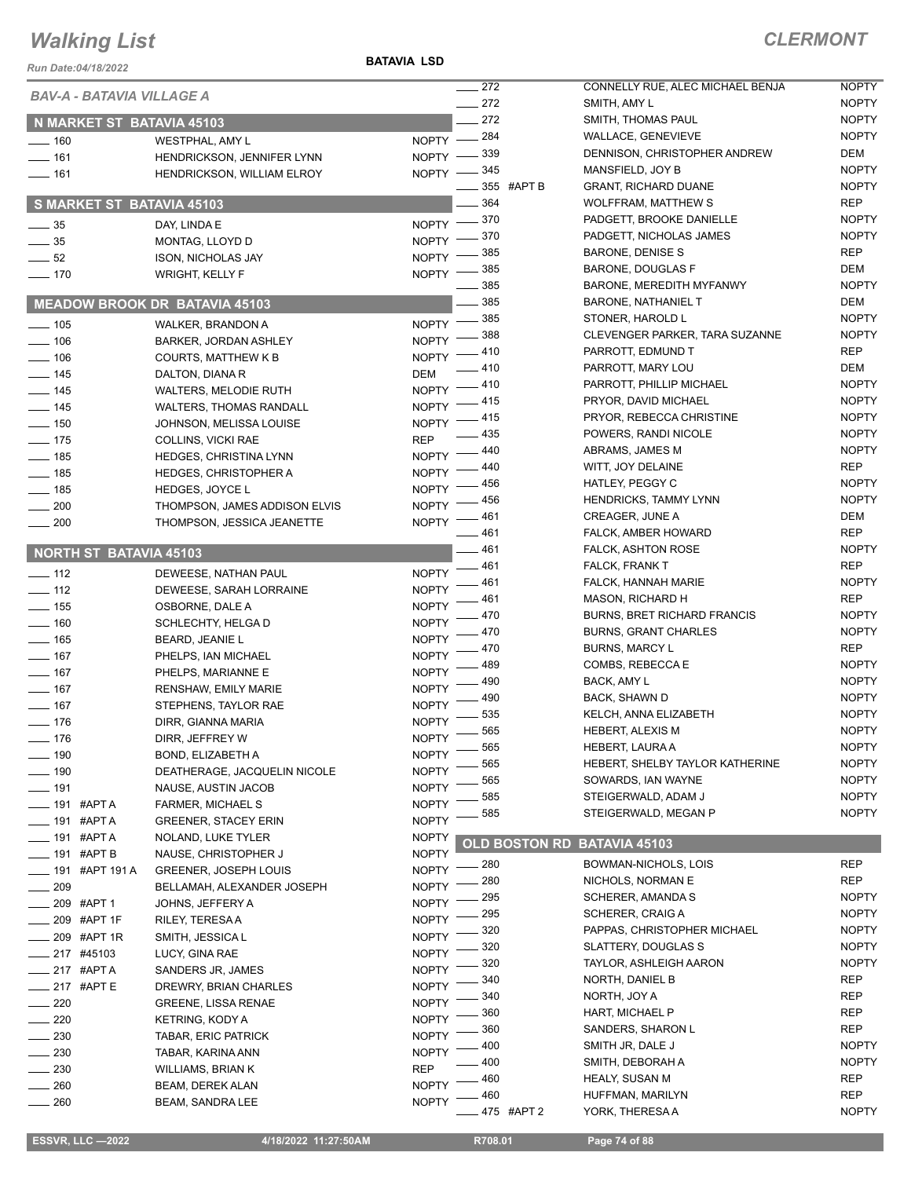#### **BATAVIA LSD**

| Run Date:04/18/2022             |                                              |                              |            |                      |                                 |
|---------------------------------|----------------------------------------------|------------------------------|------------|----------------------|---------------------------------|
| BAV-A - BATAVIA VILLAGE A       |                                              |                              | $-272$     |                      | CONNELLY RUE, A<br>SMITH, AMY L |
|                                 |                                              |                              | 272<br>272 |                      | SMITH, THOMAS P                 |
|                                 | N MARKET ST BATAVIA 45103                    |                              | 284        |                      | <b>WALLACE, GENEV</b>           |
| $-160$                          | WESTPHAL, AMY L                              | $N$ OPTY $-$                 | 339        |                      | DENNISON, CHRIS                 |
| $-161$                          | HENDRICKSON, JENNIFER LYNN                   | <b>NOPTY</b>                 | 345        |                      | MANSFIELD, JOY B                |
| $- 161$                         | <b>HENDRICKSON, WILLIAM ELROY</b>            | NOPTY -                      |            | 355 #APT B           | <b>GRANT, RICHARD</b>           |
|                                 | S MARKET ST BATAVIA 45103                    |                              | 364        |                      | <b>WOLFFRAM, MATT</b>           |
|                                 |                                              |                              | 370        |                      | PADGETT, BROOK                  |
| $-35$                           | DAY, LINDA E                                 | <b>NOPTY</b>                 | 370        |                      | PADGETT, NICHOL                 |
| $\frac{1}{2}$ 35                | MONTAG, LLOYD D                              | <b>NOPTY</b>                 | 385        |                      | <b>BARONE, DENISE</b>           |
| $\frac{1}{2}$ 52                | <b>ISON, NICHOLAS JAY</b>                    | <b>NOPTY</b>                 | 385        |                      | BARONE, DOUGLA                  |
| $- 170$                         | <b>WRIGHT, KELLY F</b>                       | <b>NOPTY</b>                 | 385        |                      | <b>BARONE, MEREDI</b>           |
|                                 | <b>MEADOW BROOK DR BATAVIA 45103</b>         |                              | $=$ 385    |                      | <b>BARONE, NATHAN</b>           |
|                                 |                                              |                              | 385        |                      | STONER, HAROLD                  |
| $\frac{1}{2}$ 105               | WALKER, BRANDON A                            | <b>NOPTY</b>                 | 388        |                      | <b>CLEVENGER PARK</b>           |
| $\equiv$ 106                    | <b>BARKER, JORDAN ASHLEY</b>                 | <b>NOPTY</b>                 | 410        |                      | PARROTT, EDMUN                  |
| $- 106$                         | <b>COURTS, MATTHEW K B</b>                   | <b>NOPTY</b>                 | 410        |                      | PARROTT, MARY L                 |
| $-$ 145                         | DALTON, DIANA R                              | DEM                          | 410        |                      | PARROTT, PHILLIP                |
| $- 145$                         | <b>WALTERS, MELODIE RUTH</b>                 | <b>NOPTY</b>                 | 415        |                      | PRYOR, DAVID MI                 |
| $\frac{1}{2}$ 145               | WALTERS, THOMAS RANDALL                      | <b>NOPTY</b>                 | 415        |                      | PRYOR, REBECCA                  |
| $\frac{1}{2}$ 150               | JOHNSON, MELISSA LOUISE                      | <b>NOPTY</b>                 | 435        |                      | POWERS, RANDIN                  |
| $\frac{1}{2}$ 175               | COLLINS, VICKI RAE                           | <b>REP</b>                   | 440        |                      | ABRAMS, JAMES N                 |
| $- 185$                         | HEDGES, CHRISTINA LYNN                       | <b>NOPTY</b>                 | 440        |                      | WITT, JOY DELAIN                |
| $- 185$                         | <b>HEDGES, CHRISTOPHER A</b>                 | <b>NOPTY</b>                 | 456        |                      | HATLEY, PEGGY C                 |
| $\frac{1}{2}$ 185               | HEDGES, JOYCE L                              | <b>NOPTY</b>                 | 456        |                      | <b>HENDRICKS, TAMM</b>          |
| $\sim$ 200                      | THOMPSON, JAMES ADDISON ELVIS                | <b>NOPTY</b>                 | 461        |                      | CREAGER, JUNE A                 |
| $\frac{1}{200}$                 | THOMPSON, JESSICA JEANETTE                   | <b>NOPTY</b>                 | 461        |                      | FALCK, AMBER HC                 |
| NORTH ST BATAVIA 45103          |                                              |                              | 461        |                      | <b>FALCK, ASHTON R</b>          |
|                                 |                                              |                              | 461        |                      | FALCK, FRANK T                  |
| $-$ 112                         | DEWEESE, NATHAN PAUL                         | <b>NOPTY</b>                 | 461        |                      | FALCK, HANNAH M                 |
| $-$ 112                         | DEWEESE, SARAH LORRAINE                      | <b>NOPTY</b>                 | 461        |                      | <b>MASON, RICHARD</b>           |
| $- 155$                         | OSBORNE, DALE A                              | <b>NOPTY</b>                 | 470        |                      | <b>BURNS, BRET RIC</b>          |
| $\frac{1}{160}$                 | SCHLECHTY, HELGA D                           | <b>NOPTY</b>                 | 470        |                      | <b>BURNS, GRANT CI</b>          |
| $- 165$                         | <b>BEARD, JEANIE L</b>                       | <b>NOPTY</b>                 | 470        |                      | <b>BURNS, MARCY L</b>           |
| $- 167$                         | PHELPS, IAN MICHAEL                          | <b>NOPTY</b>                 | 489        |                      | COMBS, REBECCA                  |
| $- 167$                         | PHELPS, MARIANNE E                           | <b>NOPTY</b>                 | 490        |                      | BACK, AMY L                     |
| $- 167$<br>$-$ 167              | RENSHAW, EMILY MARIE<br>STEPHENS, TAYLOR RAE | <b>NOPTY</b>                 | 490        |                      | BACK, SHAWN D                   |
|                                 |                                              | <b>NOPTY</b>                 | 535        |                      | KELCH, ANNA ELIZ                |
| $-176$                          | DIRR, GIANNA MARIA                           | <b>NOPTY</b>                 | 565        |                      | HEBERT, ALEXIS M                |
| _ 176                           | DIRR, JEFFREY W                              | NOPTY                        | 565        |                      | HEBERT, LAURA A                 |
| 190                             | BOND, ELIZABETH A                            | NOPTY                        | 565        |                      | <b>HEBERT, SHELBY</b>           |
| 190                             | DEATHERAGE, JACQUELIN NICOLE                 | <b>NOPTY</b>                 | 565        |                      | SOWARDS, IAN W/                 |
| ____ 191                        | NAUSE, AUSTIN JACOB                          | NOPTY                        | 585        |                      | STEIGERWALD, AD                 |
| ____ 191 #APT A                 | FARMER, MICHAEL S                            | NOPTY                        | 585        |                      | STEIGERWALD, MI                 |
| ____ 191 #APT A                 | <b>GREENER, STACEY ERIN</b>                  | NOPTY                        |            |                      |                                 |
| <sub>——</sub> 191  #АРТ А       | NOLAND, LUKE TYLER                           | <b>NOPTY</b><br><b>NOPTY</b> |            | <b>OLD BOSTON RD</b> | <b>BATAVIA 45103</b>            |
| __ 191 #APT B                   | NAUSE, CHRISTOPHER J                         |                              | 280        |                      | BOWMAN-NICHOL                   |
| _____ 191   #APT 191 A          | GREENER, JOSEPH LOUIS                        | <b>NOPTY</b>                 | 280        |                      | NICHOLS, NORMA                  |
| $\equiv$ 209                    | BELLAMAH, ALEXANDER JOSEPH                   | <b>NOPTY</b>                 | 295        |                      | <b>SCHERER, AMAND</b>           |
| __ 209 #APT 1<br>__ 209 #APT 1F | JOHNS, JEFFERY A                             | NOPTY                        | 295        |                      | <b>SCHERER, CRAIG</b>           |
|                                 | RILEY, TERESA A                              | <b>NOPTY</b>                 | 320        |                      | PAPPAS, CHRISTC                 |
| _ 209 #APT 1R                   | SMITH, JESSICA L                             | <b>NOPTY</b>                 | 320        |                      | <b>SLATTERY, DOUGL</b>          |
| ____ 217 #45103                 | LUCY, GINA RAE                               | <b>NOPTY</b>                 | 320        |                      | <b>TAYLOR, ASHLEIG</b>          |
| — 217 #APT A                    | SANDERS JR, JAMES                            | <b>NOPTY</b>                 | 340        |                      | NORTH, DANIEL B                 |
| $-217$ #APTE                    | DREWRY, BRIAN CHARLES                        | NOPTY                        | 340        |                      | NORTH, JOY A                    |
| 220                             | <b>GREENE, LISSA RENAE</b>                   | NOPTY                        | 360        |                      | HART, MICHAEL P                 |
| 220                             | KETRING, KODY A                              | <b>NOPTY</b>                 | 360        |                      | SANDERS, SHARC                  |
| 230                             | TABAR, ERIC PATRICK                          | <b>NOPTY</b>                 | 400        |                      | SMITH JR, DALE J                |
| $-230$                          | TABAR, KARINA ANN                            | <b>NOPTY</b>                 | 400        |                      | SMITH, DEBORAH                  |
| 230                             | WILLIAMS, BRIAN K                            | REP                          | 460        |                      | HEALY, SUSAN M                  |
| 260                             | BEAM, DEREK ALAN                             | <b>NOPTY</b>                 | 460        |                      | HUFFMAN, MARILY                 |
| 260                             | BEAM, SANDRA LEE                             | <b>NOPTY</b>                 |            | 475 #APT 2           | YORK, THERESA A                 |

| 272 |        | CONNELLY RUE, ALEC MICHAEL BENJA   | <b>NOPTY</b> |
|-----|--------|------------------------------------|--------------|
| 272 |        | SMITH, AMY L                       | <b>NOPTY</b> |
| 272 |        | SMITH, THOMAS PAUL                 | <b>NOPTY</b> |
| 284 |        | <b>WALLACE, GENEVIEVE</b>          | <b>NOPTY</b> |
| 339 |        | DENNISON, CHRISTOPHER ANDREW       | DEM          |
| 345 |        | MANSFIELD, JOY B                   | <b>NOPTY</b> |
| 355 | #APT B | <b>GRANT, RICHARD DUANE</b>        | <b>NOPTY</b> |
| 364 |        | <b>WOLFFRAM, MATTHEW S</b>         | <b>REP</b>   |
| 370 |        | PADGETT, BROOKE DANIELLE           | <b>NOPTY</b> |
| 370 |        | PADGETT, NICHOLAS JAMES            | <b>NOPTY</b> |
| 385 |        | <b>BARONE, DENISE S</b>            | <b>REP</b>   |
| 385 |        | <b>BARONE, DOUGLAS F</b>           | <b>DEM</b>   |
| 385 |        | BARONE, MEREDITH MYFANWY           | <b>NOPTY</b> |
| 385 |        | <b>BARONE, NATHANIEL T</b>         | DEM          |
| 385 |        | STONER, HAROLD L                   | <b>NOPTY</b> |
| 388 |        | CLEVENGER PARKER, TARA SUZANNE     | <b>NOPTY</b> |
| 410 |        | PARROTT, EDMUND T                  | REP          |
| 410 |        | PARROTT, MARY LOU                  | DEM          |
| 410 |        | PARROTT, PHILLIP MICHAEL           | <b>NOPTY</b> |
| 415 |        | PRYOR, DAVID MICHAEL               | <b>NOPTY</b> |
| 415 |        | PRYOR, REBECCA CHRISTINE           | <b>NOPTY</b> |
| 435 |        | POWERS, RANDI NICOLE               | <b>NOPTY</b> |
| 440 |        | ABRAMS, JAMES M                    | <b>NOPTY</b> |
| 440 |        | WITT, JOY DELAINE                  | REP          |
| 456 |        | HATLEY, PEGGY C                    | <b>NOPTY</b> |
| 456 |        | <b>HENDRICKS, TAMMY LYNN</b>       | <b>NOPTY</b> |
| 461 |        | CREAGER, JUNE A                    | DEM          |
| 461 |        | FALCK, AMBER HOWARD                | REP          |
| 461 |        | FALCK, ASHTON ROSE                 | <b>NOPTY</b> |
| 461 |        | <b>FALCK, FRANK T</b>              | <b>REP</b>   |
| 461 |        | FALCK, HANNAH MARIE                | <b>NOPTY</b> |
| 461 |        | <b>MASON, RICHARD H</b>            | REP          |
| 470 |        | <b>BURNS, BRET RICHARD FRANCIS</b> | <b>NOPTY</b> |
| 470 |        | <b>BURNS, GRANT CHARLES</b>        | <b>NOPTY</b> |
| 470 |        | <b>BURNS, MARCY L</b>              | REP          |
| 489 |        | COMBS, REBECCA E                   | <b>NOPTY</b> |
| 490 |        | <b>BACK, AMY L</b>                 | <b>NOPTY</b> |
| 490 |        | BACK, SHAWN D                      | <b>NOPTY</b> |
| 535 |        | KELCH, ANNA ELIZABETH              | <b>NOPTY</b> |
| 565 |        | <b>HEBERT, ALEXIS M</b>            | <b>NOPTY</b> |
| 565 |        | HEBERT, LAURA A                    | <b>NOPTY</b> |
| 565 |        | HEBERT, SHELBY TAYLOR KATHERINE    | <b>NOPTY</b> |
| 565 |        | SOWARDS, IAN WAYNE                 | <b>NOPTY</b> |
| 585 |        | STEIGERWALD, ADAM J                | <b>NOPTY</b> |
| 585 |        | STEIGERWALD, MEGAN P               | <b>NOPTY</b> |
|     |        |                                    |              |
|     |        |                                    |              |

| . 280 |        | BOWMAN-NICHOLS, LOIS        | <b>REP</b>   |
|-------|--------|-----------------------------|--------------|
| . 280 |        | NICHOLS, NORMAN E           | <b>REP</b>   |
| . 295 |        | <b>SCHERER, AMANDA S</b>    | <b>NOPTY</b> |
| . 295 |        | <b>SCHERER, CRAIG A</b>     | <b>NOPTY</b> |
| . 320 |        | PAPPAS, CHRISTOPHER MICHAEL | <b>NOPTY</b> |
| . 320 |        | SLATTERY, DOUGLAS S         | <b>NOPTY</b> |
| . 320 |        | TAYLOR, ASHLEIGH AARON      | <b>NOPTY</b> |
| .340  |        | <b>NORTH, DANIEL B</b>      | <b>REP</b>   |
| . 340 |        | NORTH, JOY A                | <b>REP</b>   |
| . 360 |        | <b>HART, MICHAEL P</b>      | <b>REP</b>   |
| . 360 |        | SANDERS, SHARON L           | <b>REP</b>   |
| . 400 |        | SMITH JR, DALE J            | <b>NOPTY</b> |
| . 400 |        | SMITH, DEBORAH A            | <b>NOPTY</b> |
| . 460 |        | <b>HEALY, SUSAN M</b>       | <b>REP</b>   |
| . 460 |        | HUFFMAN, MARILYN            | <b>REP</b>   |
| . 475 | #APT 2 | YORK. THERESA A             | <b>NOPTY</b> |
|       |        |                             |              |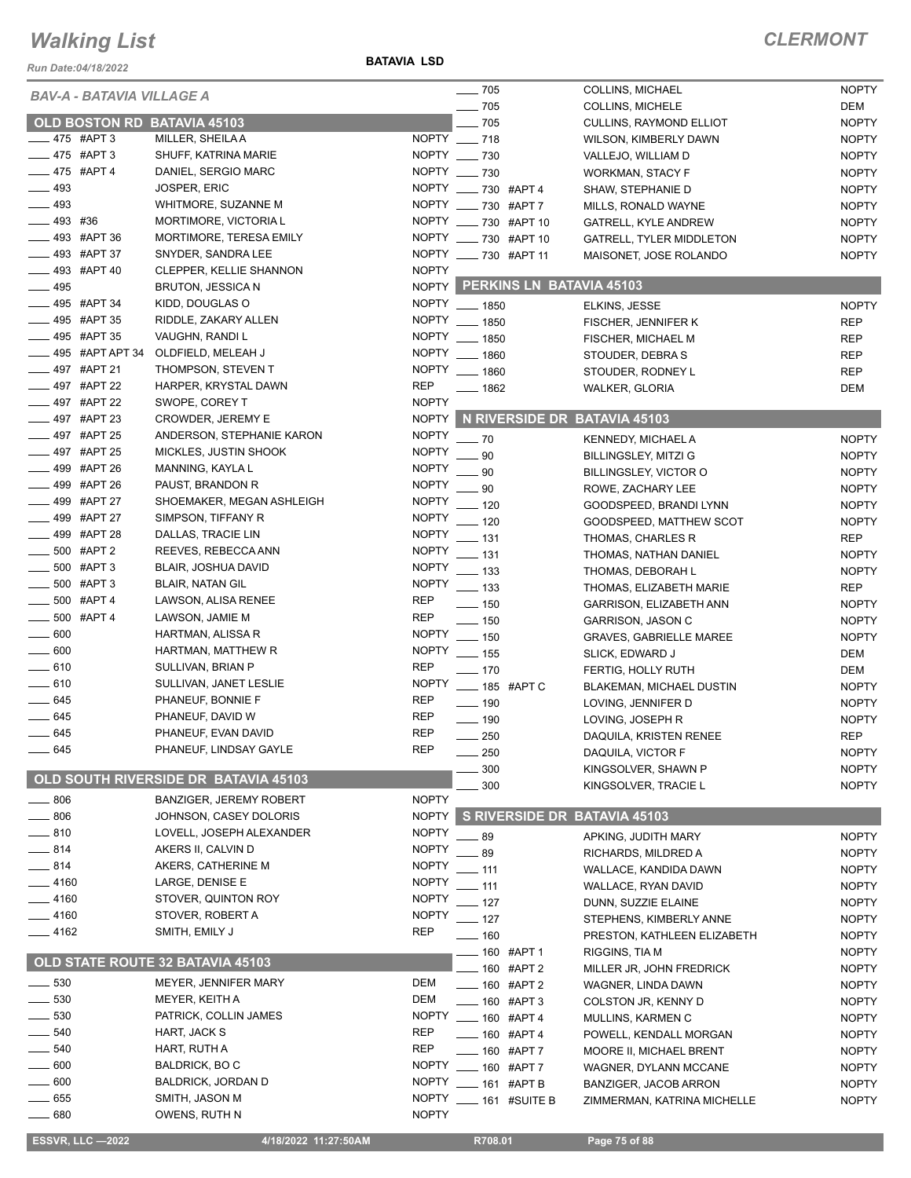*Run Date:04/18/2022*

**BATAVIA LSD**

#### *CLERMONT*

|                           | <b>BAV-A - BATAVIA VILLAGE A</b> |                                      |              | $\sim$ 705                     | COLLINS, MICHAEL                | <b>NOPTY</b> |
|---------------------------|----------------------------------|--------------------------------------|--------------|--------------------------------|---------------------------------|--------------|
|                           |                                  |                                      |              | $\frac{1}{2}$ 705              | <b>COLLINS, MICHELE</b>         | DEM          |
|                           |                                  | OLD BOSTON RD BATAVIA 45103          |              | $-705$                         | <b>CULLINS, RAYMOND ELLIOT</b>  | <b>NOPTY</b> |
| $-475$ #APT 3             |                                  | MILLER, SHEILA A                     | NOPTY __ 718 |                                | WILSON, KIMBERLY DAWN           | <b>NOPTY</b> |
|                           | _475 #APT3                       | SHUFF, KATRINA MARIE                 | NOPTY __ 730 |                                | VALLEJO, WILLIAM D              | <b>NOPTY</b> |
|                           | $-475$ #APT 4                    | DANIEL, SERGIO MARC                  | NOPTY __ 730 |                                | WORKMAN, STACY F                | <b>NOPTY</b> |
| $\frac{1}{2}$ 493         |                                  | <b>JOSPER, ERIC</b>                  |              | NOPTY ____ 730 #APT 4          | SHAW, STEPHANIE D               | <b>NOPTY</b> |
| $- 493$                   |                                  | WHITMORE, SUZANNE M                  |              | NOPTY ____ 730 #APT 7          | MILLS, RONALD WAYNE             | <b>NOPTY</b> |
| $-493$ #36                |                                  | MORTIMORE, VICTORIA L                |              | NOPTY __ 730 #APT 10           | GATRELL, KYLE ANDREW            | <b>NOPTY</b> |
|                           | _493 #APT 36                     | MORTIMORE, TERESA EMILY              |              | NOPTY __ 730 #APT 10           | <b>GATRELL, TYLER MIDDLETON</b> | <b>NOPTY</b> |
|                           | _493 #APT 37                     | SNYDER, SANDRA LEE                   |              | NOPTY ____ 730 #APT 11         | MAISONET, JOSE ROLANDO          | <b>NOPTY</b> |
|                           | _493 #APT 40                     | CLEPPER, KELLIE SHANNON              | <b>NOPTY</b> |                                |                                 |              |
| $- 495$                   |                                  | BRUTON, JESSICA N                    |              | NOPTY PERKINS LN BATAVIA 45103 |                                 |              |
| $\frac{1}{2}$ 495 #APT 34 |                                  | KIDD, DOUGLAS O                      |              | NOPTY __ 1850                  | ELKINS, JESSE                   | <b>NOPTY</b> |
| $\frac{1}{2}$ 495 #APT 35 |                                  | RIDDLE, ZAKARY ALLEN                 |              | NOPTY __ 1850                  | FISCHER, JENNIFER K             | <b>REP</b>   |
|                           | _495 #APT 35                     | VAUGHN, RANDI L                      |              | NOPTY __ 1850                  | FISCHER, MICHAEL M              | <b>REP</b>   |
|                           | 495 #APT APT 34                  | OLDFIELD, MELEAH J                   |              | NOPTY __ 1860                  | STOUDER, DEBRA S                | <b>REP</b>   |
|                           | 497 #APT 21                      | THOMPSON, STEVEN T                   |              | NOPTY __ 1860                  | STOUDER, RODNEY L               | <b>REP</b>   |
|                           | - 497 #APT 22                    | HARPER, KRYSTAL DAWN                 | <b>REP</b>   | $- 1862$                       | <b>WALKER, GLORIA</b>           | <b>DEM</b>   |
|                           | _497 #APT 22                     | SWOPE, COREY T                       | <b>NOPTY</b> |                                |                                 |              |
|                           | _497 #APT 23                     | CROWDER, JEREMY E                    | <b>NOPTY</b> |                                | N RIVERSIDE DR BATAVIA 45103    |              |
|                           | _497 #APT 25                     | ANDERSON, STEPHANIE KARON            | <b>NOPTY</b> |                                |                                 |              |
|                           | _497 #APT 25                     | MICKLES, JUSTIN SHOOK                | <b>NOPTY</b> | $-70$                          | <b>KENNEDY, MICHAEL A</b>       | <b>NOPTY</b> |
|                           | 499 #APT 26                      | MANNING, KAYLA L                     | <b>NOPTY</b> | 90                             | BILLINGSLEY, MITZI G            | <b>NOPTY</b> |
|                           | _499 #APT 26                     | PAUST, BRANDON R                     | <b>NOPTY</b> | 90                             | BILLINGSLEY, VICTOR O           | <b>NOPTY</b> |
|                           | _499 #APT 27                     | SHOEMAKER, MEGAN ASHLEIGH            | <b>NOPTY</b> | 90                             | ROWE, ZACHARY LEE               | <b>NOPTY</b> |
| ____ 499 #APT 27          |                                  | SIMPSON, TIFFANY R                   | <b>NOPTY</b> | $=$ 120                        | GOODSPEED, BRANDI LYNN          | <b>NOPTY</b> |
|                           |                                  |                                      |              | $-120$                         | GOODSPEED, MATTHEW SCOT         | <b>NOPTY</b> |
| $\frac{1}{2}$ 499 #APT 28 |                                  | DALLAS, TRACIE LIN                   | <b>NOPTY</b> | __ 131                         | THOMAS, CHARLES R               | <b>REP</b>   |
| $- 500$ #APT 2            |                                  | REEVES, REBECCA ANN                  | <b>NOPTY</b> | __ 131                         | THOMAS, NATHAN DANIEL           | <b>NOPTY</b> |
|                           | 500 #APT 3                       | <b>BLAIR, JOSHUA DAVID</b>           | <b>NOPTY</b> | $\equiv$ 133                   | THOMAS, DEBORAH L               | <b>NOPTY</b> |
|                           | _500 #APT3                       | <b>BLAIR, NATAN GIL</b>              | <b>NOPTY</b> | $\frac{1}{2}$ 133              | THOMAS, ELIZABETH MARIE         | <b>REP</b>   |
|                           | $-500$ #APT 4                    | LAWSON, ALISA RENEE                  | <b>REP</b>   | $- 150$                        | GARRISON, ELIZABETH ANN         | <b>NOPTY</b> |
| $-500$ #APT 4             |                                  | LAWSON, JAMIE M                      | <b>REP</b>   | $-150$                         | GARRISON, JASON C               | <b>NOPTY</b> |
| $\_\_600$                 |                                  | HARTMAN, ALISSA R                    | <b>NOPTY</b> | $-150$                         | <b>GRAVES, GABRIELLE MAREE</b>  | <b>NOPTY</b> |
| $\frac{1}{2}$ 600         |                                  | HARTMAN, MATTHEW R                   | <b>NOPTY</b> | $- 155$                        | SLICK, EDWARD J                 | DEM          |
| $-610$                    |                                  | SULLIVAN, BRIAN P                    | <b>REP</b>   | $- 170$                        | FERTIG, HOLLY RUTH              | <b>DEM</b>   |
| $- 610$                   |                                  | SULLIVAN, JANET LESLIE               | <b>NOPTY</b> | ___ 185 #APT C                 | <b>BLAKEMAN, MICHAEL DUSTIN</b> | <b>NOPTY</b> |
| $- 645$                   |                                  | PHANEUF, BONNIE F                    | <b>REP</b>   | $\frac{1}{2}$ 190              | LOVING, JENNIFER D              | <b>NOPTY</b> |
| $-645$                    |                                  | PHANEUF, DAVID W                     | <b>REP</b>   | $- 190$                        | LOVING, JOSEPH R                | <b>NOPTY</b> |
| — 645                     |                                  | PHANEUF, EVAN DAVID                  | <b>REP</b>   | 250                            | DAQUILA, KRISTEN RENEE          | <b>REP</b>   |
| — 645                     |                                  | PHANEUF, LINDSAY GAYLE               | <b>REP</b>   | _ 250                          | DAQUILA, VICTOR F               | <b>NOPTY</b> |
|                           |                                  |                                      |              | 300                            | KINGSOLVER, SHAWN P             | <b>NOPTY</b> |
|                           |                                  | OLD SOUTH RIVERSIDE DR BATAVIA 45103 |              | 300                            | KINGSOLVER, TRACIE L            | <b>NOPTY</b> |
| $\_\_806$                 |                                  | <b>BANZIGER, JEREMY ROBERT</b>       | <b>NOPTY</b> |                                |                                 |              |
| $\frac{1}{2}$ 806         |                                  | JOHNSON, CASEY DOLORIS               | <b>NOPTY</b> |                                | S RIVERSIDE DR BATAVIA 45103    |              |
| $-810$                    |                                  | LOVELL, JOSEPH ALEXANDER             | <b>NOPTY</b> | $-89$                          | APKING, JUDITH MARY             | <b>NOPTY</b> |
| $-814$                    |                                  | AKERS II, CALVIN D                   | <b>NOPTY</b> | .89                            | RICHARDS, MILDRED A             | <b>NOPTY</b> |
| $-814$                    |                                  | AKERS, CATHERINE M                   | <b>NOPTY</b> | $-111$                         | WALLACE, KANDIDA DAWN           | <b>NOPTY</b> |
| $-4160$                   |                                  | LARGE, DENISE E                      | <b>NOPTY</b> | $=$ 111                        | WALLACE, RYAN DAVID             | <b>NOPTY</b> |
| $-4160$                   |                                  | STOVER, QUINTON ROY                  | <b>NOPTY</b> | $-127$                         | DUNN, SUZZIE ELAINE             | <b>NOPTY</b> |
| $-4160$                   |                                  | STOVER, ROBERT A                     | <b>NOPTY</b> | $-127$                         | STEPHENS, KIMBERLY ANNE         | <b>NOPTY</b> |
| ___ 4162                  |                                  | SMITH, EMILY J                       | <b>REP</b>   | $- 160$                        |                                 |              |
|                           |                                  |                                      |              |                                | PRESTON, KATHLEEN ELIZABETH     | <b>NOPTY</b> |
|                           |                                  | OLD STATE ROUTE 32 BATAVIA 45103     |              | ____ 160   #APT 1              | RIGGINS, TIA M                  | <b>NOPTY</b> |
| $\frac{1}{2}$ 530         |                                  | MEYER, JENNIFER MARY                 | <b>DEM</b>   | $-$ 160 #APT 2                 | MILLER JR, JOHN FREDRICK        | <b>NOPTY</b> |
| $\frac{1}{2}$ 530         |                                  | MEYER, KEITH A                       | <b>DEM</b>   | $- 160$ #APT 2                 | WAGNER, LINDA DAWN              | <b>NOPTY</b> |
| $-530$                    |                                  |                                      |              | $- 160$ #APT 3                 | COLSTON JR, KENNY D             | <b>NOPTY</b> |
|                           |                                  | PATRICK, COLLIN JAMES                | <b>NOPTY</b> | $- 160$ #APT 4                 | MULLINS, KARMEN C               | <b>NOPTY</b> |
| ____ 540                  |                                  | HART, JACK S                         | <b>REP</b>   | $- 160$ #APT 4                 | POWELL, KENDALL MORGAN          | <b>NOPTY</b> |
| _ 540                     |                                  | HART, RUTH A                         | <b>REP</b>   | ____ 160 #APT 7                | MOORE II, MICHAEL BRENT         | <b>NOPTY</b> |
| $=600$                    |                                  | BALDRICK, BOC                        | <b>NOPTY</b> | $- 160$ #APT 7                 | WAGNER, DYLANN MCCANE           | <b>NOPTY</b> |
| $\equiv$ 600              |                                  | <b>BALDRICK, JORDAN D</b>            | <b>NOPTY</b> | $- 161$ #APT B                 | BANZIGER, JACOB ARRON           | <b>NOPTY</b> |
|                           |                                  |                                      | <b>NOPTY</b> |                                | ZIMMERMAN, KATRINA MICHELLE     | <b>NOPTY</b> |
| $=655$<br>$\_\_680$       |                                  | SMITH, JASON M<br>OWENS, RUTH N      | <b>NOPTY</b> | 161 #SUITE B                   |                                 |              |

 **ESSVR, LLC —2022 4/18/2022 11:27:50AM R708.01 Page 75 of 88**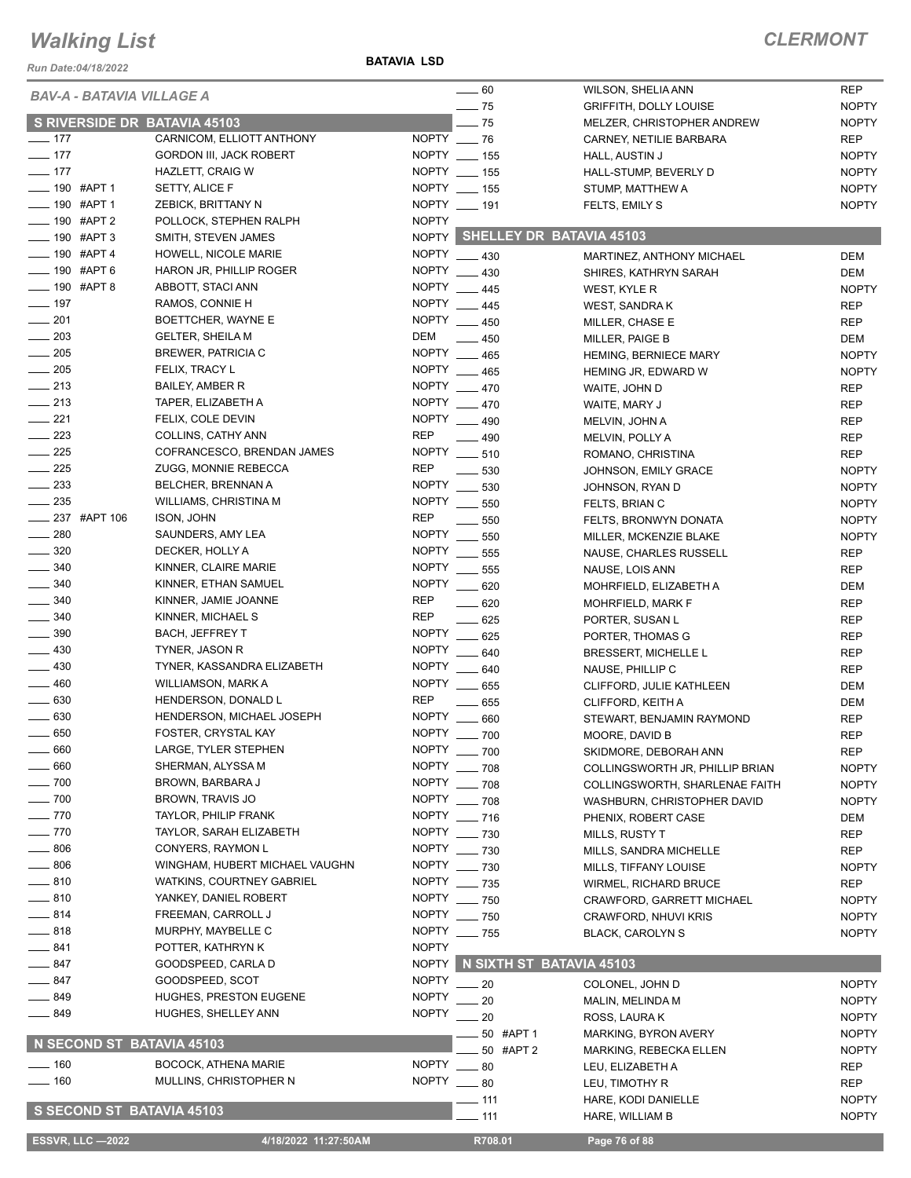#### *Run Date:04/18/2022*

**BATAVIA LSD**

| <b>REP</b><br>WILSON, SHELIA ANN<br><b>BAV-A - BATAVIA VILLAGE A</b><br>$\frac{1}{2}$ 75<br><b>NOPTY</b><br><b>GRIFFITH, DOLLY LOUISE</b><br>S RIVERSIDE DR BATAVIA 45103<br>$-75$<br><b>NOPTY</b><br>MELZER, CHRISTOPHER ANDREW<br>$- 177$<br>CARNICOM, ELLIOTT ANTHONY<br>NOPTY 26<br><b>REP</b><br>CARNEY, NETILIE BARBARA<br>$- 177$<br>NOPTY __ 155<br><b>GORDON III, JACK ROBERT</b><br><b>NOPTY</b><br>HALL, AUSTIN J<br>$\frac{1}{2}$ 177<br>NOPTY __ 155<br><b>HAZLETT, CRAIG W</b><br><b>NOPTY</b><br>HALL-STUMP, BEVERLY D<br>__ 190 #APT 1<br>NOPTY __ 155<br>SETTY, ALICE F<br><b>NOPTY</b><br>STUMP, MATTHEW A<br>$- 190$ #APT 1<br>NOPTY __ 191<br>ZEBICK, BRITTANY N<br><b>NOPTY</b><br>FELTS, EMILY S<br>$- 190$ #APT 2<br><b>NOPTY</b><br>POLLOCK, STEPHEN RALPH<br>NOPTY SHELLEY DR BATAVIA 45103<br>$- 190$ #APT 3<br>SMITH, STEVEN JAMES<br>$-190$ #APT 4<br>NOPTY __ 430<br>HOWELL, NICOLE MARIE<br>DEM<br>MARTINEZ. ANTHONY MICHAEL<br>NOPTY 430<br>$- 190$ #APT 6<br>HARON JR, PHILLIP ROGER<br><b>DEM</b><br>SHIRES, KATHRYN SARAH<br>$- 190$ #APT 8<br>NOPTY __ 445<br>ABBOTT, STACI ANN<br><b>NOPTY</b><br>WEST, KYLE R<br>$- 197$<br>NOPTY __ 445<br>RAMOS, CONNIE H<br><b>REP</b><br>WEST, SANDRA K<br>$\frac{1}{201}$<br>NOPTY __ 450<br>BOETTCHER, WAYNE E<br><b>REP</b><br>MILLER, CHASE E<br><b>GELTER, SHEILA M</b><br>DEM<br>$-450$<br>DEM<br>MILLER, PAIGE B<br>$\frac{1}{205}$<br>NOPTY __<br><b>BREWER, PATRICIA C</b><br><b>NOPTY</b><br>465<br><b>HEMING, BERNIECE MARY</b><br>$\frac{1}{205}$<br><b>NOPTY</b><br>FELIX, TRACY L<br>465<br><b>NOPTY</b><br>HEMING JR, EDWARD W<br>$\frac{1}{213}$<br>NOPTY __ 470<br><b>BAILEY, AMBER R</b><br><b>REP</b><br>WAITE, JOHN D<br>$\frac{1}{213}$<br>NOPTY __ 470<br>TAPER, ELIZABETH A<br><b>REP</b><br>WAITE, MARY J<br>$\frac{1}{221}$<br>FELIX, COLE DEVIN<br>NOPTY __ 490<br><b>REP</b><br>MELVIN, JOHN A<br>$\frac{1}{223}$<br><b>REP</b><br>COLLINS, CATHY ANN<br>490<br><b>REP</b><br>MELVIN, POLLY A<br>$\frac{1}{225}$<br>COFRANCESCO, BRENDAN JAMES<br>NOPTY __ 510<br><b>REP</b><br>ROMANO, CHRISTINA<br>$\frac{225}{2}$<br><b>REP</b><br>ZUGG, MONNIE REBECCA<br>530<br>JOHNSON, EMILY GRACE<br><b>NOPTY</b><br>$\frac{1}{2}$ 233<br><b>NOPTY</b><br>BELCHER, BRENNAN A<br><b>NOPTY</b><br>530<br>JOHNSON, RYAN D<br><b>NOPTY</b><br>$\frac{235}{2}$<br>WILLIAMS, CHRISTINA M<br>550<br><b>NOPTY</b><br>FELTS, BRIAN C<br><b>237 #APT 106</b><br><b>REP</b><br>ISON, JOHN<br>550<br><b>NOPTY</b><br>FELTS, BRONWYN DONATA<br><b>NOPTY</b><br>SAUNDERS, AMY LEA<br>550<br><b>NOPTY</b><br>MILLER, MCKENZIE BLAKE<br>NOPTY __<br>DECKER, HOLLY A<br>555<br><b>REP</b><br>NAUSE, CHARLES RUSSELL<br>$\frac{1}{2}$ 340<br><b>NOPTY</b><br>KINNER, CLAIRE MARIE<br>555<br><b>REP</b><br>NAUSE, LOIS ANN<br>$\frac{1}{2}$ 340<br>KINNER, ETHAN SAMUEL<br><b>NOPTY</b><br>620<br>MOHRFIELD, ELIZABETH A<br>DEM<br>$\frac{1}{2}$ 340<br><b>REP</b><br>KINNER, JAMIE JOANNE<br>620<br>MOHRFIELD, MARK F<br><b>REP</b><br><b>REP</b><br>$\frac{1}{2}$ 340<br>KINNER, MICHAEL S<br>$-625$<br><b>REP</b><br>PORTER, SUSAN L<br>$\frac{1}{2}$ 390<br>NOPTY __<br><b>BACH, JEFFREY T</b><br>625<br>PORTER, THOMAS G<br><b>REP</b><br>$-430$<br><b>NOPTY</b><br>TYNER, JASON R<br>640<br><b>REP</b><br>BRESSERT, MICHELLE L<br>$\frac{1}{2}$ 430<br>TYNER, KASSANDRA ELIZABETH<br><b>NOPTY</b><br>640<br><b>REP</b><br>NAUSE, PHILLIP C<br>$-460$<br><b>NOPTY</b><br>WILLIAMSON, MARK A<br>655<br><b>DEM</b><br>CLIFFORD, JULIE KATHLEEN<br>$\frac{1}{2}$ 630<br><b>REP</b><br>HENDERSON, DONALD L<br>655<br><b>DEM</b><br>CLIFFORD, KEITH A<br>$\frac{1}{2}$ 630<br><b>NOPTY</b><br>HENDERSON, MICHAEL JOSEPH<br>660<br>STEWART, BENJAMIN RAYMOND<br><b>REP</b><br>NOPTY __ 700<br>$\frac{1}{2}$ 650<br>FOSTER, CRYSTAL KAY<br><b>REP</b><br>MOORE, DAVID B<br>660<br>LARGE, TYLER STEPHEN<br>NOPTY __ 700<br><b>REP</b><br>SKIDMORE, DEBORAH ANN<br>660<br>NOPTY ___ 708<br>SHERMAN, ALYSSA M<br><b>NOPTY</b><br>COLLINGSWORTH JR, PHILLIP BRIAN<br>$-700$<br>BROWN, BARBARA J<br>NOPTY __ 708<br><b>NOPTY</b><br>COLLINGSWORTH, SHARLENAE FAITH<br>$-700$<br>BROWN, TRAVIS JO<br>NOPTY __ 708<br>WASHBURN, CHRISTOPHER DAVID<br><b>NOPTY</b><br>$- 770$<br>TAYLOR, PHILIP FRANK<br>NOPTY ___ 716<br>PHENIX, ROBERT CASE<br>DEM<br>$- 770$<br>TAYLOR, SARAH ELIZABETH<br>NOPTY __ 730<br><b>REP</b><br>MILLS, RUSTY T<br>$\frac{1}{2}$ 806<br>NOPTY ___ 730<br>CONYERS, RAYMON L<br><b>REP</b><br>MILLS, SANDRA MICHELLE<br>$\frac{1}{2}$ 806<br>WINGHAM, HUBERT MICHAEL VAUGHN<br>NOPTY __ 730<br><b>NOPTY</b><br>MILLS, TIFFANY LOUISE<br>$-810$<br><b>WATKINS, COURTNEY GABRIEL</b><br>NOPTY ___ 735<br>WIRMEL, RICHARD BRUCE<br><b>REP</b><br>—— 810<br>YANKEY, DANIEL ROBERT<br>NOPTY ___ 750<br><b>NOPTY</b><br>CRAWFORD, GARRETT MICHAEL<br>$-814$<br>FREEMAN, CARROLL J<br>NOPTY ___ 750<br><b>NOPTY</b><br><b>CRAWFORD, NHUVI KRIS</b><br>$-818$<br>MURPHY, MAYBELLE C<br>NOPTY ___ 755<br><b>NOPTY</b><br><b>BLACK, CAROLYN S</b><br>$-841$<br><b>NOPTY</b><br>POTTER, KATHRYN K<br>N SIXTH ST BATAVIA 45103<br>$-847$<br><b>NOPTY</b><br>GOODSPEED, CARLA D<br><b>NOPTY</b><br>— 847<br>GOODSPEED, SCOT<br>20<br>COLONEL, JOHN D<br><b>NOPTY</b><br>_ 849<br>HUGHES, PRESTON EUGENE<br><b>NOPTY</b><br>20<br><b>NOPTY</b><br>MALIN, MELINDA M<br><b>NOPTY</b><br>$-849$<br>HUGHES, SHELLEY ANN<br>20<br><b>NOPTY</b><br>ROSS, LAURA K<br><b>NOPTY</b><br>50 #APT 1<br>MARKING, BYRON AVERY<br>N SECOND ST BATAVIA 45103<br>50 #APT 2<br>MARKING, REBECKA ELLEN<br><b>NOPTY</b><br><b>NOPTY</b><br>$- 160$<br><b>BOCOCK, ATHENA MARIE</b><br>80<br><b>REP</b><br>LEU, ELIZABETH A<br>NOPTY __ 80<br>$- 160$<br>MULLINS, CHRISTOPHER N<br><b>REP</b><br>LEU, TIMOTHY R<br><b>NOPTY</b><br>$-111$<br>HARE, KODI DANIELLE<br>S SECOND ST BATAVIA 45103<br>111<br><b>NOPTY</b><br>HARE, WILLIAM B<br><b>ESSVR, LLC -2022</b><br>4/18/2022 11:27:50AM<br>R708.01<br>Page 76 of 88 |                   |  |           |  |
|----------------------------------------------------------------------------------------------------------------------------------------------------------------------------------------------------------------------------------------------------------------------------------------------------------------------------------------------------------------------------------------------------------------------------------------------------------------------------------------------------------------------------------------------------------------------------------------------------------------------------------------------------------------------------------------------------------------------------------------------------------------------------------------------------------------------------------------------------------------------------------------------------------------------------------------------------------------------------------------------------------------------------------------------------------------------------------------------------------------------------------------------------------------------------------------------------------------------------------------------------------------------------------------------------------------------------------------------------------------------------------------------------------------------------------------------------------------------------------------------------------------------------------------------------------------------------------------------------------------------------------------------------------------------------------------------------------------------------------------------------------------------------------------------------------------------------------------------------------------------------------------------------------------------------------------------------------------------------------------------------------------------------------------------------------------------------------------------------------------------------------------------------------------------------------------------------------------------------------------------------------------------------------------------------------------------------------------------------------------------------------------------------------------------------------------------------------------------------------------------------------------------------------------------------------------------------------------------------------------------------------------------------------------------------------------------------------------------------------------------------------------------------------------------------------------------------------------------------------------------------------------------------------------------------------------------------------------------------------------------------------------------------------------------------------------------------------------------------------------------------------------------------------------------------------------------------------------------------------------------------------------------------------------------------------------------------------------------------------------------------------------------------------------------------------------------------------------------------------------------------------------------------------------------------------------------------------------------------------------------------------------------------------------------------------------------------------------------------------------------------------------------------------------------------------------------------------------------------------------------------------------------------------------------------------------------------------------------------------------------------------------------------------------------------------------------------------------------------------------------------------------------------------------------------------------------------------------------------------------------------------------------------------------------------------------------------------------------------------------------------------------------------------------------------------------------------------------------------------------------------------------------------------------------------------------------------------------------------------------------------------------------------------------------------------------------------------------------------------------------------------------------------------------------------------------------------------------------------------------------------------------------------------------------------------------------------------------------------------------------------------------------------------------------------------------------------------------------------------------------------------------------------------------------------------------------------------------------------------------------------------------------------------------------------------------------------------------------------------------------------------------------------------------------------------------------------------------------------------------------------------------------------------------------------------------------------------------------------------------------------------------------------------------------------------------------------------------------------------------------------------------------------------------------------------------------------------------------------------------------------------------------------------------------------------------------------------------------------|-------------------|--|-----------|--|
|                                                                                                                                                                                                                                                                                                                                                                                                                                                                                                                                                                                                                                                                                                                                                                                                                                                                                                                                                                                                                                                                                                                                                                                                                                                                                                                                                                                                                                                                                                                                                                                                                                                                                                                                                                                                                                                                                                                                                                                                                                                                                                                                                                                                                                                                                                                                                                                                                                                                                                                                                                                                                                                                                                                                                                                                                                                                                                                                                                                                                                                                                                                                                                                                                                                                                                                                                                                                                                                                                                                                                                                                                                                                                                                                                                                                                                                                                                                                                                                                                                                                                                                                                                                                                                                                                                                                                                                                                                                                                                                                                                                                                                                                                                                                                                                                                                                                                                                                                                                                                                                                                                                                                                                                                                                                                                                                                                                                                                                                                                                                                                                                                                                                                                                                                                                                                                                                                                                                                                            |                   |  | $\sim$ 60 |  |
|                                                                                                                                                                                                                                                                                                                                                                                                                                                                                                                                                                                                                                                                                                                                                                                                                                                                                                                                                                                                                                                                                                                                                                                                                                                                                                                                                                                                                                                                                                                                                                                                                                                                                                                                                                                                                                                                                                                                                                                                                                                                                                                                                                                                                                                                                                                                                                                                                                                                                                                                                                                                                                                                                                                                                                                                                                                                                                                                                                                                                                                                                                                                                                                                                                                                                                                                                                                                                                                                                                                                                                                                                                                                                                                                                                                                                                                                                                                                                                                                                                                                                                                                                                                                                                                                                                                                                                                                                                                                                                                                                                                                                                                                                                                                                                                                                                                                                                                                                                                                                                                                                                                                                                                                                                                                                                                                                                                                                                                                                                                                                                                                                                                                                                                                                                                                                                                                                                                                                                            |                   |  |           |  |
|                                                                                                                                                                                                                                                                                                                                                                                                                                                                                                                                                                                                                                                                                                                                                                                                                                                                                                                                                                                                                                                                                                                                                                                                                                                                                                                                                                                                                                                                                                                                                                                                                                                                                                                                                                                                                                                                                                                                                                                                                                                                                                                                                                                                                                                                                                                                                                                                                                                                                                                                                                                                                                                                                                                                                                                                                                                                                                                                                                                                                                                                                                                                                                                                                                                                                                                                                                                                                                                                                                                                                                                                                                                                                                                                                                                                                                                                                                                                                                                                                                                                                                                                                                                                                                                                                                                                                                                                                                                                                                                                                                                                                                                                                                                                                                                                                                                                                                                                                                                                                                                                                                                                                                                                                                                                                                                                                                                                                                                                                                                                                                                                                                                                                                                                                                                                                                                                                                                                                                            |                   |  |           |  |
|                                                                                                                                                                                                                                                                                                                                                                                                                                                                                                                                                                                                                                                                                                                                                                                                                                                                                                                                                                                                                                                                                                                                                                                                                                                                                                                                                                                                                                                                                                                                                                                                                                                                                                                                                                                                                                                                                                                                                                                                                                                                                                                                                                                                                                                                                                                                                                                                                                                                                                                                                                                                                                                                                                                                                                                                                                                                                                                                                                                                                                                                                                                                                                                                                                                                                                                                                                                                                                                                                                                                                                                                                                                                                                                                                                                                                                                                                                                                                                                                                                                                                                                                                                                                                                                                                                                                                                                                                                                                                                                                                                                                                                                                                                                                                                                                                                                                                                                                                                                                                                                                                                                                                                                                                                                                                                                                                                                                                                                                                                                                                                                                                                                                                                                                                                                                                                                                                                                                                                            |                   |  |           |  |
|                                                                                                                                                                                                                                                                                                                                                                                                                                                                                                                                                                                                                                                                                                                                                                                                                                                                                                                                                                                                                                                                                                                                                                                                                                                                                                                                                                                                                                                                                                                                                                                                                                                                                                                                                                                                                                                                                                                                                                                                                                                                                                                                                                                                                                                                                                                                                                                                                                                                                                                                                                                                                                                                                                                                                                                                                                                                                                                                                                                                                                                                                                                                                                                                                                                                                                                                                                                                                                                                                                                                                                                                                                                                                                                                                                                                                                                                                                                                                                                                                                                                                                                                                                                                                                                                                                                                                                                                                                                                                                                                                                                                                                                                                                                                                                                                                                                                                                                                                                                                                                                                                                                                                                                                                                                                                                                                                                                                                                                                                                                                                                                                                                                                                                                                                                                                                                                                                                                                                                            |                   |  |           |  |
|                                                                                                                                                                                                                                                                                                                                                                                                                                                                                                                                                                                                                                                                                                                                                                                                                                                                                                                                                                                                                                                                                                                                                                                                                                                                                                                                                                                                                                                                                                                                                                                                                                                                                                                                                                                                                                                                                                                                                                                                                                                                                                                                                                                                                                                                                                                                                                                                                                                                                                                                                                                                                                                                                                                                                                                                                                                                                                                                                                                                                                                                                                                                                                                                                                                                                                                                                                                                                                                                                                                                                                                                                                                                                                                                                                                                                                                                                                                                                                                                                                                                                                                                                                                                                                                                                                                                                                                                                                                                                                                                                                                                                                                                                                                                                                                                                                                                                                                                                                                                                                                                                                                                                                                                                                                                                                                                                                                                                                                                                                                                                                                                                                                                                                                                                                                                                                                                                                                                                                            |                   |  |           |  |
|                                                                                                                                                                                                                                                                                                                                                                                                                                                                                                                                                                                                                                                                                                                                                                                                                                                                                                                                                                                                                                                                                                                                                                                                                                                                                                                                                                                                                                                                                                                                                                                                                                                                                                                                                                                                                                                                                                                                                                                                                                                                                                                                                                                                                                                                                                                                                                                                                                                                                                                                                                                                                                                                                                                                                                                                                                                                                                                                                                                                                                                                                                                                                                                                                                                                                                                                                                                                                                                                                                                                                                                                                                                                                                                                                                                                                                                                                                                                                                                                                                                                                                                                                                                                                                                                                                                                                                                                                                                                                                                                                                                                                                                                                                                                                                                                                                                                                                                                                                                                                                                                                                                                                                                                                                                                                                                                                                                                                                                                                                                                                                                                                                                                                                                                                                                                                                                                                                                                                                            |                   |  |           |  |
|                                                                                                                                                                                                                                                                                                                                                                                                                                                                                                                                                                                                                                                                                                                                                                                                                                                                                                                                                                                                                                                                                                                                                                                                                                                                                                                                                                                                                                                                                                                                                                                                                                                                                                                                                                                                                                                                                                                                                                                                                                                                                                                                                                                                                                                                                                                                                                                                                                                                                                                                                                                                                                                                                                                                                                                                                                                                                                                                                                                                                                                                                                                                                                                                                                                                                                                                                                                                                                                                                                                                                                                                                                                                                                                                                                                                                                                                                                                                                                                                                                                                                                                                                                                                                                                                                                                                                                                                                                                                                                                                                                                                                                                                                                                                                                                                                                                                                                                                                                                                                                                                                                                                                                                                                                                                                                                                                                                                                                                                                                                                                                                                                                                                                                                                                                                                                                                                                                                                                                            |                   |  |           |  |
|                                                                                                                                                                                                                                                                                                                                                                                                                                                                                                                                                                                                                                                                                                                                                                                                                                                                                                                                                                                                                                                                                                                                                                                                                                                                                                                                                                                                                                                                                                                                                                                                                                                                                                                                                                                                                                                                                                                                                                                                                                                                                                                                                                                                                                                                                                                                                                                                                                                                                                                                                                                                                                                                                                                                                                                                                                                                                                                                                                                                                                                                                                                                                                                                                                                                                                                                                                                                                                                                                                                                                                                                                                                                                                                                                                                                                                                                                                                                                                                                                                                                                                                                                                                                                                                                                                                                                                                                                                                                                                                                                                                                                                                                                                                                                                                                                                                                                                                                                                                                                                                                                                                                                                                                                                                                                                                                                                                                                                                                                                                                                                                                                                                                                                                                                                                                                                                                                                                                                                            |                   |  |           |  |
|                                                                                                                                                                                                                                                                                                                                                                                                                                                                                                                                                                                                                                                                                                                                                                                                                                                                                                                                                                                                                                                                                                                                                                                                                                                                                                                                                                                                                                                                                                                                                                                                                                                                                                                                                                                                                                                                                                                                                                                                                                                                                                                                                                                                                                                                                                                                                                                                                                                                                                                                                                                                                                                                                                                                                                                                                                                                                                                                                                                                                                                                                                                                                                                                                                                                                                                                                                                                                                                                                                                                                                                                                                                                                                                                                                                                                                                                                                                                                                                                                                                                                                                                                                                                                                                                                                                                                                                                                                                                                                                                                                                                                                                                                                                                                                                                                                                                                                                                                                                                                                                                                                                                                                                                                                                                                                                                                                                                                                                                                                                                                                                                                                                                                                                                                                                                                                                                                                                                                                            |                   |  |           |  |
|                                                                                                                                                                                                                                                                                                                                                                                                                                                                                                                                                                                                                                                                                                                                                                                                                                                                                                                                                                                                                                                                                                                                                                                                                                                                                                                                                                                                                                                                                                                                                                                                                                                                                                                                                                                                                                                                                                                                                                                                                                                                                                                                                                                                                                                                                                                                                                                                                                                                                                                                                                                                                                                                                                                                                                                                                                                                                                                                                                                                                                                                                                                                                                                                                                                                                                                                                                                                                                                                                                                                                                                                                                                                                                                                                                                                                                                                                                                                                                                                                                                                                                                                                                                                                                                                                                                                                                                                                                                                                                                                                                                                                                                                                                                                                                                                                                                                                                                                                                                                                                                                                                                                                                                                                                                                                                                                                                                                                                                                                                                                                                                                                                                                                                                                                                                                                                                                                                                                                                            |                   |  |           |  |
|                                                                                                                                                                                                                                                                                                                                                                                                                                                                                                                                                                                                                                                                                                                                                                                                                                                                                                                                                                                                                                                                                                                                                                                                                                                                                                                                                                                                                                                                                                                                                                                                                                                                                                                                                                                                                                                                                                                                                                                                                                                                                                                                                                                                                                                                                                                                                                                                                                                                                                                                                                                                                                                                                                                                                                                                                                                                                                                                                                                                                                                                                                                                                                                                                                                                                                                                                                                                                                                                                                                                                                                                                                                                                                                                                                                                                                                                                                                                                                                                                                                                                                                                                                                                                                                                                                                                                                                                                                                                                                                                                                                                                                                                                                                                                                                                                                                                                                                                                                                                                                                                                                                                                                                                                                                                                                                                                                                                                                                                                                                                                                                                                                                                                                                                                                                                                                                                                                                                                                            |                   |  |           |  |
|                                                                                                                                                                                                                                                                                                                                                                                                                                                                                                                                                                                                                                                                                                                                                                                                                                                                                                                                                                                                                                                                                                                                                                                                                                                                                                                                                                                                                                                                                                                                                                                                                                                                                                                                                                                                                                                                                                                                                                                                                                                                                                                                                                                                                                                                                                                                                                                                                                                                                                                                                                                                                                                                                                                                                                                                                                                                                                                                                                                                                                                                                                                                                                                                                                                                                                                                                                                                                                                                                                                                                                                                                                                                                                                                                                                                                                                                                                                                                                                                                                                                                                                                                                                                                                                                                                                                                                                                                                                                                                                                                                                                                                                                                                                                                                                                                                                                                                                                                                                                                                                                                                                                                                                                                                                                                                                                                                                                                                                                                                                                                                                                                                                                                                                                                                                                                                                                                                                                                                            |                   |  |           |  |
|                                                                                                                                                                                                                                                                                                                                                                                                                                                                                                                                                                                                                                                                                                                                                                                                                                                                                                                                                                                                                                                                                                                                                                                                                                                                                                                                                                                                                                                                                                                                                                                                                                                                                                                                                                                                                                                                                                                                                                                                                                                                                                                                                                                                                                                                                                                                                                                                                                                                                                                                                                                                                                                                                                                                                                                                                                                                                                                                                                                                                                                                                                                                                                                                                                                                                                                                                                                                                                                                                                                                                                                                                                                                                                                                                                                                                                                                                                                                                                                                                                                                                                                                                                                                                                                                                                                                                                                                                                                                                                                                                                                                                                                                                                                                                                                                                                                                                                                                                                                                                                                                                                                                                                                                                                                                                                                                                                                                                                                                                                                                                                                                                                                                                                                                                                                                                                                                                                                                                                            |                   |  |           |  |
|                                                                                                                                                                                                                                                                                                                                                                                                                                                                                                                                                                                                                                                                                                                                                                                                                                                                                                                                                                                                                                                                                                                                                                                                                                                                                                                                                                                                                                                                                                                                                                                                                                                                                                                                                                                                                                                                                                                                                                                                                                                                                                                                                                                                                                                                                                                                                                                                                                                                                                                                                                                                                                                                                                                                                                                                                                                                                                                                                                                                                                                                                                                                                                                                                                                                                                                                                                                                                                                                                                                                                                                                                                                                                                                                                                                                                                                                                                                                                                                                                                                                                                                                                                                                                                                                                                                                                                                                                                                                                                                                                                                                                                                                                                                                                                                                                                                                                                                                                                                                                                                                                                                                                                                                                                                                                                                                                                                                                                                                                                                                                                                                                                                                                                                                                                                                                                                                                                                                                                            |                   |  |           |  |
|                                                                                                                                                                                                                                                                                                                                                                                                                                                                                                                                                                                                                                                                                                                                                                                                                                                                                                                                                                                                                                                                                                                                                                                                                                                                                                                                                                                                                                                                                                                                                                                                                                                                                                                                                                                                                                                                                                                                                                                                                                                                                                                                                                                                                                                                                                                                                                                                                                                                                                                                                                                                                                                                                                                                                                                                                                                                                                                                                                                                                                                                                                                                                                                                                                                                                                                                                                                                                                                                                                                                                                                                                                                                                                                                                                                                                                                                                                                                                                                                                                                                                                                                                                                                                                                                                                                                                                                                                                                                                                                                                                                                                                                                                                                                                                                                                                                                                                                                                                                                                                                                                                                                                                                                                                                                                                                                                                                                                                                                                                                                                                                                                                                                                                                                                                                                                                                                                                                                                                            |                   |  |           |  |
|                                                                                                                                                                                                                                                                                                                                                                                                                                                                                                                                                                                                                                                                                                                                                                                                                                                                                                                                                                                                                                                                                                                                                                                                                                                                                                                                                                                                                                                                                                                                                                                                                                                                                                                                                                                                                                                                                                                                                                                                                                                                                                                                                                                                                                                                                                                                                                                                                                                                                                                                                                                                                                                                                                                                                                                                                                                                                                                                                                                                                                                                                                                                                                                                                                                                                                                                                                                                                                                                                                                                                                                                                                                                                                                                                                                                                                                                                                                                                                                                                                                                                                                                                                                                                                                                                                                                                                                                                                                                                                                                                                                                                                                                                                                                                                                                                                                                                                                                                                                                                                                                                                                                                                                                                                                                                                                                                                                                                                                                                                                                                                                                                                                                                                                                                                                                                                                                                                                                                                            | $\frac{203}{200}$ |  |           |  |
|                                                                                                                                                                                                                                                                                                                                                                                                                                                                                                                                                                                                                                                                                                                                                                                                                                                                                                                                                                                                                                                                                                                                                                                                                                                                                                                                                                                                                                                                                                                                                                                                                                                                                                                                                                                                                                                                                                                                                                                                                                                                                                                                                                                                                                                                                                                                                                                                                                                                                                                                                                                                                                                                                                                                                                                                                                                                                                                                                                                                                                                                                                                                                                                                                                                                                                                                                                                                                                                                                                                                                                                                                                                                                                                                                                                                                                                                                                                                                                                                                                                                                                                                                                                                                                                                                                                                                                                                                                                                                                                                                                                                                                                                                                                                                                                                                                                                                                                                                                                                                                                                                                                                                                                                                                                                                                                                                                                                                                                                                                                                                                                                                                                                                                                                                                                                                                                                                                                                                                            |                   |  |           |  |
|                                                                                                                                                                                                                                                                                                                                                                                                                                                                                                                                                                                                                                                                                                                                                                                                                                                                                                                                                                                                                                                                                                                                                                                                                                                                                                                                                                                                                                                                                                                                                                                                                                                                                                                                                                                                                                                                                                                                                                                                                                                                                                                                                                                                                                                                                                                                                                                                                                                                                                                                                                                                                                                                                                                                                                                                                                                                                                                                                                                                                                                                                                                                                                                                                                                                                                                                                                                                                                                                                                                                                                                                                                                                                                                                                                                                                                                                                                                                                                                                                                                                                                                                                                                                                                                                                                                                                                                                                                                                                                                                                                                                                                                                                                                                                                                                                                                                                                                                                                                                                                                                                                                                                                                                                                                                                                                                                                                                                                                                                                                                                                                                                                                                                                                                                                                                                                                                                                                                                                            |                   |  |           |  |
|                                                                                                                                                                                                                                                                                                                                                                                                                                                                                                                                                                                                                                                                                                                                                                                                                                                                                                                                                                                                                                                                                                                                                                                                                                                                                                                                                                                                                                                                                                                                                                                                                                                                                                                                                                                                                                                                                                                                                                                                                                                                                                                                                                                                                                                                                                                                                                                                                                                                                                                                                                                                                                                                                                                                                                                                                                                                                                                                                                                                                                                                                                                                                                                                                                                                                                                                                                                                                                                                                                                                                                                                                                                                                                                                                                                                                                                                                                                                                                                                                                                                                                                                                                                                                                                                                                                                                                                                                                                                                                                                                                                                                                                                                                                                                                                                                                                                                                                                                                                                                                                                                                                                                                                                                                                                                                                                                                                                                                                                                                                                                                                                                                                                                                                                                                                                                                                                                                                                                                            |                   |  |           |  |
|                                                                                                                                                                                                                                                                                                                                                                                                                                                                                                                                                                                                                                                                                                                                                                                                                                                                                                                                                                                                                                                                                                                                                                                                                                                                                                                                                                                                                                                                                                                                                                                                                                                                                                                                                                                                                                                                                                                                                                                                                                                                                                                                                                                                                                                                                                                                                                                                                                                                                                                                                                                                                                                                                                                                                                                                                                                                                                                                                                                                                                                                                                                                                                                                                                                                                                                                                                                                                                                                                                                                                                                                                                                                                                                                                                                                                                                                                                                                                                                                                                                                                                                                                                                                                                                                                                                                                                                                                                                                                                                                                                                                                                                                                                                                                                                                                                                                                                                                                                                                                                                                                                                                                                                                                                                                                                                                                                                                                                                                                                                                                                                                                                                                                                                                                                                                                                                                                                                                                                            |                   |  |           |  |
|                                                                                                                                                                                                                                                                                                                                                                                                                                                                                                                                                                                                                                                                                                                                                                                                                                                                                                                                                                                                                                                                                                                                                                                                                                                                                                                                                                                                                                                                                                                                                                                                                                                                                                                                                                                                                                                                                                                                                                                                                                                                                                                                                                                                                                                                                                                                                                                                                                                                                                                                                                                                                                                                                                                                                                                                                                                                                                                                                                                                                                                                                                                                                                                                                                                                                                                                                                                                                                                                                                                                                                                                                                                                                                                                                                                                                                                                                                                                                                                                                                                                                                                                                                                                                                                                                                                                                                                                                                                                                                                                                                                                                                                                                                                                                                                                                                                                                                                                                                                                                                                                                                                                                                                                                                                                                                                                                                                                                                                                                                                                                                                                                                                                                                                                                                                                                                                                                                                                                                            |                   |  |           |  |
|                                                                                                                                                                                                                                                                                                                                                                                                                                                                                                                                                                                                                                                                                                                                                                                                                                                                                                                                                                                                                                                                                                                                                                                                                                                                                                                                                                                                                                                                                                                                                                                                                                                                                                                                                                                                                                                                                                                                                                                                                                                                                                                                                                                                                                                                                                                                                                                                                                                                                                                                                                                                                                                                                                                                                                                                                                                                                                                                                                                                                                                                                                                                                                                                                                                                                                                                                                                                                                                                                                                                                                                                                                                                                                                                                                                                                                                                                                                                                                                                                                                                                                                                                                                                                                                                                                                                                                                                                                                                                                                                                                                                                                                                                                                                                                                                                                                                                                                                                                                                                                                                                                                                                                                                                                                                                                                                                                                                                                                                                                                                                                                                                                                                                                                                                                                                                                                                                                                                                                            |                   |  |           |  |
|                                                                                                                                                                                                                                                                                                                                                                                                                                                                                                                                                                                                                                                                                                                                                                                                                                                                                                                                                                                                                                                                                                                                                                                                                                                                                                                                                                                                                                                                                                                                                                                                                                                                                                                                                                                                                                                                                                                                                                                                                                                                                                                                                                                                                                                                                                                                                                                                                                                                                                                                                                                                                                                                                                                                                                                                                                                                                                                                                                                                                                                                                                                                                                                                                                                                                                                                                                                                                                                                                                                                                                                                                                                                                                                                                                                                                                                                                                                                                                                                                                                                                                                                                                                                                                                                                                                                                                                                                                                                                                                                                                                                                                                                                                                                                                                                                                                                                                                                                                                                                                                                                                                                                                                                                                                                                                                                                                                                                                                                                                                                                                                                                                                                                                                                                                                                                                                                                                                                                                            |                   |  |           |  |
|                                                                                                                                                                                                                                                                                                                                                                                                                                                                                                                                                                                                                                                                                                                                                                                                                                                                                                                                                                                                                                                                                                                                                                                                                                                                                                                                                                                                                                                                                                                                                                                                                                                                                                                                                                                                                                                                                                                                                                                                                                                                                                                                                                                                                                                                                                                                                                                                                                                                                                                                                                                                                                                                                                                                                                                                                                                                                                                                                                                                                                                                                                                                                                                                                                                                                                                                                                                                                                                                                                                                                                                                                                                                                                                                                                                                                                                                                                                                                                                                                                                                                                                                                                                                                                                                                                                                                                                                                                                                                                                                                                                                                                                                                                                                                                                                                                                                                                                                                                                                                                                                                                                                                                                                                                                                                                                                                                                                                                                                                                                                                                                                                                                                                                                                                                                                                                                                                                                                                                            |                   |  |           |  |
|                                                                                                                                                                                                                                                                                                                                                                                                                                                                                                                                                                                                                                                                                                                                                                                                                                                                                                                                                                                                                                                                                                                                                                                                                                                                                                                                                                                                                                                                                                                                                                                                                                                                                                                                                                                                                                                                                                                                                                                                                                                                                                                                                                                                                                                                                                                                                                                                                                                                                                                                                                                                                                                                                                                                                                                                                                                                                                                                                                                                                                                                                                                                                                                                                                                                                                                                                                                                                                                                                                                                                                                                                                                                                                                                                                                                                                                                                                                                                                                                                                                                                                                                                                                                                                                                                                                                                                                                                                                                                                                                                                                                                                                                                                                                                                                                                                                                                                                                                                                                                                                                                                                                                                                                                                                                                                                                                                                                                                                                                                                                                                                                                                                                                                                                                                                                                                                                                                                                                                            |                   |  |           |  |
|                                                                                                                                                                                                                                                                                                                                                                                                                                                                                                                                                                                                                                                                                                                                                                                                                                                                                                                                                                                                                                                                                                                                                                                                                                                                                                                                                                                                                                                                                                                                                                                                                                                                                                                                                                                                                                                                                                                                                                                                                                                                                                                                                                                                                                                                                                                                                                                                                                                                                                                                                                                                                                                                                                                                                                                                                                                                                                                                                                                                                                                                                                                                                                                                                                                                                                                                                                                                                                                                                                                                                                                                                                                                                                                                                                                                                                                                                                                                                                                                                                                                                                                                                                                                                                                                                                                                                                                                                                                                                                                                                                                                                                                                                                                                                                                                                                                                                                                                                                                                                                                                                                                                                                                                                                                                                                                                                                                                                                                                                                                                                                                                                                                                                                                                                                                                                                                                                                                                                                            |                   |  |           |  |
|                                                                                                                                                                                                                                                                                                                                                                                                                                                                                                                                                                                                                                                                                                                                                                                                                                                                                                                                                                                                                                                                                                                                                                                                                                                                                                                                                                                                                                                                                                                                                                                                                                                                                                                                                                                                                                                                                                                                                                                                                                                                                                                                                                                                                                                                                                                                                                                                                                                                                                                                                                                                                                                                                                                                                                                                                                                                                                                                                                                                                                                                                                                                                                                                                                                                                                                                                                                                                                                                                                                                                                                                                                                                                                                                                                                                                                                                                                                                                                                                                                                                                                                                                                                                                                                                                                                                                                                                                                                                                                                                                                                                                                                                                                                                                                                                                                                                                                                                                                                                                                                                                                                                                                                                                                                                                                                                                                                                                                                                                                                                                                                                                                                                                                                                                                                                                                                                                                                                                                            |                   |  |           |  |
|                                                                                                                                                                                                                                                                                                                                                                                                                                                                                                                                                                                                                                                                                                                                                                                                                                                                                                                                                                                                                                                                                                                                                                                                                                                                                                                                                                                                                                                                                                                                                                                                                                                                                                                                                                                                                                                                                                                                                                                                                                                                                                                                                                                                                                                                                                                                                                                                                                                                                                                                                                                                                                                                                                                                                                                                                                                                                                                                                                                                                                                                                                                                                                                                                                                                                                                                                                                                                                                                                                                                                                                                                                                                                                                                                                                                                                                                                                                                                                                                                                                                                                                                                                                                                                                                                                                                                                                                                                                                                                                                                                                                                                                                                                                                                                                                                                                                                                                                                                                                                                                                                                                                                                                                                                                                                                                                                                                                                                                                                                                                                                                                                                                                                                                                                                                                                                                                                                                                                                            |                   |  |           |  |
|                                                                                                                                                                                                                                                                                                                                                                                                                                                                                                                                                                                                                                                                                                                                                                                                                                                                                                                                                                                                                                                                                                                                                                                                                                                                                                                                                                                                                                                                                                                                                                                                                                                                                                                                                                                                                                                                                                                                                                                                                                                                                                                                                                                                                                                                                                                                                                                                                                                                                                                                                                                                                                                                                                                                                                                                                                                                                                                                                                                                                                                                                                                                                                                                                                                                                                                                                                                                                                                                                                                                                                                                                                                                                                                                                                                                                                                                                                                                                                                                                                                                                                                                                                                                                                                                                                                                                                                                                                                                                                                                                                                                                                                                                                                                                                                                                                                                                                                                                                                                                                                                                                                                                                                                                                                                                                                                                                                                                                                                                                                                                                                                                                                                                                                                                                                                                                                                                                                                                                            | $\frac{1}{280}$   |  |           |  |
|                                                                                                                                                                                                                                                                                                                                                                                                                                                                                                                                                                                                                                                                                                                                                                                                                                                                                                                                                                                                                                                                                                                                                                                                                                                                                                                                                                                                                                                                                                                                                                                                                                                                                                                                                                                                                                                                                                                                                                                                                                                                                                                                                                                                                                                                                                                                                                                                                                                                                                                                                                                                                                                                                                                                                                                                                                                                                                                                                                                                                                                                                                                                                                                                                                                                                                                                                                                                                                                                                                                                                                                                                                                                                                                                                                                                                                                                                                                                                                                                                                                                                                                                                                                                                                                                                                                                                                                                                                                                                                                                                                                                                                                                                                                                                                                                                                                                                                                                                                                                                                                                                                                                                                                                                                                                                                                                                                                                                                                                                                                                                                                                                                                                                                                                                                                                                                                                                                                                                                            | $\frac{1}{2}$ 320 |  |           |  |
|                                                                                                                                                                                                                                                                                                                                                                                                                                                                                                                                                                                                                                                                                                                                                                                                                                                                                                                                                                                                                                                                                                                                                                                                                                                                                                                                                                                                                                                                                                                                                                                                                                                                                                                                                                                                                                                                                                                                                                                                                                                                                                                                                                                                                                                                                                                                                                                                                                                                                                                                                                                                                                                                                                                                                                                                                                                                                                                                                                                                                                                                                                                                                                                                                                                                                                                                                                                                                                                                                                                                                                                                                                                                                                                                                                                                                                                                                                                                                                                                                                                                                                                                                                                                                                                                                                                                                                                                                                                                                                                                                                                                                                                                                                                                                                                                                                                                                                                                                                                                                                                                                                                                                                                                                                                                                                                                                                                                                                                                                                                                                                                                                                                                                                                                                                                                                                                                                                                                                                            |                   |  |           |  |
|                                                                                                                                                                                                                                                                                                                                                                                                                                                                                                                                                                                                                                                                                                                                                                                                                                                                                                                                                                                                                                                                                                                                                                                                                                                                                                                                                                                                                                                                                                                                                                                                                                                                                                                                                                                                                                                                                                                                                                                                                                                                                                                                                                                                                                                                                                                                                                                                                                                                                                                                                                                                                                                                                                                                                                                                                                                                                                                                                                                                                                                                                                                                                                                                                                                                                                                                                                                                                                                                                                                                                                                                                                                                                                                                                                                                                                                                                                                                                                                                                                                                                                                                                                                                                                                                                                                                                                                                                                                                                                                                                                                                                                                                                                                                                                                                                                                                                                                                                                                                                                                                                                                                                                                                                                                                                                                                                                                                                                                                                                                                                                                                                                                                                                                                                                                                                                                                                                                                                                            |                   |  |           |  |
|                                                                                                                                                                                                                                                                                                                                                                                                                                                                                                                                                                                                                                                                                                                                                                                                                                                                                                                                                                                                                                                                                                                                                                                                                                                                                                                                                                                                                                                                                                                                                                                                                                                                                                                                                                                                                                                                                                                                                                                                                                                                                                                                                                                                                                                                                                                                                                                                                                                                                                                                                                                                                                                                                                                                                                                                                                                                                                                                                                                                                                                                                                                                                                                                                                                                                                                                                                                                                                                                                                                                                                                                                                                                                                                                                                                                                                                                                                                                                                                                                                                                                                                                                                                                                                                                                                                                                                                                                                                                                                                                                                                                                                                                                                                                                                                                                                                                                                                                                                                                                                                                                                                                                                                                                                                                                                                                                                                                                                                                                                                                                                                                                                                                                                                                                                                                                                                                                                                                                                            |                   |  |           |  |
|                                                                                                                                                                                                                                                                                                                                                                                                                                                                                                                                                                                                                                                                                                                                                                                                                                                                                                                                                                                                                                                                                                                                                                                                                                                                                                                                                                                                                                                                                                                                                                                                                                                                                                                                                                                                                                                                                                                                                                                                                                                                                                                                                                                                                                                                                                                                                                                                                                                                                                                                                                                                                                                                                                                                                                                                                                                                                                                                                                                                                                                                                                                                                                                                                                                                                                                                                                                                                                                                                                                                                                                                                                                                                                                                                                                                                                                                                                                                                                                                                                                                                                                                                                                                                                                                                                                                                                                                                                                                                                                                                                                                                                                                                                                                                                                                                                                                                                                                                                                                                                                                                                                                                                                                                                                                                                                                                                                                                                                                                                                                                                                                                                                                                                                                                                                                                                                                                                                                                                            |                   |  |           |  |
|                                                                                                                                                                                                                                                                                                                                                                                                                                                                                                                                                                                                                                                                                                                                                                                                                                                                                                                                                                                                                                                                                                                                                                                                                                                                                                                                                                                                                                                                                                                                                                                                                                                                                                                                                                                                                                                                                                                                                                                                                                                                                                                                                                                                                                                                                                                                                                                                                                                                                                                                                                                                                                                                                                                                                                                                                                                                                                                                                                                                                                                                                                                                                                                                                                                                                                                                                                                                                                                                                                                                                                                                                                                                                                                                                                                                                                                                                                                                                                                                                                                                                                                                                                                                                                                                                                                                                                                                                                                                                                                                                                                                                                                                                                                                                                                                                                                                                                                                                                                                                                                                                                                                                                                                                                                                                                                                                                                                                                                                                                                                                                                                                                                                                                                                                                                                                                                                                                                                                                            |                   |  |           |  |
|                                                                                                                                                                                                                                                                                                                                                                                                                                                                                                                                                                                                                                                                                                                                                                                                                                                                                                                                                                                                                                                                                                                                                                                                                                                                                                                                                                                                                                                                                                                                                                                                                                                                                                                                                                                                                                                                                                                                                                                                                                                                                                                                                                                                                                                                                                                                                                                                                                                                                                                                                                                                                                                                                                                                                                                                                                                                                                                                                                                                                                                                                                                                                                                                                                                                                                                                                                                                                                                                                                                                                                                                                                                                                                                                                                                                                                                                                                                                                                                                                                                                                                                                                                                                                                                                                                                                                                                                                                                                                                                                                                                                                                                                                                                                                                                                                                                                                                                                                                                                                                                                                                                                                                                                                                                                                                                                                                                                                                                                                                                                                                                                                                                                                                                                                                                                                                                                                                                                                                            |                   |  |           |  |
|                                                                                                                                                                                                                                                                                                                                                                                                                                                                                                                                                                                                                                                                                                                                                                                                                                                                                                                                                                                                                                                                                                                                                                                                                                                                                                                                                                                                                                                                                                                                                                                                                                                                                                                                                                                                                                                                                                                                                                                                                                                                                                                                                                                                                                                                                                                                                                                                                                                                                                                                                                                                                                                                                                                                                                                                                                                                                                                                                                                                                                                                                                                                                                                                                                                                                                                                                                                                                                                                                                                                                                                                                                                                                                                                                                                                                                                                                                                                                                                                                                                                                                                                                                                                                                                                                                                                                                                                                                                                                                                                                                                                                                                                                                                                                                                                                                                                                                                                                                                                                                                                                                                                                                                                                                                                                                                                                                                                                                                                                                                                                                                                                                                                                                                                                                                                                                                                                                                                                                            |                   |  |           |  |
|                                                                                                                                                                                                                                                                                                                                                                                                                                                                                                                                                                                                                                                                                                                                                                                                                                                                                                                                                                                                                                                                                                                                                                                                                                                                                                                                                                                                                                                                                                                                                                                                                                                                                                                                                                                                                                                                                                                                                                                                                                                                                                                                                                                                                                                                                                                                                                                                                                                                                                                                                                                                                                                                                                                                                                                                                                                                                                                                                                                                                                                                                                                                                                                                                                                                                                                                                                                                                                                                                                                                                                                                                                                                                                                                                                                                                                                                                                                                                                                                                                                                                                                                                                                                                                                                                                                                                                                                                                                                                                                                                                                                                                                                                                                                                                                                                                                                                                                                                                                                                                                                                                                                                                                                                                                                                                                                                                                                                                                                                                                                                                                                                                                                                                                                                                                                                                                                                                                                                                            |                   |  |           |  |
|                                                                                                                                                                                                                                                                                                                                                                                                                                                                                                                                                                                                                                                                                                                                                                                                                                                                                                                                                                                                                                                                                                                                                                                                                                                                                                                                                                                                                                                                                                                                                                                                                                                                                                                                                                                                                                                                                                                                                                                                                                                                                                                                                                                                                                                                                                                                                                                                                                                                                                                                                                                                                                                                                                                                                                                                                                                                                                                                                                                                                                                                                                                                                                                                                                                                                                                                                                                                                                                                                                                                                                                                                                                                                                                                                                                                                                                                                                                                                                                                                                                                                                                                                                                                                                                                                                                                                                                                                                                                                                                                                                                                                                                                                                                                                                                                                                                                                                                                                                                                                                                                                                                                                                                                                                                                                                                                                                                                                                                                                                                                                                                                                                                                                                                                                                                                                                                                                                                                                                            |                   |  |           |  |
|                                                                                                                                                                                                                                                                                                                                                                                                                                                                                                                                                                                                                                                                                                                                                                                                                                                                                                                                                                                                                                                                                                                                                                                                                                                                                                                                                                                                                                                                                                                                                                                                                                                                                                                                                                                                                                                                                                                                                                                                                                                                                                                                                                                                                                                                                                                                                                                                                                                                                                                                                                                                                                                                                                                                                                                                                                                                                                                                                                                                                                                                                                                                                                                                                                                                                                                                                                                                                                                                                                                                                                                                                                                                                                                                                                                                                                                                                                                                                                                                                                                                                                                                                                                                                                                                                                                                                                                                                                                                                                                                                                                                                                                                                                                                                                                                                                                                                                                                                                                                                                                                                                                                                                                                                                                                                                                                                                                                                                                                                                                                                                                                                                                                                                                                                                                                                                                                                                                                                                            |                   |  |           |  |
|                                                                                                                                                                                                                                                                                                                                                                                                                                                                                                                                                                                                                                                                                                                                                                                                                                                                                                                                                                                                                                                                                                                                                                                                                                                                                                                                                                                                                                                                                                                                                                                                                                                                                                                                                                                                                                                                                                                                                                                                                                                                                                                                                                                                                                                                                                                                                                                                                                                                                                                                                                                                                                                                                                                                                                                                                                                                                                                                                                                                                                                                                                                                                                                                                                                                                                                                                                                                                                                                                                                                                                                                                                                                                                                                                                                                                                                                                                                                                                                                                                                                                                                                                                                                                                                                                                                                                                                                                                                                                                                                                                                                                                                                                                                                                                                                                                                                                                                                                                                                                                                                                                                                                                                                                                                                                                                                                                                                                                                                                                                                                                                                                                                                                                                                                                                                                                                                                                                                                                            |                   |  |           |  |
|                                                                                                                                                                                                                                                                                                                                                                                                                                                                                                                                                                                                                                                                                                                                                                                                                                                                                                                                                                                                                                                                                                                                                                                                                                                                                                                                                                                                                                                                                                                                                                                                                                                                                                                                                                                                                                                                                                                                                                                                                                                                                                                                                                                                                                                                                                                                                                                                                                                                                                                                                                                                                                                                                                                                                                                                                                                                                                                                                                                                                                                                                                                                                                                                                                                                                                                                                                                                                                                                                                                                                                                                                                                                                                                                                                                                                                                                                                                                                                                                                                                                                                                                                                                                                                                                                                                                                                                                                                                                                                                                                                                                                                                                                                                                                                                                                                                                                                                                                                                                                                                                                                                                                                                                                                                                                                                                                                                                                                                                                                                                                                                                                                                                                                                                                                                                                                                                                                                                                                            |                   |  |           |  |
|                                                                                                                                                                                                                                                                                                                                                                                                                                                                                                                                                                                                                                                                                                                                                                                                                                                                                                                                                                                                                                                                                                                                                                                                                                                                                                                                                                                                                                                                                                                                                                                                                                                                                                                                                                                                                                                                                                                                                                                                                                                                                                                                                                                                                                                                                                                                                                                                                                                                                                                                                                                                                                                                                                                                                                                                                                                                                                                                                                                                                                                                                                                                                                                                                                                                                                                                                                                                                                                                                                                                                                                                                                                                                                                                                                                                                                                                                                                                                                                                                                                                                                                                                                                                                                                                                                                                                                                                                                                                                                                                                                                                                                                                                                                                                                                                                                                                                                                                                                                                                                                                                                                                                                                                                                                                                                                                                                                                                                                                                                                                                                                                                                                                                                                                                                                                                                                                                                                                                                            |                   |  |           |  |
|                                                                                                                                                                                                                                                                                                                                                                                                                                                                                                                                                                                                                                                                                                                                                                                                                                                                                                                                                                                                                                                                                                                                                                                                                                                                                                                                                                                                                                                                                                                                                                                                                                                                                                                                                                                                                                                                                                                                                                                                                                                                                                                                                                                                                                                                                                                                                                                                                                                                                                                                                                                                                                                                                                                                                                                                                                                                                                                                                                                                                                                                                                                                                                                                                                                                                                                                                                                                                                                                                                                                                                                                                                                                                                                                                                                                                                                                                                                                                                                                                                                                                                                                                                                                                                                                                                                                                                                                                                                                                                                                                                                                                                                                                                                                                                                                                                                                                                                                                                                                                                                                                                                                                                                                                                                                                                                                                                                                                                                                                                                                                                                                                                                                                                                                                                                                                                                                                                                                                                            |                   |  |           |  |
|                                                                                                                                                                                                                                                                                                                                                                                                                                                                                                                                                                                                                                                                                                                                                                                                                                                                                                                                                                                                                                                                                                                                                                                                                                                                                                                                                                                                                                                                                                                                                                                                                                                                                                                                                                                                                                                                                                                                                                                                                                                                                                                                                                                                                                                                                                                                                                                                                                                                                                                                                                                                                                                                                                                                                                                                                                                                                                                                                                                                                                                                                                                                                                                                                                                                                                                                                                                                                                                                                                                                                                                                                                                                                                                                                                                                                                                                                                                                                                                                                                                                                                                                                                                                                                                                                                                                                                                                                                                                                                                                                                                                                                                                                                                                                                                                                                                                                                                                                                                                                                                                                                                                                                                                                                                                                                                                                                                                                                                                                                                                                                                                                                                                                                                                                                                                                                                                                                                                                                            |                   |  |           |  |
|                                                                                                                                                                                                                                                                                                                                                                                                                                                                                                                                                                                                                                                                                                                                                                                                                                                                                                                                                                                                                                                                                                                                                                                                                                                                                                                                                                                                                                                                                                                                                                                                                                                                                                                                                                                                                                                                                                                                                                                                                                                                                                                                                                                                                                                                                                                                                                                                                                                                                                                                                                                                                                                                                                                                                                                                                                                                                                                                                                                                                                                                                                                                                                                                                                                                                                                                                                                                                                                                                                                                                                                                                                                                                                                                                                                                                                                                                                                                                                                                                                                                                                                                                                                                                                                                                                                                                                                                                                                                                                                                                                                                                                                                                                                                                                                                                                                                                                                                                                                                                                                                                                                                                                                                                                                                                                                                                                                                                                                                                                                                                                                                                                                                                                                                                                                                                                                                                                                                                                            |                   |  |           |  |
|                                                                                                                                                                                                                                                                                                                                                                                                                                                                                                                                                                                                                                                                                                                                                                                                                                                                                                                                                                                                                                                                                                                                                                                                                                                                                                                                                                                                                                                                                                                                                                                                                                                                                                                                                                                                                                                                                                                                                                                                                                                                                                                                                                                                                                                                                                                                                                                                                                                                                                                                                                                                                                                                                                                                                                                                                                                                                                                                                                                                                                                                                                                                                                                                                                                                                                                                                                                                                                                                                                                                                                                                                                                                                                                                                                                                                                                                                                                                                                                                                                                                                                                                                                                                                                                                                                                                                                                                                                                                                                                                                                                                                                                                                                                                                                                                                                                                                                                                                                                                                                                                                                                                                                                                                                                                                                                                                                                                                                                                                                                                                                                                                                                                                                                                                                                                                                                                                                                                                                            |                   |  |           |  |
|                                                                                                                                                                                                                                                                                                                                                                                                                                                                                                                                                                                                                                                                                                                                                                                                                                                                                                                                                                                                                                                                                                                                                                                                                                                                                                                                                                                                                                                                                                                                                                                                                                                                                                                                                                                                                                                                                                                                                                                                                                                                                                                                                                                                                                                                                                                                                                                                                                                                                                                                                                                                                                                                                                                                                                                                                                                                                                                                                                                                                                                                                                                                                                                                                                                                                                                                                                                                                                                                                                                                                                                                                                                                                                                                                                                                                                                                                                                                                                                                                                                                                                                                                                                                                                                                                                                                                                                                                                                                                                                                                                                                                                                                                                                                                                                                                                                                                                                                                                                                                                                                                                                                                                                                                                                                                                                                                                                                                                                                                                                                                                                                                                                                                                                                                                                                                                                                                                                                                                            |                   |  |           |  |
|                                                                                                                                                                                                                                                                                                                                                                                                                                                                                                                                                                                                                                                                                                                                                                                                                                                                                                                                                                                                                                                                                                                                                                                                                                                                                                                                                                                                                                                                                                                                                                                                                                                                                                                                                                                                                                                                                                                                                                                                                                                                                                                                                                                                                                                                                                                                                                                                                                                                                                                                                                                                                                                                                                                                                                                                                                                                                                                                                                                                                                                                                                                                                                                                                                                                                                                                                                                                                                                                                                                                                                                                                                                                                                                                                                                                                                                                                                                                                                                                                                                                                                                                                                                                                                                                                                                                                                                                                                                                                                                                                                                                                                                                                                                                                                                                                                                                                                                                                                                                                                                                                                                                                                                                                                                                                                                                                                                                                                                                                                                                                                                                                                                                                                                                                                                                                                                                                                                                                                            |                   |  |           |  |
|                                                                                                                                                                                                                                                                                                                                                                                                                                                                                                                                                                                                                                                                                                                                                                                                                                                                                                                                                                                                                                                                                                                                                                                                                                                                                                                                                                                                                                                                                                                                                                                                                                                                                                                                                                                                                                                                                                                                                                                                                                                                                                                                                                                                                                                                                                                                                                                                                                                                                                                                                                                                                                                                                                                                                                                                                                                                                                                                                                                                                                                                                                                                                                                                                                                                                                                                                                                                                                                                                                                                                                                                                                                                                                                                                                                                                                                                                                                                                                                                                                                                                                                                                                                                                                                                                                                                                                                                                                                                                                                                                                                                                                                                                                                                                                                                                                                                                                                                                                                                                                                                                                                                                                                                                                                                                                                                                                                                                                                                                                                                                                                                                                                                                                                                                                                                                                                                                                                                                                            |                   |  |           |  |
|                                                                                                                                                                                                                                                                                                                                                                                                                                                                                                                                                                                                                                                                                                                                                                                                                                                                                                                                                                                                                                                                                                                                                                                                                                                                                                                                                                                                                                                                                                                                                                                                                                                                                                                                                                                                                                                                                                                                                                                                                                                                                                                                                                                                                                                                                                                                                                                                                                                                                                                                                                                                                                                                                                                                                                                                                                                                                                                                                                                                                                                                                                                                                                                                                                                                                                                                                                                                                                                                                                                                                                                                                                                                                                                                                                                                                                                                                                                                                                                                                                                                                                                                                                                                                                                                                                                                                                                                                                                                                                                                                                                                                                                                                                                                                                                                                                                                                                                                                                                                                                                                                                                                                                                                                                                                                                                                                                                                                                                                                                                                                                                                                                                                                                                                                                                                                                                                                                                                                                            |                   |  |           |  |
|                                                                                                                                                                                                                                                                                                                                                                                                                                                                                                                                                                                                                                                                                                                                                                                                                                                                                                                                                                                                                                                                                                                                                                                                                                                                                                                                                                                                                                                                                                                                                                                                                                                                                                                                                                                                                                                                                                                                                                                                                                                                                                                                                                                                                                                                                                                                                                                                                                                                                                                                                                                                                                                                                                                                                                                                                                                                                                                                                                                                                                                                                                                                                                                                                                                                                                                                                                                                                                                                                                                                                                                                                                                                                                                                                                                                                                                                                                                                                                                                                                                                                                                                                                                                                                                                                                                                                                                                                                                                                                                                                                                                                                                                                                                                                                                                                                                                                                                                                                                                                                                                                                                                                                                                                                                                                                                                                                                                                                                                                                                                                                                                                                                                                                                                                                                                                                                                                                                                                                            |                   |  |           |  |
|                                                                                                                                                                                                                                                                                                                                                                                                                                                                                                                                                                                                                                                                                                                                                                                                                                                                                                                                                                                                                                                                                                                                                                                                                                                                                                                                                                                                                                                                                                                                                                                                                                                                                                                                                                                                                                                                                                                                                                                                                                                                                                                                                                                                                                                                                                                                                                                                                                                                                                                                                                                                                                                                                                                                                                                                                                                                                                                                                                                                                                                                                                                                                                                                                                                                                                                                                                                                                                                                                                                                                                                                                                                                                                                                                                                                                                                                                                                                                                                                                                                                                                                                                                                                                                                                                                                                                                                                                                                                                                                                                                                                                                                                                                                                                                                                                                                                                                                                                                                                                                                                                                                                                                                                                                                                                                                                                                                                                                                                                                                                                                                                                                                                                                                                                                                                                                                                                                                                                                            |                   |  |           |  |
|                                                                                                                                                                                                                                                                                                                                                                                                                                                                                                                                                                                                                                                                                                                                                                                                                                                                                                                                                                                                                                                                                                                                                                                                                                                                                                                                                                                                                                                                                                                                                                                                                                                                                                                                                                                                                                                                                                                                                                                                                                                                                                                                                                                                                                                                                                                                                                                                                                                                                                                                                                                                                                                                                                                                                                                                                                                                                                                                                                                                                                                                                                                                                                                                                                                                                                                                                                                                                                                                                                                                                                                                                                                                                                                                                                                                                                                                                                                                                                                                                                                                                                                                                                                                                                                                                                                                                                                                                                                                                                                                                                                                                                                                                                                                                                                                                                                                                                                                                                                                                                                                                                                                                                                                                                                                                                                                                                                                                                                                                                                                                                                                                                                                                                                                                                                                                                                                                                                                                                            |                   |  |           |  |
|                                                                                                                                                                                                                                                                                                                                                                                                                                                                                                                                                                                                                                                                                                                                                                                                                                                                                                                                                                                                                                                                                                                                                                                                                                                                                                                                                                                                                                                                                                                                                                                                                                                                                                                                                                                                                                                                                                                                                                                                                                                                                                                                                                                                                                                                                                                                                                                                                                                                                                                                                                                                                                                                                                                                                                                                                                                                                                                                                                                                                                                                                                                                                                                                                                                                                                                                                                                                                                                                                                                                                                                                                                                                                                                                                                                                                                                                                                                                                                                                                                                                                                                                                                                                                                                                                                                                                                                                                                                                                                                                                                                                                                                                                                                                                                                                                                                                                                                                                                                                                                                                                                                                                                                                                                                                                                                                                                                                                                                                                                                                                                                                                                                                                                                                                                                                                                                                                                                                                                            |                   |  |           |  |
|                                                                                                                                                                                                                                                                                                                                                                                                                                                                                                                                                                                                                                                                                                                                                                                                                                                                                                                                                                                                                                                                                                                                                                                                                                                                                                                                                                                                                                                                                                                                                                                                                                                                                                                                                                                                                                                                                                                                                                                                                                                                                                                                                                                                                                                                                                                                                                                                                                                                                                                                                                                                                                                                                                                                                                                                                                                                                                                                                                                                                                                                                                                                                                                                                                                                                                                                                                                                                                                                                                                                                                                                                                                                                                                                                                                                                                                                                                                                                                                                                                                                                                                                                                                                                                                                                                                                                                                                                                                                                                                                                                                                                                                                                                                                                                                                                                                                                                                                                                                                                                                                                                                                                                                                                                                                                                                                                                                                                                                                                                                                                                                                                                                                                                                                                                                                                                                                                                                                                                            |                   |  |           |  |
|                                                                                                                                                                                                                                                                                                                                                                                                                                                                                                                                                                                                                                                                                                                                                                                                                                                                                                                                                                                                                                                                                                                                                                                                                                                                                                                                                                                                                                                                                                                                                                                                                                                                                                                                                                                                                                                                                                                                                                                                                                                                                                                                                                                                                                                                                                                                                                                                                                                                                                                                                                                                                                                                                                                                                                                                                                                                                                                                                                                                                                                                                                                                                                                                                                                                                                                                                                                                                                                                                                                                                                                                                                                                                                                                                                                                                                                                                                                                                                                                                                                                                                                                                                                                                                                                                                                                                                                                                                                                                                                                                                                                                                                                                                                                                                                                                                                                                                                                                                                                                                                                                                                                                                                                                                                                                                                                                                                                                                                                                                                                                                                                                                                                                                                                                                                                                                                                                                                                                                            |                   |  |           |  |
|                                                                                                                                                                                                                                                                                                                                                                                                                                                                                                                                                                                                                                                                                                                                                                                                                                                                                                                                                                                                                                                                                                                                                                                                                                                                                                                                                                                                                                                                                                                                                                                                                                                                                                                                                                                                                                                                                                                                                                                                                                                                                                                                                                                                                                                                                                                                                                                                                                                                                                                                                                                                                                                                                                                                                                                                                                                                                                                                                                                                                                                                                                                                                                                                                                                                                                                                                                                                                                                                                                                                                                                                                                                                                                                                                                                                                                                                                                                                                                                                                                                                                                                                                                                                                                                                                                                                                                                                                                                                                                                                                                                                                                                                                                                                                                                                                                                                                                                                                                                                                                                                                                                                                                                                                                                                                                                                                                                                                                                                                                                                                                                                                                                                                                                                                                                                                                                                                                                                                                            |                   |  |           |  |
|                                                                                                                                                                                                                                                                                                                                                                                                                                                                                                                                                                                                                                                                                                                                                                                                                                                                                                                                                                                                                                                                                                                                                                                                                                                                                                                                                                                                                                                                                                                                                                                                                                                                                                                                                                                                                                                                                                                                                                                                                                                                                                                                                                                                                                                                                                                                                                                                                                                                                                                                                                                                                                                                                                                                                                                                                                                                                                                                                                                                                                                                                                                                                                                                                                                                                                                                                                                                                                                                                                                                                                                                                                                                                                                                                                                                                                                                                                                                                                                                                                                                                                                                                                                                                                                                                                                                                                                                                                                                                                                                                                                                                                                                                                                                                                                                                                                                                                                                                                                                                                                                                                                                                                                                                                                                                                                                                                                                                                                                                                                                                                                                                                                                                                                                                                                                                                                                                                                                                                            |                   |  |           |  |
|                                                                                                                                                                                                                                                                                                                                                                                                                                                                                                                                                                                                                                                                                                                                                                                                                                                                                                                                                                                                                                                                                                                                                                                                                                                                                                                                                                                                                                                                                                                                                                                                                                                                                                                                                                                                                                                                                                                                                                                                                                                                                                                                                                                                                                                                                                                                                                                                                                                                                                                                                                                                                                                                                                                                                                                                                                                                                                                                                                                                                                                                                                                                                                                                                                                                                                                                                                                                                                                                                                                                                                                                                                                                                                                                                                                                                                                                                                                                                                                                                                                                                                                                                                                                                                                                                                                                                                                                                                                                                                                                                                                                                                                                                                                                                                                                                                                                                                                                                                                                                                                                                                                                                                                                                                                                                                                                                                                                                                                                                                                                                                                                                                                                                                                                                                                                                                                                                                                                                                            |                   |  |           |  |
|                                                                                                                                                                                                                                                                                                                                                                                                                                                                                                                                                                                                                                                                                                                                                                                                                                                                                                                                                                                                                                                                                                                                                                                                                                                                                                                                                                                                                                                                                                                                                                                                                                                                                                                                                                                                                                                                                                                                                                                                                                                                                                                                                                                                                                                                                                                                                                                                                                                                                                                                                                                                                                                                                                                                                                                                                                                                                                                                                                                                                                                                                                                                                                                                                                                                                                                                                                                                                                                                                                                                                                                                                                                                                                                                                                                                                                                                                                                                                                                                                                                                                                                                                                                                                                                                                                                                                                                                                                                                                                                                                                                                                                                                                                                                                                                                                                                                                                                                                                                                                                                                                                                                                                                                                                                                                                                                                                                                                                                                                                                                                                                                                                                                                                                                                                                                                                                                                                                                                                            |                   |  |           |  |
|                                                                                                                                                                                                                                                                                                                                                                                                                                                                                                                                                                                                                                                                                                                                                                                                                                                                                                                                                                                                                                                                                                                                                                                                                                                                                                                                                                                                                                                                                                                                                                                                                                                                                                                                                                                                                                                                                                                                                                                                                                                                                                                                                                                                                                                                                                                                                                                                                                                                                                                                                                                                                                                                                                                                                                                                                                                                                                                                                                                                                                                                                                                                                                                                                                                                                                                                                                                                                                                                                                                                                                                                                                                                                                                                                                                                                                                                                                                                                                                                                                                                                                                                                                                                                                                                                                                                                                                                                                                                                                                                                                                                                                                                                                                                                                                                                                                                                                                                                                                                                                                                                                                                                                                                                                                                                                                                                                                                                                                                                                                                                                                                                                                                                                                                                                                                                                                                                                                                                                            |                   |  |           |  |
|                                                                                                                                                                                                                                                                                                                                                                                                                                                                                                                                                                                                                                                                                                                                                                                                                                                                                                                                                                                                                                                                                                                                                                                                                                                                                                                                                                                                                                                                                                                                                                                                                                                                                                                                                                                                                                                                                                                                                                                                                                                                                                                                                                                                                                                                                                                                                                                                                                                                                                                                                                                                                                                                                                                                                                                                                                                                                                                                                                                                                                                                                                                                                                                                                                                                                                                                                                                                                                                                                                                                                                                                                                                                                                                                                                                                                                                                                                                                                                                                                                                                                                                                                                                                                                                                                                                                                                                                                                                                                                                                                                                                                                                                                                                                                                                                                                                                                                                                                                                                                                                                                                                                                                                                                                                                                                                                                                                                                                                                                                                                                                                                                                                                                                                                                                                                                                                                                                                                                                            |                   |  |           |  |
|                                                                                                                                                                                                                                                                                                                                                                                                                                                                                                                                                                                                                                                                                                                                                                                                                                                                                                                                                                                                                                                                                                                                                                                                                                                                                                                                                                                                                                                                                                                                                                                                                                                                                                                                                                                                                                                                                                                                                                                                                                                                                                                                                                                                                                                                                                                                                                                                                                                                                                                                                                                                                                                                                                                                                                                                                                                                                                                                                                                                                                                                                                                                                                                                                                                                                                                                                                                                                                                                                                                                                                                                                                                                                                                                                                                                                                                                                                                                                                                                                                                                                                                                                                                                                                                                                                                                                                                                                                                                                                                                                                                                                                                                                                                                                                                                                                                                                                                                                                                                                                                                                                                                                                                                                                                                                                                                                                                                                                                                                                                                                                                                                                                                                                                                                                                                                                                                                                                                                                            |                   |  |           |  |
|                                                                                                                                                                                                                                                                                                                                                                                                                                                                                                                                                                                                                                                                                                                                                                                                                                                                                                                                                                                                                                                                                                                                                                                                                                                                                                                                                                                                                                                                                                                                                                                                                                                                                                                                                                                                                                                                                                                                                                                                                                                                                                                                                                                                                                                                                                                                                                                                                                                                                                                                                                                                                                                                                                                                                                                                                                                                                                                                                                                                                                                                                                                                                                                                                                                                                                                                                                                                                                                                                                                                                                                                                                                                                                                                                                                                                                                                                                                                                                                                                                                                                                                                                                                                                                                                                                                                                                                                                                                                                                                                                                                                                                                                                                                                                                                                                                                                                                                                                                                                                                                                                                                                                                                                                                                                                                                                                                                                                                                                                                                                                                                                                                                                                                                                                                                                                                                                                                                                                                            |                   |  |           |  |
|                                                                                                                                                                                                                                                                                                                                                                                                                                                                                                                                                                                                                                                                                                                                                                                                                                                                                                                                                                                                                                                                                                                                                                                                                                                                                                                                                                                                                                                                                                                                                                                                                                                                                                                                                                                                                                                                                                                                                                                                                                                                                                                                                                                                                                                                                                                                                                                                                                                                                                                                                                                                                                                                                                                                                                                                                                                                                                                                                                                                                                                                                                                                                                                                                                                                                                                                                                                                                                                                                                                                                                                                                                                                                                                                                                                                                                                                                                                                                                                                                                                                                                                                                                                                                                                                                                                                                                                                                                                                                                                                                                                                                                                                                                                                                                                                                                                                                                                                                                                                                                                                                                                                                                                                                                                                                                                                                                                                                                                                                                                                                                                                                                                                                                                                                                                                                                                                                                                                                                            |                   |  |           |  |
|                                                                                                                                                                                                                                                                                                                                                                                                                                                                                                                                                                                                                                                                                                                                                                                                                                                                                                                                                                                                                                                                                                                                                                                                                                                                                                                                                                                                                                                                                                                                                                                                                                                                                                                                                                                                                                                                                                                                                                                                                                                                                                                                                                                                                                                                                                                                                                                                                                                                                                                                                                                                                                                                                                                                                                                                                                                                                                                                                                                                                                                                                                                                                                                                                                                                                                                                                                                                                                                                                                                                                                                                                                                                                                                                                                                                                                                                                                                                                                                                                                                                                                                                                                                                                                                                                                                                                                                                                                                                                                                                                                                                                                                                                                                                                                                                                                                                                                                                                                                                                                                                                                                                                                                                                                                                                                                                                                                                                                                                                                                                                                                                                                                                                                                                                                                                                                                                                                                                                                            |                   |  |           |  |
|                                                                                                                                                                                                                                                                                                                                                                                                                                                                                                                                                                                                                                                                                                                                                                                                                                                                                                                                                                                                                                                                                                                                                                                                                                                                                                                                                                                                                                                                                                                                                                                                                                                                                                                                                                                                                                                                                                                                                                                                                                                                                                                                                                                                                                                                                                                                                                                                                                                                                                                                                                                                                                                                                                                                                                                                                                                                                                                                                                                                                                                                                                                                                                                                                                                                                                                                                                                                                                                                                                                                                                                                                                                                                                                                                                                                                                                                                                                                                                                                                                                                                                                                                                                                                                                                                                                                                                                                                                                                                                                                                                                                                                                                                                                                                                                                                                                                                                                                                                                                                                                                                                                                                                                                                                                                                                                                                                                                                                                                                                                                                                                                                                                                                                                                                                                                                                                                                                                                                                            |                   |  |           |  |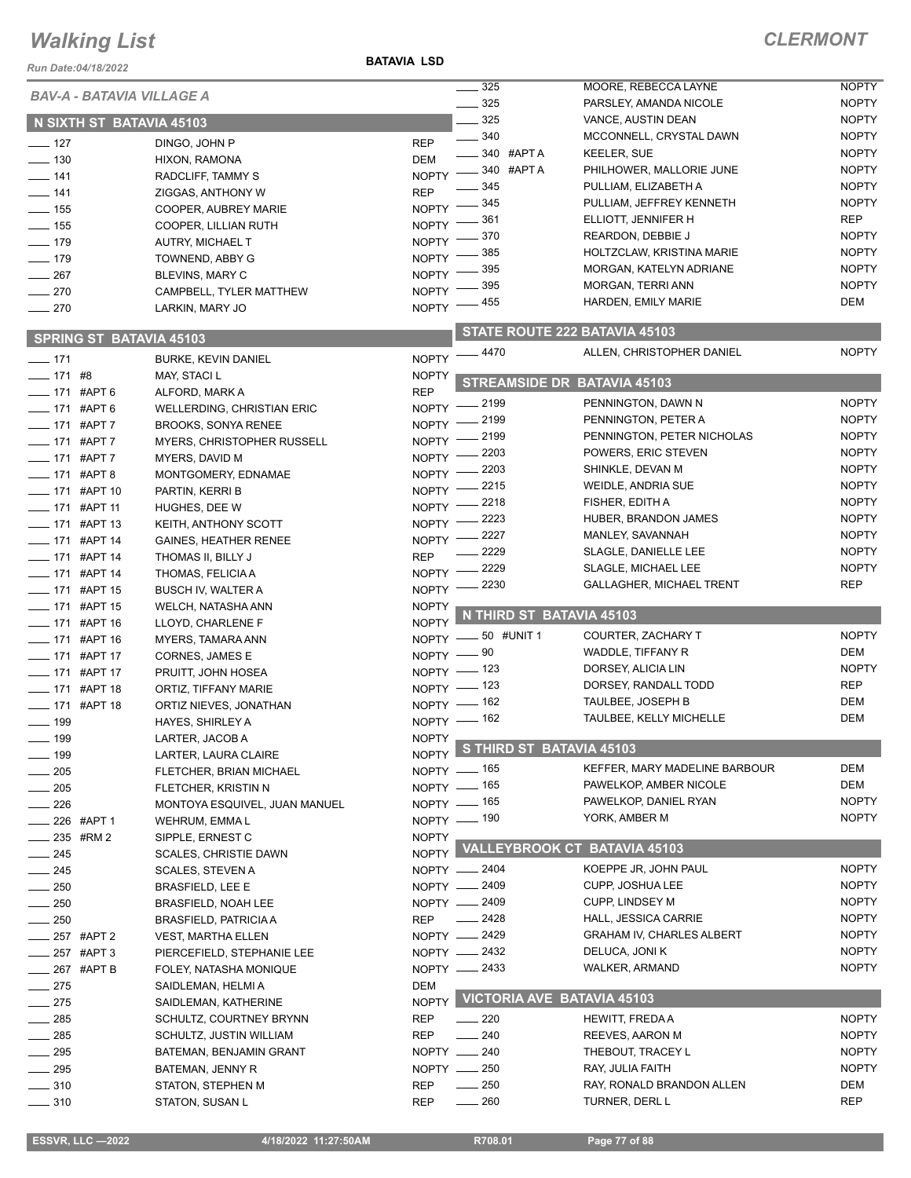*Run Date:04/18/2022*

**BATAVIA LSD**

|                                     | <b>BAV-A - BATAVIA VILLAGE A</b>  |              | 325                               | MOORE, REBECCA LAYNE               | <b>NOPTY</b> |
|-------------------------------------|-----------------------------------|--------------|-----------------------------------|------------------------------------|--------------|
|                                     |                                   |              | 325<br>$\overline{\phantom{a}}$   | PARSLEY, AMANDA NICOLE             | <b>NOPTY</b> |
|                                     | N SIXTH ST BATAVIA 45103          |              | $\frac{1}{2}$ 325                 | VANCE, AUSTIN DEAN                 | <b>NOPTY</b> |
| $- 127$                             | DINGO, JOHN P                     | <b>REP</b>   | $- 340$                           | MCCONNELL, CRYSTAL DAWN            | <b>NOPTY</b> |
| $\frac{1}{2}$ 130                   | HIXON, RAMONA                     | <b>DEM</b>   | $-340$ #APTA                      | <b>KEELER, SUE</b>                 | <b>NOPTY</b> |
| $- 141$                             | RADCLIFF, TAMMY S                 | <b>NOPTY</b> | — 340 #APT A                      | PHILHOWER, MALLORIE JUNE           | <b>NOPTY</b> |
| $- 141$                             | ZIGGAS, ANTHONY W                 | <b>REP</b>   | 345                               | PULLIAM, ELIZABETH A               | <b>NOPTY</b> |
| $\frac{1}{2}$ 155                   | COOPER, AUBREY MARIE              | <b>NOPTY</b> | 345                               | PULLIAM, JEFFREY KENNETH           | <b>NOPTY</b> |
| $\frac{1}{155}$                     |                                   | <b>NOPTY</b> | 361                               | ELLIOTT, JENNIFER H                | <b>REP</b>   |
| $- 179$                             | COOPER, LILLIAN RUTH              | <b>NOPTY</b> | 370                               | REARDON, DEBBIE J                  | <b>NOPTY</b> |
|                                     | AUTRY, MICHAEL T                  | <b>NOPTY</b> | 385                               | HOLTZCLAW, KRISTINA MARIE          | <b>NOPTY</b> |
| $- 179$                             | TOWNEND, ABBY G                   |              | 395                               | MORGAN, KATELYN ADRIANE            | <b>NOPTY</b> |
| $-267$                              | <b>BLEVINS, MARY C</b>            | <b>NOPTY</b> | 395                               | MORGAN, TERRI ANN                  | <b>NOPTY</b> |
| $-270$                              | CAMPBELL, TYLER MATTHEW           | <b>NOPTY</b> | 455                               | HARDEN, EMILY MARIE                | DEM          |
| $-270$                              | LARKIN, MARY JO                   | <b>NOPTY</b> |                                   |                                    |              |
|                                     | <b>SPRING ST BATAVIA 45103</b>    |              |                                   | STATE ROUTE 222 BATAVIA 45103      |              |
| $-171$                              | <b>BURKE, KEVIN DANIEL</b>        | <b>NOPTY</b> | $-4470$                           | ALLEN, CHRISTOPHER DANIEL          | <b>NOPTY</b> |
| $- 171$ #8                          | MAY, STACI L                      | <b>NOPTY</b> |                                   |                                    |              |
| $- 171$ #APT 6                      | ALFORD, MARK A                    | <b>REP</b>   |                                   | STREAMSIDE DR BATAVIA 45103        |              |
| $- 171$ #APT 6                      | <b>WELLERDING, CHRISTIAN ERIC</b> | <b>NOPTY</b> | _ 2199                            | PENNINGTON, DAWN N                 | <b>NOPTY</b> |
| ____ 171 #APT 7                     | <b>BROOKS, SONYA RENEE</b>        | NOPTY -      | 2199                              | PENNINGTON, PETER A                | <b>NOPTY</b> |
| -171 #APT 7                         | MYERS. CHRISTOPHER RUSSELL        | NOPTY -      | 2199                              | PENNINGTON, PETER NICHOLAS         | <b>NOPTY</b> |
| -171 #APT 7                         | MYERS, DAVID M                    | $NOPTY =$    | 2203                              | POWERS, ERIC STEVEN                | <b>NOPTY</b> |
|                                     |                                   | $N$ OPTY $-$ | 2203                              | SHINKLE, DEVAN M                   | <b>NOPTY</b> |
| $- 171$ #APT 8                      | MONTGOMERY, EDNAMAE               |              | 2215                              | WEIDLE, ANDRIA SUE                 | <b>NOPTY</b> |
| ___ 171 #APT 10                     | PARTIN, KERRI B                   | $N$ OPTY $-$ | 2218                              | FISHER, EDITH A                    | <b>NOPTY</b> |
| -171 #APT 11                        | HUGHES, DEE W                     | $N$ OPTY $-$ | 2223                              | HUBER, BRANDON JAMES               | <b>NOPTY</b> |
| <b>_____ 171 #APT 13</b>            | KEITH, ANTHONY SCOTT              | $N$ OPTY $-$ | $-2227$                           | MANLEY, SAVANNAH                   | <b>NOPTY</b> |
| -171 #APT 14                        | <b>GAINES, HEATHER RENEE</b>      | $N$ OPTY $-$ | 2229                              | SLAGLE, DANIELLE LEE               | <b>NOPTY</b> |
| -6 171 #APT 14                      | THOMAS II, BILLY J                | <b>REP</b>   |                                   |                                    | <b>NOPTY</b> |
| ___ 171 #APT 14                     | THOMAS, FELICIA A                 |              | NOPTY -2229                       | SLAGLE, MICHAEL LEE                |              |
| <b>_____ 171 #APT 15</b>            | <b>BUSCH IV, WALTER A</b>         | $N$ OPTY $-$ | 2230                              | <b>GALLAGHER, MICHAEL TRENT</b>    | <b>REP</b>   |
|                                     |                                   |              |                                   |                                    |              |
| __ 171 #APT 15                      | WELCH, NATASHA ANN                | <b>NOPTY</b> |                                   |                                    |              |
| ____ 171 #APT 16                    | LLOYD, CHARLENE F                 | <b>NOPTY</b> | N THIRD ST BATAVIA 45103          |                                    |              |
| ____ 171 #APT 16                    | MYERS, TAMARA ANN                 |              | NOPTY - 50 #UNIT 1                | COURTER, ZACHARY T                 | <b>NOPTY</b> |
|                                     | CORNES, JAMES E                   |              | NOPTY -80                         | WADDLE, TIFFANY R                  | DEM          |
| -171 #APT 17                        | PRUITT, JOHN HOSEA                |              | NOPTY - 123                       | DORSEY, ALICIA LIN                 | <b>NOPTY</b> |
| ____ 171 #APT 18                    | ORTIZ, TIFFANY MARIE              |              |                                   | DORSEY, RANDALL TODD               | <b>REP</b>   |
| ___ 171 #APT 17<br>____ 171 #APT 18 | ORTIZ NIEVES, JONATHAN            |              | NOPTY - 123                       | TAULBEE, JOSEPH B                  | <b>DEM</b>   |
|                                     |                                   |              | NOPTY - 162                       | TAULBEE, KELLY MICHELLE            | <b>DEM</b>   |
| $- 199$<br>199                      | HAYES, SHIRLEY A                  | $NOPTY =$    | NOPTY - 162                       |                                    |              |
|                                     | LARTER, JACOB A                   |              | S THIRD ST BATAVIA 45103          |                                    |              |
| $- 199$                             | LARTER, LAURA CLAIRE              | NOPTY        |                                   | KEFFER, MARY MADELINE BARBOUR      | DEM          |
| $\frac{1}{205}$                     | FLETCHER, BRIAN MICHAEL           |              | NOPTY - 165                       | PAWELKOP, AMBER NICOLE             | DEM          |
| $-205$                              | FLETCHER, KRISTIN N               |              | NOPTY - 165                       |                                    |              |
| $\frac{1}{226}$                     | MONTOYA ESQUIVEL, JUAN MANUEL     |              | NOPTY - 165                       | PAWELKOP, DANIEL RYAN              | <b>NOPTY</b> |
| $226$ #APT 1                        | WEHRUM, EMMA L                    |              | NOPTY - 190                       | YORK, AMBER M                      | <b>NOPTY</b> |
| $235$ #RM 2                         | SIPPLE, ERNEST C                  | <b>NOPTY</b> |                                   |                                    |              |
| $\frac{1}{245}$                     | <b>SCALES, CHRISTIE DAWN</b>      |              |                                   | NOPTY VALLEYBROOK CT BATAVIA 45103 |              |
| $\frac{1}{245}$                     | SCALES, STEVEN A                  |              | NOPTY - 2404                      | KOEPPE JR, JOHN PAUL               | <b>NOPTY</b> |
| $\frac{1}{250}$                     | <b>BRASFIELD, LEE E</b>           |              | NOPTY - 2409                      | <b>CUPP, JOSHUA LEE</b>            | <b>NOPTY</b> |
| $-250$                              | <b>BRASFIELD, NOAH LEE</b>        |              | NOPTY - 2409                      | <b>CUPP, LINDSEY M</b>             | <b>NOPTY</b> |
| $\frac{1}{250}$                     | <b>BRASFIELD, PATRICIA A</b>      | REP          | $-2428$                           | HALL, JESSICA CARRIE               | <b>NOPTY</b> |
| ____ 257 #APT 2                     | <b>VEST, MARTHA ELLEN</b>         |              | NOPTY - 2429                      | <b>GRAHAM IV, CHARLES ALBERT</b>   | <b>NOPTY</b> |
| __ 257 #APT 3                       | PIERCEFIELD, STEPHANIE LEE        |              | NOPTY - 2432                      | DELUCA, JONI K                     | <b>NOPTY</b> |
| <b>_____ 267 #APT B</b>             | FOLEY, NATASHA MONIQUE            |              | NOPTY -2433                       | <b>WALKER, ARMAND</b>              | <b>NOPTY</b> |
| $-275$                              | SAIDLEMAN, HELMI A                | DEM          |                                   |                                    |              |
| $-275$                              | SAIDLEMAN, KATHERINE              | <b>NOPTY</b> | <b>VICTORIA AVE BATAVIA 45103</b> |                                    |              |
| $-285$                              | SCHULTZ, COURTNEY BRYNN           | <b>REP</b>   | $\frac{1}{220}$                   | HEWITT, FREDAA                     | <b>NOPTY</b> |
| $\frac{1}{285}$                     | SCHULTZ, JUSTIN WILLIAM           | <b>REP</b>   | $\frac{1}{240}$                   | REEVES, AARON M                    | <b>NOPTY</b> |
| $\frac{1}{2}$ 295                   | BATEMAN, BENJAMIN GRANT           |              | NOPTY __ 240                      | THEBOUT, TRACEY L                  | <b>NOPTY</b> |
| $\frac{1}{2}$ 295                   | BATEMAN, JENNY R                  |              | NOPTY __ 250                      | RAY, JULIA FAITH                   | <b>NOPTY</b> |
| $\frac{1}{2}$ 310                   | STATON, STEPHEN M                 | REP          | $\frac{1}{250}$                   | RAY, RONALD BRANDON ALLEN          | DEM          |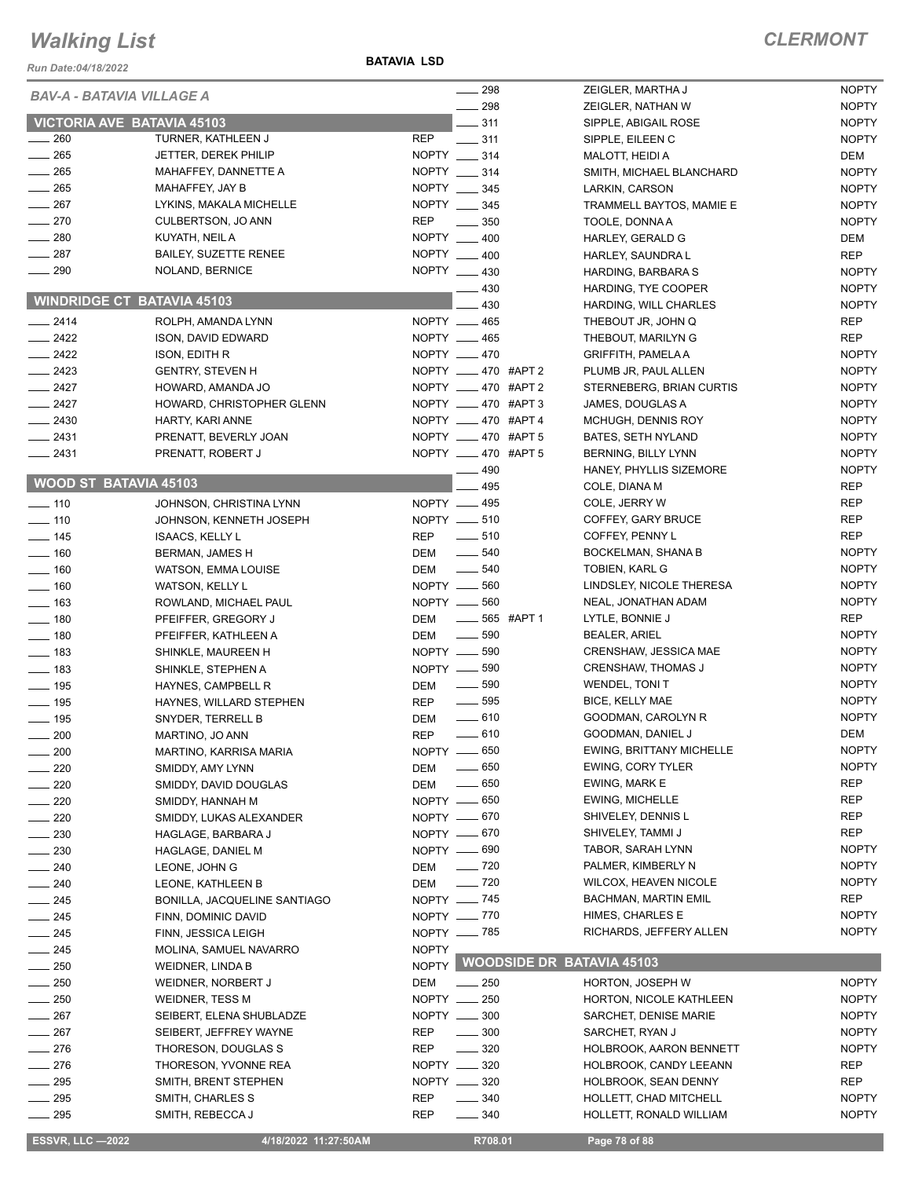*Run Date:04/18/2022*

**BATAVIA LSD**

| <b>BAV-A - BATAVIA VILLAGE A</b><br>298<br><b>NOPTY</b><br>ZEIGLER, NATHAN W<br><b>VICTORIA AVE BATAVIA 45103</b><br>$- 311$<br><b>NOPTY</b><br>SIPPLE, ABIGAIL ROSE<br>$-260$<br>TURNER, KATHLEEN J<br>REP<br>$\frac{1}{2}$ 311<br><b>NOPTY</b><br>SIPPLE, EILEEN C<br>$-265$<br>NOPTY __ 314<br>JETTER, DEREK PHILIP<br>DEM<br>MALOTT, HEIDI A<br>265<br>NOPTY __ 314<br>MAHAFFEY, DANNETTE A<br>SMITH, MICHAEL BLANCHARD<br><b>NOPTY</b><br>$\frac{1}{265}$<br>NOPTY __ 345<br>MAHAFFEY, JAY B<br><b>NOPTY</b><br>LARKIN, CARSON<br>$\frac{1}{267}$<br>NOPTY __ 345<br>LYKINS, MAKALA MICHELLE<br><b>NOPTY</b><br>TRAMMELL BAYTOS, MAMIE E<br>$-270$<br><b>REP</b><br>CULBERTSON, JO ANN<br>$\frac{1}{2}$ 350<br><b>NOPTY</b><br>TOOLE, DONNA A<br>$\frac{1}{280}$<br>NOPTY __ 400<br>KUYATH, NEIL A<br><b>DEM</b><br>HARLEY, GERALD G<br>287<br>NOPTY __ 400<br><b>BAILEY, SUZETTE RENEE</b><br><b>REP</b><br>HARLEY, SAUNDRA L<br>$\frac{1}{290}$<br>NOPTY __ 430<br>NOLAND, BERNICE<br><b>NOPTY</b><br>HARDING, BARBARA S<br>$-430$<br><b>NOPTY</b><br>HARDING, TYE COOPER<br><b>WINDRIDGE CT BATAVIA 45103</b><br>430<br><b>NOPTY</b><br>HARDING, WILL CHARLES<br>NOPTY __ 465<br>$-2414$<br><b>REP</b><br>ROLPH, AMANDA LYNN<br>THEBOUT JR, JOHN Q<br>$-2422$<br>NOPTY __ 465<br><b>REP</b><br>ISON, DAVID EDWARD<br>THEBOUT, MARILYN G<br>$\frac{1}{2422}$<br>NOPTY __ 470<br><b>NOPTY</b><br><b>ISON, EDITH R</b><br><b>GRIFFITH, PAMELA A</b><br>$\equiv$ 2423<br>NOPTY __ 470 #APT 2<br><b>NOPTY</b><br><b>GENTRY, STEVEN H</b><br>PLUMB JR, PAUL ALLEN<br>$\frac{2427}{5}$<br>NOPTY _____ 470 #APT 2<br><b>NOPTY</b><br>HOWARD, AMANDA JO<br>STERNEBERG, BRIAN CURTIS<br>NOPTY __ 470 #APT 3<br>$-2427$<br><b>NOPTY</b><br>HOWARD, CHRISTOPHER GLENN<br>JAMES, DOUGLAS A<br>NOPTY __ 470 #APT 4<br>$\frac{1}{2430}$<br>MCHUGH, DENNIS ROY<br><b>NOPTY</b><br>HARTY, KARI ANNE<br>$-2431$<br>NOPTY __ 470 #APT 5<br><b>NOPTY</b><br>PRENATT, BEVERLY JOAN<br>BATES, SETH NYLAND<br>NOPTY __ 470 #APT 5<br>$-2431$<br><b>NOPTY</b><br>PRENATT, ROBERT J<br>BERNING, BILLY LYNN<br>490<br><b>NOPTY</b><br>HANEY, PHYLLIS SIZEMORE<br><b>WOOD ST BATAVIA 45103</b><br>495<br><b>REP</b><br>COLE, DIANA M<br>NOPTY - 495<br><b>REP</b><br>COLE, JERRY W<br>$\frac{1}{2}$ 110<br>JOHNSON, CHRISTINA LYNN<br>NOPTY __ 510<br><b>REP</b><br>$\frac{1}{2}$ 110<br>COFFEY, GARY BRUCE<br>JOHNSON, KENNETH JOSEPH<br>$\sim$ 510<br><b>REP</b><br><b>REP</b><br>COFFEY, PENNY L<br>$\frac{1}{2}$ 145<br><b>ISAACS, KELLY L</b><br>$\frac{1}{2}$ 540<br><b>NOPTY</b><br>BOCKELMAN, SHANA B<br>$\frac{1}{160}$<br>DEM<br>BERMAN, JAMES H<br>$\frac{1}{2}$ 540<br><b>NOPTY</b><br><b>DEM</b><br>TOBIEN, KARL G<br>$- 160$<br>WATSON, EMMA LOUISE<br>NOPTY -60<br><b>NOPTY</b><br>LINDSLEY, NICOLE THERESA<br>$\frac{1}{160}$<br><b>WATSON, KELLY L</b><br>NOPTY -60<br><b>NOPTY</b><br>NEAL, JONATHAN ADAM<br>$\frac{1}{2}$ 163<br>ROWLAND, MICHAEL PAUL<br>$- 565$ #APT 1<br><b>REP</b><br><b>DEM</b><br>LYTLE, BONNIE J<br>$- 180$<br>PFEIFFER, GREGORY J<br>$\frac{1}{2}$ 590<br><b>NOPTY</b><br>$- 180$<br>DEM<br><b>BEALER, ARIEL</b><br>PFEIFFER, KATHLEEN A<br>NOPTY -690<br><b>NOPTY</b><br>CRENSHAW, JESSICA MAE<br>$\frac{1}{2}$ 183<br>SHINKLE, MAUREEN H<br>NOPTY -890<br><b>NOPTY</b><br><b>CRENSHAW, THOMAS J</b><br>$\frac{1}{2}$ 183<br>SHINKLE, STEPHEN A<br>$\frac{1}{2}$ 590<br><b>NOPTY</b><br>WENDEL, TONI T<br>$\frac{1}{2}$ 195<br>DEM<br>HAYNES, CAMPBELL R<br>$\frac{1}{2}$ 595<br><b>NOPTY</b><br><b>BICE, KELLY MAE</b><br>$\frac{1}{2}$ 195<br><b>REP</b><br>HAYNES, WILLARD STEPHEN<br>$-610$<br><b>NOPTY</b><br>GOODMAN, CAROLYN R<br>$- 195$<br><b>DEM</b><br>SNYDER, TERRELL B<br>$-610$<br><b>DEM</b><br><b>REP</b><br>GOODMAN, DANIEL J<br>$- 200$<br>MARTINO, JO ANN<br>EWING, BRITTANY MICHELLE<br><b>NOPTY</b><br>NOPTY -650<br>200<br>MARTINO, KARRISA MARIA<br>$\frac{1}{2}$ 650<br><b>NOPTY</b><br>EWING, CORY TYLER<br>220<br>DEM<br>SMIDDY, AMY LYNN<br><b>REP</b><br>$\frac{1}{2}$ 650<br>EWING, MARK E<br>220<br>DEM<br>SMIDDY, DAVID DOUGLAS<br>NOPTY __ 650<br>REP<br><b>EWING, MICHELLE</b><br>220<br>SMIDDY, HANNAH M<br>NOPTY __ 670<br>SHIVELEY, DENNIS L<br>REP<br>$\sim$ 220<br>SMIDDY, LUKAS ALEXANDER<br><b>REP</b><br>NOPTY -670<br>SHIVELEY, TAMMI J<br>230<br>HAGLAGE, BARBARA J<br>NOPTY __ 690<br><b>NOPTY</b><br>$-230$<br>TABOR, SARAH LYNN<br>HAGLAGE, DANIEL M<br>$\frac{1}{2}$ 720<br><b>NOPTY</b><br>$-240$<br>DEM<br>PALMER, KIMBERLY N<br>LEONE, JOHN G<br>$\frac{1}{2}$ 720<br><b>NOPTY</b><br>WILCOX, HEAVEN NICOLE<br>$\frac{240}{2}$<br>LEONE, KATHLEEN B<br>DEM<br>NOPTY - 745<br>REP<br>$\sim$ 245<br>BACHMAN, MARTIN EMIL<br>BONILLA, JACQUELINE SANTIAGO<br><b>NOPTY</b><br>NOPTY __ 770<br><b>HIMES, CHARLES E</b><br>$\frac{1}{245}$<br>FINN, DOMINIC DAVID<br><b>NOPTY</b><br>RICHARDS, JEFFERY ALLEN<br>NOPTY __ 785<br>$-245$<br>FINN, JESSICA LEIGH<br><b>NOPTY</b><br>$-245$<br>MOLINA, SAMUEL NAVARRO<br><b>WOODSIDE DR BATAVIA 45103</b><br><b>NOPTY</b><br>$-250$<br>WEIDNER, LINDA B<br>250<br>DEM<br>$\frac{1}{250}$<br><b>NOPTY</b><br><b>HORTON, JOSEPH W</b><br>WEIDNER, NORBERT J<br>$-250$<br>NOPTY __ 250<br>WEIDNER, TESS M<br>HORTON, NICOLE KATHLEEN<br><b>NOPTY</b><br>NOPTY __ 300<br>267<br><b>NOPTY</b><br>SEIBERT, ELENA SHUBLADZE<br>SARCHET, DENISE MARIE<br>267<br>$\frac{1}{2}$ 300<br>SEIBERT, JEFFREY WAYNE<br><b>REP</b><br>SARCHET, RYAN J<br><b>NOPTY</b><br>276<br>THORESON, DOUGLAS S<br><b>REP</b><br>$\frac{1}{2}$ 320<br><b>NOPTY</b><br>HOLBROOK, AARON BENNETT<br>276<br>NOPTY __ 320<br><b>REP</b><br>THORESON, YVONNE REA<br>HOLBROOK, CANDY LEEANN<br>$-295$<br>NOPTY __ 320<br>SMITH, BRENT STEPHEN<br>HOLBROOK, SEAN DENNY<br>REP<br>$\frac{1}{2}$ 295<br>$\frac{1}{2}$ 340<br>SMITH, CHARLES S<br>REP<br>HOLLETT, CHAD MITCHELL<br><b>NOPTY</b><br>$\sim$ 295<br><b>REP</b><br>$\frac{1}{2}$ 340<br>HOLLETT, RONALD WILLIAM<br><b>NOPTY</b><br>SMITH, REBECCA J<br><b>ESSVR, LLC -2022</b><br>4/18/2022 11:27:50AM<br>R708.01<br>Page 78 of 88 |  | $\frac{1}{298}$ | ZEIGLER, MARTHA J | <b>NOPTY</b> |
|-------------------------------------------------------------------------------------------------------------------------------------------------------------------------------------------------------------------------------------------------------------------------------------------------------------------------------------------------------------------------------------------------------------------------------------------------------------------------------------------------------------------------------------------------------------------------------------------------------------------------------------------------------------------------------------------------------------------------------------------------------------------------------------------------------------------------------------------------------------------------------------------------------------------------------------------------------------------------------------------------------------------------------------------------------------------------------------------------------------------------------------------------------------------------------------------------------------------------------------------------------------------------------------------------------------------------------------------------------------------------------------------------------------------------------------------------------------------------------------------------------------------------------------------------------------------------------------------------------------------------------------------------------------------------------------------------------------------------------------------------------------------------------------------------------------------------------------------------------------------------------------------------------------------------------------------------------------------------------------------------------------------------------------------------------------------------------------------------------------------------------------------------------------------------------------------------------------------------------------------------------------------------------------------------------------------------------------------------------------------------------------------------------------------------------------------------------------------------------------------------------------------------------------------------------------------------------------------------------------------------------------------------------------------------------------------------------------------------------------------------------------------------------------------------------------------------------------------------------------------------------------------------------------------------------------------------------------------------------------------------------------------------------------------------------------------------------------------------------------------------------------------------------------------------------------------------------------------------------------------------------------------------------------------------------------------------------------------------------------------------------------------------------------------------------------------------------------------------------------------------------------------------------------------------------------------------------------------------------------------------------------------------------------------------------------------------------------------------------------------------------------------------------------------------------------------------------------------------------------------------------------------------------------------------------------------------------------------------------------------------------------------------------------------------------------------------------------------------------------------------------------------------------------------------------------------------------------------------------------------------------------------------------------------------------------------------------------------------------------------------------------------------------------------------------------------------------------------------------------------------------------------------------------------------------------------------------------------------------------------------------------------------------------------------------------------------------------------------------------------------------------------------------------------------------------------------------------------------------------------------------------------------------------------------------------------------------------------------------------------------------------------------------------------------------------------------------------------------------------------------------------------------------------------------------------------------------------------------------------------------------------------------------------------------------------------------------------------------------------------------------------------------------------------------------------------------------------------------------------------------------------------------------------------------------------------------------------------------------------------------------------------------------------------------------------------------------------------------------------------------------------------------------------------------------------------------------------------------------------------------------------------------------------------------------------------------------------------------------------------------------------------------------------------------------------------------|--|-----------------|-------------------|--------------|
|                                                                                                                                                                                                                                                                                                                                                                                                                                                                                                                                                                                                                                                                                                                                                                                                                                                                                                                                                                                                                                                                                                                                                                                                                                                                                                                                                                                                                                                                                                                                                                                                                                                                                                                                                                                                                                                                                                                                                                                                                                                                                                                                                                                                                                                                                                                                                                                                                                                                                                                                                                                                                                                                                                                                                                                                                                                                                                                                                                                                                                                                                                                                                                                                                                                                                                                                                                                                                                                                                                                                                                                                                                                                                                                                                                                                                                                                                                                                                                                                                                                                                                                                                                                                                                                                                                                                                                                                                                                                                                                                                                                                                                                                                                                                                                                                                                                                                                                                                                                                                                                                                                                                                                                                                                                                                                                                                                                                                                                                                                                                                                                                                                                                                                                                                                                                                                                                                                                                                                                                                                                                         |  |                 |                   |              |
|                                                                                                                                                                                                                                                                                                                                                                                                                                                                                                                                                                                                                                                                                                                                                                                                                                                                                                                                                                                                                                                                                                                                                                                                                                                                                                                                                                                                                                                                                                                                                                                                                                                                                                                                                                                                                                                                                                                                                                                                                                                                                                                                                                                                                                                                                                                                                                                                                                                                                                                                                                                                                                                                                                                                                                                                                                                                                                                                                                                                                                                                                                                                                                                                                                                                                                                                                                                                                                                                                                                                                                                                                                                                                                                                                                                                                                                                                                                                                                                                                                                                                                                                                                                                                                                                                                                                                                                                                                                                                                                                                                                                                                                                                                                                                                                                                                                                                                                                                                                                                                                                                                                                                                                                                                                                                                                                                                                                                                                                                                                                                                                                                                                                                                                                                                                                                                                                                                                                                                                                                                                                         |  |                 |                   |              |
|                                                                                                                                                                                                                                                                                                                                                                                                                                                                                                                                                                                                                                                                                                                                                                                                                                                                                                                                                                                                                                                                                                                                                                                                                                                                                                                                                                                                                                                                                                                                                                                                                                                                                                                                                                                                                                                                                                                                                                                                                                                                                                                                                                                                                                                                                                                                                                                                                                                                                                                                                                                                                                                                                                                                                                                                                                                                                                                                                                                                                                                                                                                                                                                                                                                                                                                                                                                                                                                                                                                                                                                                                                                                                                                                                                                                                                                                                                                                                                                                                                                                                                                                                                                                                                                                                                                                                                                                                                                                                                                                                                                                                                                                                                                                                                                                                                                                                                                                                                                                                                                                                                                                                                                                                                                                                                                                                                                                                                                                                                                                                                                                                                                                                                                                                                                                                                                                                                                                                                                                                                                                         |  |                 |                   |              |
|                                                                                                                                                                                                                                                                                                                                                                                                                                                                                                                                                                                                                                                                                                                                                                                                                                                                                                                                                                                                                                                                                                                                                                                                                                                                                                                                                                                                                                                                                                                                                                                                                                                                                                                                                                                                                                                                                                                                                                                                                                                                                                                                                                                                                                                                                                                                                                                                                                                                                                                                                                                                                                                                                                                                                                                                                                                                                                                                                                                                                                                                                                                                                                                                                                                                                                                                                                                                                                                                                                                                                                                                                                                                                                                                                                                                                                                                                                                                                                                                                                                                                                                                                                                                                                                                                                                                                                                                                                                                                                                                                                                                                                                                                                                                                                                                                                                                                                                                                                                                                                                                                                                                                                                                                                                                                                                                                                                                                                                                                                                                                                                                                                                                                                                                                                                                                                                                                                                                                                                                                                                                         |  |                 |                   |              |
|                                                                                                                                                                                                                                                                                                                                                                                                                                                                                                                                                                                                                                                                                                                                                                                                                                                                                                                                                                                                                                                                                                                                                                                                                                                                                                                                                                                                                                                                                                                                                                                                                                                                                                                                                                                                                                                                                                                                                                                                                                                                                                                                                                                                                                                                                                                                                                                                                                                                                                                                                                                                                                                                                                                                                                                                                                                                                                                                                                                                                                                                                                                                                                                                                                                                                                                                                                                                                                                                                                                                                                                                                                                                                                                                                                                                                                                                                                                                                                                                                                                                                                                                                                                                                                                                                                                                                                                                                                                                                                                                                                                                                                                                                                                                                                                                                                                                                                                                                                                                                                                                                                                                                                                                                                                                                                                                                                                                                                                                                                                                                                                                                                                                                                                                                                                                                                                                                                                                                                                                                                                                         |  |                 |                   |              |
|                                                                                                                                                                                                                                                                                                                                                                                                                                                                                                                                                                                                                                                                                                                                                                                                                                                                                                                                                                                                                                                                                                                                                                                                                                                                                                                                                                                                                                                                                                                                                                                                                                                                                                                                                                                                                                                                                                                                                                                                                                                                                                                                                                                                                                                                                                                                                                                                                                                                                                                                                                                                                                                                                                                                                                                                                                                                                                                                                                                                                                                                                                                                                                                                                                                                                                                                                                                                                                                                                                                                                                                                                                                                                                                                                                                                                                                                                                                                                                                                                                                                                                                                                                                                                                                                                                                                                                                                                                                                                                                                                                                                                                                                                                                                                                                                                                                                                                                                                                                                                                                                                                                                                                                                                                                                                                                                                                                                                                                                                                                                                                                                                                                                                                                                                                                                                                                                                                                                                                                                                                                                         |  |                 |                   |              |
|                                                                                                                                                                                                                                                                                                                                                                                                                                                                                                                                                                                                                                                                                                                                                                                                                                                                                                                                                                                                                                                                                                                                                                                                                                                                                                                                                                                                                                                                                                                                                                                                                                                                                                                                                                                                                                                                                                                                                                                                                                                                                                                                                                                                                                                                                                                                                                                                                                                                                                                                                                                                                                                                                                                                                                                                                                                                                                                                                                                                                                                                                                                                                                                                                                                                                                                                                                                                                                                                                                                                                                                                                                                                                                                                                                                                                                                                                                                                                                                                                                                                                                                                                                                                                                                                                                                                                                                                                                                                                                                                                                                                                                                                                                                                                                                                                                                                                                                                                                                                                                                                                                                                                                                                                                                                                                                                                                                                                                                                                                                                                                                                                                                                                                                                                                                                                                                                                                                                                                                                                                                                         |  |                 |                   |              |
|                                                                                                                                                                                                                                                                                                                                                                                                                                                                                                                                                                                                                                                                                                                                                                                                                                                                                                                                                                                                                                                                                                                                                                                                                                                                                                                                                                                                                                                                                                                                                                                                                                                                                                                                                                                                                                                                                                                                                                                                                                                                                                                                                                                                                                                                                                                                                                                                                                                                                                                                                                                                                                                                                                                                                                                                                                                                                                                                                                                                                                                                                                                                                                                                                                                                                                                                                                                                                                                                                                                                                                                                                                                                                                                                                                                                                                                                                                                                                                                                                                                                                                                                                                                                                                                                                                                                                                                                                                                                                                                                                                                                                                                                                                                                                                                                                                                                                                                                                                                                                                                                                                                                                                                                                                                                                                                                                                                                                                                                                                                                                                                                                                                                                                                                                                                                                                                                                                                                                                                                                                                                         |  |                 |                   |              |
|                                                                                                                                                                                                                                                                                                                                                                                                                                                                                                                                                                                                                                                                                                                                                                                                                                                                                                                                                                                                                                                                                                                                                                                                                                                                                                                                                                                                                                                                                                                                                                                                                                                                                                                                                                                                                                                                                                                                                                                                                                                                                                                                                                                                                                                                                                                                                                                                                                                                                                                                                                                                                                                                                                                                                                                                                                                                                                                                                                                                                                                                                                                                                                                                                                                                                                                                                                                                                                                                                                                                                                                                                                                                                                                                                                                                                                                                                                                                                                                                                                                                                                                                                                                                                                                                                                                                                                                                                                                                                                                                                                                                                                                                                                                                                                                                                                                                                                                                                                                                                                                                                                                                                                                                                                                                                                                                                                                                                                                                                                                                                                                                                                                                                                                                                                                                                                                                                                                                                                                                                                                                         |  |                 |                   |              |
|                                                                                                                                                                                                                                                                                                                                                                                                                                                                                                                                                                                                                                                                                                                                                                                                                                                                                                                                                                                                                                                                                                                                                                                                                                                                                                                                                                                                                                                                                                                                                                                                                                                                                                                                                                                                                                                                                                                                                                                                                                                                                                                                                                                                                                                                                                                                                                                                                                                                                                                                                                                                                                                                                                                                                                                                                                                                                                                                                                                                                                                                                                                                                                                                                                                                                                                                                                                                                                                                                                                                                                                                                                                                                                                                                                                                                                                                                                                                                                                                                                                                                                                                                                                                                                                                                                                                                                                                                                                                                                                                                                                                                                                                                                                                                                                                                                                                                                                                                                                                                                                                                                                                                                                                                                                                                                                                                                                                                                                                                                                                                                                                                                                                                                                                                                                                                                                                                                                                                                                                                                                                         |  |                 |                   |              |
|                                                                                                                                                                                                                                                                                                                                                                                                                                                                                                                                                                                                                                                                                                                                                                                                                                                                                                                                                                                                                                                                                                                                                                                                                                                                                                                                                                                                                                                                                                                                                                                                                                                                                                                                                                                                                                                                                                                                                                                                                                                                                                                                                                                                                                                                                                                                                                                                                                                                                                                                                                                                                                                                                                                                                                                                                                                                                                                                                                                                                                                                                                                                                                                                                                                                                                                                                                                                                                                                                                                                                                                                                                                                                                                                                                                                                                                                                                                                                                                                                                                                                                                                                                                                                                                                                                                                                                                                                                                                                                                                                                                                                                                                                                                                                                                                                                                                                                                                                                                                                                                                                                                                                                                                                                                                                                                                                                                                                                                                                                                                                                                                                                                                                                                                                                                                                                                                                                                                                                                                                                                                         |  |                 |                   |              |
|                                                                                                                                                                                                                                                                                                                                                                                                                                                                                                                                                                                                                                                                                                                                                                                                                                                                                                                                                                                                                                                                                                                                                                                                                                                                                                                                                                                                                                                                                                                                                                                                                                                                                                                                                                                                                                                                                                                                                                                                                                                                                                                                                                                                                                                                                                                                                                                                                                                                                                                                                                                                                                                                                                                                                                                                                                                                                                                                                                                                                                                                                                                                                                                                                                                                                                                                                                                                                                                                                                                                                                                                                                                                                                                                                                                                                                                                                                                                                                                                                                                                                                                                                                                                                                                                                                                                                                                                                                                                                                                                                                                                                                                                                                                                                                                                                                                                                                                                                                                                                                                                                                                                                                                                                                                                                                                                                                                                                                                                                                                                                                                                                                                                                                                                                                                                                                                                                                                                                                                                                                                                         |  |                 |                   |              |
|                                                                                                                                                                                                                                                                                                                                                                                                                                                                                                                                                                                                                                                                                                                                                                                                                                                                                                                                                                                                                                                                                                                                                                                                                                                                                                                                                                                                                                                                                                                                                                                                                                                                                                                                                                                                                                                                                                                                                                                                                                                                                                                                                                                                                                                                                                                                                                                                                                                                                                                                                                                                                                                                                                                                                                                                                                                                                                                                                                                                                                                                                                                                                                                                                                                                                                                                                                                                                                                                                                                                                                                                                                                                                                                                                                                                                                                                                                                                                                                                                                                                                                                                                                                                                                                                                                                                                                                                                                                                                                                                                                                                                                                                                                                                                                                                                                                                                                                                                                                                                                                                                                                                                                                                                                                                                                                                                                                                                                                                                                                                                                                                                                                                                                                                                                                                                                                                                                                                                                                                                                                                         |  |                 |                   |              |
|                                                                                                                                                                                                                                                                                                                                                                                                                                                                                                                                                                                                                                                                                                                                                                                                                                                                                                                                                                                                                                                                                                                                                                                                                                                                                                                                                                                                                                                                                                                                                                                                                                                                                                                                                                                                                                                                                                                                                                                                                                                                                                                                                                                                                                                                                                                                                                                                                                                                                                                                                                                                                                                                                                                                                                                                                                                                                                                                                                                                                                                                                                                                                                                                                                                                                                                                                                                                                                                                                                                                                                                                                                                                                                                                                                                                                                                                                                                                                                                                                                                                                                                                                                                                                                                                                                                                                                                                                                                                                                                                                                                                                                                                                                                                                                                                                                                                                                                                                                                                                                                                                                                                                                                                                                                                                                                                                                                                                                                                                                                                                                                                                                                                                                                                                                                                                                                                                                                                                                                                                                                                         |  |                 |                   |              |
|                                                                                                                                                                                                                                                                                                                                                                                                                                                                                                                                                                                                                                                                                                                                                                                                                                                                                                                                                                                                                                                                                                                                                                                                                                                                                                                                                                                                                                                                                                                                                                                                                                                                                                                                                                                                                                                                                                                                                                                                                                                                                                                                                                                                                                                                                                                                                                                                                                                                                                                                                                                                                                                                                                                                                                                                                                                                                                                                                                                                                                                                                                                                                                                                                                                                                                                                                                                                                                                                                                                                                                                                                                                                                                                                                                                                                                                                                                                                                                                                                                                                                                                                                                                                                                                                                                                                                                                                                                                                                                                                                                                                                                                                                                                                                                                                                                                                                                                                                                                                                                                                                                                                                                                                                                                                                                                                                                                                                                                                                                                                                                                                                                                                                                                                                                                                                                                                                                                                                                                                                                                                         |  |                 |                   |              |
|                                                                                                                                                                                                                                                                                                                                                                                                                                                                                                                                                                                                                                                                                                                                                                                                                                                                                                                                                                                                                                                                                                                                                                                                                                                                                                                                                                                                                                                                                                                                                                                                                                                                                                                                                                                                                                                                                                                                                                                                                                                                                                                                                                                                                                                                                                                                                                                                                                                                                                                                                                                                                                                                                                                                                                                                                                                                                                                                                                                                                                                                                                                                                                                                                                                                                                                                                                                                                                                                                                                                                                                                                                                                                                                                                                                                                                                                                                                                                                                                                                                                                                                                                                                                                                                                                                                                                                                                                                                                                                                                                                                                                                                                                                                                                                                                                                                                                                                                                                                                                                                                                                                                                                                                                                                                                                                                                                                                                                                                                                                                                                                                                                                                                                                                                                                                                                                                                                                                                                                                                                                                         |  |                 |                   |              |
|                                                                                                                                                                                                                                                                                                                                                                                                                                                                                                                                                                                                                                                                                                                                                                                                                                                                                                                                                                                                                                                                                                                                                                                                                                                                                                                                                                                                                                                                                                                                                                                                                                                                                                                                                                                                                                                                                                                                                                                                                                                                                                                                                                                                                                                                                                                                                                                                                                                                                                                                                                                                                                                                                                                                                                                                                                                                                                                                                                                                                                                                                                                                                                                                                                                                                                                                                                                                                                                                                                                                                                                                                                                                                                                                                                                                                                                                                                                                                                                                                                                                                                                                                                                                                                                                                                                                                                                                                                                                                                                                                                                                                                                                                                                                                                                                                                                                                                                                                                                                                                                                                                                                                                                                                                                                                                                                                                                                                                                                                                                                                                                                                                                                                                                                                                                                                                                                                                                                                                                                                                                                         |  |                 |                   |              |
|                                                                                                                                                                                                                                                                                                                                                                                                                                                                                                                                                                                                                                                                                                                                                                                                                                                                                                                                                                                                                                                                                                                                                                                                                                                                                                                                                                                                                                                                                                                                                                                                                                                                                                                                                                                                                                                                                                                                                                                                                                                                                                                                                                                                                                                                                                                                                                                                                                                                                                                                                                                                                                                                                                                                                                                                                                                                                                                                                                                                                                                                                                                                                                                                                                                                                                                                                                                                                                                                                                                                                                                                                                                                                                                                                                                                                                                                                                                                                                                                                                                                                                                                                                                                                                                                                                                                                                                                                                                                                                                                                                                                                                                                                                                                                                                                                                                                                                                                                                                                                                                                                                                                                                                                                                                                                                                                                                                                                                                                                                                                                                                                                                                                                                                                                                                                                                                                                                                                                                                                                                                                         |  |                 |                   |              |
|                                                                                                                                                                                                                                                                                                                                                                                                                                                                                                                                                                                                                                                                                                                                                                                                                                                                                                                                                                                                                                                                                                                                                                                                                                                                                                                                                                                                                                                                                                                                                                                                                                                                                                                                                                                                                                                                                                                                                                                                                                                                                                                                                                                                                                                                                                                                                                                                                                                                                                                                                                                                                                                                                                                                                                                                                                                                                                                                                                                                                                                                                                                                                                                                                                                                                                                                                                                                                                                                                                                                                                                                                                                                                                                                                                                                                                                                                                                                                                                                                                                                                                                                                                                                                                                                                                                                                                                                                                                                                                                                                                                                                                                                                                                                                                                                                                                                                                                                                                                                                                                                                                                                                                                                                                                                                                                                                                                                                                                                                                                                                                                                                                                                                                                                                                                                                                                                                                                                                                                                                                                                         |  |                 |                   |              |
|                                                                                                                                                                                                                                                                                                                                                                                                                                                                                                                                                                                                                                                                                                                                                                                                                                                                                                                                                                                                                                                                                                                                                                                                                                                                                                                                                                                                                                                                                                                                                                                                                                                                                                                                                                                                                                                                                                                                                                                                                                                                                                                                                                                                                                                                                                                                                                                                                                                                                                                                                                                                                                                                                                                                                                                                                                                                                                                                                                                                                                                                                                                                                                                                                                                                                                                                                                                                                                                                                                                                                                                                                                                                                                                                                                                                                                                                                                                                                                                                                                                                                                                                                                                                                                                                                                                                                                                                                                                                                                                                                                                                                                                                                                                                                                                                                                                                                                                                                                                                                                                                                                                                                                                                                                                                                                                                                                                                                                                                                                                                                                                                                                                                                                                                                                                                                                                                                                                                                                                                                                                                         |  |                 |                   |              |
|                                                                                                                                                                                                                                                                                                                                                                                                                                                                                                                                                                                                                                                                                                                                                                                                                                                                                                                                                                                                                                                                                                                                                                                                                                                                                                                                                                                                                                                                                                                                                                                                                                                                                                                                                                                                                                                                                                                                                                                                                                                                                                                                                                                                                                                                                                                                                                                                                                                                                                                                                                                                                                                                                                                                                                                                                                                                                                                                                                                                                                                                                                                                                                                                                                                                                                                                                                                                                                                                                                                                                                                                                                                                                                                                                                                                                                                                                                                                                                                                                                                                                                                                                                                                                                                                                                                                                                                                                                                                                                                                                                                                                                                                                                                                                                                                                                                                                                                                                                                                                                                                                                                                                                                                                                                                                                                                                                                                                                                                                                                                                                                                                                                                                                                                                                                                                                                                                                                                                                                                                                                                         |  |                 |                   |              |
|                                                                                                                                                                                                                                                                                                                                                                                                                                                                                                                                                                                                                                                                                                                                                                                                                                                                                                                                                                                                                                                                                                                                                                                                                                                                                                                                                                                                                                                                                                                                                                                                                                                                                                                                                                                                                                                                                                                                                                                                                                                                                                                                                                                                                                                                                                                                                                                                                                                                                                                                                                                                                                                                                                                                                                                                                                                                                                                                                                                                                                                                                                                                                                                                                                                                                                                                                                                                                                                                                                                                                                                                                                                                                                                                                                                                                                                                                                                                                                                                                                                                                                                                                                                                                                                                                                                                                                                                                                                                                                                                                                                                                                                                                                                                                                                                                                                                                                                                                                                                                                                                                                                                                                                                                                                                                                                                                                                                                                                                                                                                                                                                                                                                                                                                                                                                                                                                                                                                                                                                                                                                         |  |                 |                   |              |
|                                                                                                                                                                                                                                                                                                                                                                                                                                                                                                                                                                                                                                                                                                                                                                                                                                                                                                                                                                                                                                                                                                                                                                                                                                                                                                                                                                                                                                                                                                                                                                                                                                                                                                                                                                                                                                                                                                                                                                                                                                                                                                                                                                                                                                                                                                                                                                                                                                                                                                                                                                                                                                                                                                                                                                                                                                                                                                                                                                                                                                                                                                                                                                                                                                                                                                                                                                                                                                                                                                                                                                                                                                                                                                                                                                                                                                                                                                                                                                                                                                                                                                                                                                                                                                                                                                                                                                                                                                                                                                                                                                                                                                                                                                                                                                                                                                                                                                                                                                                                                                                                                                                                                                                                                                                                                                                                                                                                                                                                                                                                                                                                                                                                                                                                                                                                                                                                                                                                                                                                                                                                         |  |                 |                   |              |
|                                                                                                                                                                                                                                                                                                                                                                                                                                                                                                                                                                                                                                                                                                                                                                                                                                                                                                                                                                                                                                                                                                                                                                                                                                                                                                                                                                                                                                                                                                                                                                                                                                                                                                                                                                                                                                                                                                                                                                                                                                                                                                                                                                                                                                                                                                                                                                                                                                                                                                                                                                                                                                                                                                                                                                                                                                                                                                                                                                                                                                                                                                                                                                                                                                                                                                                                                                                                                                                                                                                                                                                                                                                                                                                                                                                                                                                                                                                                                                                                                                                                                                                                                                                                                                                                                                                                                                                                                                                                                                                                                                                                                                                                                                                                                                                                                                                                                                                                                                                                                                                                                                                                                                                                                                                                                                                                                                                                                                                                                                                                                                                                                                                                                                                                                                                                                                                                                                                                                                                                                                                                         |  |                 |                   |              |
|                                                                                                                                                                                                                                                                                                                                                                                                                                                                                                                                                                                                                                                                                                                                                                                                                                                                                                                                                                                                                                                                                                                                                                                                                                                                                                                                                                                                                                                                                                                                                                                                                                                                                                                                                                                                                                                                                                                                                                                                                                                                                                                                                                                                                                                                                                                                                                                                                                                                                                                                                                                                                                                                                                                                                                                                                                                                                                                                                                                                                                                                                                                                                                                                                                                                                                                                                                                                                                                                                                                                                                                                                                                                                                                                                                                                                                                                                                                                                                                                                                                                                                                                                                                                                                                                                                                                                                                                                                                                                                                                                                                                                                                                                                                                                                                                                                                                                                                                                                                                                                                                                                                                                                                                                                                                                                                                                                                                                                                                                                                                                                                                                                                                                                                                                                                                                                                                                                                                                                                                                                                                         |  |                 |                   |              |
|                                                                                                                                                                                                                                                                                                                                                                                                                                                                                                                                                                                                                                                                                                                                                                                                                                                                                                                                                                                                                                                                                                                                                                                                                                                                                                                                                                                                                                                                                                                                                                                                                                                                                                                                                                                                                                                                                                                                                                                                                                                                                                                                                                                                                                                                                                                                                                                                                                                                                                                                                                                                                                                                                                                                                                                                                                                                                                                                                                                                                                                                                                                                                                                                                                                                                                                                                                                                                                                                                                                                                                                                                                                                                                                                                                                                                                                                                                                                                                                                                                                                                                                                                                                                                                                                                                                                                                                                                                                                                                                                                                                                                                                                                                                                                                                                                                                                                                                                                                                                                                                                                                                                                                                                                                                                                                                                                                                                                                                                                                                                                                                                                                                                                                                                                                                                                                                                                                                                                                                                                                                                         |  |                 |                   |              |
|                                                                                                                                                                                                                                                                                                                                                                                                                                                                                                                                                                                                                                                                                                                                                                                                                                                                                                                                                                                                                                                                                                                                                                                                                                                                                                                                                                                                                                                                                                                                                                                                                                                                                                                                                                                                                                                                                                                                                                                                                                                                                                                                                                                                                                                                                                                                                                                                                                                                                                                                                                                                                                                                                                                                                                                                                                                                                                                                                                                                                                                                                                                                                                                                                                                                                                                                                                                                                                                                                                                                                                                                                                                                                                                                                                                                                                                                                                                                                                                                                                                                                                                                                                                                                                                                                                                                                                                                                                                                                                                                                                                                                                                                                                                                                                                                                                                                                                                                                                                                                                                                                                                                                                                                                                                                                                                                                                                                                                                                                                                                                                                                                                                                                                                                                                                                                                                                                                                                                                                                                                                                         |  |                 |                   |              |
|                                                                                                                                                                                                                                                                                                                                                                                                                                                                                                                                                                                                                                                                                                                                                                                                                                                                                                                                                                                                                                                                                                                                                                                                                                                                                                                                                                                                                                                                                                                                                                                                                                                                                                                                                                                                                                                                                                                                                                                                                                                                                                                                                                                                                                                                                                                                                                                                                                                                                                                                                                                                                                                                                                                                                                                                                                                                                                                                                                                                                                                                                                                                                                                                                                                                                                                                                                                                                                                                                                                                                                                                                                                                                                                                                                                                                                                                                                                                                                                                                                                                                                                                                                                                                                                                                                                                                                                                                                                                                                                                                                                                                                                                                                                                                                                                                                                                                                                                                                                                                                                                                                                                                                                                                                                                                                                                                                                                                                                                                                                                                                                                                                                                                                                                                                                                                                                                                                                                                                                                                                                                         |  |                 |                   |              |
|                                                                                                                                                                                                                                                                                                                                                                                                                                                                                                                                                                                                                                                                                                                                                                                                                                                                                                                                                                                                                                                                                                                                                                                                                                                                                                                                                                                                                                                                                                                                                                                                                                                                                                                                                                                                                                                                                                                                                                                                                                                                                                                                                                                                                                                                                                                                                                                                                                                                                                                                                                                                                                                                                                                                                                                                                                                                                                                                                                                                                                                                                                                                                                                                                                                                                                                                                                                                                                                                                                                                                                                                                                                                                                                                                                                                                                                                                                                                                                                                                                                                                                                                                                                                                                                                                                                                                                                                                                                                                                                                                                                                                                                                                                                                                                                                                                                                                                                                                                                                                                                                                                                                                                                                                                                                                                                                                                                                                                                                                                                                                                                                                                                                                                                                                                                                                                                                                                                                                                                                                                                                         |  |                 |                   |              |
|                                                                                                                                                                                                                                                                                                                                                                                                                                                                                                                                                                                                                                                                                                                                                                                                                                                                                                                                                                                                                                                                                                                                                                                                                                                                                                                                                                                                                                                                                                                                                                                                                                                                                                                                                                                                                                                                                                                                                                                                                                                                                                                                                                                                                                                                                                                                                                                                                                                                                                                                                                                                                                                                                                                                                                                                                                                                                                                                                                                                                                                                                                                                                                                                                                                                                                                                                                                                                                                                                                                                                                                                                                                                                                                                                                                                                                                                                                                                                                                                                                                                                                                                                                                                                                                                                                                                                                                                                                                                                                                                                                                                                                                                                                                                                                                                                                                                                                                                                                                                                                                                                                                                                                                                                                                                                                                                                                                                                                                                                                                                                                                                                                                                                                                                                                                                                                                                                                                                                                                                                                                                         |  |                 |                   |              |
|                                                                                                                                                                                                                                                                                                                                                                                                                                                                                                                                                                                                                                                                                                                                                                                                                                                                                                                                                                                                                                                                                                                                                                                                                                                                                                                                                                                                                                                                                                                                                                                                                                                                                                                                                                                                                                                                                                                                                                                                                                                                                                                                                                                                                                                                                                                                                                                                                                                                                                                                                                                                                                                                                                                                                                                                                                                                                                                                                                                                                                                                                                                                                                                                                                                                                                                                                                                                                                                                                                                                                                                                                                                                                                                                                                                                                                                                                                                                                                                                                                                                                                                                                                                                                                                                                                                                                                                                                                                                                                                                                                                                                                                                                                                                                                                                                                                                                                                                                                                                                                                                                                                                                                                                                                                                                                                                                                                                                                                                                                                                                                                                                                                                                                                                                                                                                                                                                                                                                                                                                                                                         |  |                 |                   |              |
|                                                                                                                                                                                                                                                                                                                                                                                                                                                                                                                                                                                                                                                                                                                                                                                                                                                                                                                                                                                                                                                                                                                                                                                                                                                                                                                                                                                                                                                                                                                                                                                                                                                                                                                                                                                                                                                                                                                                                                                                                                                                                                                                                                                                                                                                                                                                                                                                                                                                                                                                                                                                                                                                                                                                                                                                                                                                                                                                                                                                                                                                                                                                                                                                                                                                                                                                                                                                                                                                                                                                                                                                                                                                                                                                                                                                                                                                                                                                                                                                                                                                                                                                                                                                                                                                                                                                                                                                                                                                                                                                                                                                                                                                                                                                                                                                                                                                                                                                                                                                                                                                                                                                                                                                                                                                                                                                                                                                                                                                                                                                                                                                                                                                                                                                                                                                                                                                                                                                                                                                                                                                         |  |                 |                   |              |
|                                                                                                                                                                                                                                                                                                                                                                                                                                                                                                                                                                                                                                                                                                                                                                                                                                                                                                                                                                                                                                                                                                                                                                                                                                                                                                                                                                                                                                                                                                                                                                                                                                                                                                                                                                                                                                                                                                                                                                                                                                                                                                                                                                                                                                                                                                                                                                                                                                                                                                                                                                                                                                                                                                                                                                                                                                                                                                                                                                                                                                                                                                                                                                                                                                                                                                                                                                                                                                                                                                                                                                                                                                                                                                                                                                                                                                                                                                                                                                                                                                                                                                                                                                                                                                                                                                                                                                                                                                                                                                                                                                                                                                                                                                                                                                                                                                                                                                                                                                                                                                                                                                                                                                                                                                                                                                                                                                                                                                                                                                                                                                                                                                                                                                                                                                                                                                                                                                                                                                                                                                                                         |  |                 |                   |              |
|                                                                                                                                                                                                                                                                                                                                                                                                                                                                                                                                                                                                                                                                                                                                                                                                                                                                                                                                                                                                                                                                                                                                                                                                                                                                                                                                                                                                                                                                                                                                                                                                                                                                                                                                                                                                                                                                                                                                                                                                                                                                                                                                                                                                                                                                                                                                                                                                                                                                                                                                                                                                                                                                                                                                                                                                                                                                                                                                                                                                                                                                                                                                                                                                                                                                                                                                                                                                                                                                                                                                                                                                                                                                                                                                                                                                                                                                                                                                                                                                                                                                                                                                                                                                                                                                                                                                                                                                                                                                                                                                                                                                                                                                                                                                                                                                                                                                                                                                                                                                                                                                                                                                                                                                                                                                                                                                                                                                                                                                                                                                                                                                                                                                                                                                                                                                                                                                                                                                                                                                                                                                         |  |                 |                   |              |
|                                                                                                                                                                                                                                                                                                                                                                                                                                                                                                                                                                                                                                                                                                                                                                                                                                                                                                                                                                                                                                                                                                                                                                                                                                                                                                                                                                                                                                                                                                                                                                                                                                                                                                                                                                                                                                                                                                                                                                                                                                                                                                                                                                                                                                                                                                                                                                                                                                                                                                                                                                                                                                                                                                                                                                                                                                                                                                                                                                                                                                                                                                                                                                                                                                                                                                                                                                                                                                                                                                                                                                                                                                                                                                                                                                                                                                                                                                                                                                                                                                                                                                                                                                                                                                                                                                                                                                                                                                                                                                                                                                                                                                                                                                                                                                                                                                                                                                                                                                                                                                                                                                                                                                                                                                                                                                                                                                                                                                                                                                                                                                                                                                                                                                                                                                                                                                                                                                                                                                                                                                                                         |  |                 |                   |              |
|                                                                                                                                                                                                                                                                                                                                                                                                                                                                                                                                                                                                                                                                                                                                                                                                                                                                                                                                                                                                                                                                                                                                                                                                                                                                                                                                                                                                                                                                                                                                                                                                                                                                                                                                                                                                                                                                                                                                                                                                                                                                                                                                                                                                                                                                                                                                                                                                                                                                                                                                                                                                                                                                                                                                                                                                                                                                                                                                                                                                                                                                                                                                                                                                                                                                                                                                                                                                                                                                                                                                                                                                                                                                                                                                                                                                                                                                                                                                                                                                                                                                                                                                                                                                                                                                                                                                                                                                                                                                                                                                                                                                                                                                                                                                                                                                                                                                                                                                                                                                                                                                                                                                                                                                                                                                                                                                                                                                                                                                                                                                                                                                                                                                                                                                                                                                                                                                                                                                                                                                                                                                         |  |                 |                   |              |
|                                                                                                                                                                                                                                                                                                                                                                                                                                                                                                                                                                                                                                                                                                                                                                                                                                                                                                                                                                                                                                                                                                                                                                                                                                                                                                                                                                                                                                                                                                                                                                                                                                                                                                                                                                                                                                                                                                                                                                                                                                                                                                                                                                                                                                                                                                                                                                                                                                                                                                                                                                                                                                                                                                                                                                                                                                                                                                                                                                                                                                                                                                                                                                                                                                                                                                                                                                                                                                                                                                                                                                                                                                                                                                                                                                                                                                                                                                                                                                                                                                                                                                                                                                                                                                                                                                                                                                                                                                                                                                                                                                                                                                                                                                                                                                                                                                                                                                                                                                                                                                                                                                                                                                                                                                                                                                                                                                                                                                                                                                                                                                                                                                                                                                                                                                                                                                                                                                                                                                                                                                                                         |  |                 |                   |              |
|                                                                                                                                                                                                                                                                                                                                                                                                                                                                                                                                                                                                                                                                                                                                                                                                                                                                                                                                                                                                                                                                                                                                                                                                                                                                                                                                                                                                                                                                                                                                                                                                                                                                                                                                                                                                                                                                                                                                                                                                                                                                                                                                                                                                                                                                                                                                                                                                                                                                                                                                                                                                                                                                                                                                                                                                                                                                                                                                                                                                                                                                                                                                                                                                                                                                                                                                                                                                                                                                                                                                                                                                                                                                                                                                                                                                                                                                                                                                                                                                                                                                                                                                                                                                                                                                                                                                                                                                                                                                                                                                                                                                                                                                                                                                                                                                                                                                                                                                                                                                                                                                                                                                                                                                                                                                                                                                                                                                                                                                                                                                                                                                                                                                                                                                                                                                                                                                                                                                                                                                                                                                         |  |                 |                   |              |
|                                                                                                                                                                                                                                                                                                                                                                                                                                                                                                                                                                                                                                                                                                                                                                                                                                                                                                                                                                                                                                                                                                                                                                                                                                                                                                                                                                                                                                                                                                                                                                                                                                                                                                                                                                                                                                                                                                                                                                                                                                                                                                                                                                                                                                                                                                                                                                                                                                                                                                                                                                                                                                                                                                                                                                                                                                                                                                                                                                                                                                                                                                                                                                                                                                                                                                                                                                                                                                                                                                                                                                                                                                                                                                                                                                                                                                                                                                                                                                                                                                                                                                                                                                                                                                                                                                                                                                                                                                                                                                                                                                                                                                                                                                                                                                                                                                                                                                                                                                                                                                                                                                                                                                                                                                                                                                                                                                                                                                                                                                                                                                                                                                                                                                                                                                                                                                                                                                                                                                                                                                                                         |  |                 |                   |              |
|                                                                                                                                                                                                                                                                                                                                                                                                                                                                                                                                                                                                                                                                                                                                                                                                                                                                                                                                                                                                                                                                                                                                                                                                                                                                                                                                                                                                                                                                                                                                                                                                                                                                                                                                                                                                                                                                                                                                                                                                                                                                                                                                                                                                                                                                                                                                                                                                                                                                                                                                                                                                                                                                                                                                                                                                                                                                                                                                                                                                                                                                                                                                                                                                                                                                                                                                                                                                                                                                                                                                                                                                                                                                                                                                                                                                                                                                                                                                                                                                                                                                                                                                                                                                                                                                                                                                                                                                                                                                                                                                                                                                                                                                                                                                                                                                                                                                                                                                                                                                                                                                                                                                                                                                                                                                                                                                                                                                                                                                                                                                                                                                                                                                                                                                                                                                                                                                                                                                                                                                                                                                         |  |                 |                   |              |
|                                                                                                                                                                                                                                                                                                                                                                                                                                                                                                                                                                                                                                                                                                                                                                                                                                                                                                                                                                                                                                                                                                                                                                                                                                                                                                                                                                                                                                                                                                                                                                                                                                                                                                                                                                                                                                                                                                                                                                                                                                                                                                                                                                                                                                                                                                                                                                                                                                                                                                                                                                                                                                                                                                                                                                                                                                                                                                                                                                                                                                                                                                                                                                                                                                                                                                                                                                                                                                                                                                                                                                                                                                                                                                                                                                                                                                                                                                                                                                                                                                                                                                                                                                                                                                                                                                                                                                                                                                                                                                                                                                                                                                                                                                                                                                                                                                                                                                                                                                                                                                                                                                                                                                                                                                                                                                                                                                                                                                                                                                                                                                                                                                                                                                                                                                                                                                                                                                                                                                                                                                                                         |  |                 |                   |              |
|                                                                                                                                                                                                                                                                                                                                                                                                                                                                                                                                                                                                                                                                                                                                                                                                                                                                                                                                                                                                                                                                                                                                                                                                                                                                                                                                                                                                                                                                                                                                                                                                                                                                                                                                                                                                                                                                                                                                                                                                                                                                                                                                                                                                                                                                                                                                                                                                                                                                                                                                                                                                                                                                                                                                                                                                                                                                                                                                                                                                                                                                                                                                                                                                                                                                                                                                                                                                                                                                                                                                                                                                                                                                                                                                                                                                                                                                                                                                                                                                                                                                                                                                                                                                                                                                                                                                                                                                                                                                                                                                                                                                                                                                                                                                                                                                                                                                                                                                                                                                                                                                                                                                                                                                                                                                                                                                                                                                                                                                                                                                                                                                                                                                                                                                                                                                                                                                                                                                                                                                                                                                         |  |                 |                   |              |
|                                                                                                                                                                                                                                                                                                                                                                                                                                                                                                                                                                                                                                                                                                                                                                                                                                                                                                                                                                                                                                                                                                                                                                                                                                                                                                                                                                                                                                                                                                                                                                                                                                                                                                                                                                                                                                                                                                                                                                                                                                                                                                                                                                                                                                                                                                                                                                                                                                                                                                                                                                                                                                                                                                                                                                                                                                                                                                                                                                                                                                                                                                                                                                                                                                                                                                                                                                                                                                                                                                                                                                                                                                                                                                                                                                                                                                                                                                                                                                                                                                                                                                                                                                                                                                                                                                                                                                                                                                                                                                                                                                                                                                                                                                                                                                                                                                                                                                                                                                                                                                                                                                                                                                                                                                                                                                                                                                                                                                                                                                                                                                                                                                                                                                                                                                                                                                                                                                                                                                                                                                                                         |  |                 |                   |              |
|                                                                                                                                                                                                                                                                                                                                                                                                                                                                                                                                                                                                                                                                                                                                                                                                                                                                                                                                                                                                                                                                                                                                                                                                                                                                                                                                                                                                                                                                                                                                                                                                                                                                                                                                                                                                                                                                                                                                                                                                                                                                                                                                                                                                                                                                                                                                                                                                                                                                                                                                                                                                                                                                                                                                                                                                                                                                                                                                                                                                                                                                                                                                                                                                                                                                                                                                                                                                                                                                                                                                                                                                                                                                                                                                                                                                                                                                                                                                                                                                                                                                                                                                                                                                                                                                                                                                                                                                                                                                                                                                                                                                                                                                                                                                                                                                                                                                                                                                                                                                                                                                                                                                                                                                                                                                                                                                                                                                                                                                                                                                                                                                                                                                                                                                                                                                                                                                                                                                                                                                                                                                         |  |                 |                   |              |
|                                                                                                                                                                                                                                                                                                                                                                                                                                                                                                                                                                                                                                                                                                                                                                                                                                                                                                                                                                                                                                                                                                                                                                                                                                                                                                                                                                                                                                                                                                                                                                                                                                                                                                                                                                                                                                                                                                                                                                                                                                                                                                                                                                                                                                                                                                                                                                                                                                                                                                                                                                                                                                                                                                                                                                                                                                                                                                                                                                                                                                                                                                                                                                                                                                                                                                                                                                                                                                                                                                                                                                                                                                                                                                                                                                                                                                                                                                                                                                                                                                                                                                                                                                                                                                                                                                                                                                                                                                                                                                                                                                                                                                                                                                                                                                                                                                                                                                                                                                                                                                                                                                                                                                                                                                                                                                                                                                                                                                                                                                                                                                                                                                                                                                                                                                                                                                                                                                                                                                                                                                                                         |  |                 |                   |              |
|                                                                                                                                                                                                                                                                                                                                                                                                                                                                                                                                                                                                                                                                                                                                                                                                                                                                                                                                                                                                                                                                                                                                                                                                                                                                                                                                                                                                                                                                                                                                                                                                                                                                                                                                                                                                                                                                                                                                                                                                                                                                                                                                                                                                                                                                                                                                                                                                                                                                                                                                                                                                                                                                                                                                                                                                                                                                                                                                                                                                                                                                                                                                                                                                                                                                                                                                                                                                                                                                                                                                                                                                                                                                                                                                                                                                                                                                                                                                                                                                                                                                                                                                                                                                                                                                                                                                                                                                                                                                                                                                                                                                                                                                                                                                                                                                                                                                                                                                                                                                                                                                                                                                                                                                                                                                                                                                                                                                                                                                                                                                                                                                                                                                                                                                                                                                                                                                                                                                                                                                                                                                         |  |                 |                   |              |
|                                                                                                                                                                                                                                                                                                                                                                                                                                                                                                                                                                                                                                                                                                                                                                                                                                                                                                                                                                                                                                                                                                                                                                                                                                                                                                                                                                                                                                                                                                                                                                                                                                                                                                                                                                                                                                                                                                                                                                                                                                                                                                                                                                                                                                                                                                                                                                                                                                                                                                                                                                                                                                                                                                                                                                                                                                                                                                                                                                                                                                                                                                                                                                                                                                                                                                                                                                                                                                                                                                                                                                                                                                                                                                                                                                                                                                                                                                                                                                                                                                                                                                                                                                                                                                                                                                                                                                                                                                                                                                                                                                                                                                                                                                                                                                                                                                                                                                                                                                                                                                                                                                                                                                                                                                                                                                                                                                                                                                                                                                                                                                                                                                                                                                                                                                                                                                                                                                                                                                                                                                                                         |  |                 |                   |              |
|                                                                                                                                                                                                                                                                                                                                                                                                                                                                                                                                                                                                                                                                                                                                                                                                                                                                                                                                                                                                                                                                                                                                                                                                                                                                                                                                                                                                                                                                                                                                                                                                                                                                                                                                                                                                                                                                                                                                                                                                                                                                                                                                                                                                                                                                                                                                                                                                                                                                                                                                                                                                                                                                                                                                                                                                                                                                                                                                                                                                                                                                                                                                                                                                                                                                                                                                                                                                                                                                                                                                                                                                                                                                                                                                                                                                                                                                                                                                                                                                                                                                                                                                                                                                                                                                                                                                                                                                                                                                                                                                                                                                                                                                                                                                                                                                                                                                                                                                                                                                                                                                                                                                                                                                                                                                                                                                                                                                                                                                                                                                                                                                                                                                                                                                                                                                                                                                                                                                                                                                                                                                         |  |                 |                   |              |
|                                                                                                                                                                                                                                                                                                                                                                                                                                                                                                                                                                                                                                                                                                                                                                                                                                                                                                                                                                                                                                                                                                                                                                                                                                                                                                                                                                                                                                                                                                                                                                                                                                                                                                                                                                                                                                                                                                                                                                                                                                                                                                                                                                                                                                                                                                                                                                                                                                                                                                                                                                                                                                                                                                                                                                                                                                                                                                                                                                                                                                                                                                                                                                                                                                                                                                                                                                                                                                                                                                                                                                                                                                                                                                                                                                                                                                                                                                                                                                                                                                                                                                                                                                                                                                                                                                                                                                                                                                                                                                                                                                                                                                                                                                                                                                                                                                                                                                                                                                                                                                                                                                                                                                                                                                                                                                                                                                                                                                                                                                                                                                                                                                                                                                                                                                                                                                                                                                                                                                                                                                                                         |  |                 |                   |              |
|                                                                                                                                                                                                                                                                                                                                                                                                                                                                                                                                                                                                                                                                                                                                                                                                                                                                                                                                                                                                                                                                                                                                                                                                                                                                                                                                                                                                                                                                                                                                                                                                                                                                                                                                                                                                                                                                                                                                                                                                                                                                                                                                                                                                                                                                                                                                                                                                                                                                                                                                                                                                                                                                                                                                                                                                                                                                                                                                                                                                                                                                                                                                                                                                                                                                                                                                                                                                                                                                                                                                                                                                                                                                                                                                                                                                                                                                                                                                                                                                                                                                                                                                                                                                                                                                                                                                                                                                                                                                                                                                                                                                                                                                                                                                                                                                                                                                                                                                                                                                                                                                                                                                                                                                                                                                                                                                                                                                                                                                                                                                                                                                                                                                                                                                                                                                                                                                                                                                                                                                                                                                         |  |                 |                   |              |
|                                                                                                                                                                                                                                                                                                                                                                                                                                                                                                                                                                                                                                                                                                                                                                                                                                                                                                                                                                                                                                                                                                                                                                                                                                                                                                                                                                                                                                                                                                                                                                                                                                                                                                                                                                                                                                                                                                                                                                                                                                                                                                                                                                                                                                                                                                                                                                                                                                                                                                                                                                                                                                                                                                                                                                                                                                                                                                                                                                                                                                                                                                                                                                                                                                                                                                                                                                                                                                                                                                                                                                                                                                                                                                                                                                                                                                                                                                                                                                                                                                                                                                                                                                                                                                                                                                                                                                                                                                                                                                                                                                                                                                                                                                                                                                                                                                                                                                                                                                                                                                                                                                                                                                                                                                                                                                                                                                                                                                                                                                                                                                                                                                                                                                                                                                                                                                                                                                                                                                                                                                                                         |  |                 |                   |              |
|                                                                                                                                                                                                                                                                                                                                                                                                                                                                                                                                                                                                                                                                                                                                                                                                                                                                                                                                                                                                                                                                                                                                                                                                                                                                                                                                                                                                                                                                                                                                                                                                                                                                                                                                                                                                                                                                                                                                                                                                                                                                                                                                                                                                                                                                                                                                                                                                                                                                                                                                                                                                                                                                                                                                                                                                                                                                                                                                                                                                                                                                                                                                                                                                                                                                                                                                                                                                                                                                                                                                                                                                                                                                                                                                                                                                                                                                                                                                                                                                                                                                                                                                                                                                                                                                                                                                                                                                                                                                                                                                                                                                                                                                                                                                                                                                                                                                                                                                                                                                                                                                                                                                                                                                                                                                                                                                                                                                                                                                                                                                                                                                                                                                                                                                                                                                                                                                                                                                                                                                                                                                         |  |                 |                   |              |
|                                                                                                                                                                                                                                                                                                                                                                                                                                                                                                                                                                                                                                                                                                                                                                                                                                                                                                                                                                                                                                                                                                                                                                                                                                                                                                                                                                                                                                                                                                                                                                                                                                                                                                                                                                                                                                                                                                                                                                                                                                                                                                                                                                                                                                                                                                                                                                                                                                                                                                                                                                                                                                                                                                                                                                                                                                                                                                                                                                                                                                                                                                                                                                                                                                                                                                                                                                                                                                                                                                                                                                                                                                                                                                                                                                                                                                                                                                                                                                                                                                                                                                                                                                                                                                                                                                                                                                                                                                                                                                                                                                                                                                                                                                                                                                                                                                                                                                                                                                                                                                                                                                                                                                                                                                                                                                                                                                                                                                                                                                                                                                                                                                                                                                                                                                                                                                                                                                                                                                                                                                                                         |  |                 |                   |              |
|                                                                                                                                                                                                                                                                                                                                                                                                                                                                                                                                                                                                                                                                                                                                                                                                                                                                                                                                                                                                                                                                                                                                                                                                                                                                                                                                                                                                                                                                                                                                                                                                                                                                                                                                                                                                                                                                                                                                                                                                                                                                                                                                                                                                                                                                                                                                                                                                                                                                                                                                                                                                                                                                                                                                                                                                                                                                                                                                                                                                                                                                                                                                                                                                                                                                                                                                                                                                                                                                                                                                                                                                                                                                                                                                                                                                                                                                                                                                                                                                                                                                                                                                                                                                                                                                                                                                                                                                                                                                                                                                                                                                                                                                                                                                                                                                                                                                                                                                                                                                                                                                                                                                                                                                                                                                                                                                                                                                                                                                                                                                                                                                                                                                                                                                                                                                                                                                                                                                                                                                                                                                         |  |                 |                   |              |
|                                                                                                                                                                                                                                                                                                                                                                                                                                                                                                                                                                                                                                                                                                                                                                                                                                                                                                                                                                                                                                                                                                                                                                                                                                                                                                                                                                                                                                                                                                                                                                                                                                                                                                                                                                                                                                                                                                                                                                                                                                                                                                                                                                                                                                                                                                                                                                                                                                                                                                                                                                                                                                                                                                                                                                                                                                                                                                                                                                                                                                                                                                                                                                                                                                                                                                                                                                                                                                                                                                                                                                                                                                                                                                                                                                                                                                                                                                                                                                                                                                                                                                                                                                                                                                                                                                                                                                                                                                                                                                                                                                                                                                                                                                                                                                                                                                                                                                                                                                                                                                                                                                                                                                                                                                                                                                                                                                                                                                                                                                                                                                                                                                                                                                                                                                                                                                                                                                                                                                                                                                                                         |  |                 |                   |              |
|                                                                                                                                                                                                                                                                                                                                                                                                                                                                                                                                                                                                                                                                                                                                                                                                                                                                                                                                                                                                                                                                                                                                                                                                                                                                                                                                                                                                                                                                                                                                                                                                                                                                                                                                                                                                                                                                                                                                                                                                                                                                                                                                                                                                                                                                                                                                                                                                                                                                                                                                                                                                                                                                                                                                                                                                                                                                                                                                                                                                                                                                                                                                                                                                                                                                                                                                                                                                                                                                                                                                                                                                                                                                                                                                                                                                                                                                                                                                                                                                                                                                                                                                                                                                                                                                                                                                                                                                                                                                                                                                                                                                                                                                                                                                                                                                                                                                                                                                                                                                                                                                                                                                                                                                                                                                                                                                                                                                                                                                                                                                                                                                                                                                                                                                                                                                                                                                                                                                                                                                                                                                         |  |                 |                   |              |
|                                                                                                                                                                                                                                                                                                                                                                                                                                                                                                                                                                                                                                                                                                                                                                                                                                                                                                                                                                                                                                                                                                                                                                                                                                                                                                                                                                                                                                                                                                                                                                                                                                                                                                                                                                                                                                                                                                                                                                                                                                                                                                                                                                                                                                                                                                                                                                                                                                                                                                                                                                                                                                                                                                                                                                                                                                                                                                                                                                                                                                                                                                                                                                                                                                                                                                                                                                                                                                                                                                                                                                                                                                                                                                                                                                                                                                                                                                                                                                                                                                                                                                                                                                                                                                                                                                                                                                                                                                                                                                                                                                                                                                                                                                                                                                                                                                                                                                                                                                                                                                                                                                                                                                                                                                                                                                                                                                                                                                                                                                                                                                                                                                                                                                                                                                                                                                                                                                                                                                                                                                                                         |  |                 |                   |              |
|                                                                                                                                                                                                                                                                                                                                                                                                                                                                                                                                                                                                                                                                                                                                                                                                                                                                                                                                                                                                                                                                                                                                                                                                                                                                                                                                                                                                                                                                                                                                                                                                                                                                                                                                                                                                                                                                                                                                                                                                                                                                                                                                                                                                                                                                                                                                                                                                                                                                                                                                                                                                                                                                                                                                                                                                                                                                                                                                                                                                                                                                                                                                                                                                                                                                                                                                                                                                                                                                                                                                                                                                                                                                                                                                                                                                                                                                                                                                                                                                                                                                                                                                                                                                                                                                                                                                                                                                                                                                                                                                                                                                                                                                                                                                                                                                                                                                                                                                                                                                                                                                                                                                                                                                                                                                                                                                                                                                                                                                                                                                                                                                                                                                                                                                                                                                                                                                                                                                                                                                                                                                         |  |                 |                   |              |
|                                                                                                                                                                                                                                                                                                                                                                                                                                                                                                                                                                                                                                                                                                                                                                                                                                                                                                                                                                                                                                                                                                                                                                                                                                                                                                                                                                                                                                                                                                                                                                                                                                                                                                                                                                                                                                                                                                                                                                                                                                                                                                                                                                                                                                                                                                                                                                                                                                                                                                                                                                                                                                                                                                                                                                                                                                                                                                                                                                                                                                                                                                                                                                                                                                                                                                                                                                                                                                                                                                                                                                                                                                                                                                                                                                                                                                                                                                                                                                                                                                                                                                                                                                                                                                                                                                                                                                                                                                                                                                                                                                                                                                                                                                                                                                                                                                                                                                                                                                                                                                                                                                                                                                                                                                                                                                                                                                                                                                                                                                                                                                                                                                                                                                                                                                                                                                                                                                                                                                                                                                                                         |  |                 |                   |              |
|                                                                                                                                                                                                                                                                                                                                                                                                                                                                                                                                                                                                                                                                                                                                                                                                                                                                                                                                                                                                                                                                                                                                                                                                                                                                                                                                                                                                                                                                                                                                                                                                                                                                                                                                                                                                                                                                                                                                                                                                                                                                                                                                                                                                                                                                                                                                                                                                                                                                                                                                                                                                                                                                                                                                                                                                                                                                                                                                                                                                                                                                                                                                                                                                                                                                                                                                                                                                                                                                                                                                                                                                                                                                                                                                                                                                                                                                                                                                                                                                                                                                                                                                                                                                                                                                                                                                                                                                                                                                                                                                                                                                                                                                                                                                                                                                                                                                                                                                                                                                                                                                                                                                                                                                                                                                                                                                                                                                                                                                                                                                                                                                                                                                                                                                                                                                                                                                                                                                                                                                                                                                         |  |                 |                   |              |
|                                                                                                                                                                                                                                                                                                                                                                                                                                                                                                                                                                                                                                                                                                                                                                                                                                                                                                                                                                                                                                                                                                                                                                                                                                                                                                                                                                                                                                                                                                                                                                                                                                                                                                                                                                                                                                                                                                                                                                                                                                                                                                                                                                                                                                                                                                                                                                                                                                                                                                                                                                                                                                                                                                                                                                                                                                                                                                                                                                                                                                                                                                                                                                                                                                                                                                                                                                                                                                                                                                                                                                                                                                                                                                                                                                                                                                                                                                                                                                                                                                                                                                                                                                                                                                                                                                                                                                                                                                                                                                                                                                                                                                                                                                                                                                                                                                                                                                                                                                                                                                                                                                                                                                                                                                                                                                                                                                                                                                                                                                                                                                                                                                                                                                                                                                                                                                                                                                                                                                                                                                                                         |  |                 |                   |              |
|                                                                                                                                                                                                                                                                                                                                                                                                                                                                                                                                                                                                                                                                                                                                                                                                                                                                                                                                                                                                                                                                                                                                                                                                                                                                                                                                                                                                                                                                                                                                                                                                                                                                                                                                                                                                                                                                                                                                                                                                                                                                                                                                                                                                                                                                                                                                                                                                                                                                                                                                                                                                                                                                                                                                                                                                                                                                                                                                                                                                                                                                                                                                                                                                                                                                                                                                                                                                                                                                                                                                                                                                                                                                                                                                                                                                                                                                                                                                                                                                                                                                                                                                                                                                                                                                                                                                                                                                                                                                                                                                                                                                                                                                                                                                                                                                                                                                                                                                                                                                                                                                                                                                                                                                                                                                                                                                                                                                                                                                                                                                                                                                                                                                                                                                                                                                                                                                                                                                                                                                                                                                         |  |                 |                   |              |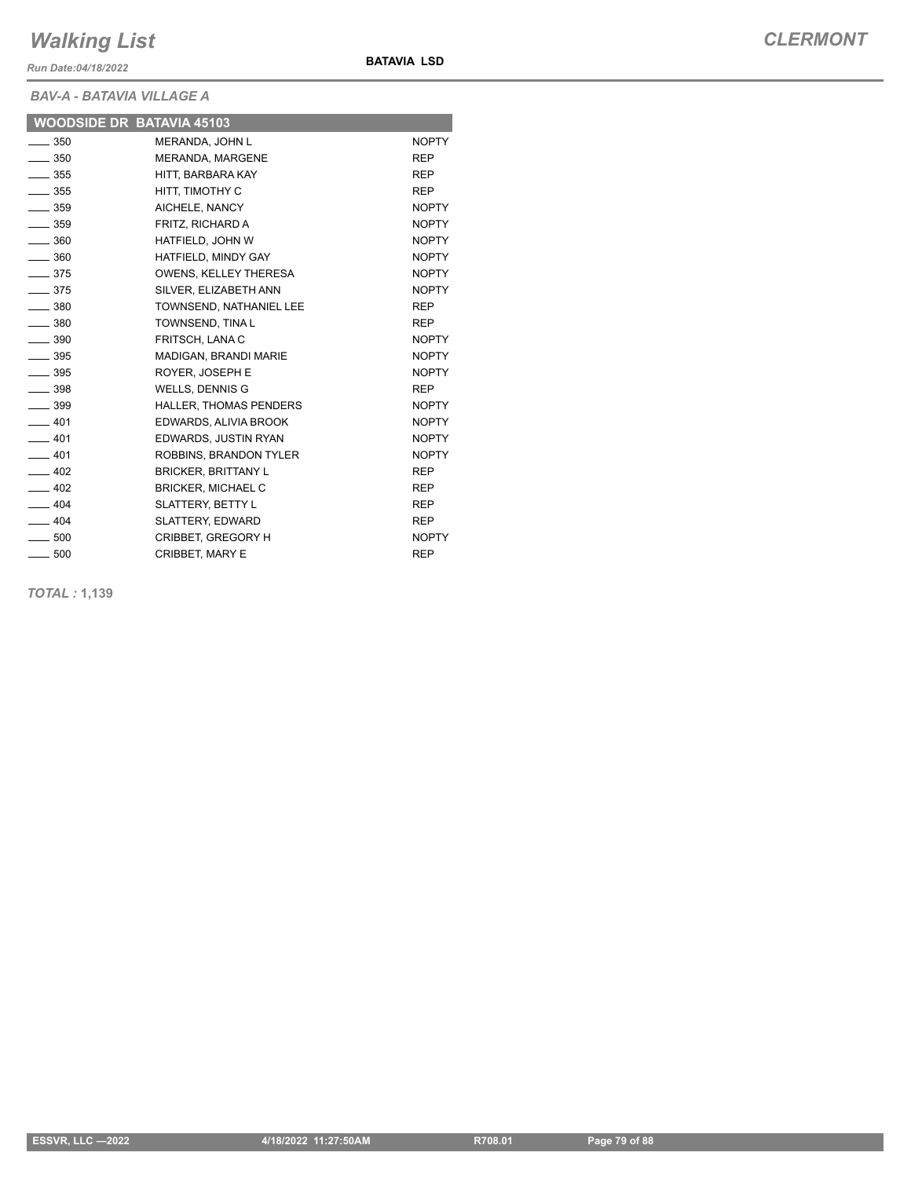*Run Date:04/18/2022*

**BAV-A - BATAVIA VILLA** 

| <b>BAV-A - BATAVIA VILLAGE A</b> |                           |              |  |  |  |
|----------------------------------|---------------------------|--------------|--|--|--|
|                                  | WOODSIDE DR BATAVIA 45103 |              |  |  |  |
| $\equiv$ 350                     | <b>MERANDA, JOHN L</b>    | <b>NOPTY</b> |  |  |  |
| $\sim$ 350                       | MERANDA, MARGENE          | <b>RFP</b>   |  |  |  |
| $\equiv$ 355                     | HITT. BARBARA KAY         | <b>RFP</b>   |  |  |  |
| <b>OEE</b>                       | LIITT TIMOTLIV C          | <b>DED</b>   |  |  |  |

**BATAVIA LSD**

| ںں ____                      | TILLI, DANDANA NAT           | ᄓᄂ           |
|------------------------------|------------------------------|--------------|
| $\frac{1}{2}$ 355            | HITT. TIMOTHY C              | <b>REP</b>   |
| $\sim$ 359                   | AICHELE, NANCY               | <b>NOPTY</b> |
| $\overline{\phantom{0}}$ 359 | FRITZ, RICHARD A             | <b>NOPTY</b> |
| $\frac{1}{2}$ 360            | HATFIELD, JOHN W             | <b>NOPTY</b> |
| $\equiv$ 360                 | HATFIELD, MINDY GAY          | <b>NOPTY</b> |
| $\equiv$ 375                 | <b>OWENS, KELLEY THERESA</b> | <b>NOPTY</b> |
| $\frac{1}{2}$ 375            | SILVER, ELIZABETH ANN        | <b>NOPTY</b> |
| $-380$                       | TOWNSEND, NATHANIEL LEE      | <b>REP</b>   |
| $\frac{1}{2}$ 380            | TOWNSEND, TINA L             | <b>REP</b>   |
| $\sim$ 390                   | FRITSCH, LANA C              | <b>NOPTY</b> |
| $\frac{1}{2}$ 395            | MADIGAN, BRANDI MARIE        | <b>NOPTY</b> |
| $\frac{1}{2}$ 395            | ROYER, JOSEPH E              | <b>NOPTY</b> |
| $\overline{\phantom{0}}$ 398 | WELLS, DENNIS G              | <b>REP</b>   |
| $\frac{1}{2}$ 399            | HALLER, THOMAS PENDERS       | <b>NOPTY</b> |
| $-401$                       | EDWARDS, ALIVIA BROOK        | <b>NOPTY</b> |
| $-401$                       | EDWARDS, JUSTIN RYAN         | <b>NOPTY</b> |
| $-401$                       | ROBBINS, BRANDON TYLER       | <b>NOPTY</b> |
| $-402$                       | <b>BRICKER, BRITTANY L</b>   | <b>REP</b>   |
| $\frac{1}{2}$ 402            | <b>BRICKER, MICHAEL C</b>    | <b>REP</b>   |
| $-404$                       | SLATTERY, BETTY L            | <b>REP</b>   |
| $-404$                       | SLATTERY, EDWARD             | <b>REP</b>   |
| $\sim$ 500                   | CRIBBET, GREGORY H           | <b>NOPTY</b> |
| $-500$                       | <b>CRIBBET, MARY E</b>       | <b>REP</b>   |

*TOTAL :* **1,139**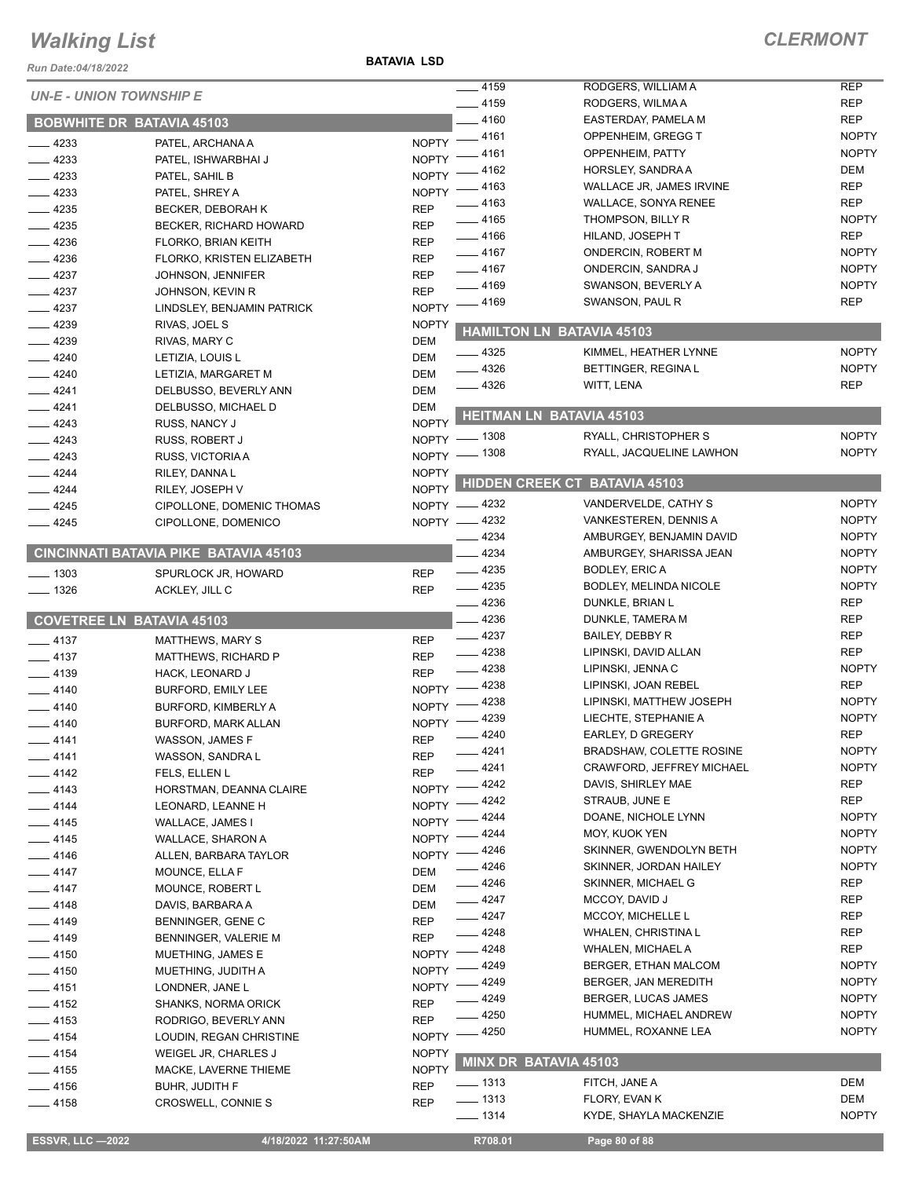*Run Date:04/18/2022*

**BATAVIA LSD**

| <b>UN-E - UNION TOWNSHIP E</b> |                                              |              | $-4159$                        | RODGERS, WILLIAM A                      | <b>REP</b>          |
|--------------------------------|----------------------------------------------|--------------|--------------------------------|-----------------------------------------|---------------------|
|                                |                                              |              | $-4159$                        | RODGERS, WILMA A                        | <b>REP</b>          |
|                                | <b>BOBWHITE DR BATAVIA 45103</b>             |              | $-4160$                        | EASTERDAY, PAMELA M                     | <b>REP</b>          |
| $-4233$                        | PATEL, ARCHANA A                             | $N$ OPTY $-$ | $-4161$                        | OPPENHEIM, GREGG T                      | <b>NOPTY</b>        |
| $-4233$                        | PATEL, ISHWARBHAI J                          | <b>NOPTY</b> | 4161                           | OPPENHEIM, PATTY                        | <b>NOPTY</b>        |
| $-4233$                        | PATEL, SAHIL B                               | <b>NOPTY</b> | 4162                           | HORSLEY, SANDRA A                       | DEM                 |
| $-4233$                        | PATEL, SHREY A                               | <b>NOPTY</b> | - 4163                         | WALLACE JR, JAMES IRVINE                | <b>REP</b>          |
| $-4235$                        | BECKER, DEBORAH K                            | <b>REP</b>   | _ 4163                         | <b>WALLACE, SONYA RENEE</b>             | <b>REP</b>          |
| $-4235$                        | BECKER, RICHARD HOWARD                       | <b>REP</b>   | $-4165$                        | THOMPSON, BILLY R                       | <b>NOPTY</b>        |
| $-4236$                        | FLORKO, BRIAN KEITH                          | <b>REP</b>   | $-4166$                        | HILAND, JOSEPH T                        | <b>REP</b>          |
| $-4236$                        | FLORKO, KRISTEN ELIZABETH                    | <b>REP</b>   | $-4167$                        | <b>ONDERCIN, ROBERT M</b>               | <b>NOPTY</b>        |
| $\frac{4237}{ }$               | JOHNSON, JENNIFER                            | <b>REP</b>   | $- 4167$                       | ONDERCIN, SANDRA J                      | <b>NOPTY</b>        |
| $-4237$                        | JOHNSON, KEVIN R                             | <b>REP</b>   | $-4169$                        | SWANSON, BEVERLY A                      | <b>NOPTY</b>        |
| $-4237$                        | LINDSLEY, BENJAMIN PATRICK                   | <b>NOPTY</b> | _ 4169                         | SWANSON, PAUL R                         | <b>REP</b>          |
| $-4239$                        | RIVAS, JOEL S                                | <b>NOPTY</b> |                                | <b>HAMILTON LN BATAVIA 45103</b>        |                     |
| $- 4239$                       | RIVAS, MARY C                                | <b>DEM</b>   |                                |                                         |                     |
| $-4240$                        | LETIZIA, LOUIS L                             | DEM          | $-4325$                        | KIMMEL, HEATHER LYNNE                   | <b>NOPTY</b>        |
| $-4240$                        | LETIZIA, MARGARET M                          | <b>DEM</b>   | $-4326$                        | BETTINGER, REGINAL                      | <b>NOPTY</b>        |
| $-4241$                        | DELBUSSO, BEVERLY ANN                        | <b>DEM</b>   | $-4326$                        | WITT, LENA                              | <b>REP</b>          |
| $-4241$                        | DELBUSSO, MICHAEL D                          | <b>DEM</b>   |                                | <b>HEITMAN LN BATAVIA 45103</b>         |                     |
| $-4243$                        | RUSS, NANCY J                                | <b>NOPTY</b> |                                |                                         |                     |
| $-4243$                        | RUSS, ROBERT J                               | NOPTY - 1308 |                                | RYALL, CHRISTOPHER S                    | <b>NOPTY</b>        |
| $-4243$                        | RUSS, VICTORIA A                             | NOPTY - 1308 |                                | RYALL, JACQUELINE LAWHON                | <b>NOPTY</b>        |
| $-4244$                        | RILEY, DANNA L                               | <b>NOPTY</b> |                                |                                         |                     |
| $-4244$                        | RILEY, JOSEPH V                              | <b>NOPTY</b> |                                | <b>HIDDEN CREEK CT BATAVIA 45103</b>    |                     |
| $-4245$                        | CIPOLLONE, DOMENIC THOMAS                    | NOPTY -4232  |                                | VANDERVELDE, CATHY S                    | <b>NOPTY</b>        |
| $-4245$                        | CIPOLLONE, DOMENICO                          | NOPTY -4232  |                                | VANKESTEREN, DENNIS A                   | <b>NOPTY</b>        |
|                                |                                              |              | $-4234$                        | AMBURGEY, BENJAMIN DAVID                | <b>NOPTY</b>        |
|                                | <b>CINCINNATI BATAVIA PIKE BATAVIA 45103</b> |              | 4234                           | AMBURGEY, SHARISSA JEAN                 | <b>NOPTY</b>        |
| $- 1303$                       | SPURLOCK JR, HOWARD                          | <b>REP</b>   | $-4235$                        | <b>BODLEY, ERIC A</b>                   | <b>NOPTY</b>        |
| $- 1326$                       | ACKLEY, JILL C                               | <b>REP</b>   | $-4235$                        | BODLEY, MELINDA NICOLE                  | <b>NOPTY</b>        |
|                                |                                              |              | $-4236$                        | DUNKLE, BRIAN L                         | <b>REP</b>          |
|                                |                                              |              |                                |                                         |                     |
|                                | <b>COVETREE LN BATAVIA 45103</b>             |              | $-4236$                        | DUNKLE, TAMERA M                        | <b>REP</b>          |
| $-4137$                        | <b>MATTHEWS, MARY S</b>                      | <b>REP</b>   | $-4237$                        | BAILEY, DEBBY R                         | <b>REP</b>          |
| $-4137$                        | <b>MATTHEWS, RICHARD P</b>                   | <b>REP</b>   | $-4238$                        | LIPINSKI, DAVID ALLAN                   | <b>REP</b>          |
| $-4139$                        | HACK, LEONARD J                              | <b>REP</b>   | $-4238$                        | LIPINSKI, JENNA C                       | <b>NOPTY</b>        |
| $-4140$                        | <b>BURFORD, EMILY LEE</b>                    | <b>NOPTY</b> | 4238                           | LIPINSKI, JOAN REBEL                    | <b>REP</b>          |
| $-4140$                        | <b>BURFORD, KIMBERLY A</b>                   | <b>NOPTY</b> | 4238                           | LIPINSKI, MATTHEW JOSEPH                | <b>NOPTY</b>        |
| $-4140$                        | BURFORD, MARK ALLAN                          | <b>NOPTY</b> | 4239                           | LIECHTE, STEPHANIE A                    | <b>NOPTY</b>        |
| $-4141$                        | WASSON, JAMES F                              | <b>REP</b>   | $-4240$                        | EARLEY, D GREGERY                       | <b>REP</b>          |
| ____ 4141                      | WASSON, SANDRA L                             | REP          | $-4241$                        | <b>BRADSHAW, COLETTE ROSINE</b>         | <b>NOPTY</b>        |
| $-4142$                        | FELS, ELLEN L                                | <b>REP</b>   | $-4241$                        | CRAWFORD, JEFFREY MICHAEL               | <b>NOPTY</b>        |
| $-4143$                        | HORSTMAN, DEANNA CLAIRE                      | <b>NOPTY</b> | 4242                           | DAVIS, SHIRLEY MAE                      | REP                 |
| $- 4144$                       | LEONARD, LEANNE H                            | <b>NOPTY</b> | 4242                           | STRAUB, JUNE E                          | <b>REP</b>          |
| $-4145$                        | WALLACE, JAMES I                             | <b>NOPTY</b> | 4244                           | DOANE, NICHOLE LYNN                     | <b>NOPTY</b>        |
| $-4145$                        | WALLACE, SHARON A                            | <b>NOPTY</b> | 4244                           | MOY, KUOK YEN                           | <b>NOPTY</b>        |
| $-4146$                        | ALLEN, BARBARA TAYLOR                        | <b>NOPTY</b> | 4246                           | SKINNER, GWENDOLYN BETH                 | <b>NOPTY</b>        |
| $-4147$                        | MOUNCE, ELLA F                               | <b>DEM</b>   | - 4246                         | SKINNER, JORDAN HAILEY                  | <b>NOPTY</b>        |
| $-4147$                        | MOUNCE, ROBERT L                             | DEM          | $-4246$                        | SKINNER, MICHAEL G                      | <b>REP</b>          |
| $-4148$                        | DAVIS, BARBARA A                             | DEM          | $-4247$                        | MCCOY, DAVID J                          | REP                 |
| $-4149$                        | BENNINGER, GENE C                            | <b>REP</b>   | $-4247$                        | MCCOY, MICHELLE L                       | <b>REP</b>          |
| $-4149$                        | BENNINGER, VALERIE M                         | <b>REP</b>   | $-4248$                        | <b>WHALEN, CHRISTINA L</b>              | REP                 |
| $-4150$                        | MUETHING, JAMES E                            | NOPTY -      | _ 4248                         | <b>WHALEN, MICHAEL A</b>                | <b>REP</b>          |
| $-4150$                        | MUETHING, JUDITH A                           | <b>NOPTY</b> | 4249                           | BERGER, ETHAN MALCOM                    | <b>NOPTY</b>        |
| $-4151$                        | LONDNER, JANE L                              | NOPTY -      | 4249                           | BERGER, JAN MEREDITH                    | <b>NOPTY</b>        |
| $-4152$                        | SHANKS, NORMA ORICK                          | <b>REP</b>   | 4249                           | BERGER, LUCAS JAMES                     | <b>NOPTY</b>        |
| $-4153$                        | RODRIGO, BEVERLY ANN                         | <b>REP</b>   | 4250                           | HUMMEL, MICHAEL ANDREW                  | <b>NOPTY</b>        |
| $-4154$                        | LOUDIN, REGAN CHRISTINE                      | <b>NOPTY</b> | 4250                           | HUMMEL, ROXANNE LEA                     | <b>NOPTY</b>        |
| $-4154$                        | WEIGEL JR, CHARLES J                         | <b>NOPTY</b> | <b>MINX DR BATAVIA 45103</b>   |                                         |                     |
| $\frac{1}{2}$ 4155             | MACKE, LAVERNE THIEME                        | <b>NOPTY</b> |                                |                                         |                     |
| $-4156$                        | BUHR, JUDITH F                               | <b>REP</b>   | —— 1313                        | FITCH, JANE A                           | DEM                 |
| —— 4158                        | CROSWELL, CONNIE S                           | <b>REP</b>   | $\frac{1}{2}$ 1313<br>$- 1314$ | FLORY, EVAN K<br>KYDE, SHAYLA MACKENZIE | DEM<br><b>NOPTY</b> |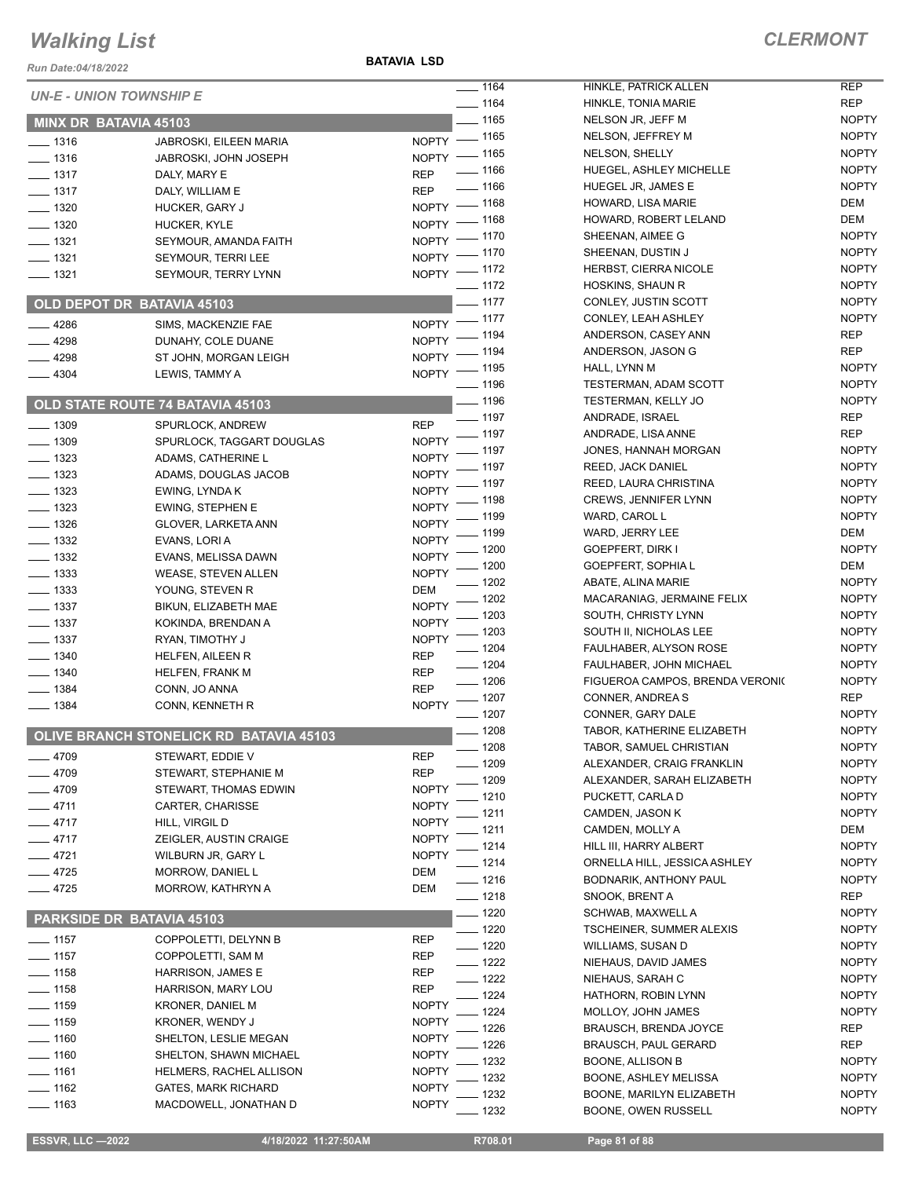*Run Date:04/18/2022*

**BATAVIA LSD**

|                              | <b>UN-E - UNION TOWNSHIP E</b>                 | $- 1164$                             | HINKLE, PATRICK ALLEN                     | <b>REP</b>                   |
|------------------------------|------------------------------------------------|--------------------------------------|-------------------------------------------|------------------------------|
|                              |                                                | $- 1164$<br>$- 1165$                 | HINKLE, TONIA MARIE                       | <b>REP</b><br><b>NOPTY</b>   |
| MINX DR BATAVIA 45103        |                                                |                                      | NELSON JR, JEFF M                         | <b>NOPTY</b>                 |
| $- 1316$                     | JABROSKI, EILEEN MARIA                         | NOPTY - 1165                         | NELSON, JEFFREY M                         | <b>NOPTY</b>                 |
| $\frac{1}{2}$ 1316           | JABROSKI, JOHN JOSEPH                          | NOPTY - 1165<br>$- 1166$             | NELSON, SHELLY<br>HUEGEL, ASHLEY MICHELLE | <b>NOPTY</b>                 |
| $- 1317$                     | DALY, MARY E                                   | <b>REP</b><br>$- 1166$               |                                           | <b>NOPTY</b>                 |
| $- 1317$                     | DALY, WILLIAM E                                | <b>REP</b>                           | HUEGEL JR, JAMES E<br>HOWARD, LISA MARIE  | DEM                          |
| $- 1320$                     | HUCKER, GARY J                                 | NOPTY - 1168                         | HOWARD, ROBERT LELAND                     | DEM                          |
| $\frac{1}{2}$ 1320           | HUCKER, KYLE                                   | NOPTY - 1168                         |                                           |                              |
| $- 1321$                     | SEYMOUR, AMANDA FAITH                          | NOPTY - 1170                         | SHEENAN, AIMEE G                          | <b>NOPTY</b>                 |
| $- 1321$                     | SEYMOUR, TERRI LEE                             | NOPTY - 1170                         | SHEENAN, DUSTIN J                         | <b>NOPTY</b>                 |
| $- 1321$                     | SEYMOUR, TERRY LYNN                            | NOPTY - 1172                         | <b>HERBST, CIERRA NICOLE</b>              | <b>NOPTY</b>                 |
|                              |                                                | $\frac{1}{2}$ 1172<br>$- 1177$       | HOSKINS, SHAUN R                          | <b>NOPTY</b><br><b>NOPTY</b> |
|                              | OLD DEPOT DR BATAVIA 45103                     |                                      | CONLEY, JUSTIN SCOTT                      | <b>NOPTY</b>                 |
| $-4286$                      | SIMS, MACKENZIE FAE                            | NOPTY - 1177                         | CONLEY, LEAH ASHLEY                       | <b>REP</b>                   |
| $-4298$                      | DUNAHY, COLE DUANE                             | NOPTY - 1194                         | ANDERSON, CASEY ANN                       |                              |
| $-4298$                      | ST JOHN, MORGAN LEIGH                          | NOPTY - 1194                         | ANDERSON, JASON G                         | <b>REP</b>                   |
| $-4304$                      | LEWIS, TAMMY A                                 | NOPTY - 1195                         | HALL, LYNN M                              | <b>NOPTY</b>                 |
|                              |                                                | $- 1196$                             | <b>TESTERMAN, ADAM SCOTT</b>              | <b>NOPTY</b>                 |
|                              | <b>OLD STATE ROUTE 74 BATAVIA 45103</b>        | $- 1196$                             | <b>TESTERMAN, KELLY JO</b>                | <b>NOPTY</b>                 |
| $- 1309$                     | SPURLOCK, ANDREW                               | $- 1197$<br><b>REP</b>               | ANDRADE, ISRAEL                           | <b>REP</b>                   |
| $- 1309$                     | SPURLOCK, TAGGART DOUGLAS                      | $NOPTY$ -1197                        | ANDRADE, LISA ANNE                        | <b>REP</b>                   |
| $\frac{1}{2}$ 1323           | ADAMS, CATHERINE L                             | NOPTY - 1197                         | JONES, HANNAH MORGAN                      | <b>NOPTY</b>                 |
| $- 1323$                     | ADAMS, DOUGLAS JACOB                           | NOPTY - 1197                         | <b>REED, JACK DANIEL</b>                  | <b>NOPTY</b>                 |
| $- 1323$                     | EWING, LYNDA K                                 | NOPTY - 1197                         | REED, LAURA CHRISTINA                     | <b>NOPTY</b>                 |
| $\frac{1}{2}$ 1323           | <b>EWING, STEPHEN E</b>                        | NOPTY - 1198                         | <b>CREWS, JENNIFER LYNN</b>               | <b>NOPTY</b>                 |
| $- 1326$                     | <b>GLOVER, LARKETA ANN</b>                     | _ 1199<br>NOPTY <sup>-</sup>         | WARD, CAROL L                             | <b>NOPTY</b>                 |
| $\frac{1}{2}$ 1332           | EVANS, LORI A                                  | NOPTY - 1199                         | WARD, JERRY LEE                           | DEM                          |
| $\frac{1}{2}$ 1332           | EVANS, MELISSA DAWN                            | NOPTY - 1200                         | GOEPFERT, DIRK I                          | <b>NOPTY</b>                 |
| $\frac{1}{2}$ 1333           | <b>WEASE, STEVEN ALLEN</b>                     | NOPTY - 1200                         | GOEPFERT, SOPHIA L                        | DEM                          |
| $\frac{1}{2}$ 1333           | YOUNG, STEVEN R                                | $- 1202$<br>DEM                      | ABATE, ALINA MARIE                        | <b>NOPTY</b>                 |
| $- 1337$                     | BIKUN, ELIZABETH MAE                           | $\frac{1202}{2}$<br><b>NOPTY</b>     | MACARANIAG, JERMAINE FELIX                | <b>NOPTY</b>                 |
| $\frac{1}{2}$ 1337           | KOKINDA, BRENDAN A                             | $-1203$<br><b>NOPTY</b>              | SOUTH, CHRISTY LYNN                       | <b>NOPTY</b>                 |
| $\frac{1}{2}$ 1337           | RYAN, TIMOTHY J                                | $-1203$<br><b>NOPTY</b>              | SOUTH II, NICHOLAS LEE                    | <b>NOPTY</b>                 |
| $- 1340$                     | HELFEN, AILEEN R                               | $- 1204$<br><b>REP</b>               | FAULHABER, ALYSON ROSE                    | <b>NOPTY</b>                 |
| $- 1340$                     | <b>HELFEN, FRANK M</b>                         | $- 1204$<br><b>REP</b>               | FAULHABER, JOHN MICHAEL                   | <b>NOPTY</b>                 |
| $- 1384$                     | CONN, JO ANNA                                  | $- 1206$<br><b>REP</b>               | FIGUEROA CAMPOS, BRENDA VERONIC           | <b>NOPTY</b>                 |
| $- 1384$                     | CONN, KENNETH R                                | $- 1207$<br><b>NOPTY</b>             | CONNER, ANDREA S                          | <b>REP</b>                   |
|                              |                                                | $- 1207$                             | CONNER, GARY DALE                         | <b>NOPTY</b>                 |
|                              | <b>OLIVE BRANCH STONELICK RD BATAVIA 45103</b> | $- 1208$                             | TABOR, KATHERINE ELIZABETH                | <b>NOPTY</b>                 |
| $-4709$                      | STEWART, EDDIE V                               | $-1208$<br><b>REP</b>                | TABOR, SAMUEL CHRISTIAN                   | <b>NOPTY</b>                 |
| $-4709$                      | STEWART, STEPHANIE M                           | 1209<br><b>REP</b>                   | ALEXANDER, CRAIG FRANKLIN                 | <b>NOPTY</b>                 |
| $- 4709$                     | STEWART, THOMAS EDWIN                          | 1209<br><b>NOPTY</b>                 | ALEXANDER, SARAH ELIZABETH                | <b>NOPTY</b>                 |
| $-4711$                      | CARTER, CHARISSE                               | 1210<br><b>NOPTY</b>                 | PUCKETT, CARLA D                          | <b>NOPTY</b>                 |
| $-4717$                      | HILL, VIRGIL D                                 | 1211<br><b>NOPTY</b>                 | CAMDEN, JASON K                           | <b>NOPTY</b>                 |
| $-4717$                      | ZEIGLER, AUSTIN CRAIGE                         | 1211<br><b>NOPTY</b>                 | CAMDEN, MOLLY A                           | DEM                          |
| $-4721$                      | WILBURN JR, GARY L                             | 1214<br><b>NOPTY</b>                 | HILL III, HARRY ALBERT                    | <b>NOPTY</b>                 |
| $-4725$                      | MORROW, DANIEL L                               | $-1214$<br>DEM                       | ORNELLA HILL, JESSICA ASHLEY              | <b>NOPTY</b>                 |
| $-4725$                      | MORROW, KATHRYN A                              | $- 1216$<br>DEM                      | BODNARIK, ANTHONY PAUL                    | <b>NOPTY</b>                 |
|                              |                                                | — 1218                               | <b>SNOOK, BRENT A</b>                     | <b>REP</b>                   |
|                              | PARKSIDE DR BATAVIA 45103                      | $- 1220$                             | SCHWAB, MAXWELL A                         | <b>NOPTY</b>                 |
| $- 1157$                     | COPPOLETTI, DELYNN B                           | $-1220$<br>REP                       | <b>TSCHEINER, SUMMER ALEXIS</b>           | <b>NOPTY</b>                 |
|                              |                                                | $- 1220$                             | WILLIAMS, SUSAN D                         | <b>NOPTY</b>                 |
| $\frac{1}{1157}$<br>$- 1158$ | COPPOLETTI, SAM M<br>HARRISON, JAMES E         | <b>REP</b><br>$=$ 1222<br><b>REP</b> | NIEHAUS, DAVID JAMES                      | <b>NOPTY</b>                 |
|                              |                                                | $- 1222$<br><b>REP</b>               | NIEHAUS, SARAH C                          | <b>NOPTY</b>                 |
| $- 1158$                     | HARRISON, MARY LOU                             | $-1224$                              | HATHORN, ROBIN LYNN                       | <b>NOPTY</b>                 |
| $- 1159$                     | KRONER, DANIEL M                               | <b>NOPTY</b><br>1224                 | MOLLOY, JOHN JAMES                        | <b>NOPTY</b>                 |
| $\frac{1}{2}$ 1159           | KRONER, WENDY J                                | <b>NOPTY</b><br>1226                 | <b>BRAUSCH, BRENDA JOYCE</b>              | <b>REP</b>                   |
| $- 1160$                     | SHELTON, LESLIE MEGAN                          | <b>NOPTY</b><br>1226                 | <b>BRAUSCH, PAUL GERARD</b>               | <b>REP</b>                   |
| $- 1160$                     | SHELTON, SHAWN MICHAEL                         | <b>NOPTY</b><br>1232                 | BOONE, ALLISON B                          | <b>NOPTY</b>                 |
| $- 1161$                     | HELMERS, RACHEL ALLISON                        | <b>NOPTY</b><br>1232                 | BOONE, ASHLEY MELISSA                     | <b>NOPTY</b>                 |
| $- 1162$                     | <b>GATES, MARK RICHARD</b>                     | <b>NOPTY</b><br>1232                 | BOONE, MARILYN ELIZABETH                  | <b>NOPTY</b>                 |
| $- 1163$                     | MACDOWELL, JONATHAN D                          | <b>NOPTY</b><br>1232                 | BOONE, OWEN RUSSELL                       | <b>NOPTY</b>                 |
|                              |                                                |                                      |                                           |                              |

 **ESSVR, LLC —2022 4/18/2022 11:27:50AM R708.01 Page 81 of 88**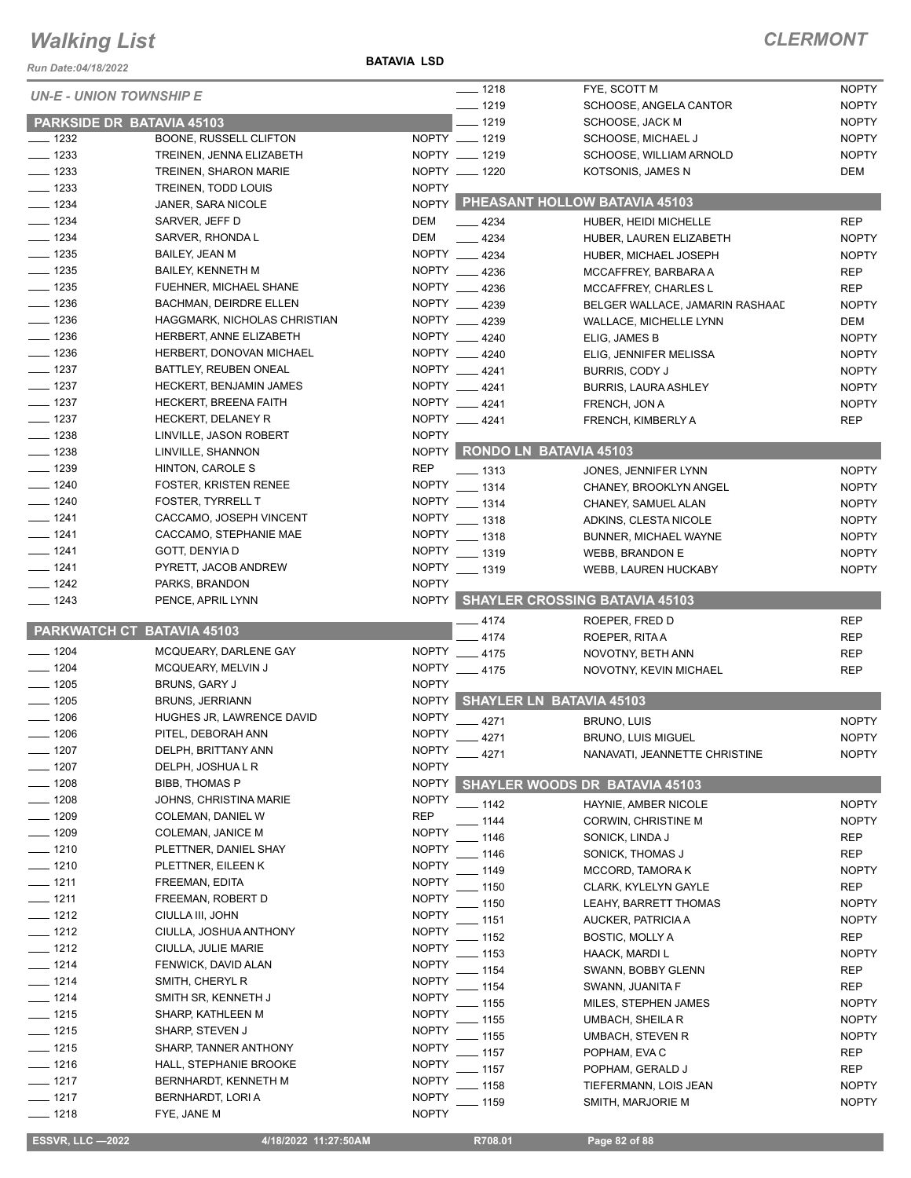*Run Date:04/18/2022*

**BATAVIA LSD**

|                    | <b>UN-E - UNION TOWNSHIP E</b> |               | $- 1218$ | FYE, SCOTT M                          | <b>NOPTY</b> |
|--------------------|--------------------------------|---------------|----------|---------------------------------------|--------------|
|                    |                                |               | $- 1219$ | SCHOOSE, ANGELA CANTOR                | <b>NOPTY</b> |
|                    | PARKSIDE DR BATAVIA 45103      |               | $-1219$  | SCHOOSE, JACK M                       | <b>NOPTY</b> |
| $\frac{1}{2}$ 1232 | BOONE, RUSSELL CLIFTON         | NOPTY __ 1219 |          | SCHOOSE, MICHAEL J                    | <b>NOPTY</b> |
| $- 1233$           | TREINEN, JENNA ELIZABETH       | NOPTY __ 1219 |          | SCHOOSE, WILLIAM ARNOLD               | <b>NOPTY</b> |
| $- 1233$           | <b>TREINEN, SHARON MARIE</b>   | NOPTY __ 1220 |          | KOTSONIS, JAMES N                     | DEM          |
| $-1233$            | TREINEN, TODD LOUIS            | <b>NOPTY</b>  |          |                                       |              |
| $-1234$            | JANER, SARA NICOLE             |               |          | NOPTY PHEASANT HOLLOW BATAVIA 45103   |              |
| $\frac{1}{2}$ 1234 | SARVER, JEFF D                 | DEM           | $-4234$  | HUBER. HEIDI MICHELLE                 | <b>REP</b>   |
| $- 1234$           | SARVER, RHONDA L               | DEM           | $-4234$  | HUBER, LAUREN ELIZABETH               | <b>NOPTY</b> |
| $\frac{1}{2}$ 1235 | BAILEY, JEAN M                 | NOPTY 4234    |          | HUBER, MICHAEL JOSEPH                 | <b>NOPTY</b> |
| $\frac{1}{2}$ 1235 | BAILEY, KENNETH M              | NOPTY 4236    |          | MCCAFFREY, BARBARA A                  | <b>REP</b>   |
| $- 1235$           | FUEHNER, MICHAEL SHANE         | NOPTY __ 4236 |          | MCCAFFREY, CHARLES L                  | <b>REP</b>   |
| $\frac{1}{2}$ 1236 | <b>BACHMAN, DEIRDRE ELLEN</b>  | NOPTY 4239    |          | BELGER WALLACE, JAMARIN RASHAAD       | <b>NOPTY</b> |
| $\frac{1}{2}$ 1236 | HAGGMARK, NICHOLAS CHRISTIAN   | NOPTY __ 4239 |          | WALLACE, MICHELLE LYNN                | DEM          |
| $- 1236$           | HERBERT, ANNE ELIZABETH        | NOPTY 4240    |          | ELIG, JAMES B                         | <b>NOPTY</b> |
| $- 1236$           | HERBERT, DONOVAN MICHAEL       | NOPTY 4240    |          |                                       | <b>NOPTY</b> |
| $\frac{1}{2}$ 1237 | BATTLEY, REUBEN ONEAL          | NOPTY __ 4241 |          | ELIG, JENNIFER MELISSA                |              |
|                    |                                |               |          | BURRIS, CODY J                        | <b>NOPTY</b> |
| $- 1237$           | HECKERT, BENJAMIN JAMES        | NOPTY __ 4241 |          | <b>BURRIS, LAURA ASHLEY</b>           | <b>NOPTY</b> |
| $- 1237$           | <b>HECKERT, BREENA FAITH</b>   | NOPTY __ 4241 |          | FRENCH, JON A                         | <b>NOPTY</b> |
| $-1237$            | HECKERT, DELANEY R             | NOPTY 4241    |          | FRENCH, KIMBERLY A                    | <b>REP</b>   |
| $- 1238$           | LINVILLE, JASON ROBERT         | <b>NOPTY</b>  |          |                                       |              |
| $- 1238$           | LINVILLE, SHANNON              | <b>NOPTY</b>  |          | RONDO LN BATAVIA 45103                |              |
| $- 1239$           | HINTON, CAROLE S               | <b>REP</b>    | $- 1313$ | JONES, JENNIFER LYNN                  | <b>NOPTY</b> |
| $- 1240$           | <b>FOSTER, KRISTEN RENEE</b>   | NOPTY __ 1314 |          | CHANEY, BROOKLYN ANGEL                | <b>NOPTY</b> |
| $- 1240$           | <b>FOSTER, TYRRELL T</b>       | NOPTY __ 1314 |          | CHANEY, SAMUEL ALAN                   | <b>NOPTY</b> |
| $- 1241$           | CACCAMO, JOSEPH VINCENT        | NOPTY __ 1318 |          | ADKINS, CLESTA NICOLE                 | <b>NOPTY</b> |
| $- 1241$           | CACCAMO, STEPHANIE MAE         | NOPTY __ 1318 |          | BUNNER, MICHAEL WAYNE                 | <b>NOPTY</b> |
| $- 1241$           | GOTT, DENYIA D                 | NOPTY __ 1319 |          | <b>WEBB, BRANDON E</b>                | <b>NOPTY</b> |
| $- 1241$           | PYRETT, JACOB ANDREW           | NOPTY __ 1319 |          | WEBB, LAUREN HUCKABY                  | <b>NOPTY</b> |
| $- 1242$           | PARKS, BRANDON                 | <b>NOPTY</b>  |          |                                       |              |
| $- 1243$           | PENCE, APRIL LYNN              |               |          | NOPTY SHAYLER CROSSING BATAVIA 45103  |              |
|                    |                                |               | 4174     | ROEPER, FRED D                        | <b>REP</b>   |
|                    | PARKWATCH CT BATAVIA 45103     |               | $-4174$  | ROEPER, RITA A                        | <b>REP</b>   |
| $- 1204$           | MCQUEARY, DARLENE GAY          | NOPTY __ 4175 |          | NOVOTNY, BETH ANN                     | <b>REP</b>   |
| $- 1204$           | MCQUEARY, MELVIN J             | NOPTY __ 4175 |          | NOVOTNY, KEVIN MICHAEL                | <b>REP</b>   |
| $- 1205$           | BRUNS, GARY J                  | <b>NOPTY</b>  |          |                                       |              |
| $- 1205$           | <b>BRUNS, JERRIANN</b>         | <b>NOPTY</b>  |          | SHAYLER LN BATAVIA 45103              |              |
| $- 1206$           | HUGHES JR, LAWRENCE DAVID      | <b>NOPTY</b>  | 4271     | <b>BRUNO, LUIS</b>                    | <b>NOPTY</b> |
| $- 1206$           | PITEL, DEBORAH ANN             | <b>NOPTY</b>  | 4271     | <b>BRUNO, LUIS MIGUEL</b>             | <b>NOPTY</b> |
| $-1207$            | DELPH, BRITTANY ANN            | <b>NOPTY</b>  |          |                                       |              |
| 1207               | DELPH, JOSHUA L R              | <b>NOPTY</b>  | $-4271$  | NANAVATI, JEANNETTE CHRISTINE         | <b>NOPTY</b> |
| $-1208$            | <b>BIBB, THOMAS P</b>          | <b>NOPTY</b>  |          | <b>SHAYLER WOODS DR BATAVIA 45103</b> |              |
| $-1208$            | JOHNS, CHRISTINA MARIE         | <b>NOPTY</b>  |          |                                       |              |
| $- 1209$           | COLEMAN, DANIEL W              | <b>REP</b>    | $-1142$  | HAYNIE, AMBER NICOLE                  | <b>NOPTY</b> |
|                    |                                |               | $-1144$  | CORWIN, CHRISTINE M                   | <b>NOPTY</b> |
| $- 1209$           | <b>COLEMAN, JANICE M</b>       | <b>NOPTY</b>  | 1146     | SONICK, LINDA J                       | <b>REP</b>   |
| $- 1210$           | PLETTNER, DANIEL SHAY          | <b>NOPTY</b>  | 1146     | SONICK, THOMAS J                      | REP          |
| $- 1210$           | PLETTNER, EILEEN K             | <b>NOPTY</b>  | . 1149   | MCCORD, TAMORA K                      | <b>NOPTY</b> |
| $- 1211$           | FREEMAN, EDITA                 | <b>NOPTY</b>  | $-1150$  | CLARK, KYLELYN GAYLE                  | <b>REP</b>   |
| $- 1211$           | FREEMAN, ROBERT D              | <b>NOPTY</b>  | $-1150$  | LEAHY, BARRETT THOMAS                 | <b>NOPTY</b> |
| $- 1212$           | CIULLA III, JOHN               | <b>NOPTY</b>  | $-1151$  | AUCKER, PATRICIA A                    | <b>NOPTY</b> |
| $- 1212$           | CIULLA, JOSHUA ANTHONY         | <b>NOPTY</b>  | - 1152   | <b>BOSTIC, MOLLY A</b>                | REP          |
| $- 1212$           | CIULLA, JULIE MARIE            | <b>NOPTY</b>  | . 1153   | HAACK, MARDI L                        | <b>NOPTY</b> |
| $- 1214$           | FENWICK, DAVID ALAN            | <b>NOPTY</b>  | - 1154   | SWANN, BOBBY GLENN                    | <b>REP</b>   |
| $- 1214$           | SMITH, CHERYL R                | <b>NOPTY</b>  | - 1154   | SWANN, JUANITA F                      | <b>REP</b>   |
| $- 1214$           | SMITH SR, KENNETH J            | <b>NOPTY</b>  | . 1155   | MILES, STEPHEN JAMES                  | <b>NOPTY</b> |
| $- 1215$           | SHARP, KATHLEEN M              | <b>NOPTY</b>  | $-1155$  | UMBACH, SHEILA R                      | <b>NOPTY</b> |
| $- 1215$           | SHARP, STEVEN J                | <b>NOPTY</b>  | $-1155$  |                                       |              |
| $- 1215$           | SHARP, TANNER ANTHONY          | <b>NOPTY</b>  |          | UMBACH, STEVEN R                      | <b>NOPTY</b> |
| $- 1216$           | HALL, STEPHANIE BROOKE         | <b>NOPTY</b>  | $-1157$  | POPHAM, EVA C                         | REP          |
| $- 1217$           | BERNHARDT, KENNETH M           | <b>NOPTY</b>  | _ 1157   | POPHAM, GERALD J                      | <b>REP</b>   |
| $-1217$            | BERNHARDT, LORI A              | <b>NOPTY</b>  | 1158     | TIEFERMANN, LOIS JEAN                 | <b>NOPTY</b> |
|                    |                                |               | $-1159$  | SMITH, MARJORIE M                     | <b>NOPTY</b> |
| 1218               | FYE, JANE M                    | <b>NOPTY</b>  |          |                                       |              |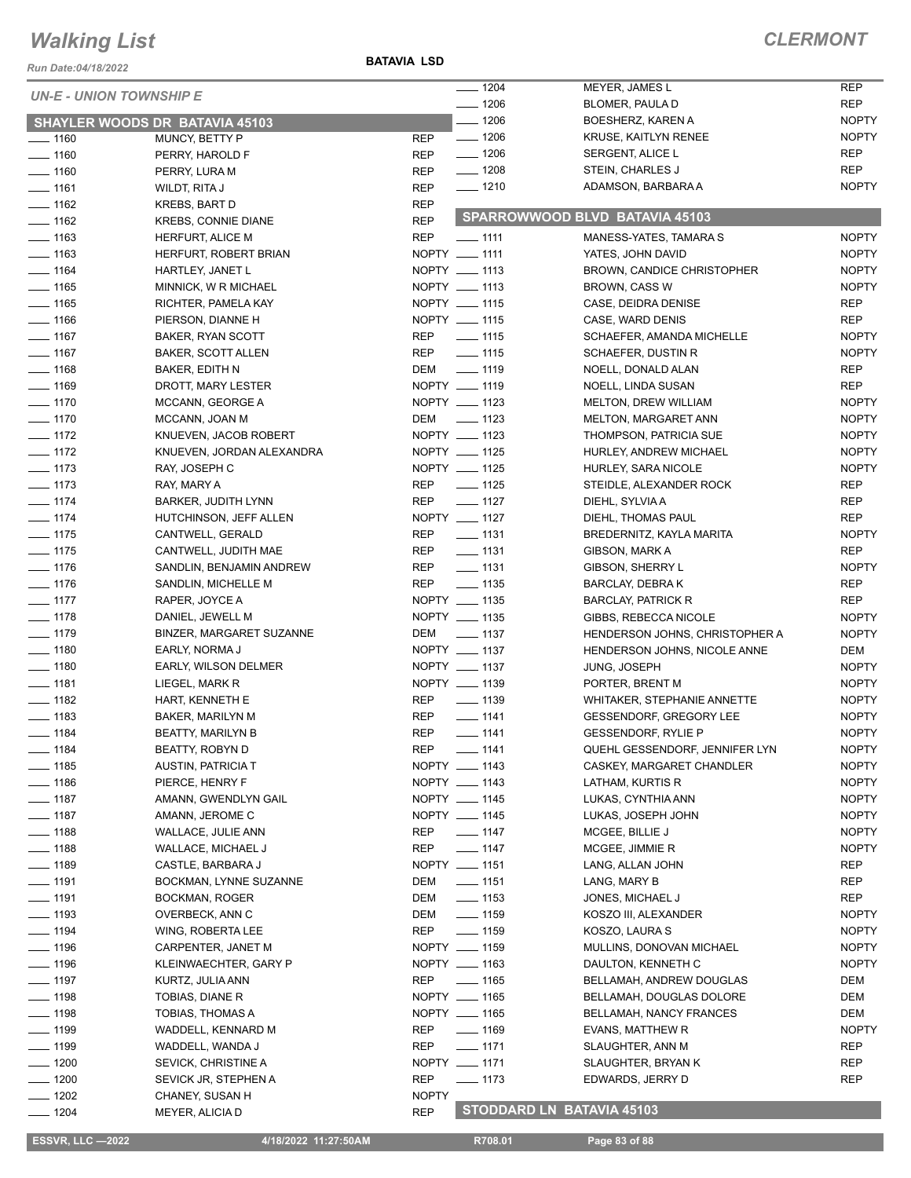*Run Date:04/18/2022*

**BATAVIA LSD**

#### *CLERMONT*

|                                |                                |               | $- 1204$           | MEYER, JAMES L                    | <b>REP</b>   |
|--------------------------------|--------------------------------|---------------|--------------------|-----------------------------------|--------------|
| <b>UN-E - UNION TOWNSHIP E</b> |                                |               | $- 1206$           | BLOMER, PAULA D                   | <b>REP</b>   |
|                                | SHAYLER WOODS DR BATAVIA 45103 |               | $- 1206$           | BOESHERZ, KAREN A                 | <b>NOPTY</b> |
| $- 1160$                       | MUNCY, BETTY P                 | <b>REP</b>    | $- 1206$           | KRUSE, KAITLYN RENEE              | <b>NOPTY</b> |
| $- 1160$                       | PERRY, HAROLD F                | <b>REP</b>    | $\frac{1}{2}$ 1206 | SERGENT, ALICE L                  | <b>REP</b>   |
| $- 1160$                       |                                | <b>REP</b>    | $- 1208$           | STEIN, CHARLES J                  | <b>REP</b>   |
|                                | PERRY, LURA M                  |               | $- 1210$           | ADAMSON, BARBARA A                | <b>NOPTY</b> |
| $- 1161$                       | WILDT, RITA J                  | <b>REP</b>    |                    |                                   |              |
| $\frac{1}{2}$ 1162             | <b>KREBS, BART D</b>           | <b>REP</b>    |                    | SPARROWWOOD BLVD BATAVIA 45103    |              |
| $- 1162$                       | <b>KREBS, CONNIE DIANE</b>     | <b>REP</b>    |                    |                                   |              |
| $\frac{1}{2}$ 1163             | <b>HERFURT, ALICE M</b>        | <b>REP</b>    | $-1111$            | MANESS-YATES, TAMARA S            | <b>NOPTY</b> |
| $- 1163$                       | HERFURT, ROBERT BRIAN          | NOPTY __ 1111 |                    | YATES, JOHN DAVID                 | <b>NOPTY</b> |
| $- 1164$                       | HARTLEY, JANET L               | NOPTY __ 1113 |                    | <b>BROWN, CANDICE CHRISTOPHER</b> | <b>NOPTY</b> |
| $- 1165$                       | MINNICK, W R MICHAEL           | NOPTY __ 1113 |                    | <b>BROWN, CASS W</b>              | <b>NOPTY</b> |
| $- 1165$                       | RICHTER, PAMELA KAY            | NOPTY __ 1115 |                    | CASE, DEIDRA DENISE               | <b>REP</b>   |
| $\frac{1}{166}$                | PIERSON, DIANNE H              | NOPTY __ 1115 |                    | CASE, WARD DENIS                  | <b>REP</b>   |
| $\frac{1}{2}$ 1167             | BAKER, RYAN SCOTT              | REP           | $\frac{1}{115}$    | SCHAEFER, AMANDA MICHELLE         | <b>NOPTY</b> |
| $- 1167$                       | <b>BAKER, SCOTT ALLEN</b>      | <b>REP</b>    | $- 1115$           | SCHAEFER, DUSTIN R                | <b>NOPTY</b> |
| $- 1168$                       | BAKER, EDITH N                 | DEM           | $- 1119$           | NOELL, DONALD ALAN                | <b>REP</b>   |
| $- 1169$                       | DROTT, MARY LESTER             | NOPTY __ 1119 |                    | NOELL, LINDA SUSAN                | <b>REP</b>   |
| $- 1170$                       | MCCANN, GEORGE A               | NOPTY __ 1123 |                    | MELTON, DREW WILLIAM              | <b>NOPTY</b> |
| $\frac{1}{2}$ 1170             | MCCANN, JOAN M                 | DEM           | $\frac{1}{2}$ 1123 | MELTON, MARGARET ANN              | <b>NOPTY</b> |
| $- 1172$                       | KNUEVEN, JACOB ROBERT          | NOPTY __ 1123 |                    | THOMPSON, PATRICIA SUE            | <b>NOPTY</b> |
| $\frac{1}{2}$ 1172             | KNUEVEN, JORDAN ALEXANDRA      | NOPTY __ 1125 |                    | HURLEY, ANDREW MICHAEL            | <b>NOPTY</b> |
| $- 1173$                       | RAY, JOSEPH C                  | NOPTY __ 1125 |                    | HURLEY, SARA NICOLE               | <b>NOPTY</b> |
| $- 1173$                       | RAY, MARY A                    | <b>REP</b>    | $\frac{1}{2}$ 1125 | STEIDLE, ALEXANDER ROCK           | <b>REP</b>   |
| $- 1174$                       | BARKER, JUDITH LYNN            | <b>REP</b>    | $- 1127$           | DIEHL, SYLVIA A                   | <b>REP</b>   |
| $- 1174$                       | HUTCHINSON, JEFF ALLEN         | NOPTY __ 1127 |                    | DIEHL, THOMAS PAUL                | <b>REP</b>   |
| $- 1175$                       | CANTWELL, GERALD               | REP           | $\frac{1}{2}$ 1131 | BREDERNITZ, KAYLA MARITA          | <b>NOPTY</b> |
| $- 1175$                       | CANTWELL, JUDITH MAE           | REP           | $\frac{1}{2}$ 1131 | GIBSON, MARK A                    | <b>REP</b>   |
| $\frac{1}{2}$ 1176             | SANDLIN, BENJAMIN ANDREW       | <b>REP</b>    | $\frac{1}{2}$ 1131 | GIBSON, SHERRY L                  | <b>NOPTY</b> |
| $- 1176$                       |                                | REP           | $- 1135$           |                                   | <b>REP</b>   |
|                                | SANDLIN, MICHELLE M            | NOPTY __ 1135 |                    | <b>BARCLAY, DEBRAK</b>            |              |
| $- 1177$                       | RAPER, JOYCE A                 |               |                    | <b>BARCLAY, PATRICK R</b>         | <b>REP</b>   |
| $- 1178$                       | DANIEL, JEWELL M               | NOPTY __ 1135 |                    | GIBBS, REBECCA NICOLE             | <b>NOPTY</b> |
| $- 1179$                       | BINZER, MARGARET SUZANNE       | DEM           | _____ 1137         | HENDERSON JOHNS, CHRISTOPHER A    | <b>NOPTY</b> |
| $\frac{1}{2}$ 1180             | EARLY, NORMA J                 | NOPTY __ 1137 |                    | HENDERSON JOHNS, NICOLE ANNE      | DEM          |
| $- 1180$                       | EARLY, WILSON DELMER           | NOPTY __ 1137 |                    | <b>JUNG, JOSEPH</b>               | <b>NOPTY</b> |
| $- 1181$                       | LIEGEL, MARK R                 | NOPTY __ 1139 |                    | PORTER, BRENT M                   | <b>NOPTY</b> |
| $- 1182$                       | HART, KENNETH E                | <b>REP</b>    | $\frac{1}{2}$ 1139 | WHITAKER, STEPHANIE ANNETTE       | <b>NOPTY</b> |
| $- 1183$                       | <b>BAKER, MARILYN M</b>        | <b>REP</b>    | $- 1141$           | <b>GESSENDORF, GREGORY LEE</b>    | <b>NOPTY</b> |
| $- 1184$                       | <b>BEATTY, MARILYN B</b>       | <b>REP</b>    | $- 1141$           | <b>GESSENDORF, RYLIE P</b>        | <b>NOPTY</b> |
| $- 1184$                       | BEATTY, ROBYN D                | REP           | $- 1141$           | QUEHL GESSENDORF, JENNIFER LYN    | <b>NOPTY</b> |
| $\frac{1}{2}$ 1185             | <b>AUSTIN, PATRICIA T</b>      | NOPTY __ 1143 |                    | CASKEY, MARGARET CHANDLER         | <b>NOPTY</b> |
| $- 1186$                       | PIERCE, HENRY F                | NOPTY __ 1143 |                    | LATHAM, KURTIS R                  | <b>NOPTY</b> |
| $- 1187$                       | AMANN, GWENDLYN GAIL           | NOPTY __ 1145 |                    | LUKAS, CYNTHIA ANN                | <b>NOPTY</b> |
| $- 1187$                       | AMANN, JEROME C                | NOPTY __ 1145 |                    | LUKAS, JOSEPH JOHN                | <b>NOPTY</b> |
| $- 1188$                       | WALLACE, JULIE ANN             | REP           | $- 1147$           | MCGEE, BILLIE J                   | <b>NOPTY</b> |
| $\frac{1}{2}$ 1188             | WALLACE, MICHAEL J             | REP           | $- 1147$           | MCGEE, JIMMIE R                   | <b>NOPTY</b> |
| $- 1189$                       | CASTLE, BARBARA J              | NOPTY __ 1151 |                    | LANG, ALLAN JOHN                  | REP          |
| $\frac{1}{2}$ 1191             | BOCKMAN, LYNNE SUZANNE         | DEM           | $\frac{1}{2}$ 1151 | LANG, MARY B                      | REP          |
| —— 1191                        | BOCKMAN, ROGER                 | DEM           | $\frac{1}{2}$ 1153 | JONES, MICHAEL J                  | REP          |
| $\frac{1}{2}$ 1193             | OVERBECK, ANN C                | DEM           | $\frac{1}{2}$ 1159 | KOSZO III, ALEXANDER              | <b>NOPTY</b> |
| $- 1194$                       | WING, ROBERTA LEE              | REP           | $- 1159$           | KOSZO, LAURA S                    | <b>NOPTY</b> |
| $- 1196$                       | CARPENTER, JANET M             | NOPTY __ 1159 |                    | MULLINS, DONOVAN MICHAEL          | <b>NOPTY</b> |
| $- 1196$                       | KLEINWAECHTER, GARY P          | NOPTY __ 1163 |                    | DAULTON, KENNETH C                | <b>NOPTY</b> |
| $\frac{1}{2}$ 1197             | KURTZ, JULIA ANN               | REP           | $- 1165$           | BELLAMAH, ANDREW DOUGLAS          | DEM          |
| $\frac{1}{2}$ 1198             |                                | NOPTY __ 1165 |                    |                                   |              |
|                                | TOBIAS, DIANE R                | NOPTY __ 1165 |                    | BELLAMAH, DOUGLAS DOLORE          | DEM          |
| $- 1198$                       | TOBIAS, THOMAS A               |               |                    | BELLAMAH, NANCY FRANCES           | DEM          |
| <u>_</u> __ 1199               | WADDELL, KENNARD M             | REP           | $\frac{1}{169}$    | EVANS, MATTHEW R                  | <b>NOPTY</b> |
| $- 1199$                       | WADDELL, WANDA J               | REP           | $- 1171$           | SLAUGHTER, ANN M                  | REP          |
| $- 1200$                       | SEVICK, CHRISTINE A            | NOPTY __ 1171 |                    | SLAUGHTER, BRYAN K                | REP          |
| $- 1200$                       | SEVICK JR, STEPHEN A           | REP           | $- 1173$           | EDWARDS, JERRY D                  | REP          |
| $- 1202$                       | CHANEY, SUSAN H                | <b>NOPTY</b>  |                    |                                   |              |
| - 1204                         | MEYER, ALICIA D                | <b>REP</b>    |                    | <b>STODDARD LN BATAVIA 45103</b>  |              |

**ESSVR, LLC -2022 4/18/2022 11:27:50AM** R708.01 **Page 83 of 88**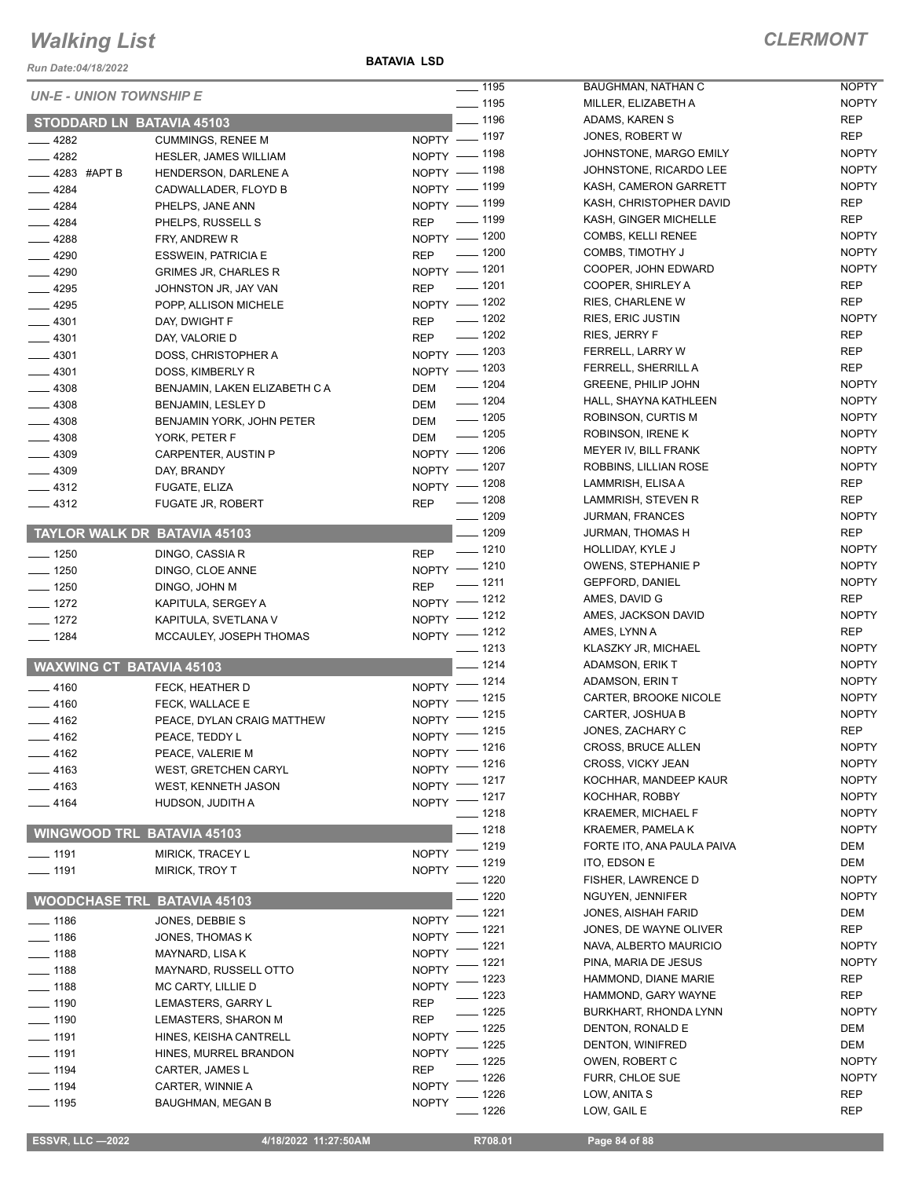*Run Date:04/18/2022*

**BATAVIA LSD**

|                                  |                                    | $- 1195$                                     | BAUGHMAN, NATHAN C         | <b>NOPTY</b> |
|----------------------------------|------------------------------------|----------------------------------------------|----------------------------|--------------|
| <b>UN-E - UNION TOWNSHIP E</b>   |                                    | $\frac{1}{2}$ 1195                           | MILLER, ELIZABETH A        | <b>NOPTY</b> |
| <b>STODDARD LN BATAVIA 45103</b> |                                    | $- 1196$                                     | ADAMS, KAREN S             | <b>REP</b>   |
| $-4282$                          | <b>CUMMINGS, RENEE M</b>           | NOPTY - 1197                                 | JONES, ROBERT W            | <b>REP</b>   |
| $-4282$                          | <b>HESLER, JAMES WILLIAM</b>       | NOPTY - 1198                                 | JOHNSTONE, MARGO EMILY     | <b>NOPTY</b> |
| $-4283$ #APT B                   | HENDERSON, DARLENE A               | NOPTY - 1198                                 | JOHNSTONE, RICARDO LEE     | <b>NOPTY</b> |
| $-4284$                          | CADWALLADER, FLOYD B               | NOPTY - 1199                                 | KASH, CAMERON GARRETT      | <b>NOPTY</b> |
| $-4284$                          | PHELPS, JANE ANN                   | NOPTY - 1199                                 | KASH, CHRISTOPHER DAVID    | <b>REP</b>   |
| $-4284$                          | PHELPS, RUSSELL S                  | REP - 1199                                   | KASH, GINGER MICHELLE      | <b>REP</b>   |
| $-4288$                          | FRY, ANDREW R                      | NOPTY - 1200                                 | COMBS, KELLI RENEE         | <b>NOPTY</b> |
| $-4290$                          | <b>ESSWEIN, PATRICIA E</b>         | $- 1200$<br><b>REP</b>                       | COMBS, TIMOTHY J           | <b>NOPTY</b> |
| $-4290$                          | <b>GRIMES JR, CHARLES R</b>        | NOPTY - 1201                                 | COOPER, JOHN EDWARD        | <b>NOPTY</b> |
| $-4295$                          | JOHNSTON JR, JAY VAN               | $\frac{1}{2}$ 1201<br><b>REP</b>             | COOPER, SHIRLEY A          | <b>REP</b>   |
| $-4295$                          | POPP, ALLISON MICHELE              | NOPTY - 1202                                 | RIES, CHARLENE W           | <b>REP</b>   |
| $-4301$                          | DAY, DWIGHT F                      | $\frac{1}{2}$ 1202<br><b>REP</b>             | <b>RIES, ERIC JUSTIN</b>   | <b>NOPTY</b> |
| $-4301$                          | DAY, VALORIE D                     | $- 1202$<br><b>REP</b>                       | RIES, JERRY F              | <b>REP</b>   |
| $-4301$                          | DOSS, CHRISTOPHER A                | NOPTY - 1203                                 | FERRELL, LARRY W           | REP          |
| $-4301$                          | DOSS, KIMBERLY R                   | NOPTY - 1203                                 | FERRELL, SHERRILL A        | <b>REP</b>   |
| $-4308$                          | BENJAMIN, LAKEN ELIZABETH C A      | $- 1204$<br><b>DEM</b>                       | <b>GREENE, PHILIP JOHN</b> | <b>NOPTY</b> |
| $-4308$                          | BENJAMIN, LESLEY D                 | $\frac{1}{2}$ 1204<br>DEM                    | HALL, SHAYNA KATHLEEN      | <b>NOPTY</b> |
| $-4308$                          | BENJAMIN YORK, JOHN PETER          | $\frac{1}{2}$ 1205<br><b>DEM</b>             | ROBINSON, CURTIS M         | <b>NOPTY</b> |
| $-4308$                          | YORK, PETER F                      | $\frac{1}{2}$ 1205<br>DEM                    | ROBINSON, IRENE K          | <b>NOPTY</b> |
| $-4309$                          | CARPENTER, AUSTIN P                | NOPTY - 1206                                 | MEYER IV, BILL FRANK       | <b>NOPTY</b> |
| $-4309$                          | DAY, BRANDY                        | NOPTY - 1207                                 | ROBBINS, LILLIAN ROSE      | <b>NOPTY</b> |
| $\frac{4312}{2}$                 | FUGATE, ELIZA                      | NOPTY - 1208                                 | LAMMRISH, ELISA A          | <b>REP</b>   |
| $-4312$                          | <b>FUGATE JR, ROBERT</b>           | REP - 1208                                   | LAMMRISH, STEVEN R         | <b>REP</b>   |
|                                  |                                    | $- 1209$                                     | <b>JURMAN, FRANCES</b>     | <b>NOPTY</b> |
|                                  | TAYLOR WALK DR BATAVIA 45103       | $- 1209$                                     | JURMAN, THOMAS H           | <b>REP</b>   |
| $- 1250$                         | DINGO, CASSIA R                    | $\frac{1}{2}$ 1210<br><b>REP</b>             | HOLLIDAY, KYLE J           | <b>NOPTY</b> |
| $- 1250$                         | DINGO, CLOE ANNE                   | NOPTY - 1210                                 | <b>OWENS, STEPHANIE P</b>  | <b>NOPTY</b> |
| $- 1250$                         | DINGO, JOHN M                      | REP - 1211                                   | GEPFORD, DANIEL            | <b>NOPTY</b> |
| $- 1272$                         | KAPITULA, SERGEY A                 | NOPTY - 1212                                 | AMES, DAVID G              | <b>REP</b>   |
| $- 1272$                         | KAPITULA, SVETLANA V               | NOPTY - 1212                                 | AMES, JACKSON DAVID        | <b>NOPTY</b> |
| $- 1284$                         | MCCAULEY, JOSEPH THOMAS            | NOPTY - 1212                                 | AMES, LYNN A               | <b>REP</b>   |
|                                  |                                    | $- 1213$                                     | KLASZKY JR, MICHAEL        | <b>NOPTY</b> |
| <b>WAXWING CT BATAVIA 45103</b>  |                                    | $- 1214$                                     | <b>ADAMSON, ERIK T</b>     | <b>NOPTY</b> |
| $-4160$                          | FECK, HEATHER D                    | NOPTY - 1214                                 | ADAMSON, ERIN T            | <b>NOPTY</b> |
| $-4160$                          | FECK, WALLACE E                    | NOPTY - 1215                                 | CARTER, BROOKE NICOLE      | <b>NOPTY</b> |
| $-4162$                          | PEACE, DYLAN CRAIG MATTHEW         | NOPTY - 1215                                 | CARTER, JOSHUA B           | <b>NOPTY</b> |
| $-4162$                          | PEACE, TEDDY L                     | NOPTY - 1215                                 | JONES, ZACHARY C           | <b>REP</b>   |
| $-4162$                          | PEACE, VALERIE M                   | NOPTY - 1216                                 | CROSS, BRUCE ALLEN         | <b>NOPTY</b> |
| $-4163$                          | <b>WEST, GRETCHEN CARYL</b>        | NOPTY - 1216                                 | CROSS, VICKY JEAN          | <b>NOPTY</b> |
| $-4163$                          | WEST, KENNETH JASON                | NOPTY - 1217                                 | KOCHHAR, MANDEEP KAUR      | <b>NOPTY</b> |
| $-4164$                          | HUDSON, JUDITH A                   | NOPTY - 1217                                 | KOCHHAR, ROBBY             | <b>NOPTY</b> |
|                                  |                                    | —— 1218                                      | <b>KRAEMER, MICHAEL F</b>  | <b>NOPTY</b> |
|                                  | <b>WINGWOOD TRL BATAVIA 45103</b>  | $-1218$                                      | KRAEMER, PAMELA K          | <b>NOPTY</b> |
| $\frac{1}{2}$ 1191               | MIRICK, TRACEY L                   | NOPTY - 1219                                 | FORTE ITO, ANA PAULA PAIVA | DEM          |
| $\frac{1}{2}$ 1191               | <b>MIRICK, TROY T</b>              | NOPTY - 1219                                 | ITO, EDSON E               | DEM          |
|                                  |                                    | $- 1220$                                     | FISHER, LAWRENCE D         | <b>NOPTY</b> |
|                                  | <b>WOODCHASE TRL BATAVIA 45103</b> | $- 1220$                                     | NGUYEN, JENNIFER           | <b>NOPTY</b> |
| $- 1186$                         | JONES, DEBBIE S                    | $\frac{1}{2}$ 1221<br><b>NOPTY</b>           | JONES, AISHAH FARID        | DEM          |
| $- 1186$                         | JONES, THOMAS K                    | _ 1221<br><b>NOPTY</b>                       | JONES, DE WAYNE OLIVER     | <b>REP</b>   |
| $- 1188$                         | MAYNARD, LISA K                    | _ 1221<br><b>NOPTY</b>                       | NAVA, ALBERTO MAURICIO     | <b>NOPTY</b> |
| $- 1188$                         |                                    | - 1221<br><b>NOPTY</b>                       | PINA, MARIA DE JESUS       | <b>NOPTY</b> |
| $- 1188$                         | MAYNARD, RUSSELL OTTO              | _ 1223<br><b>NOPTY</b>                       | HAMMOND, DIANE MARIE       | <b>REP</b>   |
| $\frac{1}{2}$ 1190               | MC CARTY, LILLIE D                 | $- 1223$<br><b>REP</b>                       | HAMMOND, GARY WAYNE        | REP          |
|                                  | LEMASTERS, GARRY L                 | —— 1225                                      | BURKHART, RHONDA LYNN      | <b>NOPTY</b> |
| $- 1190$                         | LEMASTERS, SHARON M                | <b>REP</b><br>___ 1225                       | DENTON, RONALD E           | DEM          |
| $- 1191$                         | HINES, KEISHA CANTRELL             | <b>NOPTY</b><br>_ 1225                       | DENTON, WINIFRED           | DEM          |
| $- 1191$                         | HINES, MURREL BRANDON              | <b>NOPTY</b><br>$-1225$                      | OWEN, ROBERT C             | <b>NOPTY</b> |
| $- 1194$                         | CARTER, JAMES L                    | <b>REP</b><br>$-1226$                        | FURR, CHLOE SUE            | <b>NOPTY</b> |
| $\frac{1}{2}$ 1194               | CARTER, WINNIE A                   | <b>NOPTY</b><br>_ 1226<br>NOPTY <sup>-</sup> | LOW, ANITA S               | <b>REP</b>   |
| $- 1195$                         | BAUGHMAN, MEGAN B                  | 1226                                         | LOW, GAIL E                | <b>REP</b>   |

 **ESSVR, LLC —2022 4/18/2022 11:27:50AM R708.01 Page 84 of 88**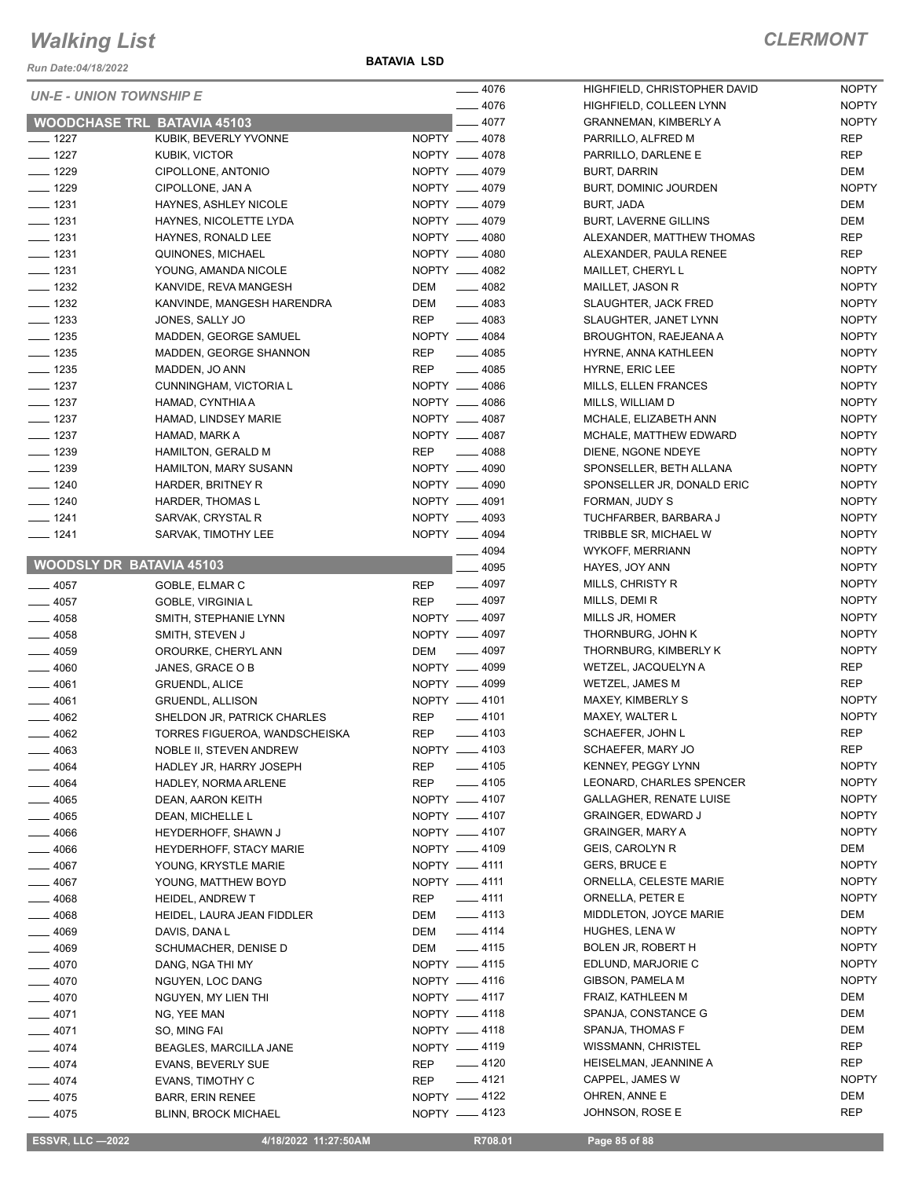*Run Date:04/18/2022*

**BATAVIA LSD**

| UN-E - UNION TOWNSHIP E            |                                              |            | — 4076                         |
|------------------------------------|----------------------------------------------|------------|--------------------------------|
|                                    |                                              |            | — 4076                         |
| <b>WOODCHASE TRL BATAVIA 45103</b> |                                              |            | $-4077$                        |
| __ 1227                            | KUBIK, BEVERLY YVONNE                        |            | NOPTY __ 4078                  |
| __ 1227                            | KUBIK, VICTOR                                |            | NOPTY __ 4078                  |
| __ 1229                            | CIPOLLONE, ANTONIO                           |            | NOPTY __ 4079                  |
| $=$ 1229<br>$-1231$                | CIPOLLONE, JAN A                             |            | NOPTY __ 4079<br>NOPTY __ 4079 |
| $-1231$                            | HAYNES, ASHLEY NICOLE                        |            | NOPTY __ 4079                  |
| $-1231$                            | HAYNES, NICOLETTE LYDA<br>HAYNES, RONALD LEE |            | NOPTY __ 4080                  |
| $-1231$                            | QUINONES, MICHAEL                            |            | NOPTY __ 4080                  |
| $-1231$                            | YOUNG, AMANDA NICOLE                         |            | NOPTY __ 4082                  |
| __ 1232                            | KANVIDE, REVA MANGESH                        | DEM        | $-4082$                        |
| _ 1232                             | KANVINDE, MANGESH HARENDRA                   | DEM        | $-4083$                        |
| __ 1233                            | JONES, SALLY JO                              | REP        | $-4083$                        |
| __ 1235                            | MADDEN, GEORGE SAMUEL                        |            | NOPTY __ 4084                  |
| __ 1235                            | MADDEN, GEORGE SHANNON                       | REP        | $-4085$                        |
| __ 1235                            | MADDEN, JO ANN                               | <b>REP</b> | $- 4085$                       |
| $-1237$                            | CUNNINGHAM, VICTORIA L                       |            | NOPTY __ 4086                  |
| $=$ 1237                           | HAMAD, CYNTHIA A                             |            | NOPTY __ 4086                  |
| $-1237$                            | HAMAD, LINDSEY MARIE                         |            | NOPTY __ 4087                  |
| $=$ 1237                           | HAMAD, MARK A                                |            | NOPTY __ 4087                  |
| $-1239$                            | <b>HAMILTON, GERALD M</b>                    | <b>REP</b> | $-4088$                        |
| __ 1239                            | HAMILTON, MARY SUSANN                        |            | NOPTY __ 4090                  |
| $- 1240$                           | HARDER, BRITNEY R                            |            | NOPTY __ 4090                  |
| $-1240$                            | HARDER, THOMAS L                             |            | NOPTY __ 4091                  |
| __ 1241                            | SARVAK, CRYSTAL R                            |            | NOPTY __ 4093                  |
| __ 1241                            | SARVAK, TIMOTHY LEE                          |            | NOPTY __ 4094                  |
|                                    |                                              |            | _ 4094                         |
| <b>WOODSLY DR BATAVIA 45103</b>    |                                              |            | —— 4095                        |
| $=$ 4057                           | GOBLE, ELMAR C                               | REP        | $-4097$                        |
| — 4057                             | GOBLE, VIRGINIA L                            | REP        | $-4097$                        |
| $=$ 4058                           | SMITH, STEPHANIE LYNN                        |            | NOPTY - 4097                   |
| __ 4058                            | SMITH, STEVEN J                              |            | NOPTY __ 4097                  |
| _ 4059                             | OROURKE, CHERYL ANN                          | DEM        | _____ 4097                     |
| $=4060$                            | JANES, GRACE O B                             |            | NOPTY - 4099                   |
| __ 4061                            | <b>GRUENDL, ALICE</b>                        |            | NOPTY -4099                    |
| $-4061$                            | <b>GRUENDL, ALLISON</b>                      |            | NOPTY -4101                    |
| __ 4062                            | SHELDON JR, PATRICK CHARLES                  | <b>REP</b> | $-4101$                        |
| 4062                               | TORRES FIGUEROA, WANDSCHEISKA                | <b>REP</b> | _ 4103                         |
| _ 4063                             | NOBLE II, STEVEN ANDREW                      |            | NOPTY -4103                    |
| _ 4064                             | HADLEY JR, HARRY JOSEPH                      |            | REP __ 4105                    |
| __ 4064                            | HADLEY, NORMA ARLENE                         | REP        | $-4105$                        |
| $=$ 4065                           | DEAN, AARON KEITH                            |            | NOPTY __ 4107                  |
| $=$ 4065                           | DEAN, MICHELLE L                             |            | NOPTY __ 4107                  |
| — 4066                             | HEYDERHOFF, SHAWN J                          |            | NOPTY -4107                    |
| ____ 4066                          | HEYDERHOFF, STACY MARIE                      |            | NOPTY <u>__</u> 4109           |
| $-4067$                            | YOUNG, KRYSTLE MARIE                         |            | NOPTY -4111<br>NOPTY __ 4111   |
| __ 4067                            | YOUNG, MATTHEW BOYD                          |            |                                |
| $-4068$                            | <b>HEIDEL, ANDREW T</b>                      | REP        | $\frac{1}{2}$ 4111             |
| $=4068$                            | HEIDEL, LAURA JEAN FIDDLER                   | DEM        | $-4113$<br>$-4114$             |
| ____ 4069                          | DAVIS, DANA L                                | <b>DEM</b> | $-4115$                        |
| __ 4069                            | SCHUMACHER, DENISE D                         | DEM        | NOPTY __ 4115                  |
| — 4070                             | DANG, NGA THI MY                             |            | NOPTY -4116                    |
| _ 4070<br>$-4070$                  | NGUYEN, LOC DANG<br>NGUYEN, MY LIEN THI      |            | NOPTY -4117                    |
| $-4071$                            | NG, YEE MAN                                  |            | NOPTY __ 4118                  |
| $-4071$                            | SO, MING FAI                                 |            | NOPTY -4118                    |
| $-4074$                            | BEAGLES, MARCILLA JANE                       |            | NOPTY __ 4119                  |
| — 4074                             | EVANS, BEVERLY SUE                           | REP        | _____ 4120                     |
| $-4074$                            | EVANS, TIMOTHY C                             |            | REP $-4121$                    |
| — 4075                             | <b>BARR, ERIN RENEE</b>                      |            | NOPTY -4122                    |
| .4075                              | <b>BLINN, BROCK MICHAEL</b>                  |            | NOPTY -4123                    |
|                                    |                                              |            |                                |

| 4076 | HIGHFIELD, CHRISTOPHER DAVID   | <b>NOPTY</b> |
|------|--------------------------------|--------------|
| 4076 | HIGHFIELD, COLLEEN LYNN        | <b>NOPTY</b> |
| 4077 | <b>GRANNEMAN, KIMBERLY A</b>   | <b>NOPTY</b> |
| 4078 | PARRILLO, ALFRED M             | REP          |
| 4078 | PARRILLO, DARLENE E            | REP          |
| 4079 | <b>BURT, DARRIN</b>            | <b>DEM</b>   |
| 4079 | BURT, DOMINIC JOURDEN          | <b>NOPTY</b> |
| 4079 | <b>BURT, JADA</b>              | DEM          |
| 4079 | <b>BURT, LAVERNE GILLINS</b>   | DEM          |
| 4080 | ALEXANDER, MATTHEW THOMAS      | REP          |
| 4080 | ALEXANDER, PAULA RENEE         | REP          |
| 4082 | MAILLET, CHERYL L              | <b>NOPTY</b> |
| 4082 | MAILLET, JASON R               | <b>NOPTY</b> |
| 4083 | <b>SLAUGHTER, JACK FRED</b>    | <b>NOPTY</b> |
| 4083 | SLAUGHTER, JANET LYNN          | <b>NOPTY</b> |
| 4084 | BROUGHTON, RAEJEANA A          | <b>NOPTY</b> |
| 4085 | HYRNE, ANNA KATHLEEN           | <b>NOPTY</b> |
| 4085 | <b>HYRNE, ERIC LEE</b>         | <b>NOPTY</b> |
| 4086 | <b>MILLS, ELLEN FRANCES</b>    | <b>NOPTY</b> |
| 4086 | MILLS, WILLIAM D               | <b>NOPTY</b> |
| 4087 | MCHALE, ELIZABETH ANN          | <b>NOPTY</b> |
| 4087 | MCHALE, MATTHEW EDWARD         | <b>NOPTY</b> |
| 4088 | DIENE, NGONE NDEYE             | <b>NOPTY</b> |
| 4090 | SPONSELLER, BETH ALLANA        | <b>NOPTY</b> |
| 4090 | SPONSELLER JR, DONALD ERIC     | <b>NOPTY</b> |
| 4091 | FORMAN, JUDY S                 | <b>NOPTY</b> |
| 4093 | TUCHFARBER, BARBARA J          | <b>NOPTY</b> |
| 4094 | TRIBBLE SR, MICHAEL W          | <b>NOPTY</b> |
| 4094 | <b>WYKOFF, MERRIANN</b>        | <b>NOPTY</b> |
| 4095 | HAYES, JOY ANN                 | <b>NOPTY</b> |
| 4097 | MILLS, CHRISTY R               | <b>NOPTY</b> |
| 4097 | MILLS, DEMI R                  | <b>NOPTY</b> |
| 4097 | MILLS JR, HOMER                | <b>NOPTY</b> |
| 4097 | THORNBURG, JOHN K              | <b>NOPTY</b> |
| 4097 | THORNBURG, KIMBERLY K          | <b>NOPTY</b> |
| 4099 | WETZEL, JACQUELYN A            | REP          |
| 4099 | <b>WETZEL, JAMES M</b>         | REP          |
| 4101 | <b>MAXEY, KIMBERLY S</b>       | <b>NOPTY</b> |
| 4101 | MAXEY, WALTER L                | <b>NOPTY</b> |
| 4103 | SCHAEFER, JOHN L               | REP          |
| 4103 | SCHAEFER, MARY JO              | REP          |
| 4105 | <b>KENNEY, PEGGY LYNN</b>      | <b>NOPTY</b> |
| 4105 | LEONARD, CHARLES SPENCER       | <b>NOPTY</b> |
| 4107 | <b>GALLAGHER, RENATE LUISE</b> | <b>NOPTY</b> |
| 4107 | <b>GRAINGER, EDWARD J</b>      | <b>NOPTY</b> |
| 4107 | <b>GRAINGER, MARY A</b>        | <b>NOPTY</b> |
| 4109 | <b>GEIS, CAROLYN R</b>         | DEM          |
| 4111 | <b>GERS, BRUCE E</b>           | <b>NOPTY</b> |
| 4111 | ORNELLA, CELESTE MARIE         | <b>NOPTY</b> |
| 4111 | ORNELLA, PETER E               | <b>NOPTY</b> |
| 4113 | MIDDLETON, JOYCE MARIE         | <b>DEM</b>   |
| 4114 | <b>HUGHES, LENA W</b>          | <b>NOPTY</b> |
| 4115 | BOLEN JR, ROBERT H             | <b>NOPTY</b> |
| 4115 | EDLUND, MARJORIE C             | <b>NOPTY</b> |
| 4116 | GIBSON, PAMELA M               | <b>NOPTY</b> |
| 4117 | FRAIZ, KATHLEEN M              | DEM          |
| 4118 | SPANJA, CONSTANCE G            | <b>DEM</b>   |
| 4118 | SPANJA, THOMAS F               | DEM          |
| 4119 | WISSMANN, CHRISTEL             | <b>REP</b>   |
| 4120 | HEISELMAN, JEANNINE A          | <b>REP</b>   |
| 4121 | CAPPEL, JAMES W                | <b>NOPTY</b> |
| 4122 | OHREN, ANNE E                  | DEM          |
| 4123 | JOHNSON, ROSE E                | REP          |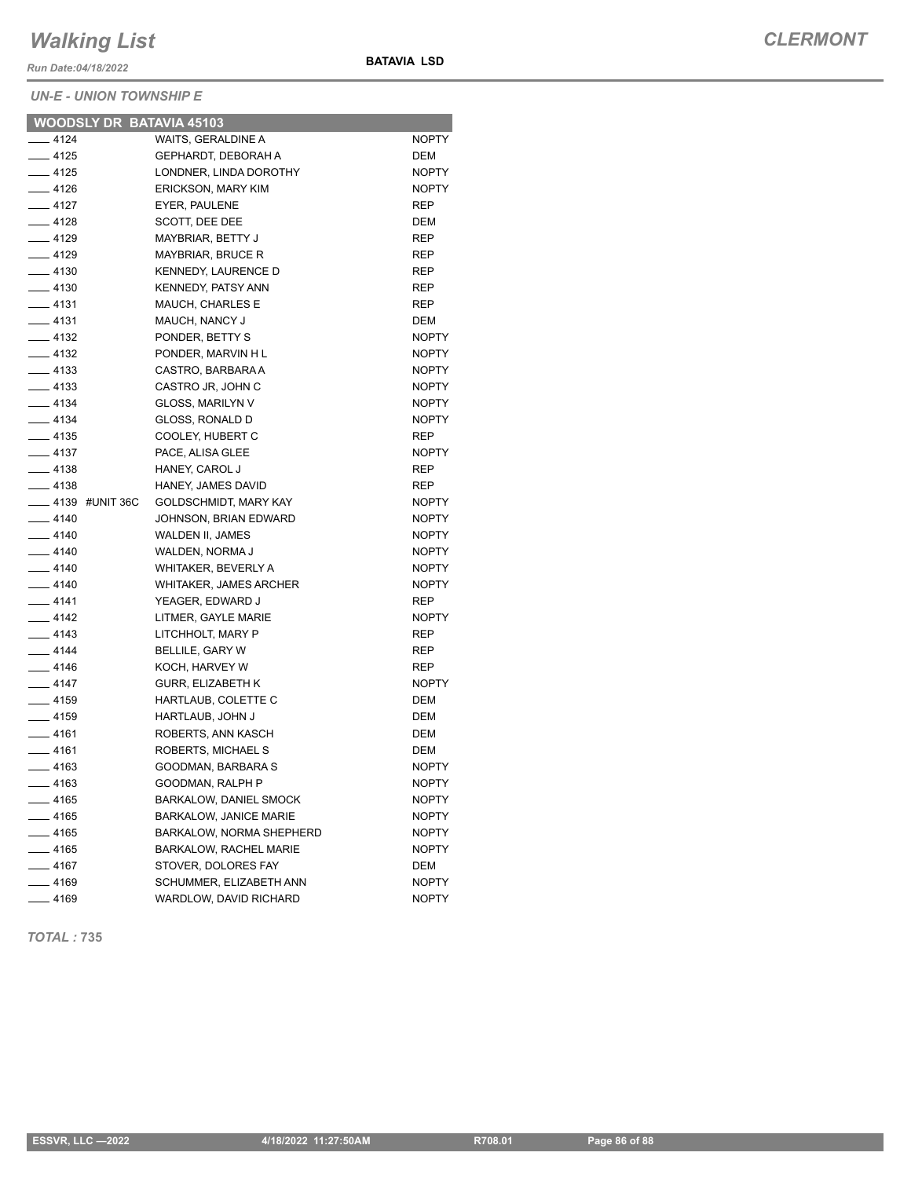*Run Date:04/18/2022*

#### *UN-E - UNION TOWNSHIP E*

| <b>WOODSLY DR BATAVIA 45103</b> |                               |              |
|---------------------------------|-------------------------------|--------------|
| __ 4124                         | WAITS, GERALDINE A            | <b>NOPTY</b> |
| $-4125$                         | <b>GEPHARDT, DEBORAH A</b>    | DEM          |
| $-4125$                         | LONDNER, LINDA DOROTHY        | <b>NOPTY</b> |
| $-4126$                         | <b>ERICKSON, MARY KIM</b>     | <b>NOPTY</b> |
| $-4127$                         | EYER, PAULENE                 | <b>REP</b>   |
| ____ 4128                       | SCOTT, DEE DEE                | DEM          |
| $-4129$                         | MAYBRIAR, BETTY J             | <b>REP</b>   |
| $-4129$                         | <b>MAYBRIAR, BRUCE R</b>      | <b>REP</b>   |
| $-4130$                         | <b>KENNEDY, LAURENCE D</b>    | <b>REP</b>   |
| $-4130$                         | <b>KENNEDY, PATSY ANN</b>     | <b>REP</b>   |
| $-4131$                         | <b>MAUCH. CHARLES E</b>       | <b>REP</b>   |
| __ 4131                         | MAUCH, NANCY J                | DEM          |
| $-4132$                         | PONDER, BETTY S               | <b>NOPTY</b> |
| $-4132$                         | PONDER, MARVIN H L            | <b>NOPTY</b> |
| $-4133$                         | CASTRO, BARBARA A             | <b>NOPTY</b> |
| $\frac{1}{2}$ 4133              | CASTRO JR, JOHN C             | <b>NOPTY</b> |
| __ 4134                         | GLOSS, MARILYN V              | <b>NOPTY</b> |
| $-4134$                         | <b>GLOSS, RONALD D</b>        | <b>NOPTY</b> |
| $-4135$                         | COOLEY, HUBERT C              | <b>REP</b>   |
| $-4137$                         | PACE, ALISA GLEE              | <b>NOPTY</b> |
| $-4138$                         | HANEY, CAROL J                | <b>REP</b>   |
| $-4138$                         | HANEY, JAMES DAVID            | <b>REP</b>   |
| <b>4139 #UNIT 36C</b>           | <b>GOLDSCHMIDT, MARY KAY</b>  | <b>NOPTY</b> |
| $-4140$                         | JOHNSON, BRIAN EDWARD         | <b>NOPTY</b> |
| $-4140$                         | <b>WALDEN II, JAMES</b>       | <b>NOPTY</b> |
| $- 4140$                        | WALDEN, NORMA J               | <b>NOPTY</b> |
| $-4140$                         | WHITAKER, BEVERLY A           | <b>NOPTY</b> |
| $-4140$                         | <b>WHITAKER, JAMES ARCHER</b> | <b>NOPTY</b> |
| $-4141$                         | YEAGER, EDWARD J              | <b>REP</b>   |
| $-4142$                         | LITMER, GAYLE MARIE           | <b>NOPTY</b> |
| $-4143$                         | LITCHHOLT, MARY P             | REP          |
| $-4144$                         | BELLILE, GARY W               | <b>REP</b>   |
| $-4146$                         | KOCH, HARVEY W                | <b>REP</b>   |
| $-4147$                         | <b>GURR, ELIZABETH K</b>      | <b>NOPTY</b> |
| $- 4159$                        | HARTLAUB, COLETTE C           | DEM          |
| $-4159$                         | HARTLAUB, JOHN J              | <b>DEM</b>   |
| $-4161$                         | ROBERTS, ANN KASCH            | DEM          |
| $- 4161$                        | ROBERTS, MICHAEL S            | <b>DEM</b>   |
| $-4163$                         | GOODMAN, BARBARA S            | <b>NOPTY</b> |
| $-4163$                         | GOODMAN, RALPH P              | <b>NOPTY</b> |
| $-4165$                         | BARKALOW, DANIEL SMOCK        | <b>NOPTY</b> |
| $-4165$                         | <b>BARKALOW, JANICE MARIE</b> | <b>NOPTY</b> |
| $-4165$                         | BARKALOW, NORMA SHEPHERD      | <b>NOPTY</b> |
| $-4165$                         | BARKALOW, RACHEL MARIE        | <b>NOPTY</b> |
| $-4167$                         | STOVER, DOLORES FAY           | <b>DEM</b>   |
| $-4169$                         | SCHUMMER, ELIZABETH ANN       | <b>NOPTY</b> |

Lacktriangle MARDLOW, DAVID RICHARD MOPTY

**BATAVIA LSD**

*TOTAL :* **735**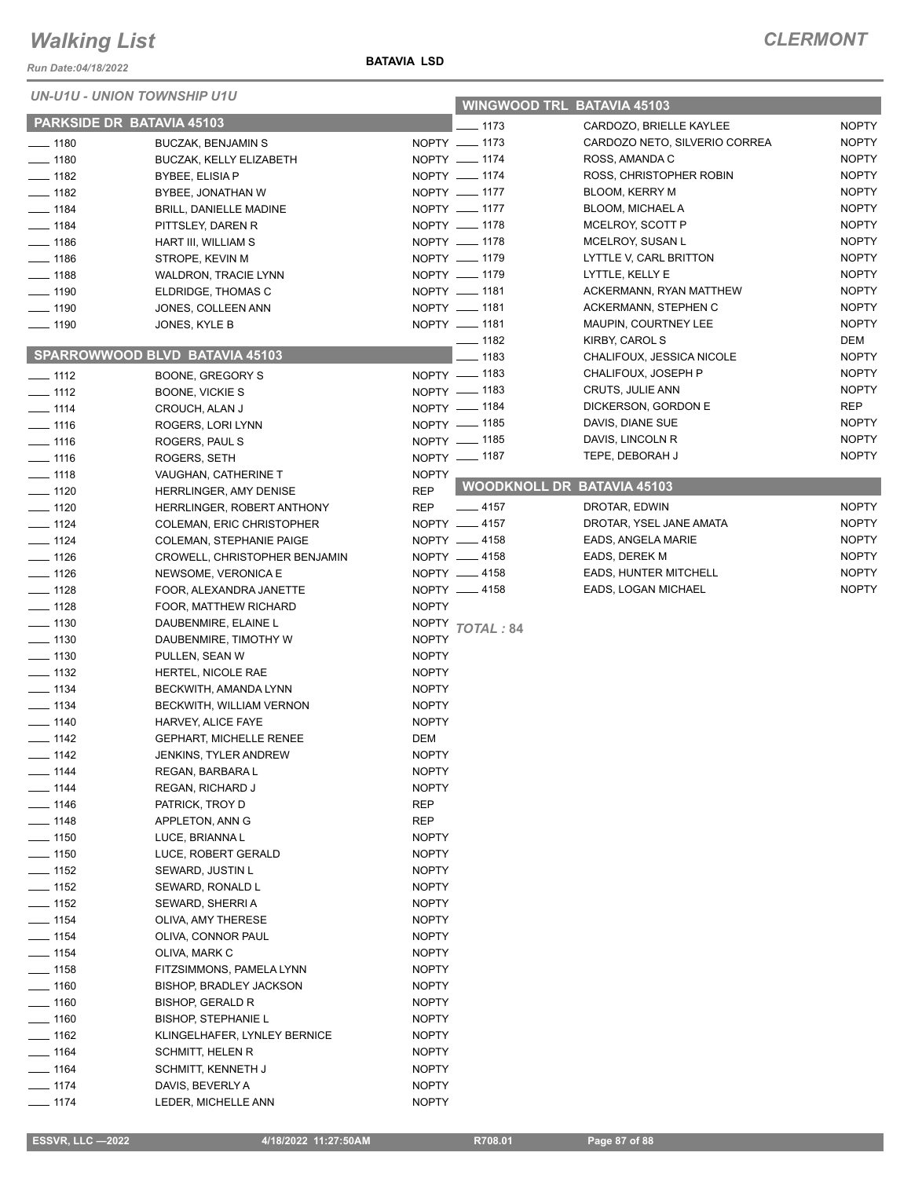*Run Date:04/18/2022*

*UN-U1U - UNION TOWNSHIP U1U*

| UN-U1U - UNION TOWNSHIP U1U |                                               |                              | <b>WINGWOOD TRL BATAVIA 45103</b> |                               |              |
|-----------------------------|-----------------------------------------------|------------------------------|-----------------------------------|-------------------------------|--------------|
| PARKSIDE DR BATAVIA 45103   |                                               |                              | $-1173$                           | CARDOZO, BRIELLE KAYLEE       | <b>NOPTY</b> |
| $\frac{1}{2}$ 1180          | <b>BUCZAK, BENJAMIN S</b>                     |                              | NOPTY __ 1173                     | CARDOZO NETO, SILVERIO CORREA | <b>NOPTY</b> |
| $- 1180$                    | <b>BUCZAK, KELLY ELIZABETH</b>                |                              | NOPTY __ 1174                     | ROSS, AMANDA C                | <b>NOPTY</b> |
| $- 1182$                    | BYBEE, ELISIA P                               |                              | NOPTY __ 1174                     | ROSS, CHRISTOPHER ROBIN       | <b>NOPTY</b> |
| $- 1182$                    | BYBEE, JONATHAN W                             |                              | NOPTY __ 1177                     | BLOOM, KERRY M                | <b>NOPTY</b> |
| $- 1184$                    | BRILL, DANIELLE MADINE                        |                              | NOPTY __ 1177                     | BLOOM, MICHAEL A              | <b>NOPTY</b> |
| $- 1184$                    | PITTSLEY, DAREN R                             |                              | NOPTY __ 1178                     | MCELROY, SCOTT P              | <b>NOPTY</b> |
| $- 1186$                    | HART III, WILLIAM S                           |                              | NOPTY __ 1178                     | MCELROY, SUSAN L              | <b>NOPTY</b> |
| $- 1186$                    | STROPE, KEVIN M                               |                              | NOPTY __ 1179                     | LYTTLE V, CARL BRITTON        | <b>NOPTY</b> |
| $- 1188$                    | WALDRON, TRACIE LYNN                          |                              | NOPTY __ 1179                     | LYTTLE, KELLY E               | <b>NOPTY</b> |
| $\frac{1}{2}$ 1190          | ELDRIDGE, THOMAS C                            |                              | NOPTY __ 1181                     | ACKERMANN, RYAN MATTHEW       | <b>NOPTY</b> |
| $\frac{1}{2}$ 1190          | JONES, COLLEEN ANN                            |                              | NOPTY __ 1181                     | ACKERMANN, STEPHEN C          | <b>NOPTY</b> |
| $- 1190$                    | JONES, KYLE B                                 |                              | NOPTY __ 1181                     | MAUPIN, COURTNEY LEE          | <b>NOPTY</b> |
|                             |                                               |                              | $\frac{1}{2}$ 1182                | KIRBY, CAROL S                | DEM          |
|                             | SPARROWWOOD BLVD BATAVIA 45103                |                              | $- 1183$                          | CHALIFOUX, JESSICA NICOLE     | <b>NOPTY</b> |
| $- 1112$                    | BOONE, GREGORY S                              |                              | NOPTY - 1183                      | CHALIFOUX, JOSEPH P           | <b>NOPTY</b> |
| $- 1112$                    | BOONE, VICKIE S                               |                              | NOPTY - 1183                      | <b>CRUTS, JULIE ANN</b>       | <b>NOPTY</b> |
| $\frac{1}{1114}$            | CROUCH, ALAN J                                |                              | NOPTY - 1184                      | DICKERSON, GORDON E           | <b>REP</b>   |
| $- 1116$                    | ROGERS, LORI LYNN                             |                              | NOPTY - 1185                      | DAVIS, DIANE SUE              | <b>NOPTY</b> |
| $- 1116$                    | ROGERS, PAUL S                                |                              | NOPTY - 1185                      | DAVIS, LINCOLN R              | <b>NOPTY</b> |
| $- 1116$                    | ROGERS, SETH                                  |                              | NOPTY - 1187                      | TEPE, DEBORAH J               | <b>NOPTY</b> |
| $- 1118$                    | VAUGHAN, CATHERINE T                          | <b>NOPTY</b>                 |                                   |                               |              |
| $- 1120$                    | HERRLINGER, AMY DENISE                        | <b>REP</b>                   | <b>WOODKNOLL DR BATAVIA 45103</b> |                               |              |
| $\frac{1}{2}$ 1120          | HERRLINGER, ROBERT ANTHONY                    | REP                          | $\frac{1}{2}$ 4157                | DROTAR, EDWIN                 | <b>NOPTY</b> |
| $- 1124$                    | COLEMAN, ERIC CHRISTOPHER                     |                              | NOPTY __ 4157                     | DROTAR, YSEL JANE AMATA       | <b>NOPTY</b> |
| $- 1124$                    | <b>COLEMAN, STEPHANIE PAIGE</b>               |                              | NOPTY __ 4158                     | EADS, ANGELA MARIE            | <b>NOPTY</b> |
| $- 1126$                    | CROWELL, CHRISTOPHER BENJAMIN                 |                              | NOPTY __ 4158                     | EADS, DEREK M                 | <b>NOPTY</b> |
| $- 1126$                    | NEWSOME, VERONICA E                           |                              | NOPTY __ 4158                     | EADS, HUNTER MITCHELL         | <b>NOPTY</b> |
| $- 1128$                    | FOOR, ALEXANDRA JANETTE                       |                              | NOPTY __ 4158                     | EADS, LOGAN MICHAEL           | <b>NOPTY</b> |
| $- 1128$                    | FOOR, MATTHEW RICHARD                         | <b>NOPTY</b>                 |                                   |                               |              |
| $\frac{1}{2}$ 1130          | DAUBENMIRE, ELAINE L                          | NOPTY                        | TOTAL: 84                         |                               |              |
| $\frac{1}{2}$ 1130          | DAUBENMIRE, TIMOTHY W                         | <b>NOPTY</b>                 |                                   |                               |              |
| $- 1130$                    | PULLEN, SEAN W                                | <b>NOPTY</b>                 |                                   |                               |              |
| $- 1132$                    | HERTEL, NICOLE RAE                            | <b>NOPTY</b>                 |                                   |                               |              |
| $- 1134$                    | BECKWITH, AMANDA LYNN                         | <b>NOPTY</b>                 |                                   |                               |              |
| $- 1134$                    | BECKWITH, WILLIAM VERNON                      | <b>NOPTY</b>                 |                                   |                               |              |
| $\frac{1}{2}$ 1140          | HARVEY, ALICE FAYE                            | <b>NOPTY</b>                 |                                   |                               |              |
| $\frac{1}{2}$ 1142          | <b>GEPHART, MICHELLE RENEE</b>                | <b>DEM</b>                   |                                   |                               |              |
| $- 1142$                    | <b>JENKINS, TYLER ANDREW</b>                  | <b>NOPTY</b>                 |                                   |                               |              |
| $- 1144$                    | REGAN, BARBARA L                              | <b>NOPTY</b>                 |                                   |                               |              |
| $- 1144$                    | REGAN, RICHARD J                              | <b>NOPTY</b>                 |                                   |                               |              |
| $- 1146$                    | PATRICK, TROY D                               | <b>REP</b>                   |                                   |                               |              |
| $- 1148$                    | APPLETON, ANN G                               | REP                          |                                   |                               |              |
| $\frac{1}{2}$ 1150          | LUCE, BRIANNA L                               | <b>NOPTY</b>                 |                                   |                               |              |
| $- 1150$                    | LUCE, ROBERT GERALD                           | <b>NOPTY</b>                 |                                   |                               |              |
| $- 1152$                    | SEWARD, JUSTIN L                              | <b>NOPTY</b>                 |                                   |                               |              |
| $\frac{1}{2}$ 1152          | SEWARD, RONALD L                              | <b>NOPTY</b>                 |                                   |                               |              |
| $- 1152$                    | SEWARD, SHERRIA                               | <b>NOPTY</b>                 |                                   |                               |              |
| $- 1154$                    | OLIVA, AMY THERESE                            | <b>NOPTY</b>                 |                                   |                               |              |
| $- 1154$                    | OLIVA, CONNOR PAUL                            | <b>NOPTY</b>                 |                                   |                               |              |
| $- 1154$                    | OLIVA, MARK C                                 | <b>NOPTY</b>                 |                                   |                               |              |
| $\frac{1}{2}$ 1158          | FITZSIMMONS, PAMELA LYNN                      | <b>NOPTY</b>                 |                                   |                               |              |
| $- 1160$                    | BISHOP, BRADLEY JACKSON                       | <b>NOPTY</b>                 |                                   |                               |              |
| $- 1160$                    | <b>BISHOP, GERALD R</b>                       | <b>NOPTY</b>                 |                                   |                               |              |
| $- 1160$                    | <b>BISHOP, STEPHANIE L</b>                    | <b>NOPTY</b>                 |                                   |                               |              |
| $- 1162$<br>$- 1164$        | KLINGELHAFER, LYNLEY BERNICE                  | <b>NOPTY</b>                 |                                   |                               |              |
| $- 1164$                    | <b>SCHMITT, HELEN R</b><br>SCHMITT, KENNETH J | <b>NOPTY</b><br><b>NOPTY</b> |                                   |                               |              |
| $- 1174$                    | DAVIS, BEVERLY A                              | <b>NOPTY</b>                 |                                   |                               |              |
| _ 1174                      | LEDER, MICHELLE ANN                           | <b>NOPTY</b>                 |                                   |                               |              |
|                             |                                               |                              |                                   |                               |              |